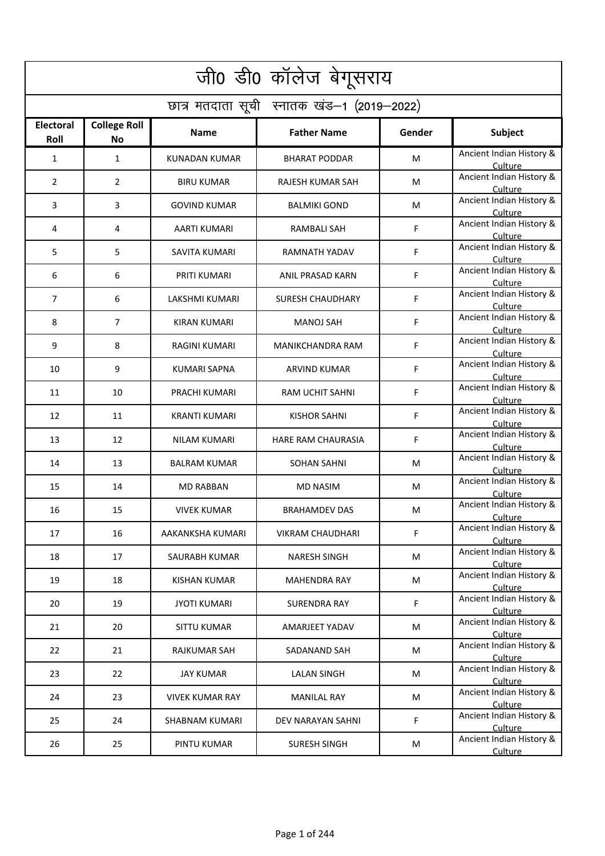| जी0 डी0 कॉलेज बेगूसराय   |                                            |                        |                         |             |                                     |  |  |  |  |
|--------------------------|--------------------------------------------|------------------------|-------------------------|-------------|-------------------------------------|--|--|--|--|
|                          | छात्र मतदाता सूची स्नातक खंड-1 (2019-2022) |                        |                         |             |                                     |  |  |  |  |
| <b>Electoral</b><br>Roll | <b>College Roll</b><br><b>No</b>           | <b>Name</b>            | <b>Father Name</b>      | Gender      | Subject                             |  |  |  |  |
| 1                        | 1                                          | <b>KUNADAN KUMAR</b>   | <b>BHARAT PODDAR</b>    | M           | Ancient Indian History &<br>Culture |  |  |  |  |
| 2                        | $\overline{2}$                             | <b>BIRU KUMAR</b>      | <b>RAJESH KUMAR SAH</b> | M           | Ancient Indian History &<br>Culture |  |  |  |  |
| 3                        | 3                                          | <b>GOVIND KUMAR</b>    | <b>BALMIKI GOND</b>     | M           | Ancient Indian History &<br>Culture |  |  |  |  |
| 4                        | 4                                          | <b>AARTI KUMARI</b>    | <b>RAMBALI SAH</b>      | F           | Ancient Indian History &<br>Culture |  |  |  |  |
| 5                        | 5                                          | SAVITA KUMARI          | RAMNATH YADAV           | F           | Ancient Indian History &<br>Culture |  |  |  |  |
| 6                        | 6                                          | PRITI KUMARI           | <b>ANIL PRASAD KARN</b> | F           | Ancient Indian History &<br>Culture |  |  |  |  |
| 7                        | 6                                          | LAKSHMI KUMARI         | <b>SURESH CHAUDHARY</b> | F           | Ancient Indian History &<br>Culture |  |  |  |  |
| 8                        | 7                                          | <b>KIRAN KUMARI</b>    | <b>MANOJ SAH</b>        | F           | Ancient Indian History &<br>Culture |  |  |  |  |
| 9                        | 8                                          | RAGINI KUMARI          | MANIKCHANDRA RAM        | F           | Ancient Indian History &<br>Culture |  |  |  |  |
| 10                       | 9                                          | KUMARI SAPNA           | ARVIND KUMAR            | F           | Ancient Indian History &<br>Culture |  |  |  |  |
| 11                       | 10                                         | PRACHI KUMARI          | RAM UCHIT SAHNI         | F           | Ancient Indian History &<br>Culture |  |  |  |  |
| 12                       | 11                                         | <b>KRANTI KUMARI</b>   | <b>KISHOR SAHNI</b>     | F           | Ancient Indian History &<br>Culture |  |  |  |  |
| 13                       | 12                                         | NILAM KUMARI           | HARE RAM CHAURASIA      | F           | Ancient Indian History &<br>Culture |  |  |  |  |
| 14                       | 13                                         | <b>BALRAM KUMAR</b>    | <b>SOHAN SAHNI</b>      | M           | Ancient Indian History &<br>Culture |  |  |  |  |
| 15                       | 14                                         | <b>MD RABBAN</b>       | <b>MD NASIM</b>         | M           | Ancient Indian History &<br>Culture |  |  |  |  |
| 16                       | 15                                         | <b>VIVEK KUMAR</b>     | <b>BRAHAMDEV DAS</b>    | M           | Ancient Indian History &<br>Culture |  |  |  |  |
| 17                       | 16                                         | AAKANKSHA KUMARI       | <b>VIKRAM CHAUDHARI</b> | F           | Ancient Indian History &<br>Culture |  |  |  |  |
| 18                       | 17                                         | SAURABH KUMAR          | <b>NARESH SINGH</b>     | M           | Ancient Indian History &<br>Culture |  |  |  |  |
| 19                       | 18                                         | <b>KISHAN KUMAR</b>    | <b>MAHENDRA RAY</b>     | M           | Ancient Indian History &<br>Culture |  |  |  |  |
| 20                       | 19                                         | <b>JYOTI KUMARI</b>    | <b>SURENDRA RAY</b>     | F           | Ancient Indian History &<br>Culture |  |  |  |  |
| 21                       | 20                                         | <b>SITTU KUMAR</b>     | <b>AMARJEET YADAV</b>   | M           | Ancient Indian History &<br>Culture |  |  |  |  |
| 22                       | 21                                         | <b>RAJKUMAR SAH</b>    | SADANAND SAH            | M           | Ancient Indian History &<br>Culture |  |  |  |  |
| 23                       | 22                                         | <b>JAY KUMAR</b>       | <b>LALAN SINGH</b>      | M           | Ancient Indian History &<br>Culture |  |  |  |  |
| 24                       | 23                                         | <b>VIVEK KUMAR RAY</b> | <b>MANILAL RAY</b>      | M           | Ancient Indian History &<br>Culture |  |  |  |  |
| 25                       | 24                                         | <b>SHABNAM KUMARI</b>  | DEV NARAYAN SAHNI       | $\mathsf F$ | Ancient Indian History &<br>Culture |  |  |  |  |
| 26                       | 25                                         | PINTU KUMAR            | <b>SURESH SINGH</b>     | M           | Ancient Indian History &<br>Culture |  |  |  |  |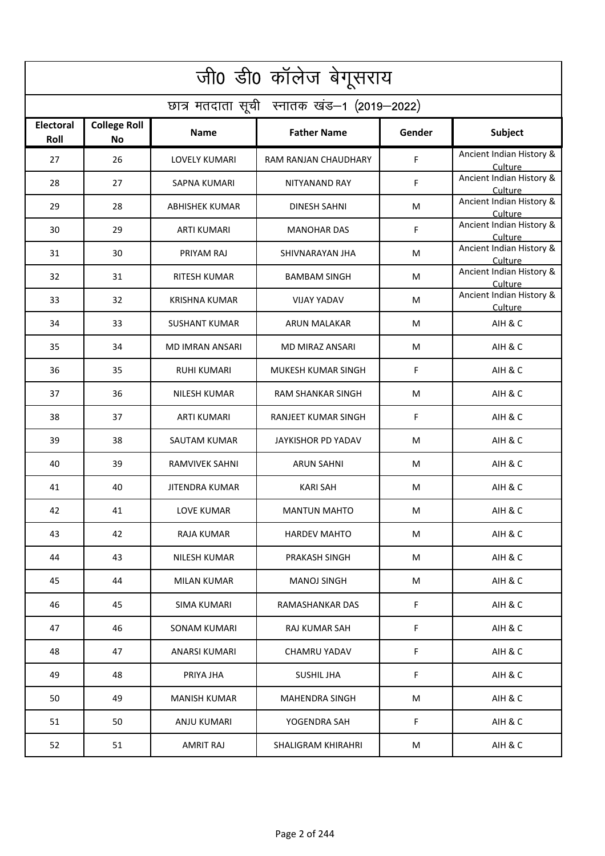| जी0 डी0 कॉलेज बेगूसराय                     |                                  |                        |                          |        |                                     |  |  |  |
|--------------------------------------------|----------------------------------|------------------------|--------------------------|--------|-------------------------------------|--|--|--|
| छात्र मतदाता सूची स्नातक खंड-1 (2019-2022) |                                  |                        |                          |        |                                     |  |  |  |
| <b>Electoral</b><br>Roll                   | <b>College Roll</b><br><b>No</b> | <b>Name</b>            | <b>Father Name</b>       | Gender | Subject                             |  |  |  |
| 27                                         | 26                               | <b>LOVELY KUMARI</b>   | RAM RANJAN CHAUDHARY     | F      | Ancient Indian History &<br>Culture |  |  |  |
| 28                                         | 27                               | <b>SAPNA KUMARI</b>    | NITYANAND RAY            | F      | Ancient Indian History &<br>Culture |  |  |  |
| 29                                         | 28                               | <b>ABHISHEK KUMAR</b>  | <b>DINESH SAHNI</b>      | M      | Ancient Indian History &<br>Culture |  |  |  |
| 30                                         | 29                               | <b>ARTI KUMARI</b>     | <b>MANOHAR DAS</b>       | F      | Ancient Indian History &<br>Culture |  |  |  |
| 31                                         | 30                               | PRIYAM RAJ             | SHIVNARAYAN JHA          | M      | Ancient Indian History &<br>Culture |  |  |  |
| 32                                         | 31                               | <b>RITESH KUMAR</b>    | <b>BAMBAM SINGH</b>      | M      | Ancient Indian History &<br>Culture |  |  |  |
| 33                                         | 32                               | <b>KRISHNA KUMAR</b>   | <b>VIJAY YADAV</b>       | M      | Ancient Indian History &<br>Culture |  |  |  |
| 34                                         | 33                               | <b>SUSHANT KUMAR</b>   | <b>ARUN MALAKAR</b>      | M      | AIH & C                             |  |  |  |
| 35                                         | 34                               | <b>MD IMRAN ANSARI</b> | MD MIRAZ ANSARI          | M      | AIH & C                             |  |  |  |
| 36                                         | 35                               | <b>RUHI KUMARI</b>     | MUKESH KUMAR SINGH       | F      | AIH & C                             |  |  |  |
| 37                                         | 36                               | <b>NILESH KUMAR</b>    | <b>RAM SHANKAR SINGH</b> | M      | AIH & C                             |  |  |  |
| 38                                         | 37                               | <b>ARTI KUMARI</b>     | RANJEET KUMAR SINGH      | F      | AIH & C                             |  |  |  |
| 39                                         | 38                               | SAUTAM KUMAR           | JAYKISHOR PD YADAV       | M      | AIH & C                             |  |  |  |
| 40                                         | 39                               | <b>RAMVIVEK SAHNI</b>  | <b>ARUN SAHNI</b>        | M      | AIH & C                             |  |  |  |
| 41                                         | 40                               | <b>JITENDRA KUMAR</b>  | <b>KARI SAH</b>          | M      | AIH & C                             |  |  |  |
| 42                                         | 41                               | LOVE KUMAR             | <b>MANTUN MAHTO</b>      | M      | AIH & C                             |  |  |  |
| 43                                         | 42                               | RAJA KUMAR             | <b>HARDEV MAHTO</b>      | М      | AIH & C                             |  |  |  |
| 44                                         | 43                               | NILESH KUMAR           | PRAKASH SINGH            | М      | AIH & C                             |  |  |  |
| 45                                         | 44                               | MILAN KUMAR            | <b>MANOJ SINGH</b>       | M      | AIH & C                             |  |  |  |
| 46                                         | 45                               | SIMA KUMARI            | RAMASHANKAR DAS          | F      | AIH & C                             |  |  |  |
| 47                                         | 46                               | <b>SONAM KUMARI</b>    | RAJ KUMAR SAH            | F      | AIH & C                             |  |  |  |
| 48                                         | 47                               | ANARSI KUMARI          | CHAMRU YADAV             | F      | AIH & C                             |  |  |  |
| 49                                         | 48                               | PRIYA JHA              | <b>SUSHIL JHA</b>        | F      | AIH & C                             |  |  |  |
| 50                                         | 49                               | <b>MANISH KUMAR</b>    | MAHENDRA SINGH           | M      | AIH & C                             |  |  |  |
| 51                                         | 50                               | ANJU KUMARI            | YOGENDRA SAH             | F      | AIH & C                             |  |  |  |
| 52                                         | 51                               | <b>AMRIT RAJ</b>       | SHALIGRAM KHIRAHRI       | M      | AIH & C                             |  |  |  |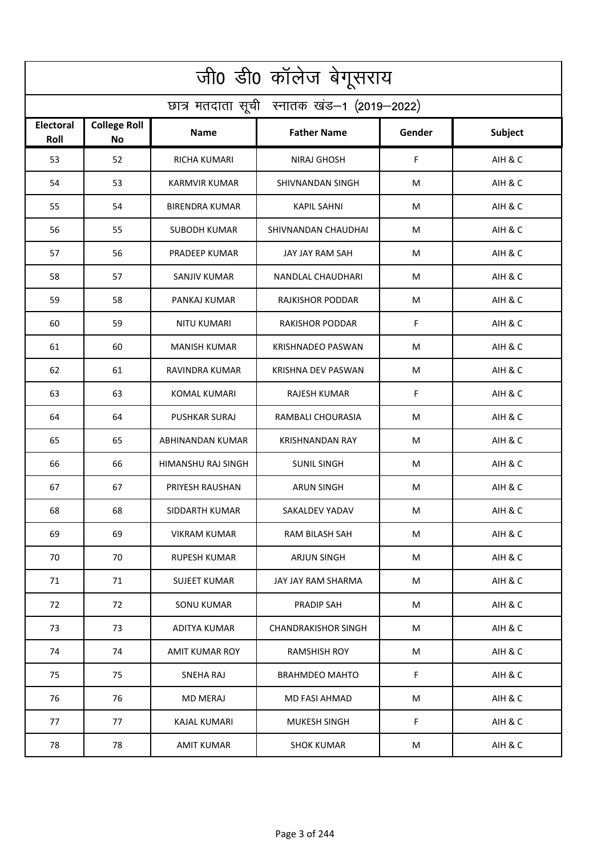| जी0 डी0 कॉलेज बेगूसराय                     |                                  |                       |                            |        |         |  |  |  |
|--------------------------------------------|----------------------------------|-----------------------|----------------------------|--------|---------|--|--|--|
| छात्र मतदाता सूची स्नातक खंड-1 (2019-2022) |                                  |                       |                            |        |         |  |  |  |
| <b>Electoral</b><br>Roll                   | <b>College Roll</b><br><b>No</b> | Name                  | <b>Father Name</b>         | Gender | Subject |  |  |  |
| 53                                         | 52                               | <b>RICHA KUMARI</b>   | NIRAJ GHOSH                | F      | AIH & C |  |  |  |
| 54                                         | 53                               | <b>KARMVIR KUMAR</b>  | SHIVNANDAN SINGH           | M      | AIH & C |  |  |  |
| 55                                         | 54                               | <b>BIRENDRA KUMAR</b> | <b>KAPIL SAHNI</b>         | M      | AIH & C |  |  |  |
| 56                                         | 55                               | <b>SUBODH KUMAR</b>   | SHIVNANDAN CHAUDHAI        | М      | AIH & C |  |  |  |
| 57                                         | 56                               | PRADEEP KUMAR         | JAY JAY RAM SAH            | M      | AIH & C |  |  |  |
| 58                                         | 57                               | <b>SANJIV KUMAR</b>   | NANDLAL CHAUDHARI          | M      | AIH & C |  |  |  |
| 59                                         | 58                               | PANKAJ KUMAR          | RAJKISHOR PODDAR           | M      | AIH & C |  |  |  |
| 60                                         | 59                               | NITU KUMARI           | <b>RAKISHOR PODDAR</b>     | F      | AIH & C |  |  |  |
| 61                                         | 60                               | <b>MANISH KUMAR</b>   | <b>KRISHNADEO PASWAN</b>   | M      | AIH & C |  |  |  |
| 62                                         | 61                               | RAVINDRA KUMAR        | KRISHNA DEV PASWAN         | M      | AIH & C |  |  |  |
| 63                                         | 63                               | <b>KOMAL KUMARI</b>   | <b>RAJESH KUMAR</b>        | F      | AIH & C |  |  |  |
| 64                                         | 64                               | <b>PUSHKAR SURAJ</b>  | RAMBALI CHOURASIA          | M      | AIH & C |  |  |  |
| 65                                         | 65                               | ABHINANDAN KUMAR      | <b>KRISHNANDAN RAY</b>     | M      | AIH & C |  |  |  |
| 66                                         | 66                               | HIMANSHU RAJ SINGH    | <b>SUNIL SINGH</b>         | М      | AIH & C |  |  |  |
| 67                                         | 67                               | PRIYESH RAUSHAN       | ARUN SINGH                 | M      | AIH & C |  |  |  |
| 68                                         | 68                               | SIDDARTH KUMAR        | SAKALDEV YADAV             | M      | AIH & C |  |  |  |
| 69                                         | 69                               | VIKRAM KUMAR          | RAM BILASH SAH             | M      | AIH & C |  |  |  |
| 70                                         | 70                               | <b>RUPESH KUMAR</b>   | <b>ARJUN SINGH</b>         | M      | AIH & C |  |  |  |
| 71                                         | 71                               | <b>SUJEET KUMAR</b>   | JAY JAY RAM SHARMA         | M      | AIH & C |  |  |  |
| 72                                         | 72                               | <b>SONU KUMAR</b>     | PRADIP SAH                 | M      | AIH & C |  |  |  |
| 73                                         | 73                               | <b>ADITYA KUMAR</b>   | <b>CHANDRAKISHOR SINGH</b> | M      | AIH & C |  |  |  |
| 74                                         | 74                               | <b>AMIT KUMAR ROY</b> | <b>RAMSHISH ROY</b>        | M      | AIH & C |  |  |  |
| 75                                         | 75                               | <b>SNEHA RAJ</b>      | <b>BRAHMDEO MAHTO</b>      | F      | AIH & C |  |  |  |
| 76                                         | 76                               | <b>MD MERAJ</b>       | MD FASI AHMAD              | M      | AIH & C |  |  |  |
| 77                                         | 77                               | KAJAL KUMARI          | <b>MUKESH SINGH</b>        | F      | AIH & C |  |  |  |
| 78                                         | 78                               | <b>AMIT KUMAR</b>     | <b>SHOK KUMAR</b>          | M      | AIH & C |  |  |  |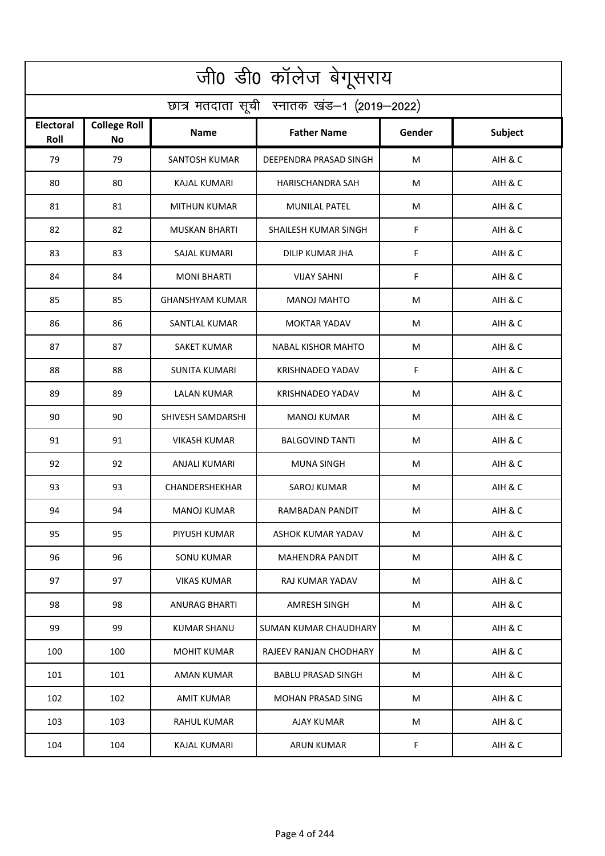| जी0 डी0 कॉलेज बेगूसराय                     |                                  |                        |                              |        |                |  |  |  |  |
|--------------------------------------------|----------------------------------|------------------------|------------------------------|--------|----------------|--|--|--|--|
| छात्र मतदाता सूची स्नातक खंड-1 (2019-2022) |                                  |                        |                              |        |                |  |  |  |  |
| <b>Electoral</b><br>Roll                   | <b>College Roll</b><br><b>No</b> | <b>Name</b>            | <b>Father Name</b>           | Gender | <b>Subject</b> |  |  |  |  |
| 79                                         | 79                               | <b>SANTOSH KUMAR</b>   | DEEPENDRA PRASAD SINGH       | M      | AIH & C        |  |  |  |  |
| 80                                         | 80                               | <b>KAJAL KUMARI</b>    | <b>HARISCHANDRA SAH</b>      | M      | AIH & C        |  |  |  |  |
| 81                                         | 81                               | <b>MITHUN KUMAR</b>    | <b>MUNILAL PATEL</b>         | М      | AIH & C        |  |  |  |  |
| 82                                         | 82                               | <b>MUSKAN BHARTI</b>   | SHAILESH KUMAR SINGH         | F      | AIH & C        |  |  |  |  |
| 83                                         | 83                               | SAJAL KUMARI           | DILIP KUMAR JHA              | F      | AIH & C        |  |  |  |  |
| 84                                         | 84                               | <b>MONI BHARTI</b>     | <b>VIJAY SAHNI</b>           | F      | AIH & C        |  |  |  |  |
| 85                                         | 85                               | <b>GHANSHYAM KUMAR</b> | <b>MANOJ MAHTO</b>           | M      | AIH & C        |  |  |  |  |
| 86                                         | 86                               | <b>SANTLAL KUMAR</b>   | <b>MOKTAR YADAV</b>          | M      | AIH & C        |  |  |  |  |
| 87                                         | 87                               | <b>SAKET KUMAR</b>     | <b>NABAL KISHOR MAHTO</b>    | M      | AIH & C        |  |  |  |  |
| 88                                         | 88                               | <b>SUNITA KUMARI</b>   | <b>KRISHNADEO YADAV</b>      | F      | AIH & C        |  |  |  |  |
| 89                                         | 89                               | LALAN KUMAR            | <b>KRISHNADEO YADAV</b>      | M      | AIH & C        |  |  |  |  |
| 90                                         | 90                               | SHIVESH SAMDARSHI      | <b>MANOJ KUMAR</b>           | M      | AIH & C        |  |  |  |  |
| 91                                         | 91                               | VIKASH KUMAR           | <b>BALGOVIND TANTI</b>       | M      | AIH & C        |  |  |  |  |
| 92                                         | 92                               | ANJALI KUMARI          | <b>MUNA SINGH</b>            | M      | AIH & C        |  |  |  |  |
| 93                                         | 93                               | CHANDERSHEKHAR         | <b>SAROJ KUMAR</b>           | M      | AIH & C        |  |  |  |  |
| 94                                         | 94                               | MANOJ KUMAR            | RAMBADAN PANDIT              | M      | AIH & C        |  |  |  |  |
| 95                                         | 95                               | PIYUSH KUMAR           | ASHOK KUMAR YADAV            | M      | AIH & C        |  |  |  |  |
| 96                                         | 96                               | <b>SONU KUMAR</b>      | MAHENDRA PANDIT              | М      | AIH & C        |  |  |  |  |
| 97                                         | 97                               | <b>VIKAS KUMAR</b>     | RAJ KUMAR YADAV              | M      | AIH & C        |  |  |  |  |
| 98                                         | 98                               | <b>ANURAG BHARTI</b>   | AMRESH SINGH                 | M      | AIH & C        |  |  |  |  |
| 99                                         | 99                               | <b>KUMAR SHANU</b>     | <b>SUMAN KUMAR CHAUDHARY</b> | M      | AIH & C        |  |  |  |  |
| 100                                        | 100                              | <b>MOHIT KUMAR</b>     | RAJEEV RANJAN CHODHARY       | M      | AIH & C        |  |  |  |  |
| 101                                        | 101                              | AMAN KUMAR             | <b>BABLU PRASAD SINGH</b>    | M      | AIH & C        |  |  |  |  |
| 102                                        | 102                              | <b>AMIT KUMAR</b>      | <b>MOHAN PRASAD SING</b>     | M      | AIH & C        |  |  |  |  |
| 103                                        | 103                              | RAHUL KUMAR            | AJAY KUMAR                   | M      | AIH & C        |  |  |  |  |
| 104                                        | 104                              | <b>KAJAL KUMARI</b>    | <b>ARUN KUMAR</b>            | F.     | AIH & C        |  |  |  |  |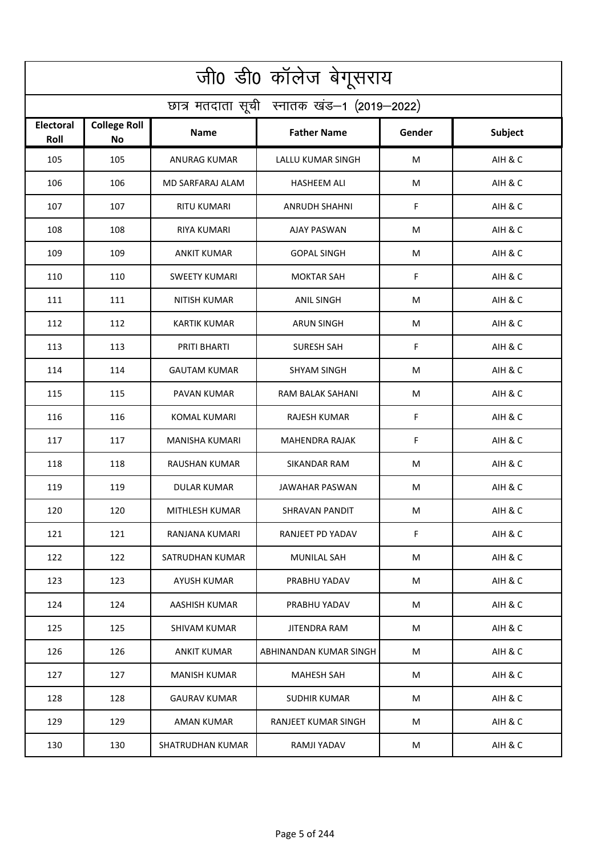| जी0 डी0 कॉलेज बेगूसराय                     |                                  |                         |                        |        |                |  |  |  |
|--------------------------------------------|----------------------------------|-------------------------|------------------------|--------|----------------|--|--|--|
| छात्र मतदाता सूची स्नातक खंड-1 (2019-2022) |                                  |                         |                        |        |                |  |  |  |
| <b>Electoral</b><br>Roll                   | <b>College Roll</b><br><b>No</b> | Name                    | <b>Father Name</b>     | Gender | <b>Subject</b> |  |  |  |
| 105                                        | 105                              | <b>ANURAG KUMAR</b>     | LALLU KUMAR SINGH      | M      | AIH & C        |  |  |  |
| 106                                        | 106                              | <b>MD SARFARAJ ALAM</b> | <b>HASHEEM ALI</b>     | M      | AIH & C        |  |  |  |
| 107                                        | 107                              | <b>RITU KUMARI</b>      | ANRUDH SHAHNI          | F      | AIH & C        |  |  |  |
| 108                                        | 108                              | <b>RIYA KUMARI</b>      | <b>AJAY PASWAN</b>     | М      | AIH & C        |  |  |  |
| 109                                        | 109                              | <b>ANKIT KUMAR</b>      | <b>GOPAL SINGH</b>     | M      | AIH & C        |  |  |  |
| 110                                        | 110                              | <b>SWEETY KUMARI</b>    | <b>MOKTAR SAH</b>      | F      | AIH & C        |  |  |  |
| 111                                        | 111                              | <b>NITISH KUMAR</b>     | <b>ANIL SINGH</b>      | M      | AIH & C        |  |  |  |
| 112                                        | 112                              | <b>KARTIK KUMAR</b>     | <b>ARUN SINGH</b>      | M      | AIH & C        |  |  |  |
| 113                                        | 113                              | PRITI BHARTI            | <b>SURESH SAH</b>      | F      | AIH & C        |  |  |  |
| 114                                        | 114                              | <b>GAUTAM KUMAR</b>     | <b>SHYAM SINGH</b>     | M      | AIH & C        |  |  |  |
| 115                                        | 115                              | PAVAN KUMAR             | RAM BALAK SAHANI       | M      | AIH & C        |  |  |  |
| 116                                        | 116                              | <b>KOMAL KUMARI</b>     | <b>RAJESH KUMAR</b>    | F      | AIH & C        |  |  |  |
| 117                                        | 117                              | MANISHA KUMARI          | MAHENDRA RAJAK         | F      | AIH & C        |  |  |  |
| 118                                        | 118                              | RAUSHAN KUMAR           | SIKANDAR RAM           | M      | AIH & C        |  |  |  |
| 119                                        | 119                              | DULAR KUMAR             | JAWAHAR PASWAN         | M      | AIH & C        |  |  |  |
| 120                                        | 120                              | MITHLESH KUMAR          | SHRAVAN PANDIT         | M      | AIH & C        |  |  |  |
| 121                                        | 121                              | RANJANA KUMARI          | RANJEET PD YADAV       | F      | AIH & C        |  |  |  |
| 122                                        | 122                              | SATRUDHAN KUMAR         | <b>MUNILAL SAH</b>     | M      | AIH & C        |  |  |  |
| 123                                        | 123                              | <b>AYUSH KUMAR</b>      | PRABHU YADAV           | M      | AIH & C        |  |  |  |
| 124                                        | 124                              | AASHISH KUMAR           | PRABHU YADAV           | M      | AIH & C        |  |  |  |
| 125                                        | 125                              | <b>SHIVAM KUMAR</b>     | <b>JITENDRA RAM</b>    | M      | AIH & C        |  |  |  |
| 126                                        | 126                              | <b>ANKIT KUMAR</b>      | ABHINANDAN KUMAR SINGH | М      | AIH & C        |  |  |  |
| 127                                        | 127                              | <b>MANISH KUMAR</b>     | <b>MAHESH SAH</b>      | M      | AIH & C        |  |  |  |
| 128                                        | 128                              | <b>GAURAV KUMAR</b>     | <b>SUDHIR KUMAR</b>    | M      | AIH & C        |  |  |  |
| 129                                        | 129                              | AMAN KUMAR              | RANJEET KUMAR SINGH    | M      | AIH & C        |  |  |  |
| 130                                        | 130                              | SHATRUDHAN KUMAR        | RAMJI YADAV            | M      | AIH & C        |  |  |  |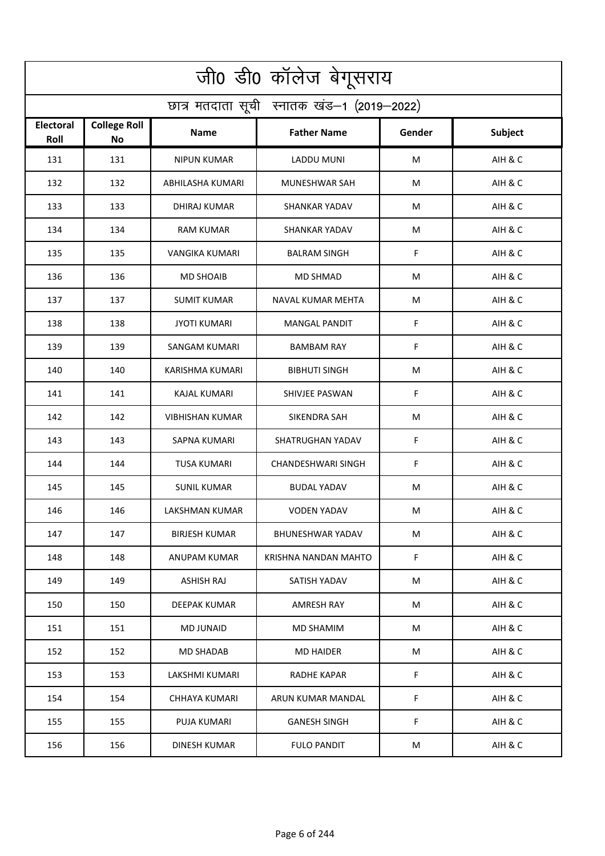| जी0 डी0 कॉलेज बेगूसराय                     |                                  |                        |                           |        |                |  |  |  |
|--------------------------------------------|----------------------------------|------------------------|---------------------------|--------|----------------|--|--|--|
| छात्र मतदाता सूची स्नातक खंड-1 (2019-2022) |                                  |                        |                           |        |                |  |  |  |
| <b>Electoral</b><br>Roll                   | <b>College Roll</b><br><b>No</b> | <b>Name</b>            | <b>Father Name</b>        | Gender | <b>Subject</b> |  |  |  |
| 131                                        | 131                              | <b>NIPUN KUMAR</b>     | <b>LADDU MUNI</b>         | M      | AIH & C        |  |  |  |
| 132                                        | 132                              | ABHILASHA KUMARI       | MUNESHWAR SAH             | M      | AIH & C        |  |  |  |
| 133                                        | 133                              | <b>DHIRAJ KUMAR</b>    | <b>SHANKAR YADAV</b>      | М      | AIH & C        |  |  |  |
| 134                                        | 134                              | <b>RAM KUMAR</b>       | <b>SHANKAR YADAV</b>      | M      | AIH & C        |  |  |  |
| 135                                        | 135                              | VANGIKA KUMARI         | <b>BALRAM SINGH</b>       | F      | AIH & C        |  |  |  |
| 136                                        | 136                              | <b>MD SHOAIB</b>       | <b>MD SHMAD</b>           | М      | AIH & C        |  |  |  |
| 137                                        | 137                              | <b>SUMIT KUMAR</b>     | NAVAL KUMAR MEHTA         | M      | AIH & C        |  |  |  |
| 138                                        | 138                              | <b>JYOTI KUMARI</b>    | <b>MANGAL PANDIT</b>      | F      | AIH & C        |  |  |  |
| 139                                        | 139                              | <b>SANGAM KUMARI</b>   | <b>BAMBAM RAY</b>         | F      | AIH & C        |  |  |  |
| 140                                        | 140                              | KARISHMA KUMARI        | <b>BIBHUTI SINGH</b>      | M      | AIH & C        |  |  |  |
| 141                                        | 141                              | <b>KAJAL KUMARI</b>    | SHIVJEE PASWAN            | F      | AIH & C        |  |  |  |
| 142                                        | 142                              | <b>VIBHISHAN KUMAR</b> | SIKENDRA SAH              | M      | AIH & C        |  |  |  |
| 143                                        | 143                              | SAPNA KUMARI           | SHATRUGHAN YADAV          | F      | AIH & C        |  |  |  |
| 144                                        | 144                              | <b>TUSA KUMARI</b>     | <b>CHANDESHWARI SINGH</b> | F      | AIH & C        |  |  |  |
| 145                                        | 145                              | <b>SUNIL KUMAR</b>     | <b>BUDAL YADAV</b>        | M      | AIH & C        |  |  |  |
| 146                                        | 146                              | LAKSHMAN KUMAR         | <b>VODEN YADAV</b>        | M      | AIH & C        |  |  |  |
| 147                                        | 147                              | <b>BIRJESH KUMAR</b>   | <b>BHUNESHWAR YADAV</b>   | M      | AIH & C        |  |  |  |
| 148                                        | 148                              | ANUPAM KUMAR           | KRISHNA NANDAN MAHTO      | F      | AIH & C        |  |  |  |
| 149                                        | 149                              | <b>ASHISH RAJ</b>      | SATISH YADAV              | M      | AIH & C        |  |  |  |
| 150                                        | 150                              | DEEPAK KUMAR           | AMRESH RAY                | M      | AIH & C        |  |  |  |
| 151                                        | 151                              | <b>MD JUNAID</b>       | MD SHAMIM                 | M      | AIH & C        |  |  |  |
| 152                                        | 152                              | MD SHADAB              | <b>MD HAIDER</b>          | M      | AIH & C        |  |  |  |
| 153                                        | 153                              | LAKSHMI KUMARI         | <b>RADHE KAPAR</b>        | F      | AIH & C        |  |  |  |
| 154                                        | 154                              | <b>CHHAYA KUMARI</b>   | ARUN KUMAR MANDAL         | F      | AIH & C        |  |  |  |
| 155                                        | 155                              | PUJA KUMARI            | <b>GANESH SINGH</b>       | F      | AIH & C        |  |  |  |
| 156                                        | 156                              | DINESH KUMAR           | <b>FULO PANDIT</b>        | M      | AIH & C        |  |  |  |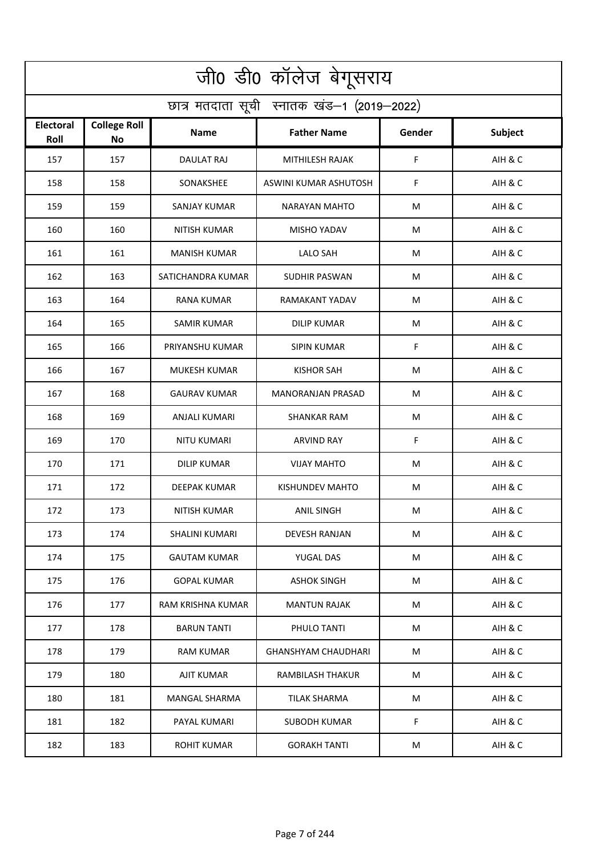| जी0 डी0 कॉलेज बेगूसराय                     |                                  |                          |                            |        |         |  |  |  |
|--------------------------------------------|----------------------------------|--------------------------|----------------------------|--------|---------|--|--|--|
| छात्र मतदाता सूची स्नातक खंड-1 (2019-2022) |                                  |                          |                            |        |         |  |  |  |
| <b>Electoral</b><br>Roll                   | <b>College Roll</b><br><b>No</b> | Name                     | <b>Father Name</b>         | Gender | Subject |  |  |  |
| 157                                        | 157                              | <b>DAULAT RAJ</b>        | MITHILESH RAJAK            | F      | AIH & C |  |  |  |
| 158                                        | 158                              | SONAKSHEE                | ASWINI KUMAR ASHUTOSH      | F.     | AIH & C |  |  |  |
| 159                                        | 159                              | <b>SANJAY KUMAR</b>      | NARAYAN MAHTO              | M      | AIH & C |  |  |  |
| 160                                        | 160                              | <b>NITISH KUMAR</b>      | <b>MISHO YADAV</b>         | М      | AIH & C |  |  |  |
| 161                                        | 161                              | <b>MANISH KUMAR</b>      | <b>LALO SAH</b>            | M      | AIH & C |  |  |  |
| 162                                        | 163                              | SATICHANDRA KUMAR        | <b>SUDHIR PASWAN</b>       | M      | AIH & C |  |  |  |
| 163                                        | 164                              | <b>RANA KUMAR</b>        | <b>RAMAKANT YADAV</b>      | M      | AIH & C |  |  |  |
| 164                                        | 165                              | <b>SAMIR KUMAR</b>       | <b>DILIP KUMAR</b>         | M      | AIH & C |  |  |  |
| 165                                        | 166                              | PRIYANSHU KUMAR          | <b>SIPIN KUMAR</b>         | F      | AIH & C |  |  |  |
| 166                                        | 167                              | <b>MUKESH KUMAR</b>      | <b>KISHOR SAH</b>          | M      | AIH & C |  |  |  |
| 167                                        | 168                              | <b>GAURAV KUMAR</b>      | <b>MANORANJAN PRASAD</b>   | M      | AIH & C |  |  |  |
| 168                                        | 169                              | <b>ANJALI KUMARI</b>     | <b>SHANKAR RAM</b>         | M      | AIH & C |  |  |  |
| 169                                        | 170                              | NITU KUMARI              | <b>ARVIND RAY</b>          | F      | AIH & C |  |  |  |
| 170                                        | 171                              | DILIP KUMAR              | <b>VIJAY MAHTO</b>         | M      | AIH & C |  |  |  |
| 171                                        | 172                              | DEEPAK KUMAR             | KISHUNDEV MAHTO            | M      | AIH & C |  |  |  |
| 172                                        | 173                              | NITISH KUMAR             | <b>ANIL SINGH</b>          | M      | AIH & C |  |  |  |
| 173                                        | 174                              | SHALINI KUMARI           | DEVESH RANJAN              | M      | AIH & C |  |  |  |
| 174                                        | 175                              | <b>GAUTAM KUMAR</b>      | YUGAL DAS                  | M      | AIH & C |  |  |  |
| 175                                        | 176                              | <b>GOPAL KUMAR</b>       | <b>ASHOK SINGH</b>         | M      | AIH & C |  |  |  |
| 176                                        | 177                              | <b>RAM KRISHNA KUMAR</b> | <b>MANTUN RAJAK</b>        | M      | AIH & C |  |  |  |
| 177                                        | 178                              | <b>BARUN TANTI</b>       | PHULO TANTI                | M      | AIH & C |  |  |  |
| 178                                        | 179                              | RAM KUMAR                | <b>GHANSHYAM CHAUDHARI</b> | M      | AIH & C |  |  |  |
| 179                                        | 180                              | <b>AJIT KUMAR</b>        | <b>RAMBILASH THAKUR</b>    | M      | AIH & C |  |  |  |
| 180                                        | 181                              | <b>MANGAL SHARMA</b>     | <b>TILAK SHARMA</b>        | M      | AIH & C |  |  |  |
| 181                                        | 182                              | PAYAL KUMARI             | SUBODH KUMAR               | F      | AIH & C |  |  |  |
| 182                                        | 183                              | <b>ROHIT KUMAR</b>       | <b>GORAKH TANTI</b>        | M      | AIH & C |  |  |  |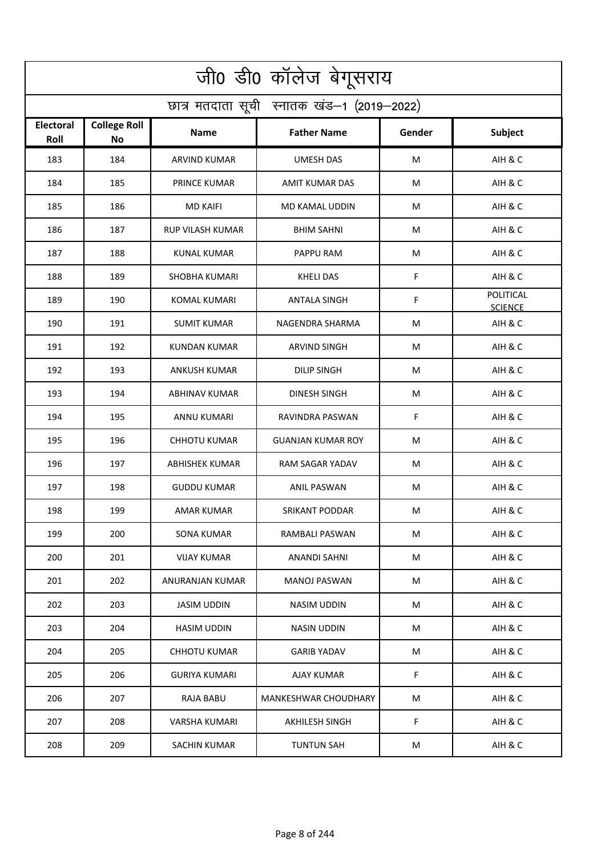| जी0 डी0 कॉलेज बेगूसराय                     |                                  |                         |                             |        |                                    |  |  |  |
|--------------------------------------------|----------------------------------|-------------------------|-----------------------------|--------|------------------------------------|--|--|--|
| छात्र मतदाता सूची स्नातक खंड-1 (2019-2022) |                                  |                         |                             |        |                                    |  |  |  |
| <b>Electoral</b><br>Roll                   | <b>College Roll</b><br><b>No</b> | Name                    | <b>Father Name</b>          | Gender | <b>Subject</b>                     |  |  |  |
| 183                                        | 184                              | <b>ARVIND KUMAR</b>     | <b>UMESH DAS</b>            | M      | AIH & C                            |  |  |  |
| 184                                        | 185                              | PRINCE KUMAR            | <b>AMIT KUMAR DAS</b>       | M      | AIH & C                            |  |  |  |
| 185                                        | 186                              | <b>MD KAIFI</b>         | MD KAMAL UDDIN              | M      | AIH & C                            |  |  |  |
| 186                                        | 187                              | <b>RUP VILASH KUMAR</b> | <b>BHIM SAHNI</b>           | М      | AIH & C                            |  |  |  |
| 187                                        | 188                              | <b>KUNAL KUMAR</b>      | PAPPU RAM                   | M      | AIH & C                            |  |  |  |
| 188                                        | 189                              | <b>SHOBHA KUMARI</b>    | <b>KHELI DAS</b>            | F      | AIH & C                            |  |  |  |
| 189                                        | 190                              | <b>KOMAL KUMARI</b>     | <b>ANTALA SINGH</b>         | F      | <b>POLITICAL</b><br><b>SCIENCE</b> |  |  |  |
| 190                                        | 191                              | <b>SUMIT KUMAR</b>      | NAGENDRA SHARMA             | M      | AIH & C                            |  |  |  |
| 191                                        | 192                              | <b>KUNDAN KUMAR</b>     | <b>ARVIND SINGH</b>         | M      | AIH & C                            |  |  |  |
| 192                                        | 193                              | <b>ANKUSH KUMAR</b>     | <b>DILIP SINGH</b>          | M      | AIH & C                            |  |  |  |
| 193                                        | 194                              | <b>ABHINAV KUMAR</b>    | <b>DINESH SINGH</b>         | M      | AIH & C                            |  |  |  |
| 194                                        | 195                              | <b>ANNU KUMARI</b>      | RAVINDRA PASWAN             | F      | AIH & C                            |  |  |  |
| 195                                        | 196                              | CHHOTU KUMAR            | <b>GUANJAN KUMAR ROY</b>    | M      | AIH & C                            |  |  |  |
| 196                                        | 197                              | <b>ABHISHEK KUMAR</b>   | <b>RAM SAGAR YADAV</b>      | M      | AIH & C                            |  |  |  |
| 197                                        | 198                              | <b>GUDDU KUMAR</b>      | ANIL PASWAN                 | M      | AIH & C                            |  |  |  |
| 198                                        | 199                              | AMAR KUMAR              | SRIKANT PODDAR              | M      | AIH & C                            |  |  |  |
| 199                                        | 200                              | SONA KUMAR              | RAMBALI PASWAN              | M      | AIH & C                            |  |  |  |
| 200                                        | 201                              | <b>VIJAY KUMAR</b>      | ANANDI SAHNI                | M      | AIH & C                            |  |  |  |
| 201                                        | 202                              | ANURANJAN KUMAR         | <b>MANOJ PASWAN</b>         | M      | AIH & C                            |  |  |  |
| 202                                        | 203                              | <b>JASIM UDDIN</b>      | NASIM UDDIN                 | M      | AIH & C                            |  |  |  |
| 203                                        | 204                              | <b>HASIM UDDIN</b>      | NASIN UDDIN                 | M      | AIH & C                            |  |  |  |
| 204                                        | 205                              | CHHOTU KUMAR            | GARIB YADAV                 | M      | AIH & C                            |  |  |  |
| 205                                        | 206                              | <b>GURIYA KUMARI</b>    | AJAY KUMAR                  | F.     | AIH & C                            |  |  |  |
| 206                                        | 207                              | <b>RAJA BABU</b>        | <b>MANKESHWAR CHOUDHARY</b> | M      | AIH & C                            |  |  |  |
| 207                                        | 208                              | VARSHA KUMARI           | AKHILESH SINGH              | F      | AIH & C                            |  |  |  |
| 208                                        | 209                              | <b>SACHIN KUMAR</b>     | <b>TUNTUN SAH</b>           | M      | AIH & C                            |  |  |  |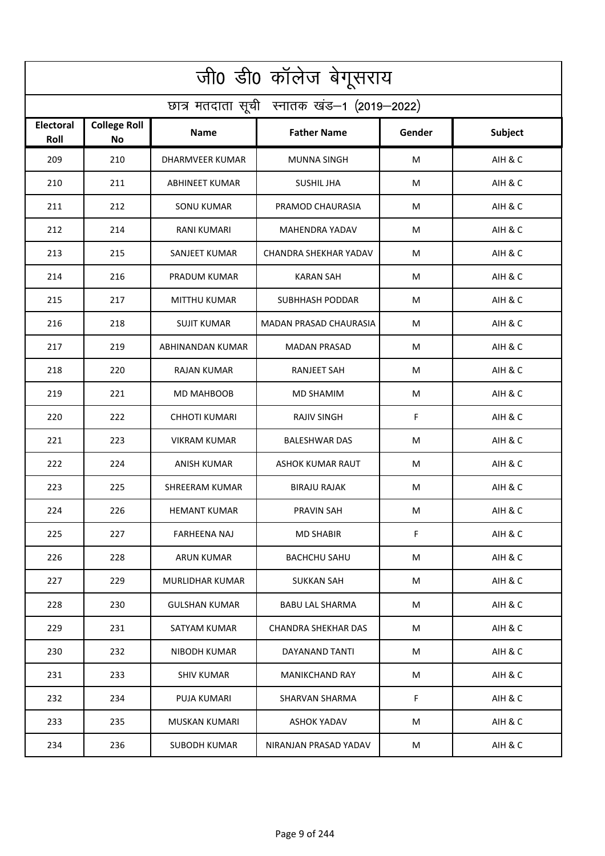| जी0 डी0 कॉलेज बेगूसराय                     |                                  |                        |                               |        |                |  |  |  |
|--------------------------------------------|----------------------------------|------------------------|-------------------------------|--------|----------------|--|--|--|
| छात्र मतदाता सूची स्नातक खंड-1 (2019-2022) |                                  |                        |                               |        |                |  |  |  |
| <b>Electoral</b><br>Roll                   | <b>College Roll</b><br><b>No</b> | <b>Name</b>            | <b>Father Name</b>            | Gender | <b>Subject</b> |  |  |  |
| 209                                        | 210                              | <b>DHARMVEER KUMAR</b> | <b>MUNNA SINGH</b>            | M      | AIH & C        |  |  |  |
| 210                                        | 211                              | <b>ABHINEET KUMAR</b>  | <b>SUSHIL JHA</b>             | M      | AIH & C        |  |  |  |
| 211                                        | 212                              | <b>SONU KUMAR</b>      | PRAMOD CHAURASIA              | М      | AIH & C        |  |  |  |
| 212                                        | 214                              | <b>RANI KUMARI</b>     | MAHENDRA YADAV                | M      | AIH & C        |  |  |  |
| 213                                        | 215                              | SANJEET KUMAR          | CHANDRA SHEKHAR YADAV         | М      | AIH & C        |  |  |  |
| 214                                        | 216                              | PRADUM KUMAR           | <b>KARAN SAH</b>              | М      | AIH & C        |  |  |  |
| 215                                        | 217                              | <b>MITTHU KUMAR</b>    | <b>SUBHHASH PODDAR</b>        | M      | AIH & C        |  |  |  |
| 216                                        | 218                              | <b>SUJIT KUMAR</b>     | <b>MADAN PRASAD CHAURASIA</b> | М      | AIH & C        |  |  |  |
| 217                                        | 219                              | ABHINANDAN KUMAR       | <b>MADAN PRASAD</b>           | M      | AIH & C        |  |  |  |
| 218                                        | 220                              | <b>RAJAN KUMAR</b>     | <b>RANJEET SAH</b>            | M      | AIH & C        |  |  |  |
| 219                                        | 221                              | MD MAHBOOB             | <b>MD SHAMIM</b>              | M      | AIH & C        |  |  |  |
| 220                                        | 222                              | <b>CHHOTI KUMARI</b>   | <b>RAJIV SINGH</b>            | F      | AIH & C        |  |  |  |
| 221                                        | 223                              | <b>VIKRAM KUMAR</b>    | <b>BALESHWAR DAS</b>          | M      | AIH & C        |  |  |  |
| 222                                        | 224                              | ANISH KUMAR            | <b>ASHOK KUMAR RAUT</b>       | M      | AIH & C        |  |  |  |
| 223                                        | 225                              | SHREERAM KUMAR         | BIRAJU RAJAK                  | M      | AIH & C        |  |  |  |
| 224                                        | 226                              | <b>HEMANT KUMAR</b>    | PRAVIN SAH                    | M      | AIH & C        |  |  |  |
| 225                                        | 227                              | <b>FARHEENA NAJ</b>    | <b>MD SHABIR</b>              | F      | AIH & C        |  |  |  |
| 226                                        | 228                              | ARUN KUMAR             | <b>BACHCHU SAHU</b>           | М      | AIH & C        |  |  |  |
| 227                                        | 229                              | <b>MURLIDHAR KUMAR</b> | SUKKAN SAH                    | M      | AIH & C        |  |  |  |
| 228                                        | 230                              | <b>GULSHAN KUMAR</b>   | <b>BABU LAL SHARMA</b>        | M      | AIH & C        |  |  |  |
| 229                                        | 231                              | SATYAM KUMAR           | <b>CHANDRA SHEKHAR DAS</b>    | М      | AIH & C        |  |  |  |
| 230                                        | 232                              | <b>NIBODH KUMAR</b>    | DAYANAND TANTI                | М      | AIH & C        |  |  |  |
| 231                                        | 233                              | <b>SHIV KUMAR</b>      | <b>MANIKCHAND RAY</b>         | M      | AIH & C        |  |  |  |
| 232                                        | 234                              | PUJA KUMARI            | SHARVAN SHARMA                | F      | AIH & C        |  |  |  |
| 233                                        | 235                              | MUSKAN KUMARI          | ASHOK YADAV                   | М      | AIH & C        |  |  |  |
| 234                                        | 236                              | <b>SUBODH KUMAR</b>    | NIRANJAN PRASAD YADAV         | M      | AIH & C        |  |  |  |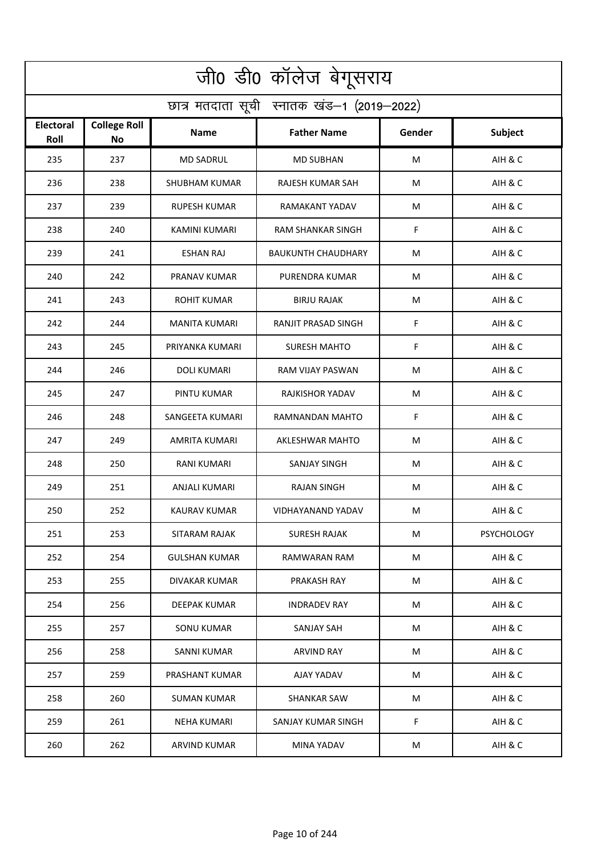| जी0 डी0 कॉलेज बेगूसराय                     |                                  |                      |                           |        |                   |  |  |  |
|--------------------------------------------|----------------------------------|----------------------|---------------------------|--------|-------------------|--|--|--|
| छात्र मतदाता सूची स्नातक खंड-1 (2019-2022) |                                  |                      |                           |        |                   |  |  |  |
| <b>Electoral</b><br>Roll                   | <b>College Roll</b><br><b>No</b> | Name                 | <b>Father Name</b>        | Gender | <b>Subject</b>    |  |  |  |
| 235                                        | 237                              | <b>MD SADRUL</b>     | <b>MD SUBHAN</b>          | M      | AIH & C           |  |  |  |
| 236                                        | 238                              | <b>SHUBHAM KUMAR</b> | RAJESH KUMAR SAH          | M      | AIH & C           |  |  |  |
| 237                                        | 239                              | RUPESH KUMAR         | RAMAKANT YADAV            | M      | AIH & C           |  |  |  |
| 238                                        | 240                              | <b>KAMINI KUMARI</b> | RAM SHANKAR SINGH         | F      | AIH & C           |  |  |  |
| 239                                        | 241                              | <b>ESHAN RAJ</b>     | <b>BAUKUNTH CHAUDHARY</b> | M      | AIH & C           |  |  |  |
| 240                                        | 242                              | PRANAV KUMAR         | PURENDRA KUMAR            | M      | AIH & C           |  |  |  |
| 241                                        | 243                              | <b>ROHIT KUMAR</b>   | <b>BIRJU RAJAK</b>        | M      | AIH & C           |  |  |  |
| 242                                        | 244                              | <b>MANITA KUMARI</b> | RANJIT PRASAD SINGH       | F      | AIH & C           |  |  |  |
| 243                                        | 245                              | PRIYANKA KUMARI      | <b>SURESH MAHTO</b>       | F      | AIH & C           |  |  |  |
| 244                                        | 246                              | <b>DOLI KUMARI</b>   | RAM VIJAY PASWAN          | M      | AIH & C           |  |  |  |
| 245                                        | 247                              | PINTU KUMAR          | RAJKISHOR YADAV           | M      | AIH & C           |  |  |  |
| 246                                        | 248                              | SANGEETA KUMARI      | RAMNANDAN MAHTO           | F      | AIH & C           |  |  |  |
| 247                                        | 249                              | AMRITA KUMARI        | AKLESHWAR MAHTO           | M      | AIH & C           |  |  |  |
| 248                                        | 250                              | RANI KUMARI          | <b>SANJAY SINGH</b>       | M      | AIH & C           |  |  |  |
| 249                                        | 251                              | ANJALI KUMARI        | RAJAN SINGH               | M      | AIH & C           |  |  |  |
| 250                                        | 252                              | KAURAV KUMAR         | VIDHAYANAND YADAV         | M      | AIH & C           |  |  |  |
| 251                                        | 253                              | SITARAM RAJAK        | SURESH RAJAK              | M      | <b>PSYCHOLOGY</b> |  |  |  |
| 252                                        | 254                              | <b>GULSHAN KUMAR</b> | RAMWARAN RAM              | M      | AIH & C           |  |  |  |
| 253                                        | 255                              | DIVAKAR KUMAR        | PRAKASH RAY               | М      | AIH & C           |  |  |  |
| 254                                        | 256                              | DEEPAK KUMAR         | <b>INDRADEV RAY</b>       | M      | AIH & C           |  |  |  |
| 255                                        | 257                              | <b>SONU KUMAR</b>    | <b>SANJAY SAH</b>         | M      | AIH & C           |  |  |  |
| 256                                        | 258                              | SANNI KUMAR          | ARVIND RAY                | М      | AIH & C           |  |  |  |
| 257                                        | 259                              | PRASHANT KUMAR       | AJAY YADAV                | M      | AIH & C           |  |  |  |
| 258                                        | 260                              | SUMAN KUMAR          | SHANKAR SAW               | M      | AIH & C           |  |  |  |
| 259                                        | 261                              | NEHA KUMARI          | SANJAY KUMAR SINGH        | F      | AIH & C           |  |  |  |
| 260                                        | 262                              | <b>ARVIND KUMAR</b>  | MINA YADAV                | M      | AIH & C           |  |  |  |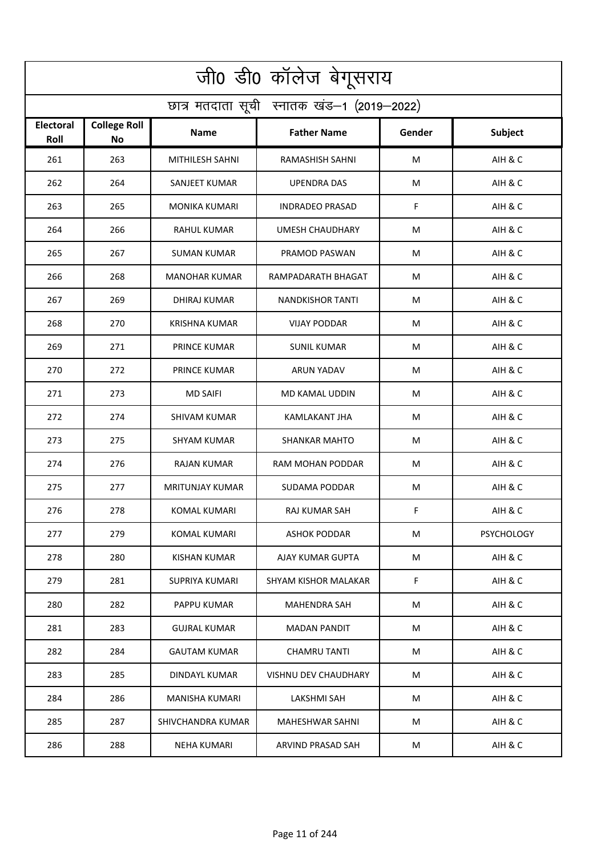| जी0 डी0 कॉलेज बेगूसराय                     |                                  |                        |                         |        |                   |  |  |  |
|--------------------------------------------|----------------------------------|------------------------|-------------------------|--------|-------------------|--|--|--|
| छात्र मतदाता सूची स्नातक खंड-1 (2019-2022) |                                  |                        |                         |        |                   |  |  |  |
| <b>Electoral</b><br>Roll                   | <b>College Roll</b><br><b>No</b> | <b>Name</b>            | <b>Father Name</b>      | Gender | <b>Subject</b>    |  |  |  |
| 261                                        | 263                              | MITHILESH SAHNI        | RAMASHISH SAHNI         | M      | AIH & C           |  |  |  |
| 262                                        | 264                              | SANJEET KUMAR          | <b>UPENDRA DAS</b>      | M      | AIH & C           |  |  |  |
| 263                                        | 265                              | <b>MONIKA KUMARI</b>   | <b>INDRADEO PRASAD</b>  | F      | AIH & C           |  |  |  |
| 264                                        | 266                              | <b>RAHUL KUMAR</b>     | <b>UMESH CHAUDHARY</b>  | M      | AIH & C           |  |  |  |
| 265                                        | 267                              | <b>SUMAN KUMAR</b>     | PRAMOD PASWAN           | М      | AIH & C           |  |  |  |
| 266                                        | 268                              | <b>MANOHAR KUMAR</b>   | RAMPADARATH BHAGAT      | М      | AIH & C           |  |  |  |
| 267                                        | 269                              | <b>DHIRAJ KUMAR</b>    | <b>NANDKISHOR TANTI</b> | M      | AIH & C           |  |  |  |
| 268                                        | 270                              | <b>KRISHNA KUMAR</b>   | <b>VIJAY PODDAR</b>     | M      | AIH & C           |  |  |  |
| 269                                        | 271                              | <b>PRINCE KUMAR</b>    | <b>SUNIL KUMAR</b>      | M      | AIH & C           |  |  |  |
| 270                                        | 272                              | PRINCE KUMAR           | <b>ARUN YADAV</b>       | M      | AIH & C           |  |  |  |
| 271                                        | 273                              | <b>MD SAIFI</b>        | MD KAMAL UDDIN          | M      | AIH & C           |  |  |  |
| 272                                        | 274                              | <b>SHIVAM KUMAR</b>    | <b>KAMLAKANT JHA</b>    | M      | AIH & C           |  |  |  |
| 273                                        | 275                              | SHYAM KUMAR            | <b>SHANKAR MAHTO</b>    | M      | AIH & C           |  |  |  |
| 274                                        | 276                              | <b>RAJAN KUMAR</b>     | RAM MOHAN PODDAR        | M      | AIH & C           |  |  |  |
| 275                                        | 277                              | <b>MRITUNJAY KUMAR</b> | SUDAMA PODDAR           | M      | AIH & C           |  |  |  |
| 276                                        | 278                              | <b>KOMAL KUMARI</b>    | RAJ KUMAR SAH           | F      | AIH & C           |  |  |  |
| 277                                        | 279                              | KOMAL KUMARI           | <b>ASHOK PODDAR</b>     | M      | <b>PSYCHOLOGY</b> |  |  |  |
| 278                                        | 280                              | KISHAN KUMAR           | AJAY KUMAR GUPTA        | M      | AIH & C           |  |  |  |
| 279                                        | 281                              | SUPRIYA KUMARI         | SHYAM KISHOR MALAKAR    | F      | AIH & C           |  |  |  |
| 280                                        | 282                              | PAPPU KUMAR            | <b>MAHENDRA SAH</b>     | M      | AIH & C           |  |  |  |
| 281                                        | 283                              | <b>GUJRAL KUMAR</b>    | MADAN PANDIT            | M      | AIH & C           |  |  |  |
| 282                                        | 284                              | <b>GAUTAM KUMAR</b>    | <b>CHAMRU TANTI</b>     | M      | AIH & C           |  |  |  |
| 283                                        | 285                              | <b>DINDAYL KUMAR</b>   | VISHNU DEV CHAUDHARY    | M      | AIH & C           |  |  |  |
| 284                                        | 286                              | <b>MANISHA KUMARI</b>  | LAKSHMI SAH             | M      | AIH & C           |  |  |  |
| 285                                        | 287                              | SHIVCHANDRA KUMAR      | MAHESHWAR SAHNI         | М      | AIH & C           |  |  |  |
| 286                                        | 288                              | <b>NEHA KUMARI</b>     | ARVIND PRASAD SAH       | M      | AIH & C           |  |  |  |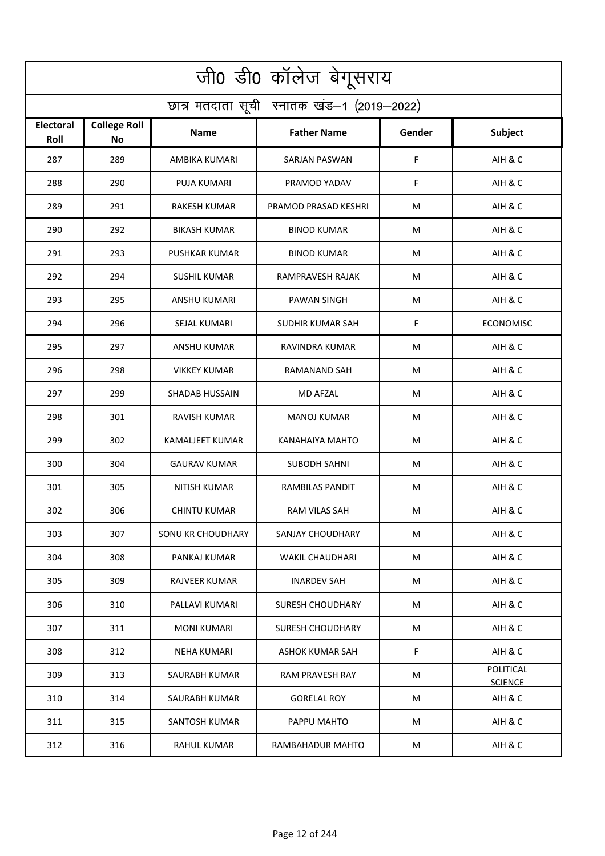| जी0 डी0 कॉलेज बेगूसराय                     |                           |                       |                        |        |                             |  |  |  |
|--------------------------------------------|---------------------------|-----------------------|------------------------|--------|-----------------------------|--|--|--|
| छात्र मतदाता सूची स्नातक खंड-1 (2019-2022) |                           |                       |                        |        |                             |  |  |  |
| <b>Electoral</b><br>Roll                   | <b>College Roll</b><br>No | Name                  | <b>Father Name</b>     | Gender | <b>Subject</b>              |  |  |  |
| 287                                        | 289                       | AMBIKA KUMARI         | <b>SARJAN PASWAN</b>   | F      | AIH & C                     |  |  |  |
| 288                                        | 290                       | <b>PUJA KUMARI</b>    | PRAMOD YADAV           | F      | AIH & C                     |  |  |  |
| 289                                        | 291                       | RAKESH KUMAR          | PRAMOD PRASAD KESHRI   | M      | AIH & C                     |  |  |  |
| 290                                        | 292                       | <b>BIKASH KUMAR</b>   | <b>BINOD KUMAR</b>     | м      | AIH & C                     |  |  |  |
| 291                                        | 293                       | <b>PUSHKAR KUMAR</b>  | <b>BINOD KUMAR</b>     | M      | AIH & C                     |  |  |  |
| 292                                        | 294                       | <b>SUSHIL KUMAR</b>   | RAMPRAVESH RAJAK       | M      | AIH & C                     |  |  |  |
| 293                                        | 295                       | <b>ANSHU KUMARI</b>   | <b>PAWAN SINGH</b>     | М      | AIH & C                     |  |  |  |
| 294                                        | 296                       | SEJAL KUMARI          | SUDHIR KUMAR SAH       | F      | <b>ECONOMISC</b>            |  |  |  |
| 295                                        | 297                       | <b>ANSHU KUMAR</b>    | RAVINDRA KUMAR         | M      | AIH & C                     |  |  |  |
| 296                                        | 298                       | <b>VIKKEY KUMAR</b>   | RAMANAND SAH           | M      | AIH & C                     |  |  |  |
| 297                                        | 299                       | <b>SHADAB HUSSAIN</b> | <b>MD AFZAL</b>        | М      | AIH & C                     |  |  |  |
| 298                                        | 301                       | <b>RAVISH KUMAR</b>   | <b>MANOJ KUMAR</b>     | M      | AIH & C                     |  |  |  |
| 299                                        | 302                       | KAMALJEET KUMAR       | KANAHAIYA MAHTO        | M      | AIH & C                     |  |  |  |
| 300                                        | 304                       | <b>GAURAV KUMAR</b>   | <b>SUBODH SAHNI</b>    | М      | AIH & C                     |  |  |  |
| 301                                        | 305                       | NITISH KUMAR          | RAMBILAS PANDIT        | M      | AIH & C                     |  |  |  |
| 302                                        | 306                       | <b>CHINTU KUMAR</b>   | RAM VILAS SAH          | M      | AIH & C                     |  |  |  |
| 303                                        | 307                       | SONU KR CHOUDHARY     | SANJAY CHOUDHARY       | М      | AIH & C                     |  |  |  |
| 304                                        | 308                       | PANKAJ KUMAR          | <b>WAKIL CHAUDHARI</b> | M      | AIH & C                     |  |  |  |
| 305                                        | 309                       | RAJVEER KUMAR         | INARDEV SAH            | M      | AIH & C                     |  |  |  |
| 306                                        | 310                       | PALLAVI KUMARI        | SURESH CHOUDHARY       | M      | AIH & C                     |  |  |  |
| 307                                        | 311                       | <b>MONI KUMARI</b>    | SURESH CHOUDHARY       | M      | AIH & C                     |  |  |  |
| 308                                        | 312                       | NEHA KUMARI           | ASHOK KUMAR SAH        | F      | AIH & C                     |  |  |  |
| 309                                        | 313                       | SAURABH KUMAR         | RAM PRAVESH RAY        | М      | POLITICAL<br><b>SCIENCE</b> |  |  |  |
| 310                                        | 314                       | SAURABH KUMAR         | <b>GORELAL ROY</b>     | M      | AIH & C                     |  |  |  |
| 311                                        | 315                       | <b>SANTOSH KUMAR</b>  | PAPPU MAHTO            | М      | AIH & C                     |  |  |  |
| 312                                        | 316                       | <b>RAHUL KUMAR</b>    | RAMBAHADUR MAHTO       | M      | AIH & C                     |  |  |  |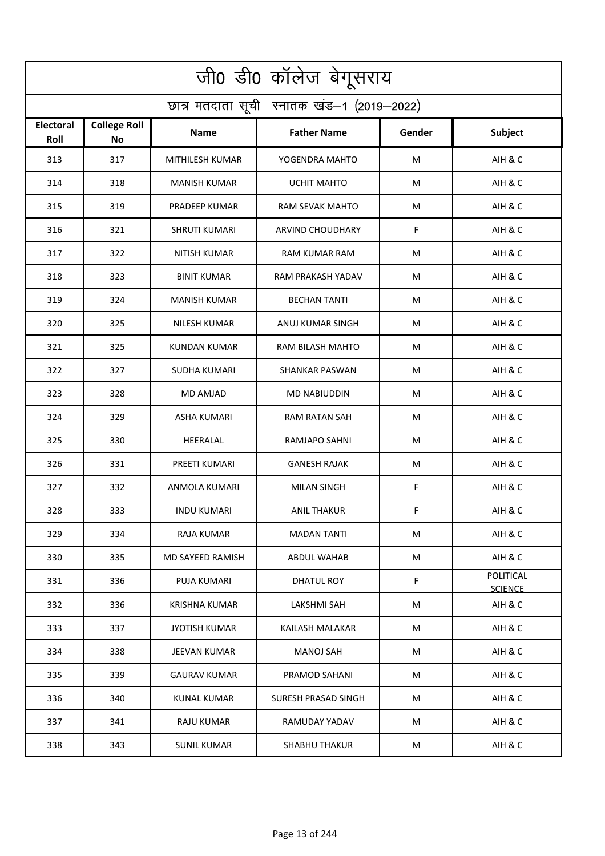| जी0 डी0 कॉलेज बेगूसराय                     |                                  |                      |                         |             |                             |  |  |  |
|--------------------------------------------|----------------------------------|----------------------|-------------------------|-------------|-----------------------------|--|--|--|
| छात्र मतदाता सूची स्नातक खंड-1 (2019-2022) |                                  |                      |                         |             |                             |  |  |  |
| <b>Electoral</b><br>Roll                   | <b>College Roll</b><br><b>No</b> | Name                 | <b>Father Name</b>      | Gender      | <b>Subject</b>              |  |  |  |
| 313                                        | 317                              | MITHILESH KUMAR      | YOGENDRA MAHTO          | M           | AIH & C                     |  |  |  |
| 314                                        | 318                              | <b>MANISH KUMAR</b>  | <b>UCHIT MAHTO</b>      | М           | AIH & C                     |  |  |  |
| 315                                        | 319                              | PRADEEP KUMAR        | RAM SEVAK MAHTO         | M           | AIH & C                     |  |  |  |
| 316                                        | 321                              | <b>SHRUTI KUMARI</b> | <b>ARVIND CHOUDHARY</b> | F           | AIH & C                     |  |  |  |
| 317                                        | 322                              | <b>NITISH KUMAR</b>  | <b>RAM KUMAR RAM</b>    | M           | AIH & C                     |  |  |  |
| 318                                        | 323                              | <b>BINIT KUMAR</b>   | RAM PRAKASH YADAV       | M           | AIH & C                     |  |  |  |
| 319                                        | 324                              | <b>MANISH KUMAR</b>  | <b>BECHAN TANTI</b>     | M           | AIH & C                     |  |  |  |
| 320                                        | 325                              | <b>NILESH KUMAR</b>  | ANUJ KUMAR SINGH        | M           | AIH & C                     |  |  |  |
| 321                                        | 325                              | <b>KUNDAN KUMAR</b>  | RAM BILASH MAHTO        | M           | AIH & C                     |  |  |  |
| 322                                        | 327                              | <b>SUDHA KUMARI</b>  | <b>SHANKAR PASWAN</b>   | M           | AIH & C                     |  |  |  |
| 323                                        | 328                              | MD AMJAD             | <b>MD NABIUDDIN</b>     | M           | AIH & C                     |  |  |  |
| 324                                        | 329                              | <b>ASHA KUMARI</b>   | <b>RAM RATAN SAH</b>    | M           | AIH & C                     |  |  |  |
| 325                                        | 330                              | HEERALAL             | RAMJAPO SAHNI           | M           | AIH & C                     |  |  |  |
| 326                                        | 331                              | PREETI KUMARI        | <b>GANESH RAJAK</b>     | M           | AIH & C                     |  |  |  |
| 327                                        | 332                              | ANMOLA KUMARI        | MILAN SINGH             | F           | AIH & C                     |  |  |  |
| 328                                        | 333                              | <b>INDU KUMARI</b>   | <b>ANIL THAKUR</b>      | F.          | AIH & C                     |  |  |  |
| 329                                        | 334                              | RAJA KUMAR           | <b>MADAN TANTI</b>      | M           | AIH & C                     |  |  |  |
| 330                                        | 335                              | MD SAYEED RAMISH     | <b>ABDUL WAHAB</b>      | M           | AIH & C                     |  |  |  |
| 331                                        | 336                              | PUJA KUMARI          | DHATUL ROY              | $\mathsf F$ | POLITICAL<br><b>SCIENCE</b> |  |  |  |
| 332                                        | 336                              | <b>KRISHNA KUMAR</b> | LAKSHMI SAH             | M           | AIH & C                     |  |  |  |
| 333                                        | 337                              | <b>JYOTISH KUMAR</b> | KAILASH MALAKAR         | M           | AIH & C                     |  |  |  |
| 334                                        | 338                              | JEEVAN KUMAR         | MANOJ SAH               | М           | AIH & C                     |  |  |  |
| 335                                        | 339                              | <b>GAURAV KUMAR</b>  | PRAMOD SAHANI           | М           | AIH & C                     |  |  |  |
| 336                                        | 340                              | KUNAL KUMAR          | SURESH PRASAD SINGH     | M           | AIH & C                     |  |  |  |
| 337                                        | 341                              | RAJU KUMAR           | RAMUDAY YADAV           | M           | AIH & C                     |  |  |  |
| 338                                        | 343                              | <b>SUNIL KUMAR</b>   | <b>SHABHU THAKUR</b>    | M           | AIH & C                     |  |  |  |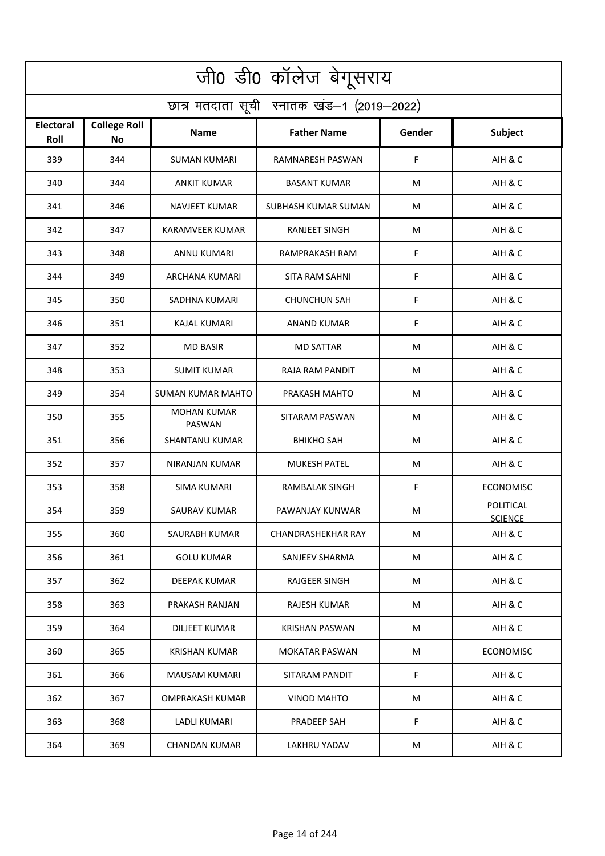| जी0 डी0 कॉलेज बेगूसराय                     |                                  |                                     |                           |        |                             |  |  |  |
|--------------------------------------------|----------------------------------|-------------------------------------|---------------------------|--------|-----------------------------|--|--|--|
| छात्र मतदाता सूची स्नातक खंड-1 (2019-2022) |                                  |                                     |                           |        |                             |  |  |  |
| <b>Electoral</b><br>Roll                   | <b>College Roll</b><br><b>No</b> | <b>Name</b>                         | <b>Father Name</b>        | Gender | <b>Subject</b>              |  |  |  |
| 339                                        | 344                              | <b>SUMAN KUMARI</b>                 | <b>RAMNARESH PASWAN</b>   | F.     | AIH & C                     |  |  |  |
| 340                                        | 344                              | <b>ANKIT KUMAR</b>                  | <b>BASANT KUMAR</b>       | M      | AIH & C                     |  |  |  |
| 341                                        | 346                              | <b>NAVJEET KUMAR</b>                | SUBHASH KUMAR SUMAN       | М      | AIH & C                     |  |  |  |
| 342                                        | 347                              | <b>KARAMVEER KUMAR</b>              | <b>RANJEET SINGH</b>      | M      | AIH & C                     |  |  |  |
| 343                                        | 348                              | ANNU KUMARI                         | RAMPRAKASH RAM            | F      | AIH & C                     |  |  |  |
| 344                                        | 349                              | ARCHANA KUMARI                      | <b>SITA RAM SAHNI</b>     | F      | AIH & C                     |  |  |  |
| 345                                        | 350                              | SADHNA KUMARI                       | <b>CHUNCHUN SAH</b>       | F      | AIH & C                     |  |  |  |
| 346                                        | 351                              | <b>KAJAL KUMARI</b>                 | ANAND KUMAR               | F      | AIH & C                     |  |  |  |
| 347                                        | 352                              | <b>MD BASIR</b>                     | <b>MD SATTAR</b>          | M      | AIH & C                     |  |  |  |
| 348                                        | 353                              | <b>SUMIT KUMAR</b>                  | RAJA RAM PANDIT           | M      | AIH & C                     |  |  |  |
| 349                                        | 354                              | <b>SUMAN KUMAR MAHTO</b>            | PRAKASH MAHTO             | M      | AIH & C                     |  |  |  |
| 350                                        | 355                              | <b>MOHAN KUMAR</b><br><b>PASWAN</b> | SITARAM PASWAN            | M      | AIH & C                     |  |  |  |
| 351                                        | 356                              | SHANTANU KUMAR                      | <b>BHIKHO SAH</b>         | M      | AIH & C                     |  |  |  |
| 352                                        | 357                              | <b>NIRANJAN KUMAR</b>               | <b>MUKESH PATEL</b>       | M      | AIH & C                     |  |  |  |
| 353                                        | 358                              | SIMA KUMARI                         | RAMBALAK SINGH            | F      | <b>ECONOMISC</b>            |  |  |  |
| 354                                        | 359                              | SAURAV KUMAR                        | PAWANJAY KUNWAR           | M      | POLITICAL<br><b>SCIENCE</b> |  |  |  |
| 355                                        | 360                              | SAURABH KUMAR                       | <b>CHANDRASHEKHAR RAY</b> | M      | AIH & C                     |  |  |  |
| 356                                        | 361                              | <b>GOLU KUMAR</b>                   | SANJEEV SHARMA            | М      | AIH & C                     |  |  |  |
| 357                                        | 362                              | DEEPAK KUMAR                        | RAJGEER SINGH             | M      | AIH & C                     |  |  |  |
| 358                                        | 363                              | PRAKASH RANJAN                      | RAJESH KUMAR              | M      | AIH & C                     |  |  |  |
| 359                                        | 364                              | <b>DILJEET KUMAR</b>                | KRISHAN PASWAN            | M      | AIH & C                     |  |  |  |
| 360                                        | 365                              | <b>KRISHAN KUMAR</b>                | <b>MOKATAR PASWAN</b>     | M      | <b>ECONOMISC</b>            |  |  |  |
| 361                                        | 366                              | MAUSAM KUMARI                       | SITARAM PANDIT            | F      | AIH & C                     |  |  |  |
| 362                                        | 367                              | <b>OMPRAKASH KUMAR</b>              | <b>VINOD MAHTO</b>        | M      | AIH & C                     |  |  |  |
| 363                                        | 368                              | LADLI KUMARI                        | PRADEEP SAH               | F      | AIH & C                     |  |  |  |
| 364                                        | 369                              | CHANDAN KUMAR                       | <b>LAKHRU YADAV</b>       | M      | AIH & C                     |  |  |  |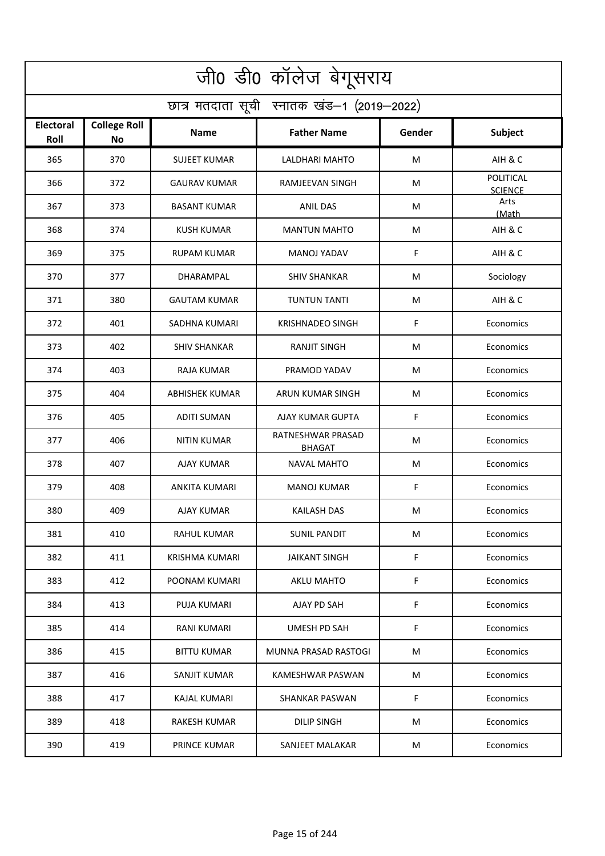| जी0 डी0 कॉलेज बेगूसराय                     |                                  |                       |                                    |        |                                    |  |  |  |
|--------------------------------------------|----------------------------------|-----------------------|------------------------------------|--------|------------------------------------|--|--|--|
| छात्र मतदाता सूची स्नातक खंड-1 (2019-2022) |                                  |                       |                                    |        |                                    |  |  |  |
| <b>Electoral</b><br>Roll                   | <b>College Roll</b><br><b>No</b> | Name                  | <b>Father Name</b>                 | Gender | <b>Subject</b>                     |  |  |  |
| 365                                        | 370                              | <b>SUJEET KUMAR</b>   | LALDHARI MAHTO                     | M      | AIH & C                            |  |  |  |
| 366                                        | 372                              | <b>GAURAV KUMAR</b>   | <b>RAMJEEVAN SINGH</b>             | M      | <b>POLITICAL</b><br><b>SCIENCE</b> |  |  |  |
| 367                                        | 373                              | <b>BASANT KUMAR</b>   | <b>ANIL DAS</b>                    | M      | Arts<br>(Math                      |  |  |  |
| 368                                        | 374                              | <b>KUSH KUMAR</b>     | <b>MANTUN MAHTO</b>                | M      | AIH & C                            |  |  |  |
| 369                                        | 375                              | <b>RUPAM KUMAR</b>    | <b>MANOJ YADAV</b>                 | F      | AIH & C                            |  |  |  |
| 370                                        | 377                              | DHARAMPAL             | <b>SHIV SHANKAR</b>                | M      | Sociology                          |  |  |  |
| 371                                        | 380                              | <b>GAUTAM KUMAR</b>   | <b>TUNTUN TANTI</b>                | M      | AIH & C                            |  |  |  |
| 372                                        | 401                              | SADHNA KUMARI         | <b>KRISHNADEO SINGH</b>            | F      | Economics                          |  |  |  |
| 373                                        | 402                              | <b>SHIV SHANKAR</b>   | <b>RANJIT SINGH</b>                | M      | Economics                          |  |  |  |
| 374                                        | 403                              | <b>RAJA KUMAR</b>     | PRAMOD YADAV                       | M      | Economics                          |  |  |  |
| 375                                        | 404                              | <b>ABHISHEK KUMAR</b> | ARUN KUMAR SINGH                   | M      | Economics                          |  |  |  |
| 376                                        | 405                              | <b>ADITI SUMAN</b>    | AJAY KUMAR GUPTA                   | F      | Economics                          |  |  |  |
| 377                                        | 406                              | NITIN KUMAR           | RATNESHWAR PRASAD<br><b>BHAGAT</b> | M      | Economics                          |  |  |  |
| 378                                        | 407                              | <b>AJAY KUMAR</b>     | <b>NAVAL MAHTO</b>                 | M      | Economics                          |  |  |  |
| 379                                        | 408                              | ANKITA KUMARI         | <b>MANOJ KUMAR</b>                 | F      | Economics                          |  |  |  |
| 380                                        | 409                              | AJAY KUMAR            | KAILASH DAS                        | M      | Economics                          |  |  |  |
| 381                                        | 410                              | RAHUL KUMAR           | <b>SUNIL PANDIT</b>                | M      | Economics                          |  |  |  |
| 382                                        | 411                              | KRISHMA KUMARI        | <b>JAIKANT SINGH</b>               | F.     | Economics                          |  |  |  |
| 383                                        | 412                              | POONAM KUMARI         | <b>AKLU MAHTO</b>                  | F.     | Economics                          |  |  |  |
| 384                                        | 413                              | PUJA KUMARI           | AJAY PD SAH                        | F      | Economics                          |  |  |  |
| 385                                        | 414                              | <b>RANI KUMARI</b>    | <b>UMESH PD SAH</b>                | F.     | Economics                          |  |  |  |
| 386                                        | 415                              | <b>BITTU KUMAR</b>    | MUNNA PRASAD RASTOGI               | M      | Economics                          |  |  |  |
| 387                                        | 416                              | SANJIT KUMAR          | KAMESHWAR PASWAN                   | M      | Economics                          |  |  |  |
| 388                                        | 417                              | KAJAL KUMARI          | <b>SHANKAR PASWAN</b>              | F.     | Economics                          |  |  |  |
| 389                                        | 418                              | RAKESH KUMAR          | DILIP SINGH                        | M      | Economics                          |  |  |  |
| 390                                        | 419                              | <b>PRINCE KUMAR</b>   | SANJEET MALAKAR                    | M      | Economics                          |  |  |  |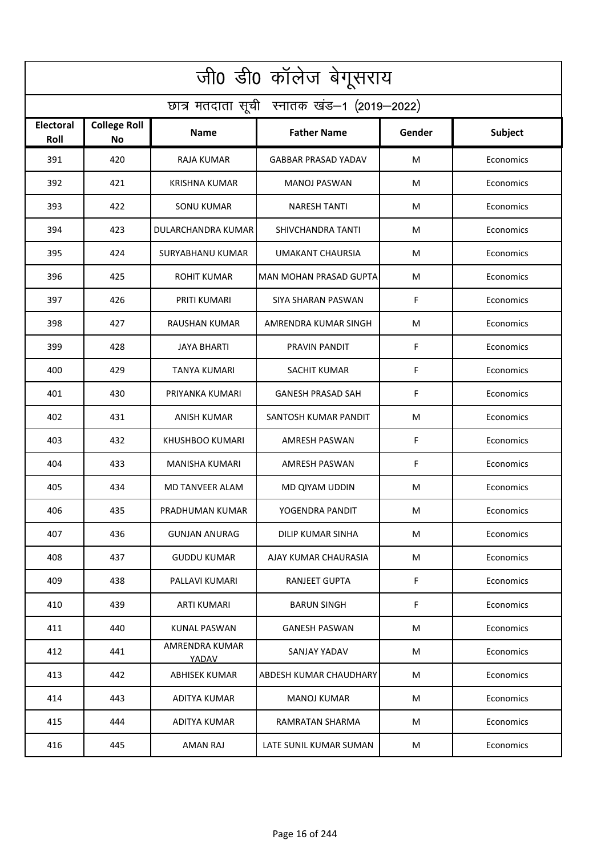| जी0 डी0 कॉलेज बेगूसराय                     |                           |                         |                               |        |                |  |  |  |  |
|--------------------------------------------|---------------------------|-------------------------|-------------------------------|--------|----------------|--|--|--|--|
| छात्र मतदाता सूची स्नातक खंड-1 (2019-2022) |                           |                         |                               |        |                |  |  |  |  |
| <b>Electoral</b><br>Roll                   | <b>College Roll</b><br>No | Name                    | <b>Father Name</b>            | Gender | <b>Subject</b> |  |  |  |  |
| 391                                        | 420                       | <b>RAJA KUMAR</b>       | <b>GABBAR PRASAD YADAV</b>    | M      | Economics      |  |  |  |  |
| 392                                        | 421                       | <b>KRISHNA KUMAR</b>    | <b>MANOJ PASWAN</b>           | M      | Economics      |  |  |  |  |
| 393                                        | 422                       | SONU KUMAR              | <b>NARESH TANTI</b>           | M      | Economics      |  |  |  |  |
| 394                                        | 423                       | DULARCHANDRA KUMAR      | SHIVCHANDRA TANTI             | M      | Economics      |  |  |  |  |
| 395                                        | 424                       | SURYABHANU KUMAR        | <b>UMAKANT CHAURSIA</b>       | M      | Economics      |  |  |  |  |
| 396                                        | 425                       | <b>ROHIT KUMAR</b>      | <b>MAN MOHAN PRASAD GUPTA</b> | M      | Economics      |  |  |  |  |
| 397                                        | 426                       | PRITI KUMARI            | <b>SIYA SHARAN PASWAN</b>     | F      | Economics      |  |  |  |  |
| 398                                        | 427                       | RAUSHAN KUMAR           | AMRENDRA KUMAR SINGH          | M      | Economics      |  |  |  |  |
| 399                                        | 428                       | <b>JAYA BHARTI</b>      | PRAVIN PANDIT                 | F      | Economics      |  |  |  |  |
| 400                                        | 429                       | <b>TANYA KUMARI</b>     | SACHIT KUMAR                  | F      | Economics      |  |  |  |  |
| 401                                        | 430                       | PRIYANKA KUMARI         | <b>GANESH PRASAD SAH</b>      | F      | Economics      |  |  |  |  |
| 402                                        | 431                       | ANISH KUMAR             | SANTOSH KUMAR PANDIT          | M      | Economics      |  |  |  |  |
| 403                                        | 432                       | KHUSHBOO KUMARI         | AMRESH PASWAN                 | F      | Economics      |  |  |  |  |
| 404                                        | 433                       | <b>MANISHA KUMARI</b>   | <b>AMRESH PASWAN</b>          | F      | Economics      |  |  |  |  |
| 405                                        | 434                       | MD TANVEER ALAM         | MD QIYAM UDDIN                | M      | Economics      |  |  |  |  |
| 406                                        | 435                       | PRADHUMAN KUMAR         | YOGENDRA PANDIT               | M      | Economics      |  |  |  |  |
| 407                                        | 436                       | <b>GUNJAN ANURAG</b>    | DILIP KUMAR SINHA             | M      | Economics      |  |  |  |  |
| 408                                        | 437                       | <b>GUDDU KUMAR</b>      | AJAY KUMAR CHAURASIA          | M      | Economics      |  |  |  |  |
| 409                                        | 438                       | PALLAVI KUMARI          | RANJEET GUPTA                 | F.     | Economics      |  |  |  |  |
| 410                                        | 439                       | ARTI KUMARI             | <b>BARUN SINGH</b>            | F      | Economics      |  |  |  |  |
| 411                                        | 440                       | <b>KUNAL PASWAN</b>     | <b>GANESH PASWAN</b>          | M      | Economics      |  |  |  |  |
| 412                                        | 441                       | AMRENDRA KUMAR<br>YADAV | SANJAY YADAV                  | M      | Economics      |  |  |  |  |
| 413                                        | 442                       | <b>ABHISEK KUMAR</b>    | ABDESH KUMAR CHAUDHARY        | M      | Economics      |  |  |  |  |
| 414                                        | 443                       | ADITYA KUMAR            | <b>MANOJ KUMAR</b>            | M      | Economics      |  |  |  |  |
| 415                                        | 444                       | ADITYA KUMAR            | RAMRATAN SHARMA               | M      | Economics      |  |  |  |  |
| 416                                        | 445                       | AMAN RAJ                | LATE SUNIL KUMAR SUMAN        | M      | Economics      |  |  |  |  |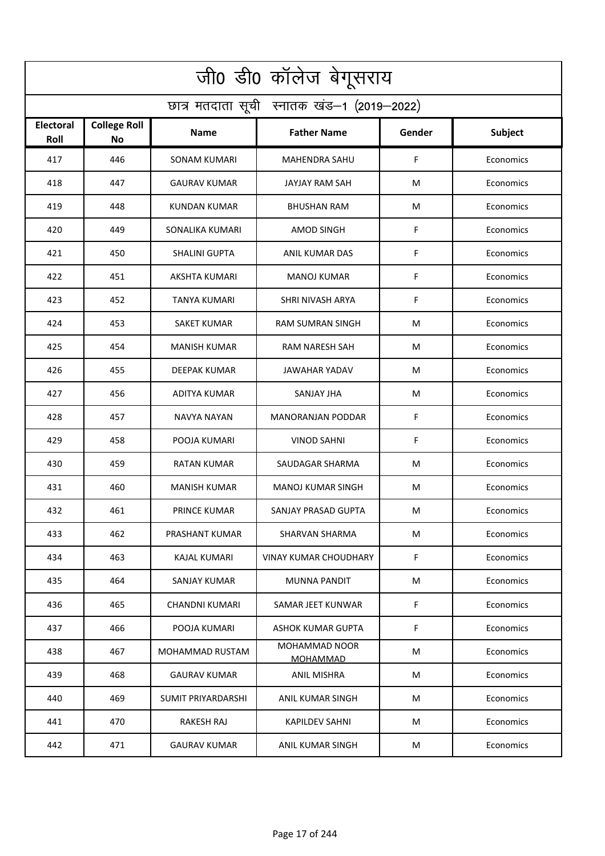| जी0 डी0 कॉलेज बेगूसराय                     |                           |                           |                                         |        |                |  |  |  |  |
|--------------------------------------------|---------------------------|---------------------------|-----------------------------------------|--------|----------------|--|--|--|--|
| छात्र मतदाता सूची स्नातक खंड-1 (2019-2022) |                           |                           |                                         |        |                |  |  |  |  |
| <b>Electoral</b><br>Roll                   | <b>College Roll</b><br>No | Name                      | <b>Father Name</b>                      | Gender | <b>Subject</b> |  |  |  |  |
| 417                                        | 446                       | <b>SONAM KUMARI</b>       | <b>MAHENDRA SAHU</b>                    | F      | Economics      |  |  |  |  |
| 418                                        | 447                       | <b>GAURAV KUMAR</b>       | <b>JAYJAY RAM SAH</b>                   | M      | Economics      |  |  |  |  |
| 419                                        | 448                       | KUNDAN KUMAR              | <b>BHUSHAN RAM</b>                      | M      | Economics      |  |  |  |  |
| 420                                        | 449                       | SONALIKA KUMARI           | AMOD SINGH                              | F      | Economics      |  |  |  |  |
| 421                                        | 450                       | <b>SHALINI GUPTA</b>      | ANIL KUMAR DAS                          | F      | Economics      |  |  |  |  |
| 422                                        | 451                       | <b>AKSHTA KUMARI</b>      | <b>MANOJ KUMAR</b>                      | F      | Economics      |  |  |  |  |
| 423                                        | 452                       | <b>TANYA KUMARI</b>       | SHRI NIVASH ARYA                        | F      | Economics      |  |  |  |  |
| 424                                        | 453                       | SAKET KUMAR               | <b>RAM SUMRAN SINGH</b>                 | M      | Economics      |  |  |  |  |
| 425                                        | 454                       | <b>MANISH KUMAR</b>       | RAM NARESH SAH                          | M      | Economics      |  |  |  |  |
| 426                                        | 455                       | DEEPAK KUMAR              | JAWAHAR YADAV                           | M      | Economics      |  |  |  |  |
| 427                                        | 456                       | ADITYA KUMAR              | <b>SANJAY JHA</b>                       | M      | Economics      |  |  |  |  |
| 428                                        | 457                       | NAVYA NAYAN               | <b>MANORANJAN PODDAR</b>                | F      | Economics      |  |  |  |  |
| 429                                        | 458                       | POOJA KUMARI              | <b>VINOD SAHNI</b>                      | F      | Economics      |  |  |  |  |
| 430                                        | 459                       | RATAN KUMAR               | SAUDAGAR SHARMA                         | M      | Economics      |  |  |  |  |
| 431                                        | 460                       | <b>MANISH KUMAR</b>       | MANOJ KUMAR SINGH                       | M      | Economics      |  |  |  |  |
| 432                                        | 461                       | PRINCE KUMAR              | SANJAY PRASAD GUPTA                     | M      | Economics      |  |  |  |  |
| 433                                        | 462                       | PRASHANT KUMAR            | SHARVAN SHARMA                          | M      | Economics      |  |  |  |  |
| 434                                        | 463                       | <b>KAJAL KUMARI</b>       | <b>VINAY KUMAR CHOUDHARY</b>            | F.     | Economics      |  |  |  |  |
| 435                                        | 464                       | SANJAY KUMAR              | MUNNA PANDIT                            | M      | Economics      |  |  |  |  |
| 436                                        | 465                       | CHANDNI KUMARI            | SAMAR JEET KUNWAR                       | F      | Economics      |  |  |  |  |
| 437                                        | 466                       | POOJA KUMARI              | <b>ASHOK KUMAR GUPTA</b>                | F      | Economics      |  |  |  |  |
| 438                                        | 467                       | MOHAMMAD RUSTAM           | <b>MOHAMMAD NOOR</b><br><b>MOHAMMAD</b> | M      | Economics      |  |  |  |  |
| 439                                        | 468                       | <b>GAURAV KUMAR</b>       | <b>ANIL MISHRA</b>                      | M      | Economics      |  |  |  |  |
| 440                                        | 469                       | <b>SUMIT PRIYARDARSHI</b> | ANIL KUMAR SINGH                        | M      | Economics      |  |  |  |  |
| 441                                        | 470                       | RAKESH RAJ                | KAPILDEV SAHNI                          | M      | Economics      |  |  |  |  |
| 442                                        | 471                       | <b>GAURAV KUMAR</b>       | ANIL KUMAR SINGH                        | M      | Economics      |  |  |  |  |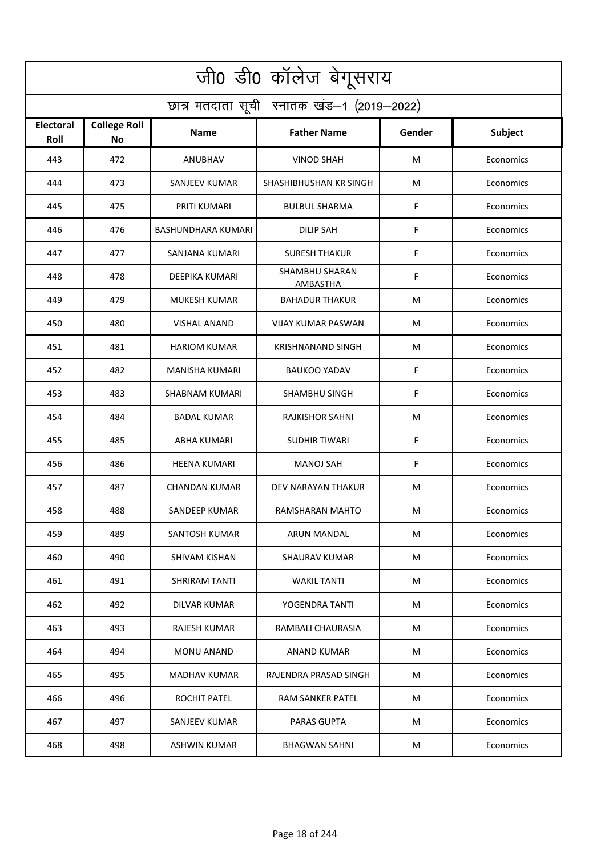| जी0 डी0 कॉलेज बेगूसराय                     |                                  |                           |                                          |        |           |  |  |  |  |
|--------------------------------------------|----------------------------------|---------------------------|------------------------------------------|--------|-----------|--|--|--|--|
| छात्र मतदाता सूची स्नातक खंड-1 (2019-2022) |                                  |                           |                                          |        |           |  |  |  |  |
| Electoral<br>Roll                          | <b>College Roll</b><br><b>No</b> | <b>Name</b>               | <b>Father Name</b>                       | Gender | Subject   |  |  |  |  |
| 443                                        | 472                              | ANUBHAV                   | <b>VINOD SHAH</b>                        | M      | Economics |  |  |  |  |
| 444                                        | 473                              | <b>SANJEEV KUMAR</b>      | SHASHIBHUSHAN KR SINGH                   | M      | Economics |  |  |  |  |
| 445                                        | 475                              | PRITI KUMARI              | <b>BULBUL SHARMA</b>                     | F      | Economics |  |  |  |  |
| 446                                        | 476                              | <b>BASHUNDHARA KUMARI</b> | <b>DILIP SAH</b>                         | F      | Economics |  |  |  |  |
| 447                                        | 477                              | SANJANA KUMARI            | <b>SURESH THAKUR</b>                     | F      | Economics |  |  |  |  |
| 448                                        | 478                              | <b>DEEPIKA KUMARI</b>     | <b>SHAMBHU SHARAN</b><br><b>AMBASTHA</b> | F      | Economics |  |  |  |  |
| 449                                        | 479                              | <b>MUKESH KUMAR</b>       | <b>BAHADUR THAKUR</b>                    | M      | Economics |  |  |  |  |
| 450                                        | 480                              | <b>VISHAL ANAND</b>       | <b>VIJAY KUMAR PASWAN</b>                | M      | Economics |  |  |  |  |
| 451                                        | 481                              | <b>HARIOM KUMAR</b>       | <b>KRISHNANAND SINGH</b>                 | M      | Economics |  |  |  |  |
| 452                                        | 482                              | MANISHA KUMARI            | <b>BAUKOO YADAV</b>                      | F      | Economics |  |  |  |  |
| 453                                        | 483                              | <b>SHABNAM KUMARI</b>     | <b>SHAMBHU SINGH</b>                     | F      | Economics |  |  |  |  |
| 454                                        | 484                              | <b>BADAL KUMAR</b>        | <b>RAJKISHOR SAHNI</b>                   | M      | Economics |  |  |  |  |
| 455                                        | 485                              | ABHA KUMARI               | SUDHIR TIWARI                            | F      | Economics |  |  |  |  |
| 456                                        | 486                              | <b>HEENA KUMARI</b>       | <b>MANOJ SAH</b>                         | F      | Economics |  |  |  |  |
| 457                                        | 487                              | CHANDAN KUMAR             | DEV NARAYAN THAKUR                       | M      | Economics |  |  |  |  |
| 458                                        | 488                              | SANDEEP KUMAR             | RAMSHARAN MAHTO                          | M      | Economics |  |  |  |  |
| 459                                        | 489                              | <b>SANTOSH KUMAR</b>      | ARUN MANDAL                              | M      | Economics |  |  |  |  |
| 460                                        | 490                              | SHIVAM KISHAN             | SHAURAV KUMAR                            | M      | Economics |  |  |  |  |
| 461                                        | 491                              | SHRIRAM TANTI             | <b>WAKIL TANTI</b>                       | M      | Economics |  |  |  |  |
| 462                                        | 492                              | DILVAR KUMAR              | YOGENDRA TANTI                           | M      | Economics |  |  |  |  |
| 463                                        | 493                              | <b>RAJESH KUMAR</b>       | RAMBALI CHAURASIA                        | M      | Economics |  |  |  |  |
| 464                                        | 494                              | <b>MONU ANAND</b>         | <b>ANAND KUMAR</b>                       | M      | Economics |  |  |  |  |
| 465                                        | 495                              | MADHAV KUMAR              | RAJENDRA PRASAD SINGH                    | M      | Economics |  |  |  |  |
| 466                                        | 496                              | ROCHIT PATEL              | <b>RAM SANKER PATEL</b>                  | М      | Economics |  |  |  |  |
| 467                                        | 497                              | SANJEEV KUMAR             | <b>PARAS GUPTA</b>                       | M      | Economics |  |  |  |  |
| 468                                        | 498                              | <b>ASHWIN KUMAR</b>       | <b>BHAGWAN SAHNI</b>                     | M      | Economics |  |  |  |  |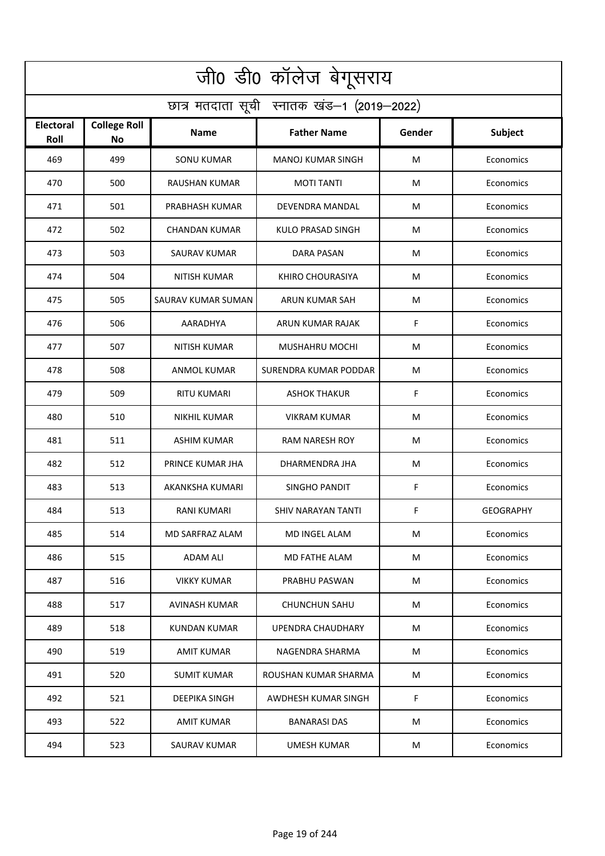| जी0 डी0 कॉलेज बेगूसराय                     |                                  |                      |                          |        |                  |  |  |  |
|--------------------------------------------|----------------------------------|----------------------|--------------------------|--------|------------------|--|--|--|
| छात्र मतदाता सूची स्नातक खंड-1 (2019-2022) |                                  |                      |                          |        |                  |  |  |  |
| <b>Electoral</b><br>Roll                   | <b>College Roll</b><br><b>No</b> | Name                 | <b>Father Name</b>       | Gender | <b>Subject</b>   |  |  |  |
| 469                                        | 499                              | <b>SONU KUMAR</b>    | <b>MANOJ KUMAR SINGH</b> | M      | Economics        |  |  |  |
| 470                                        | 500                              | <b>RAUSHAN KUMAR</b> | <b>MOTI TANTI</b>        | M      | Economics        |  |  |  |
| 471                                        | 501                              | PRABHASH KUMAR       | DEVENDRA MANDAL          | M      | Economics        |  |  |  |
| 472                                        | 502                              | <b>CHANDAN KUMAR</b> | KULO PRASAD SINGH        | M      | Economics        |  |  |  |
| 473                                        | 503                              | <b>SAURAV KUMAR</b>  | <b>DARA PASAN</b>        | M      | Economics        |  |  |  |
| 474                                        | 504                              | <b>NITISH KUMAR</b>  | KHIRO CHOURASIYA         | M      | Economics        |  |  |  |
| 475                                        | 505                              | SAURAV KUMAR SUMAN   | ARUN KUMAR SAH           | M      | Economics        |  |  |  |
| 476                                        | 506                              | AARADHYA             | ARUN KUMAR RAJAK         | F      | Economics        |  |  |  |
| 477                                        | 507                              | <b>NITISH KUMAR</b>  | MUSHAHRU MOCHI           | M      | Economics        |  |  |  |
| 478                                        | 508                              | ANMOL KUMAR          | SURENDRA KUMAR PODDAR    | M      | Economics        |  |  |  |
| 479                                        | 509                              | RITU KUMARI          | <b>ASHOK THAKUR</b>      | F      | Economics        |  |  |  |
| 480                                        | 510                              | NIKHIL KUMAR         | VIKRAM KUMAR             | M      | Economics        |  |  |  |
| 481                                        | 511                              | ASHIM KUMAR          | RAM NARESH ROY           | M      | Economics        |  |  |  |
| 482                                        | 512                              | PRINCE KUMAR JHA     | DHARMENDRA JHA           | M      | Economics        |  |  |  |
| 483                                        | 513                              | AKANKSHA KUMARI      | SINGHO PANDIT            | F      | Economics        |  |  |  |
| 484                                        | 513                              | RANI KUMARI          | SHIV NARAYAN TANTI       | F      | <b>GEOGRAPHY</b> |  |  |  |
| 485                                        | 514                              | MD SARFRAZ ALAM      | MD INGEL ALAM            | M      | Economics        |  |  |  |
| 486                                        | 515                              | <b>ADAM ALI</b>      | MD FATHE ALAM            | M      | Economics        |  |  |  |
| 487                                        | 516                              | VIKKY KUMAR          | PRABHU PASWAN            | M      | Economics        |  |  |  |
| 488                                        | 517                              | AVINASH KUMAR        | <b>CHUNCHUN SAHU</b>     | M      | Economics        |  |  |  |
| 489                                        | 518                              | <b>KUNDAN KUMAR</b>  | <b>UPENDRA CHAUDHARY</b> | M      | Economics        |  |  |  |
| 490                                        | 519                              | AMIT KUMAR           | NAGENDRA SHARMA          | M      | Economics        |  |  |  |
| 491                                        | 520                              | <b>SUMIT KUMAR</b>   | ROUSHAN KUMAR SHARMA     | M      | Economics        |  |  |  |
| 492                                        | 521                              | <b>DEEPIKA SINGH</b> | AWDHESH KUMAR SINGH      | F.     | Economics        |  |  |  |
| 493                                        | 522                              | AMIT KUMAR           | <b>BANARASI DAS</b>      | M      | Economics        |  |  |  |
| 494                                        | 523                              | <b>SAURAV KUMAR</b>  | <b>UMESH KUMAR</b>       | M      | Economics        |  |  |  |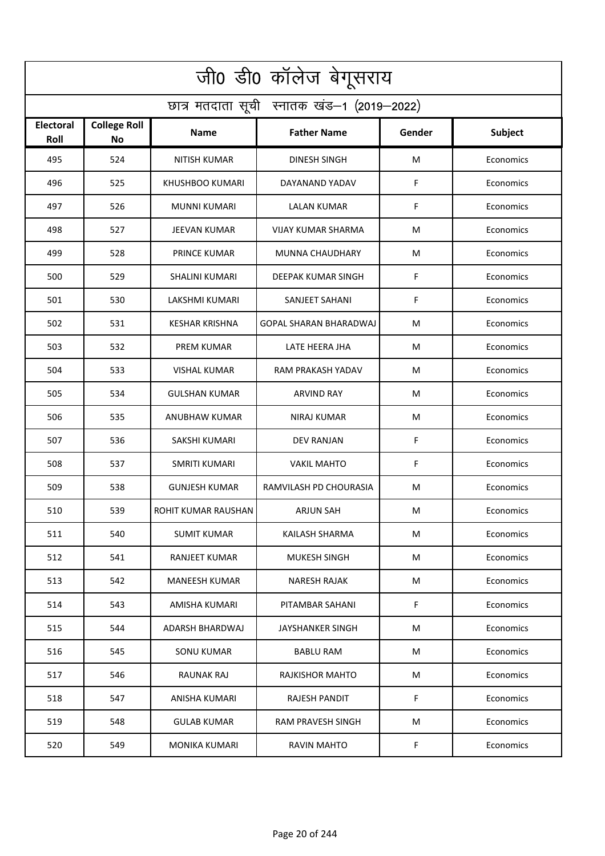| जी0 डी0 कॉलेज बेगूसराय                     |                                  |                            |                               |        |                |  |  |  |  |
|--------------------------------------------|----------------------------------|----------------------------|-------------------------------|--------|----------------|--|--|--|--|
| छात्र मतदाता सूची स्नातक खंड-1 (2019-2022) |                                  |                            |                               |        |                |  |  |  |  |
| <b>Electoral</b><br>Roll                   | <b>College Roll</b><br><b>No</b> | Name                       | <b>Father Name</b>            | Gender | <b>Subject</b> |  |  |  |  |
| 495                                        | 524                              | <b>NITISH KUMAR</b>        | <b>DINESH SINGH</b>           | M      | Economics      |  |  |  |  |
| 496                                        | 525                              | KHUSHBOO KUMARI            | DAYANAND YADAV                | F      | Economics      |  |  |  |  |
| 497                                        | 526                              | <b>MUNNI KUMARI</b>        | LALAN KUMAR                   | F      | Economics      |  |  |  |  |
| 498                                        | 527                              | <b>JEEVAN KUMAR</b>        | <b>VIJAY KUMAR SHARMA</b>     | M      | Economics      |  |  |  |  |
| 499                                        | 528                              | PRINCE KUMAR               | MUNNA CHAUDHARY               | M      | Economics      |  |  |  |  |
| 500                                        | 529                              | <b>SHALINI KUMARI</b>      | <b>DEEPAK KUMAR SINGH</b>     | F      | Economics      |  |  |  |  |
| 501                                        | 530                              | LAKSHMI KUMARI             | SANJEET SAHANI                | F      | Economics      |  |  |  |  |
| 502                                        | 531                              | <b>KESHAR KRISHNA</b>      | <b>GOPAL SHARAN BHARADWAJ</b> | M      | Economics      |  |  |  |  |
| 503                                        | 532                              | <b>PREM KUMAR</b>          | LATE HEERA JHA                | M      | Economics      |  |  |  |  |
| 504                                        | 533                              | VISHAL KUMAR               | RAM PRAKASH YADAV             | M      | Economics      |  |  |  |  |
| 505                                        | 534                              | GULSHAN KUMAR              | <b>ARVIND RAY</b>             | M      | Economics      |  |  |  |  |
| 506                                        | 535                              | ANUBHAW KUMAR              | NIRAJ KUMAR                   | M      | Economics      |  |  |  |  |
| 507                                        | 536                              | SAKSHI KUMARI              | DEV RANJAN                    | F      | Economics      |  |  |  |  |
| 508                                        | 537                              | <b>SMRITI KUMARI</b>       | <b>VAKIL MAHTO</b>            | F      | Economics      |  |  |  |  |
| 509                                        | 538                              | <b>GUNJESH KUMAR</b>       | RAMVILASH PD CHOURASIA        | M      | Economics      |  |  |  |  |
| 510                                        | 539                              | <b>ROHIT KUMAR RAUSHAN</b> | ARJUN SAH                     | M      | Economics      |  |  |  |  |
| 511                                        | 540                              | SUMIT KUMAR                | KAILASH SHARMA                | M      | Economics      |  |  |  |  |
| 512                                        | 541                              | <b>RANJEET KUMAR</b>       | MUKESH SINGH                  | M      | Economics      |  |  |  |  |
| 513                                        | 542                              | MANEESH KUMAR              | NARESH RAJAK                  | M      | Economics      |  |  |  |  |
| 514                                        | 543                              | AMISHA KUMARI              | PITAMBAR SAHANI               | F      | Economics      |  |  |  |  |
| 515                                        | 544                              | ADARSH BHARDWAJ            | JAYSHANKER SINGH              | M      | Economics      |  |  |  |  |
| 516                                        | 545                              | SONU KUMAR                 | <b>BABLU RAM</b>              | M      | Economics      |  |  |  |  |
| 517                                        | 546                              | RAUNAK RAJ                 | RAJKISHOR MAHTO               | M      | Economics      |  |  |  |  |
| 518                                        | 547                              | ANISHA KUMARI              | <b>RAJESH PANDIT</b>          | F.     | Economics      |  |  |  |  |
| 519                                        | 548                              | <b>GULAB KUMAR</b>         | RAM PRAVESH SINGH             | M      | Economics      |  |  |  |  |
| 520                                        | 549                              | <b>MONIKA KUMARI</b>       | <b>RAVIN MAHTO</b>            | F      | Economics      |  |  |  |  |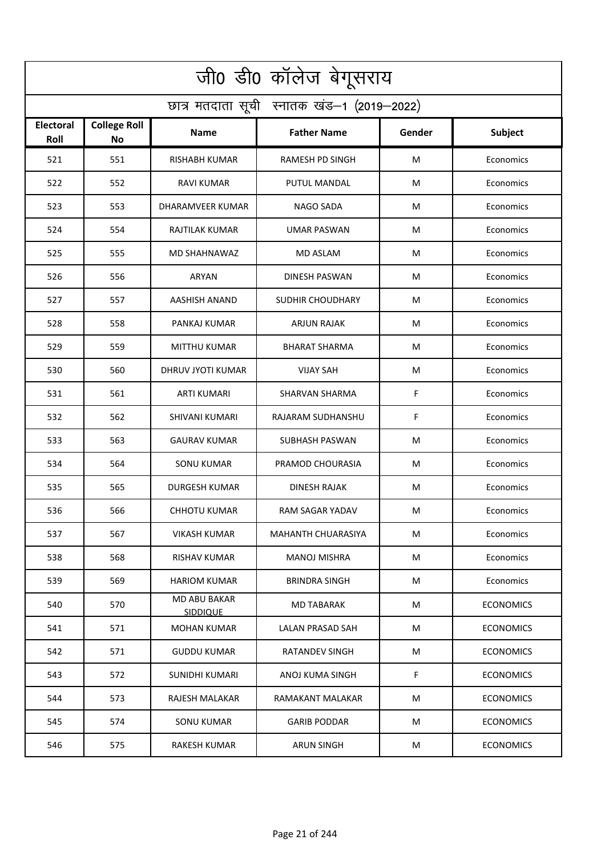| जी0 डी0 कॉलेज बेगूसराय                     |                                  |                                 |                           |        |                  |  |  |  |
|--------------------------------------------|----------------------------------|---------------------------------|---------------------------|--------|------------------|--|--|--|
| छात्र मतदाता सूची स्नातक खंड-1 (2019-2022) |                                  |                                 |                           |        |                  |  |  |  |
| <b>Electoral</b><br>Roll                   | <b>College Roll</b><br><b>No</b> | Name                            | <b>Father Name</b>        | Gender | <b>Subject</b>   |  |  |  |
| 521                                        | 551                              | <b>RISHABH KUMAR</b>            | <b>RAMESH PD SINGH</b>    | M      | Economics        |  |  |  |
| 522                                        | 552                              | <b>RAVI KUMAR</b>               | PUTUL MANDAL              | M      | Economics        |  |  |  |
| 523                                        | 553                              | DHARAMVEER KUMAR                | <b>NAGO SADA</b>          | M      | Economics        |  |  |  |
| 524                                        | 554                              | <b>RAJTILAK KUMAR</b>           | <b>UMAR PASWAN</b>        | M      | Economics        |  |  |  |
| 525                                        | 555                              | MD SHAHNAWAZ                    | <b>MD ASLAM</b>           | M      | Economics        |  |  |  |
| 526                                        | 556                              | <b>ARYAN</b>                    | <b>DINESH PASWAN</b>      | M      | Economics        |  |  |  |
| 527                                        | 557                              | <b>AASHISH ANAND</b>            | <b>SUDHIR CHOUDHARY</b>   | M      | Economics        |  |  |  |
| 528                                        | 558                              | PANKAJ KUMAR                    | <b>ARJUN RAJAK</b>        | M      | Economics        |  |  |  |
| 529                                        | 559                              | <b>MITTHU KUMAR</b>             | <b>BHARAT SHARMA</b>      | M      | Economics        |  |  |  |
| 530                                        | 560                              | DHRUV JYOTI KUMAR               | <b>VIJAY SAH</b>          | M      | Economics        |  |  |  |
| 531                                        | 561                              | <b>ARTI KUMARI</b>              | <b>SHARVAN SHARMA</b>     | F      | Economics        |  |  |  |
| 532                                        | 562                              | <b>SHIVANI KUMARI</b>           | RAJARAM SUDHANSHU         | F      | Economics        |  |  |  |
| 533                                        | 563                              | <b>GAURAV KUMAR</b>             | <b>SUBHASH PASWAN</b>     | M      | Economics        |  |  |  |
| 534                                        | 564                              | <b>SONU KUMAR</b>               | PRAMOD CHOURASIA          | M      | Economics        |  |  |  |
| 535                                        | 565                              | DURGESH KUMAR                   | DINESH RAJAK              | M      | Economics        |  |  |  |
| 536                                        | 566                              | <b>CHHOTU KUMAR</b>             | RAM SAGAR YADAV           | M      | Economics        |  |  |  |
| 537                                        | 567                              | VIKASH KUMAR                    | <b>MAHANTH CHUARASIYA</b> | M      | Economics        |  |  |  |
| 538                                        | 568                              | RISHAV KUMAR                    | <b>MANOJ MISHRA</b>       | M      | Economics        |  |  |  |
| 539                                        | 569                              | <b>HARIOM KUMAR</b>             | <b>BRINDRA SINGH</b>      | M      | Economics        |  |  |  |
| 540                                        | 570                              | MD ABU BAKAR<br><b>SIDDIQUE</b> | MD TABARAK                | M      | <b>ECONOMICS</b> |  |  |  |
| 541                                        | 571                              | <b>MOHAN KUMAR</b>              | LALAN PRASAD SAH          | M      | <b>ECONOMICS</b> |  |  |  |
| 542                                        | 571                              | <b>GUDDU KUMAR</b>              | RATANDEV SINGH            | M      | <b>ECONOMICS</b> |  |  |  |
| 543                                        | 572                              | <b>SUNIDHI KUMARI</b>           | ANOJ KUMA SINGH           | F      | <b>ECONOMICS</b> |  |  |  |
| 544                                        | 573                              | RAJESH MALAKAR                  | RAMAKANT MALAKAR          | M      | <b>ECONOMICS</b> |  |  |  |
| 545                                        | 574                              | SONU KUMAR                      | <b>GARIB PODDAR</b>       | M      | <b>ECONOMICS</b> |  |  |  |
| 546                                        | 575                              | <b>RAKESH KUMAR</b>             | <b>ARUN SINGH</b>         | M      | <b>ECONOMICS</b> |  |  |  |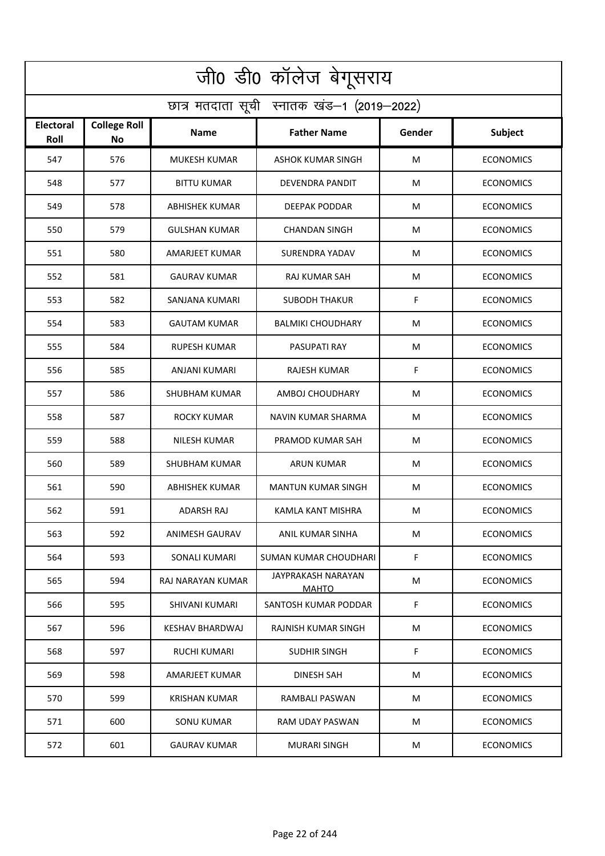| जी0 डी0 कॉलेज बेगूसराय                     |                           |                        |                                    |        |                  |  |  |  |
|--------------------------------------------|---------------------------|------------------------|------------------------------------|--------|------------------|--|--|--|
| छात्र मतदाता सूची स्नातक खंड-1 (2019-2022) |                           |                        |                                    |        |                  |  |  |  |
| <b>Electoral</b><br>Roll                   | <b>College Roll</b><br>No | Name                   | <b>Father Name</b>                 | Gender | <b>Subject</b>   |  |  |  |
| 547                                        | 576                       | <b>MUKESH KUMAR</b>    | <b>ASHOK KUMAR SINGH</b>           | M      | <b>ECONOMICS</b> |  |  |  |
| 548                                        | 577                       | <b>BITTU KUMAR</b>     | <b>DEVENDRA PANDIT</b>             | M      | <b>ECONOMICS</b> |  |  |  |
| 549                                        | 578                       | ABHISHEK KUMAR         | DEEPAK PODDAR                      | M      | <b>ECONOMICS</b> |  |  |  |
| 550                                        | 579                       | <b>GULSHAN KUMAR</b>   | <b>CHANDAN SINGH</b>               | M      | <b>ECONOMICS</b> |  |  |  |
| 551                                        | 580                       | <b>AMARJEET KUMAR</b>  | SURENDRA YADAV                     | M      | <b>ECONOMICS</b> |  |  |  |
| 552                                        | 581                       | <b>GAURAV KUMAR</b>    | <b>RAJ KUMAR SAH</b>               | M      | <b>ECONOMICS</b> |  |  |  |
| 553                                        | 582                       | SANJANA KUMARI         | <b>SUBODH THAKUR</b>               | F      | <b>ECONOMICS</b> |  |  |  |
| 554                                        | 583                       | <b>GAUTAM KUMAR</b>    | <b>BALMIKI CHOUDHARY</b>           | M      | <b>ECONOMICS</b> |  |  |  |
| 555                                        | 584                       | <b>RUPESH KUMAR</b>    | PASUPATI RAY                       | M      | <b>ECONOMICS</b> |  |  |  |
| 556                                        | 585                       | ANJANI KUMARI          | RAJESH KUMAR                       | F      | <b>ECONOMICS</b> |  |  |  |
| 557                                        | 586                       | SHUBHAM KUMAR          | AMBOJ CHOUDHARY                    | M      | <b>ECONOMICS</b> |  |  |  |
| 558                                        | 587                       | <b>ROCKY KUMAR</b>     | NAVIN KUMAR SHARMA                 | M      | <b>ECONOMICS</b> |  |  |  |
| 559                                        | 588                       | NILESH KUMAR           | PRAMOD KUMAR SAH                   | M      | <b>ECONOMICS</b> |  |  |  |
| 560                                        | 589                       | SHUBHAM KUMAR          | <b>ARUN KUMAR</b>                  | M      | <b>ECONOMICS</b> |  |  |  |
| 561                                        | 590                       | ABHISHEK KUMAR         | <b>MANTUN KUMAR SINGH</b>          | M      | <b>ECONOMICS</b> |  |  |  |
| 562                                        | 591                       | ADARSH RAJ             | KAMLA KANT MISHRA                  | M      | <b>ECONOMICS</b> |  |  |  |
| 563                                        | 592                       | ANIMESH GAURAV         | ANIL KUMAR SINHA                   | M      | <b>ECONOMICS</b> |  |  |  |
| 564                                        | 593                       | <b>SONALI KUMARI</b>   | <b>SUMAN KUMAR CHOUDHARI</b>       | F.     | <b>ECONOMICS</b> |  |  |  |
| 565                                        | 594                       | RAJ NARAYAN KUMAR      | JAYPRAKASH NARAYAN<br><b>MAHTO</b> | M      | <b>ECONOMICS</b> |  |  |  |
| 566                                        | 595                       | <b>SHIVANI KUMARI</b>  | SANTOSH KUMAR PODDAR               | F      | <b>ECONOMICS</b> |  |  |  |
| 567                                        | 596                       | <b>KESHAV BHARDWAJ</b> | RAJNISH KUMAR SINGH                | M      | <b>ECONOMICS</b> |  |  |  |
| 568                                        | 597                       | RUCHI KUMARI           | SUDHIR SINGH                       | F.     | <b>ECONOMICS</b> |  |  |  |
| 569                                        | 598                       | AMARJEET KUMAR         | <b>DINESH SAH</b>                  | M      | <b>ECONOMICS</b> |  |  |  |
| 570                                        | 599                       | KRISHAN KUMAR          | RAMBALI PASWAN                     | M      | <b>ECONOMICS</b> |  |  |  |
| 571                                        | 600                       | SONU KUMAR             | RAM UDAY PASWAN                    | M      | <b>ECONOMICS</b> |  |  |  |
| 572                                        | 601                       | <b>GAURAV KUMAR</b>    | <b>MURARI SINGH</b>                | M      | <b>ECONOMICS</b> |  |  |  |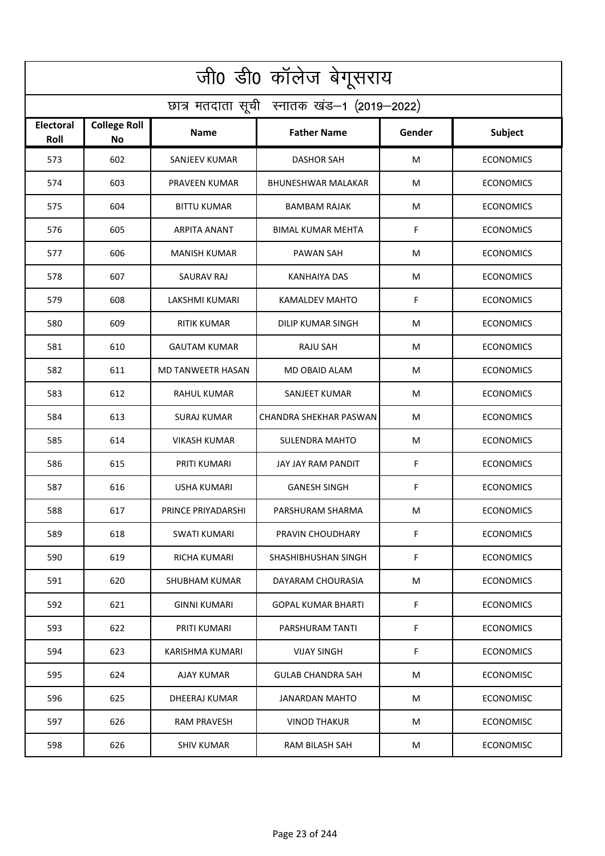| जी0 डी0 कॉलेज बेगूसराय                     |                                  |                      |                           |        |                  |  |  |  |  |
|--------------------------------------------|----------------------------------|----------------------|---------------------------|--------|------------------|--|--|--|--|
| छात्र मतदाता सूची स्नातक खंड-1 (2019-2022) |                                  |                      |                           |        |                  |  |  |  |  |
| Electoral<br>Roll                          | <b>College Roll</b><br><b>No</b> | <b>Name</b>          | <b>Father Name</b>        | Gender | Subject          |  |  |  |  |
| 573                                        | 602                              | <b>SANJEEV KUMAR</b> | <b>DASHOR SAH</b>         | M      | <b>ECONOMICS</b> |  |  |  |  |
| 574                                        | 603                              | PRAVEEN KUMAR        | <b>BHUNESHWAR MALAKAR</b> | M      | <b>ECONOMICS</b> |  |  |  |  |
| 575                                        | 604                              | <b>BITTU KUMAR</b>   | <b>BAMBAM RAJAK</b>       | M      | <b>ECONOMICS</b> |  |  |  |  |
| 576                                        | 605                              | <b>ARPITA ANANT</b>  | <b>BIMAL KUMAR MEHTA</b>  | F      | <b>ECONOMICS</b> |  |  |  |  |
| 577                                        | 606                              | <b>MANISH KUMAR</b>  | <b>PAWAN SAH</b>          | M      | <b>ECONOMICS</b> |  |  |  |  |
| 578                                        | 607                              | <b>SAURAV RAJ</b>    | <b>KANHAIYA DAS</b>       | M      | <b>ECONOMICS</b> |  |  |  |  |
| 579                                        | 608                              | LAKSHMI KUMARI       | <b>KAMALDEV MAHTO</b>     | F      | <b>ECONOMICS</b> |  |  |  |  |
| 580                                        | 609                              | RITIK KUMAR          | <b>DILIP KUMAR SINGH</b>  | M      | <b>ECONOMICS</b> |  |  |  |  |
| 581                                        | 610                              | <b>GAUTAM KUMAR</b>  | <b>RAJU SAH</b>           | M      | <b>ECONOMICS</b> |  |  |  |  |
| 582                                        | 611                              | MD TANWEETR HASAN    | MD OBAID ALAM             | M      | <b>ECONOMICS</b> |  |  |  |  |
| 583                                        | 612                              | <b>RAHUL KUMAR</b>   | SANJEET KUMAR             | M      | <b>ECONOMICS</b> |  |  |  |  |
| 584                                        | 613                              | <b>SURAJ KUMAR</b>   | CHANDRA SHEKHAR PASWAN    | M      | <b>ECONOMICS</b> |  |  |  |  |
| 585                                        | 614                              | <b>VIKASH KUMAR</b>  | <b>SULENDRA MAHTO</b>     | M      | <b>ECONOMICS</b> |  |  |  |  |
| 586                                        | 615                              | PRITI KUMARI         | JAY JAY RAM PANDIT        | F      | <b>ECONOMICS</b> |  |  |  |  |
| 587                                        | 616                              | USHA KUMARI          | <b>GANESH SINGH</b>       | F      | <b>ECONOMICS</b> |  |  |  |  |
| 588                                        | 617                              | PRINCE PRIYADARSHI   | PARSHURAM SHARMA          | M      | <b>ECONOMICS</b> |  |  |  |  |
| 589                                        | 618                              | SWATI KUMARI         | PRAVIN CHOUDHARY          | F      | <b>ECONOMICS</b> |  |  |  |  |
| 590                                        | 619                              | RICHA KUMARI         | SHASHIBHUSHAN SINGH       | F      | <b>ECONOMICS</b> |  |  |  |  |
| 591                                        | 620                              | SHUBHAM KUMAR        | DAYARAM CHOURASIA         | M      | <b>ECONOMICS</b> |  |  |  |  |
| 592                                        | 621                              | GINNI KUMARI         | <b>GOPAL KUMAR BHARTI</b> | F.     | <b>ECONOMICS</b> |  |  |  |  |
| 593                                        | 622                              | PRITI KUMARI         | PARSHURAM TANTI           | F      | <b>ECONOMICS</b> |  |  |  |  |
| 594                                        | 623                              | KARISHMA KUMARI      | <b>VIJAY SINGH</b>        | F      | <b>ECONOMICS</b> |  |  |  |  |
| 595                                        | 624                              | AJAY KUMAR           | <b>GULAB CHANDRA SAH</b>  | M      | ECONOMISC        |  |  |  |  |
| 596                                        | 625                              | DHEERAJ KUMAR        | JANARDAN MAHTO            | М      | <b>ECONOMISC</b> |  |  |  |  |
| 597                                        | 626                              | RAM PRAVESH          | <b>VINOD THAKUR</b>       | M      | ECONOMISC        |  |  |  |  |
| 598                                        | 626                              | <b>SHIV KUMAR</b>    | <b>RAM BILASH SAH</b>     | M      | <b>ECONOMISC</b> |  |  |  |  |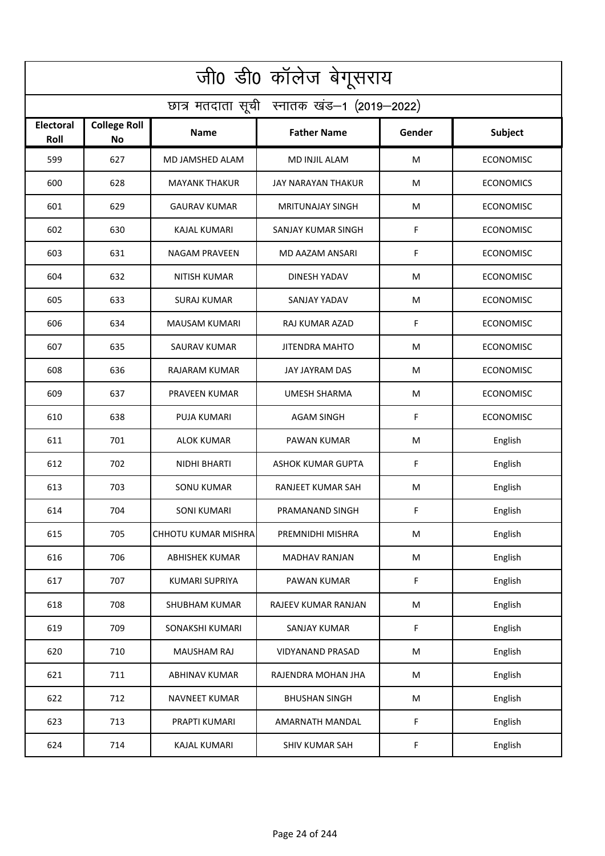| जी0 डी0 कॉलेज बेगूसराय                     |                                  |                       |                          |        |                  |  |  |  |
|--------------------------------------------|----------------------------------|-----------------------|--------------------------|--------|------------------|--|--|--|
| छात्र मतदाता सूची स्नातक खंड-1 (2019-2022) |                                  |                       |                          |        |                  |  |  |  |
| <b>Electoral</b><br>Roll                   | <b>College Roll</b><br><b>No</b> | Name                  | <b>Father Name</b>       | Gender | <b>Subject</b>   |  |  |  |
| 599                                        | 627                              | MD JAMSHED ALAM       | MD INJIL ALAM            | M      | <b>ECONOMISC</b> |  |  |  |
| 600                                        | 628                              | <b>MAYANK THAKUR</b>  | JAY NARAYAN THAKUR       | M      | <b>ECONOMICS</b> |  |  |  |
| 601                                        | 629                              | <b>GAURAV KUMAR</b>   | <b>MRITUNAJAY SINGH</b>  | M      | ECONOMISC        |  |  |  |
| 602                                        | 630                              | <b>KAJAL KUMARI</b>   | SANJAY KUMAR SINGH       | F      | <b>ECONOMISC</b> |  |  |  |
| 603                                        | 631                              | <b>NAGAM PRAVEEN</b>  | MD AAZAM ANSARI          | F      | <b>ECONOMISC</b> |  |  |  |
| 604                                        | 632                              | <b>NITISH KUMAR</b>   | <b>DINESH YADAV</b>      | M      | <b>ECONOMISC</b> |  |  |  |
| 605                                        | 633                              | <b>SURAJ KUMAR</b>    | SANJAY YADAV             | M      | <b>ECONOMISC</b> |  |  |  |
| 606                                        | 634                              | <b>MAUSAM KUMARI</b>  | RAJ KUMAR AZAD           | F      | <b>ECONOMISC</b> |  |  |  |
| 607                                        | 635                              | <b>SAURAV KUMAR</b>   | <b>JITENDRA MAHTO</b>    | M      | <b>ECONOMISC</b> |  |  |  |
| 608                                        | 636                              | RAJARAM KUMAR         | JAY JAYRAM DAS           | M      | <b>ECONOMISC</b> |  |  |  |
| 609                                        | 637                              | PRAVEEN KUMAR         | <b>UMESH SHARMA</b>      | M      | <b>ECONOMISC</b> |  |  |  |
| 610                                        | 638                              | <b>PUJA KUMARI</b>    | <b>AGAM SINGH</b>        | F      | <b>ECONOMISC</b> |  |  |  |
| 611                                        | 701                              | ALOK KUMAR            | PAWAN KUMAR              | M      | English          |  |  |  |
| 612                                        | 702                              | NIDHI BHARTI          | <b>ASHOK KUMAR GUPTA</b> | F      | English          |  |  |  |
| 613                                        | 703                              | SONU KUMAR            | RANJEET KUMAR SAH        | M      | English          |  |  |  |
| 614                                        | 704                              | SONI KUMARI           | PRAMANAND SINGH          | F.     | English          |  |  |  |
| 615                                        | 705                              | CHHOTU KUMAR MISHRA   | PREMNIDHI MISHRA         | M      | English          |  |  |  |
| 616                                        | 706                              | <b>ABHISHEK KUMAR</b> | MADHAV RANJAN            | M      | English          |  |  |  |
| 617                                        | 707                              | KUMARI SUPRIYA        | PAWAN KUMAR              | F      | English          |  |  |  |
| 618                                        | 708                              | SHUBHAM KUMAR         | RAJEEV KUMAR RANJAN      | M      | English          |  |  |  |
| 619                                        | 709                              | SONAKSHI KUMARI       | SANJAY KUMAR             | F      | English          |  |  |  |
| 620                                        | 710                              | <b>MAUSHAM RAJ</b>    | <b>VIDYANAND PRASAD</b>  | M      | English          |  |  |  |
| 621                                        | 711                              | <b>ABHINAV KUMAR</b>  | RAJENDRA MOHAN JHA       | M      | English          |  |  |  |
| 622                                        | 712                              | <b>NAVNEET KUMAR</b>  | <b>BHUSHAN SINGH</b>     | M      | English          |  |  |  |
| 623                                        | 713                              | PRAPTI KUMARI         | <b>AMARNATH MANDAL</b>   | F      | English          |  |  |  |
| 624                                        | 714                              | KAJAL KUMARI          | <b>SHIV KUMAR SAH</b>    | F      | English          |  |  |  |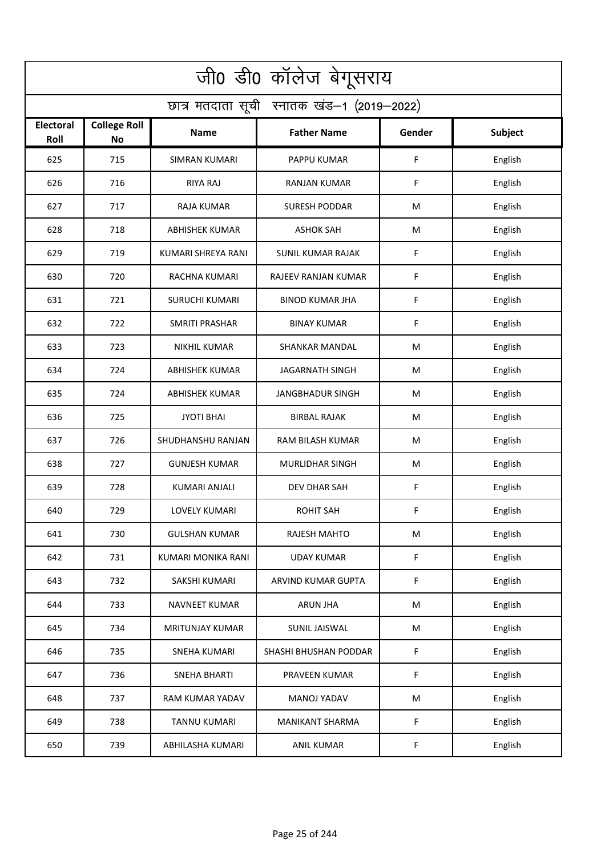| जी0 डी0 कॉलेज बेगूसराय                     |                                  |                        |                          |           |                |  |  |  |
|--------------------------------------------|----------------------------------|------------------------|--------------------------|-----------|----------------|--|--|--|
| छात्र मतदाता सूची स्नातक खंड-1 (2019-2022) |                                  |                        |                          |           |                |  |  |  |
| <b>Electoral</b><br>Roll                   | <b>College Roll</b><br><b>No</b> | Name                   | <b>Father Name</b>       | Gender    | <b>Subject</b> |  |  |  |
| 625                                        | 715                              | <b>SIMRAN KUMARI</b>   | PAPPU KUMAR              | F         | English        |  |  |  |
| 626                                        | 716                              | <b>RIYA RAJ</b>        | <b>RANJAN KUMAR</b>      | F         | English        |  |  |  |
| 627                                        | 717                              | <b>RAJA KUMAR</b>      | <b>SURESH PODDAR</b>     | M         | English        |  |  |  |
| 628                                        | 718                              | <b>ABHISHEK KUMAR</b>  | <b>ASHOK SAH</b>         | M         | English        |  |  |  |
| 629                                        | 719                              | KUMARI SHREYA RANI     | <b>SUNIL KUMAR RAJAK</b> | F         | English        |  |  |  |
| 630                                        | 720                              | <b>RACHNA KUMARI</b>   | RAJEEV RANJAN KUMAR      | F         | English        |  |  |  |
| 631                                        | 721                              | <b>SURUCHI KUMARI</b>  | <b>BINOD KUMAR JHA</b>   | F         | English        |  |  |  |
| 632                                        | 722                              | <b>SMRITI PRASHAR</b>  | <b>BINAY KUMAR</b>       | F         | English        |  |  |  |
| 633                                        | 723                              | <b>NIKHIL KUMAR</b>    | <b>SHANKAR MANDAL</b>    | M         | English        |  |  |  |
| 634                                        | 724                              | <b>ABHISHEK KUMAR</b>  | <b>JAGARNATH SINGH</b>   | M         | English        |  |  |  |
| 635                                        | 724                              | <b>ABHISHEK KUMAR</b>  | <b>JANGBHADUR SINGH</b>  | M         | English        |  |  |  |
| 636                                        | 725                              | <b>JYOTI BHAI</b>      | <b>BIRBAL RAJAK</b>      | M         | English        |  |  |  |
| 637                                        | 726                              | SHUDHANSHU RANJAN      | RAM BILASH KUMAR         | M         | English        |  |  |  |
| 638                                        | 727                              | <b>GUNJESH KUMAR</b>   | <b>MURLIDHAR SINGH</b>   | M         | English        |  |  |  |
| 639                                        | 728                              | KUMARI ANJALI          | DEV DHAR SAH             | F         | English        |  |  |  |
| 640                                        | 729                              | LOVELY KUMARI          | ROHIT SAH                | F         | English        |  |  |  |
| 641                                        | 730                              | <b>GULSHAN KUMAR</b>   | <b>RAJESH MAHTO</b>      | M         | English        |  |  |  |
| 642                                        | 731                              | KUMARI MONIKA RANI     | <b>UDAY KUMAR</b>        | F         | English        |  |  |  |
| 643                                        | 732                              | SAKSHI KUMARI          | ARVIND KUMAR GUPTA       | F         | English        |  |  |  |
| 644                                        | 733                              | NAVNEET KUMAR          | <b>ARUN JHA</b>          | M         | English        |  |  |  |
| 645                                        | 734                              | <b>MRITUNJAY KUMAR</b> | SUNIL JAISWAL            | ${\sf M}$ | English        |  |  |  |
| 646                                        | 735                              | <b>SNEHA KUMARI</b>    | SHASHI BHUSHAN PODDAR    | F         | English        |  |  |  |
| 647                                        | 736                              | <b>SNEHA BHARTI</b>    | PRAVEEN KUMAR            | F         | English        |  |  |  |
| 648                                        | 737                              | RAM KUMAR YADAV        | MANOJ YADAV              | M         | English        |  |  |  |
| 649                                        | 738                              | <b>TANNU KUMARI</b>    | <b>MANIKANT SHARMA</b>   | F         | English        |  |  |  |
| 650                                        | 739                              | ABHILASHA KUMARI       | <b>ANIL KUMAR</b>        | F         | English        |  |  |  |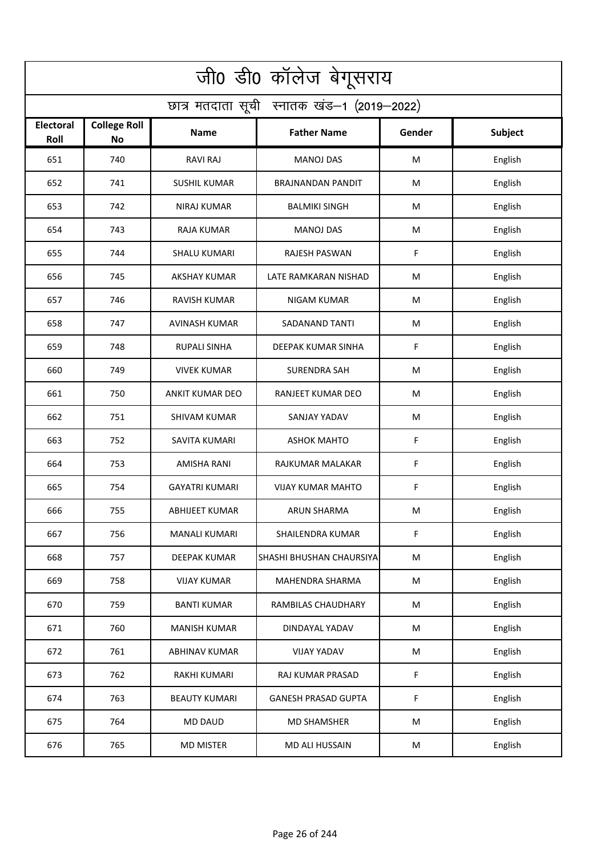| जी0 डी0 कॉलेज बेगूसराय                     |                                  |                        |                            |        |         |  |  |  |
|--------------------------------------------|----------------------------------|------------------------|----------------------------|--------|---------|--|--|--|
| छात्र मतदाता सूची स्नातक खंड-1 (2019-2022) |                                  |                        |                            |        |         |  |  |  |
| <b>Electoral</b><br>Roll                   | <b>College Roll</b><br><b>No</b> | Name                   | <b>Father Name</b>         | Gender | Subject |  |  |  |
| 651                                        | 740                              | <b>RAVI RAJ</b>        | <b>MANOJ DAS</b>           | M      | English |  |  |  |
| 652                                        | 741                              | <b>SUSHIL KUMAR</b>    | <b>BRAJNANDAN PANDIT</b>   | M      | English |  |  |  |
| 653                                        | 742                              | <b>NIRAJ KUMAR</b>     | <b>BALMIKI SINGH</b>       | M      | English |  |  |  |
| 654                                        | 743                              | RAJA KUMAR             | <b>MANOJ DAS</b>           | M      | English |  |  |  |
| 655                                        | 744                              | <b>SHALU KUMARI</b>    | <b>RAJESH PASWAN</b>       | F      | English |  |  |  |
| 656                                        | 745                              | <b>AKSHAY KUMAR</b>    | LATE RAMKARAN NISHAD       | M      | English |  |  |  |
| 657                                        | 746                              | <b>RAVISH KUMAR</b>    | <b>NIGAM KUMAR</b>         | M      | English |  |  |  |
| 658                                        | 747                              | <b>AVINASH KUMAR</b>   | <b>SADANAND TANTI</b>      | M      | English |  |  |  |
| 659                                        | 748                              | <b>RUPALI SINHA</b>    | DEEPAK KUMAR SINHA         | F      | English |  |  |  |
| 660                                        | 749                              | <b>VIVEK KUMAR</b>     | <b>SURENDRA SAH</b>        | M      | English |  |  |  |
| 661                                        | 750                              | <b>ANKIT KUMAR DEO</b> | RANJEET KUMAR DEO          | M      | English |  |  |  |
| 662                                        | 751                              | <b>SHIVAM KUMAR</b>    | SANJAY YADAV               | M      | English |  |  |  |
| 663                                        | 752                              | SAVITA KUMARI          | <b>ASHOK MAHTO</b>         | F      | English |  |  |  |
| 664                                        | 753                              | <b>AMISHA RANI</b>     | RAJKUMAR MALAKAR           | F      | English |  |  |  |
| 665                                        | 754                              | <b>GAYATRI KUMARI</b>  | <b>VIJAY KUMAR MAHTO</b>   | F      | English |  |  |  |
| 666                                        | 755                              | <b>ABHIJEET KUMAR</b>  | ARUN SHARMA                | M      | English |  |  |  |
| 667                                        | 756                              | <b>MANALI KUMARI</b>   | SHAILENDRA KUMAR           | F      | English |  |  |  |
| 668                                        | 757                              | DEEPAK KUMAR           | SHASHI BHUSHAN CHAURSIYA   | M      | English |  |  |  |
| 669                                        | 758                              | <b>VIJAY KUMAR</b>     | MAHENDRA SHARMA            | M      | English |  |  |  |
| 670                                        | 759                              | <b>BANTI KUMAR</b>     | RAMBILAS CHAUDHARY         | M      | English |  |  |  |
| 671                                        | 760                              | <b>MANISH KUMAR</b>    | DINDAYAL YADAV             | M      | English |  |  |  |
| 672                                        | 761                              | <b>ABHINAV KUMAR</b>   | <b>VIJAY YADAV</b>         | M      | English |  |  |  |
| 673                                        | 762                              | RAKHI KUMARI           | RAJ KUMAR PRASAD           | F      | English |  |  |  |
| 674                                        | 763                              | <b>BEAUTY KUMARI</b>   | <b>GANESH PRASAD GUPTA</b> | F      | English |  |  |  |
| 675                                        | 764                              | <b>MD DAUD</b>         | <b>MD SHAMSHER</b>         | M      | English |  |  |  |
| 676                                        | 765                              | <b>MD MISTER</b>       | MD ALI HUSSAIN             | M      | English |  |  |  |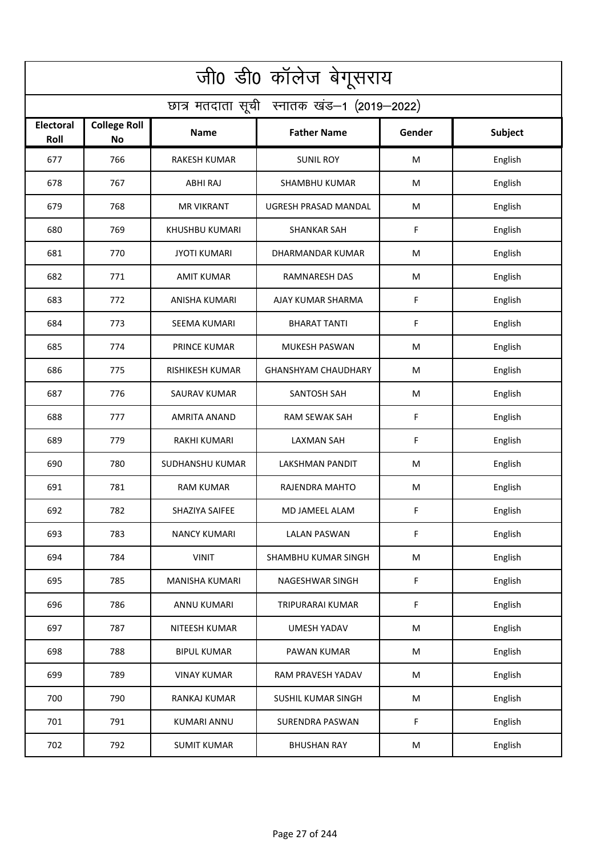| जी0 डी0 कॉलेज बेगूसराय                     |                                  |                        |                            |             |         |  |  |  |
|--------------------------------------------|----------------------------------|------------------------|----------------------------|-------------|---------|--|--|--|
| छात्र मतदाता सूची स्नातक खंड-1 (2019-2022) |                                  |                        |                            |             |         |  |  |  |
| <b>Electoral</b><br>Roll                   | <b>College Roll</b><br><b>No</b> | Name                   | <b>Father Name</b>         | Gender      | Subject |  |  |  |
| 677                                        | 766                              | <b>RAKESH KUMAR</b>    | <b>SUNIL ROY</b>           | M           | English |  |  |  |
| 678                                        | 767                              | ABHI RAJ               | <b>SHAMBHU KUMAR</b>       | M           | English |  |  |  |
| 679                                        | 768                              | <b>MR VIKRANT</b>      | UGRESH PRASAD MANDAL       | M           | English |  |  |  |
| 680                                        | 769                              | <b>KHUSHBU KUMARI</b>  | <b>SHANKAR SAH</b>         | F           | English |  |  |  |
| 681                                        | 770                              | <b>JYOTI KUMARI</b>    | DHARMANDAR KUMAR           | M           | English |  |  |  |
| 682                                        | 771                              | <b>AMIT KUMAR</b>      | <b>RAMNARESH DAS</b>       | M           | English |  |  |  |
| 683                                        | 772                              | <b>ANISHA KUMARI</b>   | AJAY KUMAR SHARMA          | F           | English |  |  |  |
| 684                                        | 773                              | <b>SEEMA KUMARI</b>    | <b>BHARAT TANTI</b>        | F           | English |  |  |  |
| 685                                        | 774                              | PRINCE KUMAR           | MUKESH PASWAN              | M           | English |  |  |  |
| 686                                        | 775                              | <b>RISHIKESH KUMAR</b> | <b>GHANSHYAM CHAUDHARY</b> | M           | English |  |  |  |
| 687                                        | 776                              | <b>SAURAV KUMAR</b>    | SANTOSH SAH                | M           | English |  |  |  |
| 688                                        | 777                              | <b>AMRITA ANAND</b>    | <b>RAM SEWAK SAH</b>       | $\mathsf F$ | English |  |  |  |
| 689                                        | 779                              | RAKHI KUMARI           | LAXMAN SAH                 | F           | English |  |  |  |
| 690                                        | 780                              | SUDHANSHU KUMAR        | <b>LAKSHMAN PANDIT</b>     | M           | English |  |  |  |
| 691                                        | 781                              | <b>RAM KUMAR</b>       | RAJENDRA MAHTO             | M           | English |  |  |  |
| 692                                        | 782                              | SHAZIYA SAIFEE         | MD JAMEEL ALAM             | F           | English |  |  |  |
| 693                                        | 783                              | <b>NANCY KUMARI</b>    | <b>LALAN PASWAN</b>        | F           | English |  |  |  |
| 694                                        | 784                              | <b>VINIT</b>           | SHAMBHU KUMAR SINGH        | M           | English |  |  |  |
| 695                                        | 785                              | <b>MANISHA KUMARI</b>  | NAGESHWAR SINGH            | F           | English |  |  |  |
| 696                                        | 786                              | ANNU KUMARI            | TRIPURARAI KUMAR           | F           | English |  |  |  |
| 697                                        | 787                              | NITEESH KUMAR          | <b>UMESH YADAV</b>         | ${\sf M}$   | English |  |  |  |
| 698                                        | 788                              | <b>BIPUL KUMAR</b>     | PAWAN KUMAR                | M           | English |  |  |  |
| 699                                        | 789                              | <b>VINAY KUMAR</b>     | RAM PRAVESH YADAV          | M           | English |  |  |  |
| 700                                        | 790                              | RANKAJ KUMAR           | SUSHIL KUMAR SINGH         | M           | English |  |  |  |
| 701                                        | 791                              | KUMARI ANNU            | <b>SURENDRA PASWAN</b>     | F           | English |  |  |  |
| 702                                        | 792                              | <b>SUMIT KUMAR</b>     | <b>BHUSHAN RAY</b>         | M           | English |  |  |  |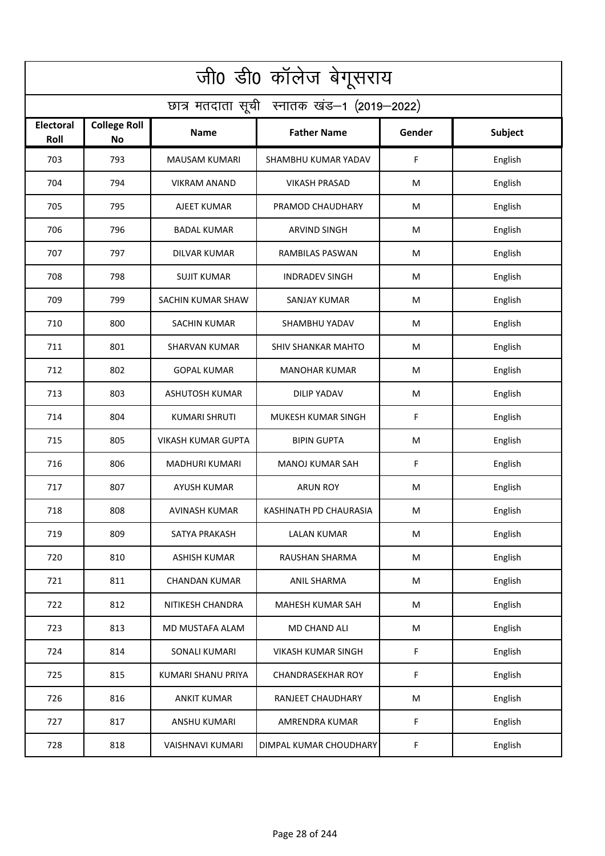| जी0 डी0 कॉलेज बेगूसराय                     |                                  |                           |                           |        |                |  |  |  |
|--------------------------------------------|----------------------------------|---------------------------|---------------------------|--------|----------------|--|--|--|
| छात्र मतदाता सूची स्नातक खंड-1 (2019-2022) |                                  |                           |                           |        |                |  |  |  |
| <b>Electoral</b><br>Roll                   | <b>College Roll</b><br><b>No</b> | Name                      | <b>Father Name</b>        | Gender | <b>Subject</b> |  |  |  |
| 703                                        | 793                              | <b>MAUSAM KUMARI</b>      | SHAMBHU KUMAR YADAV       | F      | English        |  |  |  |
| 704                                        | 794                              | <b>VIKRAM ANAND</b>       | <b>VIKASH PRASAD</b>      | M      | English        |  |  |  |
| 705                                        | 795                              | AJEET KUMAR               | PRAMOD CHAUDHARY          | M      | English        |  |  |  |
| 706                                        | 796                              | <b>BADAL KUMAR</b>        | <b>ARVIND SINGH</b>       | M      | English        |  |  |  |
| 707                                        | 797                              | <b>DILVAR KUMAR</b>       | RAMBILAS PASWAN           | M      | English        |  |  |  |
| 708                                        | 798                              | <b>SUJIT KUMAR</b>        | <b>INDRADEV SINGH</b>     | M      | English        |  |  |  |
| 709                                        | 799                              | SACHIN KUMAR SHAW         | <b>SANJAY KUMAR</b>       | M      | English        |  |  |  |
| 710                                        | 800                              | <b>SACHIN KUMAR</b>       | SHAMBHU YADAV             | M      | English        |  |  |  |
| 711                                        | 801                              | <b>SHARVAN KUMAR</b>      | <b>SHIV SHANKAR MAHTO</b> | M      | English        |  |  |  |
| 712                                        | 802                              | <b>GOPAL KUMAR</b>        | MANOHAR KUMAR             | M      | English        |  |  |  |
| 713                                        | 803                              | <b>ASHUTOSH KUMAR</b>     | <b>DILIP YADAV</b>        | M      | English        |  |  |  |
| 714                                        | 804                              | <b>KUMARI SHRUTI</b>      | MUKESH KUMAR SINGH        | F      | English        |  |  |  |
| 715                                        | 805                              | <b>VIKASH KUMAR GUPTA</b> | <b>BIPIN GUPTA</b>        | M      | English        |  |  |  |
| 716                                        | 806                              | <b>MADHURI KUMARI</b>     | <b>MANOJ KUMAR SAH</b>    | F      | English        |  |  |  |
| 717                                        | 807                              | <b>AYUSH KUMAR</b>        | <b>ARUN ROY</b>           | M      | English        |  |  |  |
| 718                                        | 808                              | AVINASH KUMAR             | KASHINATH PD CHAURASIA    | M      | English        |  |  |  |
| 719                                        | 809                              | SATYA PRAKASH             | LALAN KUMAR               | M      | English        |  |  |  |
| 720                                        | 810                              | <b>ASHISH KUMAR</b>       | RAUSHAN SHARMA            | M      | English        |  |  |  |
| 721                                        | 811                              | <b>CHANDAN KUMAR</b>      | ANIL SHARMA               | M      | English        |  |  |  |
| 722                                        | 812                              | NITIKESH CHANDRA          | MAHESH KUMAR SAH          | M      | English        |  |  |  |
| 723                                        | 813                              | MD MUSTAFA ALAM           | <b>MD CHAND ALI</b>       | M      | English        |  |  |  |
| 724                                        | 814                              | SONALI KUMARI             | VIKASH KUMAR SINGH        | F      | English        |  |  |  |
| 725                                        | 815                              | KUMARI SHANU PRIYA        | <b>CHANDRASEKHAR ROY</b>  | F      | English        |  |  |  |
| 726                                        | 816                              | <b>ANKIT KUMAR</b>        | RANJEET CHAUDHARY         | M      | English        |  |  |  |
| 727                                        | 817                              | ANSHU KUMARI              | AMRENDRA KUMAR            | F      | English        |  |  |  |
| 728                                        | 818                              | <b>VAISHNAVI KUMARI</b>   | DIMPAL KUMAR CHOUDHARY    | F.     | English        |  |  |  |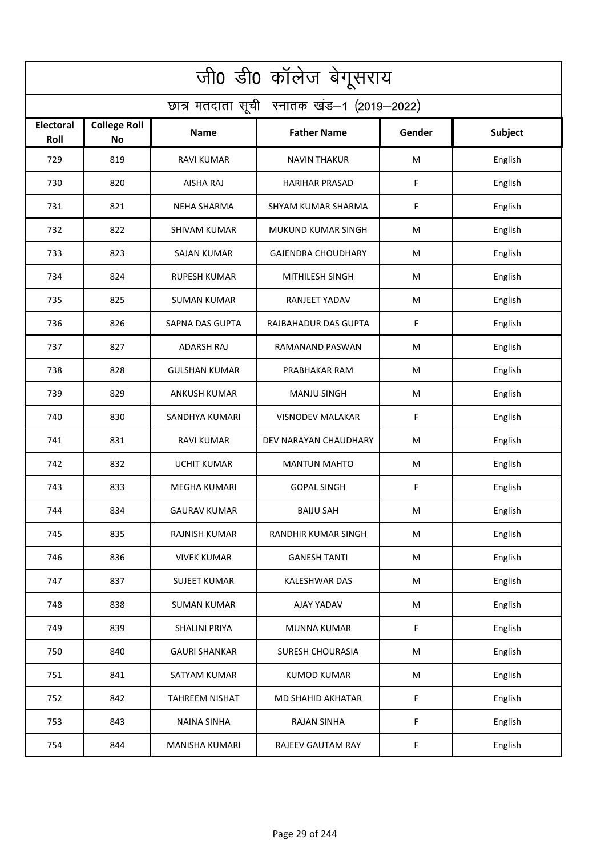| जी0 डी0 कॉलेज बेगूसराय                     |                           |                       |                            |           |                |  |  |  |
|--------------------------------------------|---------------------------|-----------------------|----------------------------|-----------|----------------|--|--|--|
| छात्र मतदाता सूची स्नातक खंड-1 (2019-2022) |                           |                       |                            |           |                |  |  |  |
| <b>Electoral</b><br>Roll                   | <b>College Roll</b><br>No | <b>Name</b>           | <b>Father Name</b>         | Gender    | <b>Subject</b> |  |  |  |
| 729                                        | 819                       | <b>RAVI KUMAR</b>     | <b>NAVIN THAKUR</b>        | M         | English        |  |  |  |
| 730                                        | 820                       | AISHA RAJ             | <b>HARIHAR PRASAD</b>      | F         | English        |  |  |  |
| 731                                        | 821                       | <b>NEHA SHARMA</b>    | SHYAM KUMAR SHARMA         | F         | English        |  |  |  |
| 732                                        | 822                       | <b>SHIVAM KUMAR</b>   | MUKUND KUMAR SINGH         | M         | English        |  |  |  |
| 733                                        | 823                       | <b>SAJAN KUMAR</b>    | <b>GAJENDRA CHOUDHARY</b>  | M         | English        |  |  |  |
| 734                                        | 824                       | <b>RUPESH KUMAR</b>   | MITHILESH SINGH            | M         | English        |  |  |  |
| 735                                        | 825                       | <b>SUMAN KUMAR</b>    | <b>RANJEET YADAV</b>       | M         | English        |  |  |  |
| 736                                        | 826                       | SAPNA DAS GUPTA       | RAJBAHADUR DAS GUPTA       | F         | English        |  |  |  |
| 737                                        | 827                       | <b>ADARSH RAJ</b>     | RAMANAND PASWAN            | M         | English        |  |  |  |
| 738                                        | 828                       | <b>GULSHAN KUMAR</b>  | PRABHAKAR RAM              | M         | English        |  |  |  |
| 739                                        | 829                       | <b>ANKUSH KUMAR</b>   | <b>MANJU SINGH</b>         | M         | English        |  |  |  |
| 740                                        | 830                       | SANDHYA KUMARI        | <b>VISNODEV MALAKAR</b>    | F         | English        |  |  |  |
| 741                                        | 831                       | RAVI KUMAR            | DEV NARAYAN CHAUDHARY      | M         | English        |  |  |  |
| 742                                        | 832                       | <b>UCHIT KUMAR</b>    | <b>MANTUN MAHTO</b>        | M         | English        |  |  |  |
| 743                                        | 833                       | MEGHA KUMARI          | <b>GOPAL SINGH</b>         | F         | English        |  |  |  |
| 744                                        | 834                       | <b>GAURAV KUMAR</b>   | <b>BAIJU SAH</b>           | M         | English        |  |  |  |
| 745                                        | 835                       | RAJNISH KUMAR         | <b>RANDHIR KUMAR SINGH</b> | M         | English        |  |  |  |
| 746                                        | 836                       | <b>VIVEK KUMAR</b>    | <b>GANESH TANTI</b>        | M         | English        |  |  |  |
| 747                                        | 837                       | <b>SUJEET KUMAR</b>   | KALESHWAR DAS              | M         | English        |  |  |  |
| 748                                        | 838                       | <b>SUMAN KUMAR</b>    | AJAY YADAV                 | ${\sf M}$ | English        |  |  |  |
| 749                                        | 839                       | <b>SHALINI PRIYA</b>  | MUNNA KUMAR                | F         | English        |  |  |  |
| 750                                        | 840                       | <b>GAURI SHANKAR</b>  | SURESH CHOURASIA           | M         | English        |  |  |  |
| 751                                        | 841                       | SATYAM KUMAR          | <b>KUMOD KUMAR</b>         | M         | English        |  |  |  |
| 752                                        | 842                       | <b>TAHREEM NISHAT</b> | MD SHAHID AKHATAR          | F         | English        |  |  |  |
| 753                                        | 843                       | <b>NAINA SINHA</b>    | <b>RAJAN SINHA</b>         | F         | English        |  |  |  |
| 754                                        | 844                       | <b>MANISHA KUMARI</b> | RAJEEV GAUTAM RAY          | F         | English        |  |  |  |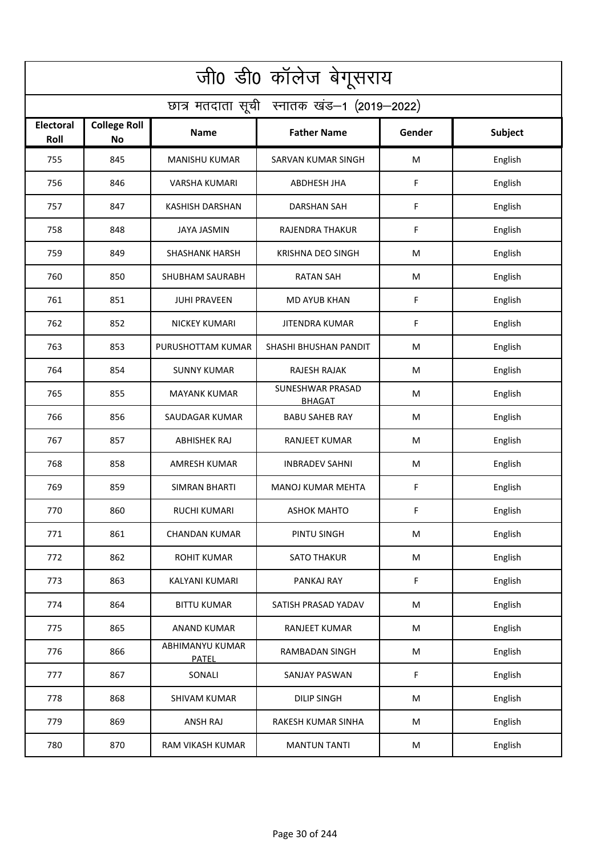| जी0 डी0 कॉलेज बेगूसराय                     |                                  |                                 |                                   |           |                |  |  |  |
|--------------------------------------------|----------------------------------|---------------------------------|-----------------------------------|-----------|----------------|--|--|--|
| छात्र मतदाता सूची स्नातक खंड-1 (2019-2022) |                                  |                                 |                                   |           |                |  |  |  |
| <b>Electoral</b><br>Roll                   | <b>College Roll</b><br><b>No</b> | Name                            | <b>Father Name</b>                | Gender    | <b>Subject</b> |  |  |  |
| 755                                        | 845                              | <b>MANISHU KUMAR</b>            | SARVAN KUMAR SINGH                | M         | English        |  |  |  |
| 756                                        | 846                              | <b>VARSHA KUMARI</b>            | ABDHESH JHA                       | F         | English        |  |  |  |
| 757                                        | 847                              | <b>KASHISH DARSHAN</b>          | DARSHAN SAH                       | F         | English        |  |  |  |
| 758                                        | 848                              | <b>JAYA JASMIN</b>              | RAJENDRA THAKUR                   | F         | English        |  |  |  |
| 759                                        | 849                              | <b>SHASHANK HARSH</b>           | <b>KRISHNA DEO SINGH</b>          | M         | English        |  |  |  |
| 760                                        | 850                              | <b>SHUBHAM SAURABH</b>          | <b>RATAN SAH</b>                  | M         | English        |  |  |  |
| 761                                        | 851                              | <b>JUHI PRAVEEN</b>             | <b>MD AYUB KHAN</b>               | F         | English        |  |  |  |
| 762                                        | 852                              | <b>NICKEY KUMARI</b>            | <b>JITENDRA KUMAR</b>             | F         | English        |  |  |  |
| 763                                        | 853                              | PURUSHOTTAM KUMAR               | SHASHI BHUSHAN PANDIT             | M         | English        |  |  |  |
| 764                                        | 854                              | <b>SUNNY KUMAR</b>              | RAJESH RAJAK                      | M         | English        |  |  |  |
| 765                                        | 855                              | <b>MAYANK KUMAR</b>             | SUNESHWAR PRASAD<br><b>BHAGAT</b> | M         | English        |  |  |  |
| 766                                        | 856                              | SAUDAGAR KUMAR                  | <b>BABU SAHEB RAY</b>             | M         | English        |  |  |  |
| 767                                        | 857                              | ABHISHEK RAJ                    | <b>RANJEET KUMAR</b>              | M         | English        |  |  |  |
| 768                                        | 858                              | <b>AMRESH KUMAR</b>             | <b>INBRADEV SAHNI</b>             | M         | English        |  |  |  |
| 769                                        | 859                              | SIMRAN BHARTI                   | MANOJ KUMAR MEHTA                 | F         | English        |  |  |  |
| 770                                        | 860                              | <b>RUCHI KUMARI</b>             | <b>ASHOK MAHTO</b>                | F         | English        |  |  |  |
| 771                                        | 861                              | <b>CHANDAN KUMAR</b>            | PINTU SINGH                       | M         | English        |  |  |  |
| 772                                        | 862                              | <b>ROHIT KUMAR</b>              | <b>SATO THAKUR</b>                | ${\sf M}$ | English        |  |  |  |
| 773                                        | 863                              | KALYANI KUMARI                  | PANKAJ RAY                        | F         | English        |  |  |  |
| 774                                        | 864                              | <b>BITTU KUMAR</b>              | SATISH PRASAD YADAV               | ${\sf M}$ | English        |  |  |  |
| 775                                        | 865                              | <b>ANAND KUMAR</b>              | RANJEET KUMAR                     | ${\sf M}$ | English        |  |  |  |
| 776                                        | 866                              | ABHIMANYU KUMAR<br><b>PATEL</b> | <b>RAMBADAN SINGH</b>             | M         | English        |  |  |  |
| 777                                        | 867                              | SONALI                          | <b>SANJAY PASWAN</b>              | F         | English        |  |  |  |
| 778                                        | 868                              | <b>SHIVAM KUMAR</b>             | <b>DILIP SINGH</b>                | M         | English        |  |  |  |
| 779                                        | 869                              | ANSH RAJ                        | RAKESH KUMAR SINHA                | M         | English        |  |  |  |
| 780                                        | 870                              | RAM VIKASH KUMAR                | <b>MANTUN TANTI</b>               | M         | English        |  |  |  |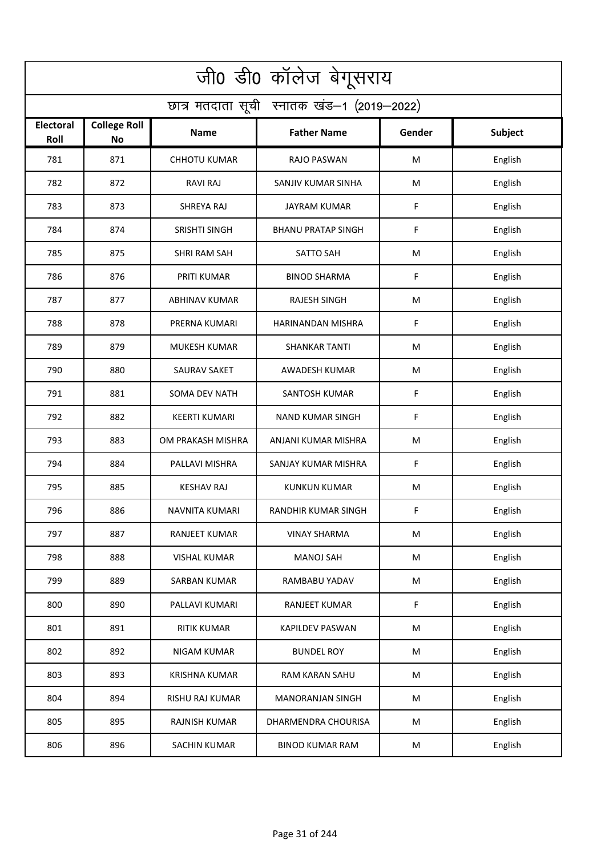| जी0 डी0 कॉलेज बेगूसराय                     |                           |                      |                           |        |                |  |  |  |
|--------------------------------------------|---------------------------|----------------------|---------------------------|--------|----------------|--|--|--|
| छात्र मतदाता सूची स्नातक खंड-1 (2019-2022) |                           |                      |                           |        |                |  |  |  |
| <b>Electoral</b><br>Roll                   | <b>College Roll</b><br>No | <b>Name</b>          | <b>Father Name</b>        | Gender | <b>Subject</b> |  |  |  |
| 781                                        | 871                       | <b>CHHOTU KUMAR</b>  | RAJO PASWAN               | M      | English        |  |  |  |
| 782                                        | 872                       | <b>RAVI RAJ</b>      | SANJIV KUMAR SINHA        | M      | English        |  |  |  |
| 783                                        | 873                       | SHREYA RAJ           | <b>JAYRAM KUMAR</b>       | F      | English        |  |  |  |
| 784                                        | 874                       | <b>SRISHTI SINGH</b> | <b>BHANU PRATAP SINGH</b> | F      | English        |  |  |  |
| 785                                        | 875                       | <b>SHRI RAM SAH</b>  | <b>SATTO SAH</b>          | M      | English        |  |  |  |
| 786                                        | 876                       | PRITI KUMAR          | <b>BINOD SHARMA</b>       | F      | English        |  |  |  |
| 787                                        | 877                       | <b>ABHINAV KUMAR</b> | <b>RAJESH SINGH</b>       | M      | English        |  |  |  |
| 788                                        | 878                       | PRERNA KUMARI        | HARINANDAN MISHRA         | F      | English        |  |  |  |
| 789                                        | 879                       | <b>MUKESH KUMAR</b>  | <b>SHANKAR TANTI</b>      | M      | English        |  |  |  |
| 790                                        | 880                       | <b>SAURAV SAKET</b>  | AWADESH KUMAR             | M      | English        |  |  |  |
| 791                                        | 881                       | <b>SOMA DEV NATH</b> | <b>SANTOSH KUMAR</b>      | F      | English        |  |  |  |
| 792                                        | 882                       | <b>KEERTI KUMARI</b> | <b>NAND KUMAR SINGH</b>   | F      | English        |  |  |  |
| 793                                        | 883                       | OM PRAKASH MISHRA    | ANJANI KUMAR MISHRA       | M      | English        |  |  |  |
| 794                                        | 884                       | PALLAVI MISHRA       | SANJAY KUMAR MISHRA       | F      | English        |  |  |  |
| 795                                        | 885                       | <b>KESHAV RAJ</b>    | <b>KUNKUN KUMAR</b>       | M      | English        |  |  |  |
| 796                                        | 886                       | NAVNITA KUMARI       | RANDHIR KUMAR SINGH       | F      | English        |  |  |  |
| 797                                        | 887                       | RANJEET KUMAR        | <b>VINAY SHARMA</b>       | M      | English        |  |  |  |
| 798                                        | 888                       | <b>VISHAL KUMAR</b>  | <b>MANOJ SAH</b>          | M      | English        |  |  |  |
| 799                                        | 889                       | <b>SARBAN KUMAR</b>  | RAMBABU YADAV             | M      | English        |  |  |  |
| 800                                        | 890                       | PALLAVI KUMARI       | RANJEET KUMAR             | F      | English        |  |  |  |
| 801                                        | 891                       | <b>RITIK KUMAR</b>   | <b>KAPILDEV PASWAN</b>    | M      | English        |  |  |  |
| 802                                        | 892                       | NIGAM KUMAR          | <b>BUNDEL ROY</b>         | M      | English        |  |  |  |
| 803                                        | 893                       | <b>KRISHNA KUMAR</b> | RAM KARAN SAHU            | M      | English        |  |  |  |
| 804                                        | 894                       | RISHU RAJ KUMAR      | <b>MANORANJAN SINGH</b>   | M      | English        |  |  |  |
| 805                                        | 895                       | RAJNISH KUMAR        | DHARMENDRA CHOURISA       | M      | English        |  |  |  |
| 806                                        | 896                       | <b>SACHIN KUMAR</b>  | <b>BINOD KUMAR RAM</b>    | M      | English        |  |  |  |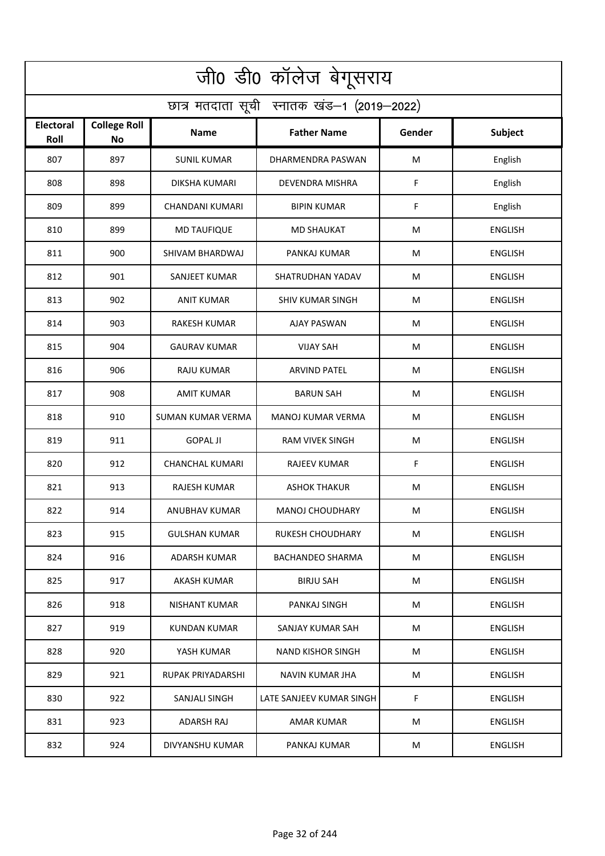| जी0 डी0 कॉलेज बेगूसराय                     |                                  |                          |                          |        |                |  |  |  |
|--------------------------------------------|----------------------------------|--------------------------|--------------------------|--------|----------------|--|--|--|
| छात्र मतदाता सूची स्नातक खंड-1 (2019-2022) |                                  |                          |                          |        |                |  |  |  |
| <b>Electoral</b><br>Roll                   | <b>College Roll</b><br><b>No</b> | Name                     | <b>Father Name</b>       | Gender | <b>Subject</b> |  |  |  |
| 807                                        | 897                              | <b>SUNIL KUMAR</b>       | DHARMENDRA PASWAN        | M      | English        |  |  |  |
| 808                                        | 898                              | <b>DIKSHA KUMARI</b>     | DEVENDRA MISHRA          | F      | English        |  |  |  |
| 809                                        | 899                              | CHANDANI KUMARI          | <b>BIPIN KUMAR</b>       | F      | English        |  |  |  |
| 810                                        | 899                              | <b>MD TAUFIQUE</b>       | <b>MD SHAUKAT</b>        | M      | <b>ENGLISH</b> |  |  |  |
| 811                                        | 900                              | SHIVAM BHARDWAJ          | PANKAJ KUMAR             | M      | <b>ENGLISH</b> |  |  |  |
| 812                                        | 901                              | SANJEET KUMAR            | SHATRUDHAN YADAV         | M      | <b>ENGLISH</b> |  |  |  |
| 813                                        | 902                              | <b>ANIT KUMAR</b>        | <b>SHIV KUMAR SINGH</b>  | M      | <b>ENGLISH</b> |  |  |  |
| 814                                        | 903                              | <b>RAKESH KUMAR</b>      | <b>AJAY PASWAN</b>       | M      | <b>ENGLISH</b> |  |  |  |
| 815                                        | 904                              | <b>GAURAV KUMAR</b>      | <b>VIJAY SAH</b>         | M      | <b>ENGLISH</b> |  |  |  |
| 816                                        | 906                              | RAJU KUMAR               | <b>ARVIND PATEL</b>      | M      | <b>ENGLISH</b> |  |  |  |
| 817                                        | 908                              | <b>AMIT KUMAR</b>        | <b>BARUN SAH</b>         | M      | <b>ENGLISH</b> |  |  |  |
| 818                                        | 910                              | <b>SUMAN KUMAR VERMA</b> | MANOJ KUMAR VERMA        | M      | <b>ENGLISH</b> |  |  |  |
| 819                                        | 911                              | <b>GOPAL JI</b>          | <b>RAM VIVEK SINGH</b>   | M      | <b>ENGLISH</b> |  |  |  |
| 820                                        | 912                              | <b>CHANCHAL KUMARI</b>   | RAJEEV KUMAR             | F      | <b>ENGLISH</b> |  |  |  |
| 821                                        | 913                              | <b>RAJESH KUMAR</b>      | <b>ASHOK THAKUR</b>      | M      | <b>ENGLISH</b> |  |  |  |
| 822                                        | 914                              | ANUBHAV KUMAR            | MANOJ CHOUDHARY          | M      | <b>ENGLISH</b> |  |  |  |
| 823                                        | 915                              | <b>GULSHAN KUMAR</b>     | <b>RUKESH CHOUDHARY</b>  | M      | ENGLISH        |  |  |  |
| 824                                        | 916                              | <b>ADARSH KUMAR</b>      | <b>BACHANDEO SHARMA</b>  | M      | <b>ENGLISH</b> |  |  |  |
| 825                                        | 917                              | AKASH KUMAR              | <b>BIRJU SAH</b>         | M      | ENGLISH        |  |  |  |
| 826                                        | 918                              | NISHANT KUMAR            | PANKAJ SINGH             | M      | <b>ENGLISH</b> |  |  |  |
| 827                                        | 919                              | <b>KUNDAN KUMAR</b>      | SANJAY KUMAR SAH         | M      | <b>ENGLISH</b> |  |  |  |
| 828                                        | 920                              | YASH KUMAR               | <b>NAND KISHOR SINGH</b> | M      | ENGLISH        |  |  |  |
| 829                                        | 921                              | RUPAK PRIYADARSHI        | NAVIN KUMAR JHA          | M      | <b>ENGLISH</b> |  |  |  |
| 830                                        | 922                              | SANJALI SINGH            | LATE SANJEEV KUMAR SINGH | F.     | <b>ENGLISH</b> |  |  |  |
| 831                                        | 923                              | ADARSH RAJ               | AMAR KUMAR               | M      | ENGLISH        |  |  |  |
| 832                                        | 924                              | DIVYANSHU KUMAR          | PANKAJ KUMAR             | M      | <b>ENGLISH</b> |  |  |  |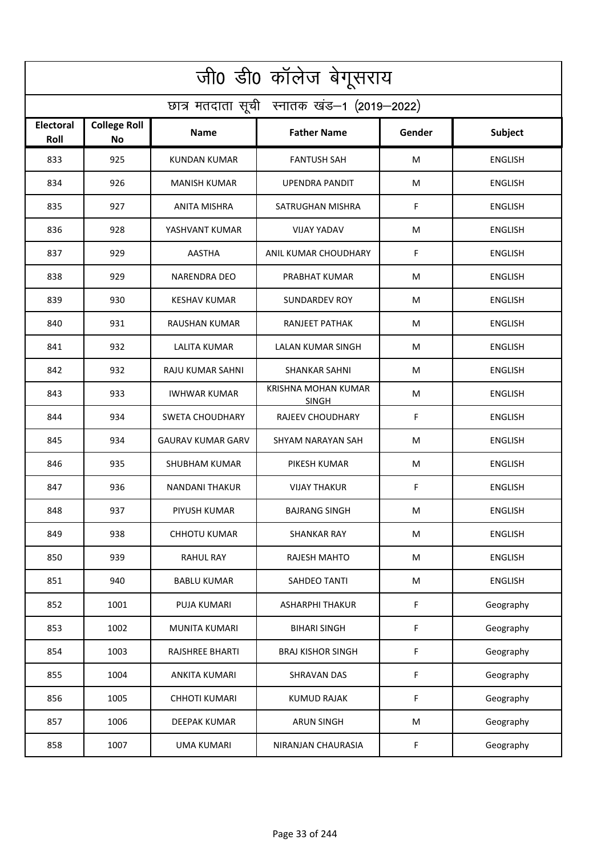| जी0 डी0 कॉलेज बेगूसराय                     |                                  |                          |                                     |           |                |  |  |  |
|--------------------------------------------|----------------------------------|--------------------------|-------------------------------------|-----------|----------------|--|--|--|
| छात्र मतदाता सूची स्नातक खंड-1 (2019-2022) |                                  |                          |                                     |           |                |  |  |  |
| <b>Electoral</b><br>Roll                   | <b>College Roll</b><br><b>No</b> | Name                     | <b>Father Name</b>                  | Gender    | <b>Subject</b> |  |  |  |
| 833                                        | 925                              | <b>KUNDAN KUMAR</b>      | <b>FANTUSH SAH</b>                  | M         | <b>ENGLISH</b> |  |  |  |
| 834                                        | 926                              | <b>MANISH KUMAR</b>      | <b>UPENDRA PANDIT</b>               | M         | <b>ENGLISH</b> |  |  |  |
| 835                                        | 927                              | ANITA MISHRA             | SATRUGHAN MISHRA                    | F         | <b>ENGLISH</b> |  |  |  |
| 836                                        | 928                              | YASHVANT KUMAR           | <b>VIJAY YADAV</b>                  | М         | <b>ENGLISH</b> |  |  |  |
| 837                                        | 929                              | <b>AASTHA</b>            | ANIL KUMAR CHOUDHARY                | F         | <b>ENGLISH</b> |  |  |  |
| 838                                        | 929                              | <b>NARENDRA DEO</b>      | PRABHAT KUMAR                       | M         | <b>ENGLISH</b> |  |  |  |
| 839                                        | 930                              | <b>KESHAV KUMAR</b>      | <b>SUNDARDEV ROY</b>                | M         | <b>ENGLISH</b> |  |  |  |
| 840                                        | 931                              | RAUSHAN KUMAR            | RANJEET PATHAK                      | M         | <b>ENGLISH</b> |  |  |  |
| 841                                        | 932                              | <b>LALITA KUMAR</b>      | LALAN KUMAR SINGH                   | M         | <b>ENGLISH</b> |  |  |  |
| 842                                        | 932                              | RAJU KUMAR SAHNI         | <b>SHANKAR SAHNI</b>                | M         | <b>ENGLISH</b> |  |  |  |
| 843                                        | 933                              | <b>IWHWAR KUMAR</b>      | KRISHNA MOHAN KUMAR<br><b>SINGH</b> | M         | ENGLISH        |  |  |  |
| 844                                        | 934                              | <b>SWETA CHOUDHARY</b>   | <b>RAJEEV CHOUDHARY</b>             | F         | <b>ENGLISH</b> |  |  |  |
| 845                                        | 934                              | <b>GAURAV KUMAR GARV</b> | SHYAM NARAYAN SAH                   | M         | <b>ENGLISH</b> |  |  |  |
| 846                                        | 935                              | SHUBHAM KUMAR            | PIKESH KUMAR                        | M         | <b>ENGLISH</b> |  |  |  |
| 847                                        | 936                              | NANDANI THAKUR           | <b>VIJAY THAKUR</b>                 | F         | <b>ENGLISH</b> |  |  |  |
| 848                                        | 937                              | PIYUSH KUMAR             | <b>BAJRANG SINGH</b>                | M         | <b>ENGLISH</b> |  |  |  |
| 849                                        | 938                              | <b>CHHOTU KUMAR</b>      | SHANKAR RAY                         | M         | <b>ENGLISH</b> |  |  |  |
| 850                                        | 939                              | <b>RAHUL RAY</b>         | RAJESH MAHTO                        | M         | <b>ENGLISH</b> |  |  |  |
| 851                                        | 940                              | <b>BABLU KUMAR</b>       | SAHDEO TANTI                        | ${\sf M}$ | <b>ENGLISH</b> |  |  |  |
| 852                                        | 1001                             | PUJA KUMARI              | <b>ASHARPHI THAKUR</b>              | F         | Geography      |  |  |  |
| 853                                        | 1002                             | MUNITA KUMARI            | <b>BIHARI SINGH</b>                 | F         | Geography      |  |  |  |
| 854                                        | 1003                             | <b>RAJSHREE BHARTI</b>   | <b>BRAJ KISHOR SINGH</b>            | F         | Geography      |  |  |  |
| 855                                        | 1004                             | <b>ANKITA KUMARI</b>     | <b>SHRAVAN DAS</b>                  | F         | Geography      |  |  |  |
| 856                                        | 1005                             | <b>CHHOTI KUMARI</b>     | <b>KUMUD RAJAK</b>                  | F         | Geography      |  |  |  |
| 857                                        | 1006                             | DEEPAK KUMAR             | <b>ARUN SINGH</b>                   | M         | Geography      |  |  |  |
| 858                                        | 1007                             | <b>UMA KUMARI</b>        | NIRANJAN CHAURASIA                  | F         | Geography      |  |  |  |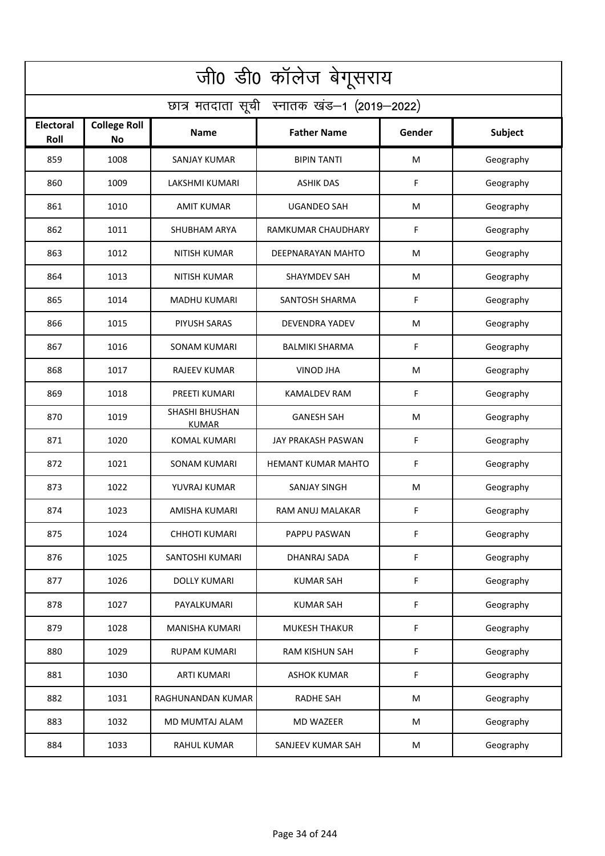| जी0 डी0 कॉलेज बेगूसराय                     |                                  |                                |                           |        |           |  |  |  |
|--------------------------------------------|----------------------------------|--------------------------------|---------------------------|--------|-----------|--|--|--|
| छात्र मतदाता सूची स्नातक खंड-1 (2019-2022) |                                  |                                |                           |        |           |  |  |  |
| <b>Electoral</b><br>Roll                   | <b>College Roll</b><br><b>No</b> | <b>Name</b>                    | <b>Father Name</b>        | Gender | Subject   |  |  |  |
| 859                                        | 1008                             | <b>SANJAY KUMAR</b>            | <b>BIPIN TANTI</b>        | M      | Geography |  |  |  |
| 860                                        | 1009                             | <b>LAKSHMI KUMARI</b>          | <b>ASHIK DAS</b>          | F      | Geography |  |  |  |
| 861                                        | 1010                             | <b>AMIT KUMAR</b>              | <b>UGANDEO SAH</b>        | M      | Geography |  |  |  |
| 862                                        | 1011                             | <b>SHUBHAM ARYA</b>            | RAMKUMAR CHAUDHARY        | F      | Geography |  |  |  |
| 863                                        | 1012                             | <b>NITISH KUMAR</b>            | DEEPNARAYAN MAHTO         | M      | Geography |  |  |  |
| 864                                        | 1013                             | <b>NITISH KUMAR</b>            | <b>SHAYMDEV SAH</b>       | M      | Geography |  |  |  |
| 865                                        | 1014                             | <b>MADHU KUMARI</b>            | SANTOSH SHARMA            | F      | Geography |  |  |  |
| 866                                        | 1015                             | PIYUSH SARAS                   | <b>DEVENDRA YADEV</b>     | M      | Geography |  |  |  |
| 867                                        | 1016                             | <b>SONAM KUMARI</b>            | <b>BALMIKI SHARMA</b>     | F      | Geography |  |  |  |
| 868                                        | 1017                             | <b>RAJEEV KUMAR</b>            | <b>VINOD JHA</b>          | M      | Geography |  |  |  |
| 869                                        | 1018                             | PREETI KUMARI                  | <b>KAMALDEV RAM</b>       | F      | Geography |  |  |  |
| 870                                        | 1019                             | SHASHI BHUSHAN<br><b>KUMAR</b> | <b>GANESH SAH</b>         | M      | Geography |  |  |  |
| 871                                        | 1020                             | <b>KOMAL KUMARI</b>            | JAY PRAKASH PASWAN        | F      | Geography |  |  |  |
| 872                                        | 1021                             | <b>SONAM KUMARI</b>            | <b>HEMANT KUMAR MAHTO</b> | F      | Geography |  |  |  |
| 873                                        | 1022                             | YUVRAJ KUMAR                   | SANJAY SINGH              | M      | Geography |  |  |  |
| 874                                        | 1023                             | AMISHA KUMARI                  | RAM ANUJ MALAKAR          | F.     | Geography |  |  |  |
| 875                                        | 1024                             | <b>CHHOTI KUMARI</b>           | PAPPU PASWAN              | F      | Geography |  |  |  |
| 876                                        | 1025                             | SANTOSHI KUMARI                | DHANRAJ SADA              | F      | Geography |  |  |  |
| 877                                        | 1026                             | DOLLY KUMARI                   | <b>KUMAR SAH</b>          | F      | Geography |  |  |  |
| 878                                        | 1027                             | PAYALKUMARI                    | <b>KUMAR SAH</b>          | F      | Geography |  |  |  |
| 879                                        | 1028                             | <b>MANISHA KUMARI</b>          | <b>MUKESH THAKUR</b>      | F      | Geography |  |  |  |
| 880                                        | 1029                             | RUPAM KUMARI                   | <b>RAM KISHUN SAH</b>     | F      | Geography |  |  |  |
| 881                                        | 1030                             | <b>ARTI KUMARI</b>             | <b>ASHOK KUMAR</b>        | F      | Geography |  |  |  |
| 882                                        | 1031                             | RAGHUNANDAN KUMAR              | <b>RADHE SAH</b>          | M      | Geography |  |  |  |
| 883                                        | 1032                             | MD MUMTAJ ALAM                 | MD WAZEER                 | M      | Geography |  |  |  |
| 884                                        | 1033                             | <b>RAHUL KUMAR</b>             | SANJEEV KUMAR SAH         | M      | Geography |  |  |  |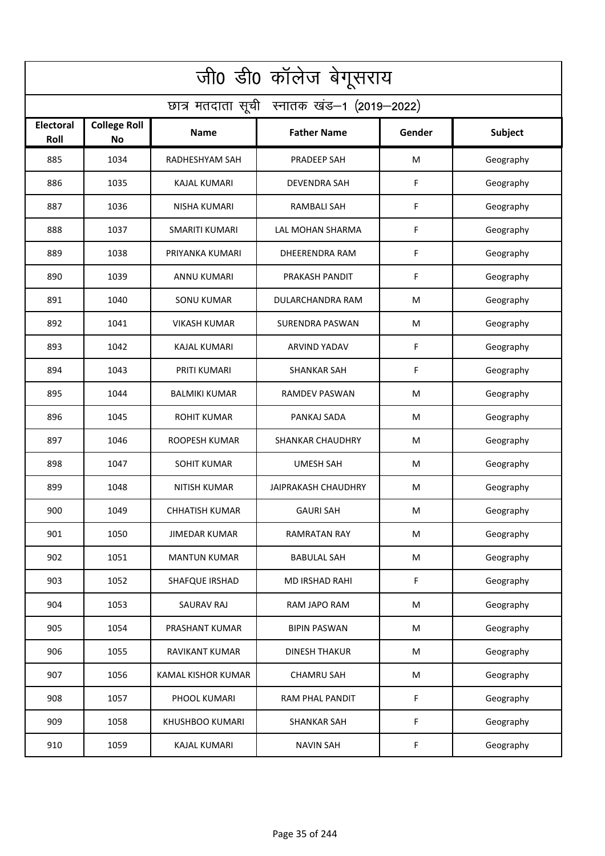| जी0 डी0 कॉलेज बेगूसराय                     |                                  |                       |                            |        |                |  |  |  |
|--------------------------------------------|----------------------------------|-----------------------|----------------------------|--------|----------------|--|--|--|
| छात्र मतदाता सूची स्नातक खंड-1 (2019-2022) |                                  |                       |                            |        |                |  |  |  |
| Electoral<br>Roll                          | <b>College Roll</b><br><b>No</b> | <b>Name</b>           | <b>Father Name</b>         | Gender | <b>Subject</b> |  |  |  |
| 885                                        | 1034                             | RADHESHYAM SAH        | PRADEEP SAH                | M      | Geography      |  |  |  |
| 886                                        | 1035                             | <b>KAJAL KUMARI</b>   | <b>DEVENDRA SAH</b>        | F      | Geography      |  |  |  |
| 887                                        | 1036                             | <b>NISHA KUMARI</b>   | RAMBALI SAH                | F      | Geography      |  |  |  |
| 888                                        | 1037                             | <b>SMARITI KUMARI</b> | LAL MOHAN SHARMA           | F      | Geography      |  |  |  |
| 889                                        | 1038                             | PRIYANKA KUMARI       | DHEERENDRA RAM             | F      | Geography      |  |  |  |
| 890                                        | 1039                             | <b>ANNU KUMARI</b>    | PRAKASH PANDIT             | F      | Geography      |  |  |  |
| 891                                        | 1040                             | <b>SONU KUMAR</b>     | DULARCHANDRA RAM           | M      | Geography      |  |  |  |
| 892                                        | 1041                             | <b>VIKASH KUMAR</b>   | <b>SURENDRA PASWAN</b>     | M      | Geography      |  |  |  |
| 893                                        | 1042                             | <b>KAJAL KUMARI</b>   | <b>ARVIND YADAV</b>        | F      | Geography      |  |  |  |
| 894                                        | 1043                             | PRITI KUMARI          | <b>SHANKAR SAH</b>         | F      | Geography      |  |  |  |
| 895                                        | 1044                             | <b>BALMIKI KUMAR</b>  | <b>RAMDEV PASWAN</b>       | M      | Geography      |  |  |  |
| 896                                        | 1045                             | <b>ROHIT KUMAR</b>    | PANKAJ SADA                | M      | Geography      |  |  |  |
| 897                                        | 1046                             | ROOPESH KUMAR         | <b>SHANKAR CHAUDHRY</b>    | M      | Geography      |  |  |  |
| 898                                        | 1047                             | <b>SOHIT KUMAR</b>    | <b>UMESH SAH</b>           | M      | Geography      |  |  |  |
| 899                                        | 1048                             | NITISH KUMAR          | <b>JAIPRAKASH CHAUDHRY</b> | M      | Geography      |  |  |  |
| 900                                        | 1049                             | <b>CHHATISH KUMAR</b> | <b>GAURI SAH</b>           | M      | Geography      |  |  |  |
| 901                                        | 1050                             | JIMEDAR KUMAR         | RAMRATAN RAY               | М      | Geography      |  |  |  |
| 902                                        | 1051                             | <b>MANTUN KUMAR</b>   | <b>BABULAL SAH</b>         | M      | Geography      |  |  |  |
| 903                                        | 1052                             | SHAFQUE IRSHAD        | MD IRSHAD RAHI             | F      | Geography      |  |  |  |
| 904                                        | 1053                             | <b>SAURAV RAJ</b>     | RAM JAPO RAM               | M      | Geography      |  |  |  |
| 905                                        | 1054                             | PRASHANT KUMAR        | <b>BIPIN PASWAN</b>        | M      | Geography      |  |  |  |
| 906                                        | 1055                             | <b>RAVIKANT KUMAR</b> | DINESH THAKUR              | M      | Geography      |  |  |  |
| 907                                        | 1056                             | KAMAL KISHOR KUMAR    | <b>CHAMRU SAH</b>          | M      | Geography      |  |  |  |
| 908                                        | 1057                             | PHOOL KUMARI          | RAM PHAL PANDIT            | F      | Geography      |  |  |  |
| 909                                        | 1058                             | KHUSHBOO KUMARI       | <b>SHANKAR SAH</b>         | F      | Geography      |  |  |  |
| 910                                        | 1059                             | <b>KAJAL KUMARI</b>   | <b>NAVIN SAH</b>           | F      | Geography      |  |  |  |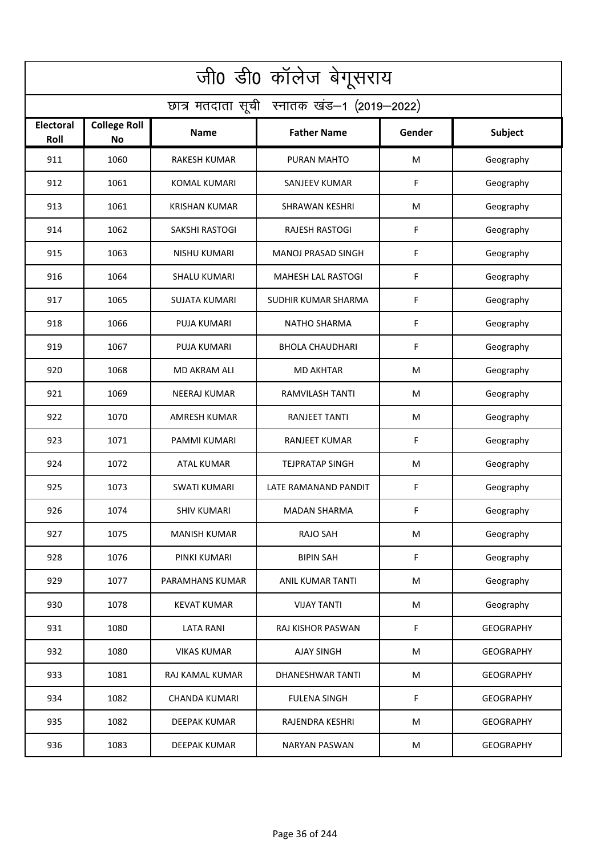| जी0 डी0 कॉलेज बेगूसराय                     |                                  |                      |                           |        |                  |  |  |  |
|--------------------------------------------|----------------------------------|----------------------|---------------------------|--------|------------------|--|--|--|
| छात्र मतदाता सूची स्नातक खंड-1 (2019-2022) |                                  |                      |                           |        |                  |  |  |  |
| <b>Electoral</b><br>Roll                   | <b>College Roll</b><br><b>No</b> | Name                 | <b>Father Name</b>        | Gender | <b>Subject</b>   |  |  |  |
| 911                                        | 1060                             | <b>RAKESH KUMAR</b>  | PURAN MAHTO               | M      | Geography        |  |  |  |
| 912                                        | 1061                             | <b>KOMAL KUMARI</b>  | <b>SANJEEV KUMAR</b>      | F      | Geography        |  |  |  |
| 913                                        | 1061                             | <b>KRISHAN KUMAR</b> | SHRAWAN KESHRI            | M      | Geography        |  |  |  |
| 914                                        | 1062                             | SAKSHI RASTOGI       | <b>RAJESH RASTOGI</b>     | F      | Geography        |  |  |  |
| 915                                        | 1063                             | <b>NISHU KUMARI</b>  | MANOJ PRASAD SINGH        | F      | Geography        |  |  |  |
| 916                                        | 1064                             | <b>SHALU KUMARI</b>  | <b>MAHESH LAL RASTOGI</b> | F      | Geography        |  |  |  |
| 917                                        | 1065                             | <b>SUJATA KUMARI</b> | SUDHIR KUMAR SHARMA       | F      | Geography        |  |  |  |
| 918                                        | 1066                             | <b>PUJA KUMARI</b>   | <b>NATHO SHARMA</b>       | F      | Geography        |  |  |  |
| 919                                        | 1067                             | <b>PUJA KUMARI</b>   | <b>BHOLA CHAUDHARI</b>    | F      | Geography        |  |  |  |
| 920                                        | 1068                             | <b>MD AKRAM ALI</b>  | <b>MD AKHTAR</b>          | M      | Geography        |  |  |  |
| 921                                        | 1069                             | <b>NEERAJ KUMAR</b>  | <b>RAMVILASH TANTI</b>    | M      | Geography        |  |  |  |
| 922                                        | 1070                             | <b>AMRESH KUMAR</b>  | RANJEET TANTI             | M      | Geography        |  |  |  |
| 923                                        | 1071                             | PAMMI KUMARI         | RANJEET KUMAR             | F      | Geography        |  |  |  |
| 924                                        | 1072                             | <b>ATAL KUMAR</b>    | <b>TEJPRATAP SINGH</b>    | M      | Geography        |  |  |  |
| 925                                        | 1073                             | SWATI KUMARI         | LATE RAMANAND PANDIT      | F      | Geography        |  |  |  |
| 926                                        | 1074                             | <b>SHIV KUMARI</b>   | MADAN SHARMA              | F.     | Geography        |  |  |  |
| 927                                        | 1075                             | <b>MANISH KUMAR</b>  | <b>RAJO SAH</b>           | M      | Geography        |  |  |  |
| 928                                        | 1076                             | PINKI KUMARI         | <b>BIPIN SAH</b>          | F      | Geography        |  |  |  |
| 929                                        | 1077                             | PARAMHANS KUMAR      | ANIL KUMAR TANTI          | M      | Geography        |  |  |  |
| 930                                        | 1078                             | <b>KEVAT KUMAR</b>   | <b>VIJAY TANTI</b>        | M      | Geography        |  |  |  |
| 931                                        | 1080                             | <b>LATA RANI</b>     | RAJ KISHOR PASWAN         | F      | <b>GEOGRAPHY</b> |  |  |  |
| 932                                        | 1080                             | <b>VIKAS KUMAR</b>   | <b>AJAY SINGH</b>         | М      | <b>GEOGRAPHY</b> |  |  |  |
| 933                                        | 1081                             | RAJ KAMAL KUMAR      | <b>DHANESHWAR TANTI</b>   | M      | <b>GEOGRAPHY</b> |  |  |  |
| 934                                        | 1082                             | <b>CHANDA KUMARI</b> | <b>FULENA SINGH</b>       | F      | <b>GEOGRAPHY</b> |  |  |  |
| 935                                        | 1082                             | DEEPAK KUMAR         | RAJENDRA KESHRI           | M      | <b>GEOGRAPHY</b> |  |  |  |
| 936                                        | 1083                             | <b>DEEPAK KUMAR</b>  | <b>NARYAN PASWAN</b>      | M      | <b>GEOGRAPHY</b> |  |  |  |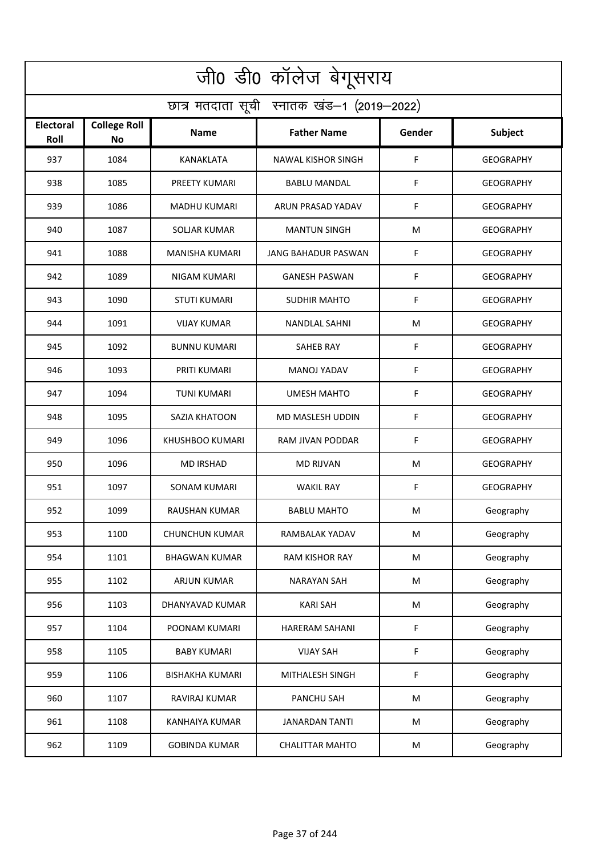| जी0 डी0 कॉलेज बेगूसराय                     |                                  |                        |                            |        |                  |  |  |  |
|--------------------------------------------|----------------------------------|------------------------|----------------------------|--------|------------------|--|--|--|
| छात्र मतदाता सूची स्नातक खंड-1 (2019-2022) |                                  |                        |                            |        |                  |  |  |  |
| Electoral<br>Roll                          | <b>College Roll</b><br><b>No</b> | <b>Name</b>            | <b>Father Name</b>         | Gender | Subject          |  |  |  |
| 937                                        | 1084                             | KANAKLATA              | <b>NAWAL KISHOR SINGH</b>  | F      | <b>GEOGRAPHY</b> |  |  |  |
| 938                                        | 1085                             | PREETY KUMARI          | <b>BABLU MANDAL</b>        | F      | <b>GEOGRAPHY</b> |  |  |  |
| 939                                        | 1086                             | <b>MADHU KUMARI</b>    | ARUN PRASAD YADAV          | F      | <b>GEOGRAPHY</b> |  |  |  |
| 940                                        | 1087                             | <b>SOLJAR KUMAR</b>    | <b>MANTUN SINGH</b>        | M      | <b>GEOGRAPHY</b> |  |  |  |
| 941                                        | 1088                             | <b>MANISHA KUMARI</b>  | <b>JANG BAHADUR PASWAN</b> | F      | <b>GEOGRAPHY</b> |  |  |  |
| 942                                        | 1089                             | <b>NIGAM KUMARI</b>    | <b>GANESH PASWAN</b>       | F      | <b>GEOGRAPHY</b> |  |  |  |
| 943                                        | 1090                             | <b>STUTI KUMARI</b>    | <b>SUDHIR MAHTO</b>        | F      | <b>GEOGRAPHY</b> |  |  |  |
| 944                                        | 1091                             | <b>VIJAY KUMAR</b>     | <b>NANDLAL SAHNI</b>       | M      | <b>GEOGRAPHY</b> |  |  |  |
| 945                                        | 1092                             | <b>BUNNU KUMARI</b>    | <b>SAHEB RAY</b>           | F      | <b>GEOGRAPHY</b> |  |  |  |
| 946                                        | 1093                             | PRITI KUMARI           | <b>MANOJ YADAV</b>         | F      | <b>GEOGRAPHY</b> |  |  |  |
| 947                                        | 1094                             | <b>TUNI KUMARI</b>     | <b>UMESH MAHTO</b>         | F      | <b>GEOGRAPHY</b> |  |  |  |
| 948                                        | 1095                             | SAZIA KHATOON          | MD MASLESH UDDIN           | F      | <b>GEOGRAPHY</b> |  |  |  |
| 949                                        | 1096                             | KHUSHBOO KUMARI        | RAM JIVAN PODDAR           | F      | <b>GEOGRAPHY</b> |  |  |  |
| 950                                        | 1096                             | <b>MD IRSHAD</b>       | <b>MD RIJVAN</b>           | M      | <b>GEOGRAPHY</b> |  |  |  |
| 951                                        | 1097                             | SONAM KUMARI           | <b>WAKIL RAY</b>           | F      | <b>GEOGRAPHY</b> |  |  |  |
| 952                                        | 1099                             | RAUSHAN KUMAR          | <b>BABLU MAHTO</b>         | M      | Geography        |  |  |  |
| 953                                        | 1100                             | <b>CHUNCHUN KUMAR</b>  | RAMBALAK YADAV             | M      | Geography        |  |  |  |
| 954                                        | 1101                             | <b>BHAGWAN KUMAR</b>   | RAM KISHOR RAY             | M      | Geography        |  |  |  |
| 955                                        | 1102                             | ARJUN KUMAR            | <b>NARAYAN SAH</b>         | M      | Geography        |  |  |  |
| 956                                        | 1103                             | DHANYAVAD KUMAR        | <b>KARI SAH</b>            | M      | Geography        |  |  |  |
| 957                                        | 1104                             | POONAM KUMARI          | <b>HARERAM SAHANI</b>      | F      | Geography        |  |  |  |
| 958                                        | 1105                             | <b>BABY KUMARI</b>     | <b>VIJAY SAH</b>           | F      | Geography        |  |  |  |
| 959                                        | 1106                             | <b>BISHAKHA KUMARI</b> | MITHALESH SINGH            | F      | Geography        |  |  |  |
| 960                                        | 1107                             | RAVIRAJ KUMAR          | PANCHU SAH                 | M      | Geography        |  |  |  |
| 961                                        | 1108                             | KANHAIYA KUMAR         | <b>JANARDAN TANTI</b>      | M      | Geography        |  |  |  |
| 962                                        | 1109                             | <b>GOBINDA KUMAR</b>   | <b>CHALITTAR MAHTO</b>     | M      | Geography        |  |  |  |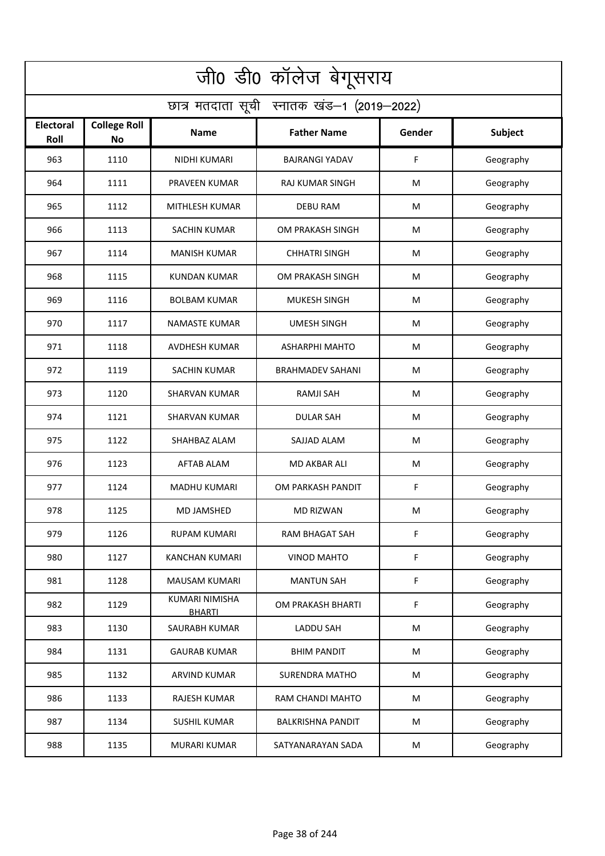| जी0 डी0 कॉलेज बेगूसराय                     |                                  |                                 |                          |        |                |  |  |  |
|--------------------------------------------|----------------------------------|---------------------------------|--------------------------|--------|----------------|--|--|--|
| छात्र मतदाता सूची स्नातक खंड-1 (2019-2022) |                                  |                                 |                          |        |                |  |  |  |
| Electoral<br>Roll                          | <b>College Roll</b><br><b>No</b> | Name                            | <b>Father Name</b>       | Gender | <b>Subject</b> |  |  |  |
| 963                                        | 1110                             | NIDHI KUMARI                    | <b>BAJRANGI YADAV</b>    | F      | Geography      |  |  |  |
| 964                                        | 1111                             | PRAVEEN KUMAR                   | <b>RAJ KUMAR SINGH</b>   | M      | Geography      |  |  |  |
| 965                                        | 1112                             | MITHLESH KUMAR                  | <b>DEBU RAM</b>          | M      | Geography      |  |  |  |
| 966                                        | 1113                             | <b>SACHIN KUMAR</b>             | OM PRAKASH SINGH         | M      | Geography      |  |  |  |
| 967                                        | 1114                             | <b>MANISH KUMAR</b>             | <b>CHHATRI SINGH</b>     | M      | Geography      |  |  |  |
| 968                                        | 1115                             | <b>KUNDAN KUMAR</b>             | OM PRAKASH SINGH         | M      | Geography      |  |  |  |
| 969                                        | 1116                             | <b>BOLBAM KUMAR</b>             | <b>MUKESH SINGH</b>      | M      | Geography      |  |  |  |
| 970                                        | 1117                             | <b>NAMASTE KUMAR</b>            | <b>UMESH SINGH</b>       | M      | Geography      |  |  |  |
| 971                                        | 1118                             | AVDHESH KUMAR                   | <b>ASHARPHI MAHTO</b>    | M      | Geography      |  |  |  |
| 972                                        | 1119                             | <b>SACHIN KUMAR</b>             | <b>BRAHMADEV SAHANI</b>  | M      | Geography      |  |  |  |
| 973                                        | 1120                             | <b>SHARVAN KUMAR</b>            | <b>RAMJI SAH</b>         | M      | Geography      |  |  |  |
| 974                                        | 1121                             | <b>SHARVAN KUMAR</b>            | <b>DULAR SAH</b>         | M      | Geography      |  |  |  |
| 975                                        | 1122                             | SHAHBAZ ALAM                    | SAJJAD ALAM              | M      | Geography      |  |  |  |
| 976                                        | 1123                             | <b>AFTAB ALAM</b>               | <b>MD AKBAR ALI</b>      | M      | Geography      |  |  |  |
| 977                                        | 1124                             | MADHU KUMARI                    | OM PARKASH PANDIT        | F      | Geography      |  |  |  |
| 978                                        | 1125                             | <b>MD JAMSHED</b>               | MD RIZWAN                | M      | Geography      |  |  |  |
| 979                                        | 1126                             | RUPAM KUMARI                    | RAM BHAGAT SAH           | F      | Geography      |  |  |  |
| 980                                        | 1127                             | <b>KANCHAN KUMARI</b>           | <b>VINOD MAHTO</b>       | F      | Geography      |  |  |  |
| 981                                        | 1128                             | MAUSAM KUMARI                   | <b>MANTUN SAH</b>        | F      | Geography      |  |  |  |
| 982                                        | 1129                             | KUMARI NIMISHA<br><b>BHARTI</b> | OM PRAKASH BHARTI        | F      | Geography      |  |  |  |
| 983                                        | 1130                             | SAURABH KUMAR                   | <b>LADDU SAH</b>         | M      | Geography      |  |  |  |
| 984                                        | 1131                             | <b>GAURAB KUMAR</b>             | <b>BHIM PANDIT</b>       | M      | Geography      |  |  |  |
| 985                                        | 1132                             | <b>ARVIND KUMAR</b>             | <b>SURENDRA MATHO</b>    | M      | Geography      |  |  |  |
| 986                                        | 1133                             | <b>RAJESH KUMAR</b>             | RAM CHANDI MAHTO         | M      | Geography      |  |  |  |
| 987                                        | 1134                             | <b>SUSHIL KUMAR</b>             | <b>BALKRISHNA PANDIT</b> | M      | Geography      |  |  |  |
| 988                                        | 1135                             | <b>MURARI KUMAR</b>             | SATYANARAYAN SADA        | M      | Geography      |  |  |  |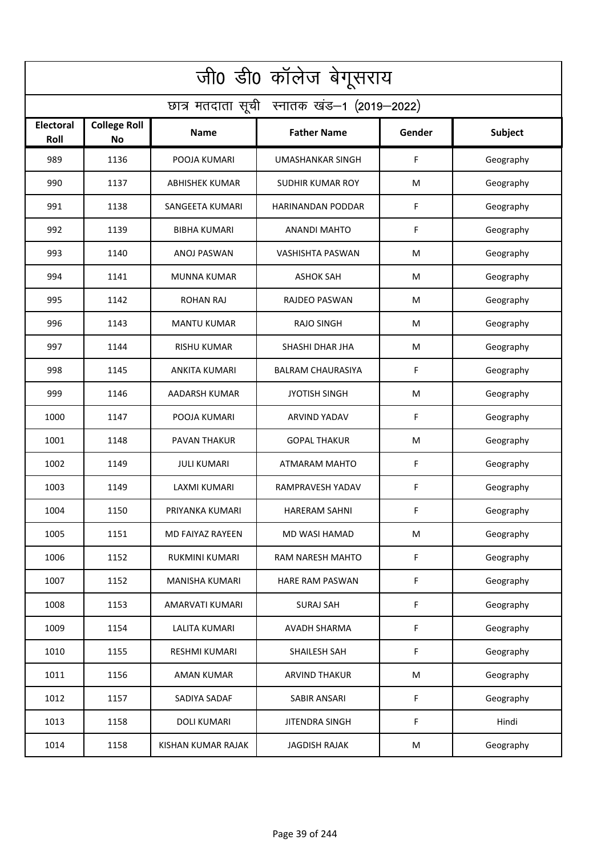| जी0 डी0 कॉलेज बेगूसराय                     |                                  |                         |                          |        |                |  |  |  |
|--------------------------------------------|----------------------------------|-------------------------|--------------------------|--------|----------------|--|--|--|
| छात्र मतदाता सूची स्नातक खंड-1 (2019-2022) |                                  |                         |                          |        |                |  |  |  |
| Electoral<br>Roll                          | <b>College Roll</b><br><b>No</b> | Name                    | <b>Father Name</b>       | Gender | <b>Subject</b> |  |  |  |
| 989                                        | 1136                             | POOJA KUMARI            | <b>UMASHANKAR SINGH</b>  | F      | Geography      |  |  |  |
| 990                                        | 1137                             | <b>ABHISHEK KUMAR</b>   | <b>SUDHIR KUMAR ROY</b>  | M      | Geography      |  |  |  |
| 991                                        | 1138                             | SANGEETA KUMARI         | <b>HARINANDAN PODDAR</b> | F      | Geography      |  |  |  |
| 992                                        | 1139                             | <b>BIBHA KUMARI</b>     | <b>ANANDI MAHTO</b>      | F      | Geography      |  |  |  |
| 993                                        | 1140                             | ANOJ PASWAN             | VASHISHTA PASWAN         | M      | Geography      |  |  |  |
| 994                                        | 1141                             | <b>MUNNA KUMAR</b>      | <b>ASHOK SAH</b>         | M      | Geography      |  |  |  |
| 995                                        | 1142                             | <b>ROHAN RAJ</b>        | <b>RAJDEO PASWAN</b>     | M      | Geography      |  |  |  |
| 996                                        | 1143                             | <b>MANTU KUMAR</b>      | <b>RAJO SINGH</b>        | M      | Geography      |  |  |  |
| 997                                        | 1144                             | <b>RISHU KUMAR</b>      | SHASHI DHAR JHA          | M      | Geography      |  |  |  |
| 998                                        | 1145                             | <b>ANKITA KUMARI</b>    | <b>BALRAM CHAURASIYA</b> | F      | Geography      |  |  |  |
| 999                                        | 1146                             | AADARSH KUMAR           | <b>JYOTISH SINGH</b>     | M      | Geography      |  |  |  |
| 1000                                       | 1147                             | POOJA KUMARI            | <b>ARVIND YADAV</b>      | F      | Geography      |  |  |  |
| 1001                                       | 1148                             | PAVAN THAKUR            | <b>GOPAL THAKUR</b>      | M      | Geography      |  |  |  |
| 1002                                       | 1149                             | <b>JULI KUMARI</b>      | ATMARAM MAHTO            | F      | Geography      |  |  |  |
| 1003                                       | 1149                             | LAXMI KUMARI            | RAMPRAVESH YADAV         | F      | Geography      |  |  |  |
| 1004                                       | 1150                             | PRIYANKA KUMARI         | <b>HARERAM SAHNI</b>     | F.     | Geography      |  |  |  |
| 1005                                       | 1151                             | <b>MD FAIYAZ RAYEEN</b> | <b>MD WASI HAMAD</b>     | M      | Geography      |  |  |  |
| 1006                                       | 1152                             | RUKMINI KUMARI          | RAM NARESH MAHTO         | F      | Geography      |  |  |  |
| 1007                                       | 1152                             | <b>MANISHA KUMARI</b>   | HARE RAM PASWAN          | F      | Geography      |  |  |  |
| 1008                                       | 1153                             | AMARVATI KUMARI         | <b>SURAJ SAH</b>         | F      | Geography      |  |  |  |
| 1009                                       | 1154                             | <b>LALITA KUMARI</b>    | <b>AVADH SHARMA</b>      | F      | Geography      |  |  |  |
| 1010                                       | 1155                             | <b>RESHMI KUMARI</b>    | SHAILESH SAH             | F      | Geography      |  |  |  |
| 1011                                       | 1156                             | <b>AMAN KUMAR</b>       | <b>ARVIND THAKUR</b>     | M      | Geography      |  |  |  |
| 1012                                       | 1157                             | SADIYA SADAF            | SABIR ANSARI             | F      | Geography      |  |  |  |
| 1013                                       | 1158                             | <b>DOLI KUMARI</b>      | <b>JITENDRA SINGH</b>    | F      | Hindi          |  |  |  |
| 1014                                       | 1158                             | KISHAN KUMAR RAJAK      | <b>JAGDISH RAJAK</b>     | M      | Geography      |  |  |  |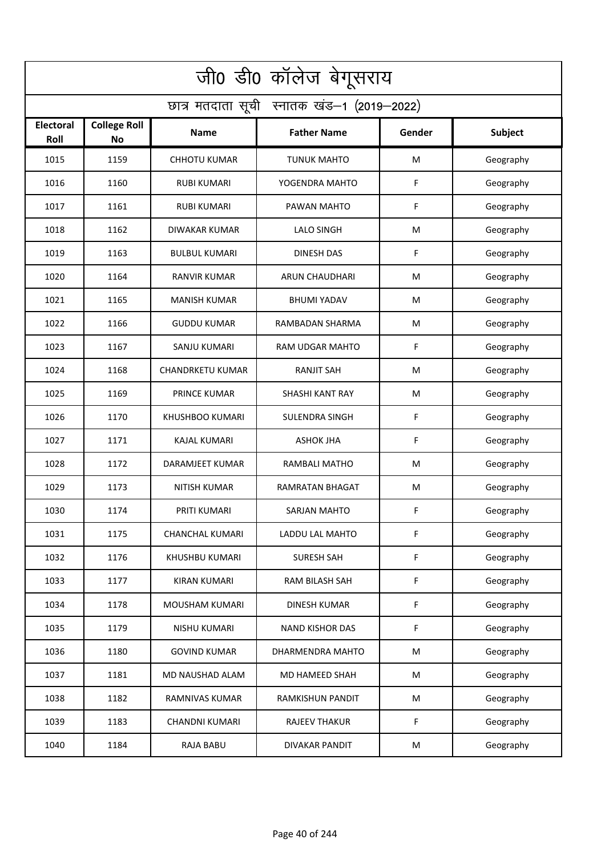| जी0 डी0 कॉलेज बेगूसराय                     |                                  |                         |                         |        |           |  |  |  |
|--------------------------------------------|----------------------------------|-------------------------|-------------------------|--------|-----------|--|--|--|
| छात्र मतदाता सूची स्नातक खंड-1 (2019-2022) |                                  |                         |                         |        |           |  |  |  |
| <b>Electoral</b><br>Roll                   | <b>College Roll</b><br><b>No</b> | Name                    | <b>Father Name</b>      | Gender | Subject   |  |  |  |
| 1015                                       | 1159                             | <b>CHHOTU KUMAR</b>     | <b>TUNUK MAHTO</b>      | M      | Geography |  |  |  |
| 1016                                       | 1160                             | <b>RUBI KUMARI</b>      | YOGENDRA MAHTO          | F      | Geography |  |  |  |
| 1017                                       | 1161                             | <b>RUBI KUMARI</b>      | PAWAN MAHTO             | F      | Geography |  |  |  |
| 1018                                       | 1162                             | DIWAKAR KUMAR           | <b>LALO SINGH</b>       | M      | Geography |  |  |  |
| 1019                                       | 1163                             | <b>BULBUL KUMARI</b>    | <b>DINESH DAS</b>       | F      | Geography |  |  |  |
| 1020                                       | 1164                             | <b>RANVIR KUMAR</b>     | ARUN CHAUDHARI          | M      | Geography |  |  |  |
| 1021                                       | 1165                             | <b>MANISH KUMAR</b>     | <b>BHUMI YADAV</b>      | M      | Geography |  |  |  |
| 1022                                       | 1166                             | <b>GUDDU KUMAR</b>      | RAMBADAN SHARMA         | M      | Geography |  |  |  |
| 1023                                       | 1167                             | SANJU KUMARI            | RAM UDGAR MAHTO         | F      | Geography |  |  |  |
| 1024                                       | 1168                             | <b>CHANDRKETU KUMAR</b> | <b>RANJIT SAH</b>       | M      | Geography |  |  |  |
| 1025                                       | 1169                             | <b>PRINCE KUMAR</b>     | <b>SHASHI KANT RAY</b>  | M      | Geography |  |  |  |
| 1026                                       | 1170                             | KHUSHBOO KUMARI         | <b>SULENDRA SINGH</b>   | F      | Geography |  |  |  |
| 1027                                       | 1171                             | <b>KAJAL KUMARI</b>     | <b>ASHOK JHA</b>        | F      | Geography |  |  |  |
| 1028                                       | 1172                             | DARAMJEET KUMAR         | <b>RAMBALI MATHO</b>    | M      | Geography |  |  |  |
| 1029                                       | 1173                             | <b>NITISH KUMAR</b>     | RAMRATAN BHAGAT         | M      | Geography |  |  |  |
| 1030                                       | 1174                             | PRITI KUMARI            | SARJAN MAHTO            | F.     | Geography |  |  |  |
| 1031                                       | 1175                             | <b>CHANCHAL KUMARI</b>  | LADDU LAL MAHTO         | F      | Geography |  |  |  |
| 1032                                       | 1176                             | KHUSHBU KUMARI          | <b>SURESH SAH</b>       | F      | Geography |  |  |  |
| 1033                                       | 1177                             | <b>KIRAN KUMARI</b>     | RAM BILASH SAH          | F      | Geography |  |  |  |
| 1034                                       | 1178                             | MOUSHAM KUMARI          | <b>DINESH KUMAR</b>     | F      | Geography |  |  |  |
| 1035                                       | 1179                             | NISHU KUMARI            | <b>NAND KISHOR DAS</b>  | F      | Geography |  |  |  |
| 1036                                       | 1180                             | <b>GOVIND KUMAR</b>     | DHARMENDRA MAHTO        | М      | Geography |  |  |  |
| 1037                                       | 1181                             | MD NAUSHAD ALAM         | MD HAMEED SHAH          | M      | Geography |  |  |  |
| 1038                                       | 1182                             | RAMNIVAS KUMAR          | <b>RAMKISHUN PANDIT</b> | M      | Geography |  |  |  |
| 1039                                       | 1183                             | <b>CHANDNI KUMARI</b>   | <b>RAJEEV THAKUR</b>    | F      | Geography |  |  |  |
| 1040                                       | 1184                             | RAJA BABU               | <b>DIVAKAR PANDIT</b>   | M      | Geography |  |  |  |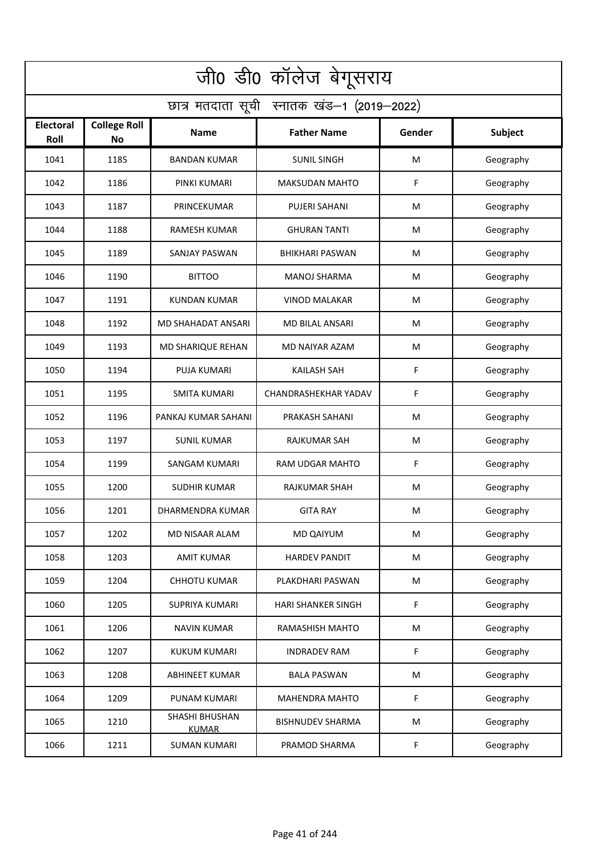| जी0 डी0 कॉलेज बेगूसराय                     |                                  |                                |                         |        |           |  |  |  |
|--------------------------------------------|----------------------------------|--------------------------------|-------------------------|--------|-----------|--|--|--|
| छात्र मतदाता सूची स्नातक खंड-1 (2019-2022) |                                  |                                |                         |        |           |  |  |  |
| <b>Electoral</b><br>Roll                   | <b>College Roll</b><br><b>No</b> | Name                           | <b>Father Name</b>      | Gender | Subject   |  |  |  |
| 1041                                       | 1185                             | <b>BANDAN KUMAR</b>            | <b>SUNIL SINGH</b>      | M      | Geography |  |  |  |
| 1042                                       | 1186                             | PINKI KUMARI                   | <b>MAKSUDAN MAHTO</b>   | F      | Geography |  |  |  |
| 1043                                       | 1187                             | PRINCEKUMAR                    | PUJERI SAHANI           | M      | Geography |  |  |  |
| 1044                                       | 1188                             | RAMESH KUMAR                   | <b>GHURAN TANTI</b>     | M      | Geography |  |  |  |
| 1045                                       | 1189                             | <b>SANJAY PASWAN</b>           | <b>BHIKHARI PASWAN</b>  | M      | Geography |  |  |  |
| 1046                                       | 1190                             | <b>BITTOO</b>                  | <b>MANOJ SHARMA</b>     | M      | Geography |  |  |  |
| 1047                                       | 1191                             | <b>KUNDAN KUMAR</b>            | <b>VINOD MALAKAR</b>    | M      | Geography |  |  |  |
| 1048                                       | 1192                             | MD SHAHADAT ANSARI             | <b>MD BILAL ANSARI</b>  | M      | Geography |  |  |  |
| 1049                                       | 1193                             | MD SHARIQUE REHAN              | MD NAIYAR AZAM          | M      | Geography |  |  |  |
| 1050                                       | 1194                             | <b>PUJA KUMARI</b>             | <b>KAILASH SAH</b>      | F      | Geography |  |  |  |
| 1051                                       | 1195                             | <b>SMITA KUMARI</b>            | CHANDRASHEKHAR YADAV    | F      | Geography |  |  |  |
| 1052                                       | 1196                             | PANKAJ KUMAR SAHANI            | PRAKASH SAHANI          | M      | Geography |  |  |  |
| 1053                                       | 1197                             | <b>SUNIL KUMAR</b>             | RAJKUMAR SAH            | M      | Geography |  |  |  |
| 1054                                       | 1199                             | SANGAM KUMARI                  | RAM UDGAR MAHTO         | F      | Geography |  |  |  |
| 1055                                       | 1200                             | SUDHIR KUMAR                   | RAJKUMAR SHAH           | M      | Geography |  |  |  |
| 1056                                       | 1201                             | DHARMENDRA KUMAR               | GITA RAY                | M      | Geography |  |  |  |
| 1057                                       | 1202                             | MD NISAAR ALAM                 | MD QAIYUM               | М      | Geography |  |  |  |
| 1058                                       | 1203                             | <b>AMIT KUMAR</b>              | HARDEV PANDIT           | M      | Geography |  |  |  |
| 1059                                       | 1204                             | <b>CHHOTU KUMAR</b>            | PLAKDHARI PASWAN        | M      | Geography |  |  |  |
| 1060                                       | 1205                             | <b>SUPRIYA KUMARI</b>          | HARI SHANKER SINGH      | F      | Geography |  |  |  |
| 1061                                       | 1206                             | <b>NAVIN KUMAR</b>             | RAMASHISH MAHTO         | M      | Geography |  |  |  |
| 1062                                       | 1207                             | KUKUM KUMARI                   | <b>INDRADEV RAM</b>     | F      | Geography |  |  |  |
| 1063                                       | 1208                             | <b>ABHINEET KUMAR</b>          | <b>BALA PASWAN</b>      | M      | Geography |  |  |  |
| 1064                                       | 1209                             | PUNAM KUMARI                   | <b>MAHENDRA MAHTO</b>   | F      | Geography |  |  |  |
| 1065                                       | 1210                             | SHASHI BHUSHAN<br><b>KUMAR</b> | <b>BISHNUDEV SHARMA</b> | M      | Geography |  |  |  |
| 1066                                       | 1211                             | <b>SUMAN KUMARI</b>            | PRAMOD SHARMA           | F      | Geography |  |  |  |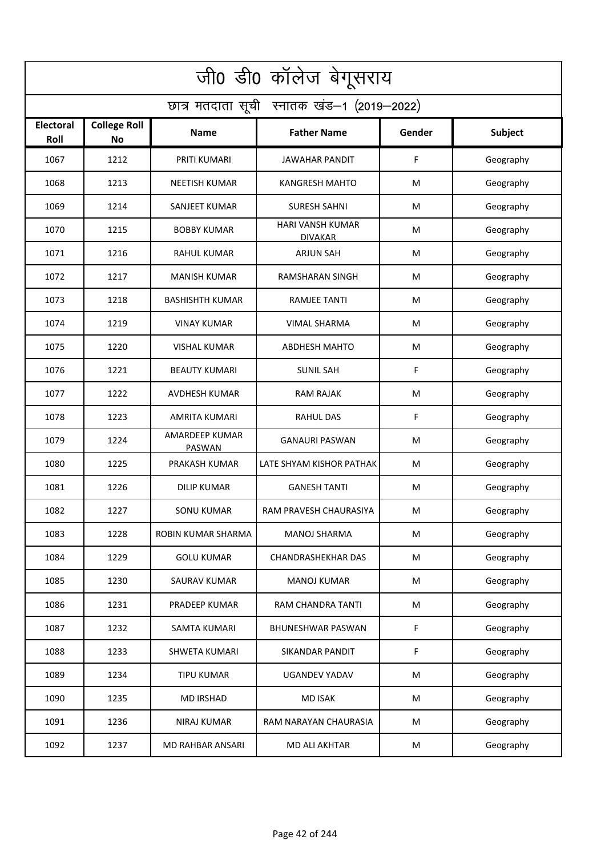| जी0 डी0 कॉलेज बेगूसराय                     |                           |                                 |                                           |        |           |  |  |  |
|--------------------------------------------|---------------------------|---------------------------------|-------------------------------------------|--------|-----------|--|--|--|
| छात्र मतदाता सूची स्नातक खंड-1 (2019-2022) |                           |                                 |                                           |        |           |  |  |  |
| <b>Electoral</b><br>Roll                   | <b>College Roll</b><br>No | <b>Name</b>                     | <b>Father Name</b>                        | Gender | Subject   |  |  |  |
| 1067                                       | 1212                      | PRITI KUMARI                    | <b>JAWAHAR PANDIT</b>                     | F      | Geography |  |  |  |
| 1068                                       | 1213                      | <b>NEETISH KUMAR</b>            | <b>KANGRESH MAHTO</b>                     | M      | Geography |  |  |  |
| 1069                                       | 1214                      | SANJEET KUMAR                   | <b>SURESH SAHNI</b>                       | М      | Geography |  |  |  |
| 1070                                       | 1215                      | <b>BOBBY KUMAR</b>              | <b>HARI VANSH KUMAR</b><br><b>DIVAKAR</b> | M      | Geography |  |  |  |
| 1071                                       | 1216                      | <b>RAHUL KUMAR</b>              | <b>ARJUN SAH</b>                          | М      | Geography |  |  |  |
| 1072                                       | 1217                      | <b>MANISH KUMAR</b>             | RAMSHARAN SINGH                           | M      | Geography |  |  |  |
| 1073                                       | 1218                      | <b>BASHISHTH KUMAR</b>          | <b>RAMJEE TANTI</b>                       | M      | Geography |  |  |  |
| 1074                                       | 1219                      | <b>VINAY KUMAR</b>              | <b>VIMAL SHARMA</b>                       | M      | Geography |  |  |  |
| 1075                                       | 1220                      | <b>VISHAL KUMAR</b>             | <b>ABDHESH MAHTO</b>                      | M      | Geography |  |  |  |
| 1076                                       | 1221                      | <b>BEAUTY KUMARI</b>            | <b>SUNIL SAH</b>                          | F      | Geography |  |  |  |
| 1077                                       | 1222                      | <b>AVDHESH KUMAR</b>            | <b>RAM RAJAK</b>                          | M      | Geography |  |  |  |
| 1078                                       | 1223                      | <b>AMRITA KUMARI</b>            | <b>RAHUL DAS</b>                          | F      | Geography |  |  |  |
| 1079                                       | 1224                      | AMARDEEP KUMAR<br><b>PASWAN</b> | <b>GANAURI PASWAN</b>                     | M      | Geography |  |  |  |
| 1080                                       | 1225                      | PRAKASH KUMAR                   | LATE SHYAM KISHOR PATHAK                  | M      | Geography |  |  |  |
| 1081                                       | 1226                      | <b>DILIP KUMAR</b>              | <b>GANESH TANTI</b>                       | M      | Geography |  |  |  |
| 1082                                       | 1227                      | <b>SONU KUMAR</b>               | RAM PRAVESH CHAURASIYA                    | M      | Geography |  |  |  |
| 1083                                       | 1228                      | ROBIN KUMAR SHARMA              | <b>MANOJ SHARMA</b>                       | M      | Geography |  |  |  |
| 1084                                       | 1229                      | <b>GOLU KUMAR</b>               | <b>CHANDRASHEKHAR DAS</b>                 | M      | Geography |  |  |  |
| 1085                                       | 1230                      | SAURAV KUMAR                    | <b>MANOJ KUMAR</b>                        | M      | Geography |  |  |  |
| 1086                                       | 1231                      | PRADEEP KUMAR                   | RAM CHANDRA TANTI                         | M      | Geography |  |  |  |
| 1087                                       | 1232                      | <b>SAMTA KUMARI</b>             | <b>BHUNESHWAR PASWAN</b>                  | F      | Geography |  |  |  |
| 1088                                       | 1233                      | <b>SHWETA KUMARI</b>            | SIKANDAR PANDIT                           | F      | Geography |  |  |  |
| 1089                                       | 1234                      | <b>TIPU KUMAR</b>               | <b>UGANDEV YADAV</b>                      | M      | Geography |  |  |  |
| 1090                                       | 1235                      | <b>MD IRSHAD</b>                | <b>MD ISAK</b>                            | M      | Geography |  |  |  |
| 1091                                       | 1236                      | NIRAJ KUMAR                     | RAM NARAYAN CHAURASIA                     | M      | Geography |  |  |  |
| 1092                                       | 1237                      | MD RAHBAR ANSARI                | <b>MD ALI AKHTAR</b>                      | M      | Geography |  |  |  |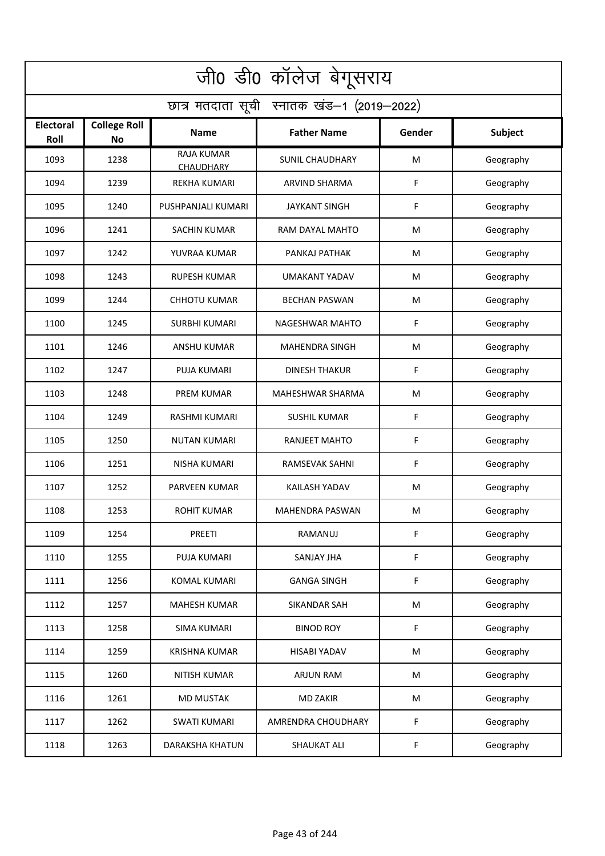| जी0 डी0 कॉलेज बेगूसराय                     |                                  |                                |                        |        |                |  |  |  |
|--------------------------------------------|----------------------------------|--------------------------------|------------------------|--------|----------------|--|--|--|
| छात्र मतदाता सूची स्नातक खंड-1 (2019-2022) |                                  |                                |                        |        |                |  |  |  |
| Electoral<br>Roll                          | <b>College Roll</b><br><b>No</b> | <b>Name</b>                    | <b>Father Name</b>     | Gender | <b>Subject</b> |  |  |  |
| 1093                                       | 1238                             | RAJA KUMAR<br><b>CHAUDHARY</b> | <b>SUNIL CHAUDHARY</b> | M      | Geography      |  |  |  |
| 1094                                       | 1239                             | <b>REKHA KUMARI</b>            | <b>ARVIND SHARMA</b>   | F      | Geography      |  |  |  |
| 1095                                       | 1240                             | PUSHPANJALI KUMARI             | <b>JAYKANT SINGH</b>   | F      | Geography      |  |  |  |
| 1096                                       | 1241                             | <b>SACHIN KUMAR</b>            | RAM DAYAL MAHTO        | M      | Geography      |  |  |  |
| 1097                                       | 1242                             | YUVRAA KUMAR                   | PANKAJ PATHAK          | M      | Geography      |  |  |  |
| 1098                                       | 1243                             | <b>RUPESH KUMAR</b>            | <b>UMAKANT YADAV</b>   | M      | Geography      |  |  |  |
| 1099                                       | 1244                             | <b>CHHOTU KUMAR</b>            | <b>BECHAN PASWAN</b>   | M      | Geography      |  |  |  |
| 1100                                       | 1245                             | <b>SURBHI KUMARI</b>           | NAGESHWAR MAHTO        | F      | Geography      |  |  |  |
| 1101                                       | 1246                             | <b>ANSHU KUMAR</b>             | <b>MAHENDRA SINGH</b>  | M      | Geography      |  |  |  |
| 1102                                       | 1247                             | <b>PUJA KUMARI</b>             | <b>DINESH THAKUR</b>   | F      | Geography      |  |  |  |
| 1103                                       | 1248                             | <b>PREM KUMAR</b>              | MAHESHWAR SHARMA       | M      | Geography      |  |  |  |
| 1104                                       | 1249                             | RASHMI KUMARI                  | <b>SUSHIL KUMAR</b>    | F      | Geography      |  |  |  |
| 1105                                       | 1250                             | <b>NUTAN KUMARI</b>            | RANJEET MAHTO          | F      | Geography      |  |  |  |
| 1106                                       | 1251                             | <b>NISHA KUMARI</b>            | RAMSEVAK SAHNI         | F      | Geography      |  |  |  |
| 1107                                       | 1252                             | <b>PARVEEN KUMAR</b>           | KAILASH YADAV          | M      | Geography      |  |  |  |
| 1108                                       | 1253                             | <b>ROHIT KUMAR</b>             | <b>MAHENDRA PASWAN</b> | M      | Geography      |  |  |  |
| 1109                                       | 1254                             | <b>PREETI</b>                  | RAMANUJ                | F      | Geography      |  |  |  |
| 1110                                       | 1255                             | PUJA KUMARI                    | SANJAY JHA             | F      | Geography      |  |  |  |
| 1111                                       | 1256                             | KOMAL KUMARI                   | <b>GANGA SINGH</b>     | F      | Geography      |  |  |  |
| 1112                                       | 1257                             | <b>MAHESH KUMAR</b>            | SIKANDAR SAH           | M      | Geography      |  |  |  |
| 1113                                       | 1258                             | <b>SIMA KUMARI</b>             | <b>BINOD ROY</b>       | F      | Geography      |  |  |  |
| 1114                                       | 1259                             | <b>KRISHNA KUMAR</b>           | <b>HISABI YADAV</b>    | M      | Geography      |  |  |  |
| 1115                                       | 1260                             | NITISH KUMAR                   | ARJUN RAM              | M      | Geography      |  |  |  |
| 1116                                       | 1261                             | <b>MD MUSTAK</b>               | <b>MD ZAKIR</b>        | M      | Geography      |  |  |  |
| 1117                                       | 1262                             | <b>SWATI KUMARI</b>            | AMRENDRA CHOUDHARY     | F      | Geography      |  |  |  |
| 1118                                       | 1263                             | <b>DARAKSHA KHATUN</b>         | SHAUKAT ALI            | F      | Geography      |  |  |  |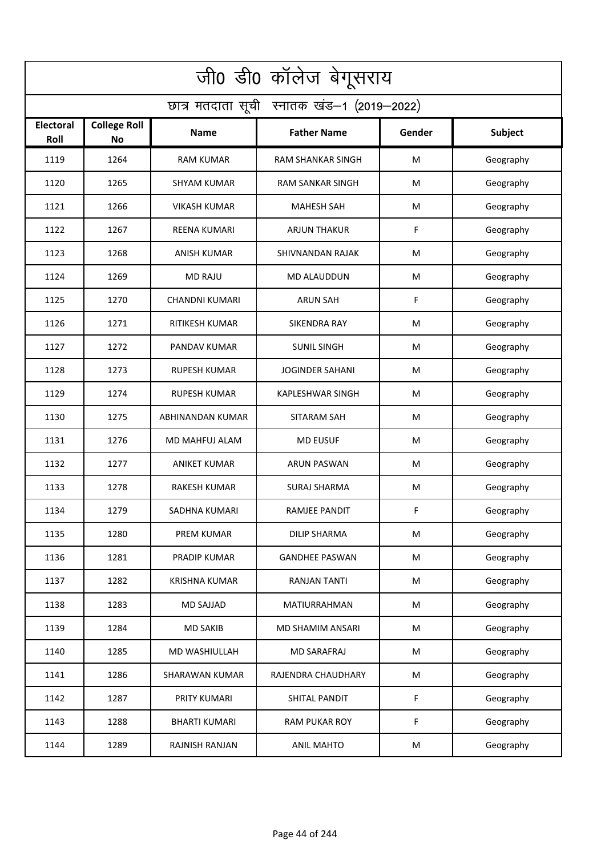| जी0 डी0 कॉलेज बेगूसराय                     |                                  |                       |                          |        |           |  |  |  |
|--------------------------------------------|----------------------------------|-----------------------|--------------------------|--------|-----------|--|--|--|
| छात्र मतदाता सूची स्नातक खंड-1 (2019-2022) |                                  |                       |                          |        |           |  |  |  |
| <b>Electoral</b><br>Roll                   | <b>College Roll</b><br><b>No</b> | Name                  | <b>Father Name</b>       | Gender | Subject   |  |  |  |
| 1119                                       | 1264                             | <b>RAM KUMAR</b>      | <b>RAM SHANKAR SINGH</b> | M      | Geography |  |  |  |
| 1120                                       | 1265                             | <b>SHYAM KUMAR</b>    | <b>RAM SANKAR SINGH</b>  | M      | Geography |  |  |  |
| 1121                                       | 1266                             | <b>VIKASH KUMAR</b>   | <b>MAHESH SAH</b>        | M      | Geography |  |  |  |
| 1122                                       | 1267                             | <b>REENA KUMARI</b>   | <b>ARJUN THAKUR</b>      | F      | Geography |  |  |  |
| 1123                                       | 1268                             | <b>ANISH KUMAR</b>    | SHIVNANDAN RAJAK         | M      | Geography |  |  |  |
| 1124                                       | 1269                             | <b>MD RAJU</b>        | <b>MD ALAUDDUN</b>       | M      | Geography |  |  |  |
| 1125                                       | 1270                             | <b>CHANDNI KUMARI</b> | <b>ARUN SAH</b>          | F      | Geography |  |  |  |
| 1126                                       | 1271                             | <b>RITIKESH KUMAR</b> | <b>SIKENDRA RAY</b>      | M      | Geography |  |  |  |
| 1127                                       | 1272                             | <b>PANDAV KUMAR</b>   | <b>SUNIL SINGH</b>       | M      | Geography |  |  |  |
| 1128                                       | 1273                             | <b>RUPESH KUMAR</b>   | <b>JOGINDER SAHANI</b>   | M      | Geography |  |  |  |
| 1129                                       | 1274                             | <b>RUPESH KUMAR</b>   | <b>KAPLESHWAR SINGH</b>  | M      | Geography |  |  |  |
| 1130                                       | 1275                             | ABHINANDAN KUMAR      | SITARAM SAH              | M      | Geography |  |  |  |
| 1131                                       | 1276                             | MD MAHFUJ ALAM        | <b>MD EUSUF</b>          | M      | Geography |  |  |  |
| 1132                                       | 1277                             | <b>ANIKET KUMAR</b>   | <b>ARUN PASWAN</b>       | M      | Geography |  |  |  |
| 1133                                       | 1278                             | <b>RAKESH KUMAR</b>   | <b>SURAJ SHARMA</b>      | M      | Geography |  |  |  |
| 1134                                       | 1279                             | SADHNA KUMARI         | RAMJEE PANDIT            | F      | Geography |  |  |  |
| 1135                                       | 1280                             | <b>PREM KUMAR</b>     | <b>DILIP SHARMA</b>      | M      | Geography |  |  |  |
| 1136                                       | 1281                             | PRADIP KUMAR          | <b>GANDHEE PASWAN</b>    | M      | Geography |  |  |  |
| 1137                                       | 1282                             | <b>KRISHNA KUMAR</b>  | RANJAN TANTI             | M      | Geography |  |  |  |
| 1138                                       | 1283                             | <b>MD SAJJAD</b>      | <b>MATIURRAHMAN</b>      | M      | Geography |  |  |  |
| 1139                                       | 1284                             | <b>MD SAKIB</b>       | MD SHAMIM ANSARI         | M      | Geography |  |  |  |
| 1140                                       | 1285                             | MD WASHIULLAH         | MD SARAFRAJ              | M      | Geography |  |  |  |
| 1141                                       | 1286                             | <b>SHARAWAN KUMAR</b> | RAJENDRA CHAUDHARY       | M      | Geography |  |  |  |
| 1142                                       | 1287                             | PRITY KUMARI          | SHITAL PANDIT            | F      | Geography |  |  |  |
| 1143                                       | 1288                             | <b>BHARTI KUMARI</b>  | <b>RAM PUKAR ROY</b>     | F      | Geography |  |  |  |
| 1144                                       | 1289                             | RAJNISH RANJAN        | <b>ANIL MAHTO</b>        | M      | Geography |  |  |  |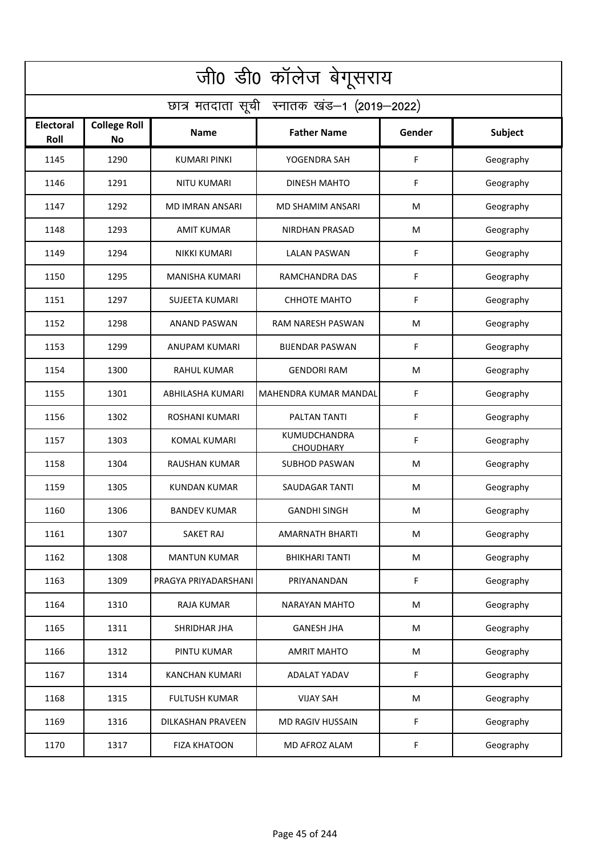| जी0 डी0 कॉलेज बेगूसराय                     |                                  |                        |                                  |        |           |  |  |  |
|--------------------------------------------|----------------------------------|------------------------|----------------------------------|--------|-----------|--|--|--|
| छात्र मतदाता सूची स्नातक खंड-1 (2019-2022) |                                  |                        |                                  |        |           |  |  |  |
| <b>Electoral</b><br>Roll                   | <b>College Roll</b><br><b>No</b> | Name                   | <b>Father Name</b>               | Gender | Subject   |  |  |  |
| 1145                                       | 1290                             | <b>KUMARI PINKI</b>    | YOGENDRA SAH                     | F      | Geography |  |  |  |
| 1146                                       | 1291                             | <b>NITU KUMARI</b>     | DINESH MAHTO                     | F      | Geography |  |  |  |
| 1147                                       | 1292                             | <b>MD IMRAN ANSARI</b> | MD SHAMIM ANSARI                 | M      | Geography |  |  |  |
| 1148                                       | 1293                             | <b>AMIT KUMAR</b>      | <b>NIRDHAN PRASAD</b>            | M      | Geography |  |  |  |
| 1149                                       | 1294                             | NIKKI KUMARI           | <b>LALAN PASWAN</b>              | F      | Geography |  |  |  |
| 1150                                       | 1295                             | <b>MANISHA KUMARI</b>  | RAMCHANDRA DAS                   | F      | Geography |  |  |  |
| 1151                                       | 1297                             | <b>SUJEETA KUMARI</b>  | <b>CHHOTE MAHTO</b>              | F      | Geography |  |  |  |
| 1152                                       | 1298                             | <b>ANAND PASWAN</b>    | <b>RAM NARESH PASWAN</b>         | M      | Geography |  |  |  |
| 1153                                       | 1299                             | <b>ANUPAM KUMARI</b>   | <b>BIJENDAR PASWAN</b>           | F      | Geography |  |  |  |
| 1154                                       | 1300                             | <b>RAHUL KUMAR</b>     | <b>GENDORI RAM</b>               | M      | Geography |  |  |  |
| 1155                                       | 1301                             | ABHILASHA KUMARI       | MAHENDRA KUMAR MANDAL            | F      | Geography |  |  |  |
| 1156                                       | 1302                             | <b>ROSHANI KUMARI</b>  | PALTAN TANTI                     | F      | Geography |  |  |  |
| 1157                                       | 1303                             | KOMAL KUMARI           | KUMUDCHANDRA<br><b>CHOUDHARY</b> | F      | Geography |  |  |  |
| 1158                                       | 1304                             | <b>RAUSHAN KUMAR</b>   | <b>SUBHOD PASWAN</b>             | M      | Geography |  |  |  |
| 1159                                       | 1305                             | KUNDAN KUMAR           | <b>SAUDAGAR TANTI</b>            | M      | Geography |  |  |  |
| 1160                                       | 1306                             | <b>BANDEV KUMAR</b>    | <b>GANDHI SINGH</b>              | M      | Geography |  |  |  |
| 1161                                       | 1307                             | SAKET RAJ              | AMARNATH BHARTI                  | М      | Geography |  |  |  |
| 1162                                       | 1308                             | <b>MANTUN KUMAR</b>    | <b>BHIKHARI TANTI</b>            | M      | Geography |  |  |  |
| 1163                                       | 1309                             | PRAGYA PRIYADARSHANI   | PRIYANANDAN                      | F      | Geography |  |  |  |
| 1164                                       | 1310                             | <b>RAJA KUMAR</b>      | NARAYAN MAHTO                    | M      | Geography |  |  |  |
| 1165                                       | 1311                             | SHRIDHAR JHA           | <b>GANESH JHA</b>                | M      | Geography |  |  |  |
| 1166                                       | 1312                             | PINTU KUMAR            | <b>AMRIT MAHTO</b>               | M      | Geography |  |  |  |
| 1167                                       | 1314                             | <b>KANCHAN KUMARI</b>  | <b>ADALAT YADAV</b>              | F      | Geography |  |  |  |
| 1168                                       | 1315                             | <b>FULTUSH KUMAR</b>   | <b>VIJAY SAH</b>                 | M      | Geography |  |  |  |
| 1169                                       | 1316                             | DILKASHAN PRAVEEN      | MD RAGIV HUSSAIN                 | F      | Geography |  |  |  |
| 1170                                       | 1317                             | <b>FIZA KHATOON</b>    | MD AFROZ ALAM                    | F      | Geography |  |  |  |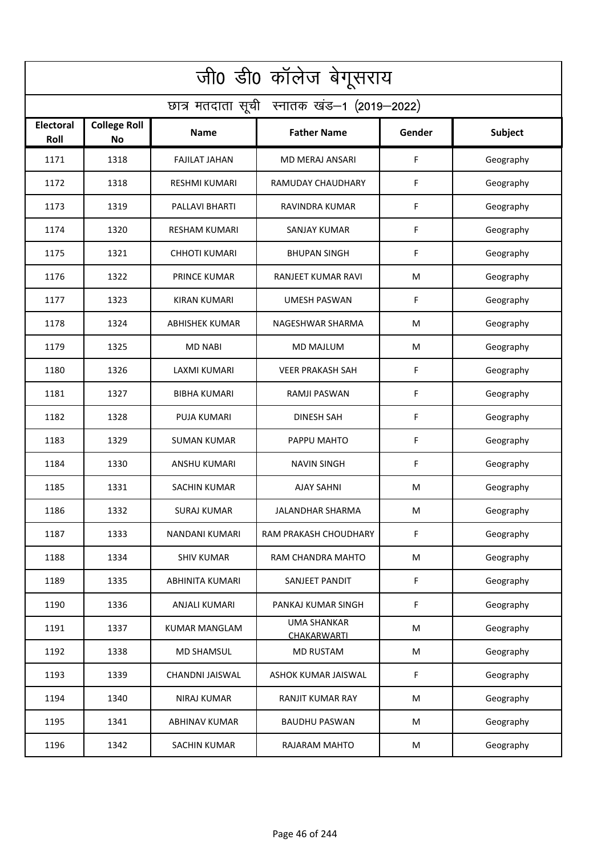| जी0 डी0 कॉलेज बेगूसराय                     |                                  |                        |                                          |        |           |  |  |  |
|--------------------------------------------|----------------------------------|------------------------|------------------------------------------|--------|-----------|--|--|--|
| छात्र मतदाता सूची स्नातक खंड-1 (2019-2022) |                                  |                        |                                          |        |           |  |  |  |
| Electoral<br>Roll                          | <b>College Roll</b><br><b>No</b> | <b>Name</b>            | <b>Father Name</b>                       | Gender | Subject   |  |  |  |
| 1171                                       | 1318                             | <b>FAJILAT JAHAN</b>   | <b>MD MERAJ ANSARI</b>                   | F      | Geography |  |  |  |
| 1172                                       | 1318                             | <b>RESHMI KUMARI</b>   | RAMUDAY CHAUDHARY                        | F      | Geography |  |  |  |
| 1173                                       | 1319                             | PALLAVI BHARTI         | RAVINDRA KUMAR                           | F      | Geography |  |  |  |
| 1174                                       | 1320                             | <b>RESHAM KUMARI</b>   | <b>SANJAY KUMAR</b>                      | F      | Geography |  |  |  |
| 1175                                       | 1321                             | <b>CHHOTI KUMARI</b>   | <b>BHUPAN SINGH</b>                      | F      | Geography |  |  |  |
| 1176                                       | 1322                             | <b>PRINCE KUMAR</b>    | RANJEET KUMAR RAVI                       | M      | Geography |  |  |  |
| 1177                                       | 1323                             | <b>KIRAN KUMARI</b>    | <b>UMESH PASWAN</b>                      | F      | Geography |  |  |  |
| 1178                                       | 1324                             | <b>ABHISHEK KUMAR</b>  | NAGESHWAR SHARMA                         | M      | Geography |  |  |  |
| 1179                                       | 1325                             | <b>MD NABI</b>         | <b>MD MAJLUM</b>                         | M      | Geography |  |  |  |
| 1180                                       | 1326                             | LAXMI KUMARI           | <b>VEER PRAKASH SAH</b>                  | F      | Geography |  |  |  |
| 1181                                       | 1327                             | <b>BIBHA KUMARI</b>    | RAMJI PASWAN                             | F      | Geography |  |  |  |
| 1182                                       | 1328                             | <b>PUJA KUMARI</b>     | <b>DINESH SAH</b>                        | F      | Geography |  |  |  |
| 1183                                       | 1329                             | SUMAN KUMAR            | PAPPU MAHTO                              | F      | Geography |  |  |  |
| 1184                                       | 1330                             | <b>ANSHU KUMARI</b>    | <b>NAVIN SINGH</b>                       | F      | Geography |  |  |  |
| 1185                                       | 1331                             | <b>SACHIN KUMAR</b>    | <b>AJAY SAHNI</b>                        | M      | Geography |  |  |  |
| 1186                                       | 1332                             | <b>SURAJ KUMAR</b>     | <b>JALANDHAR SHARMA</b>                  | M      | Geography |  |  |  |
| 1187                                       | 1333                             | <b>NANDANI KUMARI</b>  | RAM PRAKASH CHOUDHARY                    | F      | Geography |  |  |  |
| 1188                                       | 1334                             | <b>SHIV KUMAR</b>      | RAM CHANDRA MAHTO                        | M      | Geography |  |  |  |
| 1189                                       | 1335                             | <b>ABHINITA KUMARI</b> | SANJEET PANDIT                           | F      | Geography |  |  |  |
| 1190                                       | 1336                             | ANJALI KUMARI          | PANKAJ KUMAR SINGH                       | F      | Geography |  |  |  |
| 1191                                       | 1337                             | <b>KUMAR MANGLAM</b>   | <b>UMA SHANKAR</b><br><b>CHAKARWARTI</b> | M      | Geography |  |  |  |
| 1192                                       | 1338                             | <b>MD SHAMSUL</b>      | <b>MD RUSTAM</b>                         | M      | Geography |  |  |  |
| 1193                                       | 1339                             | CHANDNI JAISWAL        | ASHOK KUMAR JAISWAL                      | F      | Geography |  |  |  |
| 1194                                       | 1340                             | <b>NIRAJ KUMAR</b>     | <b>RANJIT KUMAR RAY</b>                  | M      | Geography |  |  |  |
| 1195                                       | 1341                             | <b>ABHINAV KUMAR</b>   | <b>BAUDHU PASWAN</b>                     | M      | Geography |  |  |  |
| 1196                                       | 1342                             | <b>SACHIN KUMAR</b>    | RAJARAM MAHTO                            | M      | Geography |  |  |  |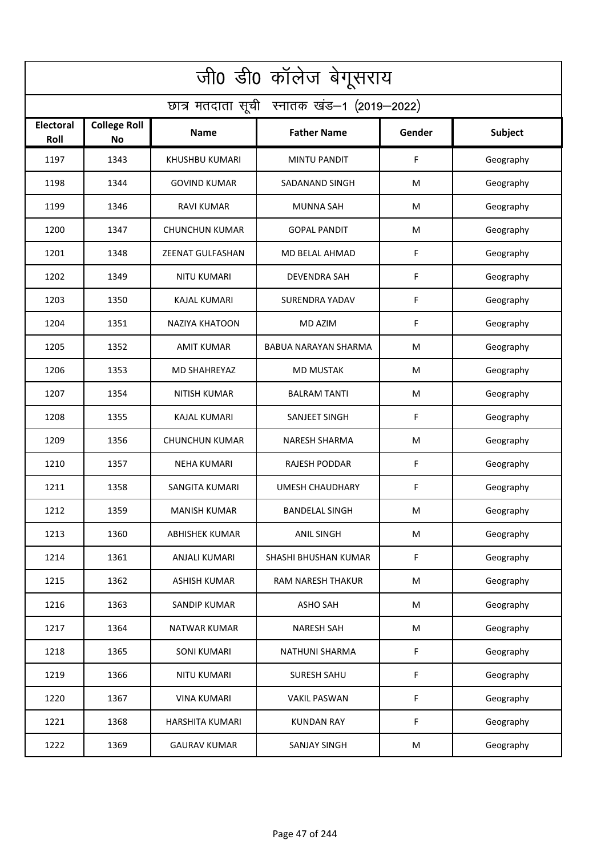| जी0 डी0 कॉलेज बेगूसराय                     |                                  |                       |                             |        |           |  |  |  |
|--------------------------------------------|----------------------------------|-----------------------|-----------------------------|--------|-----------|--|--|--|
| छात्र मतदाता सूची स्नातक खंड-1 (2019-2022) |                                  |                       |                             |        |           |  |  |  |
| <b>Electoral</b><br>Roll                   | <b>College Roll</b><br><b>No</b> | Name                  | <b>Father Name</b>          | Gender | Subject   |  |  |  |
| 1197                                       | 1343                             | KHUSHBU KUMARI        | <b>MINTU PANDIT</b>         | F      | Geography |  |  |  |
| 1198                                       | 1344                             | <b>GOVIND KUMAR</b>   | SADANAND SINGH              | M      | Geography |  |  |  |
| 1199                                       | 1346                             | <b>RAVI KUMAR</b>     | <b>MUNNA SAH</b>            | M      | Geography |  |  |  |
| 1200                                       | 1347                             | <b>CHUNCHUN KUMAR</b> | <b>GOPAL PANDIT</b>         | M      | Geography |  |  |  |
| 1201                                       | 1348                             | ZEENAT GULFASHAN      | MD BELAL AHMAD              | F      | Geography |  |  |  |
| 1202                                       | 1349                             | <b>NITU KUMARI</b>    | <b>DEVENDRA SAH</b>         | F      | Geography |  |  |  |
| 1203                                       | 1350                             | <b>KAJAL KUMARI</b>   | SURENDRA YADAV              | F      | Geography |  |  |  |
| 1204                                       | 1351                             | NAZIYA KHATOON        | <b>MD AZIM</b>              | F      | Geography |  |  |  |
| 1205                                       | 1352                             | <b>AMIT KUMAR</b>     | <b>BABUA NARAYAN SHARMA</b> | M      | Geography |  |  |  |
| 1206                                       | 1353                             | <b>MD SHAHREYAZ</b>   | <b>MD MUSTAK</b>            | M      | Geography |  |  |  |
| 1207                                       | 1354                             | <b>NITISH KUMAR</b>   | <b>BALRAM TANTI</b>         | M      | Geography |  |  |  |
| 1208                                       | 1355                             | <b>KAJAL KUMARI</b>   | SANJEET SINGH               | F      | Geography |  |  |  |
| 1209                                       | 1356                             | <b>CHUNCHUN KUMAR</b> | NARESH SHARMA               | M      | Geography |  |  |  |
| 1210                                       | 1357                             | <b>NEHA KUMARI</b>    | <b>RAJESH PODDAR</b>        | F      | Geography |  |  |  |
| 1211                                       | 1358                             | <b>SANGITA KUMARI</b> | <b>UMESH CHAUDHARY</b>      | F      | Geography |  |  |  |
| 1212                                       | 1359                             | <b>MANISH KUMAR</b>   | <b>BANDELAL SINGH</b>       | M      | Geography |  |  |  |
| 1213                                       | 1360                             | <b>ABHISHEK KUMAR</b> | <b>ANIL SINGH</b>           | M      | Geography |  |  |  |
| 1214                                       | 1361                             | <b>ANJALI KUMARI</b>  | SHASHI BHUSHAN KUMAR        | F      | Geography |  |  |  |
| 1215                                       | 1362                             | <b>ASHISH KUMAR</b>   | RAM NARESH THAKUR           | M      | Geography |  |  |  |
| 1216                                       | 1363                             | SANDIP KUMAR          | <b>ASHO SAH</b>             | M      | Geography |  |  |  |
| 1217                                       | 1364                             | <b>NATWAR KUMAR</b>   | <b>NARESH SAH</b>           | M      | Geography |  |  |  |
| 1218                                       | 1365                             | <b>SONI KUMARI</b>    | NATHUNI SHARMA              | F      | Geography |  |  |  |
| 1219                                       | 1366                             | <b>NITU KUMARI</b>    | <b>SURESH SAHU</b>          | F      | Geography |  |  |  |
| 1220                                       | 1367                             | <b>VINA KUMARI</b>    | <b>VAKIL PASWAN</b>         | F      | Geography |  |  |  |
| 1221                                       | 1368                             | HARSHITA KUMARI       | <b>KUNDAN RAY</b>           | F      | Geography |  |  |  |
| 1222                                       | 1369                             | <b>GAURAV KUMAR</b>   | SANJAY SINGH                | M      | Geography |  |  |  |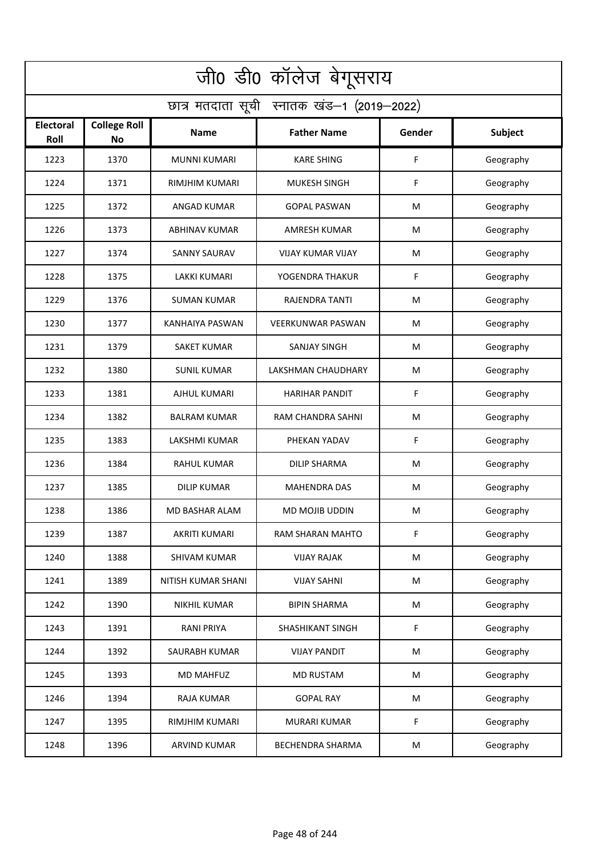| जी0 डी0 कॉलेज बेगूसराय                     |                                  |                           |                          |        |           |  |  |  |
|--------------------------------------------|----------------------------------|---------------------------|--------------------------|--------|-----------|--|--|--|
| छात्र मतदाता सूची स्नातक खंड-1 (2019-2022) |                                  |                           |                          |        |           |  |  |  |
| <b>Electoral</b><br>Roll                   | <b>College Roll</b><br><b>No</b> | Name                      | <b>Father Name</b>       | Gender | Subject   |  |  |  |
| 1223                                       | 1370                             | <b>MUNNI KUMARI</b>       | <b>KARE SHING</b>        | F      | Geography |  |  |  |
| 1224                                       | 1371                             | <b>RIMJHIM KUMARI</b>     | <b>MUKESH SINGH</b>      | F      | Geography |  |  |  |
| 1225                                       | 1372                             | <b>ANGAD KUMAR</b>        | <b>GOPAL PASWAN</b>      | M      | Geography |  |  |  |
| 1226                                       | 1373                             | <b>ABHINAV KUMAR</b>      | <b>AMRESH KUMAR</b>      | M      | Geography |  |  |  |
| 1227                                       | 1374                             | <b>SANNY SAURAV</b>       | <b>VIJAY KUMAR VIJAY</b> | M      | Geography |  |  |  |
| 1228                                       | 1375                             | <b>LAKKI KUMARI</b>       | YOGENDRA THAKUR          | F      | Geography |  |  |  |
| 1229                                       | 1376                             | <b>SUMAN KUMAR</b>        | <b>RAJENDRA TANTI</b>    | M      | Geography |  |  |  |
| 1230                                       | 1377                             | KANHAIYA PASWAN           | <b>VEERKUNWAR PASWAN</b> | M      | Geography |  |  |  |
| 1231                                       | 1379                             | <b>SAKET KUMAR</b>        | <b>SANJAY SINGH</b>      | M      | Geography |  |  |  |
| 1232                                       | 1380                             | <b>SUNIL KUMAR</b>        | LAKSHMAN CHAUDHARY       | M      | Geography |  |  |  |
| 1233                                       | 1381                             | AJHUL KUMARI              | <b>HARIHAR PANDIT</b>    | F      | Geography |  |  |  |
| 1234                                       | 1382                             | <b>BALRAM KUMAR</b>       | RAM CHANDRA SAHNI        | M      | Geography |  |  |  |
| 1235                                       | 1383                             | LAKSHMI KUMAR             | PHEKAN YADAV             | F      | Geography |  |  |  |
| 1236                                       | 1384                             | <b>RAHUL KUMAR</b>        | <b>DILIP SHARMA</b>      | M      | Geography |  |  |  |
| 1237                                       | 1385                             | DILIP KUMAR               | MAHENDRA DAS             | M      | Geography |  |  |  |
| 1238                                       | 1386                             | MD BASHAR ALAM            | MD MOJIB UDDIN           | M      | Geography |  |  |  |
| 1239                                       | 1387                             | <b>AKRITI KUMARI</b>      | RAM SHARAN MAHTO         | F      | Geography |  |  |  |
| 1240                                       | 1388                             | SHIVAM KUMAR              | <b>VIJAY RAJAK</b>       | M      | Geography |  |  |  |
| 1241                                       | 1389                             | <b>NITISH KUMAR SHANI</b> | <b>VIJAY SAHNI</b>       | M      | Geography |  |  |  |
| 1242                                       | 1390                             | <b>NIKHIL KUMAR</b>       | <b>BIPIN SHARMA</b>      | M      | Geography |  |  |  |
| 1243                                       | 1391                             | <b>RANI PRIYA</b>         | SHASHIKANT SINGH         | F      | Geography |  |  |  |
| 1244                                       | 1392                             | SAURABH KUMAR             | <b>VIJAY PANDIT</b>      | M      | Geography |  |  |  |
| 1245                                       | 1393                             | <b>MD MAHFUZ</b>          | <b>MD RUSTAM</b>         | M      | Geography |  |  |  |
| 1246                                       | 1394                             | RAJA KUMAR                | <b>GOPAL RAY</b>         | M      | Geography |  |  |  |
| 1247                                       | 1395                             | RIMJHIM KUMARI            | MURARI KUMAR             | F      | Geography |  |  |  |
| 1248                                       | 1396                             | <b>ARVIND KUMAR</b>       | <b>BECHENDRA SHARMA</b>  | M      | Geography |  |  |  |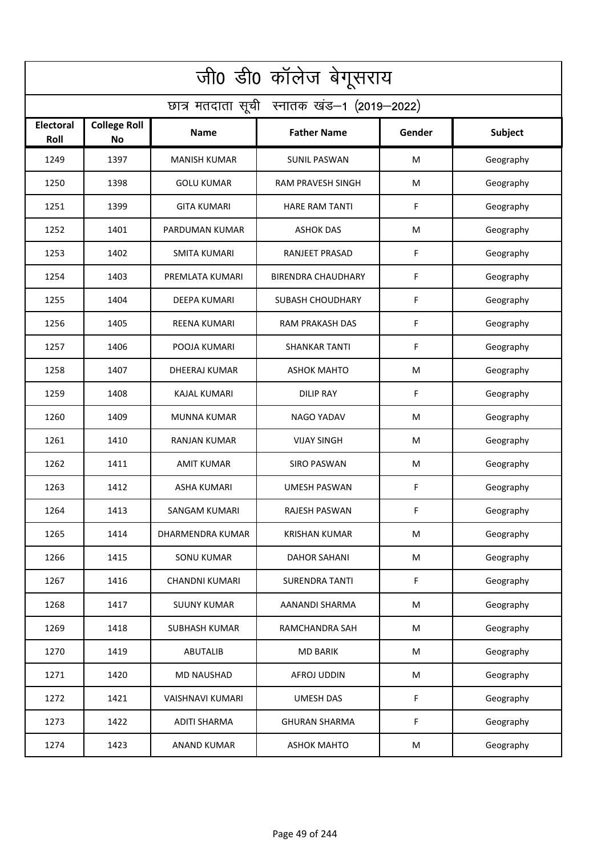| जी0 डी0 कॉलेज बेगूसराय                     |                                  |                         |                           |        |           |  |  |  |
|--------------------------------------------|----------------------------------|-------------------------|---------------------------|--------|-----------|--|--|--|
| छात्र मतदाता सूची स्नातक खंड-1 (2019-2022) |                                  |                         |                           |        |           |  |  |  |
| Electoral<br>Roll                          | <b>College Roll</b><br><b>No</b> | <b>Name</b>             | <b>Father Name</b>        | Gender | Subject   |  |  |  |
| 1249                                       | 1397                             | <b>MANISH KUMAR</b>     | <b>SUNIL PASWAN</b>       | M      | Geography |  |  |  |
| 1250                                       | 1398                             | <b>GOLU KUMAR</b>       | RAM PRAVESH SINGH         | M      | Geography |  |  |  |
| 1251                                       | 1399                             | <b>GITA KUMARI</b>      | <b>HARE RAM TANTI</b>     | F      | Geography |  |  |  |
| 1252                                       | 1401                             | PARDUMAN KUMAR          | <b>ASHOK DAS</b>          | M      | Geography |  |  |  |
| 1253                                       | 1402                             | <b>SMITA KUMARI</b>     | RANJEET PRASAD            | F      | Geography |  |  |  |
| 1254                                       | 1403                             | PREMLATA KUMARI         | <b>BIRENDRA CHAUDHARY</b> | F      | Geography |  |  |  |
| 1255                                       | 1404                             | <b>DEEPA KUMARI</b>     | <b>SUBASH CHOUDHARY</b>   | F      | Geography |  |  |  |
| 1256                                       | 1405                             | <b>REENA KUMARI</b>     | <b>RAM PRAKASH DAS</b>    | F      | Geography |  |  |  |
| 1257                                       | 1406                             | POOJA KUMARI            | <b>SHANKAR TANTI</b>      | F      | Geography |  |  |  |
| 1258                                       | 1407                             | <b>DHEERAJ KUMAR</b>    | <b>ASHOK MAHTO</b>        | M      | Geography |  |  |  |
| 1259                                       | 1408                             | <b>KAJAL KUMARI</b>     | <b>DILIP RAY</b>          | F      | Geography |  |  |  |
| 1260                                       | 1409                             | <b>MUNNA KUMAR</b>      | <b>NAGO YADAV</b>         | M      | Geography |  |  |  |
| 1261                                       | 1410                             | RANJAN KUMAR            | <b>VIJAY SINGH</b>        | M      | Geography |  |  |  |
| 1262                                       | 1411                             | <b>AMIT KUMAR</b>       | <b>SIRO PASWAN</b>        | M      | Geography |  |  |  |
| 1263                                       | 1412                             | <b>ASHA KUMARI</b>      | <b>UMESH PASWAN</b>       | F      | Geography |  |  |  |
| 1264                                       | 1413                             | SANGAM KUMARI           | <b>RAJESH PASWAN</b>      | F      | Geography |  |  |  |
| 1265                                       | 1414                             | <b>DHARMENDRA KUMAR</b> | <b>KRISHAN KUMAR</b>      | M      | Geography |  |  |  |
| 1266                                       | 1415                             | <b>SONU KUMAR</b>       | <b>DAHOR SAHANI</b>       | M      | Geography |  |  |  |
| 1267                                       | 1416                             | <b>CHANDNI KUMARI</b>   | <b>SURENDRA TANTI</b>     | F      | Geography |  |  |  |
| 1268                                       | 1417                             | <b>SUUNY KUMAR</b>      | AANANDI SHARMA            | M      | Geography |  |  |  |
| 1269                                       | 1418                             | <b>SUBHASH KUMAR</b>    | RAMCHANDRA SAH            | M      | Geography |  |  |  |
| 1270                                       | 1419                             | <b>ABUTALIB</b>         | <b>MD BARIK</b>           | M      | Geography |  |  |  |
| 1271                                       | 1420                             | MD NAUSHAD              | AFROJ UDDIN               | M      | Geography |  |  |  |
| 1272                                       | 1421                             | <b>VAISHNAVI KUMARI</b> | <b>UMESH DAS</b>          | F      | Geography |  |  |  |
| 1273                                       | 1422                             | <b>ADITI SHARMA</b>     | <b>GHURAN SHARMA</b>      | F      | Geography |  |  |  |
| 1274                                       | 1423                             | <b>ANAND KUMAR</b>      | <b>ASHOK MAHTO</b>        | M      | Geography |  |  |  |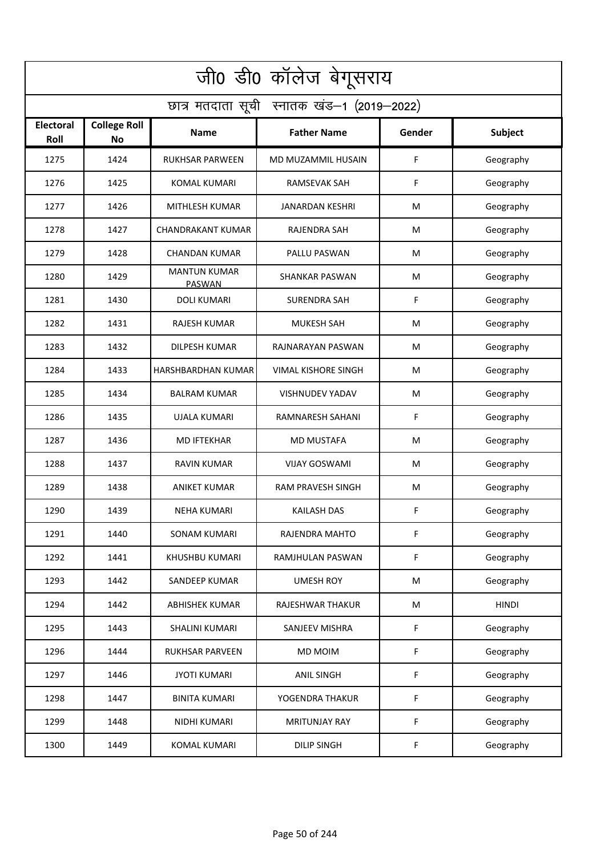| जी0 डी0 कॉलेज बेगूसराय                     |                                  |                               |                            |        |              |  |  |  |
|--------------------------------------------|----------------------------------|-------------------------------|----------------------------|--------|--------------|--|--|--|
| छात्र मतदाता सूची स्नातक खंड-1 (2019-2022) |                                  |                               |                            |        |              |  |  |  |
| Electoral<br>Roll                          | <b>College Roll</b><br><b>No</b> | Name                          | <b>Father Name</b>         | Gender | Subject      |  |  |  |
| 1275                                       | 1424                             | <b>RUKHSAR PARWEEN</b>        | MD MUZAMMIL HUSAIN         | F      | Geography    |  |  |  |
| 1276                                       | 1425                             | <b>KOMAL KUMARI</b>           | <b>RAMSEVAK SAH</b>        | F      | Geography    |  |  |  |
| 1277                                       | 1426                             | MITHLESH KUMAR                | JANARDAN KESHRI            | M      | Geography    |  |  |  |
| 1278                                       | 1427                             | <b>CHANDRAKANT KUMAR</b>      | RAJENDRA SAH               | M      | Geography    |  |  |  |
| 1279                                       | 1428                             | <b>CHANDAN KUMAR</b>          | PALLU PASWAN               | M      | Geography    |  |  |  |
| 1280                                       | 1429                             | <b>MANTUN KUMAR</b><br>PASWAN | <b>SHANKAR PASWAN</b>      | M      | Geography    |  |  |  |
| 1281                                       | 1430                             | <b>DOLI KUMARI</b>            | SURENDRA SAH               | F      | Geography    |  |  |  |
| 1282                                       | 1431                             | <b>RAJESH KUMAR</b>           | <b>MUKESH SAH</b>          | M      | Geography    |  |  |  |
| 1283                                       | 1432                             | <b>DILPESH KUMAR</b>          | RAJNARAYAN PASWAN          | M      | Geography    |  |  |  |
| 1284                                       | 1433                             | HARSHBARDHAN KUMAR            | <b>VIMAL KISHORE SINGH</b> | M      | Geography    |  |  |  |
| 1285                                       | 1434                             | <b>BALRAM KUMAR</b>           | <b>VISHNUDEV YADAV</b>     | M      | Geography    |  |  |  |
| 1286                                       | 1435                             | <b>UJALA KUMARI</b>           | RAMNARESH SAHANI           | F      | Geography    |  |  |  |
| 1287                                       | 1436                             | <b>MD IFTEKHAR</b>            | <b>MD MUSTAFA</b>          | M      | Geography    |  |  |  |
| 1288                                       | 1437                             | <b>RAVIN KUMAR</b>            | <b>VIJAY GOSWAMI</b>       | M      | Geography    |  |  |  |
| 1289                                       | 1438                             | ANIKET KUMAR                  | <b>RAM PRAVESH SINGH</b>   | M      | Geography    |  |  |  |
| 1290                                       | 1439                             | <b>NEHA KUMARI</b>            | KAILASH DAS                | F.     | Geography    |  |  |  |
| 1291                                       | 1440                             | SONAM KUMARI                  | RAJENDRA MAHTO             | F      | Geography    |  |  |  |
| 1292                                       | 1441                             | KHUSHBU KUMARI                | RAMJHULAN PASWAN           | F      | Geography    |  |  |  |
| 1293                                       | 1442                             | <b>SANDEEP KUMAR</b>          | <b>UMESH ROY</b>           | M      | Geography    |  |  |  |
| 1294                                       | 1442                             | <b>ABHISHEK KUMAR</b>         | RAJESHWAR THAKUR           | M      | <b>HINDI</b> |  |  |  |
| 1295                                       | 1443                             | <b>SHALINI KUMARI</b>         | SANJEEV MISHRA             | F      | Geography    |  |  |  |
| 1296                                       | 1444                             | RUKHSAR PARVEEN               | <b>MD MOIM</b>             | F      | Geography    |  |  |  |
| 1297                                       | 1446                             | <b>JYOTI KUMARI</b>           | <b>ANIL SINGH</b>          | F      | Geography    |  |  |  |
| 1298                                       | 1447                             | <b>BINITA KUMARI</b>          | YOGENDRA THAKUR            | F      | Geography    |  |  |  |
| 1299                                       | 1448                             | NIDHI KUMARI                  | <b>MRITUNJAY RAY</b>       | F      | Geography    |  |  |  |
| 1300                                       | 1449                             | <b>KOMAL KUMARI</b>           | <b>DILIP SINGH</b>         | F      | Geography    |  |  |  |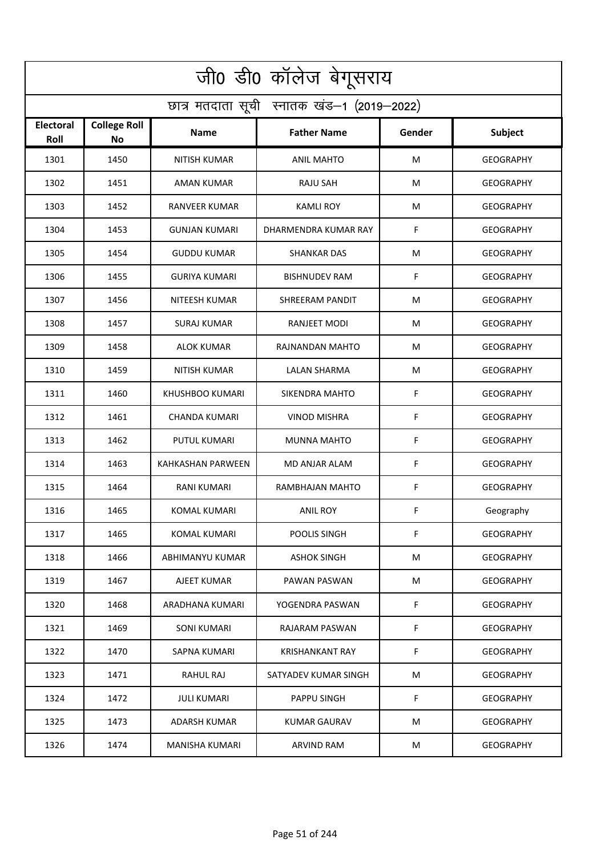| जी0 डी0 कॉलेज बेगूसराय                     |                                  |                       |                        |        |                  |  |  |  |
|--------------------------------------------|----------------------------------|-----------------------|------------------------|--------|------------------|--|--|--|
| छात्र मतदाता सूची स्नातक खंड-1 (2019-2022) |                                  |                       |                        |        |                  |  |  |  |
| Electoral<br>Roll                          | <b>College Roll</b><br><b>No</b> | <b>Name</b>           | <b>Father Name</b>     | Gender | <b>Subject</b>   |  |  |  |
| 1301                                       | 1450                             | <b>NITISH KUMAR</b>   | <b>ANIL MAHTO</b>      | M      | <b>GEOGRAPHY</b> |  |  |  |
| 1302                                       | 1451                             | <b>AMAN KUMAR</b>     | <b>RAJU SAH</b>        | M      | <b>GEOGRAPHY</b> |  |  |  |
| 1303                                       | 1452                             | <b>RANVEER KUMAR</b>  | <b>KAMLI ROY</b>       | M      | <b>GEOGRAPHY</b> |  |  |  |
| 1304                                       | 1453                             | <b>GUNJAN KUMARI</b>  | DHARMENDRA KUMAR RAY   | F      | <b>GEOGRAPHY</b> |  |  |  |
| 1305                                       | 1454                             | <b>GUDDU KUMAR</b>    | <b>SHANKAR DAS</b>     | M      | <b>GEOGRAPHY</b> |  |  |  |
| 1306                                       | 1455                             | <b>GURIYA KUMARI</b>  | <b>BISHNUDEV RAM</b>   | F      | <b>GEOGRAPHY</b> |  |  |  |
| 1307                                       | 1456                             | <b>NITEESH KUMAR</b>  | SHREERAM PANDIT        | M      | <b>GEOGRAPHY</b> |  |  |  |
| 1308                                       | 1457                             | SURAJ KUMAR           | RANJEET MODI           | M      | <b>GEOGRAPHY</b> |  |  |  |
| 1309                                       | 1458                             | <b>ALOK KUMAR</b>     | RAJNANDAN MAHTO        | M      | <b>GEOGRAPHY</b> |  |  |  |
| 1310                                       | 1459                             | <b>NITISH KUMAR</b>   | <b>LALAN SHARMA</b>    | M      | <b>GEOGRAPHY</b> |  |  |  |
| 1311                                       | 1460                             | KHUSHBOO KUMARI       | SIKENDRA MAHTO         | F      | <b>GEOGRAPHY</b> |  |  |  |
| 1312                                       | 1461                             | <b>CHANDA KUMARI</b>  | <b>VINOD MISHRA</b>    | F      | <b>GEOGRAPHY</b> |  |  |  |
| 1313                                       | 1462                             | PUTUL KUMARI          | <b>MUNNA MAHTO</b>     | F      | <b>GEOGRAPHY</b> |  |  |  |
| 1314                                       | 1463                             | KAHKASHAN PARWEEN     | MD ANJAR ALAM          | F      | <b>GEOGRAPHY</b> |  |  |  |
| 1315                                       | 1464                             | <b>RANI KUMARI</b>    | RAMBHAJAN MAHTO        | F      | <b>GEOGRAPHY</b> |  |  |  |
| 1316                                       | 1465                             | KOMAL KUMARI          | ANIL ROY               | F      | Geography        |  |  |  |
| 1317                                       | 1465                             | KOMAL KUMARI          | POOLIS SINGH           | F      | <b>GEOGRAPHY</b> |  |  |  |
| 1318                                       | 1466                             | ABHIMANYU KUMAR       | ASHOK SINGH            | М      | GEOGRAPHY        |  |  |  |
| 1319                                       | 1467                             | AJEET KUMAR           | PAWAN PASWAN           | М      | <b>GEOGRAPHY</b> |  |  |  |
| 1320                                       | 1468                             | ARADHANA KUMARI       | YOGENDRA PASWAN        | F.     | <b>GEOGRAPHY</b> |  |  |  |
| 1321                                       | 1469                             | SONI KUMARI           | RAJARAM PASWAN         | F      | <b>GEOGRAPHY</b> |  |  |  |
| 1322                                       | 1470                             | <b>SAPNA KUMARI</b>   | <b>KRISHANKANT RAY</b> | F      | GEOGRAPHY        |  |  |  |
| 1323                                       | 1471                             | RAHUL RAJ             | SATYADEV KUMAR SINGH   | М      | GEOGRAPHY        |  |  |  |
| 1324                                       | 1472                             | JULI KUMARI           | PAPPU SINGH            | F      | GEOGRAPHY        |  |  |  |
| 1325                                       | 1473                             | ADARSH KUMAR          | KUMAR GAURAV           | М      | <b>GEOGRAPHY</b> |  |  |  |
| 1326                                       | 1474                             | <b>MANISHA KUMARI</b> | ARVIND RAM             | М      | <b>GEOGRAPHY</b> |  |  |  |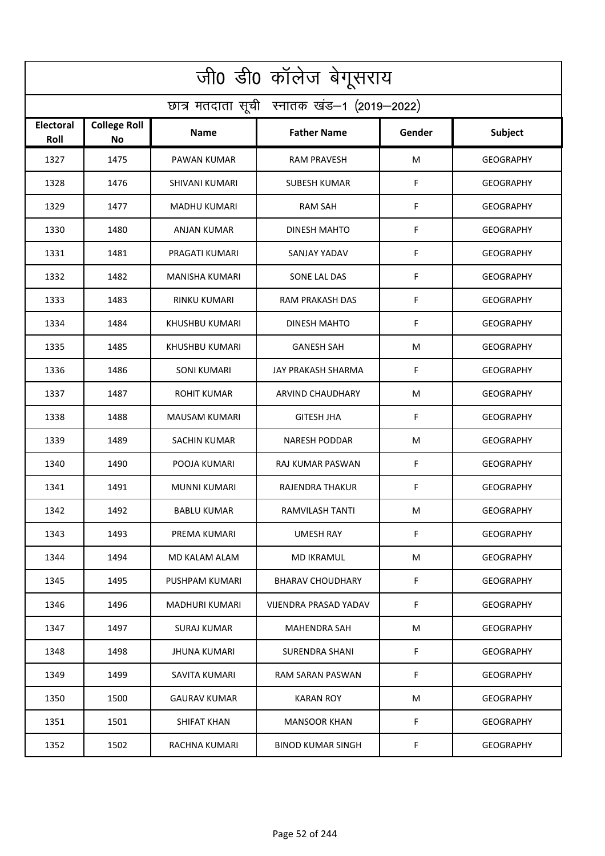| जी0 डी0 कॉलेज बेगूसराय                     |                           |                       |                          |        |                  |  |  |  |
|--------------------------------------------|---------------------------|-----------------------|--------------------------|--------|------------------|--|--|--|
| छात्र मतदाता सूची स्नातक खंड-1 (2019-2022) |                           |                       |                          |        |                  |  |  |  |
| <b>Electoral</b><br>Roll                   | <b>College Roll</b><br>No | Name                  | <b>Father Name</b>       | Gender | <b>Subject</b>   |  |  |  |
| 1327                                       | 1475                      | PAWAN KUMAR           | <b>RAM PRAVESH</b>       | M      | <b>GEOGRAPHY</b> |  |  |  |
| 1328                                       | 1476                      | SHIVANI KUMARI        | <b>SUBESH KUMAR</b>      | F      | <b>GEOGRAPHY</b> |  |  |  |
| 1329                                       | 1477                      | MADHU KUMARI          | <b>RAM SAH</b>           | F      | <b>GEOGRAPHY</b> |  |  |  |
| 1330                                       | 1480                      | ANJAN KUMAR           | <b>DINESH MAHTO</b>      | F      | <b>GEOGRAPHY</b> |  |  |  |
| 1331                                       | 1481                      | PRAGATI KUMARI        | SANJAY YADAV             | F      | <b>GEOGRAPHY</b> |  |  |  |
| 1332                                       | 1482                      | <b>MANISHA KUMARI</b> | SONE LAL DAS             | F      | <b>GEOGRAPHY</b> |  |  |  |
| 1333                                       | 1483                      | <b>RINKU KUMARI</b>   | <b>RAM PRAKASH DAS</b>   | F      | <b>GEOGRAPHY</b> |  |  |  |
| 1334                                       | 1484                      | <b>KHUSHBU KUMARI</b> | <b>DINESH MAHTO</b>      | F      | <b>GEOGRAPHY</b> |  |  |  |
| 1335                                       | 1485                      | KHUSHBU KUMARI        | <b>GANESH SAH</b>        | M      | <b>GEOGRAPHY</b> |  |  |  |
| 1336                                       | 1486                      | <b>SONI KUMARI</b>    | JAY PRAKASH SHARMA       | F      | <b>GEOGRAPHY</b> |  |  |  |
| 1337                                       | 1487                      | <b>ROHIT KUMAR</b>    | ARVIND CHAUDHARY         | M      | <b>GEOGRAPHY</b> |  |  |  |
| 1338                                       | 1488                      | <b>MAUSAM KUMARI</b>  | <b>GITESH JHA</b>        | F      | <b>GEOGRAPHY</b> |  |  |  |
| 1339                                       | 1489                      | SACHIN KUMAR          | <b>NARESH PODDAR</b>     | M      | <b>GEOGRAPHY</b> |  |  |  |
| 1340                                       | 1490                      | POOJA KUMARI          | RAJ KUMAR PASWAN         | F      | <b>GEOGRAPHY</b> |  |  |  |
| 1341                                       | 1491                      | MUNNI KUMARI          | RAJENDRA THAKUR          | F      | <b>GEOGRAPHY</b> |  |  |  |
| 1342                                       | 1492                      | <b>BABLU KUMAR</b>    | RAMVILASH TANTI          | M      | <b>GEOGRAPHY</b> |  |  |  |
| 1343                                       | 1493                      | PREMA KUMARI          | <b>UMESH RAY</b>         | F      | <b>GEOGRAPHY</b> |  |  |  |
| 1344                                       | 1494                      | MD KALAM ALAM         | MD IKRAMUL               | M      | <b>GEOGRAPHY</b> |  |  |  |
| 1345                                       | 1495                      | PUSHPAM KUMARI        | <b>BHARAV CHOUDHARY</b>  | F.     | GEOGRAPHY        |  |  |  |
| 1346                                       | 1496                      | <b>MADHURI KUMARI</b> | VIJENDRA PRASAD YADAV    | F      | GEOGRAPHY        |  |  |  |
| 1347                                       | 1497                      | SURAJ KUMAR           | <b>MAHENDRA SAH</b>      | M      | <b>GEOGRAPHY</b> |  |  |  |
| 1348                                       | 1498                      | <b>JHUNA KUMARI</b>   | SURENDRA SHANI           | F.     | GEOGRAPHY        |  |  |  |
| 1349                                       | 1499                      | SAVITA KUMARI         | RAM SARAN PASWAN         | F      | <b>GEOGRAPHY</b> |  |  |  |
| 1350                                       | 1500                      | <b>GAURAV KUMAR</b>   | <b>KARAN ROY</b>         | M      | GEOGRAPHY        |  |  |  |
| 1351                                       | 1501                      | SHIFAT KHAN           | <b>MANSOOR KHAN</b>      | F      | <b>GEOGRAPHY</b> |  |  |  |
| 1352                                       | 1502                      | RACHNA KUMARI         | <b>BINOD KUMAR SINGH</b> | F.     | <b>GEOGRAPHY</b> |  |  |  |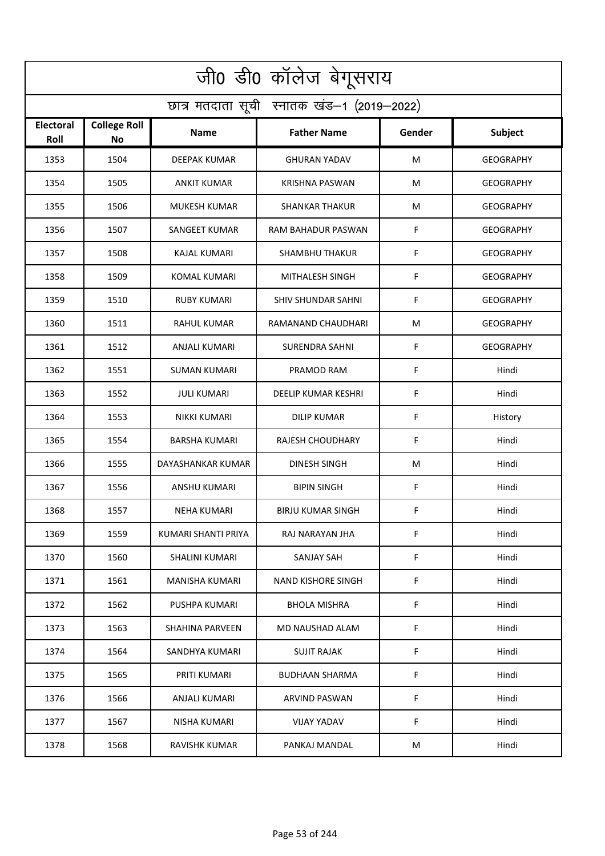| जी0 डी0 कॉलेज बेगूसराय                     |                                  |                        |                            |        |                  |  |  |  |
|--------------------------------------------|----------------------------------|------------------------|----------------------------|--------|------------------|--|--|--|
| छात्र मतदाता सूची स्नातक खंड-1 (2019-2022) |                                  |                        |                            |        |                  |  |  |  |
| Electoral<br>Roll                          | <b>College Roll</b><br><b>No</b> | Name                   | <b>Father Name</b>         | Gender | Subject          |  |  |  |
| 1353                                       | 1504                             | <b>DEEPAK KUMAR</b>    | <b>GHURAN YADAV</b>        | M      | <b>GEOGRAPHY</b> |  |  |  |
| 1354                                       | 1505                             | <b>ANKIT KUMAR</b>     | <b>KRISHNA PASWAN</b>      | M      | <b>GEOGRAPHY</b> |  |  |  |
| 1355                                       | 1506                             | <b>MUKESH KUMAR</b>    | <b>SHANKAR THAKUR</b>      | M      | <b>GEOGRAPHY</b> |  |  |  |
| 1356                                       | 1507                             | <b>SANGEET KUMAR</b>   | RAM BAHADUR PASWAN         | F      | <b>GEOGRAPHY</b> |  |  |  |
| 1357                                       | 1508                             | <b>KAJAL KUMARI</b>    | <b>SHAMBHU THAKUR</b>      | F      | <b>GEOGRAPHY</b> |  |  |  |
| 1358                                       | 1509                             | <b>KOMAL KUMARI</b>    | MITHALESH SINGH            | F      | <b>GEOGRAPHY</b> |  |  |  |
| 1359                                       | 1510                             | <b>RUBY KUMARI</b>     | <b>SHIV SHUNDAR SAHNI</b>  | F      | <b>GEOGRAPHY</b> |  |  |  |
| 1360                                       | 1511                             | <b>RAHUL KUMAR</b>     | RAMANAND CHAUDHARI         | M      | <b>GEOGRAPHY</b> |  |  |  |
| 1361                                       | 1512                             | <b>ANJALI KUMARI</b>   | <b>SURENDRA SAHNI</b>      | F      | <b>GEOGRAPHY</b> |  |  |  |
| 1362                                       | 1551                             | SUMAN KUMARI           | PRAMOD RAM                 | F      | Hindi            |  |  |  |
| 1363                                       | 1552                             | JULI KUMARI            | <b>DEELIP KUMAR KESHRI</b> | F      | Hindi            |  |  |  |
| 1364                                       | 1553                             | <b>NIKKI KUMARI</b>    | <b>DILIP KUMAR</b>         | F      | History          |  |  |  |
| 1365                                       | 1554                             | BARSHA KUMARI          | RAJESH CHOUDHARY           | F      | Hindi            |  |  |  |
| 1366                                       | 1555                             | DAYASHANKAR KUMAR      | <b>DINESH SINGH</b>        | M      | Hindi            |  |  |  |
| 1367                                       | 1556                             | ANSHU KUMARI           | <b>BIPIN SINGH</b>         | F      | Hindi            |  |  |  |
| 1368                                       | 1557                             | NEHA KUMARI            | <b>BIRJU KUMAR SINGH</b>   | F.     | Hindi            |  |  |  |
| 1369                                       | 1559                             | KUMARI SHANTI PRIYA    | RAJ NARAYAN JHA            | F      | Hindi            |  |  |  |
| 1370                                       | 1560                             | SHALINI KUMARI         | SANJAY SAH                 | F      | Hindi            |  |  |  |
| 1371                                       | 1561                             | MANISHA KUMARI         | NAND KISHORE SINGH         | F      | Hindi            |  |  |  |
| 1372                                       | 1562                             | PUSHPA KUMARI          | <b>BHOLA MISHRA</b>        | F      | Hindi            |  |  |  |
| 1373                                       | 1563                             | <b>SHAHINA PARVEEN</b> | MD NAUSHAD ALAM            | F      | Hindi            |  |  |  |
| 1374                                       | 1564                             | SANDHYA KUMARI         | <b>SUJIT RAJAK</b>         | F      | Hindi            |  |  |  |
| 1375                                       | 1565                             | PRITI KUMARI           | <b>BUDHAAN SHARMA</b>      | F      | Hindi            |  |  |  |
| 1376                                       | 1566                             | ANJALI KUMARI          | ARVIND PASWAN              | F.     | Hindi            |  |  |  |
| 1377                                       | 1567                             | NISHA KUMARI           | VIJAY YADAV                | F      | Hindi            |  |  |  |
| 1378                                       | 1568                             | RAVISHK KUMAR          | PANKAJ MANDAL              | M      | Hindi            |  |  |  |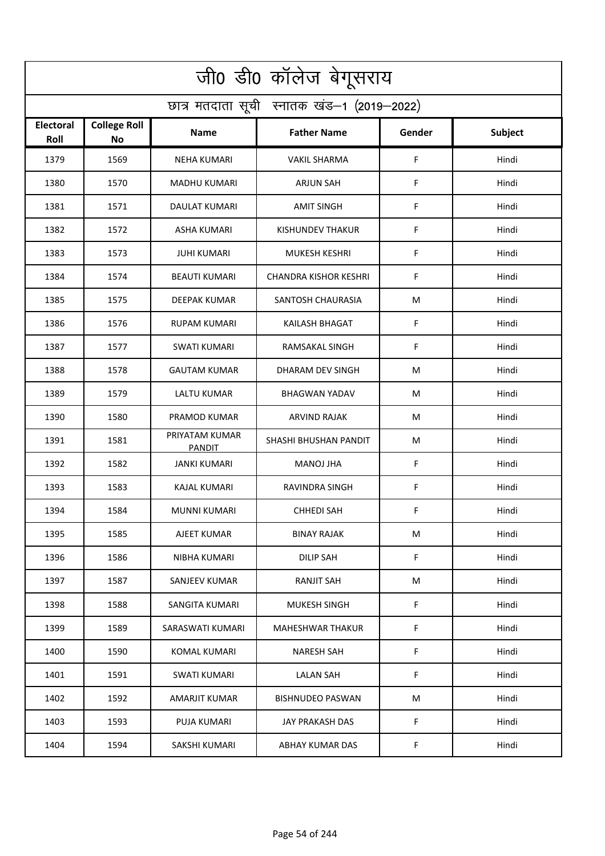| जी0 डी0 कॉलेज बेगूसराय                     |                                  |                          |                              |        |                |  |  |  |
|--------------------------------------------|----------------------------------|--------------------------|------------------------------|--------|----------------|--|--|--|
| छात्र मतदाता सूची स्नातक खंड-1 (2019-2022) |                                  |                          |                              |        |                |  |  |  |
| <b>Electoral</b><br>Roll                   | <b>College Roll</b><br><b>No</b> | Name                     | <b>Father Name</b>           | Gender | <b>Subject</b> |  |  |  |
| 1379                                       | 1569                             | <b>NEHA KUMARI</b>       | <b>VAKIL SHARMA</b>          | F      | Hindi          |  |  |  |
| 1380                                       | 1570                             | <b>MADHU KUMARI</b>      | <b>ARJUN SAH</b>             | F      | Hindi          |  |  |  |
| 1381                                       | 1571                             | DAULAT KUMARI            | <b>AMIT SINGH</b>            | F      | Hindi          |  |  |  |
| 1382                                       | 1572                             | <b>ASHA KUMARI</b>       | <b>KISHUNDEV THAKUR</b>      | F      | Hindi          |  |  |  |
| 1383                                       | 1573                             | <b>JUHI KUMARI</b>       | <b>MUKESH KESHRI</b>         | F      | Hindi          |  |  |  |
| 1384                                       | 1574                             | <b>BEAUTI KUMARI</b>     | <b>CHANDRA KISHOR KESHRI</b> | F      | Hindi          |  |  |  |
| 1385                                       | 1575                             | <b>DEEPAK KUMAR</b>      | SANTOSH CHAURASIA            | M      | Hindi          |  |  |  |
| 1386                                       | 1576                             | RUPAM KUMARI             | <b>KAILASH BHAGAT</b>        | F      | Hindi          |  |  |  |
| 1387                                       | 1577                             | <b>SWATI KUMARI</b>      | <b>RAMSAKAL SINGH</b>        | F      | Hindi          |  |  |  |
| 1388                                       | 1578                             | <b>GAUTAM KUMAR</b>      | DHARAM DEV SINGH             | M      | Hindi          |  |  |  |
| 1389                                       | 1579                             | <b>LALTU KUMAR</b>       | <b>BHAGWAN YADAV</b>         | M      | Hindi          |  |  |  |
| 1390                                       | 1580                             | PRAMOD KUMAR             | <b>ARVIND RAJAK</b>          | M      | Hindi          |  |  |  |
| 1391                                       | 1581                             | PRIYATAM KUMAR<br>PANDIT | SHASHI BHUSHAN PANDIT        | M      | Hindi          |  |  |  |
| 1392                                       | 1582                             | <b>JANKI KUMARI</b>      | <b>MANOJ JHA</b>             | F      | Hindi          |  |  |  |
| 1393                                       | 1583                             | KAJAL KUMARI             | RAVINDRA SINGH               | F      | Hindi          |  |  |  |
| 1394                                       | 1584                             | MUNNI KUMARI             | <b>CHHEDI SAH</b>            | F      | Hindi          |  |  |  |
| 1395                                       | 1585                             | AJEET KUMAR              | <b>BINAY RAJAK</b>           | M      | Hindi          |  |  |  |
| 1396                                       | 1586                             | NIBHA KUMARI             | <b>DILIP SAH</b>             | F      | Hindi          |  |  |  |
| 1397                                       | 1587                             | SANJEEV KUMAR            | RANJIT SAH                   | М      | Hindi          |  |  |  |
| 1398                                       | 1588                             | SANGITA KUMARI           | <b>MUKESH SINGH</b>          | F      | Hindi          |  |  |  |
| 1399                                       | 1589                             | SARASWATI KUMARI         | <b>MAHESHWAR THAKUR</b>      | F      | Hindi          |  |  |  |
| 1400                                       | 1590                             | KOMAL KUMARI             | NARESH SAH                   | F      | Hindi          |  |  |  |
| 1401                                       | 1591                             | <b>SWATI KUMARI</b>      | <b>LALAN SAH</b>             | F      | Hindi          |  |  |  |
| 1402                                       | 1592                             | AMARJIT KUMAR            | <b>BISHNUDEO PASWAN</b>      | M      | Hindi          |  |  |  |
| 1403                                       | 1593                             | PUJA KUMARI              | JAY PRAKASH DAS              | F      | Hindi          |  |  |  |
| 1404                                       | 1594                             | SAKSHI KUMARI            | ABHAY KUMAR DAS              | F      | Hindi          |  |  |  |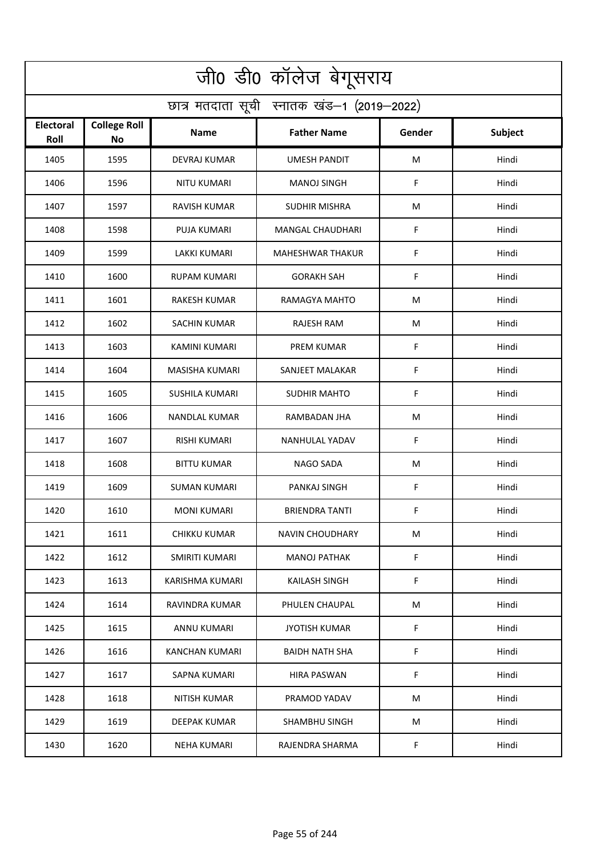| जी0 डी0 कॉलेज बेगूसराय                     |                                  |                       |                         |        |                |  |  |  |
|--------------------------------------------|----------------------------------|-----------------------|-------------------------|--------|----------------|--|--|--|
| छात्र मतदाता सूची स्नातक खंड-1 (2019-2022) |                                  |                       |                         |        |                |  |  |  |
| Electoral<br>Roll                          | <b>College Roll</b><br><b>No</b> | Name                  | <b>Father Name</b>      | Gender | <b>Subject</b> |  |  |  |
| 1405                                       | 1595                             | <b>DEVRAJ KUMAR</b>   | <b>UMESH PANDIT</b>     | M      | Hindi          |  |  |  |
| 1406                                       | 1596                             | <b>NITU KUMARI</b>    | <b>MANOJ SINGH</b>      | F      | Hindi          |  |  |  |
| 1407                                       | 1597                             | RAVISH KUMAR          | SUDHIR MISHRA           | M      | Hindi          |  |  |  |
| 1408                                       | 1598                             | <b>PUJA KUMARI</b>    | <b>MANGAL CHAUDHARI</b> | F      | Hindi          |  |  |  |
| 1409                                       | 1599                             | <b>LAKKI KUMARI</b>   | <b>MAHESHWAR THAKUR</b> | F      | Hindi          |  |  |  |
| 1410                                       | 1600                             | <b>RUPAM KUMARI</b>   | <b>GORAKH SAH</b>       | F      | Hindi          |  |  |  |
| 1411                                       | 1601                             | <b>RAKESH KUMAR</b>   | RAMAGYA MAHTO           | M      | Hindi          |  |  |  |
| 1412                                       | 1602                             | <b>SACHIN KUMAR</b>   | <b>RAJESH RAM</b>       | M      | Hindi          |  |  |  |
| 1413                                       | 1603                             | <b>KAMINI KUMARI</b>  | <b>PREM KUMAR</b>       | F      | Hindi          |  |  |  |
| 1414                                       | 1604                             | MASISHA KUMARI        | SANJEET MALAKAR         | F      | Hindi          |  |  |  |
| 1415                                       | 1605                             | <b>SUSHILA KUMARI</b> | <b>SUDHIR MAHTO</b>     | F      | Hindi          |  |  |  |
| 1416                                       | 1606                             | <b>NANDLAL KUMAR</b>  | RAMBADAN JHA            | M      | Hindi          |  |  |  |
| 1417                                       | 1607                             | RISHI KUMARI          | NANHULAL YADAV          | F      | Hindi          |  |  |  |
| 1418                                       | 1608                             | BITTU KUMAR           | NAGO SADA               | M      | Hindi          |  |  |  |
| 1419                                       | 1609                             | SUMAN KUMARI          | PANKAJ SINGH            | F      | Hindi          |  |  |  |
| 1420                                       | 1610                             | <b>MONI KUMARI</b>    | <b>BRIENDRA TANTI</b>   | F.     | Hindi          |  |  |  |
| 1421                                       | 1611                             | CHIKKU KUMAR          | <b>NAVIN CHOUDHARY</b>  | М      | Hindi          |  |  |  |
| 1422                                       | 1612                             | <b>SMIRITI KUMARI</b> | <b>MANOJ PATHAK</b>     | F.     | Hindi          |  |  |  |
| 1423                                       | 1613                             | KARISHMA KUMARI       | KAILASH SINGH           | F.     | Hindi          |  |  |  |
| 1424                                       | 1614                             | RAVINDRA KUMAR        | PHULEN CHAUPAL          | M      | Hindi          |  |  |  |
| 1425                                       | 1615                             | <b>ANNU KUMARI</b>    | <b>JYOTISH KUMAR</b>    | F.     | Hindi          |  |  |  |
| 1426                                       | 1616                             | KANCHAN KUMARI        | BAIDH NATH SHA          | F      | Hindi          |  |  |  |
| 1427                                       | 1617                             | <b>SAPNA KUMARI</b>   | <b>HIRA PASWAN</b>      | F      | Hindi          |  |  |  |
| 1428                                       | 1618                             | NITISH KUMAR          | PRAMOD YADAV            | M      | Hindi          |  |  |  |
| 1429                                       | 1619                             | DEEPAK KUMAR          | SHAMBHU SINGH           | М      | Hindi          |  |  |  |
| 1430                                       | 1620                             | <b>NEHA KUMARI</b>    | RAJENDRA SHARMA         | F      | Hindi          |  |  |  |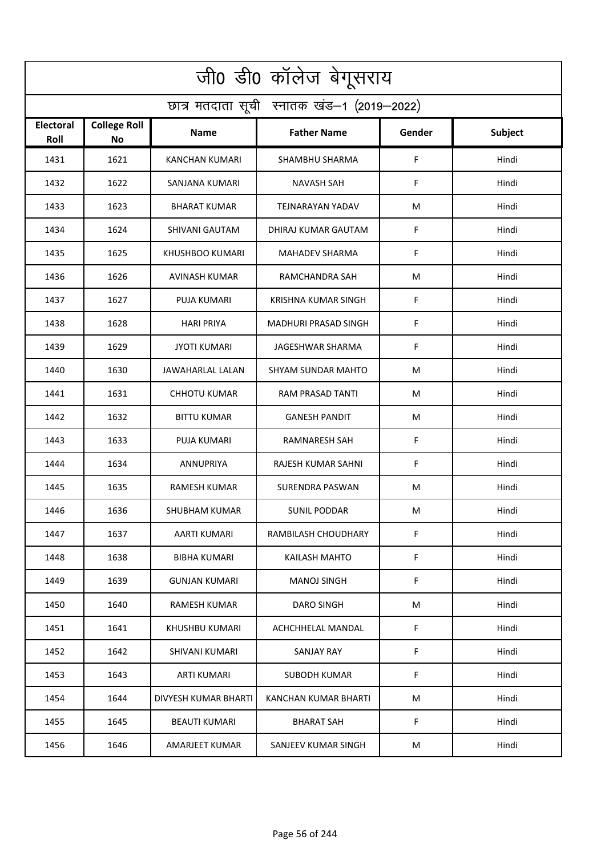| जी0 डी0 कॉलेज बेगूसराय                     |                                  |                       |                            |        |                |  |  |  |
|--------------------------------------------|----------------------------------|-----------------------|----------------------------|--------|----------------|--|--|--|
| छात्र मतदाता सूची स्नातक खंड-1 (2019-2022) |                                  |                       |                            |        |                |  |  |  |
| <b>Electoral</b><br>Roll                   | <b>College Roll</b><br><b>No</b> | <b>Name</b>           | <b>Father Name</b>         | Gender | <b>Subject</b> |  |  |  |
| 1431                                       | 1621                             | <b>KANCHAN KUMARI</b> | SHAMBHU SHARMA             | F      | Hindi          |  |  |  |
| 1432                                       | 1622                             | SANJANA KUMARI        | <b>NAVASH SAH</b>          | F      | Hindi          |  |  |  |
| 1433                                       | 1623                             | <b>BHARAT KUMAR</b>   | TEJNARAYAN YADAV           | М      | Hindi          |  |  |  |
| 1434                                       | 1624                             | SHIVANI GAUTAM        | DHIRAJ KUMAR GAUTAM        | F      | Hindi          |  |  |  |
| 1435                                       | 1625                             | KHUSHBOO KUMARI       | <b>MAHADEV SHARMA</b>      | F      | Hindi          |  |  |  |
| 1436                                       | 1626                             | <b>AVINASH KUMAR</b>  | RAMCHANDRA SAH             | М      | Hindi          |  |  |  |
| 1437                                       | 1627                             | <b>PUJA KUMARI</b>    | <b>KRISHNA KUMAR SINGH</b> | F      | Hindi          |  |  |  |
| 1438                                       | 1628                             | <b>HARI PRIYA</b>     | MADHURI PRASAD SINGH       | F      | Hindi          |  |  |  |
| 1439                                       | 1629                             | <b>JYOTI KUMARI</b>   | JAGESHWAR SHARMA           | F      | Hindi          |  |  |  |
| 1440                                       | 1630                             | JAWAHARLAL LALAN      | <b>SHYAM SUNDAR MAHTO</b>  | M      | Hindi          |  |  |  |
| 1441                                       | 1631                             | <b>CHHOTU KUMAR</b>   | RAM PRASAD TANTI           | M      | Hindi          |  |  |  |
| 1442                                       | 1632                             | <b>BITTU KUMAR</b>    | <b>GANESH PANDIT</b>       | M      | Hindi          |  |  |  |
| 1443                                       | 1633                             | PUJA KUMARI           | RAMNARESH SAH              | F      | Hindi          |  |  |  |
| 1444                                       | 1634                             | <b>ANNUPRIYA</b>      | RAJESH KUMAR SAHNI         | F      | Hindi          |  |  |  |
| 1445                                       | 1635                             | <b>RAMESH KUMAR</b>   | SURENDRA PASWAN            | M      | Hindi          |  |  |  |
| 1446                                       | 1636                             | SHUBHAM KUMAR         | <b>SUNIL PODDAR</b>        | M      | Hindi          |  |  |  |
| 1447                                       | 1637                             | AARTI KUMARI          | RAMBILASH CHOUDHARY        | F      | Hindi          |  |  |  |
| 1448                                       | 1638                             | <b>BIBHA KUMARI</b>   | KAILASH MAHTO              | F      | Hindi          |  |  |  |
| 1449                                       | 1639                             | <b>GUNJAN KUMARI</b>  | MANOJ SINGH                | F      | Hindi          |  |  |  |
| 1450                                       | 1640                             | RAMESH KUMAR          | <b>DARO SINGH</b>          | M      | Hindi          |  |  |  |
| 1451                                       | 1641                             | KHUSHBU KUMARI        | <b>ACHCHHELAL MANDAL</b>   | F      | Hindi          |  |  |  |
| 1452                                       | 1642                             | SHIVANI KUMARI        | <b>SANJAY RAY</b>          | F      | Hindi          |  |  |  |
| 1453                                       | 1643                             | <b>ARTI KUMARI</b>    | SUBODH KUMAR               | F      | Hindi          |  |  |  |
| 1454                                       | 1644                             | DIVYESH KUMAR BHARTI  | KANCHAN KUMAR BHARTI       | M      | Hindi          |  |  |  |
| 1455                                       | 1645                             | <b>BEAUTI KUMARI</b>  | <b>BHARAT SAH</b>          | F      | Hindi          |  |  |  |
| 1456                                       | 1646                             | AMARJEET KUMAR        | SANJEEV KUMAR SINGH        | M      | Hindi          |  |  |  |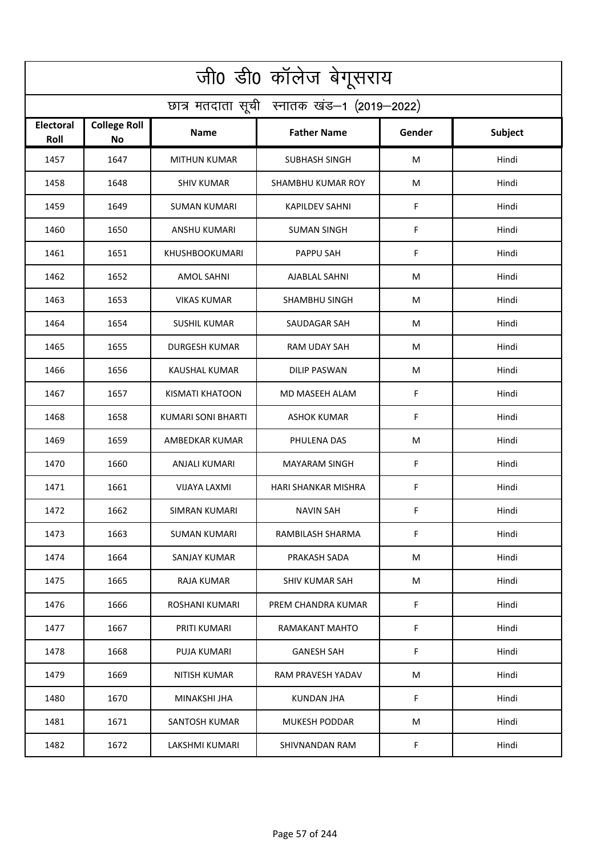| जी0 डी0 कॉलेज बेगूसराय                     |                                  |                           |                      |        |         |  |  |  |
|--------------------------------------------|----------------------------------|---------------------------|----------------------|--------|---------|--|--|--|
| छात्र मतदाता सूची स्नातक खंड-1 (2019-2022) |                                  |                           |                      |        |         |  |  |  |
| <b>Electoral</b><br>Roll                   | <b>College Roll</b><br><b>No</b> | Name                      | <b>Father Name</b>   | Gender | Subject |  |  |  |
| 1457                                       | 1647                             | <b>MITHUN KUMAR</b>       | <b>SUBHASH SINGH</b> | M      | Hindi   |  |  |  |
| 1458                                       | 1648                             | <b>SHIV KUMAR</b>         | SHAMBHU KUMAR ROY    | М      | Hindi   |  |  |  |
| 1459                                       | 1649                             | SUMAN KUMARI              | KAPILDEV SAHNI       | F      | Hindi   |  |  |  |
| 1460                                       | 1650                             | <b>ANSHU KUMARI</b>       | <b>SUMAN SINGH</b>   | F      | Hindi   |  |  |  |
| 1461                                       | 1651                             | <b>KHUSHBOOKUMARI</b>     | <b>PAPPU SAH</b>     | F      | Hindi   |  |  |  |
| 1462                                       | 1652                             | <b>AMOL SAHNI</b>         | <b>AJABLAL SAHNI</b> | M      | Hindi   |  |  |  |
| 1463                                       | 1653                             | <b>VIKAS KUMAR</b>        | <b>SHAMBHU SINGH</b> | М      | Hindi   |  |  |  |
| 1464                                       | 1654                             | <b>SUSHIL KUMAR</b>       | SAUDAGAR SAH         | M      | Hindi   |  |  |  |
| 1465                                       | 1655                             | <b>DURGESH KUMAR</b>      | RAM UDAY SAH         | M      | Hindi   |  |  |  |
| 1466                                       | 1656                             | KAUSHAL KUMAR             | <b>DILIP PASWAN</b>  | M      | Hindi   |  |  |  |
| 1467                                       | 1657                             | <b>KISMATI KHATOON</b>    | MD MASEEH ALAM       | F      | Hindi   |  |  |  |
| 1468                                       | 1658                             | <b>KUMARI SONI BHARTI</b> | <b>ASHOK KUMAR</b>   | F      | Hindi   |  |  |  |
| 1469                                       | 1659                             | AMBEDKAR KUMAR            | PHULENA DAS          | M      | Hindi   |  |  |  |
| 1470                                       | 1660                             | ANJALI KUMARI             | <b>MAYARAM SINGH</b> | F      | Hindi   |  |  |  |
| 1471                                       | 1661                             | VIJAYA LAXMI              | HARI SHANKAR MISHRA  | F      | Hindi   |  |  |  |
| 1472                                       | 1662                             | SIMRAN KUMARI             | NAVIN SAH            | F      | Hindi   |  |  |  |
| 1473                                       | 1663                             | SUMAN KUMARI              | RAMBILASH SHARMA     | F      | Hindi   |  |  |  |
| 1474                                       | 1664                             | SANJAY KUMAR              | PRAKASH SADA         | М      | Hindi   |  |  |  |
| 1475                                       | 1665                             | RAJA KUMAR                | SHIV KUMAR SAH       | M      | Hindi   |  |  |  |
| 1476                                       | 1666                             | ROSHANI KUMARI            | PREM CHANDRA KUMAR   | F      | Hindi   |  |  |  |
| 1477                                       | 1667                             | PRITI KUMARI              | RAMAKANT MAHTO       | F      | Hindi   |  |  |  |
| 1478                                       | 1668                             | PUJA KUMARI               | GANESH SAH           | F      | Hindi   |  |  |  |
| 1479                                       | 1669                             | <b>NITISH KUMAR</b>       | RAM PRAVESH YADAV    | M      | Hindi   |  |  |  |
| 1480                                       | 1670                             | MINAKSHI JHA              | KUNDAN JHA           | F      | Hindi   |  |  |  |
| 1481                                       | 1671                             | SANTOSH KUMAR             | <b>MUKESH PODDAR</b> | M      | Hindi   |  |  |  |
| 1482                                       | 1672                             | LAKSHMI KUMARI            | SHIVNANDAN RAM       | F      | Hindi   |  |  |  |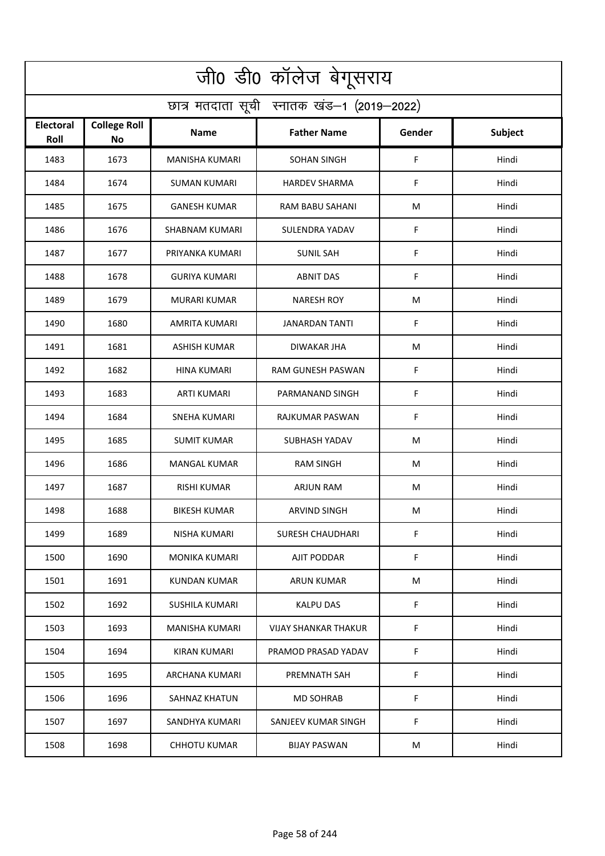| जी0 डी0 कॉलेज बेगूसराय                     |                                  |                       |                             |        |                |  |  |  |
|--------------------------------------------|----------------------------------|-----------------------|-----------------------------|--------|----------------|--|--|--|
| छात्र मतदाता सूची स्नातक खंड-1 (2019-2022) |                                  |                       |                             |        |                |  |  |  |
| Electoral<br>Roll                          | <b>College Roll</b><br><b>No</b> | Name                  | <b>Father Name</b>          | Gender | <b>Subject</b> |  |  |  |
| 1483                                       | 1673                             | <b>MANISHA KUMARI</b> | <b>SOHAN SINGH</b>          | F      | Hindi          |  |  |  |
| 1484                                       | 1674                             | <b>SUMAN KUMARI</b>   | <b>HARDEV SHARMA</b>        | F      | Hindi          |  |  |  |
| 1485                                       | 1675                             | <b>GANESH KUMAR</b>   | RAM BABU SAHANI             | M      | Hindi          |  |  |  |
| 1486                                       | 1676                             | <b>SHABNAM KUMARI</b> | SULENDRA YADAV              | F      | Hindi          |  |  |  |
| 1487                                       | 1677                             | PRIYANKA KUMARI       | <b>SUNIL SAH</b>            | F      | Hindi          |  |  |  |
| 1488                                       | 1678                             | <b>GURIYA KUMARI</b>  | <b>ABNIT DAS</b>            | F      | Hindi          |  |  |  |
| 1489                                       | 1679                             | <b>MURARI KUMAR</b>   | <b>NARESH ROY</b>           | M      | Hindi          |  |  |  |
| 1490                                       | 1680                             | AMRITA KUMARI         | JANARDAN TANTI              | F      | Hindi          |  |  |  |
| 1491                                       | 1681                             | <b>ASHISH KUMAR</b>   | <b>DIWAKAR JHA</b>          | M      | Hindi          |  |  |  |
| 1492                                       | 1682                             | HINA KUMARI           | RAM GUNESH PASWAN           | F      | Hindi          |  |  |  |
| 1493                                       | 1683                             | ARTI KUMARI           | PARMANAND SINGH             | F      | Hindi          |  |  |  |
| 1494                                       | 1684                             | <b>SNEHA KUMARI</b>   | RAJKUMAR PASWAN             | F      | Hindi          |  |  |  |
| 1495                                       | 1685                             | <b>SUMIT KUMAR</b>    | SUBHASH YADAV               | M      | Hindi          |  |  |  |
| 1496                                       | 1686                             | <b>MANGAL KUMAR</b>   | <b>RAM SINGH</b>            | M      | Hindi          |  |  |  |
| 1497                                       | 1687                             | RISHI KUMAR           | <b>ARJUN RAM</b>            | M      | Hindi          |  |  |  |
| 1498                                       | 1688                             | <b>BIKESH KUMAR</b>   | ARVIND SINGH                | M      | Hindi          |  |  |  |
| 1499                                       | 1689                             | NISHA KUMARI          | <b>SURESH CHAUDHARI</b>     | F      | Hindi          |  |  |  |
| 1500                                       | 1690                             | <b>MONIKA KUMARI</b>  | AJIT PODDAR                 | F.     | Hindi          |  |  |  |
| 1501                                       | 1691                             | KUNDAN KUMAR          | ARUN KUMAR                  | M      | Hindi          |  |  |  |
| 1502                                       | 1692                             | SUSHILA KUMARI        | <b>KALPU DAS</b>            | F      | Hindi          |  |  |  |
| 1503                                       | 1693                             | <b>MANISHA KUMARI</b> | <b>VIJAY SHANKAR THAKUR</b> | F      | Hindi          |  |  |  |
| 1504                                       | 1694                             | KIRAN KUMARI          | PRAMOD PRASAD YADAV         | F      | Hindi          |  |  |  |
| 1505                                       | 1695                             | ARCHANA KUMARI        | PREMNATH SAH                | F      | Hindi          |  |  |  |
| 1506                                       | 1696                             | SAHNAZ KHATUN         | <b>MD SOHRAB</b>            | F      | Hindi          |  |  |  |
| 1507                                       | 1697                             | SANDHYA KUMARI        | SANJEEV KUMAR SINGH         | F      | Hindi          |  |  |  |
| 1508                                       | 1698                             | <b>CHHOTU KUMAR</b>   | <b>BIJAY PASWAN</b>         | M      | Hindi          |  |  |  |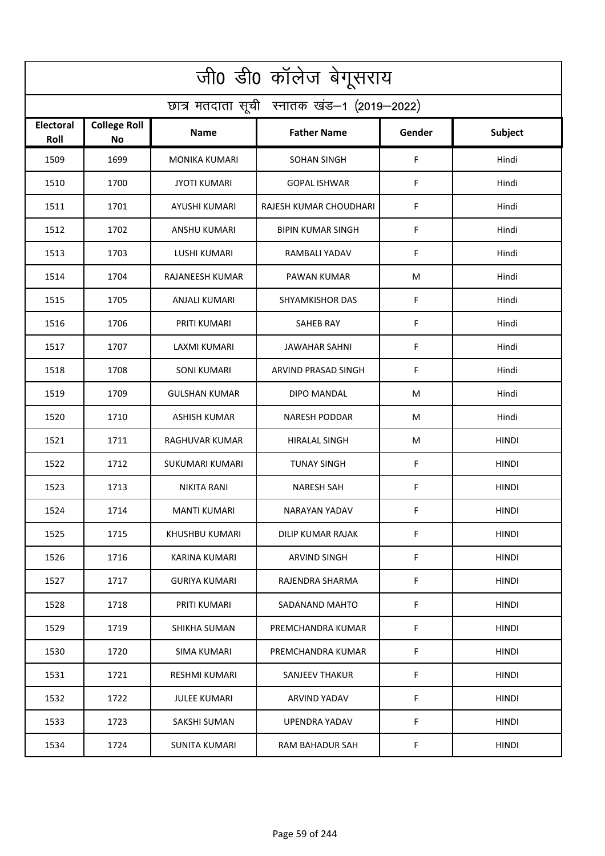| जी0 डी0 कॉलेज बेगूसराय                     |                                  |                      |                          |        |              |  |  |  |
|--------------------------------------------|----------------------------------|----------------------|--------------------------|--------|--------------|--|--|--|
| छात्र मतदाता सूची स्नातक खंड-1 (2019-2022) |                                  |                      |                          |        |              |  |  |  |
| Electoral<br>Roll                          | <b>College Roll</b><br><b>No</b> | Name                 | <b>Father Name</b>       | Gender | Subject      |  |  |  |
| 1509                                       | 1699                             | <b>MONIKA KUMARI</b> | <b>SOHAN SINGH</b>       | F      | Hindi        |  |  |  |
| 1510                                       | 1700                             | <b>JYOTI KUMARI</b>  | <b>GOPAL ISHWAR</b>      | F.     | Hindi        |  |  |  |
| 1511                                       | 1701                             | AYUSHI KUMARI        | RAJESH KUMAR CHOUDHARI   | F      | Hindi        |  |  |  |
| 1512                                       | 1702                             | <b>ANSHU KUMARI</b>  | <b>BIPIN KUMAR SINGH</b> | F      | Hindi        |  |  |  |
| 1513                                       | 1703                             | <b>LUSHI KUMARI</b>  | <b>RAMBALI YADAV</b>     | F      | Hindi        |  |  |  |
| 1514                                       | 1704                             | RAJANEESH KUMAR      | PAWAN KUMAR              | M      | Hindi        |  |  |  |
| 1515                                       | 1705                             | ANJALI KUMARI        | <b>SHYAMKISHOR DAS</b>   | F      | Hindi        |  |  |  |
| 1516                                       | 1706                             | PRITI KUMARI         | <b>SAHEB RAY</b>         | F      | Hindi        |  |  |  |
| 1517                                       | 1707                             | <b>LAXMI KUMARI</b>  | <b>JAWAHAR SAHNI</b>     | F      | Hindi        |  |  |  |
| 1518                                       | 1708                             | <b>SONI KUMARI</b>   | ARVIND PRASAD SINGH      | F      | Hindi        |  |  |  |
| 1519                                       | 1709                             | <b>GULSHAN KUMAR</b> | DIPO MANDAL              | M      | Hindi        |  |  |  |
| 1520                                       | 1710                             | <b>ASHISH KUMAR</b>  | <b>NARESH PODDAR</b>     | M      | Hindi        |  |  |  |
| 1521                                       | 1711                             | RAGHUVAR KUMAR       | HIRALAL SINGH            | M      | HINDI        |  |  |  |
| 1522                                       | 1712                             | SUKUMARI KUMARI      | <b>TUNAY SINGH</b>       | F      | <b>HINDI</b> |  |  |  |
| 1523                                       | 1713                             | NIKITA RANI          | NARESH SAH               | F      | <b>HINDI</b> |  |  |  |
| 1524                                       | 1714                             | MANTI KUMARI         | NARAYAN YADAV            | F.     | <b>HINDI</b> |  |  |  |
| 1525                                       | 1715                             | KHUSHBU KUMARI       | DILIP KUMAR RAJAK        | F      | HINDI        |  |  |  |
| 1526                                       | 1716                             | <b>KARINA KUMARI</b> | ARVIND SINGH             | F      | <b>HINDI</b> |  |  |  |
| 1527                                       | 1717                             | <b>GURIYA KUMARI</b> | RAJENDRA SHARMA          | F      | HINDI        |  |  |  |
| 1528                                       | 1718                             | PRITI KUMARI         | SADANAND MAHTO           | F      | HINDI        |  |  |  |
| 1529                                       | 1719                             | SHIKHA SUMAN         | PREMCHANDRA KUMAR        | F      | <b>HINDI</b> |  |  |  |
| 1530                                       | 1720                             | SIMA KUMARI          | PREMCHANDRA KUMAR        | F      | HINDI        |  |  |  |
| 1531                                       | 1721                             | <b>RESHMI KUMARI</b> | <b>SANJEEV THAKUR</b>    | F      | <b>HINDI</b> |  |  |  |
| 1532                                       | 1722                             | <b>JULEE KUMARI</b>  | ARVIND YADAV             | F      | <b>HINDI</b> |  |  |  |
| 1533                                       | 1723                             | SAKSHI SUMAN         | UPENDRA YADAV            | F      | HINDI        |  |  |  |
| 1534                                       | 1724                             | <b>SUNITA KUMARI</b> | RAM BAHADUR SAH          | F      | <b>HINDI</b> |  |  |  |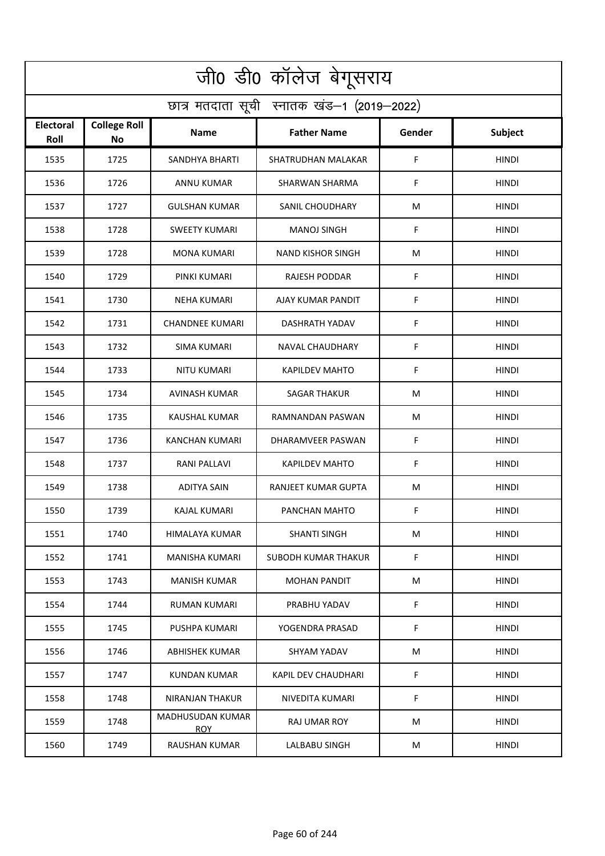| जी0 डी0 कॉलेज बेगूसराय                     |                                  |                                |                            |        |              |  |  |  |
|--------------------------------------------|----------------------------------|--------------------------------|----------------------------|--------|--------------|--|--|--|
| छात्र मतदाता सूची स्नातक खंड-1 (2019-2022) |                                  |                                |                            |        |              |  |  |  |
| <b>Electoral</b><br>Roll                   | <b>College Roll</b><br><b>No</b> | Name                           | <b>Father Name</b>         | Gender | Subject      |  |  |  |
| 1535                                       | 1725                             | SANDHYA BHARTI                 | SHATRUDHAN MALAKAR         | F      | <b>HINDI</b> |  |  |  |
| 1536                                       | 1726                             | <b>ANNU KUMAR</b>              | SHARWAN SHARMA             | F      | <b>HINDI</b> |  |  |  |
| 1537                                       | 1727                             | <b>GULSHAN KUMAR</b>           | SANIL CHOUDHARY            | M      | <b>HINDI</b> |  |  |  |
| 1538                                       | 1728                             | <b>SWEETY KUMARI</b>           | <b>MANOJ SINGH</b>         | F      | <b>HINDI</b> |  |  |  |
| 1539                                       | 1728                             | <b>MONA KUMARI</b>             | <b>NAND KISHOR SINGH</b>   | M      | <b>HINDI</b> |  |  |  |
| 1540                                       | 1729                             | PINKI KUMARI                   | RAJESH PODDAR              | F      | <b>HINDI</b> |  |  |  |
| 1541                                       | 1730                             | <b>NEHA KUMARI</b>             | AJAY KUMAR PANDIT          | F      | <b>HINDI</b> |  |  |  |
| 1542                                       | 1731                             | <b>CHANDNEE KUMARI</b>         | DASHRATH YADAV             | F      | <b>HINDI</b> |  |  |  |
| 1543                                       | 1732                             | <b>SIMA KUMARI</b>             | <b>NAVAL CHAUDHARY</b>     | F      | <b>HINDI</b> |  |  |  |
| 1544                                       | 1733                             | <b>NITU KUMARI</b>             | <b>KAPILDEV MAHTO</b>      | F      | <b>HINDI</b> |  |  |  |
| 1545                                       | 1734                             | AVINASH KUMAR                  | <b>SAGAR THAKUR</b>        | M      | HINDI        |  |  |  |
| 1546                                       | 1735                             | <b>KAUSHAL KUMAR</b>           | RAMNANDAN PASWAN           | M      | <b>HINDI</b> |  |  |  |
| 1547                                       | 1736                             | KANCHAN KUMARI                 | DHARAMVEER PASWAN          | F      | HINDI        |  |  |  |
| 1548                                       | 1737                             | RANI PALLAVI                   | <b>KAPILDEV MAHTO</b>      | F      | <b>HINDI</b> |  |  |  |
| 1549                                       | 1738                             | ADITYA SAIN                    | RANJEET KUMAR GUPTA        | M      | <b>HINDI</b> |  |  |  |
| 1550                                       | 1739                             | KAJAL KUMARI                   | PANCHAN MAHTO              | F      | HINDI        |  |  |  |
| 1551                                       | 1740                             | HIMALAYA KUMAR                 | SHANTI SINGH               | M      | <b>HINDI</b> |  |  |  |
| 1552                                       | 1741                             | <b>MANISHA KUMARI</b>          | <b>SUBODH KUMAR THAKUR</b> | F      | <b>HINDI</b> |  |  |  |
| 1553                                       | 1743                             | <b>MANISH KUMAR</b>            | <b>MOHAN PANDIT</b>        | M      | <b>HINDI</b> |  |  |  |
| 1554                                       | 1744                             | RUMAN KUMARI                   | PRABHU YADAV               | F      | <b>HINDI</b> |  |  |  |
| 1555                                       | 1745                             | PUSHPA KUMARI                  | YOGENDRA PRASAD            | F      | <b>HINDI</b> |  |  |  |
| 1556                                       | 1746                             | ABHISHEK KUMAR                 | SHYAM YADAV                | М      | <b>HINDI</b> |  |  |  |
| 1557                                       | 1747                             | <b>KUNDAN KUMAR</b>            | KAPIL DEV CHAUDHARI        | F      | <b>HINDI</b> |  |  |  |
| 1558                                       | 1748                             | NIRANJAN THAKUR                | NIVEDITA KUMARI            | F      | <b>HINDI</b> |  |  |  |
| 1559                                       | 1748                             | MADHUSUDAN KUMAR<br><b>ROY</b> | RAJ UMAR ROY               | M      | HINDI        |  |  |  |
| 1560                                       | 1749                             | <b>RAUSHAN KUMAR</b>           | LALBABU SINGH              | M      | <b>HINDI</b> |  |  |  |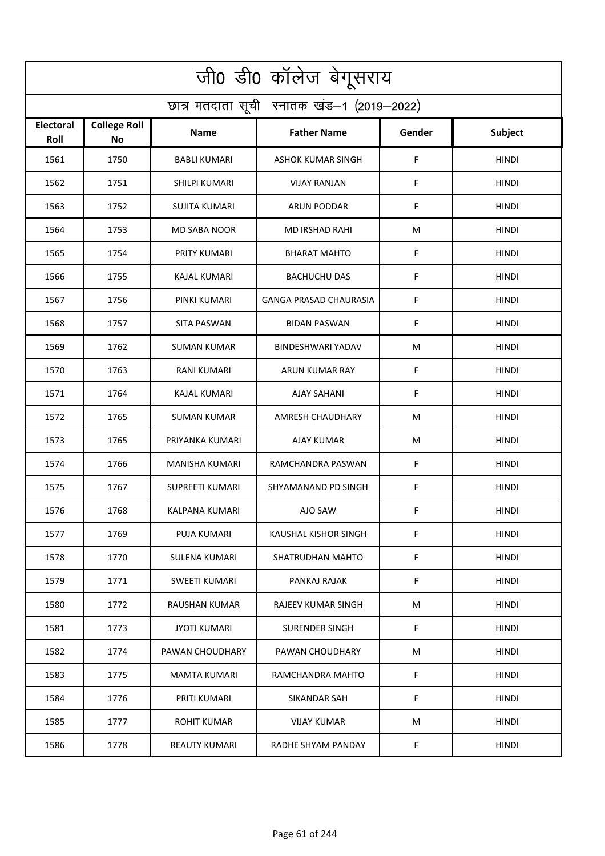| जी0 डी0 कॉलेज बेगूसराय                     |                                  |                        |                               |        |              |  |  |  |
|--------------------------------------------|----------------------------------|------------------------|-------------------------------|--------|--------------|--|--|--|
| छात्र मतदाता सूची स्नातक खंड-1 (2019-2022) |                                  |                        |                               |        |              |  |  |  |
| <b>Electoral</b><br>Roll                   | <b>College Roll</b><br><b>No</b> | Name                   | <b>Father Name</b>            | Gender | Subject      |  |  |  |
| 1561                                       | 1750                             | <b>BABLI KUMARI</b>    | <b>ASHOK KUMAR SINGH</b>      | F      | <b>HINDI</b> |  |  |  |
| 1562                                       | 1751                             | <b>SHILPI KUMARI</b>   | <b>VIJAY RANJAN</b>           | F      | <b>HINDI</b> |  |  |  |
| 1563                                       | 1752                             | SUJITA KUMARI          | ARUN PODDAR                   | F      | <b>HINDI</b> |  |  |  |
| 1564                                       | 1753                             | <b>MD SABA NOOR</b>    | <b>MD IRSHAD RAHI</b>         | M      | <b>HINDI</b> |  |  |  |
| 1565                                       | 1754                             | PRITY KUMARI           | <b>BHARAT MAHTO</b>           | F      | <b>HINDI</b> |  |  |  |
| 1566                                       | 1755                             | <b>KAJAL KUMARI</b>    | <b>BACHUCHU DAS</b>           | F      | <b>HINDI</b> |  |  |  |
| 1567                                       | 1756                             | PINKI KUMARI           | <b>GANGA PRASAD CHAURASIA</b> | F      | <b>HINDI</b> |  |  |  |
| 1568                                       | 1757                             | <b>SITA PASWAN</b>     | <b>BIDAN PASWAN</b>           | F      | <b>HINDI</b> |  |  |  |
| 1569                                       | 1762                             | <b>SUMAN KUMAR</b>     | <b>BINDESHWARI YADAV</b>      | M      | <b>HINDI</b> |  |  |  |
| 1570                                       | 1763                             | <b>RANI KUMARI</b>     | ARUN KUMAR RAY                | F      | <b>HINDI</b> |  |  |  |
| 1571                                       | 1764                             | KAJAL KUMARI           | <b>AJAY SAHANI</b>            | F      | HINDI        |  |  |  |
| 1572                                       | 1765                             | SUMAN KUMAR            | AMRESH CHAUDHARY              | M      | <b>HINDI</b> |  |  |  |
| 1573                                       | 1765                             | PRIYANKA KUMARI        | AJAY KUMAR                    | M      | HINDI        |  |  |  |
| 1574                                       | 1766                             | MANISHA KUMARI         | RAMCHANDRA PASWAN             | F      | <b>HINDI</b> |  |  |  |
| 1575                                       | 1767                             | <b>SUPREETI KUMARI</b> | SHYAMANAND PD SINGH           | F      | <b>HINDI</b> |  |  |  |
| 1576                                       | 1768                             | KALPANA KUMARI         | AJO SAW                       | F      | HINDI        |  |  |  |
| 1577                                       | 1769                             | PUJA KUMARI            | KAUSHAL KISHOR SINGH          | F      | <b>HINDI</b> |  |  |  |
| 1578                                       | 1770                             | SULENA KUMARI          | SHATRUDHAN MAHTO              | F      | <b>HINDI</b> |  |  |  |
| 1579                                       | 1771                             | SWEETI KUMARI          | PANKAJ RAJAK                  | F      | <b>HINDI</b> |  |  |  |
| 1580                                       | 1772                             | RAUSHAN KUMAR          | RAJEEV KUMAR SINGH            | M      | <b>HINDI</b> |  |  |  |
| 1581                                       | 1773                             | <b>JYOTI KUMARI</b>    | <b>SURENDER SINGH</b>         | F      | <b>HINDI</b> |  |  |  |
| 1582                                       | 1774                             | PAWAN CHOUDHARY        | PAWAN CHOUDHARY               | М      | <b>HINDI</b> |  |  |  |
| 1583                                       | 1775                             | <b>MAMTA KUMARI</b>    | RAMCHANDRA MAHTO              | F      | <b>HINDI</b> |  |  |  |
| 1584                                       | 1776                             | PRITI KUMARI           | SIKANDAR SAH                  | F      | <b>HINDI</b> |  |  |  |
| 1585                                       | 1777                             | ROHIT KUMAR            | VIJAY KUMAR                   | M      | HINDI        |  |  |  |
| 1586                                       | 1778                             | <b>REAUTY KUMARI</b>   | RADHE SHYAM PANDAY            | F      | <b>HINDI</b> |  |  |  |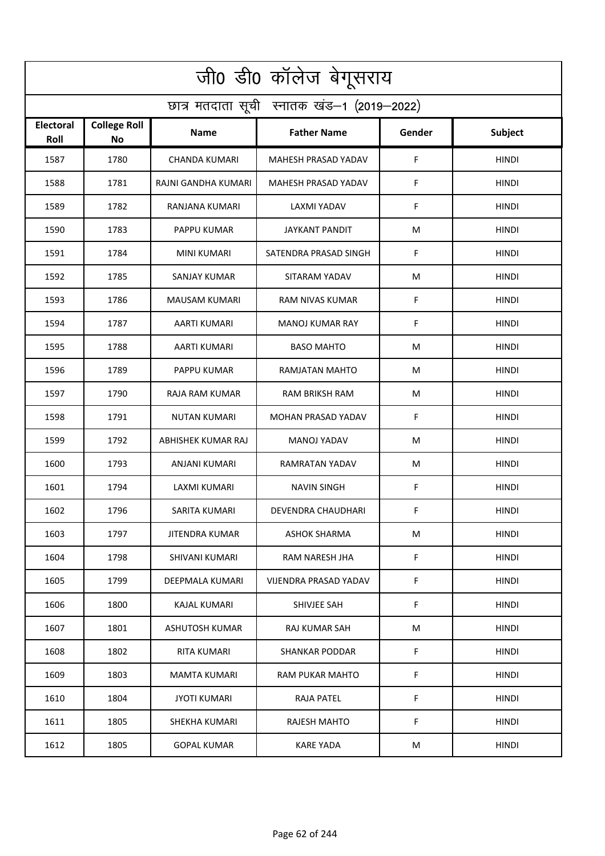| जी0 डी0 कॉलेज बेगूसराय                     |                                  |                       |                            |        |                |  |  |  |
|--------------------------------------------|----------------------------------|-----------------------|----------------------------|--------|----------------|--|--|--|
| छात्र मतदाता सूची स्नातक खंड-1 (2019-2022) |                                  |                       |                            |        |                |  |  |  |
| <b>Electoral</b><br>Roll                   | <b>College Roll</b><br><b>No</b> | Name                  | <b>Father Name</b>         | Gender | <b>Subject</b> |  |  |  |
| 1587                                       | 1780                             | <b>CHANDA KUMARI</b>  | MAHESH PRASAD YADAV        | F      | <b>HINDI</b>   |  |  |  |
| 1588                                       | 1781                             | RAJNI GANDHA KUMARI   | <b>MAHESH PRASAD YADAV</b> | F      | <b>HINDI</b>   |  |  |  |
| 1589                                       | 1782                             | RANJANA KUMARI        | LAXMI YADAV                | F      | <b>HINDI</b>   |  |  |  |
| 1590                                       | 1783                             | <b>PAPPU KUMAR</b>    | <b>JAYKANT PANDIT</b>      | M      | <b>HINDI</b>   |  |  |  |
| 1591                                       | 1784                             | <b>MINI KUMARI</b>    | SATENDRA PRASAD SINGH      | F      | <b>HINDI</b>   |  |  |  |
| 1592                                       | 1785                             | <b>SANJAY KUMAR</b>   | SITARAM YADAV              | M      | <b>HINDI</b>   |  |  |  |
| 1593                                       | 1786                             | <b>MAUSAM KUMARI</b>  | RAM NIVAS KUMAR            | F      | <b>HINDI</b>   |  |  |  |
| 1594                                       | 1787                             | <b>AARTI KUMARI</b>   | <b>MANOJ KUMAR RAY</b>     | F      | <b>HINDI</b>   |  |  |  |
| 1595                                       | 1788                             | <b>AARTI KUMARI</b>   | <b>BASO MAHTO</b>          | M      | <b>HINDI</b>   |  |  |  |
| 1596                                       | 1789                             | PAPPU KUMAR           | RAMJATAN MAHTO             | M      | <b>HINDI</b>   |  |  |  |
| 1597                                       | 1790                             | RAJA RAM KUMAR        | <b>RAM BRIKSH RAM</b>      | M      | HINDI          |  |  |  |
| 1598                                       | 1791                             | <b>NUTAN KUMARI</b>   | <b>MOHAN PRASAD YADAV</b>  | F      | <b>HINDI</b>   |  |  |  |
| 1599                                       | 1792                             | ABHISHEK KUMAR RAJ    | <b>MANOJ YADAV</b>         | M      | HINDI          |  |  |  |
| 1600                                       | 1793                             | ANJANI KUMARI         | RAMRATAN YADAV             | М      | <b>HINDI</b>   |  |  |  |
| 1601                                       | 1794                             | LAXMI KUMARI          | NAVIN SINGH                | F      | <b>HINDI</b>   |  |  |  |
| 1602                                       | 1796                             | SARITA KUMARI         | DEVENDRA CHAUDHARI         | F      | <b>HINDI</b>   |  |  |  |
| 1603                                       | 1797                             | JITENDRA KUMAR        | <b>ASHOK SHARMA</b>        | M      | <b>HINDI</b>   |  |  |  |
| 1604                                       | 1798                             | <b>SHIVANI KUMARI</b> | RAM NARESH JHA             | F      | <b>HINDI</b>   |  |  |  |
| 1605                                       | 1799                             | DEEPMALA KUMARI       | VIJENDRA PRASAD YADAV      | F      | <b>HINDI</b>   |  |  |  |
| 1606                                       | 1800                             | KAJAL KUMARI          | SHIVJEE SAH                | F      | <b>HINDI</b>   |  |  |  |
| 1607                                       | 1801                             | <b>ASHUTOSH KUMAR</b> | <b>RAJ KUMAR SAH</b>       | M      | <b>HINDI</b>   |  |  |  |
| 1608                                       | 1802                             | RITA KUMARI           | SHANKAR PODDAR             | F      | <b>HINDI</b>   |  |  |  |
| 1609                                       | 1803                             | <b>MAMTA KUMARI</b>   | RAM PUKAR MAHTO            | F      | <b>HINDI</b>   |  |  |  |
| 1610                                       | 1804                             | <b>JYOTI KUMARI</b>   | <b>RAJA PATEL</b>          | F      | <b>HINDI</b>   |  |  |  |
| 1611                                       | 1805                             | SHEKHA KUMARI         | RAJESH MAHTO               | F      | HINDI          |  |  |  |
| 1612                                       | 1805                             | <b>GOPAL KUMAR</b>    | <b>KARE YADA</b>           | M      | <b>HINDI</b>   |  |  |  |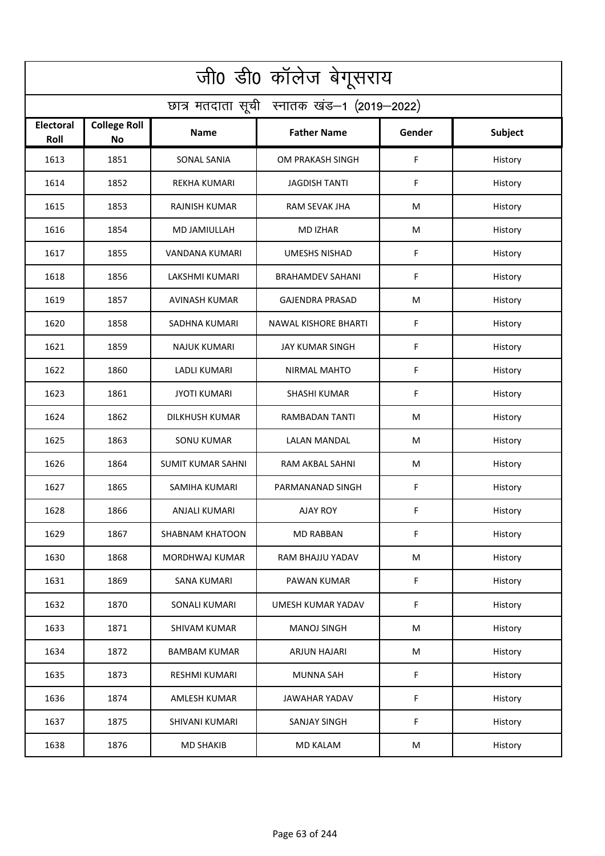| जी0 डी0 कॉलेज बेगूसराय                     |                                  |                          |                             |             |                |  |  |  |
|--------------------------------------------|----------------------------------|--------------------------|-----------------------------|-------------|----------------|--|--|--|
| छात्र मतदाता सूची स्नातक खंड-1 (2019-2022) |                                  |                          |                             |             |                |  |  |  |
| Electoral<br>Roll                          | <b>College Roll</b><br><b>No</b> | Name                     | <b>Father Name</b>          | Gender      | <b>Subject</b> |  |  |  |
| 1613                                       | 1851                             | <b>SONAL SANIA</b>       | OM PRAKASH SINGH            | $\mathsf F$ | History        |  |  |  |
| 1614                                       | 1852                             | <b>REKHA KUMARI</b>      | <b>JAGDISH TANTI</b>        | F           | History        |  |  |  |
| 1615                                       | 1853                             | <b>RAJNISH KUMAR</b>     | RAM SEVAK JHA               | M           | History        |  |  |  |
| 1616                                       | 1854                             | MD JAMIULLAH             | <b>MD IZHAR</b>             | M           | History        |  |  |  |
| 1617                                       | 1855                             | VANDANA KUMARI           | <b>UMESHS NISHAD</b>        | F           | History        |  |  |  |
| 1618                                       | 1856                             | <b>LAKSHMI KUMARI</b>    | <b>BRAHAMDEV SAHANI</b>     | F           | History        |  |  |  |
| 1619                                       | 1857                             | <b>AVINASH KUMAR</b>     | <b>GAJENDRA PRASAD</b>      | M           | History        |  |  |  |
| 1620                                       | 1858                             | <b>SADHNA KUMARI</b>     | <b>NAWAL KISHORE BHARTI</b> | F           | History        |  |  |  |
| 1621                                       | 1859                             | <b>NAJUK KUMARI</b>      | <b>JAY KUMAR SINGH</b>      | F           | History        |  |  |  |
| 1622                                       | 1860                             | LADLI KUMARI             | <b>NIRMAL MAHTO</b>         | F           | History        |  |  |  |
| 1623                                       | 1861                             | <b>JYOTI KUMARI</b>      | <b>SHASHI KUMAR</b>         | F           | History        |  |  |  |
| 1624                                       | 1862                             | <b>DILKHUSH KUMAR</b>    | RAMBADAN TANTI              | M           | History        |  |  |  |
| 1625                                       | 1863                             | <b>SONU KUMAR</b>        | LALAN MANDAL                | M           | History        |  |  |  |
| 1626                                       | 1864                             | <b>SUMIT KUMAR SAHNI</b> | RAM AKBAL SAHNI             | M           | History        |  |  |  |
| 1627                                       | 1865                             | SAMIHA KUMARI            | PARMANANAD SINGH            | F           | History        |  |  |  |
| 1628                                       | 1866                             | ANJALI KUMARI            | AJAY ROY                    | F           | History        |  |  |  |
| 1629                                       | 1867                             | <b>SHABNAM KHATOON</b>   | <b>MD RABBAN</b>            | F           | History        |  |  |  |
| 1630                                       | 1868                             | MORDHWAJ KUMAR           | RAM BHAJJU YADAV            | ${\sf M}$   | History        |  |  |  |
| 1631                                       | 1869                             | SANA KUMARI              | PAWAN KUMAR                 | $\mathsf F$ | History        |  |  |  |
| 1632                                       | 1870                             | <b>SONALI KUMARI</b>     | UMESH KUMAR YADAV           | $\mathsf F$ | History        |  |  |  |
| 1633                                       | 1871                             | <b>SHIVAM KUMAR</b>      | <b>MANOJ SINGH</b>          | M           | History        |  |  |  |
| 1634                                       | 1872                             | <b>BAMBAM KUMAR</b>      | <b>ARJUN HAJARI</b>         | M           | History        |  |  |  |
| 1635                                       | 1873                             | <b>RESHMI KUMARI</b>     | <b>MUNNA SAH</b>            | F           | History        |  |  |  |
| 1636                                       | 1874                             | AMLESH KUMAR             | <b>JAWAHAR YADAV</b>        | F           | History        |  |  |  |
| 1637                                       | 1875                             | SHIVANI KUMARI           | <b>SANJAY SINGH</b>         | F           | History        |  |  |  |
| 1638                                       | 1876                             | <b>MD SHAKIB</b>         | <b>MD KALAM</b>             | ${\sf M}$   | History        |  |  |  |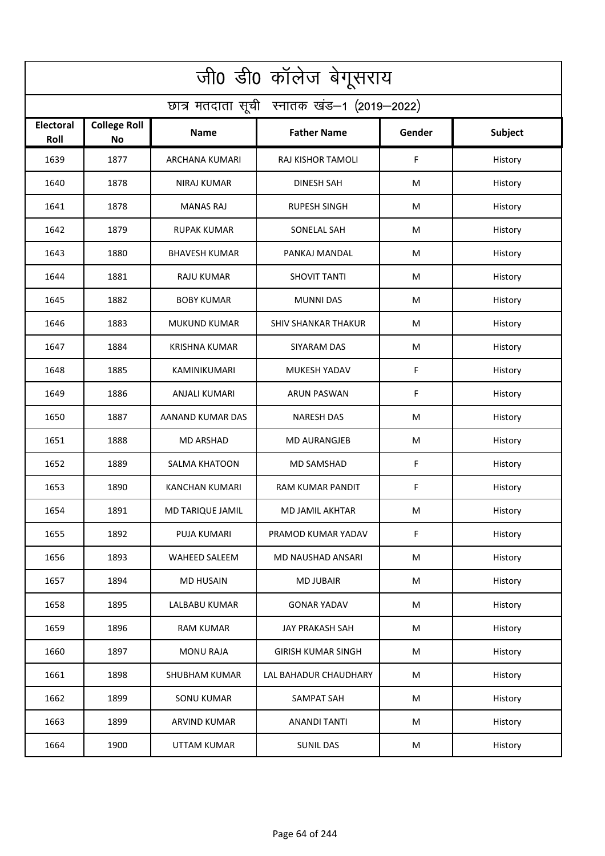| जी0 डी0 कॉलेज बेगूसराय                     |                                  |                      |                            |        |         |  |  |  |
|--------------------------------------------|----------------------------------|----------------------|----------------------------|--------|---------|--|--|--|
| छात्र मतदाता सूची स्नातक खंड-1 (2019-2022) |                                  |                      |                            |        |         |  |  |  |
| <b>Electoral</b><br>Roll                   | <b>College Roll</b><br><b>No</b> | Name                 | <b>Father Name</b>         | Gender | Subject |  |  |  |
| 1639                                       | 1877                             | ARCHANA KUMARI       | RAJ KISHOR TAMOLI          | F      | History |  |  |  |
| 1640                                       | 1878                             | <b>NIRAJ KUMAR</b>   | <b>DINESH SAH</b>          | M      | History |  |  |  |
| 1641                                       | 1878                             | <b>MANAS RAJ</b>     | <b>RUPESH SINGH</b>        | M      | History |  |  |  |
| 1642                                       | 1879                             | <b>RUPAK KUMAR</b>   | SONELAL SAH                | М      | History |  |  |  |
| 1643                                       | 1880                             | <b>BHAVESH KUMAR</b> | PANKAJ MANDAL              | M      | History |  |  |  |
| 1644                                       | 1881                             | <b>RAJU KUMAR</b>    | <b>SHOVIT TANTI</b>        | M      | History |  |  |  |
| 1645                                       | 1882                             | <b>BOBY KUMAR</b>    | <b>MUNNI DAS</b>           | M      | History |  |  |  |
| 1646                                       | 1883                             | <b>MUKUND KUMAR</b>  | <b>SHIV SHANKAR THAKUR</b> | M      | History |  |  |  |
| 1647                                       | 1884                             | <b>KRISHNA KUMAR</b> | <b>SIYARAM DAS</b>         | M      | History |  |  |  |
| 1648                                       | 1885                             | KAMINIKUMARI         | <b>MUKESH YADAV</b>        | F      | History |  |  |  |
| 1649                                       | 1886                             | ANJALI KUMARI        | <b>ARUN PASWAN</b>         | F      | History |  |  |  |
| 1650                                       | 1887                             | AANAND KUMAR DAS     | <b>NARESH DAS</b>          | M      | History |  |  |  |
| 1651                                       | 1888                             | <b>MD ARSHAD</b>     | <b>MD AURANGJEB</b>        | M      | History |  |  |  |
| 1652                                       | 1889                             | <b>SALMA KHATOON</b> | <b>MD SAMSHAD</b>          | F      | History |  |  |  |
| 1653                                       | 1890                             | KANCHAN KUMARI       | RAM KUMAR PANDIT           | F      | History |  |  |  |
| 1654                                       | 1891                             | MD TARIQUE JAMIL     | MD JAMIL AKHTAR            | M      | History |  |  |  |
| 1655                                       | 1892                             | <b>PUJA KUMARI</b>   | PRAMOD KUMAR YADAV         | F      | History |  |  |  |
| 1656                                       | 1893                             | WAHEED SALEEM        | MD NAUSHAD ANSARI          | M      | History |  |  |  |
| 1657                                       | 1894                             | <b>MD HUSAIN</b>     | <b>MD JUBAIR</b>           | M      | History |  |  |  |
| 1658                                       | 1895                             | LALBABU KUMAR        | <b>GONAR YADAV</b>         | M      | History |  |  |  |
| 1659                                       | 1896                             | <b>RAM KUMAR</b>     | <b>JAY PRAKASH SAH</b>     | M      | History |  |  |  |
| 1660                                       | 1897                             | <b>MONU RAJA</b>     | <b>GIRISH KUMAR SINGH</b>  | M      | History |  |  |  |
| 1661                                       | 1898                             | <b>SHUBHAM KUMAR</b> | LAL BAHADUR CHAUDHARY      | M      | History |  |  |  |
| 1662                                       | 1899                             | <b>SONU KUMAR</b>    | SAMPAT SAH                 | M      | History |  |  |  |
| 1663                                       | 1899                             | ARVIND KUMAR         | <b>ANANDI TANTI</b>        | M      | History |  |  |  |
| 1664                                       | 1900                             | UTTAM KUMAR          | <b>SUNIL DAS</b>           | M      | History |  |  |  |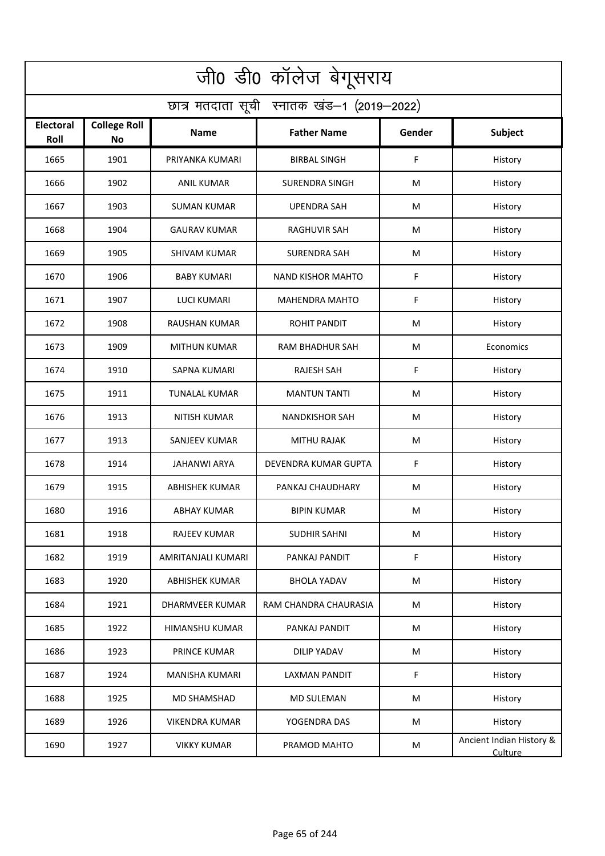| जी0 डी0 कॉलेज बेगूसराय                     |                                  |                        |                          |        |                                     |  |  |  |
|--------------------------------------------|----------------------------------|------------------------|--------------------------|--------|-------------------------------------|--|--|--|
| छात्र मतदाता सूची स्नातक खंड-1 (2019-2022) |                                  |                        |                          |        |                                     |  |  |  |
| <b>Electoral</b><br>Roll                   | <b>College Roll</b><br><b>No</b> | Name                   | <b>Father Name</b>       | Gender | Subject                             |  |  |  |
| 1665                                       | 1901                             | PRIYANKA KUMARI        | <b>BIRBAL SINGH</b>      | F      | History                             |  |  |  |
| 1666                                       | 1902                             | <b>ANIL KUMAR</b>      | <b>SURENDRA SINGH</b>    | M      | History                             |  |  |  |
| 1667                                       | 1903                             | SUMAN KUMAR            | <b>UPENDRA SAH</b>       | M      | History                             |  |  |  |
| 1668                                       | 1904                             | <b>GAURAV KUMAR</b>    | <b>RAGHUVIR SAH</b>      | М      | History                             |  |  |  |
| 1669                                       | 1905                             | <b>SHIVAM KUMAR</b>    | <b>SURENDRA SAH</b>      | M      | History                             |  |  |  |
| 1670                                       | 1906                             | <b>BABY KUMARI</b>     | <b>NAND KISHOR MAHTO</b> | F      | History                             |  |  |  |
| 1671                                       | 1907                             | <b>LUCI KUMARI</b>     | <b>MAHENDRA MAHTO</b>    | F      | History                             |  |  |  |
| 1672                                       | 1908                             | <b>RAUSHAN KUMAR</b>   | <b>ROHIT PANDIT</b>      | M      | History                             |  |  |  |
| 1673                                       | 1909                             | <b>MITHUN KUMAR</b>    | <b>RAM BHADHUR SAH</b>   | M      | Economics                           |  |  |  |
| 1674                                       | 1910                             | <b>SAPNA KUMARI</b>    | <b>RAJESH SAH</b>        | F      | History                             |  |  |  |
| 1675                                       | 1911                             | <b>TUNALAL KUMAR</b>   | <b>MANTUN TANTI</b>      | M      | History                             |  |  |  |
| 1676                                       | 1913                             | <b>NITISH KUMAR</b>    | <b>NANDKISHOR SAH</b>    | M      | History                             |  |  |  |
| 1677                                       | 1913                             | SANJEEV KUMAR          | <b>MITHU RAJAK</b>       | M      | History                             |  |  |  |
| 1678                                       | 1914                             | <b>JAHANWI ARYA</b>    | DEVENDRA KUMAR GUPTA     | F      | History                             |  |  |  |
| 1679                                       | 1915                             | ABHISHEK KUMAR         | PANKAJ CHAUDHARY         | M      | History                             |  |  |  |
| 1680                                       | 1916                             | <b>ABHAY KUMAR</b>     | <b>BIPIN KUMAR</b>       | M      | History                             |  |  |  |
| 1681                                       | 1918                             | RAJEEV KUMAR           | <b>SUDHIR SAHNI</b>      | M      | History                             |  |  |  |
| 1682                                       | 1919                             | AMRITANJALI KUMARI     | PANKAJ PANDIT            | F      | History                             |  |  |  |
| 1683                                       | 1920                             | <b>ABHISHEK KUMAR</b>  | <b>BHOLA YADAV</b>       | M      | History                             |  |  |  |
| 1684                                       | 1921                             | <b>DHARMVEER KUMAR</b> | RAM CHANDRA CHAURASIA    | M      | History                             |  |  |  |
| 1685                                       | 1922                             | <b>HIMANSHU KUMAR</b>  | PANKAJ PANDIT            | M      | History                             |  |  |  |
| 1686                                       | 1923                             | PRINCE KUMAR           | <b>DILIP YADAV</b>       | M      | History                             |  |  |  |
| 1687                                       | 1924                             | <b>MANISHA KUMARI</b>  | <b>LAXMAN PANDIT</b>     | F      | History                             |  |  |  |
| 1688                                       | 1925                             | <b>MD SHAMSHAD</b>     | <b>MD SULEMAN</b>        | M      | History                             |  |  |  |
| 1689                                       | 1926                             | <b>VIKENDRA KUMAR</b>  | YOGENDRA DAS             | M      | History                             |  |  |  |
| 1690                                       | 1927                             | <b>VIKKY KUMAR</b>     | PRAMOD MAHTO             | M      | Ancient Indian History &<br>Culture |  |  |  |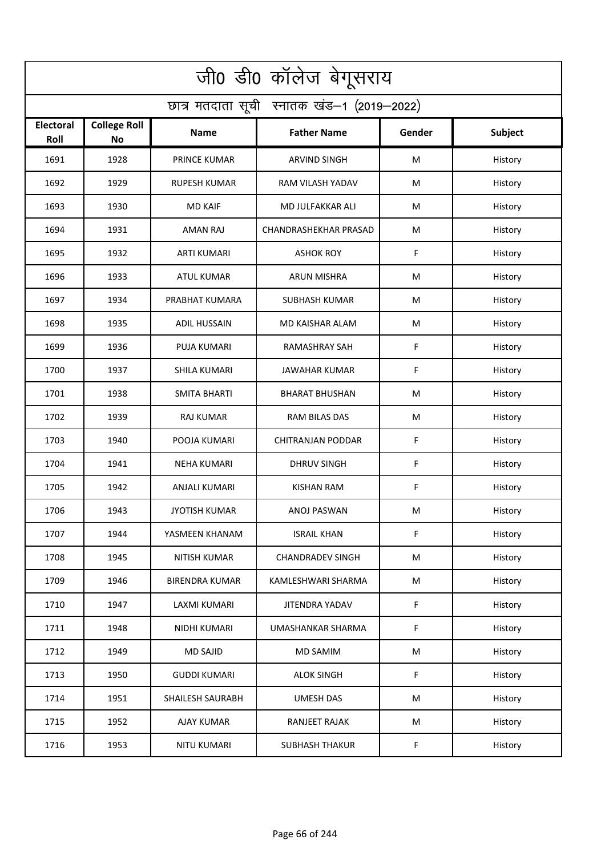| जी0 डी0 कॉलेज बेगूसराय                     |                                  |                         |                         |        |         |  |  |  |
|--------------------------------------------|----------------------------------|-------------------------|-------------------------|--------|---------|--|--|--|
| छात्र मतदाता सूची स्नातक खंड-1 (2019-2022) |                                  |                         |                         |        |         |  |  |  |
| Electoral<br>Roll                          | <b>College Roll</b><br><b>No</b> | <b>Name</b>             | <b>Father Name</b>      | Gender | Subject |  |  |  |
| 1691                                       | 1928                             | <b>PRINCE KUMAR</b>     | <b>ARVIND SINGH</b>     | м      | History |  |  |  |
| 1692                                       | 1929                             | <b>RUPESH KUMAR</b>     | RAM VILASH YADAV        | M      | History |  |  |  |
| 1693                                       | 1930                             | <b>MD KAIF</b>          | MD JULFAKKAR ALI        | M      | History |  |  |  |
| 1694                                       | 1931                             | <b>AMAN RAJ</b>         | CHANDRASHEKHAR PRASAD   | M      | History |  |  |  |
| 1695                                       | 1932                             | <b>ARTI KUMARI</b>      | <b>ASHOK ROY</b>        | F      | History |  |  |  |
| 1696                                       | 1933                             | <b>ATUL KUMAR</b>       | <b>ARUN MISHRA</b>      | M      | History |  |  |  |
| 1697                                       | 1934                             | PRABHAT KUMARA          | <b>SUBHASH KUMAR</b>    | M      | History |  |  |  |
| 1698                                       | 1935                             | <b>ADIL HUSSAIN</b>     | <b>MD KAISHAR ALAM</b>  | M      | History |  |  |  |
| 1699                                       | 1936                             | <b>PUJA KUMARI</b>      | <b>RAMASHRAY SAH</b>    | F      | History |  |  |  |
| 1700                                       | 1937                             | SHILA KUMARI            | JAWAHAR KUMAR           | F      | History |  |  |  |
| 1701                                       | 1938                             | <b>SMITA BHARTI</b>     | <b>BHARAT BHUSHAN</b>   | M      | History |  |  |  |
| 1702                                       | 1939                             | <b>RAJ KUMAR</b>        | RAM BILAS DAS           | M      | History |  |  |  |
| 1703                                       | 1940                             | POOJA KUMARI            | CHITRANJAN PODDAR       | F      | History |  |  |  |
| 1704                                       | 1941                             | <b>NEHA KUMARI</b>      | <b>DHRUV SINGH</b>      | F      | History |  |  |  |
| 1705                                       | 1942                             | ANJALI KUMARI           | KISHAN RAM              | F      | History |  |  |  |
| 1706                                       | 1943                             | <b>JYOTISH KUMAR</b>    | ANOJ PASWAN             | M      | History |  |  |  |
| 1707                                       | 1944                             | YASMEEN KHANAM          | <b>ISRAIL KHAN</b>      | F      | History |  |  |  |
| 1708                                       | 1945                             | <b>NITISH KUMAR</b>     | <b>CHANDRADEV SINGH</b> | M      | History |  |  |  |
| 1709                                       | 1946                             | <b>BIRENDRA KUMAR</b>   | KAMLESHWARI SHARMA      | M      | History |  |  |  |
| 1710                                       | 1947                             | <b>LAXMI KUMARI</b>     | JITENDRA YADAV          | F      | History |  |  |  |
| 1711                                       | 1948                             | NIDHI KUMARI            | UMASHANKAR SHARMA       | F      | History |  |  |  |
| 1712                                       | 1949                             | <b>MD SAJID</b>         | <b>MD SAMIM</b>         | M      | History |  |  |  |
| 1713                                       | 1950                             | <b>GUDDI KUMARI</b>     | <b>ALOK SINGH</b>       | F      | History |  |  |  |
| 1714                                       | 1951                             | <b>SHAILESH SAURABH</b> | <b>UMESH DAS</b>        | M      | History |  |  |  |
| 1715                                       | 1952                             | <b>AJAY KUMAR</b>       | RANJEET RAJAK           | M      | History |  |  |  |
| 1716                                       | 1953                             | <b>NITU KUMARI</b>      | <b>SUBHASH THAKUR</b>   | F.     | History |  |  |  |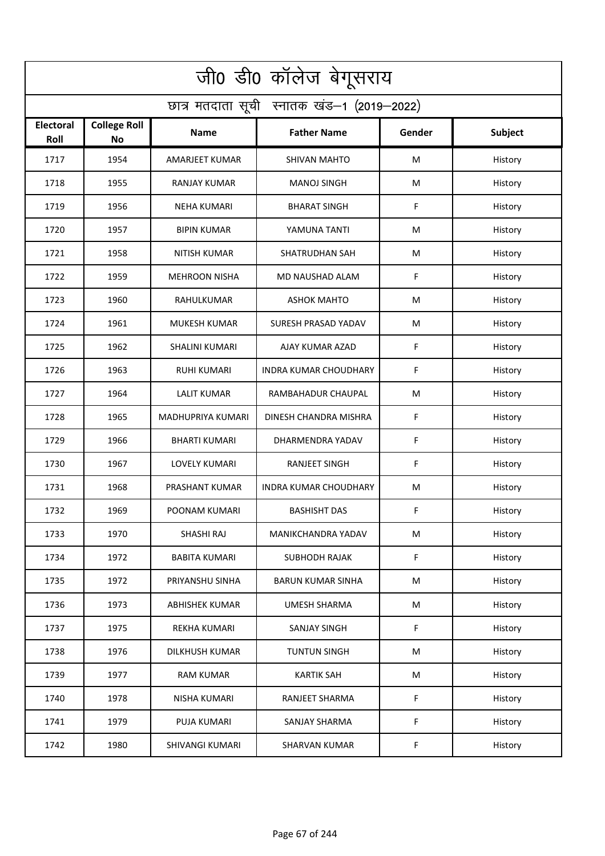| जी0 डी0 कॉलेज बेगूसराय                     |                                  |                       |                              |           |                |  |  |  |
|--------------------------------------------|----------------------------------|-----------------------|------------------------------|-----------|----------------|--|--|--|
| छात्र मतदाता सूची स्नातक खंड-1 (2019-2022) |                                  |                       |                              |           |                |  |  |  |
| Electoral<br>Roll                          | <b>College Roll</b><br><b>No</b> | <b>Name</b>           | <b>Father Name</b>           | Gender    | <b>Subject</b> |  |  |  |
| 1717                                       | 1954                             | AMARJEET KUMAR        | <b>SHIVAN MAHTO</b>          | M         | History        |  |  |  |
| 1718                                       | 1955                             | <b>RANJAY KUMAR</b>   | <b>MANOJ SINGH</b>           | M         | History        |  |  |  |
| 1719                                       | 1956                             | <b>NEHA KUMARI</b>    | <b>BHARAT SINGH</b>          | F         | History        |  |  |  |
| 1720                                       | 1957                             | <b>BIPIN KUMAR</b>    | YAMUNA TANTI                 | M         | History        |  |  |  |
| 1721                                       | 1958                             | <b>NITISH KUMAR</b>   | SHATRUDHAN SAH               | M         | History        |  |  |  |
| 1722                                       | 1959                             | <b>MEHROON NISHA</b>  | <b>MD NAUSHAD ALAM</b>       | F         | History        |  |  |  |
| 1723                                       | 1960                             | RAHULKUMAR            | <b>ASHOK MAHTO</b>           | M         | History        |  |  |  |
| 1724                                       | 1961                             | <b>MUKESH KUMAR</b>   | SURESH PRASAD YADAV          | M         | History        |  |  |  |
| 1725                                       | 1962                             | <b>SHALINI KUMARI</b> | AJAY KUMAR AZAD              | F         | History        |  |  |  |
| 1726                                       | 1963                             | <b>RUHI KUMARI</b>    | <b>INDRA KUMAR CHOUDHARY</b> | F         | History        |  |  |  |
| 1727                                       | 1964                             | <b>LALIT KUMAR</b>    | RAMBAHADUR CHAUPAL           | M         | History        |  |  |  |
| 1728                                       | 1965                             | MADHUPRIYA KUMARI     | DINESH CHANDRA MISHRA        | F         | History        |  |  |  |
| 1729                                       | 1966                             | BHARTI KUMARI         | DHARMENDRA YADAV             | F         | History        |  |  |  |
| 1730                                       | 1967                             | <b>LOVELY KUMARI</b>  | <b>RANJEET SINGH</b>         | F         | History        |  |  |  |
| 1731                                       | 1968                             | PRASHANT KUMAR        | <b>INDRA KUMAR CHOUDHARY</b> | M         | History        |  |  |  |
| 1732                                       | 1969                             | POONAM KUMARI         | <b>BASHISHT DAS</b>          | F         | History        |  |  |  |
| 1733                                       | 1970                             | SHASHI RAJ            | MANIKCHANDRA YADAV           | M         | History        |  |  |  |
| 1734                                       | 1972                             | <b>BABITA KUMARI</b>  | <b>SUBHODH RAJAK</b>         | F         | History        |  |  |  |
| 1735                                       | 1972                             | PRIYANSHU SINHA       | <b>BARUN KUMAR SINHA</b>     | M         | History        |  |  |  |
| 1736                                       | 1973                             | <b>ABHISHEK KUMAR</b> | <b>UMESH SHARMA</b>          | ${\sf M}$ | History        |  |  |  |
| 1737                                       | 1975                             | <b>REKHA KUMARI</b>   | <b>SANJAY SINGH</b>          | F         | History        |  |  |  |
| 1738                                       | 1976                             | DILKHUSH KUMAR        | <b>TUNTUN SINGH</b>          | M         | History        |  |  |  |
| 1739                                       | 1977                             | <b>RAM KUMAR</b>      | <b>KARTIK SAH</b>            | M         | History        |  |  |  |
| 1740                                       | 1978                             | NISHA KUMARI          | RANJEET SHARMA               | F         | History        |  |  |  |
| 1741                                       | 1979                             | PUJA KUMARI           | SANJAY SHARMA                | F         | History        |  |  |  |
| 1742                                       | 1980                             | SHIVANGI KUMARI       | <b>SHARVAN KUMAR</b>         | F         | History        |  |  |  |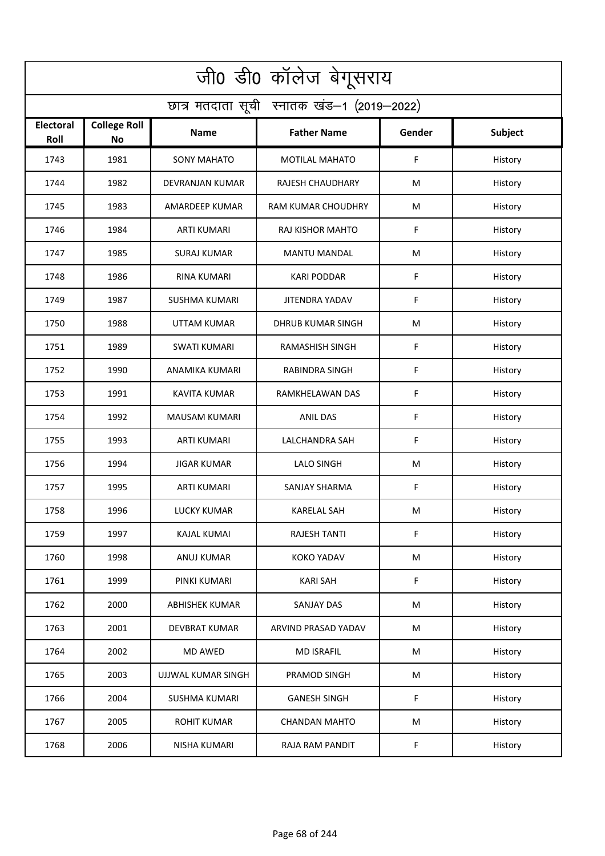| जी0 डी0 कॉलेज बेगूसराय                     |                                  |                       |                           |             |                |  |  |  |
|--------------------------------------------|----------------------------------|-----------------------|---------------------------|-------------|----------------|--|--|--|
| छात्र मतदाता सूची स्नातक खंड-1 (2019-2022) |                                  |                       |                           |             |                |  |  |  |
| Electoral<br>Roll                          | <b>College Roll</b><br><b>No</b> | <b>Name</b>           | <b>Father Name</b>        | Gender      | <b>Subject</b> |  |  |  |
| 1743                                       | 1981                             | <b>SONY MAHATO</b>    | <b>MOTILAL MAHATO</b>     | F           | History        |  |  |  |
| 1744                                       | 1982                             | DEVRANJAN KUMAR       | RAJESH CHAUDHARY          | M           | History        |  |  |  |
| 1745                                       | 1983                             | AMARDEEP KUMAR        | <b>RAM KUMAR CHOUDHRY</b> | M           | History        |  |  |  |
| 1746                                       | 1984                             | <b>ARTI KUMARI</b>    | RAJ KISHOR MAHTO          | F           | History        |  |  |  |
| 1747                                       | 1985                             | <b>SURAJ KUMAR</b>    | <b>MANTU MANDAL</b>       | M           | History        |  |  |  |
| 1748                                       | 1986                             | <b>RINA KUMARI</b>    | <b>KARI PODDAR</b>        | F           | History        |  |  |  |
| 1749                                       | 1987                             | <b>SUSHMA KUMARI</b>  | <b>JITENDRA YADAV</b>     | F           | History        |  |  |  |
| 1750                                       | 1988                             | <b>UTTAM KUMAR</b>    | <b>DHRUB KUMAR SINGH</b>  | M           | History        |  |  |  |
| 1751                                       | 1989                             | <b>SWATI KUMARI</b>   | <b>RAMASHISH SINGH</b>    | F           | History        |  |  |  |
| 1752                                       | 1990                             | ANAMIKA KUMARI        | <b>RABINDRA SINGH</b>     | F           | History        |  |  |  |
| 1753                                       | 1991                             | <b>KAVITA KUMAR</b>   | RAMKHELAWAN DAS           | $\mathsf F$ | History        |  |  |  |
| 1754                                       | 1992                             | <b>MAUSAM KUMARI</b>  | <b>ANIL DAS</b>           | F           | History        |  |  |  |
| 1755                                       | 1993                             | <b>ARTI KUMARI</b>    | LALCHANDRA SAH            | F           | History        |  |  |  |
| 1756                                       | 1994                             | <b>JIGAR KUMAR</b>    | <b>LALO SINGH</b>         | M           | History        |  |  |  |
| 1757                                       | 1995                             | <b>ARTI KUMARI</b>    | <b>SANJAY SHARMA</b>      | F           | History        |  |  |  |
| 1758                                       | 1996                             | <b>LUCKY KUMAR</b>    | <b>KARELAL SAH</b>        | M           | History        |  |  |  |
| 1759                                       | 1997                             | KAJAL KUMAI           | <b>RAJESH TANTI</b>       | F           | History        |  |  |  |
| 1760                                       | 1998                             | ANUJ KUMAR            | <b>KOKO YADAV</b>         | ${\sf M}$   | History        |  |  |  |
| 1761                                       | 1999                             | PINKI KUMARI          | <b>KARI SAH</b>           | F           | History        |  |  |  |
| 1762                                       | 2000                             | <b>ABHISHEK KUMAR</b> | SANJAY DAS                | ${\sf M}$   | History        |  |  |  |
| 1763                                       | 2001                             | <b>DEVBRAT KUMAR</b>  | ARVIND PRASAD YADAV       | M           | History        |  |  |  |
| 1764                                       | 2002                             | <b>MD AWED</b>        | <b>MD ISRAFIL</b>         | ${\sf M}$   | History        |  |  |  |
| 1765                                       | 2003                             | UJJWAL KUMAR SINGH    | PRAMOD SINGH              | M           | History        |  |  |  |
| 1766                                       | 2004                             | <b>SUSHMA KUMARI</b>  | <b>GANESH SINGH</b>       | F           | History        |  |  |  |
| 1767                                       | 2005                             | <b>ROHIT KUMAR</b>    | <b>CHANDAN MAHTO</b>      | M           | History        |  |  |  |
| 1768                                       | 2006                             | <b>NISHA KUMARI</b>   | RAJA RAM PANDIT           | F           | History        |  |  |  |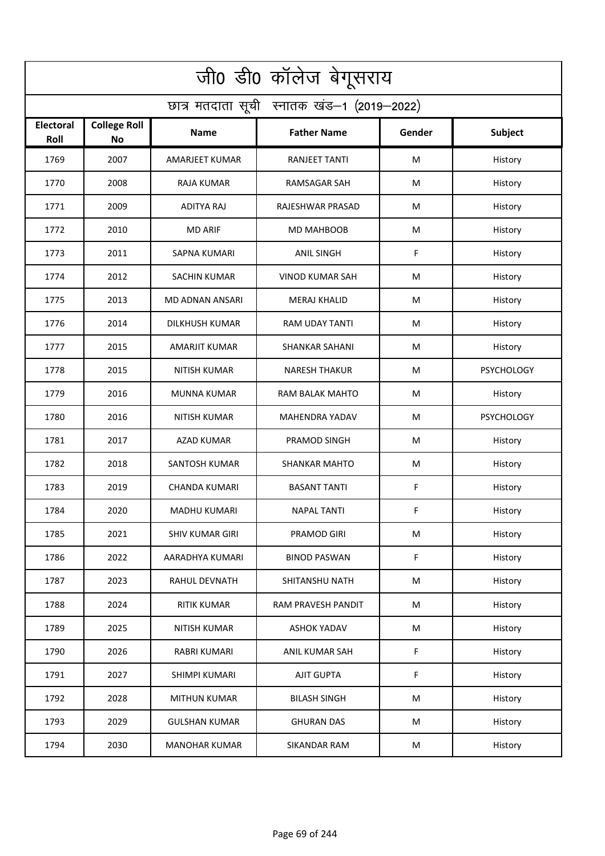| जी0 डी0 कॉलेज बेगूसराय                     |                                  |                        |                        |        |                   |  |  |  |
|--------------------------------------------|----------------------------------|------------------------|------------------------|--------|-------------------|--|--|--|
| छात्र मतदाता सूची स्नातक खंड-1 (2019-2022) |                                  |                        |                        |        |                   |  |  |  |
| <b>Electoral</b><br>Roll                   | <b>College Roll</b><br><b>No</b> | Name                   | <b>Father Name</b>     | Gender | Subject           |  |  |  |
| 1769                                       | 2007                             | AMARJEET KUMAR         | RANJEET TANTI          | M      | History           |  |  |  |
| 1770                                       | 2008                             | <b>RAJA KUMAR</b>      | <b>RAMSAGAR SAH</b>    | M      | History           |  |  |  |
| 1771                                       | 2009                             | <b>ADITYA RAJ</b>      | RAJESHWAR PRASAD       | M      | History           |  |  |  |
| 1772                                       | 2010                             | <b>MD ARIF</b>         | <b>MD MAHBOOB</b>      | M      | History           |  |  |  |
| 1773                                       | 2011                             | <b>SAPNA KUMARI</b>    | <b>ANIL SINGH</b>      | F      | History           |  |  |  |
| 1774                                       | 2012                             | <b>SACHIN KUMAR</b>    | <b>VINOD KUMAR SAH</b> | M      | History           |  |  |  |
| 1775                                       | 2013                             | <b>MD ADNAN ANSARI</b> | <b>MERAJ KHALID</b>    | M      | History           |  |  |  |
| 1776                                       | 2014                             | <b>DILKHUSH KUMAR</b>  | RAM UDAY TANTI         | M      | History           |  |  |  |
| 1777                                       | 2015                             | <b>AMARJIT KUMAR</b>   | <b>SHANKAR SAHANI</b>  | M      | History           |  |  |  |
| 1778                                       | 2015                             | <b>NITISH KUMAR</b>    | <b>NARESH THAKUR</b>   | M      | <b>PSYCHOLOGY</b> |  |  |  |
| 1779                                       | 2016                             | MUNNA KUMAR            | RAM BALAK MAHTO        | M      | History           |  |  |  |
| 1780                                       | 2016                             | <b>NITISH KUMAR</b>    | MAHENDRA YADAV         | M      | <b>PSYCHOLOGY</b> |  |  |  |
| 1781                                       | 2017                             | AZAD KUMAR             | PRAMOD SINGH           | M      | History           |  |  |  |
| 1782                                       | 2018                             | SANTOSH KUMAR          | <b>SHANKAR MAHTO</b>   | M      | History           |  |  |  |
| 1783                                       | 2019                             | <b>CHANDA KUMARI</b>   | <b>BASANT TANTI</b>    | F      | History           |  |  |  |
| 1784                                       | 2020                             | <b>MADHU KUMARI</b>    | <b>NAPAL TANTI</b>     | F      | History           |  |  |  |
| 1785                                       | 2021                             | <b>SHIV KUMAR GIRI</b> | PRAMOD GIRI            | M      | History           |  |  |  |
| 1786                                       | 2022                             | AARADHYA KUMARI        | <b>BINOD PASWAN</b>    | F      | History           |  |  |  |
| 1787                                       | 2023                             | RAHUL DEVNATH          | SHITANSHU NATH         | M      | History           |  |  |  |
| 1788                                       | 2024                             | <b>RITIK KUMAR</b>     | RAM PRAVESH PANDIT     | M      | History           |  |  |  |
| 1789                                       | 2025                             | <b>NITISH KUMAR</b>    | <b>ASHOK YADAV</b>     | M      | History           |  |  |  |
| 1790                                       | 2026                             | <b>RABRI KUMARI</b>    | ANIL KUMAR SAH         | F      | History           |  |  |  |
| 1791                                       | 2027                             | SHIMPI KUMARI          | <b>AJIT GUPTA</b>      | F      | History           |  |  |  |
| 1792                                       | 2028                             | <b>MITHUN KUMAR</b>    | <b>BILASH SINGH</b>    | M      | History           |  |  |  |
| 1793                                       | 2029                             | <b>GULSHAN KUMAR</b>   | <b>GHURAN DAS</b>      | M      | History           |  |  |  |
| 1794                                       | 2030                             | <b>MANOHAR KUMAR</b>   | SIKANDAR RAM           | M      | History           |  |  |  |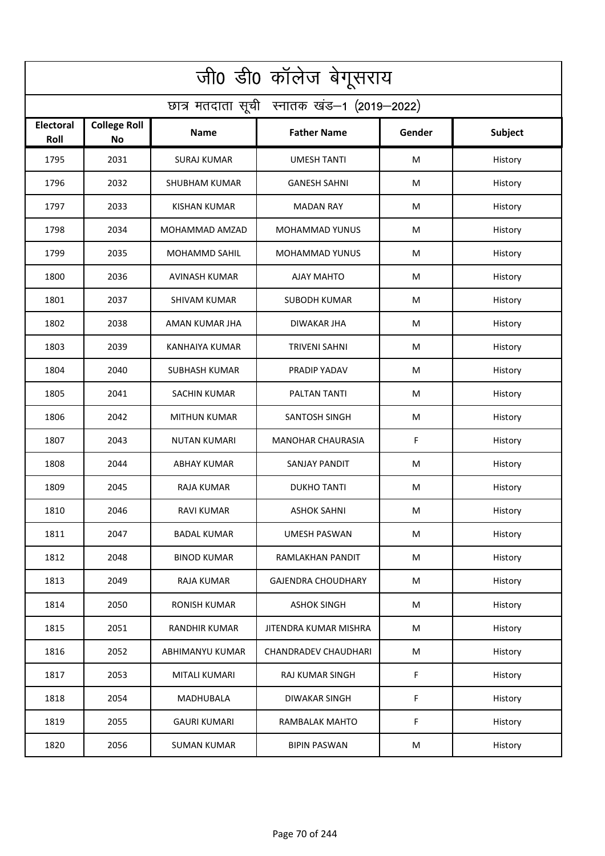| जी0 डी0 कॉलेज बेगूसराय                     |                                  |                       |                             |        |                |  |  |  |
|--------------------------------------------|----------------------------------|-----------------------|-----------------------------|--------|----------------|--|--|--|
| छात्र मतदाता सूची स्नातक खंड-1 (2019-2022) |                                  |                       |                             |        |                |  |  |  |
| Electoral<br>Roll                          | <b>College Roll</b><br><b>No</b> | Name                  | <b>Father Name</b>          | Gender | <b>Subject</b> |  |  |  |
| 1795                                       | 2031                             | <b>SURAJ KUMAR</b>    | <b>UMESH TANTI</b>          | M      | History        |  |  |  |
| 1796                                       | 2032                             | <b>SHUBHAM KUMAR</b>  | <b>GANESH SAHNI</b>         | M      | History        |  |  |  |
| 1797                                       | 2033                             | <b>KISHAN KUMAR</b>   | <b>MADAN RAY</b>            | M      | History        |  |  |  |
| 1798                                       | 2034                             | MOHAMMAD AMZAD        | <b>MOHAMMAD YUNUS</b>       | M      | History        |  |  |  |
| 1799                                       | 2035                             | MOHAMMD SAHIL         | <b>MOHAMMAD YUNUS</b>       | M      | History        |  |  |  |
| 1800                                       | 2036                             | <b>AVINASH KUMAR</b>  | <b>AJAY MAHTO</b>           | M      | History        |  |  |  |
| 1801                                       | 2037                             | <b>SHIVAM KUMAR</b>   | <b>SUBODH KUMAR</b>         | M      | History        |  |  |  |
| 1802                                       | 2038                             | AMAN KUMAR JHA        | <b>DIWAKAR JHA</b>          | M      | History        |  |  |  |
| 1803                                       | 2039                             | <b>KANHAIYA KUMAR</b> | <b>TRIVENI SAHNI</b>        | M      | History        |  |  |  |
| 1804                                       | 2040                             | <b>SUBHASH KUMAR</b>  | PRADIP YADAV                | M      | History        |  |  |  |
| 1805                                       | 2041                             | <b>SACHIN KUMAR</b>   | PALTAN TANTI                | М      | History        |  |  |  |
| 1806                                       | 2042                             | <b>MITHUN KUMAR</b>   | SANTOSH SINGH               | M      | History        |  |  |  |
| 1807                                       | 2043                             | <b>NUTAN KUMARI</b>   | <b>MANOHAR CHAURASIA</b>    | F      | History        |  |  |  |
| 1808                                       | 2044                             | <b>ABHAY KUMAR</b>    | SANJAY PANDIT               | M      | History        |  |  |  |
| 1809                                       | 2045                             | RAJA KUMAR            | <b>DUKHO TANTI</b>          | M      | History        |  |  |  |
| 1810                                       | 2046                             | RAVI KUMAR            | ASHOK SAHNI                 | M      | History        |  |  |  |
| 1811                                       | 2047                             | <b>BADAL KUMAR</b>    | UMESH PASWAN                | M      | History        |  |  |  |
| 1812                                       | 2048                             | <b>BINOD KUMAR</b>    | RAMLAKHAN PANDIT            | M      | History        |  |  |  |
| 1813                                       | 2049                             | RAJA KUMAR            | <b>GAJENDRA CHOUDHARY</b>   | M      | History        |  |  |  |
| 1814                                       | 2050                             | RONISH KUMAR          | <b>ASHOK SINGH</b>          | M      | History        |  |  |  |
| 1815                                       | 2051                             | <b>RANDHIR KUMAR</b>  | JITENDRA KUMAR MISHRA       | M      | History        |  |  |  |
| 1816                                       | 2052                             | ABHIMANYU KUMAR       | <b>CHANDRADEV CHAUDHARI</b> | M      | History        |  |  |  |
| 1817                                       | 2053                             | MITALI KUMARI         | <b>RAJ KUMAR SINGH</b>      | F      | History        |  |  |  |
| 1818                                       | 2054                             | MADHUBALA             | <b>DIWAKAR SINGH</b>        | F      | History        |  |  |  |
| 1819                                       | 2055                             | <b>GAURI KUMARI</b>   | RAMBALAK MAHTO              | F      | History        |  |  |  |
| 1820                                       | 2056                             | <b>SUMAN KUMAR</b>    | <b>BIPIN PASWAN</b>         | M      | History        |  |  |  |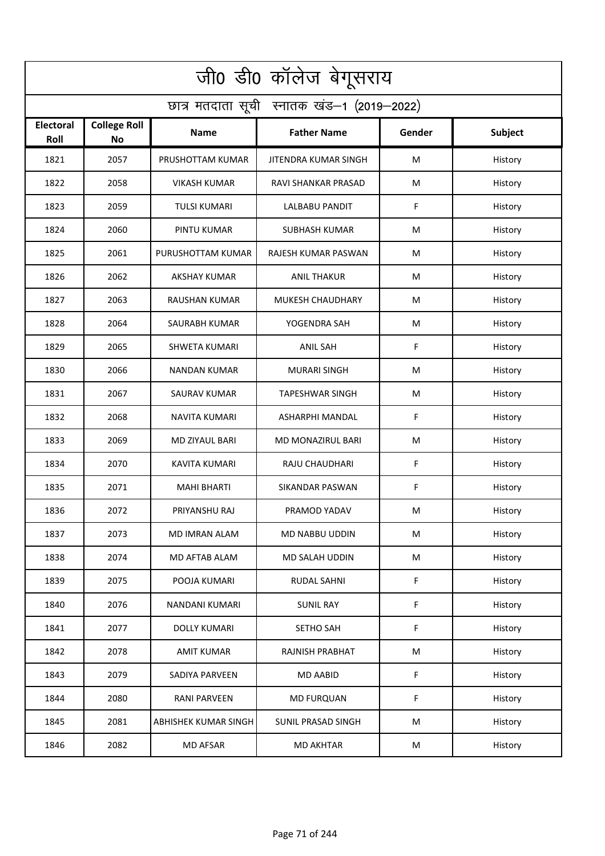| जी0 डी0 कॉलेज बेगूसराय                     |                                  |                      |                        |        |         |  |  |  |
|--------------------------------------------|----------------------------------|----------------------|------------------------|--------|---------|--|--|--|
| छात्र मतदाता सूची स्नातक खंड-1 (2019-2022) |                                  |                      |                        |        |         |  |  |  |
| <b>Electoral</b><br>Roll                   | <b>College Roll</b><br><b>No</b> | Name                 | <b>Father Name</b>     | Gender | Subject |  |  |  |
| 1821                                       | 2057                             | PRUSHOTTAM KUMAR     | JITENDRA KUMAR SINGH   | M      | History |  |  |  |
| 1822                                       | 2058                             | <b>VIKASH KUMAR</b>  | RAVI SHANKAR PRASAD    | М      | History |  |  |  |
| 1823                                       | 2059                             | <b>TULSI KUMARI</b>  | <b>LALBABU PANDIT</b>  | F      | History |  |  |  |
| 1824                                       | 2060                             | PINTU KUMAR          | <b>SUBHASH KUMAR</b>   | М      | History |  |  |  |
| 1825                                       | 2061                             | PURUSHOTTAM KUMAR    | RAJESH KUMAR PASWAN    | M      | History |  |  |  |
| 1826                                       | 2062                             | <b>AKSHAY KUMAR</b>  | <b>ANIL THAKUR</b>     | M      | History |  |  |  |
| 1827                                       | 2063                             | <b>RAUSHAN KUMAR</b> | MUKESH CHAUDHARY       | М      | History |  |  |  |
| 1828                                       | 2064                             | SAURABH KUMAR        | YOGENDRA SAH           | M      | History |  |  |  |
| 1829                                       | 2065                             | <b>SHWETA KUMARI</b> | <b>ANIL SAH</b>        | F      | History |  |  |  |
| 1830                                       | 2066                             | NANDAN KUMAR         | <b>MURARI SINGH</b>    | M      | History |  |  |  |
| 1831                                       | 2067                             | <b>SAURAV KUMAR</b>  | <b>TAPESHWAR SINGH</b> | M      | History |  |  |  |
| 1832                                       | 2068                             | <b>NAVITA KUMARI</b> | ASHARPHI MANDAL        | F      | History |  |  |  |
| 1833                                       | 2069                             | MD ZIYAUL BARI       | MD MONAZIRUL BARI      | M      | History |  |  |  |
| 1834                                       | 2070                             | <b>KAVITA KUMARI</b> | RAJU CHAUDHARI         | F      | History |  |  |  |
| 1835                                       | 2071                             | <b>MAHI BHARTI</b>   | SIKANDAR PASWAN        | F      | History |  |  |  |
| 1836                                       | 2072                             | PRIYANSHU RAJ        | PRAMOD YADAV           | M      | History |  |  |  |
| 1837                                       | 2073                             | MD IMRAN ALAM        | MD NABBU UDDIN         | M      | History |  |  |  |
| 1838                                       | 2074                             | MD AFTAB ALAM        | MD SALAH UDDIN         | M      | History |  |  |  |
| 1839                                       | 2075                             | POOJA KUMARI         | RUDAL SAHNI            | F      | History |  |  |  |
| 1840                                       | 2076                             | NANDANI KUMARI       | <b>SUNIL RAY</b>       | F      | History |  |  |  |
| 1841                                       | 2077                             | <b>DOLLY KUMARI</b>  | SETHO SAH              | F      | History |  |  |  |
| 1842                                       | 2078                             | <b>AMIT KUMAR</b>    | RAJNISH PRABHAT        | M      | History |  |  |  |
| 1843                                       | 2079                             | SADIYA PARVEEN       | <b>MD AABID</b>        | F      | History |  |  |  |
| 1844                                       | 2080                             | RANI PARVEEN         | <b>MD FURQUAN</b>      | F      | History |  |  |  |
| 1845                                       | 2081                             | ABHISHEK KUMAR SINGH | SUNIL PRASAD SINGH     | M      | History |  |  |  |
| 1846                                       | 2082                             | <b>MD AFSAR</b>      | <b>MD AKHTAR</b>       | M      | History |  |  |  |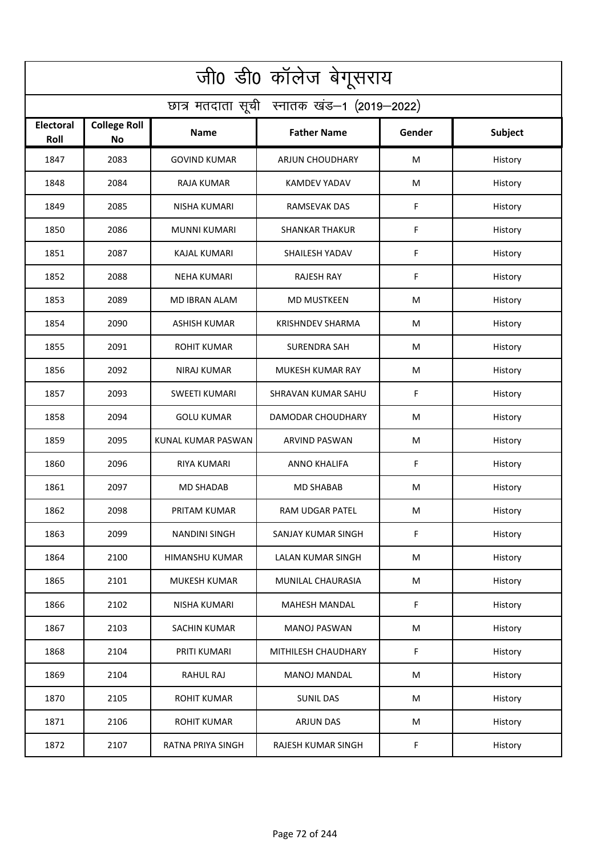| जी0 डी0 कॉलेज बेगूसराय                     |                                  |                      |                         |        |         |  |  |  |
|--------------------------------------------|----------------------------------|----------------------|-------------------------|--------|---------|--|--|--|
| छात्र मतदाता सूची स्नातक खंड-1 (2019-2022) |                                  |                      |                         |        |         |  |  |  |
| <b>Electoral</b><br>Roll                   | <b>College Roll</b><br><b>No</b> | Name                 | <b>Father Name</b>      | Gender | Subject |  |  |  |
| 1847                                       | 2083                             | <b>GOVIND KUMAR</b>  | <b>ARJUN CHOUDHARY</b>  | M      | History |  |  |  |
| 1848                                       | 2084                             | RAJA KUMAR           | <b>KAMDEV YADAV</b>     | М      | History |  |  |  |
| 1849                                       | 2085                             | <b>NISHA KUMARI</b>  | <b>RAMSEVAK DAS</b>     | F      | History |  |  |  |
| 1850                                       | 2086                             | <b>MUNNI KUMARI</b>  | <b>SHANKAR THAKUR</b>   | F      | History |  |  |  |
| 1851                                       | 2087                             | <b>KAJAL KUMARI</b>  | SHAILESH YADAV          | F      | History |  |  |  |
| 1852                                       | 2088                             | <b>NEHA KUMARI</b>   | <b>RAJESH RAY</b>       | F      | History |  |  |  |
| 1853                                       | 2089                             | <b>MD IBRAN ALAM</b> | <b>MD MUSTKEEN</b>      | M      | History |  |  |  |
| 1854                                       | 2090                             | <b>ASHISH KUMAR</b>  | <b>KRISHNDEV SHARMA</b> | M      | History |  |  |  |
| 1855                                       | 2091                             | <b>ROHIT KUMAR</b>   | <b>SURENDRA SAH</b>     | M      | History |  |  |  |
| 1856                                       | 2092                             | NIRAJ KUMAR          | MUKESH KUMAR RAY        | M      | History |  |  |  |
| 1857                                       | 2093                             | <b>SWEETI KUMARI</b> | SHRAVAN KUMAR SAHU      | F      | History |  |  |  |
| 1858                                       | 2094                             | <b>GOLU KUMAR</b>    | DAMODAR CHOUDHARY       | M      | History |  |  |  |
| 1859                                       | 2095                             | KUNAL KUMAR PASWAN   | ARVIND PASWAN           | M      | History |  |  |  |
| 1860                                       | 2096                             | <b>RIYA KUMARI</b>   | ANNO KHALIFA            | F      | History |  |  |  |
| 1861                                       | 2097                             | MD SHADAB            | MD SHABAB               | M      | History |  |  |  |
| 1862                                       | 2098                             | PRITAM KUMAR         | RAM UDGAR PATEL         | M      | History |  |  |  |
| 1863                                       | 2099                             | <b>NANDINI SINGH</b> | SANJAY KUMAR SINGH      | F      | History |  |  |  |
| 1864                                       | 2100                             | HIMANSHU KUMAR       | LALAN KUMAR SINGH       | M      | History |  |  |  |
| 1865                                       | 2101                             | MUKESH KUMAR         | MUNILAL CHAURASIA       | M      | History |  |  |  |
| 1866                                       | 2102                             | NISHA KUMARI         | MAHESH MANDAL           | F      | History |  |  |  |
| 1867                                       | 2103                             | <b>SACHIN KUMAR</b>  | <b>MANOJ PASWAN</b>     | M      | History |  |  |  |
| 1868                                       | 2104                             | PRITI KUMARI         | MITHILESH CHAUDHARY     | F      | History |  |  |  |
| 1869                                       | 2104                             | RAHUL RAJ            | <b>MANOJ MANDAL</b>     | M      | History |  |  |  |
| 1870                                       | 2105                             | <b>ROHIT KUMAR</b>   | <b>SUNIL DAS</b>        | M      | History |  |  |  |
| 1871                                       | 2106                             | <b>ROHIT KUMAR</b>   | <b>ARJUN DAS</b>        | M      | History |  |  |  |
| 1872                                       | 2107                             | RATNA PRIYA SINGH    | RAJESH KUMAR SINGH      | F      | History |  |  |  |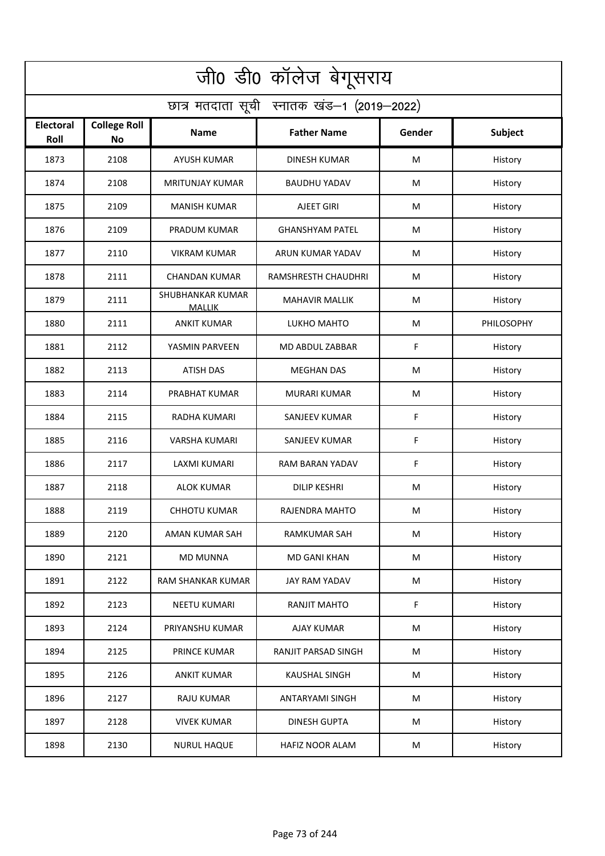| जी0 डी0 कॉलेज बेगूसराय                     |                                  |                                          |                            |        |            |  |  |  |
|--------------------------------------------|----------------------------------|------------------------------------------|----------------------------|--------|------------|--|--|--|
| छात्र मतदाता सूची स्नातक खंड-1 (2019-2022) |                                  |                                          |                            |        |            |  |  |  |
| Electoral<br>Roll                          | <b>College Roll</b><br><b>No</b> | <b>Name</b>                              | <b>Father Name</b>         | Gender | Subject    |  |  |  |
| 1873                                       | 2108                             | <b>AYUSH KUMAR</b>                       | <b>DINESH KUMAR</b>        | M      | History    |  |  |  |
| 1874                                       | 2108                             | <b>MRITUNJAY KUMAR</b>                   | <b>BAUDHU YADAV</b>        | M      | History    |  |  |  |
| 1875                                       | 2109                             | <b>MANISH KUMAR</b>                      | <b>AJEET GIRI</b>          | M      | History    |  |  |  |
| 1876                                       | 2109                             | PRADUM KUMAR                             | <b>GHANSHYAM PATEL</b>     | M      | History    |  |  |  |
| 1877                                       | 2110                             | <b>VIKRAM KUMAR</b>                      | ARUN KUMAR YADAV           | M      | History    |  |  |  |
| 1878                                       | 2111                             | <b>CHANDAN KUMAR</b>                     | <b>RAMSHRESTH CHAUDHRI</b> | M      | History    |  |  |  |
| 1879                                       | 2111                             | <b>SHUBHANKAR KUMAR</b><br><b>MALLIK</b> | <b>MAHAVIR MALLIK</b>      | M      | History    |  |  |  |
| 1880                                       | 2111                             | <b>ANKIT KUMAR</b>                       | LUKHO MAHTO                | M      | PHILOSOPHY |  |  |  |
| 1881                                       | 2112                             | YASMIN PARVEEN                           | MD ABDUL ZABBAR            | F      | History    |  |  |  |
| 1882                                       | 2113                             | <b>ATISH DAS</b>                         | <b>MEGHAN DAS</b>          | M      | History    |  |  |  |
| 1883                                       | 2114                             | PRABHAT KUMAR                            | <b>MURARI KUMAR</b>        | М      | History    |  |  |  |
| 1884                                       | 2115                             | RADHA KUMARI                             | <b>SANJEEV KUMAR</b>       | F      | History    |  |  |  |
| 1885                                       | 2116                             | VARSHA KUMARI                            | SANJEEV KUMAR              | F      | History    |  |  |  |
| 1886                                       | 2117                             | LAXMI KUMARI                             | RAM BARAN YADAV            | F      | History    |  |  |  |
| 1887                                       | 2118                             | ALOK KUMAR                               | <b>DILIP KESHRI</b>        | M      | History    |  |  |  |
| 1888                                       | 2119                             | <b>CHHOTU KUMAR</b>                      | RAJENDRA MAHTO             | M      | History    |  |  |  |
| 1889                                       | 2120                             | AMAN KUMAR SAH                           | RAMKUMAR SAH               | M      | History    |  |  |  |
| 1890                                       | 2121                             | <b>MD MUNNA</b>                          | MD GANI KHAN               | M      | History    |  |  |  |
| 1891                                       | 2122                             | RAM SHANKAR KUMAR                        | <b>JAY RAM YADAV</b>       | M      | History    |  |  |  |
| 1892                                       | 2123                             | NEETU KUMARI                             | RANJIT MAHTO               | F      | History    |  |  |  |
| 1893                                       | 2124                             | PRIYANSHU KUMAR                          | AJAY KUMAR                 | M      | History    |  |  |  |
| 1894                                       | 2125                             | PRINCE KUMAR                             | RANJIT PARSAD SINGH        | M      | History    |  |  |  |
| 1895                                       | 2126                             | <b>ANKIT KUMAR</b>                       | <b>KAUSHAL SINGH</b>       | M      | History    |  |  |  |
| 1896                                       | 2127                             | <b>RAJU KUMAR</b>                        | ANTARYAMI SINGH            | M      | History    |  |  |  |
| 1897                                       | 2128                             | <b>VIVEK KUMAR</b>                       | <b>DINESH GUPTA</b>        | M      | History    |  |  |  |
| 1898                                       | 2130                             | <b>NURUL HAQUE</b>                       | <b>HAFIZ NOOR ALAM</b>     | M      | History    |  |  |  |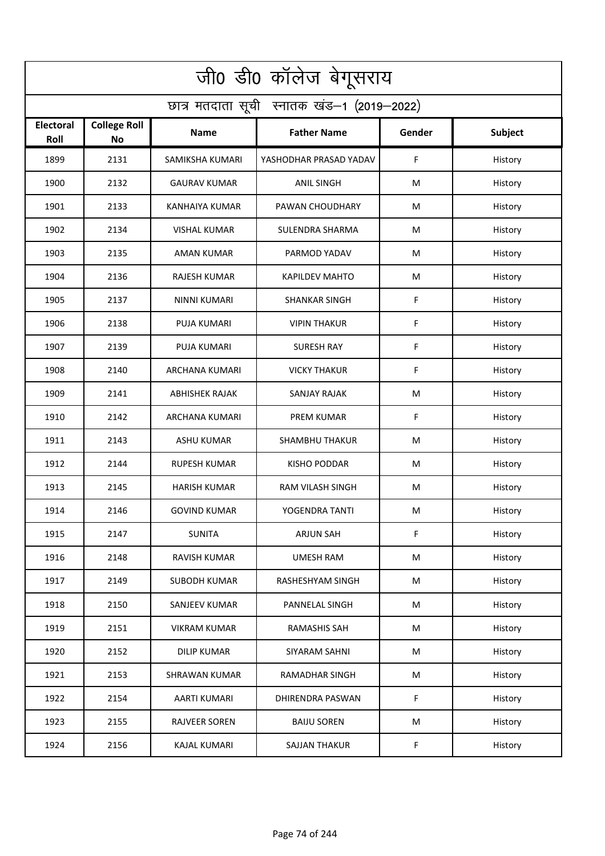| जी0 डी0 कॉलेज बेगूसराय                     |                                  |                       |                         |        |         |  |  |  |
|--------------------------------------------|----------------------------------|-----------------------|-------------------------|--------|---------|--|--|--|
| छात्र मतदाता सूची स्नातक खंड-1 (2019-2022) |                                  |                       |                         |        |         |  |  |  |
| Electoral<br>Roll                          | <b>College Roll</b><br><b>No</b> | <b>Name</b>           | <b>Father Name</b>      | Gender | Subject |  |  |  |
| 1899                                       | 2131                             | SAMIKSHA KUMARI       | YASHODHAR PRASAD YADAV  | F      | History |  |  |  |
| 1900                                       | 2132                             | <b>GAURAV KUMAR</b>   | <b>ANIL SINGH</b>       | M      | History |  |  |  |
| 1901                                       | 2133                             | KANHAIYA KUMAR        | PAWAN CHOUDHARY         | M      | History |  |  |  |
| 1902                                       | 2134                             | <b>VISHAL KUMAR</b>   | SULENDRA SHARMA         | М      | History |  |  |  |
| 1903                                       | 2135                             | <b>AMAN KUMAR</b>     | PARMOD YADAV            | M      | History |  |  |  |
| 1904                                       | 2136                             | <b>RAJESH KUMAR</b>   | <b>KAPILDEV MAHTO</b>   | M      | History |  |  |  |
| 1905                                       | 2137                             | <b>NINNI KUMARI</b>   | <b>SHANKAR SINGH</b>    | F      | History |  |  |  |
| 1906                                       | 2138                             | <b>PUJA KUMARI</b>    | <b>VIPIN THAKUR</b>     | F      | History |  |  |  |
| 1907                                       | 2139                             | <b>PUJA KUMARI</b>    | <b>SURESH RAY</b>       | F      | History |  |  |  |
| 1908                                       | 2140                             | <b>ARCHANA KUMARI</b> | <b>VICKY THAKUR</b>     | F      | History |  |  |  |
| 1909                                       | 2141                             | <b>ABHISHEK RAJAK</b> | <b>SANJAY RAJAK</b>     | M      | History |  |  |  |
| 1910                                       | 2142                             | <b>ARCHANA KUMARI</b> | <b>PREM KUMAR</b>       | F      | History |  |  |  |
| 1911                                       | 2143                             | ASHU KUMAR            | <b>SHAMBHU THAKUR</b>   | M      | History |  |  |  |
| 1912                                       | 2144                             | <b>RUPESH KUMAR</b>   | <b>KISHO PODDAR</b>     | M      | History |  |  |  |
| 1913                                       | 2145                             | <b>HARISH KUMAR</b>   | <b>RAM VILASH SINGH</b> | M      | History |  |  |  |
| 1914                                       | 2146                             | <b>GOVIND KUMAR</b>   | YOGENDRA TANTI          | M      | History |  |  |  |
| 1915                                       | 2147                             | <b>SUNITA</b>         | <b>ARJUN SAH</b>        | F      | History |  |  |  |
| 1916                                       | 2148                             | RAVISH KUMAR          | <b>UMESH RAM</b>        | M      | History |  |  |  |
| 1917                                       | 2149                             | <b>SUBODH KUMAR</b>   | RASHESHYAM SINGH        | M      | History |  |  |  |
| 1918                                       | 2150                             | SANJEEV KUMAR         | PANNELAL SINGH          | M      | History |  |  |  |
| 1919                                       | 2151                             | <b>VIKRAM KUMAR</b>   | <b>RAMASHIS SAH</b>     | M      | History |  |  |  |
| 1920                                       | 2152                             | <b>DILIP KUMAR</b>    | SIYARAM SAHNI           | M      | History |  |  |  |
| 1921                                       | 2153                             | <b>SHRAWAN KUMAR</b>  | <b>RAMADHAR SINGH</b>   | M      | History |  |  |  |
| 1922                                       | 2154                             | <b>AARTI KUMARI</b>   | DHIRENDRA PASWAN        | F      | History |  |  |  |
| 1923                                       | 2155                             | RAJVEER SOREN         | <b>BAIJU SOREN</b>      | M      | History |  |  |  |
| 1924                                       | 2156                             | <b>KAJAL KUMARI</b>   | SAJJAN THAKUR           | F      | History |  |  |  |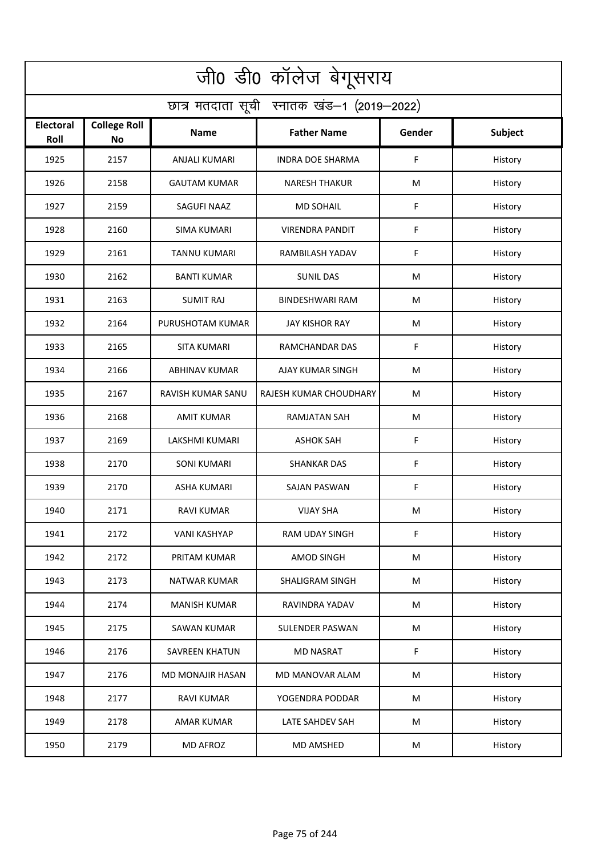| जी0 डी0 कॉलेज बेगूसराय                     |                           |                         |                         |        |         |  |  |  |
|--------------------------------------------|---------------------------|-------------------------|-------------------------|--------|---------|--|--|--|
| छात्र मतदाता सूची स्नातक खंड-1 (2019-2022) |                           |                         |                         |        |         |  |  |  |
| Electoral<br>Roll                          | <b>College Roll</b><br>No | <b>Name</b>             | <b>Father Name</b>      | Gender | Subject |  |  |  |
| 1925                                       | 2157                      | <b>ANJALI KUMARI</b>    | <b>INDRA DOE SHARMA</b> | F      | History |  |  |  |
| 1926                                       | 2158                      | <b>GAUTAM KUMAR</b>     | <b>NARESH THAKUR</b>    | M      | History |  |  |  |
| 1927                                       | 2159                      | SAGUFI NAAZ             | <b>MD SOHAIL</b>        | F      | History |  |  |  |
| 1928                                       | 2160                      | <b>SIMA KUMARI</b>      | <b>VIRENDRA PANDIT</b>  | F      | History |  |  |  |
| 1929                                       | 2161                      | TANNU KUMARI            | RAMBILASH YADAV         | F      | History |  |  |  |
| 1930                                       | 2162                      | <b>BANTI KUMAR</b>      | <b>SUNIL DAS</b>        | M      | History |  |  |  |
| 1931                                       | 2163                      | <b>SUMIT RAJ</b>        | <b>BINDESHWARI RAM</b>  | M      | History |  |  |  |
| 1932                                       | 2164                      | PURUSHOTAM KUMAR        | <b>JAY KISHOR RAY</b>   | М      | History |  |  |  |
| 1933                                       | 2165                      | SITA KUMARI             | RAMCHANDAR DAS          | F      | History |  |  |  |
| 1934                                       | 2166                      | <b>ABHINAV KUMAR</b>    | AJAY KUMAR SINGH        | M      | History |  |  |  |
| 1935                                       | 2167                      | RAVISH KUMAR SANU       | RAJESH KUMAR CHOUDHARY  | M      | History |  |  |  |
| 1936                                       | 2168                      | <b>AMIT KUMAR</b>       | <b>RAMJATAN SAH</b>     | M      | History |  |  |  |
| 1937                                       | 2169                      | LAKSHMI KUMARI          | <b>ASHOK SAH</b>        | F      | History |  |  |  |
| 1938                                       | 2170                      | <b>SONI KUMARI</b>      | <b>SHANKAR DAS</b>      | F      | History |  |  |  |
| 1939                                       | 2170                      | ASHA KUMARI             | SAJAN PASWAN            | F      | History |  |  |  |
| 1940                                       | 2171                      | RAVI KUMAR              | <b>VIJAY SHA</b>        | M      | History |  |  |  |
| 1941                                       | 2172                      | <b>VANI KASHYAP</b>     | <b>RAM UDAY SINGH</b>   | F      | History |  |  |  |
| 1942                                       | 2172                      | PRITAM KUMAR            | AMOD SINGH              | M      | History |  |  |  |
| 1943                                       | 2173                      | <b>NATWAR KUMAR</b>     | <b>SHALIGRAM SINGH</b>  | M      | History |  |  |  |
| 1944                                       | 2174                      | <b>MANISH KUMAR</b>     | RAVINDRA YADAV          | M      | History |  |  |  |
| 1945                                       | 2175                      | <b>SAWAN KUMAR</b>      | <b>SULENDER PASWAN</b>  | M      | History |  |  |  |
| 1946                                       | 2176                      | <b>SAVREEN KHATUN</b>   | <b>MD NASRAT</b>        | F      | History |  |  |  |
| 1947                                       | 2176                      | <b>MD MONAJIR HASAN</b> | MD MANOVAR ALAM         | M      | History |  |  |  |
| 1948                                       | 2177                      | <b>RAVI KUMAR</b>       | YOGENDRA PODDAR         | M      | History |  |  |  |
| 1949                                       | 2178                      | AMAR KUMAR              | LATE SAHDEV SAH         | M      | History |  |  |  |
| 1950                                       | 2179                      | MD AFROZ                | MD AMSHED               | M      | History |  |  |  |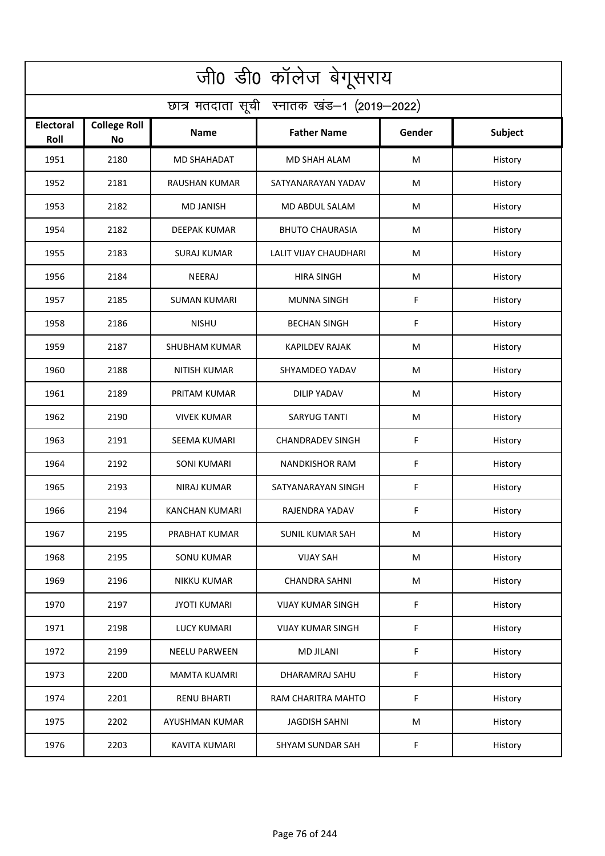| जी0 डी0 कॉलेज बेगूसराय                     |                                  |                      |                          |        |                |  |  |  |
|--------------------------------------------|----------------------------------|----------------------|--------------------------|--------|----------------|--|--|--|
| छात्र मतदाता सूची स्नातक खंड-1 (2019-2022) |                                  |                      |                          |        |                |  |  |  |
| Electoral<br>Roll                          | <b>College Roll</b><br><b>No</b> | <b>Name</b>          | <b>Father Name</b>       | Gender | <b>Subject</b> |  |  |  |
| 1951                                       | 2180                             | MD SHAHADAT          | MD SHAH ALAM             | M      | History        |  |  |  |
| 1952                                       | 2181                             | <b>RAUSHAN KUMAR</b> | SATYANARAYAN YADAV       | M      | History        |  |  |  |
| 1953                                       | 2182                             | <b>MD JANISH</b>     | MD ABDUL SALAM           | M      | History        |  |  |  |
| 1954                                       | 2182                             | <b>DEEPAK KUMAR</b>  | <b>BHUTO CHAURASIA</b>   | M      | History        |  |  |  |
| 1955                                       | 2183                             | <b>SURAJ KUMAR</b>   | LALIT VIJAY CHAUDHARI    | M      | History        |  |  |  |
| 1956                                       | 2184                             | NEERAJ               | <b>HIRA SINGH</b>        | M      | History        |  |  |  |
| 1957                                       | 2185                             | <b>SUMAN KUMARI</b>  | <b>MUNNA SINGH</b>       | F      | History        |  |  |  |
| 1958                                       | 2186                             | <b>NISHU</b>         | <b>BECHAN SINGH</b>      | F      | History        |  |  |  |
| 1959                                       | 2187                             | <b>SHUBHAM KUMAR</b> | <b>KAPILDEV RAJAK</b>    | M      | History        |  |  |  |
| 1960                                       | 2188                             | <b>NITISH KUMAR</b>  | SHYAMDEO YADAV           | M      | History        |  |  |  |
| 1961                                       | 2189                             | PRITAM KUMAR         | <b>DILIP YADAV</b>       | М      | History        |  |  |  |
| 1962                                       | 2190                             | <b>VIVEK KUMAR</b>   | SARYUG TANTI             | M      | History        |  |  |  |
| 1963                                       | 2191                             | SEEMA KUMARI         | <b>CHANDRADEV SINGH</b>  | F      | History        |  |  |  |
| 1964                                       | 2192                             | <b>SONI KUMARI</b>   | <b>NANDKISHOR RAM</b>    | F      | History        |  |  |  |
| 1965                                       | 2193                             | NIRAJ KUMAR          | SATYANARAYAN SINGH       | F      | History        |  |  |  |
| 1966                                       | 2194                             | KANCHAN KUMARI       | RAJENDRA YADAV           | F.     | History        |  |  |  |
| 1967                                       | 2195                             | PRABHAT KUMAR        | SUNIL KUMAR SAH          | M      | History        |  |  |  |
| 1968                                       | 2195                             | <b>SONU KUMAR</b>    | <b>VIJAY SAH</b>         | M      | History        |  |  |  |
| 1969                                       | 2196                             | <b>NIKKU KUMAR</b>   | <b>CHANDRA SAHNI</b>     | M      | History        |  |  |  |
| 1970                                       | 2197                             | <b>JYOTI KUMARI</b>  | <b>VIJAY KUMAR SINGH</b> | F      | History        |  |  |  |
| 1971                                       | 2198                             | <b>LUCY KUMARI</b>   | <b>VIJAY KUMAR SINGH</b> | F      | History        |  |  |  |
| 1972                                       | 2199                             | <b>NEELU PARWEEN</b> | <b>MD JILANI</b>         | F      | History        |  |  |  |
| 1973                                       | 2200                             | <b>MAMTA KUAMRI</b>  | DHARAMRAJ SAHU           | F      | History        |  |  |  |
| 1974                                       | 2201                             | <b>RENU BHARTI</b>   | RAM CHARITRA MAHTO       | F      | History        |  |  |  |
| 1975                                       | 2202                             | AYUSHMAN KUMAR       | <b>JAGDISH SAHNI</b>     | M      | History        |  |  |  |
| 1976                                       | 2203                             | KAVITA KUMARI        | SHYAM SUNDAR SAH         | F.     | History        |  |  |  |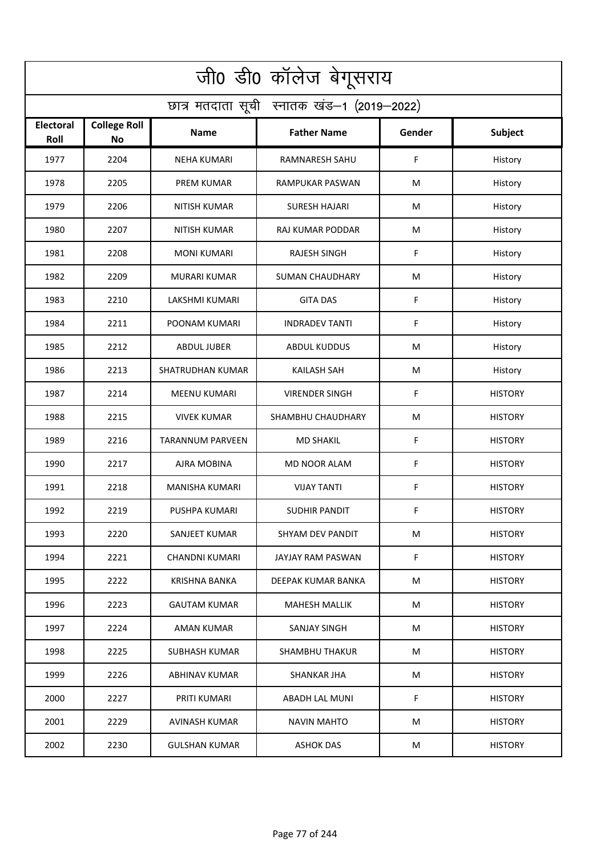| जी0 डी0 कॉलेज बेगूसराय                     |                                  |                         |                        |        |                |  |  |  |
|--------------------------------------------|----------------------------------|-------------------------|------------------------|--------|----------------|--|--|--|
| छात्र मतदाता सूची स्नातक खंड-1 (2019-2022) |                                  |                         |                        |        |                |  |  |  |
| Electoral<br>Roll                          | <b>College Roll</b><br><b>No</b> | <b>Name</b>             | <b>Father Name</b>     | Gender | Subject        |  |  |  |
| 1977                                       | 2204                             | <b>NEHA KUMARI</b>      | RAMNARESH SAHU         | F      | History        |  |  |  |
| 1978                                       | 2205                             | <b>PREM KUMAR</b>       | RAMPUKAR PASWAN        | M      | History        |  |  |  |
| 1979                                       | 2206                             | <b>NITISH KUMAR</b>     | <b>SURESH HAJARI</b>   | M      | History        |  |  |  |
| 1980                                       | 2207                             | <b>NITISH KUMAR</b>     | RAJ KUMAR PODDAR       | M      | History        |  |  |  |
| 1981                                       | 2208                             | <b>MONI KUMARI</b>      | <b>RAJESH SINGH</b>    | F      | History        |  |  |  |
| 1982                                       | 2209                             | <b>MURARI KUMAR</b>     | <b>SUMAN CHAUDHARY</b> | M      | History        |  |  |  |
| 1983                                       | 2210                             | LAKSHMI KUMARI          | <b>GITA DAS</b>        | F      | History        |  |  |  |
| 1984                                       | 2211                             | POONAM KUMARI           | <b>INDRADEV TANTI</b>  | F      | History        |  |  |  |
| 1985                                       | 2212                             | <b>ABDUL JUBER</b>      | <b>ABDUL KUDDUS</b>    | M      | History        |  |  |  |
| 1986                                       | 2213                             | <b>SHATRUDHAN KUMAR</b> | <b>KAILASH SAH</b>     | M      | History        |  |  |  |
| 1987                                       | 2214                             | <b>MEENU KUMARI</b>     | <b>VIRENDER SINGH</b>  | F      | <b>HISTORY</b> |  |  |  |
| 1988                                       | 2215                             | <b>VIVEK KUMAR</b>      | SHAMBHU CHAUDHARY      | M      | <b>HISTORY</b> |  |  |  |
| 1989                                       | 2216                             | <b>TARANNUM PARVEEN</b> | MD SHAKIL              | F      | <b>HISTORY</b> |  |  |  |
| 1990                                       | 2217                             | AJRA MOBINA             | <b>MD NOOR ALAM</b>    | F      | <b>HISTORY</b> |  |  |  |
| 1991                                       | 2218                             | MANISHA KUMARI          | <b>VIJAY TANTI</b>     | F      | <b>HISTORY</b> |  |  |  |
| 1992                                       | 2219                             | PUSHPA KUMARI           | SUDHIR PANDIT          | F.     | <b>HISTORY</b> |  |  |  |
| 1993                                       | 2220                             | SANJEET KUMAR           | SHYAM DEV PANDIT       | М      | <b>HISTORY</b> |  |  |  |
| 1994                                       | 2221                             | <b>CHANDNI KUMARI</b>   | JAYJAY RAM PASWAN      | F      | <b>HISTORY</b> |  |  |  |
| 1995                                       | 2222                             | KRISHNA BANKA           | DEEPAK KUMAR BANKA     | М      | <b>HISTORY</b> |  |  |  |
| 1996                                       | 2223                             | <b>GAUTAM KUMAR</b>     | <b>MAHESH MALLIK</b>   | M      | <b>HISTORY</b> |  |  |  |
| 1997                                       | 2224                             | AMAN KUMAR              | <b>SANJAY SINGH</b>    | M      | <b>HISTORY</b> |  |  |  |
| 1998                                       | 2225                             | SUBHASH KUMAR           | SHAMBHU THAKUR         | М      | <b>HISTORY</b> |  |  |  |
| 1999                                       | 2226                             | <b>ABHINAV KUMAR</b>    | <b>SHANKAR JHA</b>     | М      | <b>HISTORY</b> |  |  |  |
| 2000                                       | 2227                             | PRITI KUMARI            | ABADH LAL MUNI         | F.     | <b>HISTORY</b> |  |  |  |
| 2001                                       | 2229                             | AVINASH KUMAR           | NAVIN MAHTO            | М      | <b>HISTORY</b> |  |  |  |
| 2002                                       | 2230                             | <b>GULSHAN KUMAR</b>    | <b>ASHOK DAS</b>       | M      | <b>HISTORY</b> |  |  |  |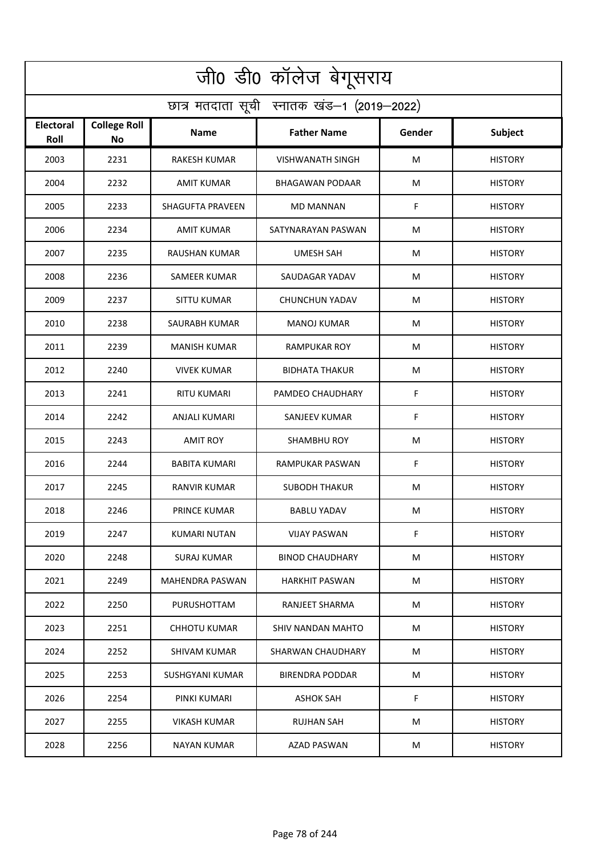| जी0 डी0 कॉलेज बेगूसराय                     |                           |                         |                         |        |                |  |  |  |
|--------------------------------------------|---------------------------|-------------------------|-------------------------|--------|----------------|--|--|--|
| छात्र मतदाता सूची स्नातक खंड-1 (2019-2022) |                           |                         |                         |        |                |  |  |  |
| Electoral<br>Roll                          | <b>College Roll</b><br>No | <b>Name</b>             | <b>Father Name</b>      | Gender | <b>Subject</b> |  |  |  |
| 2003                                       | 2231                      | <b>RAKESH KUMAR</b>     | <b>VISHWANATH SINGH</b> | M      | <b>HISTORY</b> |  |  |  |
| 2004                                       | 2232                      | <b>AMIT KUMAR</b>       | <b>BHAGAWAN PODAAR</b>  | M      | <b>HISTORY</b> |  |  |  |
| 2005                                       | 2233                      | <b>SHAGUFTA PRAVEEN</b> | <b>MD MANNAN</b>        | F      | <b>HISTORY</b> |  |  |  |
| 2006                                       | 2234                      | <b>AMIT KUMAR</b>       | SATYNARAYAN PASWAN      | M      | <b>HISTORY</b> |  |  |  |
| 2007                                       | 2235                      | <b>RAUSHAN KUMAR</b>    | <b>UMESH SAH</b>        | М      | <b>HISTORY</b> |  |  |  |
| 2008                                       | 2236                      | <b>SAMEER KUMAR</b>     | SAUDAGAR YADAV          | M      | <b>HISTORY</b> |  |  |  |
| 2009                                       | 2237                      | <b>SITTU KUMAR</b>      | <b>CHUNCHUN YADAV</b>   | M      | <b>HISTORY</b> |  |  |  |
| 2010                                       | 2238                      | SAURABH KUMAR           | <b>MANOJ KUMAR</b>      | M      | <b>HISTORY</b> |  |  |  |
| 2011                                       | 2239                      | <b>MANISH KUMAR</b>     | <b>RAMPUKAR ROY</b>     | M      | <b>HISTORY</b> |  |  |  |
| 2012                                       | 2240                      | VIVEK KUMAR             | <b>BIDHATA THAKUR</b>   | M      | <b>HISTORY</b> |  |  |  |
| 2013                                       | 2241                      | <b>RITU KUMARI</b>      | PAMDEO CHAUDHARY        | F      | <b>HISTORY</b> |  |  |  |
| 2014                                       | 2242                      | ANJALI KUMARI           | <b>SANJEEV KUMAR</b>    | F      | <b>HISTORY</b> |  |  |  |
| 2015                                       | 2243                      | <b>AMIT ROY</b>         | <b>SHAMBHU ROY</b>      | M      | <b>HISTORY</b> |  |  |  |
| 2016                                       | 2244                      | <b>BABITA KUMARI</b>    | RAMPUKAR PASWAN         | F      | <b>HISTORY</b> |  |  |  |
| 2017                                       | 2245                      | RANVIR KUMAR            | <b>SUBODH THAKUR</b>    | M      | <b>HISTORY</b> |  |  |  |
| 2018                                       | 2246                      | PRINCE KUMAR            | <b>BABLU YADAV</b>      | M      | <b>HISTORY</b> |  |  |  |
| 2019                                       | 2247                      | KUMARI NUTAN            | <b>VIJAY PASWAN</b>     | F      | <b>HISTORY</b> |  |  |  |
| 2020                                       | 2248                      | <b>SURAJ KUMAR</b>      | <b>BINOD CHAUDHARY</b>  | М      | <b>HISTORY</b> |  |  |  |
| 2021                                       | 2249                      | MAHENDRA PASWAN         | <b>HARKHIT PASWAN</b>   | M      | <b>HISTORY</b> |  |  |  |
| 2022                                       | 2250                      | PURUSHOTTAM             | RANJEET SHARMA          | M      | <b>HISTORY</b> |  |  |  |
| 2023                                       | 2251                      | <b>CHHOTU KUMAR</b>     | SHIV NANDAN MAHTO       | M      | <b>HISTORY</b> |  |  |  |
| 2024                                       | 2252                      | SHIVAM KUMAR            | SHARWAN CHAUDHARY       | M      | <b>HISTORY</b> |  |  |  |
| 2025                                       | 2253                      | SUSHGYANI KUMAR         | <b>BIRENDRA PODDAR</b>  | M      | <b>HISTORY</b> |  |  |  |
| 2026                                       | 2254                      | PINKI KUMARI            | <b>ASHOK SAH</b>        | F      | <b>HISTORY</b> |  |  |  |
| 2027                                       | 2255                      | VIKASH KUMAR            | RUJHAN SAH              | М      | <b>HISTORY</b> |  |  |  |
| 2028                                       | 2256                      | NAYAN KUMAR             | <b>AZAD PASWAN</b>      | M      | <b>HISTORY</b> |  |  |  |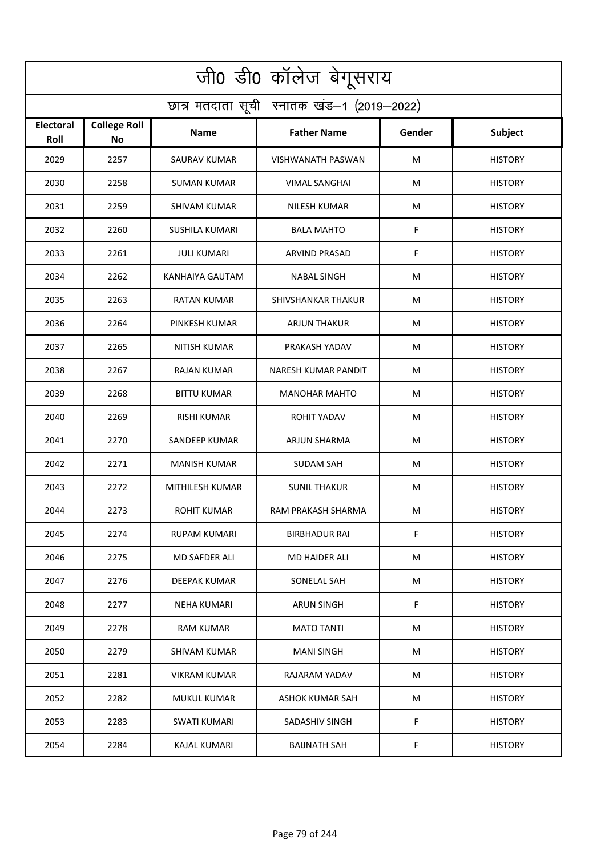| जी0 डी0 कॉलेज बेगूसराय                     |                                  |                       |                           |        |                |  |  |  |
|--------------------------------------------|----------------------------------|-----------------------|---------------------------|--------|----------------|--|--|--|
| छात्र मतदाता सूची स्नातक खंड-1 (2019-2022) |                                  |                       |                           |        |                |  |  |  |
| Electoral<br>Roll                          | <b>College Roll</b><br><b>No</b> | <b>Name</b>           | <b>Father Name</b>        | Gender | <b>Subject</b> |  |  |  |
| 2029                                       | 2257                             | SAURAV KUMAR          | VISHWANATH PASWAN         | M      | <b>HISTORY</b> |  |  |  |
| 2030                                       | 2258                             | <b>SUMAN KUMAR</b>    | <b>VIMAL SANGHAI</b>      | M      | <b>HISTORY</b> |  |  |  |
| 2031                                       | 2259                             | SHIVAM KUMAR          | NILESH KUMAR              | M      | <b>HISTORY</b> |  |  |  |
| 2032                                       | 2260                             | <b>SUSHILA KUMARI</b> | <b>BALA MAHTO</b>         | F      | <b>HISTORY</b> |  |  |  |
| 2033                                       | 2261                             | <b>JULI KUMARI</b>    | <b>ARVIND PRASAD</b>      | F      | <b>HISTORY</b> |  |  |  |
| 2034                                       | 2262                             | KANHAIYA GAUTAM       | <b>NABAL SINGH</b>        | M      | <b>HISTORY</b> |  |  |  |
| 2035                                       | 2263                             | <b>RATAN KUMAR</b>    | <b>SHIVSHANKAR THAKUR</b> | M      | <b>HISTORY</b> |  |  |  |
| 2036                                       | 2264                             | PINKESH KUMAR         | <b>ARJUN THAKUR</b>       | M      | <b>HISTORY</b> |  |  |  |
| 2037                                       | 2265                             | <b>NITISH KUMAR</b>   | PRAKASH YADAV             | M      | <b>HISTORY</b> |  |  |  |
| 2038                                       | 2267                             | RAJAN KUMAR           | NARESH KUMAR PANDIT       | M      | <b>HISTORY</b> |  |  |  |
| 2039                                       | 2268                             | <b>BITTU KUMAR</b>    | <b>MANOHAR MAHTO</b>      | M      | <b>HISTORY</b> |  |  |  |
| 2040                                       | 2269                             | <b>RISHI KUMAR</b>    | ROHIT YADAV               | M      | <b>HISTORY</b> |  |  |  |
| 2041                                       | 2270                             | SANDEEP KUMAR         | ARJUN SHARMA              | M      | <b>HISTORY</b> |  |  |  |
| 2042                                       | 2271                             | <b>MANISH KUMAR</b>   | <b>SUDAM SAH</b>          | M      | <b>HISTORY</b> |  |  |  |
| 2043                                       | 2272                             | MITHILESH KUMAR       | <b>SUNIL THAKUR</b>       | M      | <b>HISTORY</b> |  |  |  |
| 2044                                       | 2273                             | ROHIT KUMAR           | RAM PRAKASH SHARMA        | M      | <b>HISTORY</b> |  |  |  |
| 2045                                       | 2274                             | RUPAM KUMARI          | <b>BIRBHADUR RAI</b>      | F      | <b>HISTORY</b> |  |  |  |
| 2046                                       | 2275                             | <b>MD SAFDER ALI</b>  | <b>MD HAIDER ALI</b>      | M      | <b>HISTORY</b> |  |  |  |
| 2047                                       | 2276                             | DEEPAK KUMAR          | SONELAL SAH               | M      | <b>HISTORY</b> |  |  |  |
| 2048                                       | 2277                             | NEHA KUMARI           | ARUN SINGH                | F      | <b>HISTORY</b> |  |  |  |
| 2049                                       | 2278                             | <b>RAM KUMAR</b>      | <b>MATO TANTI</b>         | M      | <b>HISTORY</b> |  |  |  |
| 2050                                       | 2279                             | SHIVAM KUMAR          | MANI SINGH                | М      | <b>HISTORY</b> |  |  |  |
| 2051                                       | 2281                             | <b>VIKRAM KUMAR</b>   | RAJARAM YADAV             | М      | <b>HISTORY</b> |  |  |  |
| 2052                                       | 2282                             | MUKUL KUMAR           | ASHOK KUMAR SAH           | M      | <b>HISTORY</b> |  |  |  |
| 2053                                       | 2283                             | SWATI KUMARI          | SADASHIV SINGH            | F      | <b>HISTORY</b> |  |  |  |
| 2054                                       | 2284                             | <b>KAJAL KUMARI</b>   | <b>BAIJNATH SAH</b>       | F      | <b>HISTORY</b> |  |  |  |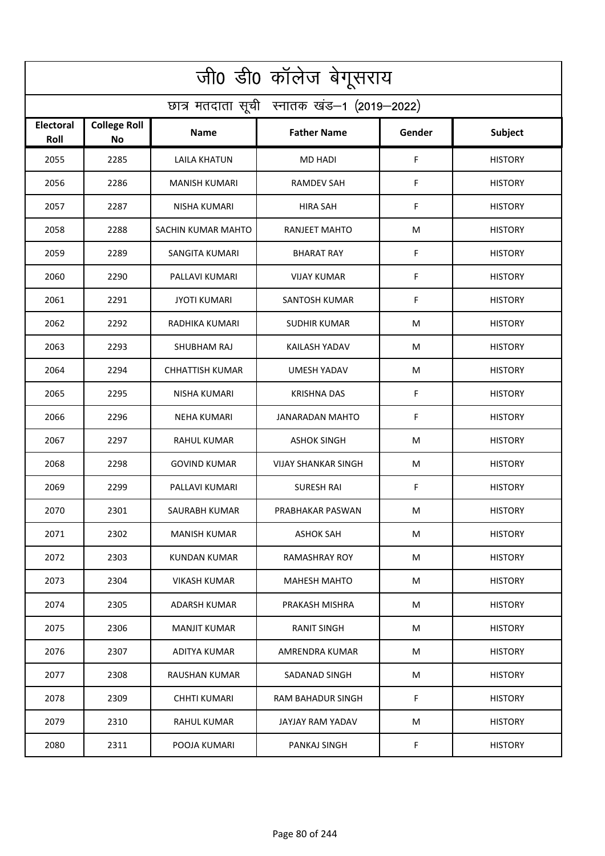| जी0 डी0 कॉलेज बेगूसराय                     |                                  |                        |                            |        |                |  |  |  |
|--------------------------------------------|----------------------------------|------------------------|----------------------------|--------|----------------|--|--|--|
| छात्र मतदाता सूची स्नातक खंड-1 (2019-2022) |                                  |                        |                            |        |                |  |  |  |
| Electoral<br>Roll                          | <b>College Roll</b><br><b>No</b> | <b>Name</b>            | <b>Father Name</b>         | Gender | <b>Subject</b> |  |  |  |
| 2055                                       | 2285                             | <b>LAILA KHATUN</b>    | <b>MD HADI</b>             | F      | <b>HISTORY</b> |  |  |  |
| 2056                                       | 2286                             | <b>MANISH KUMARI</b>   | <b>RAMDEV SAH</b>          | F      | <b>HISTORY</b> |  |  |  |
| 2057                                       | 2287                             | NISHA KUMARI           | <b>HIRA SAH</b>            | F      | <b>HISTORY</b> |  |  |  |
| 2058                                       | 2288                             | SACHIN KUMAR MAHTO     | <b>RANJEET MAHTO</b>       | M      | <b>HISTORY</b> |  |  |  |
| 2059                                       | 2289                             | <b>SANGITA KUMARI</b>  | <b>BHARAT RAY</b>          | F      | <b>HISTORY</b> |  |  |  |
| 2060                                       | 2290                             | PALLAVI KUMARI         | <b>VIJAY KUMAR</b>         | F      | <b>HISTORY</b> |  |  |  |
| 2061                                       | 2291                             | <b>JYOTI KUMARI</b>    | <b>SANTOSH KUMAR</b>       | F      | <b>HISTORY</b> |  |  |  |
| 2062                                       | 2292                             | RADHIKA KUMARI         | <b>SUDHIR KUMAR</b>        | M      | <b>HISTORY</b> |  |  |  |
| 2063                                       | 2293                             | SHUBHAM RAJ            | <b>KAILASH YADAV</b>       | M      | <b>HISTORY</b> |  |  |  |
| 2064                                       | 2294                             | <b>CHHATTISH KUMAR</b> | <b>UMESH YADAV</b>         | M      | <b>HISTORY</b> |  |  |  |
| 2065                                       | 2295                             | <b>NISHA KUMARI</b>    | <b>KRISHNA DAS</b>         | F      | <b>HISTORY</b> |  |  |  |
| 2066                                       | 2296                             | NEHA KUMARI            | JANARADAN MAHTO            | F      | <b>HISTORY</b> |  |  |  |
| 2067                                       | 2297                             | RAHUL KUMAR            | <b>ASHOK SINGH</b>         | M      | <b>HISTORY</b> |  |  |  |
| 2068                                       | 2298                             | <b>GOVIND KUMAR</b>    | <b>VIJAY SHANKAR SINGH</b> | M      | <b>HISTORY</b> |  |  |  |
| 2069                                       | 2299                             | PALLAVI KUMARI         | <b>SURESH RAI</b>          | F      | <b>HISTORY</b> |  |  |  |
| 2070                                       | 2301                             | SAURABH KUMAR          | PRABHAKAR PASWAN           | M      | <b>HISTORY</b> |  |  |  |
| 2071                                       | 2302                             | <b>MANISH KUMAR</b>    | <b>ASHOK SAH</b>           | М      | <b>HISTORY</b> |  |  |  |
| 2072                                       | 2303                             | KUNDAN KUMAR           | <b>RAMASHRAY ROY</b>       | M      | <b>HISTORY</b> |  |  |  |
| 2073                                       | 2304                             | VIKASH KUMAR           | <b>MAHESH MAHTO</b>        | М      | <b>HISTORY</b> |  |  |  |
| 2074                                       | 2305                             | ADARSH KUMAR           | PRAKASH MISHRA             | M      | <b>HISTORY</b> |  |  |  |
| 2075                                       | 2306                             | <b>MANJIT KUMAR</b>    | <b>RANIT SINGH</b>         | M      | <b>HISTORY</b> |  |  |  |
| 2076                                       | 2307                             | ADITYA KUMAR           | AMRENDRA KUMAR             | М      | <b>HISTORY</b> |  |  |  |
| 2077                                       | 2308                             | <b>RAUSHAN KUMAR</b>   | SADANAD SINGH              | М      | <b>HISTORY</b> |  |  |  |
| 2078                                       | 2309                             | CHHTI KUMARI           | RAM BAHADUR SINGH          | F.     | <b>HISTORY</b> |  |  |  |
| 2079                                       | 2310                             | RAHUL KUMAR            | JAYJAY RAM YADAV           | М      | <b>HISTORY</b> |  |  |  |
| 2080                                       | 2311                             | POOJA KUMARI           | PANKAJ SINGH               | F      | <b>HISTORY</b> |  |  |  |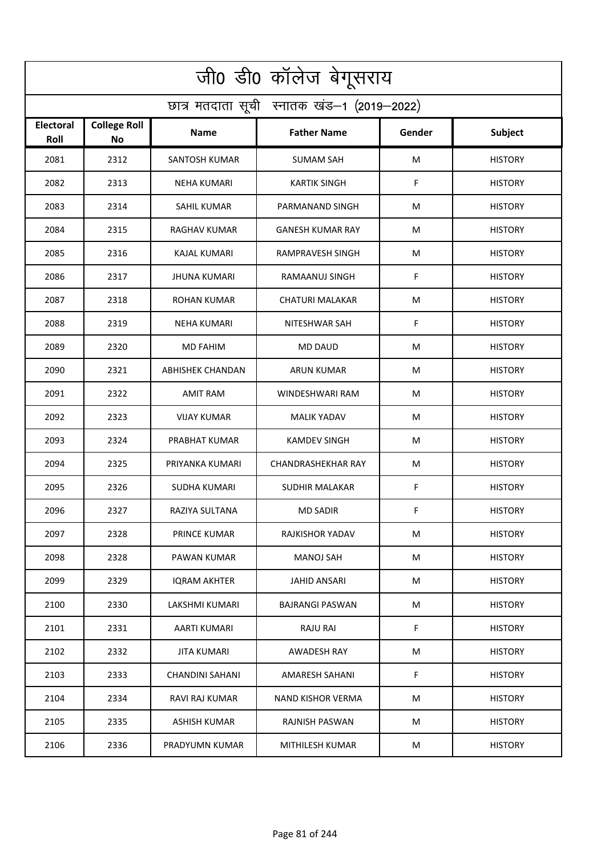| जी0 डी0 कॉलेज बेगूसराय                     |                                  |                         |                           |        |                |  |  |  |
|--------------------------------------------|----------------------------------|-------------------------|---------------------------|--------|----------------|--|--|--|
| छात्र मतदाता सूची स्नातक खंड-1 (2019-2022) |                                  |                         |                           |        |                |  |  |  |
| Electoral<br>Roll                          | <b>College Roll</b><br><b>No</b> | <b>Name</b>             | <b>Father Name</b>        | Gender | <b>Subject</b> |  |  |  |
| 2081                                       | 2312                             | SANTOSH KUMAR           | <b>SUMAM SAH</b>          | M      | <b>HISTORY</b> |  |  |  |
| 2082                                       | 2313                             | <b>NEHA KUMARI</b>      | <b>KARTIK SINGH</b>       | F      | <b>HISTORY</b> |  |  |  |
| 2083                                       | 2314                             | <b>SAHIL KUMAR</b>      | PARMANAND SINGH           | M      | <b>HISTORY</b> |  |  |  |
| 2084                                       | 2315                             | <b>RAGHAV KUMAR</b>     | <b>GANESH KUMAR RAY</b>   | м      | <b>HISTORY</b> |  |  |  |
| 2085                                       | 2316                             | <b>KAJAL KUMARI</b>     | RAMPRAVESH SINGH          | M      | <b>HISTORY</b> |  |  |  |
| 2086                                       | 2317                             | <b>JHUNA KUMARI</b>     | RAMAANUJ SINGH            | F      | <b>HISTORY</b> |  |  |  |
| 2087                                       | 2318                             | <b>ROHAN KUMAR</b>      | <b>CHATURI MALAKAR</b>    | M      | <b>HISTORY</b> |  |  |  |
| 2088                                       | 2319                             | <b>NEHA KUMARI</b>      | NITESHWAR SAH             | F      | <b>HISTORY</b> |  |  |  |
| 2089                                       | 2320                             | <b>MD FAHIM</b>         | <b>MD DAUD</b>            | M      | <b>HISTORY</b> |  |  |  |
| 2090                                       | 2321                             | <b>ABHISHEK CHANDAN</b> | ARUN KUMAR                | M      | <b>HISTORY</b> |  |  |  |
| 2091                                       | 2322                             | <b>AMIT RAM</b>         | WINDESHWARI RAM           | M      | <b>HISTORY</b> |  |  |  |
| 2092                                       | 2323                             | <b>VIJAY KUMAR</b>      | <b>MALIK YADAV</b>        | M      | <b>HISTORY</b> |  |  |  |
| 2093                                       | 2324                             | PRABHAT KUMAR           | KAMDEV SINGH              | M      | <b>HISTORY</b> |  |  |  |
| 2094                                       | 2325                             | PRIYANKA KUMARI         | <b>CHANDRASHEKHAR RAY</b> | M      | <b>HISTORY</b> |  |  |  |
| 2095                                       | 2326                             | <b>SUDHA KUMARI</b>     | SUDHIR MALAKAR            | F      | <b>HISTORY</b> |  |  |  |
| 2096                                       | 2327                             | RAZIYA SULTANA          | <b>MD SADIR</b>           | F.     | <b>HISTORY</b> |  |  |  |
| 2097                                       | 2328                             | PRINCE KUMAR            | RAJKISHOR YADAV           | М      | <b>HISTORY</b> |  |  |  |
| 2098                                       | 2328                             | PAWAN KUMAR             | <b>MANOJ SAH</b>          | M      | <b>HISTORY</b> |  |  |  |
| 2099                                       | 2329                             | <b>IQRAM AKHTER</b>     | <b>JAHID ANSARI</b>       | М      | <b>HISTORY</b> |  |  |  |
| 2100                                       | 2330                             | LAKSHMI KUMARI          | BAJRANGI PASWAN           | M      | <b>HISTORY</b> |  |  |  |
| 2101                                       | 2331                             | AARTI KUMARI            | <b>RAJU RAI</b>           | F.     | <b>HISTORY</b> |  |  |  |
| 2102                                       | 2332                             | JITA KUMARI             | AWADESH RAY               | М      | <b>HISTORY</b> |  |  |  |
| 2103                                       | 2333                             | <b>CHANDINI SAHANI</b>  | AMARESH SAHANI            | F      | <b>HISTORY</b> |  |  |  |
| 2104                                       | 2334                             | RAVI RAJ KUMAR          | <b>NAND KISHOR VERMA</b>  | M      | <b>HISTORY</b> |  |  |  |
| 2105                                       | 2335                             | ASHISH KUMAR            | RAJNISH PASWAN            | М      | <b>HISTORY</b> |  |  |  |
| 2106                                       | 2336                             | PRADYUMN KUMAR          | MITHILESH KUMAR           | M      | <b>HISTORY</b> |  |  |  |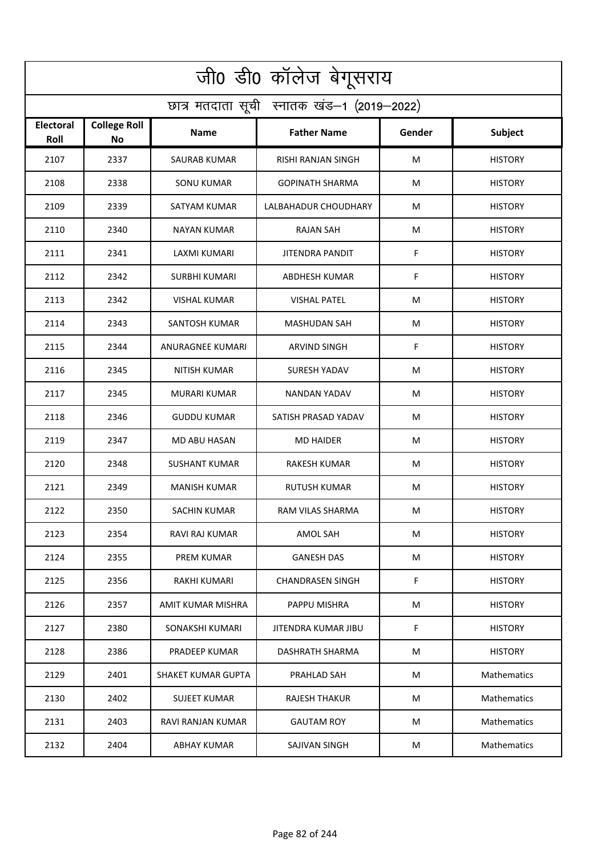| जी0 डी0 कॉलेज बेगूसराय                     |                                  |                           |                         |        |                    |  |  |  |
|--------------------------------------------|----------------------------------|---------------------------|-------------------------|--------|--------------------|--|--|--|
| छात्र मतदाता सूची स्नातक खंड-1 (2019-2022) |                                  |                           |                         |        |                    |  |  |  |
| Electoral<br>Roll                          | <b>College Roll</b><br><b>No</b> | <b>Name</b>               | <b>Father Name</b>      | Gender | <b>Subject</b>     |  |  |  |
| 2107                                       | 2337                             | <b>SAURAB KUMAR</b>       | RISHI RANJAN SINGH      | M      | <b>HISTORY</b>     |  |  |  |
| 2108                                       | 2338                             | <b>SONU KUMAR</b>         | <b>GOPINATH SHARMA</b>  | M      | <b>HISTORY</b>     |  |  |  |
| 2109                                       | 2339                             | SATYAM KUMAR              | LALBAHADUR CHOUDHARY    | M      | <b>HISTORY</b>     |  |  |  |
| 2110                                       | 2340                             | <b>NAYAN KUMAR</b>        | <b>RAJAN SAH</b>        | м      | <b>HISTORY</b>     |  |  |  |
| 2111                                       | 2341                             | LAXMI KUMARI              | <b>JITENDRA PANDIT</b>  | F      | <b>HISTORY</b>     |  |  |  |
| 2112                                       | 2342                             | <b>SURBHI KUMARI</b>      | <b>ABDHESH KUMAR</b>    | F      | <b>HISTORY</b>     |  |  |  |
| 2113                                       | 2342                             | <b>VISHAL KUMAR</b>       | <b>VISHAL PATEL</b>     | M      | <b>HISTORY</b>     |  |  |  |
| 2114                                       | 2343                             | SANTOSH KUMAR             | MASHUDAN SAH            | M      | <b>HISTORY</b>     |  |  |  |
| 2115                                       | 2344                             | ANURAGNEE KUMARI          | <b>ARVIND SINGH</b>     | F      | <b>HISTORY</b>     |  |  |  |
| 2116                                       | 2345                             | <b>NITISH KUMAR</b>       | <b>SURESH YADAV</b>     | M      | <b>HISTORY</b>     |  |  |  |
| 2117                                       | 2345                             | <b>MURARI KUMAR</b>       | NANDAN YADAV            | M      | <b>HISTORY</b>     |  |  |  |
| 2118                                       | 2346                             | <b>GUDDU KUMAR</b>        | SATISH PRASAD YADAV     | M      | <b>HISTORY</b>     |  |  |  |
| 2119                                       | 2347                             | MD ABU HASAN              | <b>MD HAIDER</b>        | M      | <b>HISTORY</b>     |  |  |  |
| 2120                                       | 2348                             | <b>SUSHANT KUMAR</b>      | RAKESH KUMAR            | M      | <b>HISTORY</b>     |  |  |  |
| 2121                                       | 2349                             | <b>MANISH KUMAR</b>       | RUTUSH KUMAR            | M      | <b>HISTORY</b>     |  |  |  |
| 2122                                       | 2350                             | SACHIN KUMAR              | RAM VILAS SHARMA        | M      | <b>HISTORY</b>     |  |  |  |
| 2123                                       | 2354                             | RAVI RAJ KUMAR            | AMOL SAH                | М      | <b>HISTORY</b>     |  |  |  |
| 2124                                       | 2355                             | <b>PREM KUMAR</b>         | <b>GANESH DAS</b>       | М      | <b>HISTORY</b>     |  |  |  |
| 2125                                       | 2356                             | RAKHI KUMARI              | <b>CHANDRASEN SINGH</b> | F.     | <b>HISTORY</b>     |  |  |  |
| 2126                                       | 2357                             | AMIT KUMAR MISHRA         | PAPPU MISHRA            | M      | <b>HISTORY</b>     |  |  |  |
| 2127                                       | 2380                             | SONAKSHI KUMARI           | JITENDRA KUMAR JIBU     | F.     | <b>HISTORY</b>     |  |  |  |
| 2128                                       | 2386                             | PRADEEP KUMAR             | DASHRATH SHARMA         | М      | <b>HISTORY</b>     |  |  |  |
| 2129                                       | 2401                             | <b>SHAKET KUMAR GUPTA</b> | PRAHLAD SAH             | М      | <b>Mathematics</b> |  |  |  |
| 2130                                       | 2402                             | <b>SUJEET KUMAR</b>       | RAJESH THAKUR           | M      | <b>Mathematics</b> |  |  |  |
| 2131                                       | 2403                             | RAVI RANJAN KUMAR         | <b>GAUTAM ROY</b>       | М      | <b>Mathematics</b> |  |  |  |
| 2132                                       | 2404                             | <b>ABHAY KUMAR</b>        | SAJIVAN SINGH           | M      | Mathematics        |  |  |  |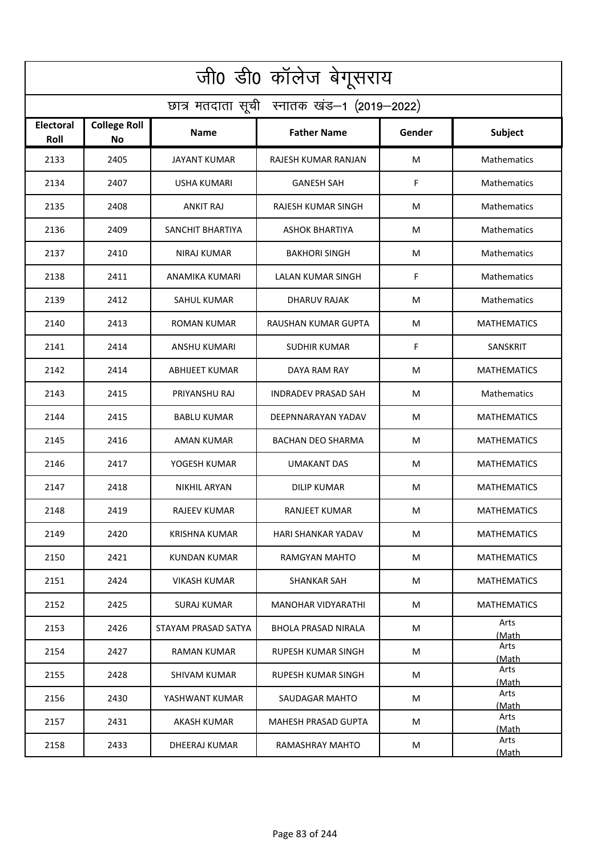| जी0 डी0 कॉलेज बेगूसराय                     |                                  |                       |                            |        |                    |  |  |  |
|--------------------------------------------|----------------------------------|-----------------------|----------------------------|--------|--------------------|--|--|--|
| छात्र मतदाता सूची स्नातक खंड-1 (2019-2022) |                                  |                       |                            |        |                    |  |  |  |
| Electoral<br>Roll                          | <b>College Roll</b><br><b>No</b> | <b>Name</b>           | <b>Father Name</b>         | Gender | Subject            |  |  |  |
| 2133                                       | 2405                             | JAYANT KUMAR          | RAJESH KUMAR RANJAN        | M      | Mathematics        |  |  |  |
| 2134                                       | 2407                             | USHA KUMARI           | <b>GANESH SAH</b>          | F      | Mathematics        |  |  |  |
| 2135                                       | 2408                             | <b>ANKIT RAJ</b>      | RAJESH KUMAR SINGH         | M      | Mathematics        |  |  |  |
| 2136                                       | 2409                             | SANCHIT BHARTIYA      | ASHOK BHARTIYA             | M      | Mathematics        |  |  |  |
| 2137                                       | 2410                             | <b>NIRAJ KUMAR</b>    | <b>BAKHORI SINGH</b>       | M      | Mathematics        |  |  |  |
| 2138                                       | 2411                             | ANAMIKA KUMARI        | <b>LALAN KUMAR SINGH</b>   | F      | Mathematics        |  |  |  |
| 2139                                       | 2412                             | <b>SAHUL KUMAR</b>    | <b>DHARUV RAJAK</b>        | M      | Mathematics        |  |  |  |
| 2140                                       | 2413                             | <b>ROMAN KUMAR</b>    | RAUSHAN KUMAR GUPTA        | M      | <b>MATHEMATICS</b> |  |  |  |
| 2141                                       | 2414                             | ANSHU KUMARI          | <b>SUDHIR KUMAR</b>        | F      | SANSKRIT           |  |  |  |
| 2142                                       | 2414                             | <b>ABHIJEET KUMAR</b> | DAYA RAM RAY               | M      | <b>MATHEMATICS</b> |  |  |  |
| 2143                                       | 2415                             | PRIYANSHU RAJ         | INDRADEV PRASAD SAH        | M      | Mathematics        |  |  |  |
| 2144                                       | 2415                             | <b>BABLU KUMAR</b>    | DEEPNNARAYAN YADAV         | M      | <b>MATHEMATICS</b> |  |  |  |
| 2145                                       | 2416                             | AMAN KUMAR            | BACHAN DEO SHARMA          | M      | <b>MATHEMATICS</b> |  |  |  |
| 2146                                       | 2417                             | YOGESH KUMAR          | <b>UMAKANT DAS</b>         | M      | <b>MATHEMATICS</b> |  |  |  |
| 2147                                       | 2418                             | NIKHIL ARYAN          | <b>DILIP KUMAR</b>         | M      | <b>MATHEMATICS</b> |  |  |  |
| 2148                                       | 2419                             | <b>RAJEEV KUMAR</b>   | <b>RANJEET KUMAR</b>       | M      | <b>MATHEMATICS</b> |  |  |  |
| 2149                                       | 2420                             | KRISHNA KUMAR         | HARI SHANKAR YADAV         | M      | <b>MATHEMATICS</b> |  |  |  |
| 2150                                       | 2421                             | KUNDAN KUMAR          | RAMGYAN MAHTO              | M      | <b>MATHEMATICS</b> |  |  |  |
| 2151                                       | 2424                             | VIKASH KUMAR          | SHANKAR SAH                | M      | <b>MATHEMATICS</b> |  |  |  |
| 2152                                       | 2425                             | <b>SURAJ KUMAR</b>    | <b>MANOHAR VIDYARATHI</b>  | M      | <b>MATHEMATICS</b> |  |  |  |
| 2153                                       | 2426                             | STAYAM PRASAD SATYA   | <b>BHOLA PRASAD NIRALA</b> | M      | Arts<br>(Math      |  |  |  |
| 2154                                       | 2427                             | <b>RAMAN KUMAR</b>    | <b>RUPESH KUMAR SINGH</b>  | M      | Arts<br>(Math      |  |  |  |
| 2155                                       | 2428                             | SHIVAM KUMAR          | RUPESH KUMAR SINGH         | М      | Arts<br>(Math      |  |  |  |
| 2156                                       | 2430                             | YASHWANT KUMAR        | SAUDAGAR MAHTO             | М      | Arts<br>(Math      |  |  |  |
| 2157                                       | 2431                             | AKASH KUMAR           | MAHESH PRASAD GUPTA        | M      | Arts<br>(Math      |  |  |  |
| 2158                                       | 2433                             | DHEERAJ KUMAR         | RAMASHRAY MAHTO            | M      | Arts<br>(Math      |  |  |  |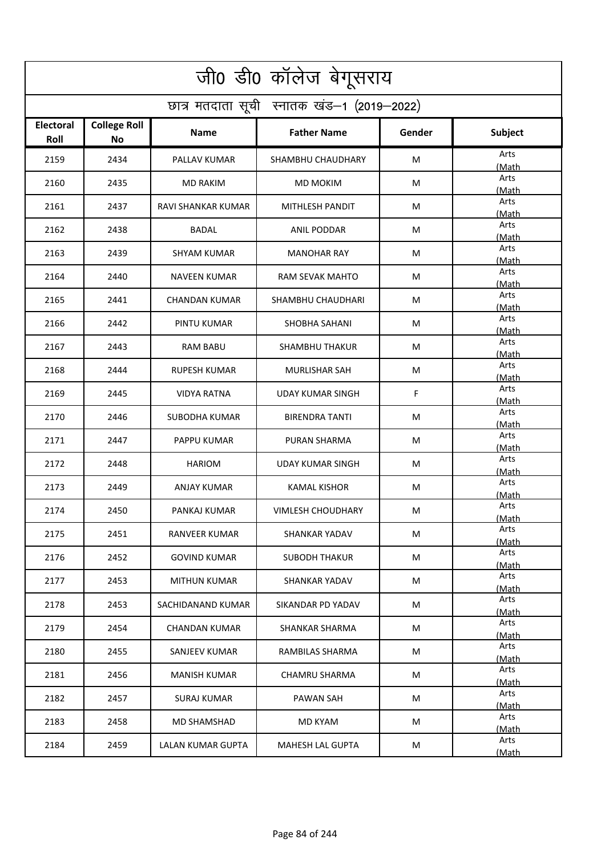| जी0 डी0 कॉलेज बेगूसराय                     |                           |                      |                        |        |               |  |  |  |
|--------------------------------------------|---------------------------|----------------------|------------------------|--------|---------------|--|--|--|
| छात्र मतदाता सूची स्नातक खंड-1 (2019-2022) |                           |                      |                        |        |               |  |  |  |
| <b>Electoral</b><br>Roll                   | <b>College Roll</b><br>No | Name                 | <b>Father Name</b>     | Gender | Subject       |  |  |  |
| 2159                                       | 2434                      | PALLAV KUMAR         | SHAMBHU CHAUDHARY      | M      | Arts<br>(Math |  |  |  |
| 2160                                       | 2435                      | <b>MD RAKIM</b>      | <b>MD MOKIM</b>        | M      | Arts<br>(Math |  |  |  |
| 2161                                       | 2437                      | RAVI SHANKAR KUMAR   | MITHLESH PANDIT        | M      | Arts<br>(Math |  |  |  |
| 2162                                       | 2438                      | <b>BADAL</b>         | ANIL PODDAR            | М      | Arts<br>(Math |  |  |  |
| 2163                                       | 2439                      | <b>SHYAM KUMAR</b>   | <b>MANOHAR RAY</b>     | M      | Arts<br>(Math |  |  |  |
| 2164                                       | 2440                      | <b>NAVEEN KUMAR</b>  | <b>RAM SEVAK MAHTO</b> | M      | Arts<br>(Math |  |  |  |
| 2165                                       | 2441                      | <b>CHANDAN KUMAR</b> | SHAMBHU CHAUDHARI      | M      | Arts<br>(Math |  |  |  |
| 2166                                       | 2442                      | <b>PINTU KUMAR</b>   | SHOBHA SAHANI          | M      | Arts<br>(Math |  |  |  |
| 2167                                       | 2443                      | <b>RAM BABU</b>      | <b>SHAMBHU THAKUR</b>  | M      | Arts<br>(Math |  |  |  |
| 2168                                       | 2444                      | <b>RUPESH KUMAR</b>  | <b>MURLISHAR SAH</b>   | M      | Arts<br>(Math |  |  |  |
| 2169                                       | 2445                      | VIDYA RATNA          | UDAY KUMAR SINGH       | F      | Arts<br>(Math |  |  |  |
| 2170                                       | 2446                      | SUBODHA KUMAR        | <b>BIRENDRA TANTI</b>  | M      | Arts<br>(Math |  |  |  |
| 2171                                       | 2447                      | PAPPU KUMAR          | PURAN SHARMA           | M      | Arts<br>(Math |  |  |  |
| 2172                                       | 2448                      | <b>HARIOM</b>        | UDAY KUMAR SINGH       | M      | Arts<br>(Math |  |  |  |
| 2173                                       | 2449                      | ANJAY KUMAR          | KAMAL KISHOR           | M      | Arts<br>(Math |  |  |  |
| 2174                                       | 2450                      | PANKAJ KUMAR         | VIMLESH CHOUDHARY      | M      | Arts<br>(Math |  |  |  |
| 2175                                       | 2451                      | RANVEER KUMAR        | SHANKAR YADAV          | M      | Arts<br>(Math |  |  |  |
| 2176                                       | 2452                      | <b>GOVIND KUMAR</b>  | <b>SUBODH THAKUR</b>   | M      | Arts<br>(Math |  |  |  |
| 2177                                       | 2453                      | <b>MITHUN KUMAR</b>  | SHANKAR YADAV          | M      | Arts<br>(Math |  |  |  |
| 2178                                       | 2453                      | SACHIDANAND KUMAR    | SIKANDAR PD YADAV      | M      | Arts<br>(Math |  |  |  |
| 2179                                       | 2454                      | <b>CHANDAN KUMAR</b> | <b>SHANKAR SHARMA</b>  | M      | Arts<br>(Math |  |  |  |
| 2180                                       | 2455                      | SANJEEV KUMAR        | RAMBILAS SHARMA        | M      | Arts<br>(Math |  |  |  |
| 2181                                       | 2456                      | <b>MANISH KUMAR</b>  | <b>CHAMRU SHARMA</b>   | М      | Arts<br>(Math |  |  |  |
| 2182                                       | 2457                      | SURAJ KUMAR          | PAWAN SAH              | M      | Arts<br>(Math |  |  |  |
| 2183                                       | 2458                      | MD SHAMSHAD          | MD KYAM                | M      | Arts<br>(Math |  |  |  |
| 2184                                       | 2459                      | LALAN KUMAR GUPTA    | MAHESH LAL GUPTA       | M      | Arts<br>(Math |  |  |  |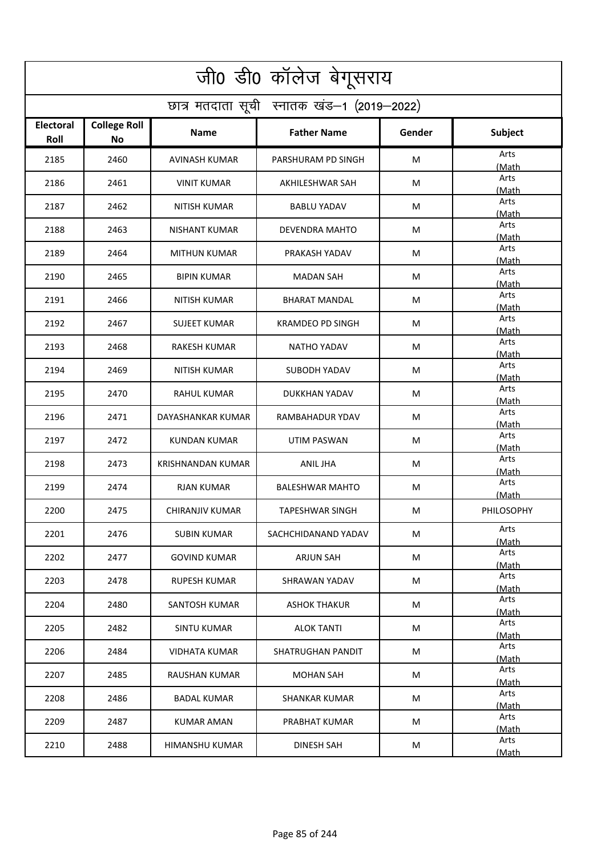| जी0 डी0 कॉलेज बेगूसराय                     |                           |                          |                         |        |               |  |  |  |
|--------------------------------------------|---------------------------|--------------------------|-------------------------|--------|---------------|--|--|--|
| छात्र मतदाता सूची स्नातक खंड-1 (2019-2022) |                           |                          |                         |        |               |  |  |  |
| <b>Electoral</b><br>Roll                   | <b>College Roll</b><br>No | Name                     | <b>Father Name</b>      | Gender | Subject       |  |  |  |
| 2185                                       | 2460                      | <b>AVINASH KUMAR</b>     | PARSHURAM PD SINGH      | M      | Arts<br>(Math |  |  |  |
| 2186                                       | 2461                      | <b>VINIT KUMAR</b>       | AKHILESHWAR SAH         | M      | Arts<br>(Math |  |  |  |
| 2187                                       | 2462                      | NITISH KUMAR             | <b>BABLU YADAV</b>      | M      | Arts<br>(Math |  |  |  |
| 2188                                       | 2463                      | <b>NISHANT KUMAR</b>     | DEVENDRA MAHTO          | М      | Arts<br>(Math |  |  |  |
| 2189                                       | 2464                      | <b>MITHUN KUMAR</b>      | PRAKASH YADAV           | M      | Arts<br>(Math |  |  |  |
| 2190                                       | 2465                      | <b>BIPIN KUMAR</b>       | <b>MADAN SAH</b>        | M      | Arts<br>(Math |  |  |  |
| 2191                                       | 2466                      | <b>NITISH KUMAR</b>      | <b>BHARAT MANDAL</b>    | M      | Arts<br>(Math |  |  |  |
| 2192                                       | 2467                      | SUJEET KUMAR             | <b>KRAMDEO PD SINGH</b> | M      | Arts<br>(Math |  |  |  |
| 2193                                       | 2468                      | <b>RAKESH KUMAR</b>      | <b>NATHO YADAV</b>      | M      | Arts<br>(Math |  |  |  |
| 2194                                       | 2469                      | <b>NITISH KUMAR</b>      | SUBODH YADAV            | M      | Arts<br>(Math |  |  |  |
| 2195                                       | 2470                      | RAHUL KUMAR              | DUKKHAN YADAV           | M      | Arts<br>(Math |  |  |  |
| 2196                                       | 2471                      | DAYASHANKAR KUMAR        | RAMBAHADUR YDAV         | M      | Arts<br>(Math |  |  |  |
| 2197                                       | 2472                      | KUNDAN KUMAR             | UTIM PASWAN             | M      | Arts<br>(Math |  |  |  |
| 2198                                       | 2473                      | <b>KRISHNANDAN KUMAR</b> | <b>ANIL JHA</b>         | M      | Arts<br>(Math |  |  |  |
| 2199                                       | 2474                      | RJAN KUMAR               | <b>BALESHWAR MAHTO</b>  | M      | Arts<br>(Math |  |  |  |
| 2200                                       | 2475                      | CHIRANJIV KUMAR          | TAPESHWAR SINGH         | M      | PHILOSOPHY    |  |  |  |
| 2201                                       | 2476                      | SUBIN KUMAR              | SACHCHIDANAND YADAV     | M      | Arts<br>(Math |  |  |  |
| 2202                                       | 2477                      | <b>GOVIND KUMAR</b>      | ARJUN SAH               | M      | Arts<br>(Math |  |  |  |
| 2203                                       | 2478                      | RUPESH KUMAR             | SHRAWAN YADAV           | M      | Arts<br>(Math |  |  |  |
| 2204                                       | 2480                      | SANTOSH KUMAR            | <b>ASHOK THAKUR</b>     | M      | Arts<br>(Math |  |  |  |
| 2205                                       | 2482                      | <b>SINTU KUMAR</b>       | <b>ALOK TANTI</b>       | M      | Arts<br>(Math |  |  |  |
| 2206                                       | 2484                      | VIDHATA KUMAR            | SHATRUGHAN PANDIT       | M      | Arts<br>(Math |  |  |  |
| 2207                                       | 2485                      | <b>RAUSHAN KUMAR</b>     | <b>MOHAN SAH</b>        | M      | Arts<br>(Math |  |  |  |
| 2208                                       | 2486                      | <b>BADAL KUMAR</b>       | SHANKAR KUMAR           | M      | Arts<br>(Math |  |  |  |
| 2209                                       | 2487                      | KUMAR AMAN               | PRABHAT KUMAR           | M      | Arts<br>(Math |  |  |  |
| 2210                                       | 2488                      | HIMANSHU KUMAR           | <b>DINESH SAH</b>       | M      | Arts<br>(Math |  |  |  |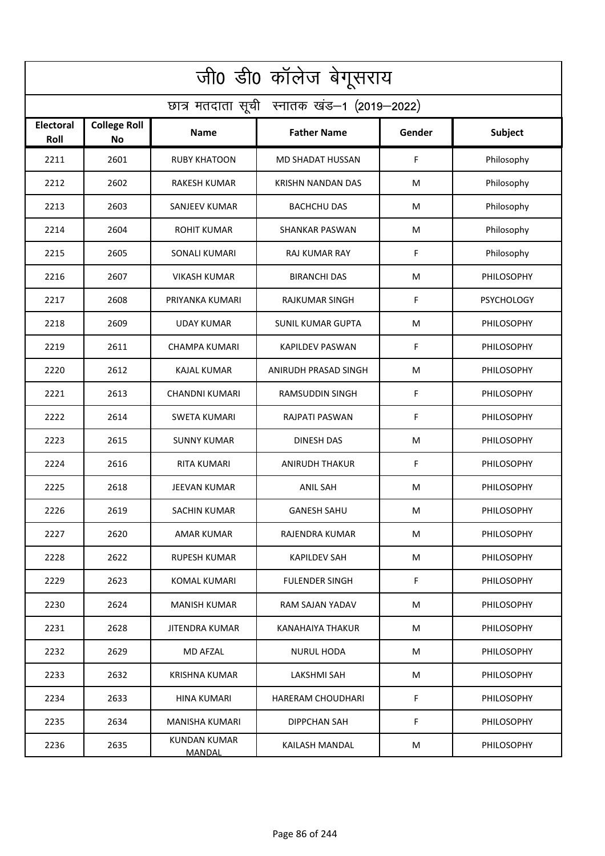| जी0 डी0 कॉलेज बेगूसराय                     |                                  |                                      |                          |        |                   |  |  |  |
|--------------------------------------------|----------------------------------|--------------------------------------|--------------------------|--------|-------------------|--|--|--|
| छात्र मतदाता सूची स्नातक खंड-1 (2019-2022) |                                  |                                      |                          |        |                   |  |  |  |
| <b>Electoral</b><br>Roll                   | <b>College Roll</b><br><b>No</b> | Name                                 | <b>Father Name</b>       | Gender | <b>Subject</b>    |  |  |  |
| 2211                                       | 2601                             | <b>RUBY KHATOON</b>                  | MD SHADAT HUSSAN         | F      | Philosophy        |  |  |  |
| 2212                                       | 2602                             | <b>RAKESH KUMAR</b>                  | <b>KRISHN NANDAN DAS</b> | M      | Philosophy        |  |  |  |
| 2213                                       | 2603                             | SANJEEV KUMAR                        | <b>BACHCHU DAS</b>       | M      | Philosophy        |  |  |  |
| 2214                                       | 2604                             | <b>ROHIT KUMAR</b>                   | <b>SHANKAR PASWAN</b>    | M      | Philosophy        |  |  |  |
| 2215                                       | 2605                             | <b>SONALI KUMARI</b>                 | <b>RAJ KUMAR RAY</b>     | F      | Philosophy        |  |  |  |
| 2216                                       | 2607                             | <b>VIKASH KUMAR</b>                  | <b>BIRANCHI DAS</b>      | M      | PHILOSOPHY        |  |  |  |
| 2217                                       | 2608                             | PRIYANKA KUMARI                      | <b>RAJKUMAR SINGH</b>    | F      | <b>PSYCHOLOGY</b> |  |  |  |
| 2218                                       | 2609                             | UDAY KUMAR                           | <b>SUNIL KUMAR GUPTA</b> | M      | PHILOSOPHY        |  |  |  |
| 2219                                       | 2611                             | <b>CHAMPA KUMARI</b>                 | <b>KAPILDEV PASWAN</b>   | F      | PHILOSOPHY        |  |  |  |
| 2220                                       | 2612                             | <b>KAJAL KUMAR</b>                   | ANIRUDH PRASAD SINGH     | M      | PHILOSOPHY        |  |  |  |
| 2221                                       | 2613                             | <b>CHANDNI KUMARI</b>                | <b>RAMSUDDIN SINGH</b>   | F      | PHILOSOPHY        |  |  |  |
| 2222                                       | 2614                             | <b>SWETA KUMARI</b>                  | RAJPATI PASWAN           | F      | PHILOSOPHY        |  |  |  |
| 2223                                       | 2615                             | <b>SUNNY KUMAR</b>                   | <b>DINESH DAS</b>        | M      | PHILOSOPHY        |  |  |  |
| 2224                                       | 2616                             | <b>RITA KUMARI</b>                   | <b>ANIRUDH THAKUR</b>    | F      | <b>PHILOSOPHY</b> |  |  |  |
| 2225                                       | 2618                             | JEEVAN KUMAR                         | <b>ANIL SAH</b>          | M      | <b>PHILOSOPHY</b> |  |  |  |
| 2226                                       | 2619                             | SACHIN KUMAR                         | <b>GANESH SAHU</b>       | M      | PHILOSOPHY        |  |  |  |
| 2227                                       | 2620                             | AMAR KUMAR                           | RAJENDRA KUMAR           | M      | <b>PHILOSOPHY</b> |  |  |  |
| 2228                                       | 2622                             | RUPESH KUMAR                         | <b>KAPILDEV SAH</b>      | M      | PHILOSOPHY        |  |  |  |
| 2229                                       | 2623                             | KOMAL KUMARI                         | <b>FULENDER SINGH</b>    | F.     | <b>PHILOSOPHY</b> |  |  |  |
| 2230                                       | 2624                             | <b>MANISH KUMAR</b>                  | RAM SAJAN YADAV          | M      | <b>PHILOSOPHY</b> |  |  |  |
| 2231                                       | 2628                             | JITENDRA KUMAR                       | KANAHAIYA THAKUR         | M      | PHILOSOPHY        |  |  |  |
| 2232                                       | 2629                             | MD AFZAL                             | NURUL HODA               | M      | <b>PHILOSOPHY</b> |  |  |  |
| 2233                                       | 2632                             | <b>KRISHNA KUMAR</b>                 | LAKSHMI SAH              | M      | <b>PHILOSOPHY</b> |  |  |  |
| 2234                                       | 2633                             | HINA KUMARI                          | <b>HARERAM CHOUDHARI</b> | F.     | <b>PHILOSOPHY</b> |  |  |  |
| 2235                                       | 2634                             | MANISHA KUMARI                       | DIPPCHAN SAH             | F      | <b>PHILOSOPHY</b> |  |  |  |
| 2236                                       | 2635                             | <b>KUNDAN KUMAR</b><br><b>MANDAL</b> | KAILASH MANDAL           | M      | PHILOSOPHY        |  |  |  |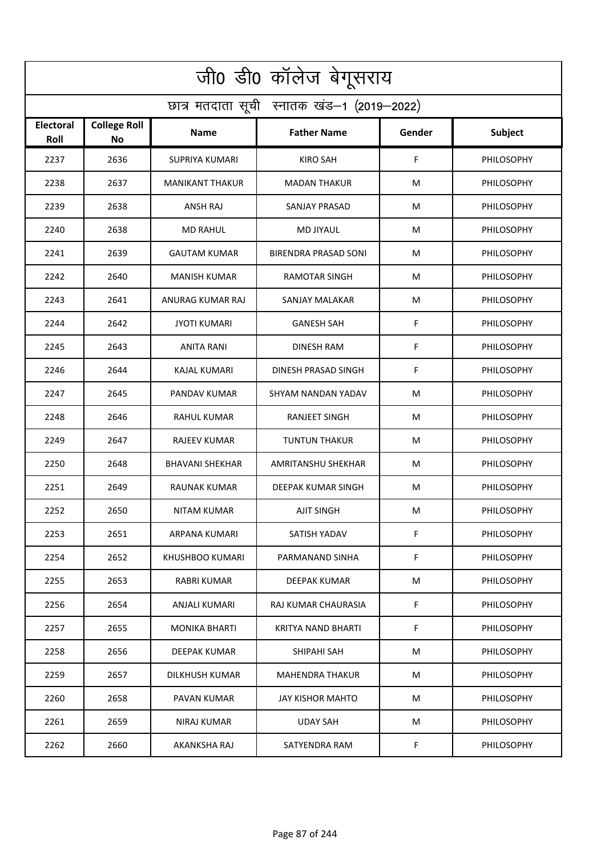| जी0 डी0 कॉलेज बेगूसराय                     |                           |                        |                             |        |                   |  |  |  |
|--------------------------------------------|---------------------------|------------------------|-----------------------------|--------|-------------------|--|--|--|
| छात्र मतदाता सूची स्नातक खंड-1 (2019-2022) |                           |                        |                             |        |                   |  |  |  |
| <b>Electoral</b><br>Roll                   | <b>College Roll</b><br>No | Name                   | <b>Father Name</b>          | Gender | <b>Subject</b>    |  |  |  |
| 2237                                       | 2636                      | <b>SUPRIYA KUMARI</b>  | KIRO SAH                    | F      | PHILOSOPHY        |  |  |  |
| 2238                                       | 2637                      | <b>MANIKANT THAKUR</b> | <b>MADAN THAKUR</b>         | M      | PHILOSOPHY        |  |  |  |
| 2239                                       | 2638                      | ANSH RAJ               | SANJAY PRASAD               | M      | <b>PHILOSOPHY</b> |  |  |  |
| 2240                                       | 2638                      | <b>MD RAHUL</b>        | <b>MD JIYAUL</b>            | M      | PHILOSOPHY        |  |  |  |
| 2241                                       | 2639                      | <b>GAUTAM KUMAR</b>    | <b>BIRENDRA PRASAD SONI</b> | M      | PHILOSOPHY        |  |  |  |
| 2242                                       | 2640                      | <b>MANISH KUMAR</b>    | <b>RAMOTAR SINGH</b>        | M      | <b>PHILOSOPHY</b> |  |  |  |
| 2243                                       | 2641                      | ANURAG KUMAR RAJ       | SANJAY MALAKAR              | M      | PHILOSOPHY        |  |  |  |
| 2244                                       | 2642                      | <b>JYOTI KUMARI</b>    | <b>GANESH SAH</b>           | F      | PHILOSOPHY        |  |  |  |
| 2245                                       | 2643                      | <b>ANITA RANI</b>      | <b>DINESH RAM</b>           | F      | PHILOSOPHY        |  |  |  |
| 2246                                       | 2644                      | KAJAL KUMARI           | DINESH PRASAD SINGH         | F      | PHILOSOPHY        |  |  |  |
| 2247                                       | 2645                      | PANDAV KUMAR           | SHYAM NANDAN YADAV          | M      | <b>PHILOSOPHY</b> |  |  |  |
| 2248                                       | 2646                      | <b>RAHUL KUMAR</b>     | RANJEET SINGH               | M      | PHILOSOPHY        |  |  |  |
| 2249                                       | 2647                      | RAJEEV KUMAR           | <b>TUNTUN THAKUR</b>        | M      | PHILOSOPHY        |  |  |  |
| 2250                                       | 2648                      | <b>BHAVANI SHEKHAR</b> | AMRITANSHU SHEKHAR          | M      | <b>PHILOSOPHY</b> |  |  |  |
| 2251                                       | 2649                      | RAUNAK KUMAR           | DEEPAK KUMAR SINGH          | M      | <b>PHILOSOPHY</b> |  |  |  |
| 2252                                       | 2650                      | NITAM KUMAR            | AJIT SINGH                  | M      | PHILOSOPHY        |  |  |  |
| 2253                                       | 2651                      | ARPANA KUMARI          | SATISH YADAV                | F      | <b>PHILOSOPHY</b> |  |  |  |
| 2254                                       | 2652                      | KHUSHBOO KUMARI        | PARMANAND SINHA             | F.     | <b>PHILOSOPHY</b> |  |  |  |
| 2255                                       | 2653                      | RABRI KUMAR            | DEEPAK KUMAR                | M      | <b>PHILOSOPHY</b> |  |  |  |
| 2256                                       | 2654                      | ANJALI KUMARI          | RAJ KUMAR CHAURASIA         | F      | <b>PHILOSOPHY</b> |  |  |  |
| 2257                                       | 2655                      | <b>MONIKA BHARTI</b>   | <b>KRITYA NAND BHARTI</b>   | F.     | <b>PHILOSOPHY</b> |  |  |  |
| 2258                                       | 2656                      | DEEPAK KUMAR           | SHIPAHI SAH                 | M      | <b>PHILOSOPHY</b> |  |  |  |
| 2259                                       | 2657                      | DILKHUSH KUMAR         | MAHENDRA THAKUR             | M      | <b>PHILOSOPHY</b> |  |  |  |
| 2260                                       | 2658                      | PAVAN KUMAR            | JAY KISHOR MAHTO            | M      | <b>PHILOSOPHY</b> |  |  |  |
| 2261                                       | 2659                      | NIRAJ KUMAR            | UDAY SAH                    | M      | <b>PHILOSOPHY</b> |  |  |  |
| 2262                                       | 2660                      | AKANKSHA RAJ           | SATYENDRA RAM               | F.     | PHILOSOPHY        |  |  |  |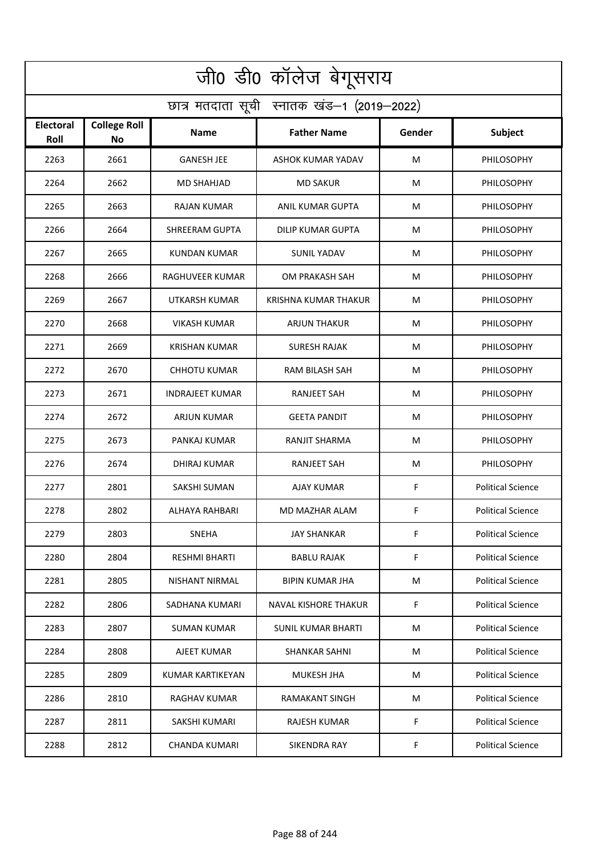| जी0 डी0 कॉलेज बेगूसराय                     |                                  |                        |                             |        |                          |  |  |  |
|--------------------------------------------|----------------------------------|------------------------|-----------------------------|--------|--------------------------|--|--|--|
| छात्र मतदाता सूची स्नातक खंड-1 (2019-2022) |                                  |                        |                             |        |                          |  |  |  |
| <b>Electoral</b><br>Roll                   | <b>College Roll</b><br><b>No</b> | <b>Name</b>            | <b>Father Name</b>          | Gender | Subject                  |  |  |  |
| 2263                                       | 2661                             | <b>GANESH JEE</b>      | ASHOK KUMAR YADAV           | M      | PHILOSOPHY               |  |  |  |
| 2264                                       | 2662                             | MD SHAHJAD             | <b>MD SAKUR</b>             | M      | <b>PHILOSOPHY</b>        |  |  |  |
| 2265                                       | 2663                             | <b>RAJAN KUMAR</b>     | ANIL KUMAR GUPTA            | М      | PHILOSOPHY               |  |  |  |
| 2266                                       | 2664                             | <b>SHREERAM GUPTA</b>  | DILIP KUMAR GUPTA           | M      | PHILOSOPHY               |  |  |  |
| 2267                                       | 2665                             | <b>KUNDAN KUMAR</b>    | <b>SUNIL YADAV</b>          | M      | PHILOSOPHY               |  |  |  |
| 2268                                       | 2666                             | RAGHUVEER KUMAR        | OM PRAKASH SAH              | M      | <b>PHILOSOPHY</b>        |  |  |  |
| 2269                                       | 2667                             | <b>UTKARSH KUMAR</b>   | <b>KRISHNA KUMAR THAKUR</b> | M      | PHILOSOPHY               |  |  |  |
| 2270                                       | 2668                             | <b>VIKASH KUMAR</b>    | <b>ARJUN THAKUR</b>         | M      | PHILOSOPHY               |  |  |  |
| 2271                                       | 2669                             | <b>KRISHAN KUMAR</b>   | <b>SURESH RAJAK</b>         | M      | PHILOSOPHY               |  |  |  |
| 2272                                       | 2670                             | <b>CHHOTU KUMAR</b>    | <b>RAM BILASH SAH</b>       | M      | PHILOSOPHY               |  |  |  |
| 2273                                       | 2671                             | <b>INDRAJEET KUMAR</b> | <b>RANJEET SAH</b>          | M      | PHILOSOPHY               |  |  |  |
| 2274                                       | 2672                             | <b>ARJUN KUMAR</b>     | <b>GEETA PANDIT</b>         | M      | PHILOSOPHY               |  |  |  |
| 2275                                       | 2673                             | PANKAJ KUMAR           | RANJIT SHARMA               | M      | PHILOSOPHY               |  |  |  |
| 2276                                       | 2674                             | <b>DHIRAJ KUMAR</b>    | RANJEET SAH                 | M      | PHILOSOPHY               |  |  |  |
| 2277                                       | 2801                             | <b>SAKSHI SUMAN</b>    | AJAY KUMAR                  | F      | <b>Political Science</b> |  |  |  |
| 2278                                       | 2802                             | ALHAYA RAHBARI         | MD MAZHAR ALAM              | F      | <b>Political Science</b> |  |  |  |
| 2279                                       | 2803                             | <b>SNEHA</b>           | JAY SHANKAR                 | F      | <b>Political Science</b> |  |  |  |
| 2280                                       | 2804                             | RESHMI BHARTI          | BABLU RAJAK                 | F      | <b>Political Science</b> |  |  |  |
| 2281                                       | 2805                             | NISHANT NIRMAL         | <b>BIPIN KUMAR JHA</b>      | M      | <b>Political Science</b> |  |  |  |
| 2282                                       | 2806                             | SADHANA KUMARI         | NAVAL KISHORE THAKUR        | F.     | <b>Political Science</b> |  |  |  |
| 2283                                       | 2807                             | SUMAN KUMAR            | <b>SUNIL KUMAR BHARTI</b>   | M      | <b>Political Science</b> |  |  |  |
| 2284                                       | 2808                             | AJEET KUMAR            | <b>SHANKAR SAHNI</b>        | M      | <b>Political Science</b> |  |  |  |
| 2285                                       | 2809                             | KUMAR KARTIKEYAN       | <b>MUKESH JHA</b>           | M      | <b>Political Science</b> |  |  |  |
| 2286                                       | 2810                             | RAGHAV KUMAR           | <b>RAMAKANT SINGH</b>       | М      | <b>Political Science</b> |  |  |  |
| 2287                                       | 2811                             | SAKSHI KUMARI          | RAJESH KUMAR                | F      | <b>Political Science</b> |  |  |  |
| 2288                                       | 2812                             | <b>CHANDA KUMARI</b>   | SIKENDRA RAY                | F      | <b>Political Science</b> |  |  |  |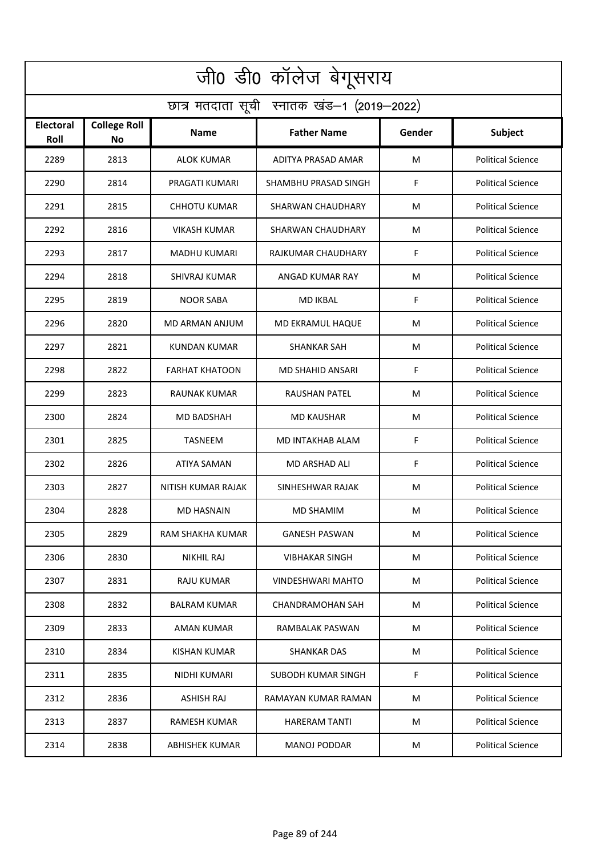| जी0 डी0 कॉलेज बेगूसराय                     |                                  |                     |                          |        |                          |  |  |  |
|--------------------------------------------|----------------------------------|---------------------|--------------------------|--------|--------------------------|--|--|--|
| छात्र मतदाता सूची स्नातक खंड-1 (2019-2022) |                                  |                     |                          |        |                          |  |  |  |
| <b>Electoral</b><br>Roll                   | <b>College Roll</b><br><b>No</b> | Name                | <b>Father Name</b>       | Gender | Subject                  |  |  |  |
| 2289                                       | 2813                             | ALOK KUMAR          | ADITYA PRASAD AMAR       | M      | <b>Political Science</b> |  |  |  |
| 2290                                       | 2814                             | PRAGATI KUMARI      | SHAMBHU PRASAD SINGH     | F      | <b>Political Science</b> |  |  |  |
| 2291                                       | 2815                             | CHHOTU KUMAR        | SHARWAN CHAUDHARY        | M      | <b>Political Science</b> |  |  |  |
| 2292                                       | 2816                             | VIKASH KUMAR        | SHARWAN CHAUDHARY        | М      | <b>Political Science</b> |  |  |  |
| 2293                                       | 2817                             | MADHU KUMARI        | RAJKUMAR CHAUDHARY       | F      | <b>Political Science</b> |  |  |  |
| 2294                                       | 2818                             | SHIVRAJ KUMAR       | ANGAD KUMAR RAY          | M      | <b>Political Science</b> |  |  |  |
| 2295                                       | 2819                             | NOOR SABA           | <b>MD IKBAL</b>          | F      | <b>Political Science</b> |  |  |  |
| 2296                                       | 2820                             | MD ARMAN ANJUM      | <b>MD EKRAMUL HAQUE</b>  | м      | <b>Political Science</b> |  |  |  |
| 2297                                       | 2821                             | <b>KUNDAN KUMAR</b> | <b>SHANKAR SAH</b>       | M      | <b>Political Science</b> |  |  |  |
| 2298                                       | 2822                             | FARHAT KHATOON      | MD SHAHID ANSARI         | F      | <b>Political Science</b> |  |  |  |
| 2299                                       | 2823                             | RAUNAK KUMAR        | RAUSHAN PATEL            | м      | <b>Political Science</b> |  |  |  |
| 2300                                       | 2824                             | MD BADSHAH          | <b>MD KAUSHAR</b>        | М      | <b>Political Science</b> |  |  |  |
| 2301                                       | 2825                             | TASNEEM             | MD INTAKHAB ALAM         | F      | <b>Political Science</b> |  |  |  |
| 2302                                       | 2826                             | ATIYA SAMAN         | MD ARSHAD ALI            | F      | <b>Political Science</b> |  |  |  |
| 2303                                       | 2827                             | NITISH KUMAR RAJAK  | SINHESHWAR RAJAK         | М      | <b>Political Science</b> |  |  |  |
| 2304                                       | 2828                             | MD HASNAIN          | MD SHAMIM                | M      | <b>Political Science</b> |  |  |  |
| 2305                                       | 2829                             | RAM SHAKHA KUMAR    | <b>GANESH PASWAN</b>     | М      | <b>Political Science</b> |  |  |  |
| 2306                                       | 2830                             | NIKHIL RAJ          | <b>VIBHAKAR SINGH</b>    | М      | <b>Political Science</b> |  |  |  |
| 2307                                       | 2831                             | RAJU KUMAR          | <b>VINDESHWARI MAHTO</b> | М      | <b>Political Science</b> |  |  |  |
| 2308                                       | 2832                             | <b>BALRAM KUMAR</b> | CHANDRAMOHAN SAH         | M      | <b>Political Science</b> |  |  |  |
| 2309                                       | 2833                             | AMAN KUMAR          | RAMBALAK PASWAN          | М      | <b>Political Science</b> |  |  |  |
| 2310                                       | 2834                             | KISHAN KUMAR        | SHANKAR DAS              | M      | <b>Political Science</b> |  |  |  |
| 2311                                       | 2835                             | NIDHI KUMARI        | SUBODH KUMAR SINGH       | F      | <b>Political Science</b> |  |  |  |
| 2312                                       | 2836                             | <b>ASHISH RAJ</b>   | RAMAYAN KUMAR RAMAN      | М      | <b>Political Science</b> |  |  |  |
| 2313                                       | 2837                             | <b>RAMESH KUMAR</b> | <b>HARERAM TANTI</b>     | M      | <b>Political Science</b> |  |  |  |
| 2314                                       | 2838                             | ABHISHEK KUMAR      | MANOJ PODDAR             | м      | <b>Political Science</b> |  |  |  |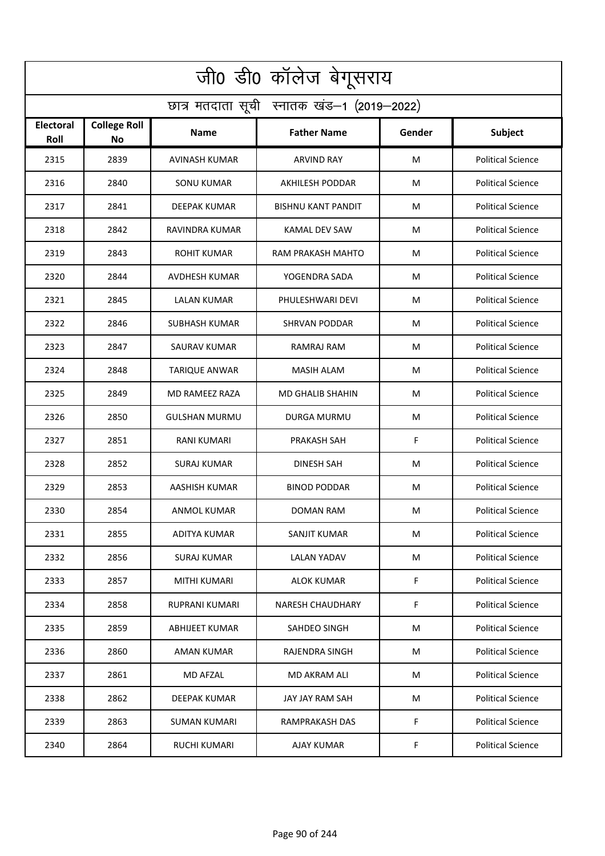| जी0 डी0 कॉलेज बेगूसराय                     |                                  |                       |                           |        |                          |  |  |  |
|--------------------------------------------|----------------------------------|-----------------------|---------------------------|--------|--------------------------|--|--|--|
| छात्र मतदाता सूची स्नातक खंड-1 (2019-2022) |                                  |                       |                           |        |                          |  |  |  |
| <b>Electoral</b><br>Roll                   | <b>College Roll</b><br><b>No</b> | <b>Name</b>           | <b>Father Name</b>        | Gender | <b>Subject</b>           |  |  |  |
| 2315                                       | 2839                             | <b>AVINASH KUMAR</b>  | <b>ARVIND RAY</b>         | м      | <b>Political Science</b> |  |  |  |
| 2316                                       | 2840                             | SONU KUMAR            | AKHILESH PODDAR           | M      | <b>Political Science</b> |  |  |  |
| 2317                                       | 2841                             | DEEPAK KUMAR          | <b>BISHNU KANT PANDIT</b> | м      | <b>Political Science</b> |  |  |  |
| 2318                                       | 2842                             | RAVINDRA KUMAR        | KAMAL DEV SAW             | М      | <b>Political Science</b> |  |  |  |
| 2319                                       | 2843                             | <b>ROHIT KUMAR</b>    | RAM PRAKASH MAHTO         | М      | <b>Political Science</b> |  |  |  |
| 2320                                       | 2844                             | AVDHESH KUMAR         | YOGENDRA SADA             | м      | <b>Political Science</b> |  |  |  |
| 2321                                       | 2845                             | LALAN KUMAR           | PHULESHWARI DEVI          | M      | <b>Political Science</b> |  |  |  |
| 2322                                       | 2846                             | <b>SUBHASH KUMAR</b>  | <b>SHRVAN PODDAR</b>      | м      | <b>Political Science</b> |  |  |  |
| 2323                                       | 2847                             | <b>SAURAV KUMAR</b>   | RAMRAJ RAM                | м      | <b>Political Science</b> |  |  |  |
| 2324                                       | 2848                             | <b>TARIQUE ANWAR</b>  | <b>MASIH ALAM</b>         | м      | <b>Political Science</b> |  |  |  |
| 2325                                       | 2849                             | <b>MD RAMEEZ RAZA</b> | <b>MD GHALIB SHAHIN</b>   | М      | <b>Political Science</b> |  |  |  |
| 2326                                       | 2850                             | <b>GULSHAN MURMU</b>  | DURGA MURMU               | M      | <b>Political Science</b> |  |  |  |
| 2327                                       | 2851                             | RANI KUMARI           | PRAKASH SAH               | F      | <b>Political Science</b> |  |  |  |
| 2328                                       | 2852                             | SURAJ KUMAR           | <b>DINESH SAH</b>         | м      | <b>Political Science</b> |  |  |  |
| 2329                                       | 2853                             | AASHISH KUMAR         | <b>BINOD PODDAR</b>       | М      | <b>Political Science</b> |  |  |  |
| 2330                                       | 2854                             | ANMOL KUMAR           | DOMAN RAM                 | M      | <b>Political Science</b> |  |  |  |
| 2331                                       | 2855                             | ADITYA KUMAR          | SANJIT KUMAR              | М      | <b>Political Science</b> |  |  |  |
| 2332                                       | 2856                             | SURAJ KUMAR           | LALAN YADAV               | М      | <b>Political Science</b> |  |  |  |
| 2333                                       | 2857                             | MITHI KUMARI          | ALOK KUMAR                | F      | <b>Political Science</b> |  |  |  |
| 2334                                       | 2858                             | RUPRANI KUMARI        | <b>NARESH CHAUDHARY</b>   | F.     | <b>Political Science</b> |  |  |  |
| 2335                                       | 2859                             | ABHIJEET KUMAR        | SAHDEO SINGH              | М      | <b>Political Science</b> |  |  |  |
| 2336                                       | 2860                             | <b>AMAN KUMAR</b>     | RAJENDRA SINGH            | M      | <b>Political Science</b> |  |  |  |
| 2337                                       | 2861                             | MD AFZAL              | MD AKRAM ALI              | М      | <b>Political Science</b> |  |  |  |
| 2338                                       | 2862                             | DEEPAK KUMAR          | JAY JAY RAM SAH           | М      | <b>Political Science</b> |  |  |  |
| 2339                                       | 2863                             | <b>SUMAN KUMARI</b>   | <b>RAMPRAKASH DAS</b>     | F      | <b>Political Science</b> |  |  |  |
| 2340                                       | 2864                             | RUCHI KUMARI          | AJAY KUMAR                | F      | <b>Political Science</b> |  |  |  |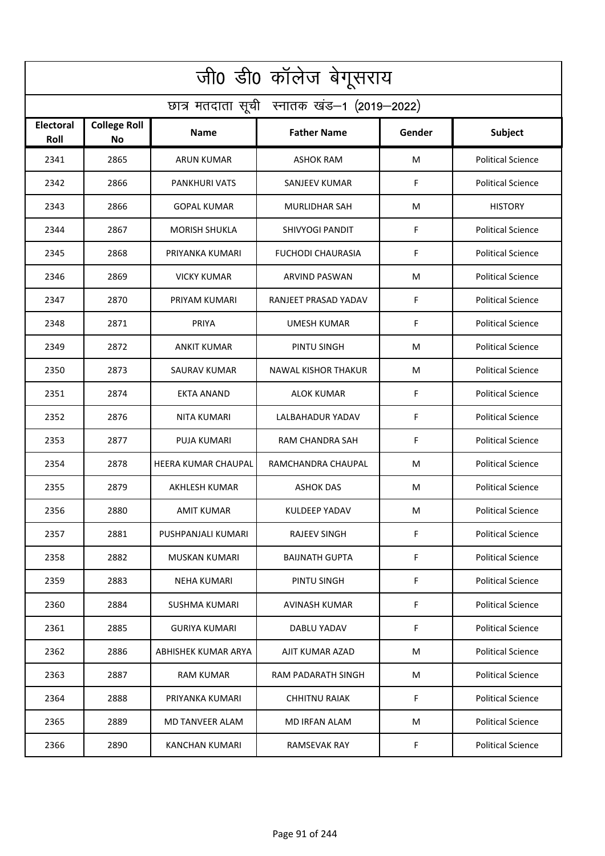| जी0 डी0 कॉलेज बेगूसराय                     |                                  |                            |                            |        |                          |  |  |  |
|--------------------------------------------|----------------------------------|----------------------------|----------------------------|--------|--------------------------|--|--|--|
| छात्र मतदाता सूची स्नातक खंड-1 (2019-2022) |                                  |                            |                            |        |                          |  |  |  |
| Electoral<br>Roll                          | <b>College Roll</b><br><b>No</b> | Name                       | <b>Father Name</b>         | Gender | Subject                  |  |  |  |
| 2341                                       | 2865                             | <b>ARUN KUMAR</b>          | ASHOK RAM                  | M      | <b>Political Science</b> |  |  |  |
| 2342                                       | 2866                             | PANKHURI VATS              | SANJEEV KUMAR              | F      | <b>Political Science</b> |  |  |  |
| 2343                                       | 2866                             | <b>GOPAL KUMAR</b>         | <b>MURLIDHAR SAH</b>       | M      | <b>HISTORY</b>           |  |  |  |
| 2344                                       | 2867                             | <b>MORISH SHUKLA</b>       | SHIVYOGI PANDIT            | F      | <b>Political Science</b> |  |  |  |
| 2345                                       | 2868                             | PRIYANKA KUMARI            | <b>FUCHODI CHAURASIA</b>   | F      | <b>Political Science</b> |  |  |  |
| 2346                                       | 2869                             | <b>VICKY KUMAR</b>         | <b>ARVIND PASWAN</b>       | M      | <b>Political Science</b> |  |  |  |
| 2347                                       | 2870                             | PRIYAM KUMARI              | RANJEET PRASAD YADAV       | F      | <b>Political Science</b> |  |  |  |
| 2348                                       | 2871                             | PRIYA                      | <b>UMESH KUMAR</b>         | F      | <b>Political Science</b> |  |  |  |
| 2349                                       | 2872                             | ANKIT KUMAR                | PINTU SINGH                | M      | <b>Political Science</b> |  |  |  |
| 2350                                       | 2873                             | SAURAV KUMAR               | <b>NAWAL KISHOR THAKUR</b> | M      | <b>Political Science</b> |  |  |  |
| 2351                                       | 2874                             | EKTA ANAND                 | <b>ALOK KUMAR</b>          | F      | <b>Political Science</b> |  |  |  |
| 2352                                       | 2876                             | NITA KUMARI                | LALBAHADUR YADAV           | F      | <b>Political Science</b> |  |  |  |
| 2353                                       | 2877                             | PUJA KUMARI                | RAM CHANDRA SAH            | F      | <b>Political Science</b> |  |  |  |
| 2354                                       | 2878                             | <b>HEERA KUMAR CHAUPAL</b> | RAMCHANDRA CHAUPAL         | M      | <b>Political Science</b> |  |  |  |
| 2355                                       | 2879                             | <b>AKHLESH KUMAR</b>       | <b>ASHOK DAS</b>           | M      | <b>Political Science</b> |  |  |  |
| 2356                                       | 2880                             | AMIT KUMAR                 | KULDEEP YADAV              | M      | <b>Political Science</b> |  |  |  |
| 2357                                       | 2881                             | PUSHPANJALI KUMARI         | <b>RAJEEV SINGH</b>        | F      | <b>Political Science</b> |  |  |  |
| 2358                                       | 2882                             | MUSKAN KUMARI              | <b>BAIJNATH GUPTA</b>      | F.     | <b>Political Science</b> |  |  |  |
| 2359                                       | 2883                             | <b>NEHA KUMARI</b>         | PINTU SINGH                | F      | <b>Political Science</b> |  |  |  |
| 2360                                       | 2884                             | SUSHMA KUMARI              | AVINASH KUMAR              | F.     | <b>Political Science</b> |  |  |  |
| 2361                                       | 2885                             | <b>GURIYA KUMARI</b>       | DABLU YADAV                | F      | <b>Political Science</b> |  |  |  |
| 2362                                       | 2886                             | ABHISHEK KUMAR ARYA        | AJIT KUMAR AZAD            | M      | <b>Political Science</b> |  |  |  |
| 2363                                       | 2887                             | RAM KUMAR                  | RAM PADARATH SINGH         | M      | <b>Political Science</b> |  |  |  |
| 2364                                       | 2888                             | PRIYANKA KUMARI            | <b>CHHITNU RAIAK</b>       | F      | <b>Political Science</b> |  |  |  |
| 2365                                       | 2889                             | MD TANVEER ALAM            | MD IRFAN ALAM              | M      | <b>Political Science</b> |  |  |  |
| 2366                                       | 2890                             | KANCHAN KUMARI             | RAMSEVAK RAY               | F      | <b>Political Science</b> |  |  |  |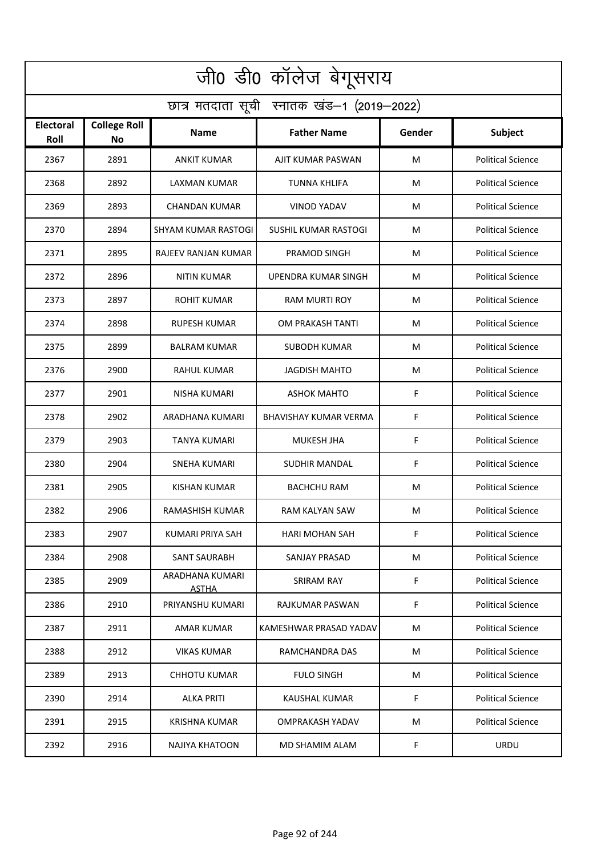| जी0 डी0 कॉलेज बेगूसराय                     |                                  |                                 |                             |             |                          |  |  |  |
|--------------------------------------------|----------------------------------|---------------------------------|-----------------------------|-------------|--------------------------|--|--|--|
| छात्र मतदाता सूची स्नातक खंड-1 (2019-2022) |                                  |                                 |                             |             |                          |  |  |  |
| <b>Electoral</b><br>Roll                   | <b>College Roll</b><br><b>No</b> | Name                            | <b>Father Name</b>          | Gender      | <b>Subject</b>           |  |  |  |
| 2367                                       | 2891                             | <b>ANKIT KUMAR</b>              | AJIT KUMAR PASWAN           | м           | <b>Political Science</b> |  |  |  |
| 2368                                       | 2892                             | LAXMAN KUMAR                    | <b>TUNNA KHLIFA</b>         | M           | <b>Political Science</b> |  |  |  |
| 2369                                       | 2893                             | CHANDAN KUMAR                   | VINOD YADAV                 | М           | <b>Political Science</b> |  |  |  |
| 2370                                       | 2894                             | SHYAM KUMAR RASTOGI             | <b>SUSHIL KUMAR RASTOGI</b> | М           | <b>Political Science</b> |  |  |  |
| 2371                                       | 2895                             | RAJEEV RANJAN KUMAR             | PRAMOD SINGH                | M           | <b>Political Science</b> |  |  |  |
| 2372                                       | 2896                             | <b>NITIN KUMAR</b>              | UPENDRA KUMAR SINGH         | м           | <b>Political Science</b> |  |  |  |
| 2373                                       | 2897                             | ROHIT KUMAR                     | <b>RAM MURTI ROY</b>        | M           | <b>Political Science</b> |  |  |  |
| 2374                                       | 2898                             | <b>RUPESH KUMAR</b>             | OM PRAKASH TANTI            | M           | <b>Political Science</b> |  |  |  |
| 2375                                       | 2899                             | <b>BALRAM KUMAR</b>             | SUBODH KUMAR                | М           | <b>Political Science</b> |  |  |  |
| 2376                                       | 2900                             | RAHUL KUMAR                     | JAGDISH MAHTO               | м           | <b>Political Science</b> |  |  |  |
| 2377                                       | 2901                             | <b>NISHA KUMARI</b>             | <b>ASHOK MAHTO</b>          | F           | <b>Political Science</b> |  |  |  |
| 2378                                       | 2902                             | ARADHANA KUMARI                 | BHAVISHAY KUMAR VERMA       | F           | <b>Political Science</b> |  |  |  |
| 2379                                       | 2903                             | TANYA KUMARI                    | MUKESH JHA                  | F           | <b>Political Science</b> |  |  |  |
| 2380                                       | 2904                             | <b>SNEHA KUMARI</b>             | SUDHIR MANDAL               | F           | <b>Political Science</b> |  |  |  |
| 2381                                       | 2905                             | KISHAN KUMAR                    | <b>BACHCHU RAM</b>          | М           | <b>Political Science</b> |  |  |  |
| 2382                                       | 2906                             | RAMASHISH KUMAR                 | RAM KALYAN SAW              | М           | <b>Political Science</b> |  |  |  |
| 2383                                       | 2907                             | KUMARI PRIYA SAH                | HARI MOHAN SAH              | F           | <b>Political Science</b> |  |  |  |
| 2384                                       | 2908                             | <b>SANT SAURABH</b>             | <b>SANJAY PRASAD</b>        | М           | <b>Political Science</b> |  |  |  |
| 2385                                       | 2909                             | ARADHANA KUMARI<br><b>ASTHA</b> | SRIRAM RAY                  | $\mathsf F$ | <b>Political Science</b> |  |  |  |
| 2386                                       | 2910                             | PRIYANSHU KUMARI                | RAJKUMAR PASWAN             | F           | <b>Political Science</b> |  |  |  |
| 2387                                       | 2911                             | AMAR KUMAR                      | KAMESHWAR PRASAD YADAV      | М           | <b>Political Science</b> |  |  |  |
| 2388                                       | 2912                             | VIKAS KUMAR                     | RAMCHANDRA DAS              | М           | <b>Political Science</b> |  |  |  |
| 2389                                       | 2913                             | CHHOTU KUMAR                    | <b>FULO SINGH</b>           | М           | <b>Political Science</b> |  |  |  |
| 2390                                       | 2914                             | ALKA PRITI                      | KAUSHAL KUMAR               | F           | <b>Political Science</b> |  |  |  |
| 2391                                       | 2915                             | KRISHNA KUMAR                   | OMPRAKASH YADAV             | М           | <b>Political Science</b> |  |  |  |
| 2392                                       | 2916                             | NAJIYA KHATOON                  | MD SHAMIM ALAM              | F           | <b>URDU</b>              |  |  |  |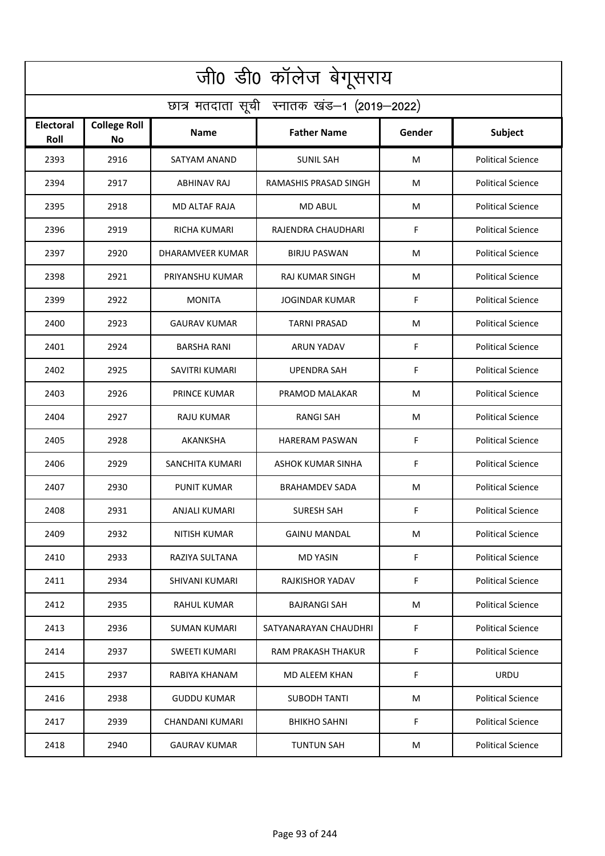| जी0 डी0 कॉलेज बेगूसराय                     |                                  |                        |                          |        |                          |  |  |  |
|--------------------------------------------|----------------------------------|------------------------|--------------------------|--------|--------------------------|--|--|--|
| छात्र मतदाता सूची स्नातक खंड-1 (2019-2022) |                                  |                        |                          |        |                          |  |  |  |
| <b>Electoral</b><br>Roll                   | <b>College Roll</b><br><b>No</b> | <b>Name</b>            | <b>Father Name</b>       | Gender | Subject                  |  |  |  |
| 2393                                       | 2916                             | SATYAM ANAND           | <b>SUNIL SAH</b>         | M      | <b>Political Science</b> |  |  |  |
| 2394                                       | 2917                             | ABHINAV RAJ            | RAMASHIS PRASAD SINGH    | M      | <b>Political Science</b> |  |  |  |
| 2395                                       | 2918                             | MD ALTAF RAJA          | <b>MD ABUL</b>           | M      | <b>Political Science</b> |  |  |  |
| 2396                                       | 2919                             | <b>RICHA KUMARI</b>    | RAJENDRA CHAUDHARI       | F      | <b>Political Science</b> |  |  |  |
| 2397                                       | 2920                             | DHARAMVEER KUMAR       | <b>BIRJU PASWAN</b>      | M      | <b>Political Science</b> |  |  |  |
| 2398                                       | 2921                             | PRIYANSHU KUMAR        | <b>RAJ KUMAR SINGH</b>   | M      | <b>Political Science</b> |  |  |  |
| 2399                                       | 2922                             | <b>MONITA</b>          | <b>JOGINDAR KUMAR</b>    | F      | <b>Political Science</b> |  |  |  |
| 2400                                       | 2923                             | <b>GAURAV KUMAR</b>    | <b>TARNI PRASAD</b>      | M      | <b>Political Science</b> |  |  |  |
| 2401                                       | 2924                             | <b>BARSHA RANI</b>     | ARUN YADAV               | F      | <b>Political Science</b> |  |  |  |
| 2402                                       | 2925                             | SAVITRI KUMARI         | UPENDRA SAH              | F      | <b>Political Science</b> |  |  |  |
| 2403                                       | 2926                             | <b>PRINCE KUMAR</b>    | PRAMOD MALAKAR           | M      | <b>Political Science</b> |  |  |  |
| 2404                                       | 2927                             | RAJU KUMAR             | <b>RANGI SAH</b>         | M      | <b>Political Science</b> |  |  |  |
| 2405                                       | 2928                             | AKANKSHA               | <b>HARERAM PASWAN</b>    | F      | <b>Political Science</b> |  |  |  |
| 2406                                       | 2929                             | <b>SANCHITA KUMARI</b> | <b>ASHOK KUMAR SINHA</b> | F      | <b>Political Science</b> |  |  |  |
| 2407                                       | 2930                             | PUNIT KUMAR            | <b>BRAHAMDEV SADA</b>    | M      | <b>Political Science</b> |  |  |  |
| 2408                                       | 2931                             | ANJALI KUMARI          | <b>SURESH SAH</b>        | F      | <b>Political Science</b> |  |  |  |
| 2409                                       | 2932                             | NITISH KUMAR           | <b>GAINU MANDAL</b>      | M      | <b>Political Science</b> |  |  |  |
| 2410                                       | 2933                             | RAZIYA SULTANA         | <b>MD YASIN</b>          | F      | <b>Political Science</b> |  |  |  |
| 2411                                       | 2934                             | SHIVANI KUMARI         | RAJKISHOR YADAV          | F      | <b>Political Science</b> |  |  |  |
| 2412                                       | 2935                             | RAHUL KUMAR            | BAJRANGI SAH             | M      | <b>Political Science</b> |  |  |  |
| 2413                                       | 2936                             | <b>SUMAN KUMARI</b>    | SATYANARAYAN CHAUDHRI    | F      | <b>Political Science</b> |  |  |  |
| 2414                                       | 2937                             | <b>SWEETI KUMARI</b>   | RAM PRAKASH THAKUR       | F      | <b>Political Science</b> |  |  |  |
| 2415                                       | 2937                             | RABIYA KHANAM          | MD ALEEM KHAN            | F.     | <b>URDU</b>              |  |  |  |
| 2416                                       | 2938                             | <b>GUDDU KUMAR</b>     | <b>SUBODH TANTI</b>      | M      | <b>Political Science</b> |  |  |  |
| 2417                                       | 2939                             | CHANDANI KUMARI        | <b>BHIKHO SAHNI</b>      | F      | <b>Political Science</b> |  |  |  |
| 2418                                       | 2940                             | <b>GAURAV KUMAR</b>    | <b>TUNTUN SAH</b>        | M      | <b>Political Science</b> |  |  |  |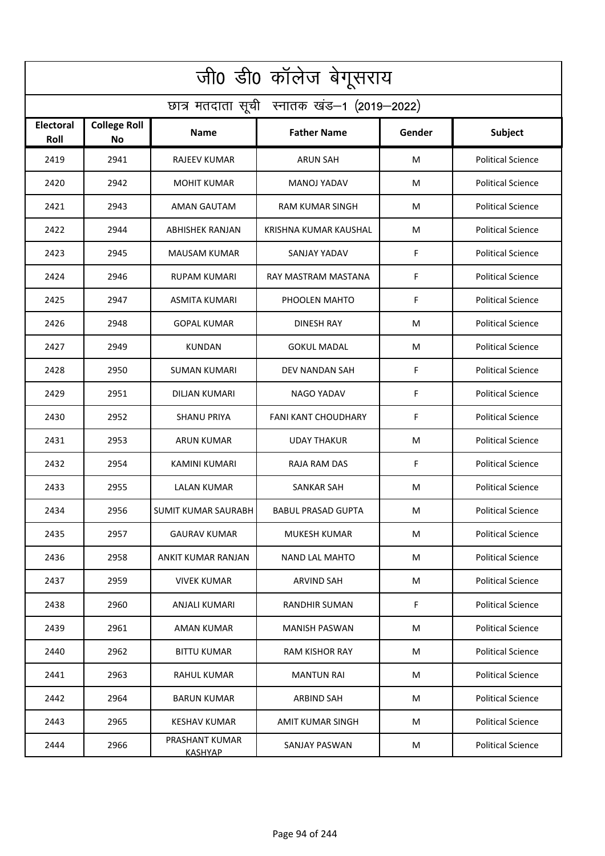| जी0 डी0 कॉलेज बेगूसराय                     |                                  |                                  |                           |        |                          |  |  |  |
|--------------------------------------------|----------------------------------|----------------------------------|---------------------------|--------|--------------------------|--|--|--|
| छात्र मतदाता सूची स्नातक खंड-1 (2019-2022) |                                  |                                  |                           |        |                          |  |  |  |
| <b>Electoral</b><br>Roll                   | <b>College Roll</b><br><b>No</b> | <b>Name</b>                      | <b>Father Name</b>        | Gender | <b>Subject</b>           |  |  |  |
| 2419                                       | 2941                             | <b>RAJEEV KUMAR</b>              | <b>ARUN SAH</b>           | м      | <b>Political Science</b> |  |  |  |
| 2420                                       | 2942                             | <b>MOHIT KUMAR</b>               | <b>MANOJ YADAV</b>        | M      | <b>Political Science</b> |  |  |  |
| 2421                                       | 2943                             | <b>AMAN GAUTAM</b>               | <b>RAM KUMAR SINGH</b>    | м      | <b>Political Science</b> |  |  |  |
| 2422                                       | 2944                             | <b>ABHISHEK RANJAN</b>           | KRISHNA KUMAR KAUSHAL     | M      | <b>Political Science</b> |  |  |  |
| 2423                                       | 2945                             | <b>MAUSAM KUMAR</b>              | SANJAY YADAV              | F      | <b>Political Science</b> |  |  |  |
| 2424                                       | 2946                             | <b>RUPAM KUMARI</b>              | RAY MASTRAM MASTANA       | F      | <b>Political Science</b> |  |  |  |
| 2425                                       | 2947                             | ASMITA KUMARI                    | PHOOLEN MAHTO             | F      | <b>Political Science</b> |  |  |  |
| 2426                                       | 2948                             | <b>GOPAL KUMAR</b>               | <b>DINESH RAY</b>         | м      | <b>Political Science</b> |  |  |  |
| 2427                                       | 2949                             | <b>KUNDAN</b>                    | <b>GOKUL MADAL</b>        | м      | <b>Political Science</b> |  |  |  |
| 2428                                       | 2950                             | SUMAN KUMARI                     | DEV NANDAN SAH            | F      | <b>Political Science</b> |  |  |  |
| 2429                                       | 2951                             | DILJAN KUMARI                    | <b>NAGO YADAV</b>         | F      | <b>Political Science</b> |  |  |  |
| 2430                                       | 2952                             | SHANU PRIYA                      | FANI KANT CHOUDHARY       | F      | <b>Political Science</b> |  |  |  |
| 2431                                       | 2953                             | <b>ARUN KUMAR</b>                | <b>UDAY THAKUR</b>        | М      | <b>Political Science</b> |  |  |  |
| 2432                                       | 2954                             | KAMINI KUMARI                    | RAJA RAM DAS              | F      | <b>Political Science</b> |  |  |  |
| 2433                                       | 2955                             | <b>LALAN KUMAR</b>               | SANKAR SAH                | М      | <b>Political Science</b> |  |  |  |
| 2434                                       | 2956                             | <b>SUMIT KUMAR SAURABH</b>       | <b>BABUL PRASAD GUPTA</b> | M      | <b>Political Science</b> |  |  |  |
| 2435                                       | 2957                             | <b>GAURAV KUMAR</b>              | MUKESH KUMAR              | М      | <b>Political Science</b> |  |  |  |
| 2436                                       | 2958                             | ANKIT KUMAR RANJAN               | NAND LAL MAHTO            | М      | <b>Political Science</b> |  |  |  |
| 2437                                       | 2959                             | <b>VIVEK KUMAR</b>               | ARVIND SAH                | М      | <b>Political Science</b> |  |  |  |
| 2438                                       | 2960                             | ANJALI KUMARI                    | RANDHIR SUMAN             | F.     | <b>Political Science</b> |  |  |  |
| 2439                                       | 2961                             | AMAN KUMAR                       | <b>MANISH PASWAN</b>      | М      | <b>Political Science</b> |  |  |  |
| 2440                                       | 2962                             | <b>BITTU KUMAR</b>               | <b>RAM KISHOR RAY</b>     | M      | <b>Political Science</b> |  |  |  |
| 2441                                       | 2963                             | RAHUL KUMAR                      | <b>MANTUN RAI</b>         | М      | <b>Political Science</b> |  |  |  |
| 2442                                       | 2964                             | <b>BARUN KUMAR</b>               | ARBIND SAH                | М      | <b>Political Science</b> |  |  |  |
| 2443                                       | 2965                             | <b>KESHAV KUMAR</b>              | AMIT KUMAR SINGH          | м      | <b>Political Science</b> |  |  |  |
| 2444                                       | 2966                             | PRASHANT KUMAR<br><b>KASHYAP</b> | SANJAY PASWAN             | м      | <b>Political Science</b> |  |  |  |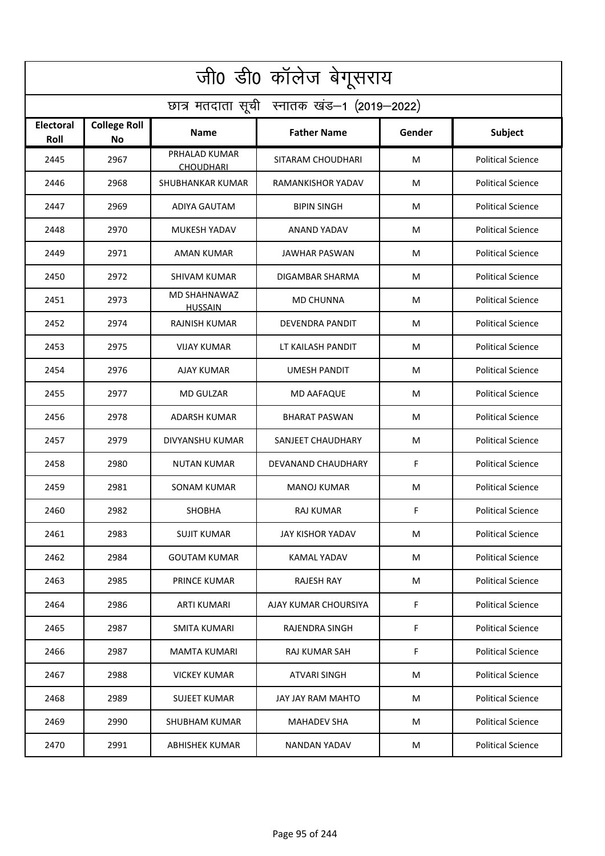| जी0 डी0 कॉलेज बेगूसराय                     |                                  |                                   |                        |        |                          |  |  |  |
|--------------------------------------------|----------------------------------|-----------------------------------|------------------------|--------|--------------------------|--|--|--|
| छात्र मतदाता सूची स्नातक खंड-1 (2019-2022) |                                  |                                   |                        |        |                          |  |  |  |
| Electoral<br>Roll                          | <b>College Roll</b><br><b>No</b> | <b>Name</b>                       | <b>Father Name</b>     | Gender | Subject                  |  |  |  |
| 2445                                       | 2967                             | PRHALAD KUMAR<br><b>CHOUDHARI</b> | SITARAM CHOUDHARI      | M      | <b>Political Science</b> |  |  |  |
| 2446                                       | 2968                             | SHUBHANKAR KUMAR                  | RAMANKISHOR YADAV      | м      | <b>Political Science</b> |  |  |  |
| 2447                                       | 2969                             | <b>ADIYA GAUTAM</b>               | <b>BIPIN SINGH</b>     | M      | <b>Political Science</b> |  |  |  |
| 2448                                       | 2970                             | MUKESH YADAV                      | ANAND YADAV            | M      | <b>Political Science</b> |  |  |  |
| 2449                                       | 2971                             | <b>AMAN KUMAR</b>                 | <b>JAWHAR PASWAN</b>   | м      | <b>Political Science</b> |  |  |  |
| 2450                                       | 2972                             | <b>SHIVAM KUMAR</b>               | DIGAMBAR SHARMA        | M      | <b>Political Science</b> |  |  |  |
| 2451                                       | 2973                             | MD SHAHNAWAZ<br><b>HUSSAIN</b>    | <b>MD CHUNNA</b>       | M      | <b>Political Science</b> |  |  |  |
| 2452                                       | 2974                             | <b>RAJNISH KUMAR</b>              | <b>DEVENDRA PANDIT</b> | м      | <b>Political Science</b> |  |  |  |
| 2453                                       | 2975                             | <b>VIJAY KUMAR</b>                | LT KAILASH PANDIT      | M      | <b>Political Science</b> |  |  |  |
| 2454                                       | 2976                             | <b>AJAY KUMAR</b>                 | <b>UMESH PANDIT</b>    | м      | <b>Political Science</b> |  |  |  |
| 2455                                       | 2977                             | <b>MD GULZAR</b>                  | <b>MD AAFAQUE</b>      | М      | <b>Political Science</b> |  |  |  |
| 2456                                       | 2978                             | <b>ADARSH KUMAR</b>               | <b>BHARAT PASWAN</b>   | M      | <b>Political Science</b> |  |  |  |
| 2457                                       | 2979                             | DIVYANSHU KUMAR                   | SANJEET CHAUDHARY      | M      | <b>Political Science</b> |  |  |  |
| 2458                                       | 2980                             | <b>NUTAN KUMAR</b>                | DEVANAND CHAUDHARY     | F      | <b>Political Science</b> |  |  |  |
| 2459                                       | 2981                             | SONAM KUMAR                       | <b>MANOJ KUMAR</b>     | М      | <b>Political Science</b> |  |  |  |
| 2460                                       | 2982                             | SHOBHA                            | RAJ KUMAR              | F      | <b>Political Science</b> |  |  |  |
| 2461                                       | 2983                             | <b>SUJIT KUMAR</b>                | JAY KISHOR YADAV       | M      | <b>Political Science</b> |  |  |  |
| 2462                                       | 2984                             | <b>GOUTAM KUMAR</b>               | KAMAL YADAV            | М      | <b>Political Science</b> |  |  |  |
| 2463                                       | 2985                             | <b>PRINCE KUMAR</b>               | <b>RAJESH RAY</b>      | М      | <b>Political Science</b> |  |  |  |
| 2464                                       | 2986                             | ARTI KUMARI                       | AJAY KUMAR CHOURSIYA   | F      | <b>Political Science</b> |  |  |  |
| 2465                                       | 2987                             | SMITA KUMARI                      | RAJENDRA SINGH         | F      | <b>Political Science</b> |  |  |  |
| 2466                                       | 2987                             | MAMTA KUMARI                      | RAJ KUMAR SAH          | F      | <b>Political Science</b> |  |  |  |
| 2467                                       | 2988                             | <b>VICKEY KUMAR</b>               | ATVARI SINGH           | М      | <b>Political Science</b> |  |  |  |
| 2468                                       | 2989                             | <b>SUJEET KUMAR</b>               | JAY JAY RAM MAHTO      | M      | <b>Political Science</b> |  |  |  |
| 2469                                       | 2990                             | SHUBHAM KUMAR                     | <b>MAHADEV SHA</b>     | М      | <b>Political Science</b> |  |  |  |
| 2470                                       | 2991                             | ABHISHEK KUMAR                    | NANDAN YADAV           | M      | <b>Political Science</b> |  |  |  |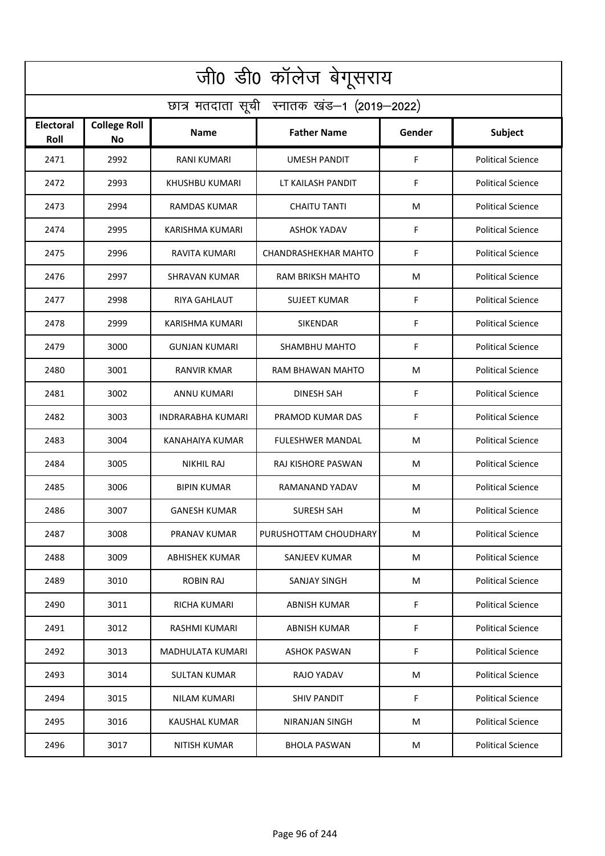| जी0 डी0 कॉलेज बेगूसराय                     |                                  |                      |                         |        |                          |  |  |  |
|--------------------------------------------|----------------------------------|----------------------|-------------------------|--------|--------------------------|--|--|--|
| छात्र मतदाता सूची स्नातक खंड-1 (2019-2022) |                                  |                      |                         |        |                          |  |  |  |
| <b>Electoral</b><br>Roll                   | <b>College Roll</b><br><b>No</b> | <b>Name</b>          | <b>Father Name</b>      | Gender | Subject                  |  |  |  |
| 2471                                       | 2992                             | <b>RANI KUMARI</b>   | <b>UMESH PANDIT</b>     | F      | <b>Political Science</b> |  |  |  |
| 2472                                       | 2993                             | KHUSHBU KUMARI       | LT KAILASH PANDIT       | F      | <b>Political Science</b> |  |  |  |
| 2473                                       | 2994                             | RAMDAS KUMAR         | <b>CHAITU TANTI</b>     | M      | <b>Political Science</b> |  |  |  |
| 2474                                       | 2995                             | KARISHMA KUMARI      | <b>ASHOK YADAV</b>      | F      | <b>Political Science</b> |  |  |  |
| 2475                                       | 2996                             | RAVITA KUMARI        | CHANDRASHEKHAR MAHTO    | F      | <b>Political Science</b> |  |  |  |
| 2476                                       | 2997                             | SHRAVAN KUMAR        | <b>RAM BRIKSH MAHTO</b> | M      | <b>Political Science</b> |  |  |  |
| 2477                                       | 2998                             | <b>RIYA GAHLAUT</b>  | <b>SUJEET KUMAR</b>     | F      | <b>Political Science</b> |  |  |  |
| 2478                                       | 2999                             | KARISHMA KUMARI      | SIKENDAR                | F      | <b>Political Science</b> |  |  |  |
| 2479                                       | 3000                             | <b>GUNJAN KUMARI</b> | SHAMBHU MAHTO           | F      | <b>Political Science</b> |  |  |  |
| 2480                                       | 3001                             | RANVIR KMAR          | RAM BHAWAN MAHTO        | M      | <b>Political Science</b> |  |  |  |
| 2481                                       | 3002                             | ANNU KUMARI          | <b>DINESH SAH</b>       | F      | <b>Political Science</b> |  |  |  |
| 2482                                       | 3003                             | INDRARABHA KUMARI    | PRAMOD KUMAR DAS        | F      | <b>Political Science</b> |  |  |  |
| 2483                                       | 3004                             | KANAHAIYA KUMAR      | <b>FULESHWER MANDAL</b> | M      | <b>Political Science</b> |  |  |  |
| 2484                                       | 3005                             | NIKHIL RAJ           | RAJ KISHORE PASWAN      | M      | <b>Political Science</b> |  |  |  |
| 2485                                       | 3006                             | BIPIN KUMAR          | RAMANAND YADAV          | M      | <b>Political Science</b> |  |  |  |
| 2486                                       | 3007                             | <b>GANESH KUMAR</b>  | SURESH SAH              | M      | <b>Political Science</b> |  |  |  |
| 2487                                       | 3008                             | PRANAV KUMAR         | PURUSHOTTAM CHOUDHARY   | M      | <b>Political Science</b> |  |  |  |
| 2488                                       | 3009                             | ABHISHEK KUMAR       | SANJEEV KUMAR           | M      | <b>Political Science</b> |  |  |  |
| 2489                                       | 3010                             | ROBIN RAJ            | SANJAY SINGH            | M      | <b>Political Science</b> |  |  |  |
| 2490                                       | 3011                             | RICHA KUMARI         | <b>ABNISH KUMAR</b>     | F.     | <b>Political Science</b> |  |  |  |
| 2491                                       | 3012                             | RASHMI KUMARI        | ABNISH KUMAR            | F      | <b>Political Science</b> |  |  |  |
| 2492                                       | 3013                             | MADHULATA KUMARI     | ASHOK PASWAN            | F      | <b>Political Science</b> |  |  |  |
| 2493                                       | 3014                             | <b>SULTAN KUMAR</b>  | RAJO YADAV              | M      | <b>Political Science</b> |  |  |  |
| 2494                                       | 3015                             | <b>NILAM KUMARI</b>  | <b>SHIV PANDIT</b>      | F      | <b>Political Science</b> |  |  |  |
| 2495                                       | 3016                             | KAUSHAL KUMAR        | NIRANJAN SINGH          | M      | <b>Political Science</b> |  |  |  |
| 2496                                       | 3017                             | <b>NITISH KUMAR</b>  | <b>BHOLA PASWAN</b>     | M      | <b>Political Science</b> |  |  |  |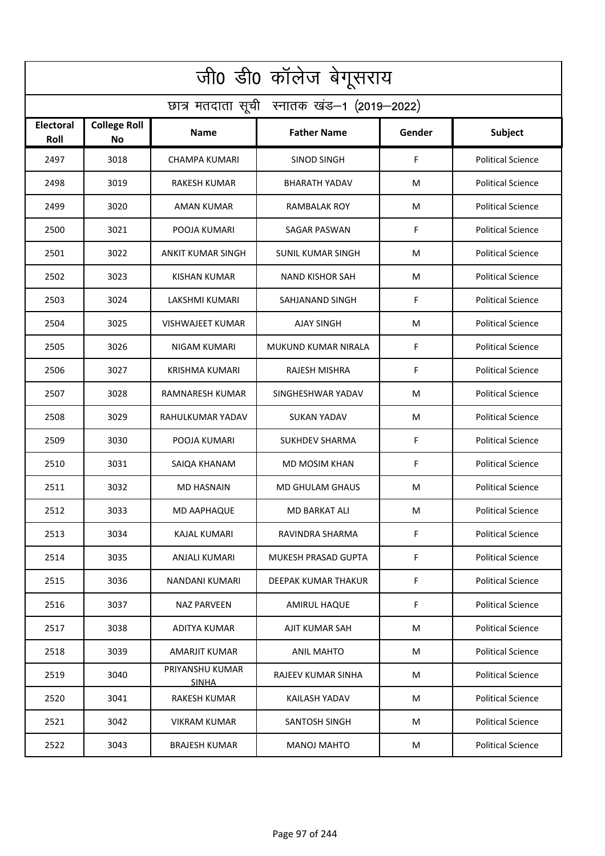| जी0 डी0 कॉलेज बेगूसराय                     |                           |                                 |                          |        |                          |  |  |  |
|--------------------------------------------|---------------------------|---------------------------------|--------------------------|--------|--------------------------|--|--|--|
| छात्र मतदाता सूची स्नातक खंड-1 (2019-2022) |                           |                                 |                          |        |                          |  |  |  |
| <b>Electoral</b><br>Roll                   | <b>College Roll</b><br>No | Name                            | <b>Father Name</b>       | Gender | Subject                  |  |  |  |
| 2497                                       | 3018                      | <b>CHAMPA KUMARI</b>            | <b>SINOD SINGH</b>       | F      | <b>Political Science</b> |  |  |  |
| 2498                                       | 3019                      | RAKESH KUMAR                    | <b>BHARATH YADAV</b>     | M      | <b>Political Science</b> |  |  |  |
| 2499                                       | 3020                      | AMAN KUMAR                      | RAMBALAK ROY             | М      | <b>Political Science</b> |  |  |  |
| 2500                                       | 3021                      | POOJA KUMARI                    | <b>SAGAR PASWAN</b>      | F      | <b>Political Science</b> |  |  |  |
| 2501                                       | 3022                      | ANKIT KUMAR SINGH               | <b>SUNIL KUMAR SINGH</b> | M      | <b>Political Science</b> |  |  |  |
| 2502                                       | 3023                      | <b>KISHAN KUMAR</b>             | <b>NAND KISHOR SAH</b>   | м      | <b>Political Science</b> |  |  |  |
| 2503                                       | 3024                      | LAKSHMI KUMARI                  | SAHJANAND SINGH          | F      | <b>Political Science</b> |  |  |  |
| 2504                                       | 3025                      | <b>VISHWAJEET KUMAR</b>         | <b>AJAY SINGH</b>        | M      | <b>Political Science</b> |  |  |  |
| 2505                                       | 3026                      | NIGAM KUMARI                    | MUKUND KUMAR NIRALA      | F      | <b>Political Science</b> |  |  |  |
| 2506                                       | 3027                      | KRISHMA KUMARI                  | RAJESH MISHRA            | F      | <b>Political Science</b> |  |  |  |
| 2507                                       | 3028                      | RAMNARESH KUMAR                 | SINGHESHWAR YADAV        | М      | <b>Political Science</b> |  |  |  |
| 2508                                       | 3029                      | RAHULKUMAR YADAV                | <b>SUKAN YADAV</b>       | М      | <b>Political Science</b> |  |  |  |
| 2509                                       | 3030                      | POOJA KUMARI                    | SUKHDEV SHARMA           | F      | <b>Political Science</b> |  |  |  |
| 2510                                       | 3031                      | SAIQA KHANAM                    | MD MOSIM KHAN            | F      | <b>Political Science</b> |  |  |  |
| 2511                                       | 3032                      | MD HASNAIN                      | <b>MD GHULAM GHAUS</b>   | М      | <b>Political Science</b> |  |  |  |
| 2512                                       | 3033                      | MD AAPHAQUE                     | MD BARKAT ALI            | М      | <b>Political Science</b> |  |  |  |
| 2513                                       | 3034                      | KAJAL KUMARI                    | RAVINDRA SHARMA          | F      | <b>Political Science</b> |  |  |  |
| 2514                                       | 3035                      | ANJALI KUMARI                   | MUKESH PRASAD GUPTA      | F      | <b>Political Science</b> |  |  |  |
| 2515                                       | 3036                      | NANDANI KUMARI                  | DEEPAK KUMAR THAKUR      | F      | <b>Political Science</b> |  |  |  |
| 2516                                       | 3037                      | NAZ PARVEEN                     | <b>AMIRUL HAQUE</b>      | F      | <b>Political Science</b> |  |  |  |
| 2517                                       | 3038                      | ADITYA KUMAR                    | AJIT KUMAR SAH           | M      | <b>Political Science</b> |  |  |  |
| 2518                                       | 3039                      | AMARJIT KUMAR                   | ANIL MAHTO               | М      | <b>Political Science</b> |  |  |  |
| 2519                                       | 3040                      | PRIYANSHU KUMAR<br><b>SINHA</b> | RAJEEV KUMAR SINHA       | М      | <b>Political Science</b> |  |  |  |
| 2520                                       | 3041                      | <b>RAKESH KUMAR</b>             | KAILASH YADAV            | М      | <b>Political Science</b> |  |  |  |
| 2521                                       | 3042                      | <b>VIKRAM KUMAR</b>             | SANTOSH SINGH            | М      | <b>Political Science</b> |  |  |  |
| 2522                                       | 3043                      | <b>BRAJESH KUMAR</b>            | <b>MANOJ MAHTO</b>       | M      | <b>Political Science</b> |  |  |  |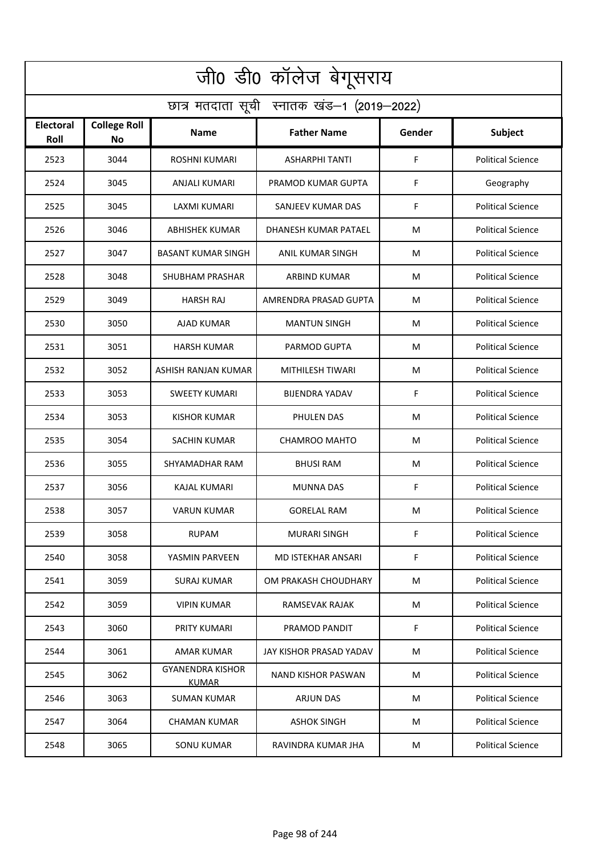| जी0 डी0 कॉलेज बेगूसराय                     |                                  |                                         |                           |        |                          |  |  |  |
|--------------------------------------------|----------------------------------|-----------------------------------------|---------------------------|--------|--------------------------|--|--|--|
| छात्र मतदाता सूची स्नातक खंड-1 (2019-2022) |                                  |                                         |                           |        |                          |  |  |  |
| <b>Electoral</b><br>Roll                   | <b>College Roll</b><br><b>No</b> | <b>Name</b>                             | <b>Father Name</b>        | Gender | Subject                  |  |  |  |
| 2523                                       | 3044                             | <b>ROSHNI KUMARI</b>                    | <b>ASHARPHI TANTI</b>     | F      | <b>Political Science</b> |  |  |  |
| 2524                                       | 3045                             | ANJALI KUMARI                           | PRAMOD KUMAR GUPTA        | F      | Geography                |  |  |  |
| 2525                                       | 3045                             | <b>LAXMI KUMARI</b>                     | SANJEEV KUMAR DAS         | F      | <b>Political Science</b> |  |  |  |
| 2526                                       | 3046                             | ABHISHEK KUMAR                          | DHANESH KUMAR PATAEL      | M      | <b>Political Science</b> |  |  |  |
| 2527                                       | 3047                             | <b>BASANT KUMAR SINGH</b>               | ANIL KUMAR SINGH          | M      | <b>Political Science</b> |  |  |  |
| 2528                                       | 3048                             | <b>SHUBHAM PRASHAR</b>                  | <b>ARBIND KUMAR</b>       | M      | <b>Political Science</b> |  |  |  |
| 2529                                       | 3049                             | <b>HARSH RAJ</b>                        | AMRENDRA PRASAD GUPTA     | M      | <b>Political Science</b> |  |  |  |
| 2530                                       | 3050                             | AJAD KUMAR                              | <b>MANTUN SINGH</b>       | M      | <b>Political Science</b> |  |  |  |
| 2531                                       | 3051                             | <b>HARSH KUMAR</b>                      | PARMOD GUPTA              | M      | <b>Political Science</b> |  |  |  |
| 2532                                       | 3052                             | ASHISH RANJAN KUMAR                     | MITHILESH TIWARI          | M      | <b>Political Science</b> |  |  |  |
| 2533                                       | 3053                             | <b>SWEETY KUMARI</b>                    | <b>BIJENDRA YADAV</b>     | F      | <b>Political Science</b> |  |  |  |
| 2534                                       | 3053                             | <b>KISHOR KUMAR</b>                     | PHULEN DAS                | M      | <b>Political Science</b> |  |  |  |
| 2535                                       | 3054                             | SACHIN KUMAR                            | CHAMROO MAHTO             | M      | <b>Political Science</b> |  |  |  |
| 2536                                       | 3055                             | SHYAMADHAR RAM                          | <b>BHUSI RAM</b>          | M      | <b>Political Science</b> |  |  |  |
| 2537                                       | 3056                             | KAJAL KUMARI                            | MUNNA DAS                 | F      | <b>Political Science</b> |  |  |  |
| 2538                                       | 3057                             | VARUN KUMAR                             | <b>GORELAL RAM</b>        | M      | <b>Political Science</b> |  |  |  |
| 2539                                       | 3058                             | <b>RUPAM</b>                            | <b>MURARI SINGH</b>       | F      | <b>Political Science</b> |  |  |  |
| 2540                                       | 3058                             | YASMIN PARVEEN                          | <b>MD ISTEKHAR ANSARI</b> | F      | <b>Political Science</b> |  |  |  |
| 2541                                       | 3059                             | <b>SURAJ KUMAR</b>                      | OM PRAKASH CHOUDHARY      | M      | <b>Political Science</b> |  |  |  |
| 2542                                       | 3059                             | <b>VIPIN KUMAR</b>                      | RAMSEVAK RAJAK            | M      | <b>Political Science</b> |  |  |  |
| 2543                                       | 3060                             | PRITY KUMARI                            | PRAMOD PANDIT             | F      | <b>Political Science</b> |  |  |  |
| 2544                                       | 3061                             | AMAR KUMAR                              | JAY KISHOR PRASAD YADAV   | M      | <b>Political Science</b> |  |  |  |
| 2545                                       | 3062                             | <b>GYANENDRA KISHOR</b><br><b>KUMAR</b> | NAND KISHOR PASWAN        | M      | <b>Political Science</b> |  |  |  |
| 2546                                       | 3063                             | <b>SUMAN KUMAR</b>                      | <b>ARJUN DAS</b>          | М      | <b>Political Science</b> |  |  |  |
| 2547                                       | 3064                             | <b>CHAMAN KUMAR</b>                     | ASHOK SINGH               | M      | <b>Political Science</b> |  |  |  |
| 2548                                       | 3065                             | <b>SONU KUMAR</b>                       | RAVINDRA KUMAR JHA        | M      | <b>Political Science</b> |  |  |  |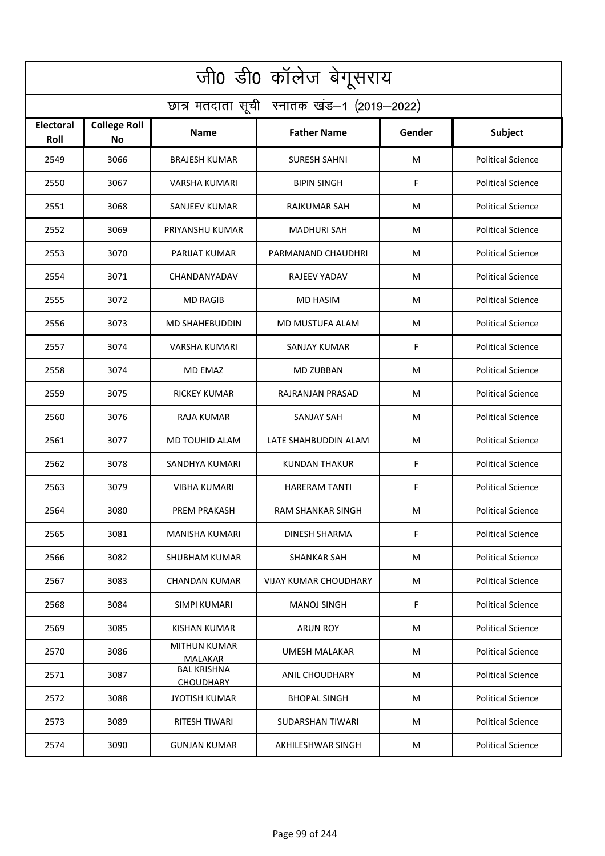| जी0 डी0 कॉलेज बेगूसराय                     |                                  |                                        |                         |        |                          |  |  |  |
|--------------------------------------------|----------------------------------|----------------------------------------|-------------------------|--------|--------------------------|--|--|--|
| छात्र मतदाता सूची स्नातक खंड-1 (2019-2022) |                                  |                                        |                         |        |                          |  |  |  |
| <b>Electoral</b><br>Roll                   | <b>College Roll</b><br><b>No</b> | <b>Name</b>                            | <b>Father Name</b>      | Gender | Subject                  |  |  |  |
| 2549                                       | 3066                             | <b>BRAJESH KUMAR</b>                   | <b>SURESH SAHNI</b>     | м      | <b>Political Science</b> |  |  |  |
| 2550                                       | 3067                             | VARSHA KUMARI                          | <b>BIPIN SINGH</b>      | F      | <b>Political Science</b> |  |  |  |
| 2551                                       | 3068                             | SANJEEV KUMAR                          | RAJKUMAR SAH            | м      | <b>Political Science</b> |  |  |  |
| 2552                                       | 3069                             | PRIYANSHU KUMAR                        | MADHURI SAH             | M      | <b>Political Science</b> |  |  |  |
| 2553                                       | 3070                             | PARIJAT KUMAR                          | PARMANAND CHAUDHRI      | М      | <b>Political Science</b> |  |  |  |
| 2554                                       | 3071                             | CHANDANYADAV                           | <b>RAJEEV YADAV</b>     | м      | <b>Political Science</b> |  |  |  |
| 2555                                       | 3072                             | <b>MD RAGIB</b>                        | <b>MD HASIM</b>         | M      | <b>Political Science</b> |  |  |  |
| 2556                                       | 3073                             | <b>MD SHAHEBUDDIN</b>                  | MD MUSTUFA ALAM         | м      | <b>Political Science</b> |  |  |  |
| 2557                                       | 3074                             | <b>VARSHA KUMARI</b>                   | <b>SANJAY KUMAR</b>     | F      | <b>Political Science</b> |  |  |  |
| 2558                                       | 3074                             | MD EMAZ                                | MD ZUBBAN               | м      | <b>Political Science</b> |  |  |  |
| 2559                                       | 3075                             | RICKEY KUMAR                           | RAJRANJAN PRASAD        | М      | <b>Political Science</b> |  |  |  |
| 2560                                       | 3076                             | RAJA KUMAR                             | SANJAY SAH              | M      | <b>Political Science</b> |  |  |  |
| 2561                                       | 3077                             | MD TOUHID ALAM                         | LATE SHAHBUDDIN ALAM    | М      | <b>Political Science</b> |  |  |  |
| 2562                                       | 3078                             | SANDHYA KUMARI                         | <b>KUNDAN THAKUR</b>    | F      | <b>Political Science</b> |  |  |  |
| 2563                                       | 3079                             | VIBHA KUMARI                           | <b>HARERAM TANTI</b>    | F      | <b>Political Science</b> |  |  |  |
| 2564                                       | 3080                             | PREM PRAKASH                           | RAM SHANKAR SINGH       | м      | <b>Political Science</b> |  |  |  |
| 2565                                       | 3081                             | MANISHA KUMARI                         | <b>DINESH SHARMA</b>    | F      | <b>Political Science</b> |  |  |  |
| 2566                                       | 3082                             | SHUBHAM KUMAR                          | SHANKAR SAH             | М      | <b>Political Science</b> |  |  |  |
| 2567                                       | 3083                             | CHANDAN KUMAR                          | VIJAY KUMAR CHOUDHARY   | M      | <b>Political Science</b> |  |  |  |
| 2568                                       | 3084                             | SIMPI KUMARI                           | <b>MANOJ SINGH</b>      | F      | <b>Political Science</b> |  |  |  |
| 2569                                       | 3085                             | KISHAN KUMAR                           | <b>ARUN ROY</b>         | М      | <b>Political Science</b> |  |  |  |
| 2570                                       | 3086                             | <b>MITHUN KUMAR</b><br><b>MALAKAR</b>  | <b>UMESH MALAKAR</b>    | M      | <b>Political Science</b> |  |  |  |
| 2571                                       | 3087                             | <b>BAL KRISHNA</b><br><b>CHOUDHARY</b> | ANIL CHOUDHARY          | М      | <b>Political Science</b> |  |  |  |
| 2572                                       | 3088                             | <b>JYOTISH KUMAR</b>                   | <b>BHOPAL SINGH</b>     | М      | <b>Political Science</b> |  |  |  |
| 2573                                       | 3089                             | <b>RITESH TIWARI</b>                   | <b>SUDARSHAN TIWARI</b> | м      | <b>Political Science</b> |  |  |  |
| 2574                                       | 3090                             | <b>GUNJAN KUMAR</b>                    | AKHILESHWAR SINGH       | м      | <b>Political Science</b> |  |  |  |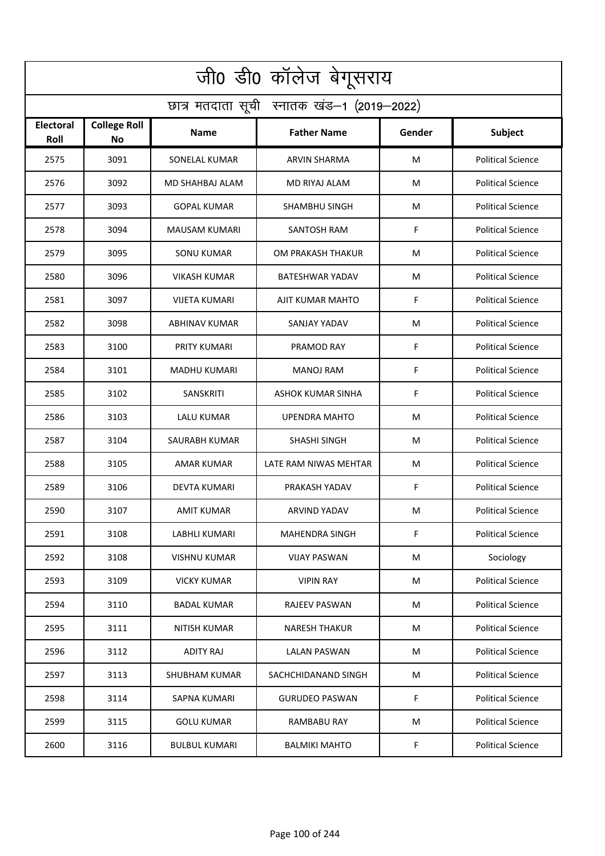| जी0 डी0 कॉलेज बेगूसराय                     |                                  |                      |                        |        |                          |  |  |  |
|--------------------------------------------|----------------------------------|----------------------|------------------------|--------|--------------------------|--|--|--|
| छात्र मतदाता सूची स्नातक खंड-1 (2019-2022) |                                  |                      |                        |        |                          |  |  |  |
| <b>Electoral</b><br>Roll                   | <b>College Roll</b><br><b>No</b> | <b>Name</b>          | <b>Father Name</b>     | Gender | Subject                  |  |  |  |
| 2575                                       | 3091                             | <b>SONELAL KUMAR</b> | <b>ARVIN SHARMA</b>    | м      | <b>Political Science</b> |  |  |  |
| 2576                                       | 3092                             | MD SHAHBAJ ALAM      | MD RIYAJ ALAM          | M      | <b>Political Science</b> |  |  |  |
| 2577                                       | 3093                             | <b>GOPAL KUMAR</b>   | SHAMBHU SINGH          | м      | <b>Political Science</b> |  |  |  |
| 2578                                       | 3094                             | MAUSAM KUMARI        | <b>SANTOSH RAM</b>     | F      | <b>Political Science</b> |  |  |  |
| 2579                                       | 3095                             | <b>SONU KUMAR</b>    | OM PRAKASH THAKUR      | М      | <b>Political Science</b> |  |  |  |
| 2580                                       | 3096                             | <b>VIKASH KUMAR</b>  | <b>BATESHWAR YADAV</b> | м      | <b>Political Science</b> |  |  |  |
| 2581                                       | 3097                             | VIJETA KUMARI        | AJIT KUMAR MAHTO       | F      | <b>Political Science</b> |  |  |  |
| 2582                                       | 3098                             | <b>ABHINAV KUMAR</b> | <b>SANJAY YADAV</b>    | м      | <b>Political Science</b> |  |  |  |
| 2583                                       | 3100                             | PRITY KUMARI         | PRAMOD RAY             | F      | <b>Political Science</b> |  |  |  |
| 2584                                       | 3101                             | MADHU KUMARI         | MANOJ RAM              | F      | <b>Political Science</b> |  |  |  |
| 2585                                       | 3102                             | <b>SANSKRITI</b>     | ASHOK KUMAR SINHA      | F      | <b>Political Science</b> |  |  |  |
| 2586                                       | 3103                             | LALU KUMAR           | <b>UPENDRA MAHTO</b>   | M      | <b>Political Science</b> |  |  |  |
| 2587                                       | 3104                             | SAURABH KUMAR        | SHASHI SINGH           | М      | <b>Political Science</b> |  |  |  |
| 2588                                       | 3105                             | AMAR KUMAR           | LATE RAM NIWAS MEHTAR  | м      | <b>Political Science</b> |  |  |  |
| 2589                                       | 3106                             | DEVTA KUMARI         | PRAKASH YADAV          | F      | <b>Political Science</b> |  |  |  |
| 2590                                       | 3107                             | AMIT KUMAR           | ARVIND YADAV           | м      | <b>Political Science</b> |  |  |  |
| 2591                                       | 3108                             | LABHLI KUMARI        | <b>MAHENDRA SINGH</b>  | F      | <b>Political Science</b> |  |  |  |
| 2592                                       | 3108                             | <b>VISHNU KUMAR</b>  | <b>VIJAY PASWAN</b>    | М      | Sociology                |  |  |  |
| 2593                                       | 3109                             | <b>VICKY KUMAR</b>   | <b>VIPIN RAY</b>       | M      | <b>Political Science</b> |  |  |  |
| 2594                                       | 3110                             | <b>BADAL KUMAR</b>   | <b>RAJEEV PASWAN</b>   | M      | <b>Political Science</b> |  |  |  |
| 2595                                       | 3111                             | NITISH KUMAR         | <b>NARESH THAKUR</b>   | М      | <b>Political Science</b> |  |  |  |
| 2596                                       | 3112                             | <b>ADITY RAJ</b>     | <b>LALAN PASWAN</b>    | M      | <b>Political Science</b> |  |  |  |
| 2597                                       | 3113                             | SHUBHAM KUMAR        | SACHCHIDANAND SINGH    | М      | <b>Political Science</b> |  |  |  |
| 2598                                       | 3114                             | SAPNA KUMARI         | <b>GURUDEO PASWAN</b>  | F      | <b>Political Science</b> |  |  |  |
| 2599                                       | 3115                             | <b>GOLU KUMAR</b>    | <b>RAMBABU RAY</b>     | M      | <b>Political Science</b> |  |  |  |
| 2600                                       | 3116                             | <b>BULBUL KUMARI</b> | <b>BALMIKI MAHTO</b>   | F      | <b>Political Science</b> |  |  |  |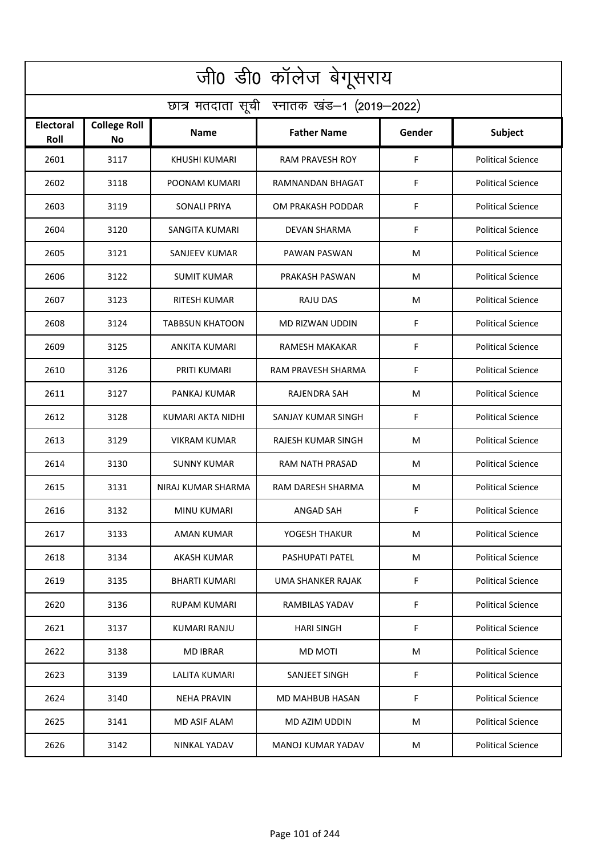| जी0 डी0 कॉलेज बेगूसराय                     |                                  |                        |                        |        |                          |  |  |  |
|--------------------------------------------|----------------------------------|------------------------|------------------------|--------|--------------------------|--|--|--|
| छात्र मतदाता सूची स्नातक खंड-1 (2019-2022) |                                  |                        |                        |        |                          |  |  |  |
| <b>Electoral</b><br>Roll                   | <b>College Roll</b><br><b>No</b> | <b>Name</b>            | <b>Father Name</b>     | Gender | <b>Subject</b>           |  |  |  |
| 2601                                       | 3117                             | <b>KHUSHI KUMARI</b>   | <b>RAM PRAVESH ROY</b> | F      | <b>Political Science</b> |  |  |  |
| 2602                                       | 3118                             | POONAM KUMARI          | RAMNANDAN BHAGAT       | F      | <b>Political Science</b> |  |  |  |
| 2603                                       | 3119                             | <b>SONALI PRIYA</b>    | OM PRAKASH PODDAR      | F      | <b>Political Science</b> |  |  |  |
| 2604                                       | 3120                             | SANGITA KUMARI         | <b>DEVAN SHARMA</b>    | F      | <b>Political Science</b> |  |  |  |
| 2605                                       | 3121                             | SANJEEV KUMAR          | PAWAN PASWAN           | М      | <b>Political Science</b> |  |  |  |
| 2606                                       | 3122                             | <b>SUMIT KUMAR</b>     | PRAKASH PASWAN         | м      | <b>Political Science</b> |  |  |  |
| 2607                                       | 3123                             | <b>RITESH KUMAR</b>    | <b>RAJU DAS</b>        | M      | <b>Political Science</b> |  |  |  |
| 2608                                       | 3124                             | <b>TABBSUN KHATOON</b> | MD RIZWAN UDDIN        | F      | <b>Political Science</b> |  |  |  |
| 2609                                       | 3125                             | <b>ANKITA KUMARI</b>   | <b>RAMESH MAKAKAR</b>  | F      | <b>Political Science</b> |  |  |  |
| 2610                                       | 3126                             | PRITI KUMARI           | RAM PRAVESH SHARMA     | F      | <b>Political Science</b> |  |  |  |
| 2611                                       | 3127                             | PANKAJ KUMAR           | RAJENDRA SAH           | М      | <b>Political Science</b> |  |  |  |
| 2612                                       | 3128                             | KUMARI AKTA NIDHI      | SANJAY KUMAR SINGH     | F      | <b>Political Science</b> |  |  |  |
| 2613                                       | 3129                             | <b>VIKRAM KUMAR</b>    | RAJESH KUMAR SINGH     | М      | <b>Political Science</b> |  |  |  |
| 2614                                       | 3130                             | <b>SUNNY KUMAR</b>     | <b>RAM NATH PRASAD</b> | м      | <b>Political Science</b> |  |  |  |
| 2615                                       | 3131                             | NIRAJ KUMAR SHARMA     | RAM DARESH SHARMA      | М      | <b>Political Science</b> |  |  |  |
| 2616                                       | 3132                             | MINU KUMARI            | ANGAD SAH              | F      | <b>Political Science</b> |  |  |  |
| 2617                                       | 3133                             | AMAN KUMAR             | YOGESH THAKUR          | М      | <b>Political Science</b> |  |  |  |
| 2618                                       | 3134                             | AKASH KUMAR            | <b>PASHUPATI PATEL</b> | М      | <b>Political Science</b> |  |  |  |
| 2619                                       | 3135                             | <b>BHARTI KUMARI</b>   | UMA SHANKER RAJAK      | F      | <b>Political Science</b> |  |  |  |
| 2620                                       | 3136                             | RUPAM KUMARI           | RAMBILAS YADAV         | F      | <b>Political Science</b> |  |  |  |
| 2621                                       | 3137                             | KUMARI RANJU           | <b>HARI SINGH</b>      | F      | <b>Political Science</b> |  |  |  |
| 2622                                       | 3138                             | <b>MD IBRAR</b>        | <b>MD MOTI</b>         | M      | <b>Political Science</b> |  |  |  |
| 2623                                       | 3139                             | LALITA KUMARI          | SANJEET SINGH          | F      | <b>Political Science</b> |  |  |  |
| 2624                                       | 3140                             | <b>NEHA PRAVIN</b>     | MD MAHBUB HASAN        | F      | <b>Political Science</b> |  |  |  |
| 2625                                       | 3141                             | MD ASIF ALAM           | MD AZIM UDDIN          | M      | <b>Political Science</b> |  |  |  |
| 2626                                       | 3142                             | NINKAL YADAV           | MANOJ KUMAR YADAV      | м      | <b>Political Science</b> |  |  |  |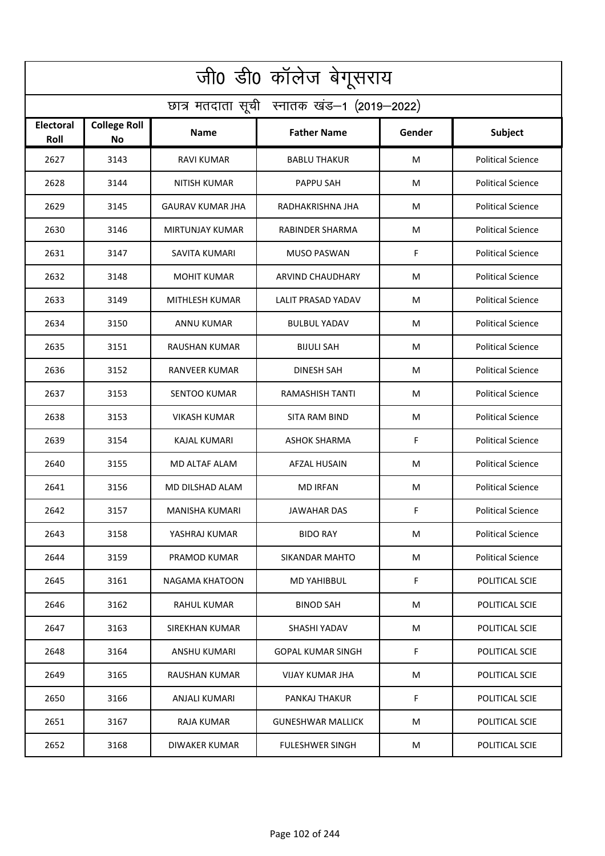| जी0 डी0 कॉलेज बेगूसराय                     |                                  |                      |                          |        |                          |  |  |  |
|--------------------------------------------|----------------------------------|----------------------|--------------------------|--------|--------------------------|--|--|--|
| छात्र मतदाता सूची स्नातक खंड-1 (2019-2022) |                                  |                      |                          |        |                          |  |  |  |
| <b>Electoral</b><br>Roll                   | <b>College Roll</b><br><b>No</b> | Name                 | <b>Father Name</b>       | Gender | Subject                  |  |  |  |
| 2627                                       | 3143                             | RAVI KUMAR           | <b>BABLU THAKUR</b>      | M      | <b>Political Science</b> |  |  |  |
| 2628                                       | 3144                             | NITISH KUMAR         | PAPPU SAH                | М      | <b>Political Science</b> |  |  |  |
| 2629                                       | 3145                             | GAURAV KUMAR JHA     | RADHAKRISHNA JHA         | M      | <b>Political Science</b> |  |  |  |
| 2630                                       | 3146                             | MIRTUNJAY KUMAR      | RABINDER SHARMA          | М      | <b>Political Science</b> |  |  |  |
| 2631                                       | 3147                             | SAVITA KUMARI        | <b>MUSO PASWAN</b>       | F      | <b>Political Science</b> |  |  |  |
| 2632                                       | 3148                             | <b>MOHIT KUMAR</b>   | <b>ARVIND CHAUDHARY</b>  | M      | <b>Political Science</b> |  |  |  |
| 2633                                       | 3149                             | MITHLESH KUMAR       | LALIT PRASAD YADAV       | м      | <b>Political Science</b> |  |  |  |
| 2634                                       | 3150                             | <b>ANNU KUMAR</b>    | <b>BULBUL YADAV</b>      | м      | <b>Political Science</b> |  |  |  |
| 2635                                       | 3151                             | <b>RAUSHAN KUMAR</b> | <b>BIJULI SAH</b>        | M      | <b>Political Science</b> |  |  |  |
| 2636                                       | 3152                             | RANVEER KUMAR        | DINESH SAH               | м      | <b>Political Science</b> |  |  |  |
| 2637                                       | 3153                             | <b>SENTOO KUMAR</b>  | RAMASHISH TANTI          | М      | <b>Political Science</b> |  |  |  |
| 2638                                       | 3153                             | VIKASH KUMAR         | <b>SITA RAM BIND</b>     | М      | <b>Political Science</b> |  |  |  |
| 2639                                       | 3154                             | KAJAL KUMARI         | ASHOK SHARMA             | F      | <b>Political Science</b> |  |  |  |
| 2640                                       | 3155                             | MD ALTAF ALAM        | <b>AFZAL HUSAIN</b>      | M      | <b>Political Science</b> |  |  |  |
| 2641                                       | 3156                             | MD DILSHAD ALAM      | <b>MD IRFAN</b>          | М      | <b>Political Science</b> |  |  |  |
| 2642                                       | 3157                             | MANISHA KUMARI       | <b>JAWAHAR DAS</b>       | F      | <b>Political Science</b> |  |  |  |
| 2643                                       | 3158                             | YASHRAJ KUMAR        | <b>BIDO RAY</b>          | M      | <b>Political Science</b> |  |  |  |
| 2644                                       | 3159                             | PRAMOD KUMAR         | SIKANDAR MAHTO           | М      | <b>Political Science</b> |  |  |  |
| 2645                                       | 3161                             | NAGAMA KHATOON       | MD YAHIBBUL              | F      | POLITICAL SCIE           |  |  |  |
| 2646                                       | 3162                             | <b>RAHUL KUMAR</b>   | <b>BINOD SAH</b>         | М      | POLITICAL SCIE           |  |  |  |
| 2647                                       | 3163                             | SIREKHAN KUMAR       | SHASHI YADAV             | М      | POLITICAL SCIE           |  |  |  |
| 2648                                       | 3164                             | ANSHU KUMARI         | <b>GOPAL KUMAR SINGH</b> | F      | POLITICAL SCIE           |  |  |  |
| 2649                                       | 3165                             | RAUSHAN KUMAR        | VIJAY KUMAR JHA          | М      | POLITICAL SCIE           |  |  |  |
| 2650                                       | 3166                             | ANJALI KUMARI        | PANKAJ THAKUR            | F      | POLITICAL SCIE           |  |  |  |
| 2651                                       | 3167                             | RAJA KUMAR           | <b>GUNESHWAR MALLICK</b> | М      | POLITICAL SCIE           |  |  |  |
| 2652                                       | 3168                             | DIWAKER KUMAR        | <b>FULESHWER SINGH</b>   | м      | POLITICAL SCIE           |  |  |  |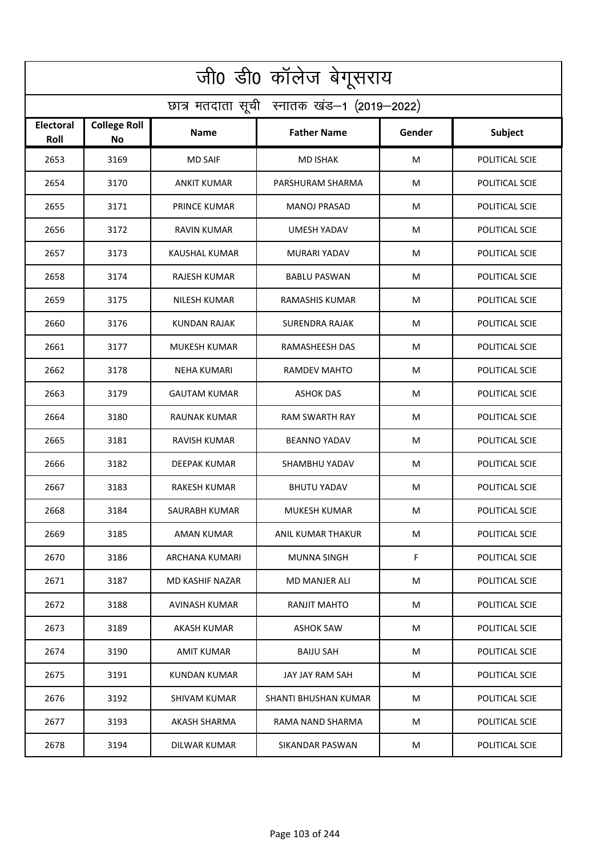| जी0 डी0 कॉलेज बेगूसराय                     |                           |                      |                       |        |                |  |  |  |
|--------------------------------------------|---------------------------|----------------------|-----------------------|--------|----------------|--|--|--|
| छात्र मतदाता सूची स्नातक खंड-1 (2019-2022) |                           |                      |                       |        |                |  |  |  |
| <b>Electoral</b><br>Roll                   | <b>College Roll</b><br>No | Name                 | <b>Father Name</b>    | Gender | <b>Subject</b> |  |  |  |
| 2653                                       | 3169                      | <b>MD SAIF</b>       | <b>MD ISHAK</b>       | M      | POLITICAL SCIE |  |  |  |
| 2654                                       | 3170                      | <b>ANKIT KUMAR</b>   | PARSHURAM SHARMA      | M      | POLITICAL SCIE |  |  |  |
| 2655                                       | 3171                      | <b>PRINCE KUMAR</b>  | <b>MANOJ PRASAD</b>   | M      | POLITICAL SCIE |  |  |  |
| 2656                                       | 3172                      | <b>RAVIN KUMAR</b>   | <b>UMESH YADAV</b>    | M      | POLITICAL SCIE |  |  |  |
| 2657                                       | 3173                      | <b>KAUSHAL KUMAR</b> | <b>MURARI YADAV</b>   | M      | POLITICAL SCIE |  |  |  |
| 2658                                       | 3174                      | <b>RAJESH KUMAR</b>  | <b>BABLU PASWAN</b>   | M      | POLITICAL SCIE |  |  |  |
| 2659                                       | 3175                      | <b>NILESH KUMAR</b>  | <b>RAMASHIS KUMAR</b> | M      | POLITICAL SCIE |  |  |  |
| 2660                                       | 3176                      | KUNDAN RAJAK         | <b>SURENDRA RAJAK</b> | M      | POLITICAL SCIE |  |  |  |
| 2661                                       | 3177                      | <b>MUKESH KUMAR</b>  | RAMASHEESH DAS        | M      | POLITICAL SCIE |  |  |  |
| 2662                                       | 3178                      | NEHA KUMARI          | RAMDEV MAHTO          | M      | POLITICAL SCIE |  |  |  |
| 2663                                       | 3179                      | <b>GAUTAM KUMAR</b>  | <b>ASHOK DAS</b>      | M      | POLITICAL SCIE |  |  |  |
| 2664                                       | 3180                      | RAUNAK KUMAR         | <b>RAM SWARTH RAY</b> | M      | POLITICAL SCIE |  |  |  |
| 2665                                       | 3181                      | RAVISH KUMAR         | <b>BEANNO YADAV</b>   | M      | POLITICAL SCIE |  |  |  |
| 2666                                       | 3182                      | <b>DEEPAK KUMAR</b>  | SHAMBHU YADAV         | M      | POLITICAL SCIE |  |  |  |
| 2667                                       | 3183                      | RAKESH KUMAR         | <b>BHUTU YADAV</b>    | M      | POLITICAL SCIE |  |  |  |
| 2668                                       | 3184                      | SAURABH KUMAR        | MUKESH KUMAR          | M      | POLITICAL SCIE |  |  |  |
| 2669                                       | 3185                      | AMAN KUMAR           | ANIL KUMAR THAKUR     | M      | POLITICAL SCIE |  |  |  |
| 2670                                       | 3186                      | ARCHANA KUMARI       | <b>MUNNA SINGH</b>    | F.     | POLITICAL SCIE |  |  |  |
| 2671                                       | 3187                      | MD KASHIF NAZAR      | <b>MD MANJER ALI</b>  | M      | POLITICAL SCIE |  |  |  |
| 2672                                       | 3188                      | AVINASH KUMAR        | RANJIT MAHTO          | M      | POLITICAL SCIE |  |  |  |
| 2673                                       | 3189                      | AKASH KUMAR          | <b>ASHOK SAW</b>      | M      | POLITICAL SCIE |  |  |  |
| 2674                                       | 3190                      | AMIT KUMAR           | <b>BAIJU SAH</b>      | M      | POLITICAL SCIE |  |  |  |
| 2675                                       | 3191                      | KUNDAN KUMAR         | JAY JAY RAM SAH       | M      | POLITICAL SCIE |  |  |  |
| 2676                                       | 3192                      | SHIVAM KUMAR         | SHANTI BHUSHAN KUMAR  | M      | POLITICAL SCIE |  |  |  |
| 2677                                       | 3193                      | AKASH SHARMA         | RAMA NAND SHARMA      | M      | POLITICAL SCIE |  |  |  |
| 2678                                       | 3194                      | DILWAR KUMAR         | SIKANDAR PASWAN       | M      | POLITICAL SCIE |  |  |  |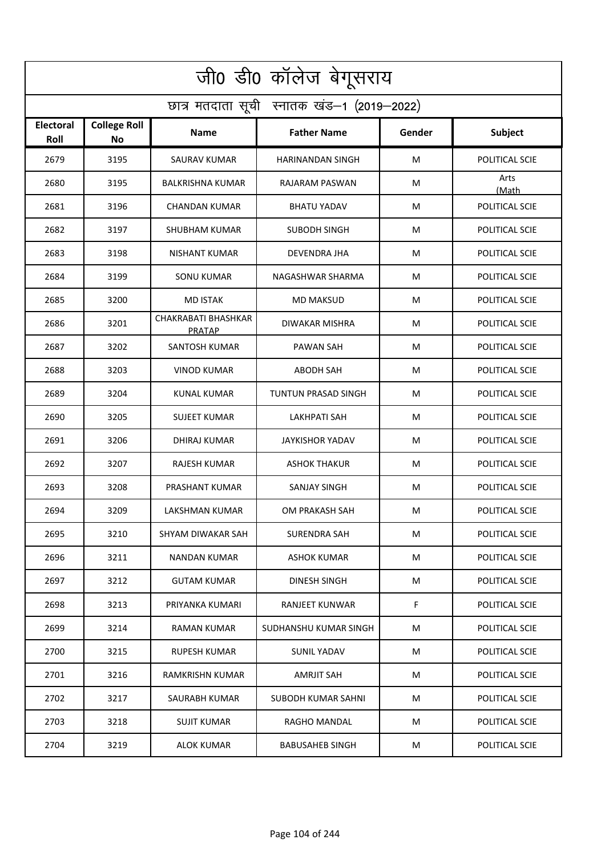| जी0 डी0 कॉलेज बेगूसराय                     |                                  |                                      |                         |        |                |  |  |  |
|--------------------------------------------|----------------------------------|--------------------------------------|-------------------------|--------|----------------|--|--|--|
| छात्र मतदाता सूची स्नातक खंड-1 (2019-2022) |                                  |                                      |                         |        |                |  |  |  |
| <b>Electoral</b><br>Roll                   | <b>College Roll</b><br><b>No</b> | <b>Name</b>                          | <b>Father Name</b>      | Gender | Subject        |  |  |  |
| 2679                                       | 3195                             | SAURAV KUMAR                         | <b>HARINANDAN SINGH</b> | M      | POLITICAL SCIE |  |  |  |
| 2680                                       | 3195                             | <b>BALKRISHNA KUMAR</b>              | RAJARAM PASWAN          | M      | Arts<br>(Math  |  |  |  |
| 2681                                       | 3196                             | <b>CHANDAN KUMAR</b>                 | <b>BHATU YADAV</b>      | M      | POLITICAL SCIE |  |  |  |
| 2682                                       | 3197                             | <b>SHUBHAM KUMAR</b>                 | <b>SUBODH SINGH</b>     | M      | POLITICAL SCIE |  |  |  |
| 2683                                       | 3198                             | <b>NISHANT KUMAR</b>                 | <b>DEVENDRA JHA</b>     | M      | POLITICAL SCIE |  |  |  |
| 2684                                       | 3199                             | <b>SONU KUMAR</b>                    | NAGASHWAR SHARMA        | M      | POLITICAL SCIE |  |  |  |
| 2685                                       | 3200                             | <b>MD ISTAK</b>                      | <b>MD MAKSUD</b>        | M      | POLITICAL SCIE |  |  |  |
| 2686                                       | 3201                             | CHAKRABATI BHASHKAR<br><b>PRATAP</b> | DIWAKAR MISHRA          | M      | POLITICAL SCIE |  |  |  |
| 2687                                       | 3202                             | SANTOSH KUMAR                        | <b>PAWAN SAH</b>        | M      | POLITICAL SCIE |  |  |  |
| 2688                                       | 3203                             | VINOD KUMAR                          | <b>ABODH SAH</b>        | M      | POLITICAL SCIE |  |  |  |
| 2689                                       | 3204                             | KUNAL KUMAR                          | TUNTUN PRASAD SINGH     | M      | POLITICAL SCIE |  |  |  |
| 2690                                       | 3205                             | <b>SUJEET KUMAR</b>                  | <b>LAKHPATI SAH</b>     | M      | POLITICAL SCIE |  |  |  |
| 2691                                       | 3206                             | DHIRAJ KUMAR                         | <b>JAYKISHOR YADAV</b>  | M      | POLITICAL SCIE |  |  |  |
| 2692                                       | 3207                             | RAJESH KUMAR                         | <b>ASHOK THAKUR</b>     | M      | POLITICAL SCIE |  |  |  |
| 2693                                       | 3208                             | PRASHANT KUMAR                       | SANJAY SINGH            | M      | POLITICAL SCIE |  |  |  |
| 2694                                       | 3209                             | LAKSHMAN KUMAR                       | OM PRAKASH SAH          | M      | POLITICAL SCIE |  |  |  |
| 2695                                       | 3210                             | SHYAM DIWAKAR SAH                    | SURENDRA SAH            | М      | POLITICAL SCIE |  |  |  |
| 2696                                       | 3211                             | <b>NANDAN KUMAR</b>                  | ASHOK KUMAR             | M      | POLITICAL SCIE |  |  |  |
| 2697                                       | 3212                             | <b>GUTAM KUMAR</b>                   | DINESH SINGH            | М      | POLITICAL SCIE |  |  |  |
| 2698                                       | 3213                             | PRIYANKA KUMARI                      | RANJEET KUNWAR          | F      | POLITICAL SCIE |  |  |  |
| 2699                                       | 3214                             | <b>RAMAN KUMAR</b>                   | SUDHANSHU KUMAR SINGH   | M      | POLITICAL SCIE |  |  |  |
| 2700                                       | 3215                             | RUPESH KUMAR                         | SUNIL YADAV             | М      | POLITICAL SCIE |  |  |  |
| 2701                                       | 3216                             | RAMKRISHN KUMAR                      | <b>AMRJIT SAH</b>       | М      | POLITICAL SCIE |  |  |  |
| 2702                                       | 3217                             | SAURABH KUMAR                        | SUBODH KUMAR SAHNI      | М      | POLITICAL SCIE |  |  |  |
| 2703                                       | 3218                             | SUJIT KUMAR                          | RAGHO MANDAL            | М      | POLITICAL SCIE |  |  |  |
| 2704                                       | 3219                             | <b>ALOK KUMAR</b>                    | <b>BABUSAHEB SINGH</b>  | M      | POLITICAL SCIE |  |  |  |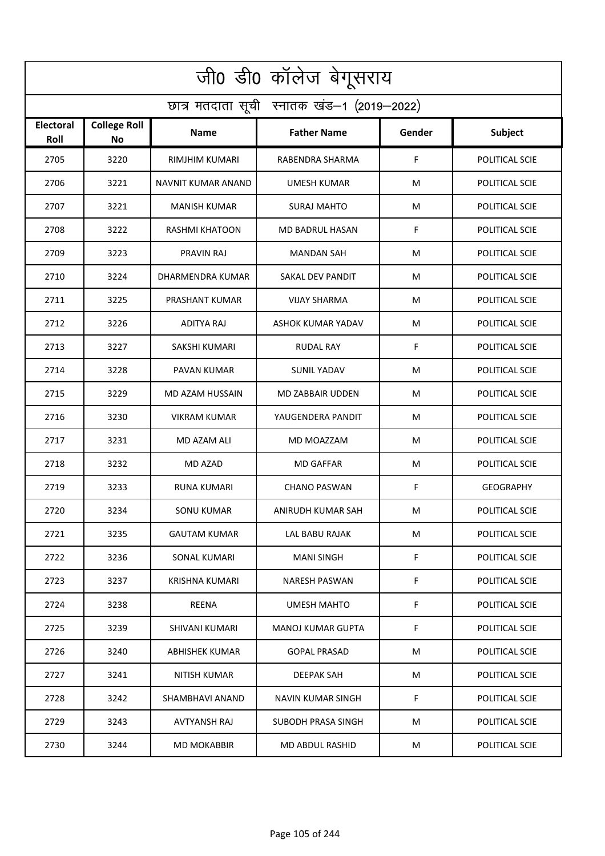| जी0 डी0 कॉलेज बेगूसराय                     |                           |                       |                        |        |                  |  |  |  |
|--------------------------------------------|---------------------------|-----------------------|------------------------|--------|------------------|--|--|--|
| छात्र मतदाता सूची स्नातक खंड-1 (2019-2022) |                           |                       |                        |        |                  |  |  |  |
| <b>Electoral</b><br>Roll                   | <b>College Roll</b><br>No | Name                  | <b>Father Name</b>     | Gender | Subject          |  |  |  |
| 2705                                       | 3220                      | RIMJHIM KUMARI        | RABENDRA SHARMA        | F      | POLITICAL SCIE   |  |  |  |
| 2706                                       | 3221                      | NAVNIT KUMAR ANAND    | <b>UMESH KUMAR</b>     | M      | POLITICAL SCIE   |  |  |  |
| 2707                                       | 3221                      | <b>MANISH KUMAR</b>   | SURAJ MAHTO            | M      | POLITICAL SCIE   |  |  |  |
| 2708                                       | 3222                      | <b>RASHMI KHATOON</b> | <b>MD BADRUL HASAN</b> | F      | POLITICAL SCIE   |  |  |  |
| 2709                                       | 3223                      | PRAVIN RAJ            | <b>MANDAN SAH</b>      | M      | POLITICAL SCIE   |  |  |  |
| 2710                                       | 3224                      | DHARMENDRA KUMAR      | SAKAL DEV PANDIT       | M      | POLITICAL SCIE   |  |  |  |
| 2711                                       | 3225                      | PRASHANT KUMAR        | <b>VIJAY SHARMA</b>    | M      | POLITICAL SCIE   |  |  |  |
| 2712                                       | 3226                      | ADITYA RAJ            | ASHOK KUMAR YADAV      | M      | POLITICAL SCIE   |  |  |  |
| 2713                                       | 3227                      | <b>SAKSHI KUMARI</b>  | <b>RUDAL RAY</b>       | F      | POLITICAL SCIE   |  |  |  |
| 2714                                       | 3228                      | PAVAN KUMAR           | <b>SUNIL YADAV</b>     | M      | POLITICAL SCIE   |  |  |  |
| 2715                                       | 3229                      | MD AZAM HUSSAIN       | MD ZABBAIR UDDEN       | M      | POLITICAL SCIE   |  |  |  |
| 2716                                       | 3230                      | <b>VIKRAM KUMAR</b>   | YAUGENDERA PANDIT      | M      | POLITICAL SCIE   |  |  |  |
| 2717                                       | 3231                      | MD AZAM ALI           | MD MOAZZAM             | M      | POLITICAL SCIE   |  |  |  |
| 2718                                       | 3232                      | MD AZAD               | <b>MD GAFFAR</b>       | М      | POLITICAL SCIE   |  |  |  |
| 2719                                       | 3233                      | <b>RUNA KUMARI</b>    | <b>CHANO PASWAN</b>    | F      | <b>GEOGRAPHY</b> |  |  |  |
| 2720                                       | 3234                      | <b>SONU KUMAR</b>     | ANIRUDH KUMAR SAH      | M      | POLITICAL SCIE   |  |  |  |
| 2721                                       | 3235                      | <b>GAUTAM KUMAR</b>   | LAL BABU RAJAK         | M      | POLITICAL SCIE   |  |  |  |
| 2722                                       | 3236                      | <b>SONAL KUMARI</b>   | <b>MANI SINGH</b>      | F.     | POLITICAL SCIE   |  |  |  |
| 2723                                       | 3237                      | KRISHNA KUMARI        | NARESH PASWAN          | F.     | POLITICAL SCIE   |  |  |  |
| 2724                                       | 3238                      | REENA                 | UMESH MAHTO            | F      | POLITICAL SCIE   |  |  |  |
| 2725                                       | 3239                      | SHIVANI KUMARI        | MANOJ KUMAR GUPTA      | F      | POLITICAL SCIE   |  |  |  |
| 2726                                       | 3240                      | ABHISHEK KUMAR        | <b>GOPAL PRASAD</b>    | M      | POLITICAL SCIE   |  |  |  |
| 2727                                       | 3241                      | NITISH KUMAR          | <b>DEEPAK SAH</b>      | M      | POLITICAL SCIE   |  |  |  |
| 2728                                       | 3242                      | SHAMBHAVI ANAND       | NAVIN KUMAR SINGH      | F.     | POLITICAL SCIE   |  |  |  |
| 2729                                       | 3243                      | AVTYANSH RAJ          | SUBODH PRASA SINGH     | M      | POLITICAL SCIE   |  |  |  |
| 2730                                       | 3244                      | <b>MD MOKABBIR</b>    | MD ABDUL RASHID        | M      | POLITICAL SCIE   |  |  |  |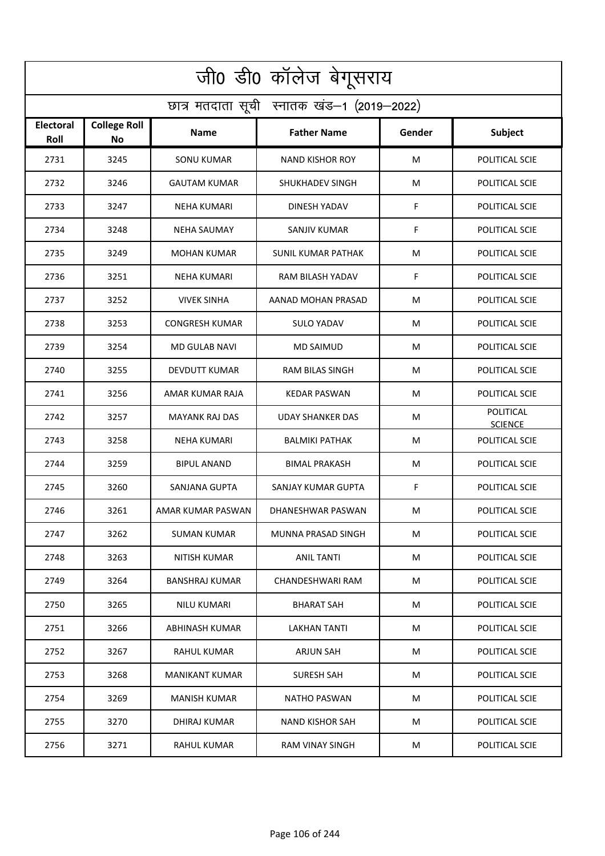| जी0 डी0 कॉलेज बेगूसराय                     |                           |                       |                           |        |                             |  |  |  |
|--------------------------------------------|---------------------------|-----------------------|---------------------------|--------|-----------------------------|--|--|--|
| छात्र मतदाता सूची स्नातक खंड-1 (2019-2022) |                           |                       |                           |        |                             |  |  |  |
| <b>Electoral</b><br>Roll                   | <b>College Roll</b><br>No | Name                  | <b>Father Name</b>        | Gender | Subject                     |  |  |  |
| 2731                                       | 3245                      | <b>SONU KUMAR</b>     | <b>NAND KISHOR ROY</b>    | M      | POLITICAL SCIE              |  |  |  |
| 2732                                       | 3246                      | <b>GAUTAM KUMAR</b>   | SHUKHADEV SINGH           | M      | POLITICAL SCIE              |  |  |  |
| 2733                                       | 3247                      | NEHA KUMARI           | DINESH YADAV              | F      | POLITICAL SCIE              |  |  |  |
| 2734                                       | 3248                      | <b>NEHA SAUMAY</b>    | <b>SANJIV KUMAR</b>       | F      | POLITICAL SCIE              |  |  |  |
| 2735                                       | 3249                      | <b>MOHAN KUMAR</b>    | <b>SUNIL KUMAR PATHAK</b> | M      | POLITICAL SCIE              |  |  |  |
| 2736                                       | 3251                      | <b>NEHA KUMARI</b>    | RAM BILASH YADAV          | F      | POLITICAL SCIE              |  |  |  |
| 2737                                       | 3252                      | <b>VIVEK SINHA</b>    | AANAD MOHAN PRASAD        | M      | POLITICAL SCIE              |  |  |  |
| 2738                                       | 3253                      | <b>CONGRESH KUMAR</b> | <b>SULO YADAV</b>         | M      | POLITICAL SCIE              |  |  |  |
| 2739                                       | 3254                      | <b>MD GULAB NAVI</b>  | <b>MD SAIMUD</b>          | M      | POLITICAL SCIE              |  |  |  |
| 2740                                       | 3255                      | <b>DEVDUTT KUMAR</b>  | <b>RAM BILAS SINGH</b>    | M      | POLITICAL SCIE              |  |  |  |
| 2741                                       | 3256                      | AMAR KUMAR RAJA       | <b>KEDAR PASWAN</b>       | M      | POLITICAL SCIE              |  |  |  |
| 2742                                       | 3257                      | <b>MAYANK RAJ DAS</b> | UDAY SHANKER DAS          | M      | POLITICAL<br><b>SCIENCE</b> |  |  |  |
| 2743                                       | 3258                      | NEHA KUMARI           | <b>BALMIKI PATHAK</b>     | M      | POLITICAL SCIE              |  |  |  |
| 2744                                       | 3259                      | <b>BIPUL ANAND</b>    | <b>BIMAL PRAKASH</b>      | M      | POLITICAL SCIE              |  |  |  |
| 2745                                       | 3260                      | SANJANA GUPTA         | SANJAY KUMAR GUPTA        | F      | POLITICAL SCIE              |  |  |  |
| 2746                                       | 3261                      | AMAR KUMAR PASWAN     | DHANESHWAR PASWAN         | M      | POLITICAL SCIE              |  |  |  |
| 2747                                       | 3262                      | SUMAN KUMAR           | MUNNA PRASAD SINGH        | M      | POLITICAL SCIE              |  |  |  |
| 2748                                       | 3263                      | NITISH KUMAR          | <b>ANIL TANTI</b>         | M      | POLITICAL SCIE              |  |  |  |
| 2749                                       | 3264                      | BANSHRAJ KUMAR        | CHANDESHWARI RAM          | M      | POLITICAL SCIE              |  |  |  |
| 2750                                       | 3265                      | NILU KUMARI           | BHARAT SAH                | M      | POLITICAL SCIE              |  |  |  |
| 2751                                       | 3266                      | ABHINASH KUMAR        | LAKHAN TANTI              | M      | POLITICAL SCIE              |  |  |  |
| 2752                                       | 3267                      | RAHUL KUMAR           | ARJUN SAH                 | M      | POLITICAL SCIE              |  |  |  |
| 2753                                       | 3268                      | <b>MANIKANT KUMAR</b> | <b>SURESH SAH</b>         | M      | POLITICAL SCIE              |  |  |  |
| 2754                                       | 3269                      | <b>MANISH KUMAR</b>   | NATHO PASWAN              | M      | POLITICAL SCIE              |  |  |  |
| 2755                                       | 3270                      | DHIRAJ KUMAR          | NAND KISHOR SAH           | M      | POLITICAL SCIE              |  |  |  |
| 2756                                       | 3271                      | RAHUL KUMAR           | RAM VINAY SINGH           | M      | POLITICAL SCIE              |  |  |  |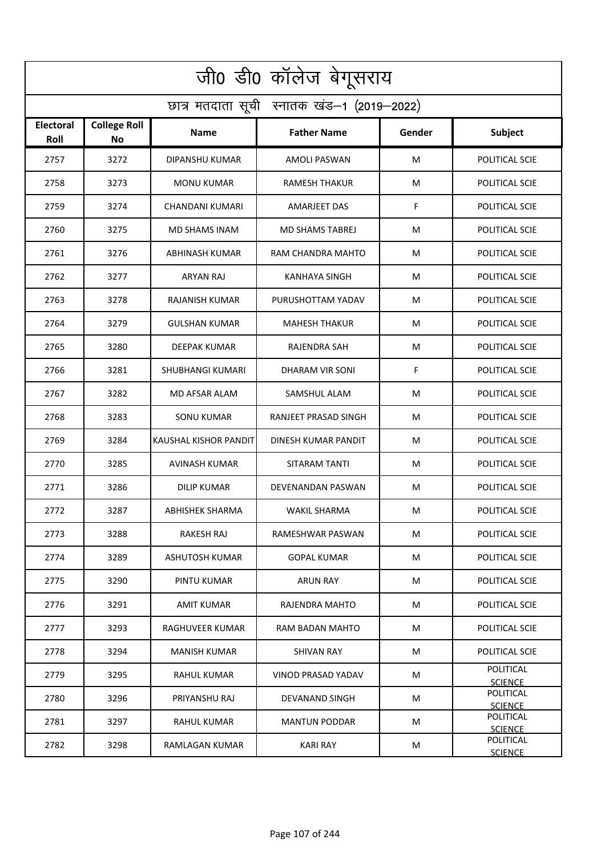| जी0 डी0 कॉलेज बेगूसराय                     |                           |                        |                           |        |                             |  |  |  |
|--------------------------------------------|---------------------------|------------------------|---------------------------|--------|-----------------------------|--|--|--|
| छात्र मतदाता सूची स्नातक खंड-1 (2019-2022) |                           |                        |                           |        |                             |  |  |  |
| <b>Electoral</b><br>Roll                   | <b>College Roll</b><br>No | Name                   | <b>Father Name</b>        | Gender | Subject                     |  |  |  |
| 2757                                       | 3272                      | DIPANSHU KUMAR         | <b>AMOLI PASWAN</b>       | M      | POLITICAL SCIE              |  |  |  |
| 2758                                       | 3273                      | <b>MONU KUMAR</b>      | <b>RAMESH THAKUR</b>      | M      | POLITICAL SCIE              |  |  |  |
| 2759                                       | 3274                      | CHANDANI KUMARI        | AMARJEET DAS              | F      | POLITICAL SCIE              |  |  |  |
| 2760                                       | 3275                      | <b>MD SHAMS INAM</b>   | <b>MD SHAMS TABREJ</b>    | M      | POLITICAL SCIE              |  |  |  |
| 2761                                       | 3276                      | <b>ABHINASH KUMAR</b>  | RAM CHANDRA MAHTO         | M      | POLITICAL SCIE              |  |  |  |
| 2762                                       | 3277                      | ARYAN RAJ              | <b>KANHAYA SINGH</b>      | M      | POLITICAL SCIE              |  |  |  |
| 2763                                       | 3278                      | <b>RAJANISH KUMAR</b>  | PURUSHOTTAM YADAV         | M      | POLITICAL SCIE              |  |  |  |
| 2764                                       | 3279                      | <b>GULSHAN KUMAR</b>   | <b>MAHESH THAKUR</b>      | M      | POLITICAL SCIE              |  |  |  |
| 2765                                       | 3280                      | <b>DEEPAK KUMAR</b>    | RAJENDRA SAH              | M      | POLITICAL SCIE              |  |  |  |
| 2766                                       | 3281                      | SHUBHANGI KUMARI       | DHARAM VIR SONI           | F      | POLITICAL SCIE              |  |  |  |
| 2767                                       | 3282                      | MD AFSAR ALAM          | SAMSHUL ALAM              | M      | POLITICAL SCIE              |  |  |  |
| 2768                                       | 3283                      | <b>SONU KUMAR</b>      | RANJEET PRASAD SINGH      | M      | POLITICAL SCIE              |  |  |  |
| 2769                                       | 3284                      | KAUSHAL KISHOR PANDIT  | DINESH KUMAR PANDIT       | M      | POLITICAL SCIE              |  |  |  |
| 2770                                       | 3285                      | <b>AVINASH KUMAR</b>   | SITARAM TANTI             | M      | POLITICAL SCIE              |  |  |  |
| 2771                                       | 3286                      | DILIP KUMAR            | DEVENANDAN PASWAN         | M      | POLITICAL SCIE              |  |  |  |
| 2772                                       | 3287                      | ABHISHEK SHARMA        | WAKIL SHARMA              | M      | POLITICAL SCIE              |  |  |  |
| 2773                                       | 3288                      | RAKESH RAJ             | RAMESHWAR PASWAN          | M      | POLITICAL SCIE              |  |  |  |
| 2774                                       | 3289                      | ASHUTOSH KUMAR         | <b>GOPAL KUMAR</b>        | M      | POLITICAL SCIE              |  |  |  |
| 2775                                       | 3290                      | PINTU KUMAR            | <b>ARUN RAY</b>           | M      | POLITICAL SCIE              |  |  |  |
| 2776                                       | 3291                      | AMIT KUMAR             | RAJENDRA MAHTO            | M      | POLITICAL SCIE              |  |  |  |
| 2777                                       | 3293                      | <b>RAGHUVEER KUMAR</b> | RAM BADAN MAHTO           | M      | POLITICAL SCIE              |  |  |  |
| 2778                                       | 3294                      | <b>MANISH KUMAR</b>    | SHIVAN RAY                | M      | POLITICAL SCIE              |  |  |  |
| 2779                                       | 3295                      | RAHUL KUMAR            | <b>VINOD PRASAD YADAV</b> | M      | POLITICAL<br><b>SCIENCE</b> |  |  |  |
| 2780                                       | 3296                      | PRIYANSHU RAJ          | DEVANAND SINGH            | M      | POLITICAL<br><b>SCIENCE</b> |  |  |  |
| 2781                                       | 3297                      | RAHUL KUMAR            | <b>MANTUN PODDAR</b>      | M      | POLITICAL<br><b>SCIENCE</b> |  |  |  |
| 2782                                       | 3298                      | RAMLAGAN KUMAR         | <b>KARI RAY</b>           | M      | POLITICAL<br><b>SCIENCE</b> |  |  |  |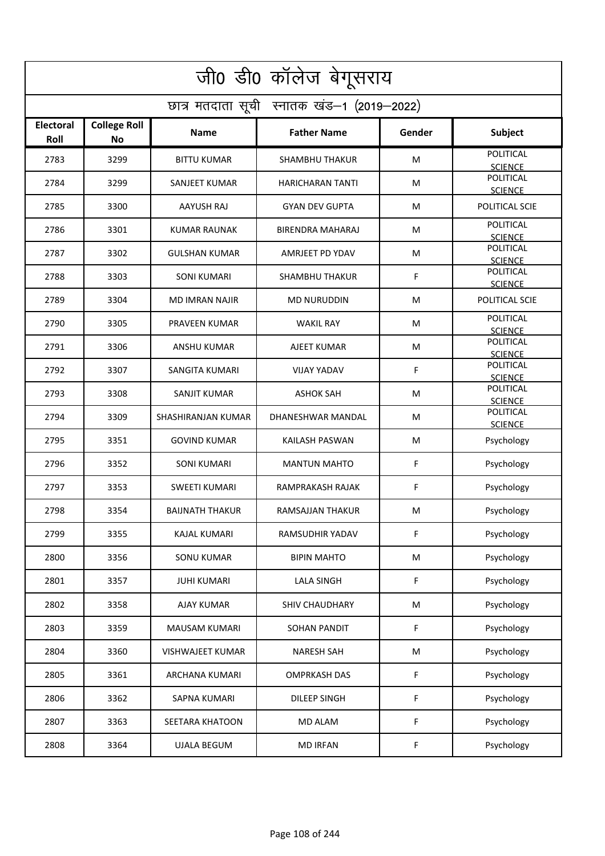| जी0 डी0 कॉलेज बेगूसराय                     |                                  |                         |                         |        |                                    |  |  |  |
|--------------------------------------------|----------------------------------|-------------------------|-------------------------|--------|------------------------------------|--|--|--|
| छात्र मतदाता सूची स्नातक खंड-1 (2019-2022) |                                  |                         |                         |        |                                    |  |  |  |
| <b>Electoral</b><br>Roll                   | <b>College Roll</b><br><b>No</b> | <b>Name</b>             | <b>Father Name</b>      | Gender | Subject                            |  |  |  |
| 2783                                       | 3299                             | <b>BITTU KUMAR</b>      | <b>SHAMBHU THAKUR</b>   | M      | POLITICAL<br><b>SCIENCE</b>        |  |  |  |
| 2784                                       | 3299                             | SANJEET KUMAR           | <b>HARICHARAN TANTI</b> | М      | POLITICAL<br><b>SCIENCE</b>        |  |  |  |
| 2785                                       | 3300                             | AAYUSH RAJ              | <b>GYAN DEV GUPTA</b>   | М      | POLITICAL SCIE                     |  |  |  |
| 2786                                       | 3301                             | <b>KUMAR RAUNAK</b>     | <b>BIRENDRA MAHARAJ</b> | М      | <b>POLITICAL</b><br><b>SCIENCE</b> |  |  |  |
| 2787                                       | 3302                             | <b>GULSHAN KUMAR</b>    | AMRJEET PD YDAV         | M      | <b>POLITICAL</b><br><b>SCIENCE</b> |  |  |  |
| 2788                                       | 3303                             | <b>SONI KUMARI</b>      | <b>SHAMBHU THAKUR</b>   | F      | <b>POLITICAL</b><br><b>SCIENCE</b> |  |  |  |
| 2789                                       | 3304                             | <b>MD IMRAN NAJIR</b>   | <b>MD NURUDDIN</b>      | M      | POLITICAL SCIE                     |  |  |  |
| 2790                                       | 3305                             | PRAVEEN KUMAR           | <b>WAKIL RAY</b>        | M      | POLITICAL<br><b>SCIENCE</b>        |  |  |  |
| 2791                                       | 3306                             | <b>ANSHU KUMAR</b>      | AJEET KUMAR             | M      | POLITICAL<br><b>SCIENCE</b>        |  |  |  |
| 2792                                       | 3307                             | SANGITA KUMARI          | VIJAY YADAV             | F      | POLITICAL<br><b>SCIENCE</b>        |  |  |  |
| 2793                                       | 3308                             | <b>SANJIT KUMAR</b>     | <b>ASHOK SAH</b>        | M      | POLITICAL<br><b>SCIENCE</b>        |  |  |  |
| 2794                                       | 3309                             | SHASHIRANJAN KUMAR      | DHANESHWAR MANDAL       | M      | POLITICAL<br><b>SCIENCE</b>        |  |  |  |
| 2795                                       | 3351                             | <b>GOVIND KUMAR</b>     | KAILASH PASWAN          | M      | Psychology                         |  |  |  |
| 2796                                       | 3352                             | <b>SONI KUMARI</b>      | <b>MANTUN MAHTO</b>     | F      | Psychology                         |  |  |  |
| 2797                                       | 3353                             | <b>SWEETI KUMARI</b>    | RAMPRAKASH RAJAK        | F      | Psychology                         |  |  |  |
| 2798                                       | 3354                             | <b>BAIJNATH THAKUR</b>  | RAMSAJJAN THAKUR        | M      | Psychology                         |  |  |  |
| 2799                                       | 3355                             | KAJAL KUMARI            | RAMSUDHIR YADAV         | F      | Psychology                         |  |  |  |
| 2800                                       | 3356                             | <b>SONU KUMAR</b>       | <b>BIPIN MAHTO</b>      | M      | Psychology                         |  |  |  |
| 2801                                       | 3357                             | <b>JUHI KUMARI</b>      | <b>LALA SINGH</b>       | F      | Psychology                         |  |  |  |
| 2802                                       | 3358                             | AJAY KUMAR              | SHIV CHAUDHARY          | M      | Psychology                         |  |  |  |
| 2803                                       | 3359                             | <b>MAUSAM KUMARI</b>    | SOHAN PANDIT            | F      | Psychology                         |  |  |  |
| 2804                                       | 3360                             | <b>VISHWAJEET KUMAR</b> | <b>NARESH SAH</b>       | M      | Psychology                         |  |  |  |
| 2805                                       | 3361                             | ARCHANA KUMARI          | <b>OMPRKASH DAS</b>     | F      | Psychology                         |  |  |  |
| 2806                                       | 3362                             | <b>SAPNA KUMARI</b>     | DILEEP SINGH            | F      | Psychology                         |  |  |  |
| 2807                                       | 3363                             | SEETARA KHATOON         | MD ALAM                 | F      | Psychology                         |  |  |  |
| 2808                                       | 3364                             | <b>UJALA BEGUM</b>      | <b>MD IRFAN</b>         | F      | Psychology                         |  |  |  |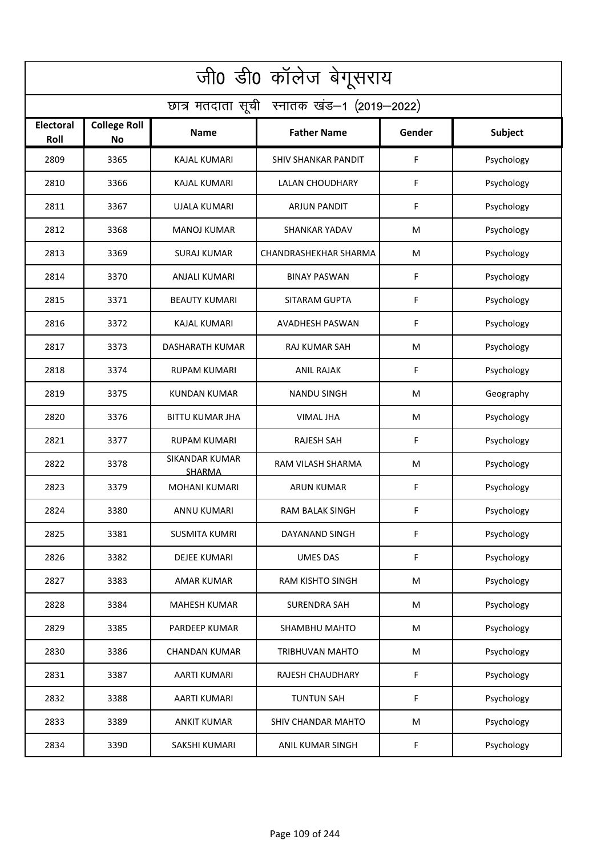| जी0 डी0 कॉलेज बेगूसराय                     |                           |                                        |                            |        |                |  |  |  |
|--------------------------------------------|---------------------------|----------------------------------------|----------------------------|--------|----------------|--|--|--|
| छात्र मतदाता सूची स्नातक खंड-1 (2019-2022) |                           |                                        |                            |        |                |  |  |  |
| <b>Electoral</b><br>Roll                   | <b>College Roll</b><br>No | <b>Name</b>                            | <b>Father Name</b>         | Gender | <b>Subject</b> |  |  |  |
| 2809                                       | 3365                      | <b>KAJAL KUMARI</b>                    | <b>SHIV SHANKAR PANDIT</b> | F      | Psychology     |  |  |  |
| 2810                                       | 3366                      | <b>KAJAL KUMARI</b>                    | <b>LALAN CHOUDHARY</b>     | F      | Psychology     |  |  |  |
| 2811                                       | 3367                      | <b>UJALA KUMARI</b>                    | <b>ARJUN PANDIT</b>        | F      | Psychology     |  |  |  |
| 2812                                       | 3368                      | <b>MANOJ KUMAR</b>                     | <b>SHANKAR YADAV</b>       | M      | Psychology     |  |  |  |
| 2813                                       | 3369                      | <b>SURAJ KUMAR</b>                     | CHANDRASHEKHAR SHARMA      | M      | Psychology     |  |  |  |
| 2814                                       | 3370                      | <b>ANJALI KUMARI</b>                   | <b>BINAY PASWAN</b>        | F      | Psychology     |  |  |  |
| 2815                                       | 3371                      | <b>BEAUTY KUMARI</b>                   | SITARAM GUPTA              | F      | Psychology     |  |  |  |
| 2816                                       | 3372                      | <b>KAJAL KUMARI</b>                    | AVADHESH PASWAN            | F      | Psychology     |  |  |  |
| 2817                                       | 3373                      | DASHARATH KUMAR                        | <b>RAJ KUMAR SAH</b>       | M      | Psychology     |  |  |  |
| 2818                                       | 3374                      | <b>RUPAM KUMARI</b>                    | <b>ANIL RAJAK</b>          | F      | Psychology     |  |  |  |
| 2819                                       | 3375                      | <b>KUNDAN KUMAR</b>                    | <b>NANDU SINGH</b>         | M      | Geography      |  |  |  |
| 2820                                       | 3376                      | <b>BITTU KUMAR JHA</b>                 | <b>VIMAL JHA</b>           | M      | Psychology     |  |  |  |
| 2821                                       | 3377                      | RUPAM KUMARI                           | <b>RAJESH SAH</b>          | F      | Psychology     |  |  |  |
| 2822                                       | 3378                      | <b>SIKANDAR KUMAR</b><br><b>SHARMA</b> | RAM VILASH SHARMA          | M      | Psychology     |  |  |  |
| 2823                                       | 3379                      | <b>MOHANI KUMARI</b>                   | ARUN KUMAR                 | F      | Psychology     |  |  |  |
| 2824                                       | 3380                      | ANNU KUMARI                            | <b>RAM BALAK SINGH</b>     | F      | Psychology     |  |  |  |
| 2825                                       | 3381                      | <b>SUSMITA KUMRI</b>                   | DAYANAND SINGH             | F      | Psychology     |  |  |  |
| 2826                                       | 3382                      | DEJEE KUMARI                           | <b>UMES DAS</b>            | F      | Psychology     |  |  |  |
| 2827                                       | 3383                      | AMAR KUMAR                             | RAM KISHTO SINGH           | M      | Psychology     |  |  |  |
| 2828                                       | 3384                      | <b>MAHESH KUMAR</b>                    | <b>SURENDRA SAH</b>        | M      | Psychology     |  |  |  |
| 2829                                       | 3385                      | <b>PARDEEP KUMAR</b>                   | SHAMBHU MAHTO              | M      | Psychology     |  |  |  |
| 2830                                       | 3386                      | <b>CHANDAN KUMAR</b>                   | <b>TRIBHUVAN MAHTO</b>     | M      | Psychology     |  |  |  |
| 2831                                       | 3387                      | AARTI KUMARI                           | RAJESH CHAUDHARY           | F      | Psychology     |  |  |  |
| 2832                                       | 3388                      | <b>AARTI KUMARI</b>                    | <b>TUNTUN SAH</b>          | F      | Psychology     |  |  |  |
| 2833                                       | 3389                      | <b>ANKIT KUMAR</b>                     | SHIV CHANDAR MAHTO         | M      | Psychology     |  |  |  |
| 2834                                       | 3390                      | SAKSHI KUMARI                          | ANIL KUMAR SINGH           | F.     | Psychology     |  |  |  |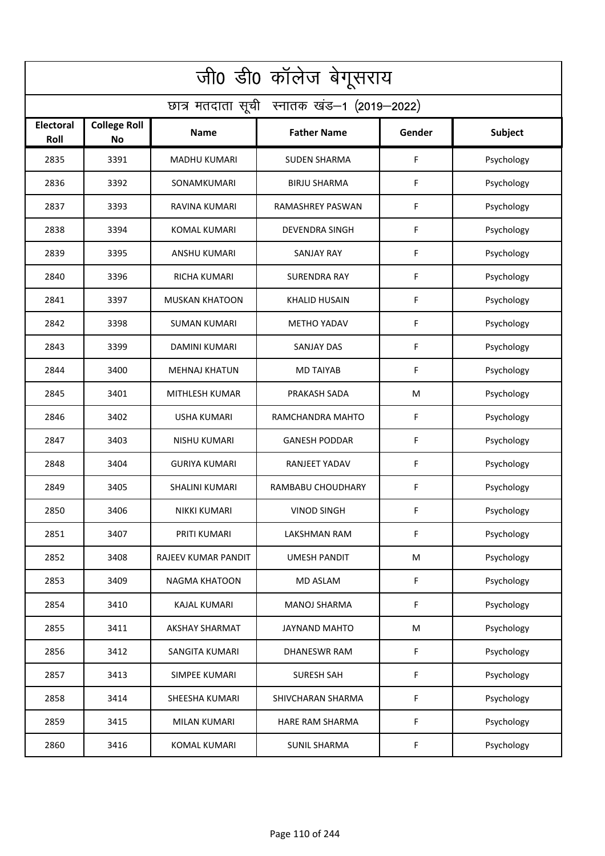| जी0 डी0 कॉलेज बेगूसराय                     |                           |                       |                       |        |                |  |  |  |
|--------------------------------------------|---------------------------|-----------------------|-----------------------|--------|----------------|--|--|--|
| छात्र मतदाता सूची स्नातक खंड-1 (2019-2022) |                           |                       |                       |        |                |  |  |  |
| Electoral<br>Roll                          | <b>College Roll</b><br>No | <b>Name</b>           | <b>Father Name</b>    | Gender | <b>Subject</b> |  |  |  |
| 2835                                       | 3391                      | <b>MADHU KUMARI</b>   | <b>SUDEN SHARMA</b>   | F      | Psychology     |  |  |  |
| 2836                                       | 3392                      | SONAMKUMARI           | <b>BIRJU SHARMA</b>   | F      | Psychology     |  |  |  |
| 2837                                       | 3393                      | RAVINA KUMARI         | RAMASHREY PASWAN      | F      | Psychology     |  |  |  |
| 2838                                       | 3394                      | <b>KOMAL KUMARI</b>   | <b>DEVENDRA SINGH</b> | F      | Psychology     |  |  |  |
| 2839                                       | 3395                      | <b>ANSHU KUMARI</b>   | <b>SANJAY RAY</b>     | F      | Psychology     |  |  |  |
| 2840                                       | 3396                      | <b>RICHA KUMARI</b>   | <b>SURENDRA RAY</b>   | F      | Psychology     |  |  |  |
| 2841                                       | 3397                      | <b>MUSKAN KHATOON</b> | <b>KHALID HUSAIN</b>  | F      | Psychology     |  |  |  |
| 2842                                       | 3398                      | <b>SUMAN KUMARI</b>   | <b>METHO YADAV</b>    | F      | Psychology     |  |  |  |
| 2843                                       | 3399                      | <b>DAMINI KUMARI</b>  | <b>SANJAY DAS</b>     | F      | Psychology     |  |  |  |
| 2844                                       | 3400                      | <b>MEHNAJ KHATUN</b>  | <b>MD TAIYAB</b>      | F      | Psychology     |  |  |  |
| 2845                                       | 3401                      | MITHLESH KUMAR        | PRAKASH SADA          | M      | Psychology     |  |  |  |
| 2846                                       | 3402                      | <b>USHA KUMARI</b>    | RAMCHANDRA MAHTO      | F      | Psychology     |  |  |  |
| 2847                                       | 3403                      | <b>NISHU KUMARI</b>   | <b>GANESH PODDAR</b>  | F      | Psychology     |  |  |  |
| 2848                                       | 3404                      | <b>GURIYA KUMARI</b>  | RANJEET YADAV         | F      | Psychology     |  |  |  |
| 2849                                       | 3405                      | SHALINI KUMARI        | RAMBABU CHOUDHARY     | F      | Psychology     |  |  |  |
| 2850                                       | 3406                      | NIKKI KUMARI          | <b>VINOD SINGH</b>    | F      | Psychology     |  |  |  |
| 2851                                       | 3407                      | PRITI KUMARI          | LAKSHMAN RAM          | F      | Psychology     |  |  |  |
| 2852                                       | 3408                      | RAJEEV KUMAR PANDIT   | UMESH PANDIT          | M      | Psychology     |  |  |  |
| 2853                                       | 3409                      | <b>NAGMA KHATOON</b>  | <b>MD ASLAM</b>       | F      | Psychology     |  |  |  |
| 2854                                       | 3410                      | KAJAL KUMARI          | <b>MANOJ SHARMA</b>   | F      | Psychology     |  |  |  |
| 2855                                       | 3411                      | <b>AKSHAY SHARMAT</b> | JAYNAND MAHTO         | M      | Psychology     |  |  |  |
| 2856                                       | 3412                      | <b>SANGITA KUMARI</b> | <b>DHANESWR RAM</b>   | F      | Psychology     |  |  |  |
| 2857                                       | 3413                      | SIMPEE KUMARI         | <b>SURESH SAH</b>     | F      | Psychology     |  |  |  |
| 2858                                       | 3414                      | SHEESHA KUMARI        | SHIVCHARAN SHARMA     | F      | Psychology     |  |  |  |
| 2859                                       | 3415                      | MILAN KUMARI          | HARE RAM SHARMA       | F      | Psychology     |  |  |  |
| 2860                                       | 3416                      | <b>KOMAL KUMARI</b>   | <b>SUNIL SHARMA</b>   | F      | Psychology     |  |  |  |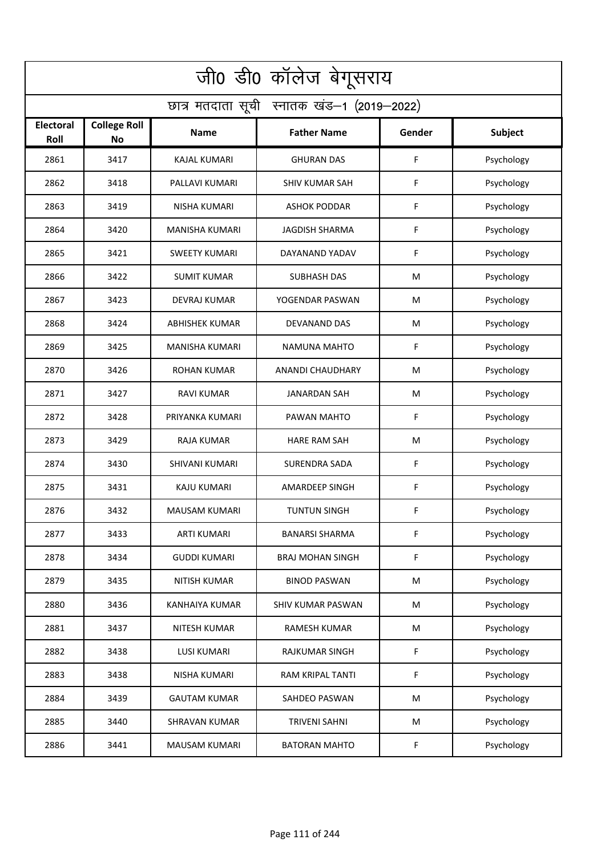| जी0 डी0 कॉलेज बेगूसराय                     |                                  |                       |                         |        |                |  |  |  |
|--------------------------------------------|----------------------------------|-----------------------|-------------------------|--------|----------------|--|--|--|
| छात्र मतदाता सूची स्नातक खंड-1 (2019-2022) |                                  |                       |                         |        |                |  |  |  |
| <b>Electoral</b><br>Roll                   | <b>College Roll</b><br><b>No</b> | Name                  | <b>Father Name</b>      | Gender | <b>Subject</b> |  |  |  |
| 2861                                       | 3417                             | <b>KAJAL KUMARI</b>   | <b>GHURAN DAS</b>       | F      | Psychology     |  |  |  |
| 2862                                       | 3418                             | PALLAVI KUMARI        | <b>SHIV KUMAR SAH</b>   | F      | Psychology     |  |  |  |
| 2863                                       | 3419                             | <b>NISHA KUMARI</b>   | <b>ASHOK PODDAR</b>     | F      | Psychology     |  |  |  |
| 2864                                       | 3420                             | <b>MANISHA KUMARI</b> | <b>JAGDISH SHARMA</b>   | F      | Psychology     |  |  |  |
| 2865                                       | 3421                             | <b>SWEETY KUMARI</b>  | DAYANAND YADAV          | F      | Psychology     |  |  |  |
| 2866                                       | 3422                             | <b>SUMIT KUMAR</b>    | <b>SUBHASH DAS</b>      | M      | Psychology     |  |  |  |
| 2867                                       | 3423                             | <b>DEVRAJ KUMAR</b>   | YOGENDAR PASWAN         | M      | Psychology     |  |  |  |
| 2868                                       | 3424                             | <b>ABHISHEK KUMAR</b> | DEVANAND DAS            | M      | Psychology     |  |  |  |
| 2869                                       | 3425                             | <b>MANISHA KUMARI</b> | <b>NAMUNA MAHTO</b>     | F      | Psychology     |  |  |  |
| 2870                                       | 3426                             | <b>ROHAN KUMAR</b>    | ANANDI CHAUDHARY        | M      | Psychology     |  |  |  |
| 2871                                       | 3427                             | <b>RAVI KUMAR</b>     | <b>JANARDAN SAH</b>     | M      | Psychology     |  |  |  |
| 2872                                       | 3428                             | PRIYANKA KUMARI       | PAWAN MAHTO             | F      | Psychology     |  |  |  |
| 2873                                       | 3429                             | RAJA KUMAR            | <b>HARE RAM SAH</b>     | M      | Psychology     |  |  |  |
| 2874                                       | 3430                             | SHIVANI KUMARI        | <b>SURENDRA SADA</b>    | F      | Psychology     |  |  |  |
| 2875                                       | 3431                             | KAJU KUMARI           | <b>AMARDEEP SINGH</b>   | F      | Psychology     |  |  |  |
| 2876                                       | 3432                             | MAUSAM KUMARI         | <b>TUNTUN SINGH</b>     | F      | Psychology     |  |  |  |
| 2877                                       | 3433                             | <b>ARTI KUMARI</b>    | BANARSI SHARMA          | F      | Psychology     |  |  |  |
| 2878                                       | 3434                             | <b>GUDDI KUMARI</b>   | <b>BRAJ MOHAN SINGH</b> | F      | Psychology     |  |  |  |
| 2879                                       | 3435                             | <b>NITISH KUMAR</b>   | <b>BINOD PASWAN</b>     | M      | Psychology     |  |  |  |
| 2880                                       | 3436                             | <b>KANHAIYA KUMAR</b> | SHIV KUMAR PASWAN       | M      | Psychology     |  |  |  |
| 2881                                       | 3437                             | NITESH KUMAR          | RAMESH KUMAR            | M      | Psychology     |  |  |  |
| 2882                                       | 3438                             | LUSI KUMARI           | RAJKUMAR SINGH          | F      | Psychology     |  |  |  |
| 2883                                       | 3438                             | NISHA KUMARI          | RAM KRIPAL TANTI        | F      | Psychology     |  |  |  |
| 2884                                       | 3439                             | <b>GAUTAM KUMAR</b>   | SAHDEO PASWAN           | M      | Psychology     |  |  |  |
| 2885                                       | 3440                             | SHRAVAN KUMAR         | <b>TRIVENI SAHNI</b>    | M      | Psychology     |  |  |  |
| 2886                                       | 3441                             | <b>MAUSAM KUMARI</b>  | <b>BATORAN MAHTO</b>    | F      | Psychology     |  |  |  |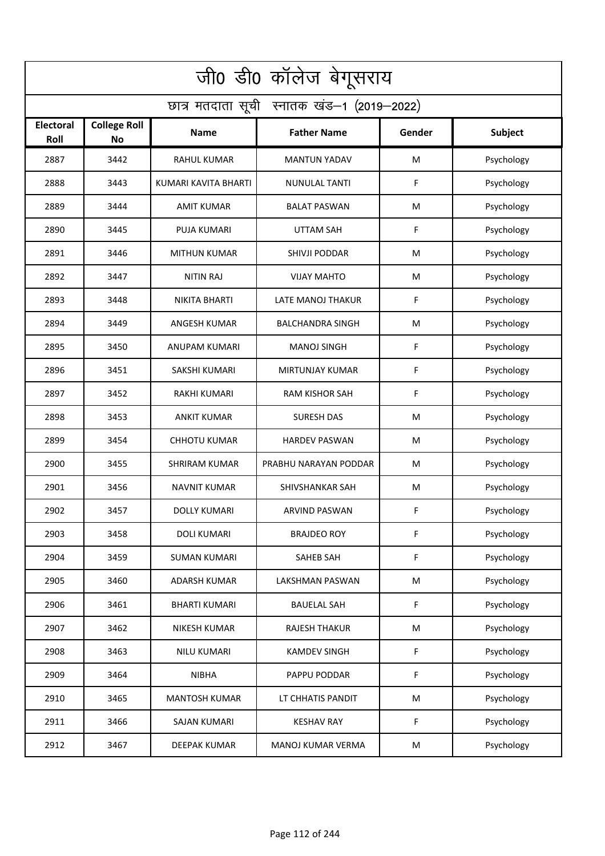| जी0 डी0 कॉलेज बेगूसराय                     |                                  |                      |                         |        |                |  |  |  |
|--------------------------------------------|----------------------------------|----------------------|-------------------------|--------|----------------|--|--|--|
| छात्र मतदाता सूची स्नातक खंड-1 (2019-2022) |                                  |                      |                         |        |                |  |  |  |
| <b>Electoral</b><br>Roll                   | <b>College Roll</b><br><b>No</b> | Name                 | <b>Father Name</b>      | Gender | <b>Subject</b> |  |  |  |
| 2887                                       | 3442                             | <b>RAHUL KUMAR</b>   | <b>MANTUN YADAV</b>     | M      | Psychology     |  |  |  |
| 2888                                       | 3443                             | KUMARI KAVITA BHARTI | <b>NUNULAL TANTI</b>    | F      | Psychology     |  |  |  |
| 2889                                       | 3444                             | <b>AMIT KUMAR</b>    | <b>BALAT PASWAN</b>     | M      | Psychology     |  |  |  |
| 2890                                       | 3445                             | <b>PUJA KUMARI</b>   | <b>UTTAM SAH</b>        | F      | Psychology     |  |  |  |
| 2891                                       | 3446                             | <b>MITHUN KUMAR</b>  | SHIVJI PODDAR           | M      | Psychology     |  |  |  |
| 2892                                       | 3447                             | <b>NITIN RAJ</b>     | <b>VIJAY MAHTO</b>      | M      | Psychology     |  |  |  |
| 2893                                       | 3448                             | <b>NIKITA BHARTI</b> | LATE MANOJ THAKUR       | F      | Psychology     |  |  |  |
| 2894                                       | 3449                             | <b>ANGESH KUMAR</b>  | <b>BALCHANDRA SINGH</b> | M      | Psychology     |  |  |  |
| 2895                                       | 3450                             | <b>ANUPAM KUMARI</b> | <b>MANOJ SINGH</b>      | F      | Psychology     |  |  |  |
| 2896                                       | 3451                             | SAKSHI KUMARI        | MIRTUNJAY KUMAR         | F      | Psychology     |  |  |  |
| 2897                                       | 3452                             | <b>RAKHI KUMARI</b>  | <b>RAM KISHOR SAH</b>   | F      | Psychology     |  |  |  |
| 2898                                       | 3453                             | <b>ANKIT KUMAR</b>   | <b>SURESH DAS</b>       | M      | Psychology     |  |  |  |
| 2899                                       | 3454                             | <b>CHHOTU KUMAR</b>  | <b>HARDEV PASWAN</b>    | M      | Psychology     |  |  |  |
| 2900                                       | 3455                             | <b>SHRIRAM KUMAR</b> | PRABHU NARAYAN PODDAR   | M      | Psychology     |  |  |  |
| 2901                                       | 3456                             | NAVNIT KUMAR         | SHIVSHANKAR SAH         | M      | Psychology     |  |  |  |
| 2902                                       | 3457                             | DOLLY KUMARI         | ARVIND PASWAN           | F      | Psychology     |  |  |  |
| 2903                                       | 3458                             | <b>DOLI KUMARI</b>   | <b>BRAJDEO ROY</b>      | F      | Psychology     |  |  |  |
| 2904                                       | 3459                             | <b>SUMAN KUMARI</b>  | SAHEB SAH               | F      | Psychology     |  |  |  |
| 2905                                       | 3460                             | <b>ADARSH KUMAR</b>  | LAKSHMAN PASWAN         | M      | Psychology     |  |  |  |
| 2906                                       | 3461                             | <b>BHARTI KUMARI</b> | <b>BAUELAL SAH</b>      | F      | Psychology     |  |  |  |
| 2907                                       | 3462                             | <b>NIKESH KUMAR</b>  | <b>RAJESH THAKUR</b>    | M      | Psychology     |  |  |  |
| 2908                                       | 3463                             | NILU KUMARI          | <b>KAMDEV SINGH</b>     | F      | Psychology     |  |  |  |
| 2909                                       | 3464                             | <b>NIBHA</b>         | PAPPU PODDAR            | F      | Psychology     |  |  |  |
| 2910                                       | 3465                             | <b>MANTOSH KUMAR</b> | LT CHHATIS PANDIT       | M      | Psychology     |  |  |  |
| 2911                                       | 3466                             | SAJAN KUMARI         | <b>KESHAV RAY</b>       | F      | Psychology     |  |  |  |
| 2912                                       | 3467                             | DEEPAK KUMAR         | MANOJ KUMAR VERMA       | M      | Psychology     |  |  |  |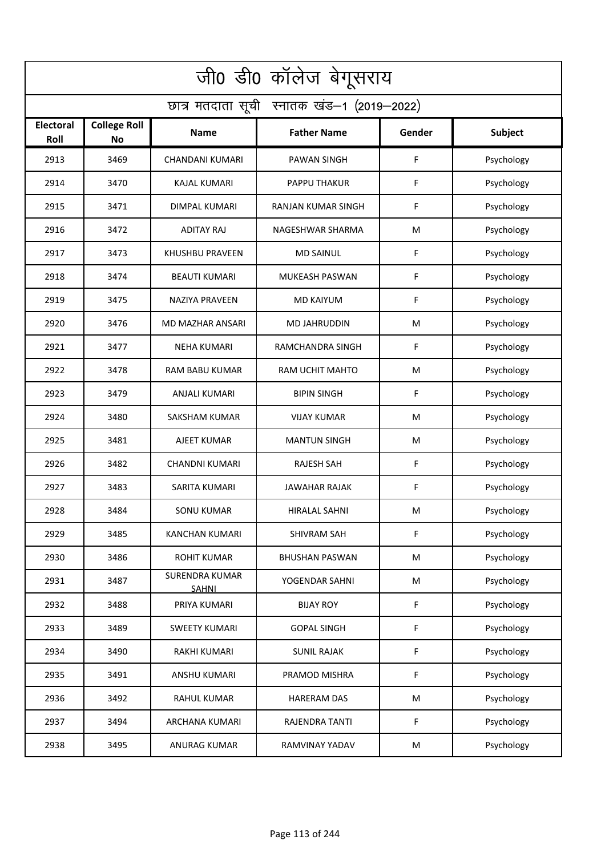| जी0 डी0 कॉलेज बेगूसराय                     |                                  |                                       |                       |        |                |  |  |  |
|--------------------------------------------|----------------------------------|---------------------------------------|-----------------------|--------|----------------|--|--|--|
| छात्र मतदाता सूची स्नातक खंड-1 (2019-2022) |                                  |                                       |                       |        |                |  |  |  |
| <b>Electoral</b><br>Roll                   | <b>College Roll</b><br><b>No</b> | Name                                  | <b>Father Name</b>    | Gender | <b>Subject</b> |  |  |  |
| 2913                                       | 3469                             | <b>CHANDANI KUMARI</b>                | <b>PAWAN SINGH</b>    | F      | Psychology     |  |  |  |
| 2914                                       | 3470                             | <b>KAJAL KUMARI</b>                   | PAPPU THAKUR          | F      | Psychology     |  |  |  |
| 2915                                       | 3471                             | <b>DIMPAL KUMARI</b>                  | RANJAN KUMAR SINGH    | F      | Psychology     |  |  |  |
| 2916                                       | 3472                             | <b>ADITAY RAJ</b>                     | NAGESHWAR SHARMA      | M      | Psychology     |  |  |  |
| 2917                                       | 3473                             | <b>KHUSHBU PRAVEEN</b>                | <b>MD SAINUL</b>      | F      | Psychology     |  |  |  |
| 2918                                       | 3474                             | <b>BEAUTI KUMARI</b>                  | <b>MUKEASH PASWAN</b> | F      | Psychology     |  |  |  |
| 2919                                       | 3475                             | <b>NAZIYA PRAVEEN</b>                 | <b>MD KAIYUM</b>      | F      | Psychology     |  |  |  |
| 2920                                       | 3476                             | <b>MD MAZHAR ANSARI</b>               | <b>MD JAHRUDDIN</b>   | M      | Psychology     |  |  |  |
| 2921                                       | 3477                             | <b>NEHA KUMARI</b>                    | RAMCHANDRA SINGH      | F      | Psychology     |  |  |  |
| 2922                                       | 3478                             | <b>RAM BABU KUMAR</b>                 | RAM UCHIT MAHTO       | M      | Psychology     |  |  |  |
| 2923                                       | 3479                             | <b>ANJALI KUMARI</b>                  | <b>BIPIN SINGH</b>    | F      | Psychology     |  |  |  |
| 2924                                       | 3480                             | <b>SAKSHAM KUMAR</b>                  | <b>VIJAY KUMAR</b>    | M      | Psychology     |  |  |  |
| 2925                                       | 3481                             | AJEET KUMAR                           | <b>MANTUN SINGH</b>   | M      | Psychology     |  |  |  |
| 2926                                       | 3482                             | <b>CHANDNI KUMARI</b>                 | <b>RAJESH SAH</b>     | F      | Psychology     |  |  |  |
| 2927                                       | 3483                             | SARITA KUMARI                         | JAWAHAR RAJAK         | F      | Psychology     |  |  |  |
| 2928                                       | 3484                             | <b>SONU KUMAR</b>                     | HIRALAL SAHNI         | M      | Psychology     |  |  |  |
| 2929                                       | 3485                             | KANCHAN KUMARI                        | <b>SHIVRAM SAH</b>    | F      | Psychology     |  |  |  |
| 2930                                       | 3486                             | <b>ROHIT KUMAR</b>                    | <b>BHUSHAN PASWAN</b> | M      | Psychology     |  |  |  |
| 2931                                       | 3487                             | <b>SURENDRA KUMAR</b><br><b>SAHNI</b> | YOGENDAR SAHNI        | M      | Psychology     |  |  |  |
| 2932                                       | 3488                             | PRIYA KUMARI                          | <b>BIJAY ROY</b>      | F      | Psychology     |  |  |  |
| 2933                                       | 3489                             | <b>SWEETY KUMARI</b>                  | <b>GOPAL SINGH</b>    | F      | Psychology     |  |  |  |
| 2934                                       | 3490                             | RAKHI KUMARI                          | SUNIL RAJAK           | F      | Psychology     |  |  |  |
| 2935                                       | 3491                             | ANSHU KUMARI                          | PRAMOD MISHRA         | F      | Psychology     |  |  |  |
| 2936                                       | 3492                             | <b>RAHUL KUMAR</b>                    | <b>HARERAM DAS</b>    | M      | Psychology     |  |  |  |
| 2937                                       | 3494                             | ARCHANA KUMARI                        | RAJENDRA TANTI        | F      | Psychology     |  |  |  |
| 2938                                       | 3495                             | <b>ANURAG KUMAR</b>                   | RAMVINAY YADAV        | M      | Psychology     |  |  |  |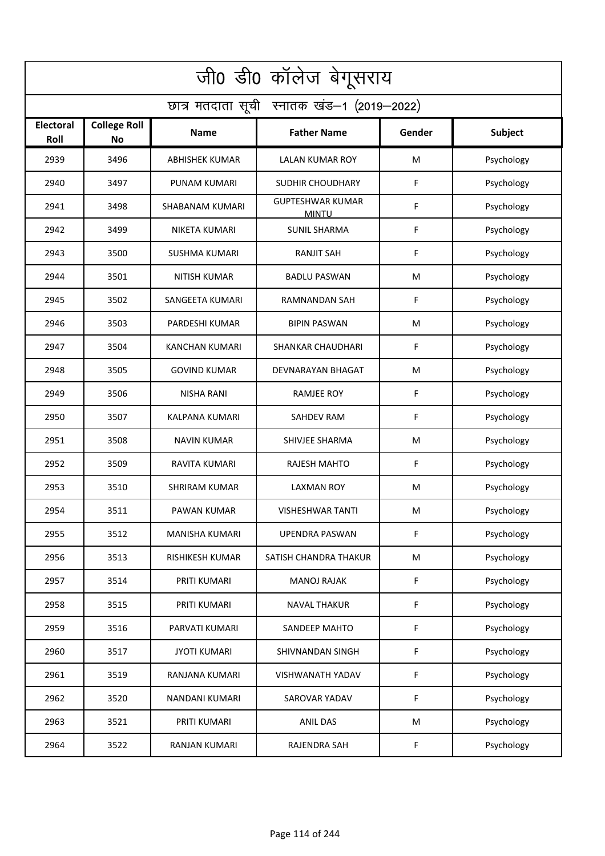| जी0 डी0 कॉलेज बेगूसराय                     |                                  |                       |                                         |        |                |  |  |  |
|--------------------------------------------|----------------------------------|-----------------------|-----------------------------------------|--------|----------------|--|--|--|
| छात्र मतदाता सूची स्नातक खंड-1 (2019-2022) |                                  |                       |                                         |        |                |  |  |  |
| <b>Electoral</b><br>Roll                   | <b>College Roll</b><br><b>No</b> | Name                  | <b>Father Name</b>                      | Gender | <b>Subject</b> |  |  |  |
| 2939                                       | 3496                             | <b>ABHISHEK KUMAR</b> | <b>LALAN KUMAR ROY</b>                  | M      | Psychology     |  |  |  |
| 2940                                       | 3497                             | PUNAM KUMARI          | <b>SUDHIR CHOUDHARY</b>                 | F      | Psychology     |  |  |  |
| 2941                                       | 3498                             | SHABANAM KUMARI       | <b>GUPTESHWAR KUMAR</b><br><b>MINTU</b> | F      | Psychology     |  |  |  |
| 2942                                       | 3499                             | NIKETA KUMARI         | <b>SUNIL SHARMA</b>                     | F      | Psychology     |  |  |  |
| 2943                                       | 3500                             | <b>SUSHMA KUMARI</b>  | <b>RANJIT SAH</b>                       | F      | Psychology     |  |  |  |
| 2944                                       | 3501                             | <b>NITISH KUMAR</b>   | <b>BADLU PASWAN</b>                     | M      | Psychology     |  |  |  |
| 2945                                       | 3502                             | SANGEETA KUMARI       | <b>RAMNANDAN SAH</b>                    | F      | Psychology     |  |  |  |
| 2946                                       | 3503                             | PARDESHI KUMAR        | <b>BIPIN PASWAN</b>                     | M      | Psychology     |  |  |  |
| 2947                                       | 3504                             | <b>KANCHAN KUMARI</b> | <b>SHANKAR CHAUDHARI</b>                | F      | Psychology     |  |  |  |
| 2948                                       | 3505                             | <b>GOVIND KUMAR</b>   | DEVNARAYAN BHAGAT                       | M      | Psychology     |  |  |  |
| 2949                                       | 3506                             | <b>NISHA RANI</b>     | <b>RAMJEE ROY</b>                       | F      | Psychology     |  |  |  |
| 2950                                       | 3507                             | <b>KALPANA KUMARI</b> | <b>SAHDEV RAM</b>                       | F      | Psychology     |  |  |  |
| 2951                                       | 3508                             | <b>NAVIN KUMAR</b>    | SHIVJEE SHARMA                          | M      | Psychology     |  |  |  |
| 2952                                       | 3509                             | RAVITA KUMARI         | <b>RAJESH MAHTO</b>                     | F      | Psychology     |  |  |  |
| 2953                                       | 3510                             | <b>SHRIRAM KUMAR</b>  | <b>LAXMAN ROY</b>                       | M      | Psychology     |  |  |  |
| 2954                                       | 3511                             | PAWAN KUMAR           | <b>VISHESHWAR TANTI</b>                 | M      | Psychology     |  |  |  |
| 2955                                       | 3512                             | <b>MANISHA KUMARI</b> | <b>UPENDRA PASWAN</b>                   | F      | Psychology     |  |  |  |
| 2956                                       | 3513                             | RISHIKESH KUMAR       | SATISH CHANDRA THAKUR                   | M      | Psychology     |  |  |  |
| 2957                                       | 3514                             | PRITI KUMARI          | <b>MANOJ RAJAK</b>                      | F      | Psychology     |  |  |  |
| 2958                                       | 3515                             | PRITI KUMARI          | <b>NAVAL THAKUR</b>                     | F      | Psychology     |  |  |  |
| 2959                                       | 3516                             | PARVATI KUMARI        | SANDEEP MAHTO                           | F      | Psychology     |  |  |  |
| 2960                                       | 3517                             | <b>JYOTI KUMARI</b>   | SHIVNANDAN SINGH                        | F      | Psychology     |  |  |  |
| 2961                                       | 3519                             | RANJANA KUMARI        | VISHWANATH YADAV                        | F      | Psychology     |  |  |  |
| 2962                                       | 3520                             | NANDANI KUMARI        | SAROVAR YADAV                           | F      | Psychology     |  |  |  |
| 2963                                       | 3521                             | PRITI KUMARI          | <b>ANIL DAS</b>                         | M      | Psychology     |  |  |  |
| 2964                                       | 3522                             | <b>RANJAN KUMARI</b>  | RAJENDRA SAH                            | F      | Psychology     |  |  |  |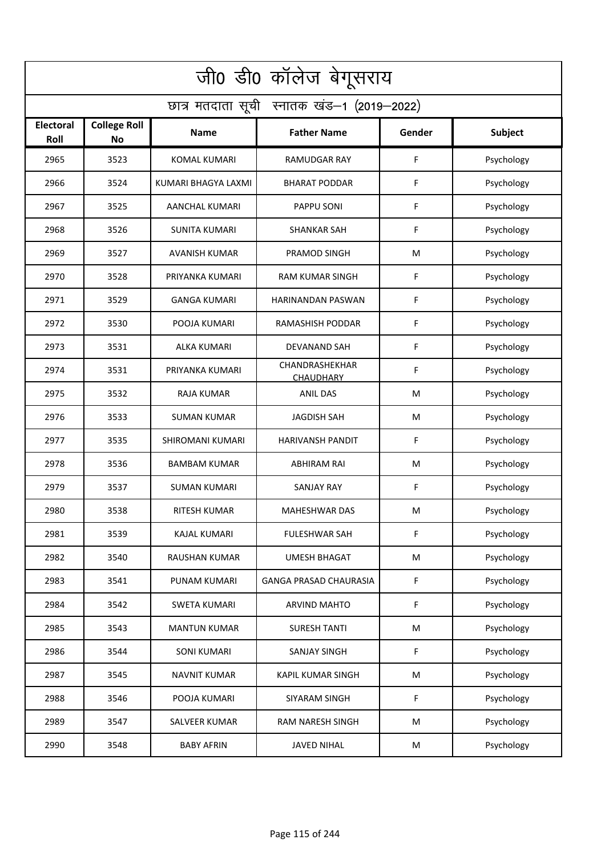| जी0 डी0 कॉलेज बेगूसराय                     |                                  |                      |                                    |        |                |  |  |  |  |
|--------------------------------------------|----------------------------------|----------------------|------------------------------------|--------|----------------|--|--|--|--|
| छात्र मतदाता सूची स्नातक खंड-1 (2019-2022) |                                  |                      |                                    |        |                |  |  |  |  |
| <b>Electoral</b><br>Roll                   | <b>College Roll</b><br><b>No</b> | <b>Name</b>          | <b>Father Name</b>                 | Gender | <b>Subject</b> |  |  |  |  |
| 2965                                       | 3523                             | <b>KOMAL KUMARI</b>  | RAMUDGAR RAY                       | F      | Psychology     |  |  |  |  |
| 2966                                       | 3524                             | KUMARI BHAGYA LAXMI  | <b>BHARAT PODDAR</b>               | F      | Psychology     |  |  |  |  |
| 2967                                       | 3525                             | AANCHAL KUMARI       | PAPPU SONI                         | F      | Psychology     |  |  |  |  |
| 2968                                       | 3526                             | <b>SUNITA KUMARI</b> | <b>SHANKAR SAH</b>                 | F      | Psychology     |  |  |  |  |
| 2969                                       | 3527                             | <b>AVANISH KUMAR</b> | PRAMOD SINGH                       | M      | Psychology     |  |  |  |  |
| 2970                                       | 3528                             | PRIYANKA KUMARI      | <b>RAM KUMAR SINGH</b>             | F      | Psychology     |  |  |  |  |
| 2971                                       | 3529                             | <b>GANGA KUMARI</b>  | <b>HARINANDAN PASWAN</b>           | F      | Psychology     |  |  |  |  |
| 2972                                       | 3530                             | POOJA KUMARI         | RAMASHISH PODDAR                   | F      | Psychology     |  |  |  |  |
| 2973                                       | 3531                             | <b>ALKA KUMARI</b>   | <b>DEVANAND SAH</b>                | F      | Psychology     |  |  |  |  |
| 2974                                       | 3531                             | PRIYANKA KUMARI      | CHANDRASHEKHAR<br><b>CHAUDHARY</b> | F      | Psychology     |  |  |  |  |
| 2975                                       | 3532                             | <b>RAJA KUMAR</b>    | <b>ANIL DAS</b>                    | M      | Psychology     |  |  |  |  |
| 2976                                       | 3533                             | <b>SUMAN KUMAR</b>   | <b>JAGDISH SAH</b>                 | M      | Psychology     |  |  |  |  |
| 2977                                       | 3535                             | SHIROMANI KUMARI     | <b>HARIVANSH PANDIT</b>            | F      | Psychology     |  |  |  |  |
| 2978                                       | 3536                             | <b>BAMBAM KUMAR</b>  | <b>ABHIRAM RAI</b>                 | M      | Psychology     |  |  |  |  |
| 2979                                       | 3537                             | SUMAN KUMARI         | SANJAY RAY                         | F      | Psychology     |  |  |  |  |
| 2980                                       | 3538                             | <b>RITESH KUMAR</b>  | <b>MAHESHWAR DAS</b>               | M      | Psychology     |  |  |  |  |
| 2981                                       | 3539                             | <b>KAJAL KUMARI</b>  | <b>FULESHWAR SAH</b>               | F      | Psychology     |  |  |  |  |
| 2982                                       | 3540                             | <b>RAUSHAN KUMAR</b> | <b>UMESH BHAGAT</b>                | M      | Psychology     |  |  |  |  |
| 2983                                       | 3541                             | PUNAM KUMARI         | <b>GANGA PRASAD CHAURASIA</b>      | F      | Psychology     |  |  |  |  |
| 2984                                       | 3542                             | SWETA KUMARI         | <b>ARVIND MAHTO</b>                | F.     | Psychology     |  |  |  |  |
| 2985                                       | 3543                             | <b>MANTUN KUMAR</b>  | <b>SURESH TANTI</b>                | M      | Psychology     |  |  |  |  |
| 2986                                       | 3544                             | <b>SONI KUMARI</b>   | SANJAY SINGH                       | F      | Psychology     |  |  |  |  |
| 2987                                       | 3545                             | <b>NAVNIT KUMAR</b>  | <b>KAPIL KUMAR SINGH</b>           | M      | Psychology     |  |  |  |  |
| 2988                                       | 3546                             | POOJA KUMARI         | SIYARAM SINGH                      | F      | Psychology     |  |  |  |  |
| 2989                                       | 3547                             | SALVEER KUMAR        | RAM NARESH SINGH                   | M      | Psychology     |  |  |  |  |
| 2990                                       | 3548                             | <b>BABY AFRIN</b>    | <b>JAVED NIHAL</b>                 | M      | Psychology     |  |  |  |  |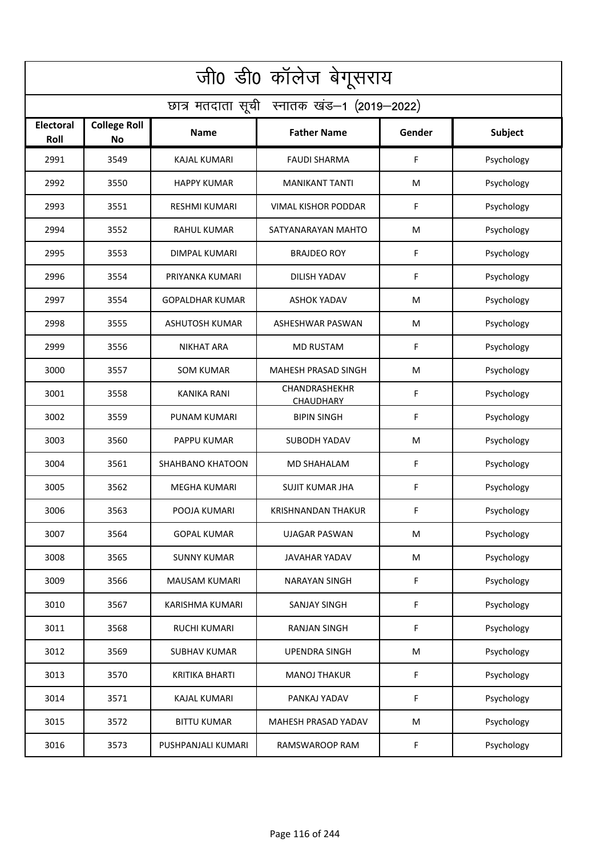| जी0 डी0 कॉलेज बेगूसराय                     |                                  |                        |                            |        |                |  |  |  |  |
|--------------------------------------------|----------------------------------|------------------------|----------------------------|--------|----------------|--|--|--|--|
| छात्र मतदाता सूची स्नातक खंड-1 (2019-2022) |                                  |                        |                            |        |                |  |  |  |  |
| <b>Electoral</b><br>Roll                   | <b>College Roll</b><br><b>No</b> | <b>Name</b>            | <b>Father Name</b>         | Gender | <b>Subject</b> |  |  |  |  |
| 2991                                       | 3549                             | <b>KAJAL KUMARI</b>    | <b>FAUDI SHARMA</b>        | F      | Psychology     |  |  |  |  |
| 2992                                       | 3550                             | <b>HAPPY KUMAR</b>     | <b>MANIKANT TANTI</b>      | M      | Psychology     |  |  |  |  |
| 2993                                       | 3551                             | <b>RESHMI KUMARI</b>   | VIMAL KISHOR PODDAR        | F      | Psychology     |  |  |  |  |
| 2994                                       | 3552                             | <b>RAHUL KUMAR</b>     | SATYANARAYAN MAHTO         | M      | Psychology     |  |  |  |  |
| 2995                                       | 3553                             | DIMPAL KUMARI          | <b>BRAJDEO ROY</b>         | F      | Psychology     |  |  |  |  |
| 2996                                       | 3554                             | PRIYANKA KUMARI        | DILISH YADAV               | F      | Psychology     |  |  |  |  |
| 2997                                       | 3554                             | <b>GOPALDHAR KUMAR</b> | <b>ASHOK YADAV</b>         | M      | Psychology     |  |  |  |  |
| 2998                                       | 3555                             | <b>ASHUTOSH KUMAR</b>  | ASHESHWAR PASWAN           | M      | Psychology     |  |  |  |  |
| 2999                                       | 3556                             | <b>NIKHAT ARA</b>      | <b>MD RUSTAM</b>           | F      | Psychology     |  |  |  |  |
| 3000                                       | 3557                             | <b>SOM KUMAR</b>       | MAHESH PRASAD SINGH        | M      | Psychology     |  |  |  |  |
| 3001                                       | 3558                             | <b>KANIKA RANI</b>     | CHANDRASHEKHR<br>CHAUDHARY | F      | Psychology     |  |  |  |  |
| 3002                                       | 3559                             | PUNAM KUMARI           | <b>BIPIN SINGH</b>         | F      | Psychology     |  |  |  |  |
| 3003                                       | 3560                             | PAPPU KUMAR            | SUBODH YADAV               | M      | Psychology     |  |  |  |  |
| 3004                                       | 3561                             | SHAHBANO KHATOON       | <b>MD SHAHALAM</b>         | F      | Psychology     |  |  |  |  |
| 3005                                       | 3562                             | MEGHA KUMARI           | <b>SUJIT KUMAR JHA</b>     | F      | Psychology     |  |  |  |  |
| 3006                                       | 3563                             | POOJA KUMARI           | KRISHNANDAN THAKUR         | F      | Psychology     |  |  |  |  |
| 3007                                       | 3564                             | <b>GOPAL KUMAR</b>     | <b>UJAGAR PASWAN</b>       | M      | Psychology     |  |  |  |  |
| 3008                                       | 3565                             | <b>SUNNY KUMAR</b>     | JAVAHAR YADAV              | M      | Psychology     |  |  |  |  |
| 3009                                       | 3566                             | <b>MAUSAM KUMARI</b>   | <b>NARAYAN SINGH</b>       | F      | Psychology     |  |  |  |  |
| 3010                                       | 3567                             | KARISHMA KUMARI        | SANJAY SINGH               | F      | Psychology     |  |  |  |  |
| 3011                                       | 3568                             | RUCHI KUMARI           | <b>RANJAN SINGH</b>        | F      | Psychology     |  |  |  |  |
| 3012                                       | 3569                             | <b>SUBHAV KUMAR</b>    | <b>UPENDRA SINGH</b>       | M      | Psychology     |  |  |  |  |
| 3013                                       | 3570                             | <b>KRITIKA BHARTI</b>  | <b>MANOJ THAKUR</b>        | F      | Psychology     |  |  |  |  |
| 3014                                       | 3571                             | <b>KAJAL KUMARI</b>    | PANKAJ YADAV               | F      | Psychology     |  |  |  |  |
| 3015                                       | 3572                             | <b>BITTU KUMAR</b>     | MAHESH PRASAD YADAV        | M      | Psychology     |  |  |  |  |
| 3016                                       | 3573                             | PUSHPANJALI KUMARI     | RAMSWAROOP RAM             | F.     | Psychology     |  |  |  |  |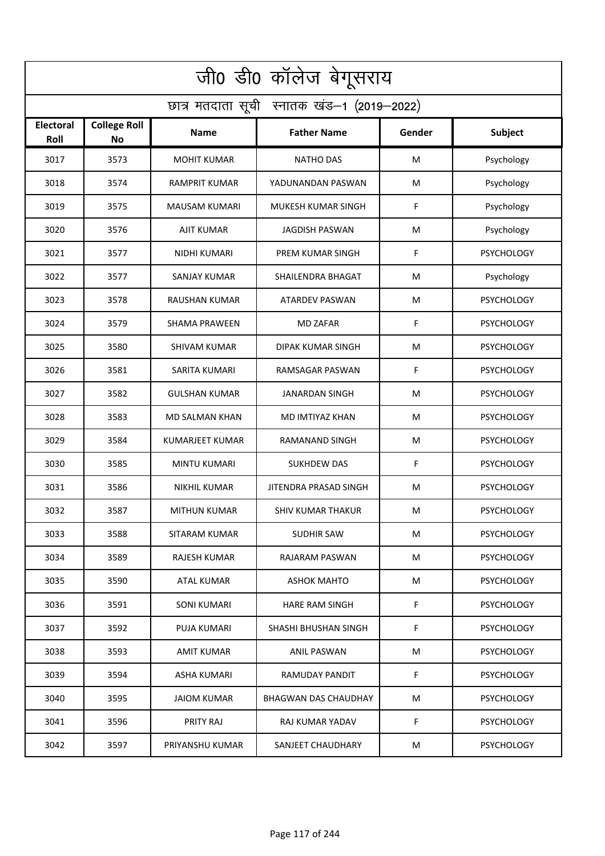| जी0 डी0 कॉलेज बेगूसराय                     |                           |                        |                          |        |                   |  |  |  |
|--------------------------------------------|---------------------------|------------------------|--------------------------|--------|-------------------|--|--|--|
| छात्र मतदाता सूची स्नातक खंड-1 (2019-2022) |                           |                        |                          |        |                   |  |  |  |
| <b>Electoral</b><br>Roll                   | <b>College Roll</b><br>No | Name                   | <b>Father Name</b>       | Gender | <b>Subject</b>    |  |  |  |
| 3017                                       | 3573                      | <b>MOHIT KUMAR</b>     | <b>NATHO DAS</b>         | M      | Psychology        |  |  |  |
| 3018                                       | 3574                      | <b>RAMPRIT KUMAR</b>   | YADUNANDAN PASWAN        | M      | Psychology        |  |  |  |
| 3019                                       | 3575                      | <b>MAUSAM KUMARI</b>   | MUKESH KUMAR SINGH       | F      | Psychology        |  |  |  |
| 3020                                       | 3576                      | <b>AJIT KUMAR</b>      | <b>JAGDISH PASWAN</b>    | M      | Psychology        |  |  |  |
| 3021                                       | 3577                      | NIDHI KUMARI           | PREM KUMAR SINGH         | F      | <b>PSYCHOLOGY</b> |  |  |  |
| 3022                                       | 3577                      | <b>SANJAY KUMAR</b>    | SHAILENDRA BHAGAT        | M      | Psychology        |  |  |  |
| 3023                                       | 3578                      | <b>RAUSHAN KUMAR</b>   | <b>ATARDEV PASWAN</b>    | M      | <b>PSYCHOLOGY</b> |  |  |  |
| 3024                                       | 3579                      | <b>SHAMA PRAWEEN</b>   | <b>MD ZAFAR</b>          | F      | <b>PSYCHOLOGY</b> |  |  |  |
| 3025                                       | 3580                      | <b>SHIVAM KUMAR</b>    | <b>DIPAK KUMAR SINGH</b> | M      | <b>PSYCHOLOGY</b> |  |  |  |
| 3026                                       | 3581                      | <b>SARITA KUMARI</b>   | RAMSAGAR PASWAN          | F      | <b>PSYCHOLOGY</b> |  |  |  |
| 3027                                       | 3582                      | <b>GULSHAN KUMAR</b>   | <b>JANARDAN SINGH</b>    | M      | <b>PSYCHOLOGY</b> |  |  |  |
| 3028                                       | 3583                      | <b>MD SALMAN KHAN</b>  | MD IMTIYAZ KHAN          | M      | <b>PSYCHOLOGY</b> |  |  |  |
| 3029                                       | 3584                      | <b>KUMARJEET KUMAR</b> | RAMANAND SINGH           | M      | <b>PSYCHOLOGY</b> |  |  |  |
| 3030                                       | 3585                      | MINTU KUMARI           | SUKHDEW DAS              | F      | <b>PSYCHOLOGY</b> |  |  |  |
| 3031                                       | 3586                      | NIKHIL KUMAR           | JITENDRA PRASAD SINGH    | M      | <b>PSYCHOLOGY</b> |  |  |  |
| 3032                                       | 3587                      | <b>MITHUN KUMAR</b>    | SHIV KUMAR THAKUR        | M      | <b>PSYCHOLOGY</b> |  |  |  |
| 3033                                       | 3588                      | SITARAM KUMAR          | SUDHIR SAW               | M      | <b>PSYCHOLOGY</b> |  |  |  |
| 3034                                       | 3589                      | RAJESH KUMAR           | RAJARAM PASWAN           | M      | <b>PSYCHOLOGY</b> |  |  |  |
| 3035                                       | 3590                      | ATAL KUMAR             | <b>ASHOK MAHTO</b>       | M      | <b>PSYCHOLOGY</b> |  |  |  |
| 3036                                       | 3591                      | SONI KUMARI            | <b>HARE RAM SINGH</b>    | F      | <b>PSYCHOLOGY</b> |  |  |  |
| 3037                                       | 3592                      | PUJA KUMARI            | SHASHI BHUSHAN SINGH     | F      | <b>PSYCHOLOGY</b> |  |  |  |
| 3038                                       | 3593                      | AMIT KUMAR             | ANIL PASWAN              | M      | <b>PSYCHOLOGY</b> |  |  |  |
| 3039                                       | 3594                      | ASHA KUMARI            | RAMUDAY PANDIT           | F      | <b>PSYCHOLOGY</b> |  |  |  |
| 3040                                       | 3595                      | JAIOM KUMAR            | BHAGWAN DAS CHAUDHAY     | M      | <b>PSYCHOLOGY</b> |  |  |  |
| 3041                                       | 3596                      | PRITY RAJ              | RAJ KUMAR YADAV          | F      | <b>PSYCHOLOGY</b> |  |  |  |
| 3042                                       | 3597                      | PRIYANSHU KUMAR        | SANJEET CHAUDHARY        | M      | <b>PSYCHOLOGY</b> |  |  |  |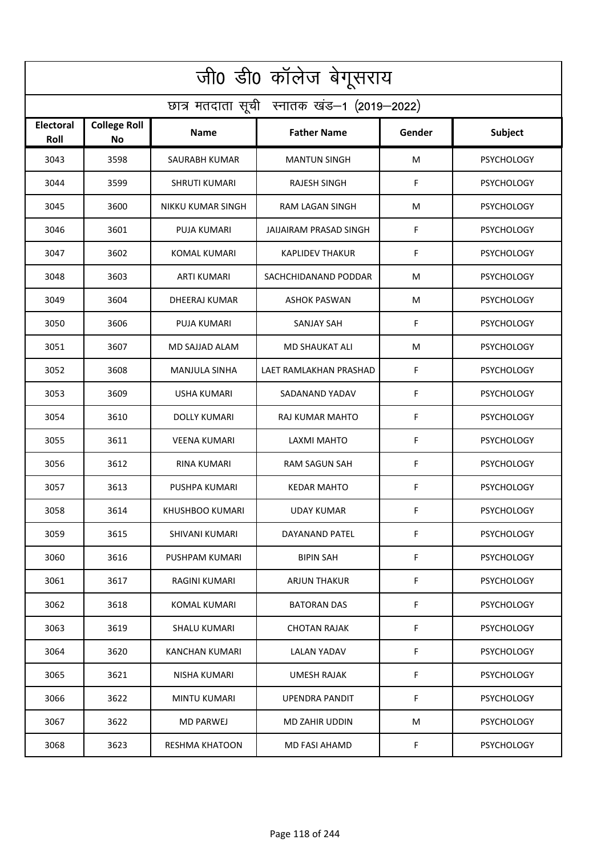| जी0 डी0 कॉलेज बेगूसराय                     |                                  |                       |                        |        |                   |  |  |  |
|--------------------------------------------|----------------------------------|-----------------------|------------------------|--------|-------------------|--|--|--|
| छात्र मतदाता सूची स्नातक खंड-1 (2019-2022) |                                  |                       |                        |        |                   |  |  |  |
| Electoral<br>Roll                          | <b>College Roll</b><br><b>No</b> | <b>Name</b>           | <b>Father Name</b>     | Gender | Subject           |  |  |  |
| 3043                                       | 3598                             | SAURABH KUMAR         | <b>MANTUN SINGH</b>    | M      | <b>PSYCHOLOGY</b> |  |  |  |
| 3044                                       | 3599                             | <b>SHRUTI KUMARI</b>  | RAJESH SINGH           | F      | <b>PSYCHOLOGY</b> |  |  |  |
| 3045                                       | 3600                             | NIKKU KUMAR SINGH     | RAM LAGAN SINGH        | M      | <b>PSYCHOLOGY</b> |  |  |  |
| 3046                                       | 3601                             | <b>PUJA KUMARI</b>    | JAIJAIRAM PRASAD SINGH | F      | <b>PSYCHOLOGY</b> |  |  |  |
| 3047                                       | 3602                             | <b>KOMAL KUMARI</b>   | <b>KAPLIDEV THAKUR</b> | F      | <b>PSYCHOLOGY</b> |  |  |  |
| 3048                                       | 3603                             | ARTI KUMARI           | SACHCHIDANAND PODDAR   | M      | <b>PSYCHOLOGY</b> |  |  |  |
| 3049                                       | 3604                             | <b>DHEERAJ KUMAR</b>  | <b>ASHOK PASWAN</b>    | M      | <b>PSYCHOLOGY</b> |  |  |  |
| 3050                                       | 3606                             | <b>PUJA KUMARI</b>    | <b>SANJAY SAH</b>      | F      | <b>PSYCHOLOGY</b> |  |  |  |
| 3051                                       | 3607                             | MD SAJJAD ALAM        | <b>MD SHAUKAT ALI</b>  | M      | <b>PSYCHOLOGY</b> |  |  |  |
| 3052                                       | 3608                             | <b>MANJULA SINHA</b>  | LAET RAMLAKHAN PRASHAD | F      | <b>PSYCHOLOGY</b> |  |  |  |
| 3053                                       | 3609                             | USHA KUMARI           | SADANAND YADAV         | F      | <b>PSYCHOLOGY</b> |  |  |  |
| 3054                                       | 3610                             | <b>DOLLY KUMARI</b>   | RAJ KUMAR MAHTO        | F      | <b>PSYCHOLOGY</b> |  |  |  |
| 3055                                       | 3611                             | <b>VEENA KUMARI</b>   | LAXMI MAHTO            | F      | <b>PSYCHOLOGY</b> |  |  |  |
| 3056                                       | 3612                             | <b>RINA KUMARI</b>    | <b>RAM SAGUN SAH</b>   | F      | <b>PSYCHOLOGY</b> |  |  |  |
| 3057                                       | 3613                             | PUSHPA KUMARI         | <b>KEDAR MAHTO</b>     | F      | <b>PSYCHOLOGY</b> |  |  |  |
| 3058                                       | 3614                             | KHUSHBOO KUMARI       | UDAY KUMAR             | F      | <b>PSYCHOLOGY</b> |  |  |  |
| 3059                                       | 3615                             | SHIVANI KUMARI        | DAYANAND PATEL         | F      | <b>PSYCHOLOGY</b> |  |  |  |
| 3060                                       | 3616                             | PUSHPAM KUMARI        | <b>BIPIN SAH</b>       | F      | <b>PSYCHOLOGY</b> |  |  |  |
| 3061                                       | 3617                             | RAGINI KUMARI         | <b>ARJUN THAKUR</b>    | F      | <b>PSYCHOLOGY</b> |  |  |  |
| 3062                                       | 3618                             | KOMAL KUMARI          | <b>BATORAN DAS</b>     | F      | <b>PSYCHOLOGY</b> |  |  |  |
| 3063                                       | 3619                             | <b>SHALU KUMARI</b>   | <b>CHOTAN RAJAK</b>    | F      | <b>PSYCHOLOGY</b> |  |  |  |
| 3064                                       | 3620                             | KANCHAN KUMARI        | LALAN YADAV            | F      | <b>PSYCHOLOGY</b> |  |  |  |
| 3065                                       | 3621                             | NISHA KUMARI          | <b>UMESH RAJAK</b>     | F      | <b>PSYCHOLOGY</b> |  |  |  |
| 3066                                       | 3622                             | MINTU KUMARI          | UPENDRA PANDIT         | F      | <b>PSYCHOLOGY</b> |  |  |  |
| 3067                                       | 3622                             | MD PARWEJ             | MD ZAHIR UDDIN         | М      | <b>PSYCHOLOGY</b> |  |  |  |
| 3068                                       | 3623                             | <b>RESHMA KHATOON</b> | MD FASI AHAMD          | F.     | <b>PSYCHOLOGY</b> |  |  |  |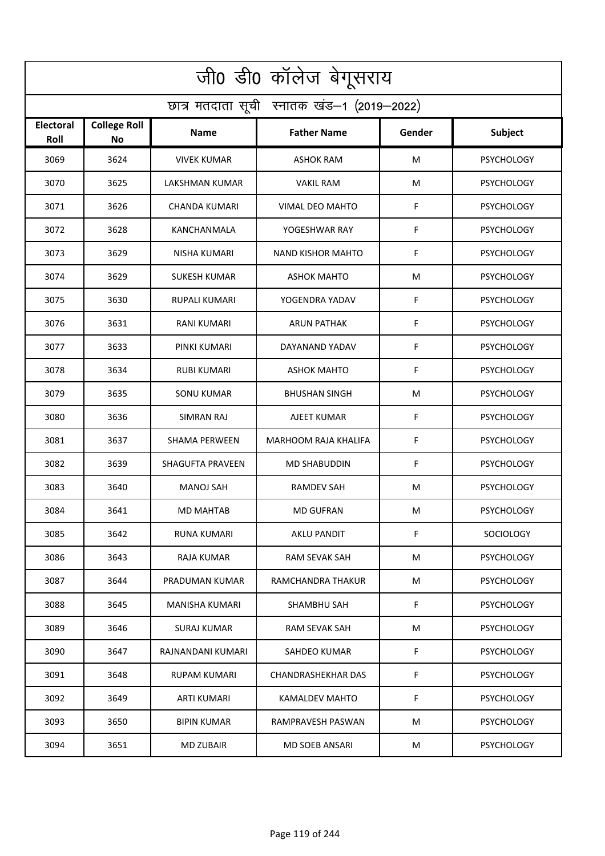| जी0 डी0 कॉलेज बेगूसराय                     |                                  |                         |                           |        |                   |  |  |  |
|--------------------------------------------|----------------------------------|-------------------------|---------------------------|--------|-------------------|--|--|--|
| छात्र मतदाता सूची स्नातक खंड-1 (2019-2022) |                                  |                         |                           |        |                   |  |  |  |
| Electoral<br>Roll                          | <b>College Roll</b><br><b>No</b> | <b>Name</b>             | <b>Father Name</b>        | Gender | Subject           |  |  |  |
| 3069                                       | 3624                             | <b>VIVEK KUMAR</b>      | <b>ASHOK RAM</b>          | M      | <b>PSYCHOLOGY</b> |  |  |  |
| 3070                                       | 3625                             | LAKSHMAN KUMAR          | <b>VAKIL RAM</b>          | M      | <b>PSYCHOLOGY</b> |  |  |  |
| 3071                                       | 3626                             | <b>CHANDA KUMARI</b>    | <b>VIMAL DEO MAHTO</b>    | F      | <b>PSYCHOLOGY</b> |  |  |  |
| 3072                                       | 3628                             | KANCHANMALA             | YOGESHWAR RAY             | F      | <b>PSYCHOLOGY</b> |  |  |  |
| 3073                                       | 3629                             | <b>NISHA KUMARI</b>     | <b>NAND KISHOR MAHTO</b>  | F      | <b>PSYCHOLOGY</b> |  |  |  |
| 3074                                       | 3629                             | <b>SUKESH KUMAR</b>     | <b>ASHOK MAHTO</b>        | M      | <b>PSYCHOLOGY</b> |  |  |  |
| 3075                                       | 3630                             | <b>RUPALI KUMARI</b>    | YOGENDRA YADAV            | F      | <b>PSYCHOLOGY</b> |  |  |  |
| 3076                                       | 3631                             | <b>RANI KUMARI</b>      | <b>ARUN PATHAK</b>        | F      | <b>PSYCHOLOGY</b> |  |  |  |
| 3077                                       | 3633                             | PINKI KUMARI            | DAYANAND YADAV            | F      | <b>PSYCHOLOGY</b> |  |  |  |
| 3078                                       | 3634                             | <b>RUBI KUMARI</b>      | <b>ASHOK MAHTO</b>        | F      | <b>PSYCHOLOGY</b> |  |  |  |
| 3079                                       | 3635                             | <b>SONU KUMAR</b>       | <b>BHUSHAN SINGH</b>      | M      | <b>PSYCHOLOGY</b> |  |  |  |
| 3080                                       | 3636                             | SIMRAN RAJ              | AJEET KUMAR               | F      | <b>PSYCHOLOGY</b> |  |  |  |
| 3081                                       | 3637                             | <b>SHAMA PERWEEN</b>    | MARHOOM RAJA KHALIFA      | F      | <b>PSYCHOLOGY</b> |  |  |  |
| 3082                                       | 3639                             | <b>SHAGUFTA PRAVEEN</b> | <b>MD SHABUDDIN</b>       | F      | <b>PSYCHOLOGY</b> |  |  |  |
| 3083                                       | 3640                             | MANOJ SAH               | RAMDEV SAH                | M      | <b>PSYCHOLOGY</b> |  |  |  |
| 3084                                       | 3641                             | <b>MD MAHTAB</b>        | <b>MD GUFRAN</b>          | M      | <b>PSYCHOLOGY</b> |  |  |  |
| 3085                                       | 3642                             | RUNA KUMARI             | <b>AKLU PANDIT</b>        | F      | SOCIOLOGY         |  |  |  |
| 3086                                       | 3643                             | RAJA KUMAR              | RAM SEVAK SAH             | М      | <b>PSYCHOLOGY</b> |  |  |  |
| 3087                                       | 3644                             | PRADUMAN KUMAR          | RAMCHANDRA THAKUR         | M      | <b>PSYCHOLOGY</b> |  |  |  |
| 3088                                       | 3645                             | MANISHA KUMARI          | SHAMBHU SAH               | F.     | <b>PSYCHOLOGY</b> |  |  |  |
| 3089                                       | 3646                             | SURAJ KUMAR             | RAM SEVAK SAH             | М      | <b>PSYCHOLOGY</b> |  |  |  |
| 3090                                       | 3647                             | RAJNANDANI KUMARI       | SAHDEO KUMAR              | F      | <b>PSYCHOLOGY</b> |  |  |  |
| 3091                                       | 3648                             | RUPAM KUMARI            | <b>CHANDRASHEKHAR DAS</b> | F      | <b>PSYCHOLOGY</b> |  |  |  |
| 3092                                       | 3649                             | ARTI KUMARI             | KAMALDEV MAHTO            | F      | <b>PSYCHOLOGY</b> |  |  |  |
| 3093                                       | 3650                             | <b>BIPIN KUMAR</b>      | RAMPRAVESH PASWAN         | М      | <b>PSYCHOLOGY</b> |  |  |  |
| 3094                                       | 3651                             | MD ZUBAIR               | MD SOEB ANSARI            | М      | <b>PSYCHOLOGY</b> |  |  |  |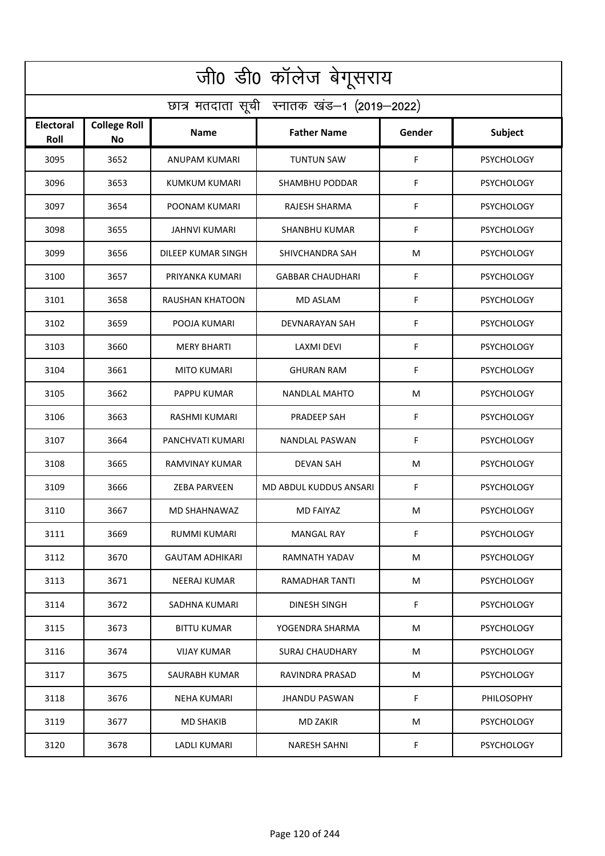| जी0 डी0 कॉलेज बेगूसराय                     |                                  |                        |                         |        |                   |  |  |  |
|--------------------------------------------|----------------------------------|------------------------|-------------------------|--------|-------------------|--|--|--|
| छात्र मतदाता सूची स्नातक खंड-1 (2019-2022) |                                  |                        |                         |        |                   |  |  |  |
| Electoral<br>Roll                          | <b>College Roll</b><br><b>No</b> | Name                   | <b>Father Name</b>      | Gender | <b>Subject</b>    |  |  |  |
| 3095                                       | 3652                             | ANUPAM KUMARI          | <b>TUNTUN SAW</b>       | F      | <b>PSYCHOLOGY</b> |  |  |  |
| 3096                                       | 3653                             | KUMKUM KUMARI          | SHAMBHU PODDAR          | F      | <b>PSYCHOLOGY</b> |  |  |  |
| 3097                                       | 3654                             | POONAM KUMARI          | <b>RAJESH SHARMA</b>    | F      | <b>PSYCHOLOGY</b> |  |  |  |
| 3098                                       | 3655                             | JAHNVI KUMARI          | SHANBHU KUMAR           | F      | <b>PSYCHOLOGY</b> |  |  |  |
| 3099                                       | 3656                             | DILEEP KUMAR SINGH     | SHIVCHANDRA SAH         | M      | <b>PSYCHOLOGY</b> |  |  |  |
| 3100                                       | 3657                             | PRIYANKA KUMARI        | <b>GABBAR CHAUDHARI</b> | F      | <b>PSYCHOLOGY</b> |  |  |  |
| 3101                                       | 3658                             | RAUSHAN KHATOON        | <b>MD ASLAM</b>         | F      | <b>PSYCHOLOGY</b> |  |  |  |
| 3102                                       | 3659                             | POOJA KUMARI           | DEVNARAYAN SAH          | F      | <b>PSYCHOLOGY</b> |  |  |  |
| 3103                                       | 3660                             | <b>MERY BHARTI</b>     | LAXMI DEVI              | F      | <b>PSYCHOLOGY</b> |  |  |  |
| 3104                                       | 3661                             | MITO KUMARI            | <b>GHURAN RAM</b>       | F      | <b>PSYCHOLOGY</b> |  |  |  |
| 3105                                       | 3662                             | PAPPU KUMAR            | NANDLAL MAHTO           | M      | <b>PSYCHOLOGY</b> |  |  |  |
| 3106                                       | 3663                             | RASHMI KUMARI          | PRADEEP SAH             | F      | <b>PSYCHOLOGY</b> |  |  |  |
| 3107                                       | 3664                             | PANCHVATI KUMARI       | NANDLAL PASWAN          | F      | <b>PSYCHOLOGY</b> |  |  |  |
| 3108                                       | 3665                             | RAMVINAY KUMAR         | <b>DEVAN SAH</b>        | M      | <b>PSYCHOLOGY</b> |  |  |  |
| 3109                                       | 3666                             | ZEBA PARVEEN           | MD ABDUL KUDDUS ANSARI  | F      | <b>PSYCHOLOGY</b> |  |  |  |
| 3110                                       | 3667                             | MD SHAHNAWAZ           | MD FAIYAZ               | M      | <b>PSYCHOLOGY</b> |  |  |  |
| 3111                                       | 3669                             | RUMMI KUMARI           | MANGAL RAY              | F      | <b>PSYCHOLOGY</b> |  |  |  |
| 3112                                       | 3670                             | <b>GAUTAM ADHIKARI</b> | RAMNATH YADAV           | M      | <b>PSYCHOLOGY</b> |  |  |  |
| 3113                                       | 3671                             | NEERAJ KUMAR           | RAMADHAR TANTI          | M      | <b>PSYCHOLOGY</b> |  |  |  |
| 3114                                       | 3672                             | SADHNA KUMARI          | DINESH SINGH            | F      | <b>PSYCHOLOGY</b> |  |  |  |
| 3115                                       | 3673                             | <b>BITTU KUMAR</b>     | YOGENDRA SHARMA         | M      | <b>PSYCHOLOGY</b> |  |  |  |
| 3116                                       | 3674                             | <b>VIJAY KUMAR</b>     | <b>SURAJ CHAUDHARY</b>  | M      | <b>PSYCHOLOGY</b> |  |  |  |
| 3117                                       | 3675                             | SAURABH KUMAR          | RAVINDRA PRASAD         | M      | <b>PSYCHOLOGY</b> |  |  |  |
| 3118                                       | 3676                             | <b>NEHA KUMARI</b>     | <b>JHANDU PASWAN</b>    | F      | PHILOSOPHY        |  |  |  |
| 3119                                       | 3677                             | <b>MD SHAKIB</b>       | <b>MD ZAKIR</b>         | M      | <b>PSYCHOLOGY</b> |  |  |  |
| 3120                                       | 3678                             | LADLI KUMARI           | <b>NARESH SAHNI</b>     | F      | <b>PSYCHOLOGY</b> |  |  |  |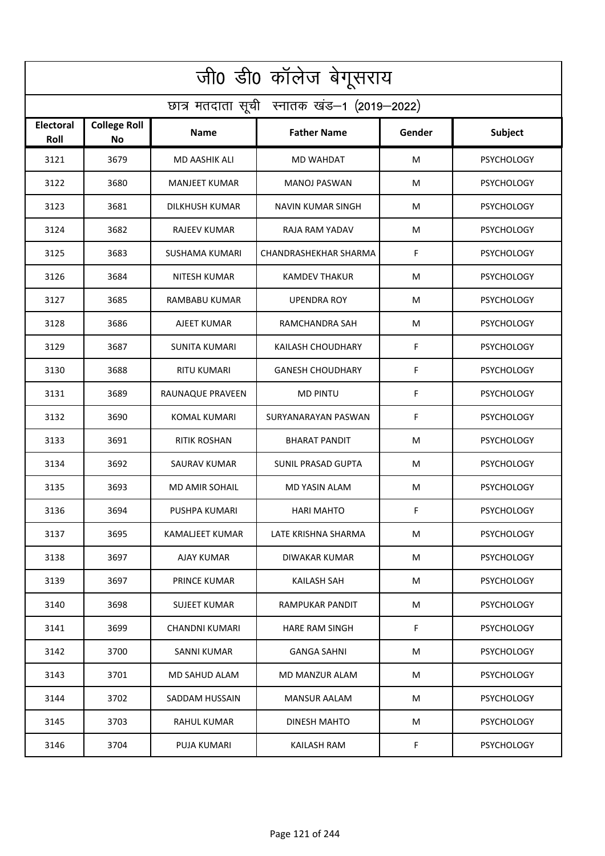| जी0 डी0 कॉलेज बेगूसराय                     |                                  |                       |                           |        |                   |  |  |  |
|--------------------------------------------|----------------------------------|-----------------------|---------------------------|--------|-------------------|--|--|--|
| छात्र मतदाता सूची स्नातक खंड-1 (2019-2022) |                                  |                       |                           |        |                   |  |  |  |
| Electoral<br>Roll                          | <b>College Roll</b><br><b>No</b> | Name                  | <b>Father Name</b>        | Gender | Subject           |  |  |  |
| 3121                                       | 3679                             | MD AASHIK ALI         | <b>MD WAHDAT</b>          | M      | <b>PSYCHOLOGY</b> |  |  |  |
| 3122                                       | 3680                             | <b>MANJEET KUMAR</b>  | <b>MANOJ PASWAN</b>       | M      | <b>PSYCHOLOGY</b> |  |  |  |
| 3123                                       | 3681                             | DILKHUSH KUMAR        | NAVIN KUMAR SINGH         | M      | <b>PSYCHOLOGY</b> |  |  |  |
| 3124                                       | 3682                             | <b>RAJEEV KUMAR</b>   | RAJA RAM YADAV            | M      | <b>PSYCHOLOGY</b> |  |  |  |
| 3125                                       | 3683                             | <b>SUSHAMA KUMARI</b> | CHANDRASHEKHAR SHARMA     | F      | <b>PSYCHOLOGY</b> |  |  |  |
| 3126                                       | 3684                             | <b>NITESH KUMAR</b>   | <b>KAMDEV THAKUR</b>      | M      | <b>PSYCHOLOGY</b> |  |  |  |
| 3127                                       | 3685                             | <b>RAMBABU KUMAR</b>  | <b>UPENDRA ROY</b>        | M      | <b>PSYCHOLOGY</b> |  |  |  |
| 3128                                       | 3686                             | AJEET KUMAR           | RAMCHANDRA SAH            | M      | <b>PSYCHOLOGY</b> |  |  |  |
| 3129                                       | 3687                             | <b>SUNITA KUMARI</b>  | KAILASH CHOUDHARY         | F      | <b>PSYCHOLOGY</b> |  |  |  |
| 3130                                       | 3688                             | RITU KUMARI           | <b>GANESH CHOUDHARY</b>   | F      | <b>PSYCHOLOGY</b> |  |  |  |
| 3131                                       | 3689                             | RAUNAQUE PRAVEEN      | <b>MD PINTU</b>           | F      | <b>PSYCHOLOGY</b> |  |  |  |
| 3132                                       | 3690                             | <b>KOMAL KUMARI</b>   | SURYANARAYAN PASWAN       | F      | <b>PSYCHOLOGY</b> |  |  |  |
| 3133                                       | 3691                             | <b>RITIK ROSHAN</b>   | <b>BHARAT PANDIT</b>      | M      | <b>PSYCHOLOGY</b> |  |  |  |
| 3134                                       | 3692                             | SAURAV KUMAR          | <b>SUNIL PRASAD GUPTA</b> | M      | <b>PSYCHOLOGY</b> |  |  |  |
| 3135                                       | 3693                             | MD AMIR SOHAIL        | MD YASIN ALAM             | M      | <b>PSYCHOLOGY</b> |  |  |  |
| 3136                                       | 3694                             | PUSHPA KUMARI         | HARI MAHTO                | F.     | <b>PSYCHOLOGY</b> |  |  |  |
| 3137                                       | 3695                             | KAMALJEET KUMAR       | LATE KRISHNA SHARMA       | М      | <b>PSYCHOLOGY</b> |  |  |  |
| 3138                                       | 3697                             | AJAY KUMAR            | DIWAKAR KUMAR             | М      | <b>PSYCHOLOGY</b> |  |  |  |
| 3139                                       | 3697                             | PRINCE KUMAR          | KAILASH SAH               | М      | <b>PSYCHOLOGY</b> |  |  |  |
| 3140                                       | 3698                             | <b>SUJEET KUMAR</b>   | RAMPUKAR PANDIT           | М      | <b>PSYCHOLOGY</b> |  |  |  |
| 3141                                       | 3699                             | CHANDNI KUMARI        | HARE RAM SINGH            | F.     | <b>PSYCHOLOGY</b> |  |  |  |
| 3142                                       | 3700                             | SANNI KUMAR           | <b>GANGA SAHNI</b>        | М      | <b>PSYCHOLOGY</b> |  |  |  |
| 3143                                       | 3701                             | MD SAHUD ALAM         | MD MANZUR ALAM            | М      | <b>PSYCHOLOGY</b> |  |  |  |
| 3144                                       | 3702                             | SADDAM HUSSAIN        | <b>MANSUR AALAM</b>       | М      | <b>PSYCHOLOGY</b> |  |  |  |
| 3145                                       | 3703                             | RAHUL KUMAR           | DINESH MAHTO              | М      | <b>PSYCHOLOGY</b> |  |  |  |
| 3146                                       | 3704                             | PUJA KUMARI           | KAILASH RAM               | F.     | <b>PSYCHOLOGY</b> |  |  |  |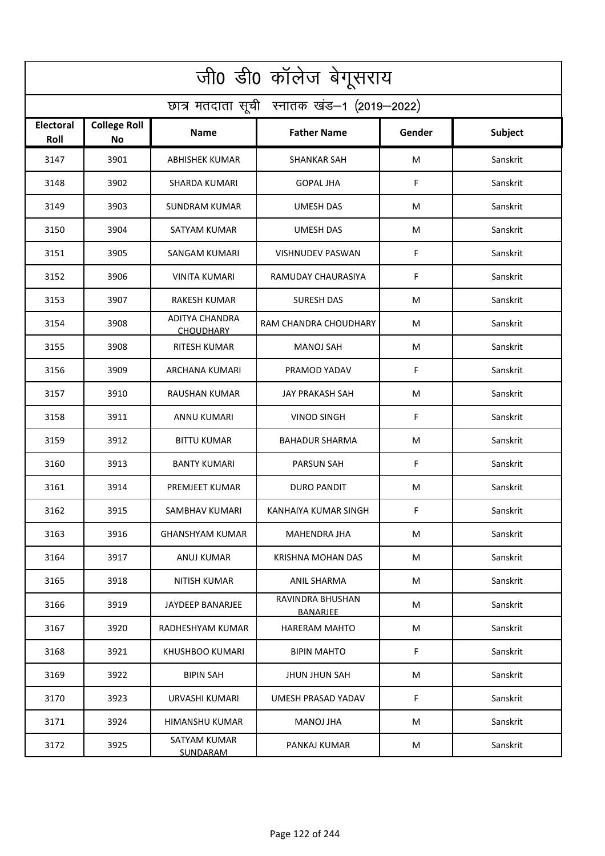| जी0 डी0 कॉलेज बेगूसराय                     |                           |                                           |                              |        |          |  |  |  |
|--------------------------------------------|---------------------------|-------------------------------------------|------------------------------|--------|----------|--|--|--|
| छात्र मतदाता सूची स्नातक खंड-1 (2019-2022) |                           |                                           |                              |        |          |  |  |  |
| <b>Electoral</b><br>Roll                   | <b>College Roll</b><br>No | Name                                      | <b>Father Name</b>           | Gender | Subject  |  |  |  |
| 3147                                       | 3901                      | <b>ABHISHEK KUMAR</b>                     | <b>SHANKAR SAH</b>           | M      | Sanskrit |  |  |  |
| 3148                                       | 3902                      | <b>SHARDA KUMARI</b>                      | <b>GOPAL JHA</b>             | F      | Sanskrit |  |  |  |
| 3149                                       | 3903                      | SUNDRAM KUMAR                             | UMESH DAS                    | M      | Sanskrit |  |  |  |
| 3150                                       | 3904                      | SATYAM KUMAR                              | <b>UMESH DAS</b>             | M      | Sanskrit |  |  |  |
| 3151                                       | 3905                      | <b>SANGAM KUMARI</b>                      | <b>VISHNUDEV PASWAN</b>      | F      | Sanskrit |  |  |  |
| 3152                                       | 3906                      | <b>VINITA KUMARI</b>                      | RAMUDAY CHAURASIYA           | F      | Sanskrit |  |  |  |
| 3153                                       | 3907                      | <b>RAKESH KUMAR</b>                       | <b>SURESH DAS</b>            | М      | Sanskrit |  |  |  |
| 3154                                       | 3908                      | <b>ADITYA CHANDRA</b><br><b>CHOUDHARY</b> | RAM CHANDRA CHOUDHARY        | M      | Sanskrit |  |  |  |
| 3155                                       | 3908                      | <b>RITESH KUMAR</b>                       | <b>MANOJ SAH</b>             | M      | Sanskrit |  |  |  |
| 3156                                       | 3909                      | ARCHANA KUMARI                            | PRAMOD YADAV                 | F      | Sanskrit |  |  |  |
| 3157                                       | 3910                      | RAUSHAN KUMAR                             | JAY PRAKASH SAH              | M      | Sanskrit |  |  |  |
| 3158                                       | 3911                      | ANNU KUMARI                               | <b>VINOD SINGH</b>           | F      | Sanskrit |  |  |  |
| 3159                                       | 3912                      | <b>BITTU KUMAR</b>                        | <b>BAHADUR SHARMA</b>        | M      | Sanskrit |  |  |  |
| 3160                                       | 3913                      | <b>BANTY KUMARI</b>                       | PARSUN SAH                   | F      | Sanskrit |  |  |  |
| 3161                                       | 3914                      | PREMJEET KUMAR                            | DURO PANDIT                  | M      | Sanskrit |  |  |  |
| 3162                                       | 3915                      | SAMBHAV KUMARI                            | KANHAIYA KUMAR SINGH         | F.     | Sanskrit |  |  |  |
| 3163                                       | 3916                      | <b>GHANSHYAM KUMAR</b>                    | MAHENDRA JHA                 | М      | Sanskrit |  |  |  |
| 3164                                       | 3917                      | <b>ANUJ KUMAR</b>                         | <b>KRISHNA MOHAN DAS</b>     | М      | Sanskrit |  |  |  |
| 3165                                       | 3918                      | NITISH KUMAR                              | <b>ANIL SHARMA</b>           | М      | Sanskrit |  |  |  |
| 3166                                       | 3919                      | JAYDEEP BANARJEE                          | RAVINDRA BHUSHAN<br>BANARJEE | M      | Sanskrit |  |  |  |
| 3167                                       | 3920                      | RADHESHYAM KUMAR                          | <b>HARERAM MAHTO</b>         | M      | Sanskrit |  |  |  |
| 3168                                       | 3921                      | KHUSHBOO KUMARI                           | <b>BIPIN MAHTO</b>           | F      | Sanskrit |  |  |  |
| 3169                                       | 3922                      | <b>BIPIN SAH</b>                          | JHUN JHUN SAH                | M      | Sanskrit |  |  |  |
| 3170                                       | 3923                      | URVASHI KUMARI                            | UMESH PRASAD YADAV           | F      | Sanskrit |  |  |  |
| 3171                                       | 3924                      | HIMANSHU KUMAR                            | MANOJ JHA                    | М      | Sanskrit |  |  |  |
| 3172                                       | 3925                      | SATYAM KUMAR<br><b>SUNDARAM</b>           | PANKAJ KUMAR                 | M      | Sanskrit |  |  |  |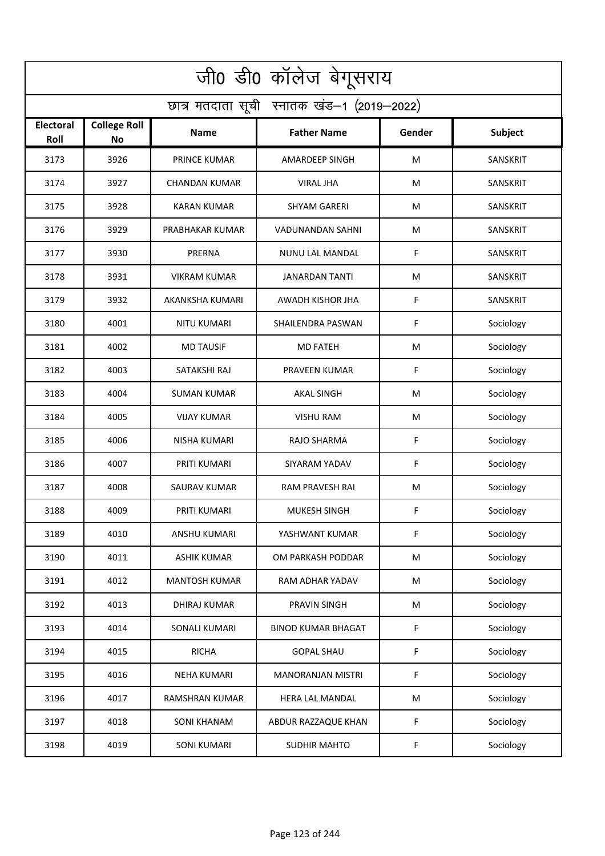| जी0 डी0 कॉलेज बेगूसराय                     |                           |                        |                           |        |                 |  |  |  |
|--------------------------------------------|---------------------------|------------------------|---------------------------|--------|-----------------|--|--|--|
| छात्र मतदाता सूची स्नातक खंड-1 (2019-2022) |                           |                        |                           |        |                 |  |  |  |
| <b>Electoral</b><br>Roll                   | <b>College Roll</b><br>No | <b>Name</b>            | <b>Father Name</b>        | Gender | <b>Subject</b>  |  |  |  |
| 3173                                       | 3926                      | <b>PRINCE KUMAR</b>    | AMARDEEP SINGH            | M      | <b>SANSKRIT</b> |  |  |  |
| 3174                                       | 3927                      | CHANDAN KUMAR          | <b>VIRAL JHA</b>          | M      | SANSKRIT        |  |  |  |
| 3175                                       | 3928                      | <b>KARAN KUMAR</b>     | <b>SHYAM GARERI</b>       | M      | SANSKRIT        |  |  |  |
| 3176                                       | 3929                      | PRABHAKAR KUMAR        | VADUNANDAN SAHNI          | M      | SANSKRIT        |  |  |  |
| 3177                                       | 3930                      | PRERNA                 | <b>NUNU LAL MANDAL</b>    | F      | <b>SANSKRIT</b> |  |  |  |
| 3178                                       | 3931                      | <b>VIKRAM KUMAR</b>    | <b>JANARDAN TANTI</b>     | M      | SANSKRIT        |  |  |  |
| 3179                                       | 3932                      | <b>AKANKSHA KUMARI</b> | AWADH KISHOR JHA          | F      | SANSKRIT        |  |  |  |
| 3180                                       | 4001                      | <b>NITU KUMARI</b>     | SHAILENDRA PASWAN         | F      | Sociology       |  |  |  |
| 3181                                       | 4002                      | <b>MD TAUSIF</b>       | <b>MD FATEH</b>           | M      | Sociology       |  |  |  |
| 3182                                       | 4003                      | SATAKSHI RAJ           | PRAVEEN KUMAR             | F      | Sociology       |  |  |  |
| 3183                                       | 4004                      | <b>SUMAN KUMAR</b>     | <b>AKAL SINGH</b>         | M      | Sociology       |  |  |  |
| 3184                                       | 4005                      | <b>VIJAY KUMAR</b>     | <b>VISHU RAM</b>          | M      | Sociology       |  |  |  |
| 3185                                       | 4006                      | NISHA KUMARI           | RAJO SHARMA               | F      | Sociology       |  |  |  |
| 3186                                       | 4007                      | PRITI KUMARI           | SIYARAM YADAV             | F      | Sociology       |  |  |  |
| 3187                                       | 4008                      | SAURAV KUMAR           | RAM PRAVESH RAI           | M      | Sociology       |  |  |  |
| 3188                                       | 4009                      | PRITI KUMARI           | <b>MUKESH SINGH</b>       | F      | Sociology       |  |  |  |
| 3189                                       | 4010                      | ANSHU KUMARI           | YASHWANT KUMAR            | F      | Sociology       |  |  |  |
| 3190                                       | 4011                      | <b>ASHIK KUMAR</b>     | OM PARKASH PODDAR         | M      | Sociology       |  |  |  |
| 3191                                       | 4012                      | <b>MANTOSH KUMAR</b>   | RAM ADHAR YADAV           | M      | Sociology       |  |  |  |
| 3192                                       | 4013                      | DHIRAJ KUMAR           | PRAVIN SINGH              | M      | Sociology       |  |  |  |
| 3193                                       | 4014                      | SONALI KUMARI          | <b>BINOD KUMAR BHAGAT</b> | F      | Sociology       |  |  |  |
| 3194                                       | 4015                      | <b>RICHA</b>           | <b>GOPAL SHAU</b>         | F      | Sociology       |  |  |  |
| 3195                                       | 4016                      | <b>NEHA KUMARI</b>     | <b>MANORANJAN MISTRI</b>  | F      | Sociology       |  |  |  |
| 3196                                       | 4017                      | <b>RAMSHRAN KUMAR</b>  | <b>HERA LAL MANDAL</b>    | M      | Sociology       |  |  |  |
| 3197                                       | 4018                      | SONI KHANAM            | ABDUR RAZZAQUE KHAN       | F      | Sociology       |  |  |  |
| 3198                                       | 4019                      | <b>SONI KUMARI</b>     | <b>SUDHIR MAHTO</b>       | F.     | Sociology       |  |  |  |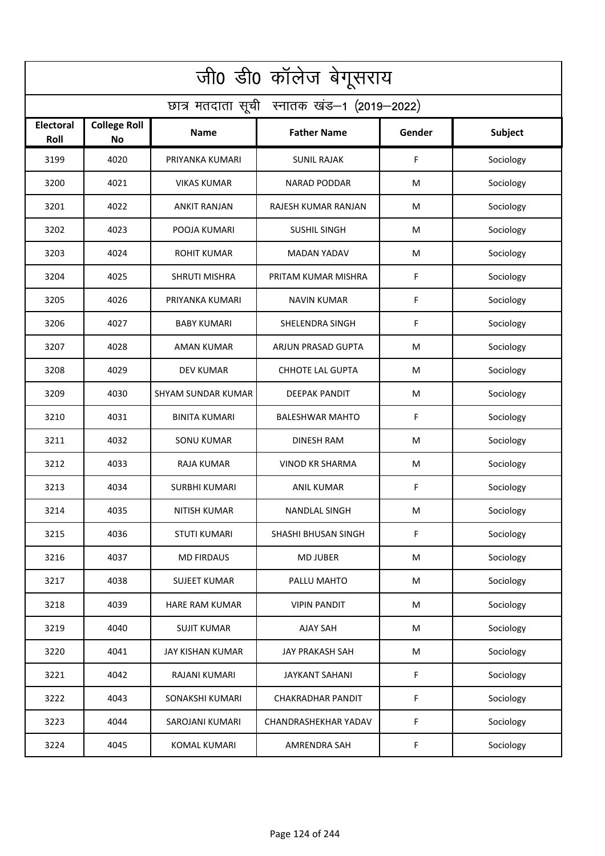| जी0 डी0 कॉलेज बेगूसराय                     |                                  |                           |                          |        |           |  |  |  |
|--------------------------------------------|----------------------------------|---------------------------|--------------------------|--------|-----------|--|--|--|
| छात्र मतदाता सूची स्नातक खंड-1 (2019-2022) |                                  |                           |                          |        |           |  |  |  |
| <b>Electoral</b><br>Roll                   | <b>College Roll</b><br><b>No</b> | Name                      | <b>Father Name</b>       | Gender | Subject   |  |  |  |
| 3199                                       | 4020                             | PRIYANKA KUMARI           | <b>SUNIL RAJAK</b>       | F      | Sociology |  |  |  |
| 3200                                       | 4021                             | <b>VIKAS KUMAR</b>        | <b>NARAD PODDAR</b>      | M      | Sociology |  |  |  |
| 3201                                       | 4022                             | <b>ANKIT RANJAN</b>       | RAJESH KUMAR RANJAN      | M      | Sociology |  |  |  |
| 3202                                       | 4023                             | POOJA KUMARI              | <b>SUSHIL SINGH</b>      | M      | Sociology |  |  |  |
| 3203                                       | 4024                             | <b>ROHIT KUMAR</b>        | <b>MADAN YADAV</b>       | M      | Sociology |  |  |  |
| 3204                                       | 4025                             | <b>SHRUTI MISHRA</b>      | PRITAM KUMAR MISHRA      | F      | Sociology |  |  |  |
| 3205                                       | 4026                             | PRIYANKA KUMARI           | <b>NAVIN KUMAR</b>       | F      | Sociology |  |  |  |
| 3206                                       | 4027                             | <b>BABY KUMARI</b>        | SHELENDRA SINGH          | F      | Sociology |  |  |  |
| 3207                                       | 4028                             | <b>AMAN KUMAR</b>         | ARJUN PRASAD GUPTA       | M      | Sociology |  |  |  |
| 3208                                       | 4029                             | <b>DEV KUMAR</b>          | <b>CHHOTE LAL GUPTA</b>  | M      | Sociology |  |  |  |
| 3209                                       | 4030                             | <b>SHYAM SUNDAR KUMAR</b> | <b>DEEPAK PANDIT</b>     | M      | Sociology |  |  |  |
| 3210                                       | 4031                             | <b>BINITA KUMARI</b>      | <b>BALESHWAR MAHTO</b>   | F      | Sociology |  |  |  |
| 3211                                       | 4032                             | <b>SONU KUMAR</b>         | <b>DINESH RAM</b>        | M      | Sociology |  |  |  |
| 3212                                       | 4033                             | <b>RAJA KUMAR</b>         | <b>VINOD KR SHARMA</b>   | M      | Sociology |  |  |  |
| 3213                                       | 4034                             | SURBHI KUMARI             | <b>ANIL KUMAR</b>        | F      | Sociology |  |  |  |
| 3214                                       | 4035                             | NITISH KUMAR              | NANDLAL SINGH            | M      | Sociology |  |  |  |
| 3215                                       | 4036                             | STUTI KUMARI              | SHASHI BHUSAN SINGH      | F      | Sociology |  |  |  |
| 3216                                       | 4037                             | <b>MD FIRDAUS</b>         | <b>MD JUBER</b>          | M      | Sociology |  |  |  |
| 3217                                       | 4038                             | <b>SUJEET KUMAR</b>       | PALLU MAHTO              | M      | Sociology |  |  |  |
| 3218                                       | 4039                             | HARE RAM KUMAR            | <b>VIPIN PANDIT</b>      | M      | Sociology |  |  |  |
| 3219                                       | 4040                             | <b>SUJIT KUMAR</b>        | <b>AJAY SAH</b>          | M      | Sociology |  |  |  |
| 3220                                       | 4041                             | JAY KISHAN KUMAR          | <b>JAY PRAKASH SAH</b>   | M      | Sociology |  |  |  |
| 3221                                       | 4042                             | RAJANI KUMARI             | <b>JAYKANT SAHANI</b>    | F      | Sociology |  |  |  |
| 3222                                       | 4043                             | SONAKSHI KUMARI           | <b>CHAKRADHAR PANDIT</b> | F      | Sociology |  |  |  |
| 3223                                       | 4044                             | SAROJANI KUMARI           | CHANDRASHEKHAR YADAV     | F      | Sociology |  |  |  |
| 3224                                       | 4045                             | <b>KOMAL KUMARI</b>       | <b>AMRENDRA SAH</b>      | F      | Sociology |  |  |  |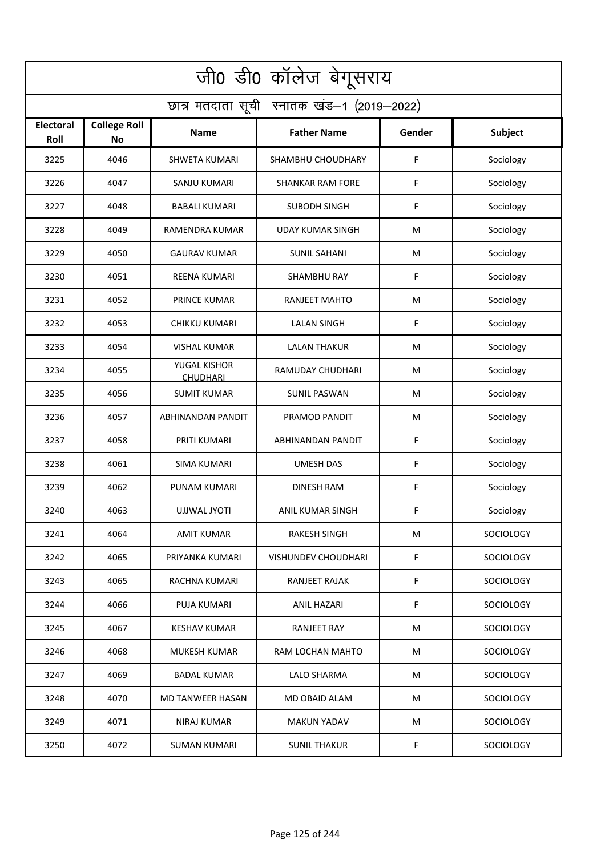| जी0 डी0 कॉलेज बेगूसराय                     |                                  |                                 |                            |        |                  |  |  |  |
|--------------------------------------------|----------------------------------|---------------------------------|----------------------------|--------|------------------|--|--|--|
| छात्र मतदाता सूची स्नातक खंड-1 (2019-2022) |                                  |                                 |                            |        |                  |  |  |  |
| <b>Electoral</b><br>Roll                   | <b>College Roll</b><br><b>No</b> | Name                            | <b>Father Name</b>         | Gender | <b>Subject</b>   |  |  |  |
| 3225                                       | 4046                             | <b>SHWETA KUMARI</b>            | SHAMBHU CHOUDHARY          | F      | Sociology        |  |  |  |
| 3226                                       | 4047                             | SANJU KUMARI                    | <b>SHANKAR RAM FORE</b>    | F      | Sociology        |  |  |  |
| 3227                                       | 4048                             | <b>BABALI KUMARI</b>            | <b>SUBODH SINGH</b>        | F      | Sociology        |  |  |  |
| 3228                                       | 4049                             | RAMENDRA KUMAR                  | <b>UDAY KUMAR SINGH</b>    | M      | Sociology        |  |  |  |
| 3229                                       | 4050                             | <b>GAURAV KUMAR</b>             | <b>SUNIL SAHANI</b>        | M      | Sociology        |  |  |  |
| 3230                                       | 4051                             | <b>REENA KUMARI</b>             | <b>SHAMBHU RAY</b>         | F      | Sociology        |  |  |  |
| 3231                                       | 4052                             | PRINCE KUMAR                    | <b>RANJEET MAHTO</b>       | M      | Sociology        |  |  |  |
| 3232                                       | 4053                             | <b>CHIKKU KUMARI</b>            | <b>LALAN SINGH</b>         | F      | Sociology        |  |  |  |
| 3233                                       | 4054                             | <b>VISHAL KUMAR</b>             | <b>LALAN THAKUR</b>        | M      | Sociology        |  |  |  |
| 3234                                       | 4055                             | YUGAL KISHOR<br><b>CHUDHARI</b> | RAMUDAY CHUDHARI           | M      | Sociology        |  |  |  |
| 3235                                       | 4056                             | <b>SUMIT KUMAR</b>              | <b>SUNIL PASWAN</b>        | M      | Sociology        |  |  |  |
| 3236                                       | 4057                             | ABHINANDAN PANDIT               | PRAMOD PANDIT              | M      | Sociology        |  |  |  |
| 3237                                       | 4058                             | PRITI KUMARI                    | ABHINANDAN PANDIT          | F      | Sociology        |  |  |  |
| 3238                                       | 4061                             | <b>SIMA KUMARI</b>              | <b>UMESH DAS</b>           | F      | Sociology        |  |  |  |
| 3239                                       | 4062                             | PUNAM KUMARI                    | <b>DINESH RAM</b>          | F      | Sociology        |  |  |  |
| 3240                                       | 4063                             | UJJWAL JYOTI                    | ANIL KUMAR SINGH           | F      | Sociology        |  |  |  |
| 3241                                       | 4064                             | AMIT KUMAR                      | RAKESH SINGH               | M      | <b>SOCIOLOGY</b> |  |  |  |
| 3242                                       | 4065                             | PRIYANKA KUMARI                 | <b>VISHUNDEV CHOUDHARI</b> | F.     | <b>SOCIOLOGY</b> |  |  |  |
| 3243                                       | 4065                             | RACHNA KUMARI                   | RANJEET RAJAK              | F.     | <b>SOCIOLOGY</b> |  |  |  |
| 3244                                       | 4066                             | PUJA KUMARI                     | ANIL HAZARI                | F      | <b>SOCIOLOGY</b> |  |  |  |
| 3245                                       | 4067                             | KESHAV KUMAR                    | <b>RANJEET RAY</b>         | M      | <b>SOCIOLOGY</b> |  |  |  |
| 3246                                       | 4068                             | MUKESH KUMAR                    | RAM LOCHAN MAHTO           | M      | <b>SOCIOLOGY</b> |  |  |  |
| 3247                                       | 4069                             | <b>BADAL KUMAR</b>              | <b>LALO SHARMA</b>         | M      | SOCIOLOGY        |  |  |  |
| 3248                                       | 4070                             | MD TANWEER HASAN                | MD OBAID ALAM              | M      | <b>SOCIOLOGY</b> |  |  |  |
| 3249                                       | 4071                             | NIRAJ KUMAR                     | <b>MAKUN YADAV</b>         | M      | <b>SOCIOLOGY</b> |  |  |  |
| 3250                                       | 4072                             | SUMAN KUMARI                    | <b>SUNIL THAKUR</b>        | F.     | <b>SOCIOLOGY</b> |  |  |  |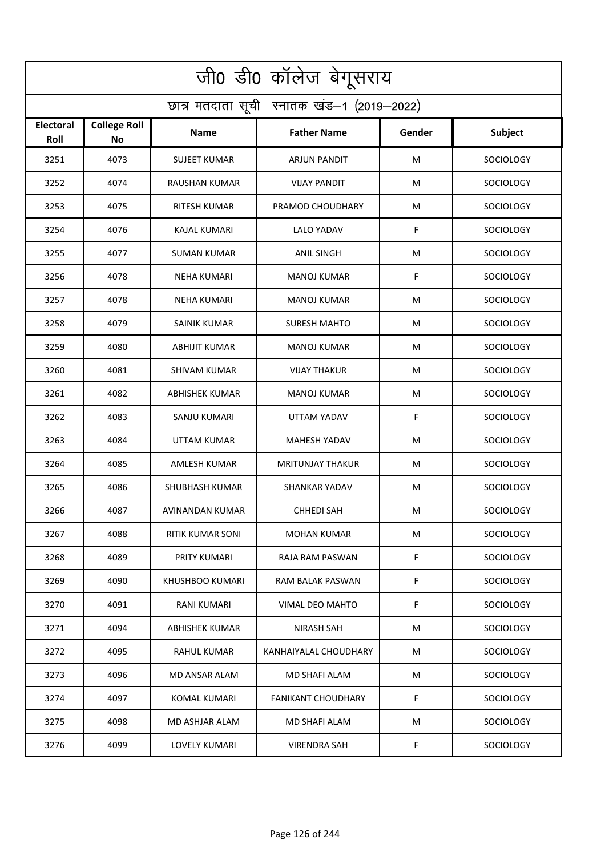| जी0 डी0 कॉलेज बेगूसराय                     |                                  |                       |                         |        |                  |  |  |  |
|--------------------------------------------|----------------------------------|-----------------------|-------------------------|--------|------------------|--|--|--|
| छात्र मतदाता सूची स्नातक खंड-1 (2019-2022) |                                  |                       |                         |        |                  |  |  |  |
| <b>Electoral</b><br>Roll                   | <b>College Roll</b><br><b>No</b> | Name                  | <b>Father Name</b>      | Gender | <b>Subject</b>   |  |  |  |
| 3251                                       | 4073                             | <b>SUJEET KUMAR</b>   | ARJUN PANDIT            | M      | SOCIOLOGY        |  |  |  |
| 3252                                       | 4074                             | <b>RAUSHAN KUMAR</b>  | <b>VIJAY PANDIT</b>     | M      | <b>SOCIOLOGY</b> |  |  |  |
| 3253                                       | 4075                             | RITESH KUMAR          | PRAMOD CHOUDHARY        | M      | SOCIOLOGY        |  |  |  |
| 3254                                       | 4076                             | <b>KAJAL KUMARI</b>   | <b>LALO YADAV</b>       | F      | <b>SOCIOLOGY</b> |  |  |  |
| 3255                                       | 4077                             | <b>SUMAN KUMAR</b>    | <b>ANIL SINGH</b>       | M      | <b>SOCIOLOGY</b> |  |  |  |
| 3256                                       | 4078                             | NEHA KUMARI           | <b>MANOJ KUMAR</b>      | F      | SOCIOLOGY        |  |  |  |
| 3257                                       | 4078                             | <b>NEHA KUMARI</b>    | <b>MANOJ KUMAR</b>      | M      | <b>SOCIOLOGY</b> |  |  |  |
| 3258                                       | 4079                             | <b>SAINIK KUMAR</b>   | <b>SURESH MAHTO</b>     | M      | <b>SOCIOLOGY</b> |  |  |  |
| 3259                                       | 4080                             | <b>ABHIJIT KUMAR</b>  | <b>MANOJ KUMAR</b>      | M      | SOCIOLOGY        |  |  |  |
| 3260                                       | 4081                             | <b>SHIVAM KUMAR</b>   | <b>VIJAY THAKUR</b>     | M      | SOCIOLOGY        |  |  |  |
| 3261                                       | 4082                             | <b>ABHISHEK KUMAR</b> | MANOJ KUMAR             | M      | SOCIOLOGY        |  |  |  |
| 3262                                       | 4083                             | SANJU KUMARI          | UTTAM YADAV             | F      | SOCIOLOGY        |  |  |  |
| 3263                                       | 4084                             | UTTAM KUMAR           | MAHESH YADAV            | M      | <b>SOCIOLOGY</b> |  |  |  |
| 3264                                       | 4085                             | <b>AMLESH KUMAR</b>   | <b>MRITUNJAY THAKUR</b> | M      | <b>SOCIOLOGY</b> |  |  |  |
| 3265                                       | 4086                             | SHUBHASH KUMAR        | <b>SHANKAR YADAV</b>    | M      | <b>SOCIOLOGY</b> |  |  |  |
| 3266                                       | 4087                             | AVINANDAN KUMAR       | <b>CHHEDI SAH</b>       | M      | SOCIOLOGY        |  |  |  |
| 3267                                       | 4088                             | RITIK KUMAR SONI      | MOHAN KUMAR             | М      | <b>SOCIOLOGY</b> |  |  |  |
| 3268                                       | 4089                             | PRITY KUMARI          | RAJA RAM PASWAN         | F      | <b>SOCIOLOGY</b> |  |  |  |
| 3269                                       | 4090                             | KHUSHBOO KUMARI       | RAM BALAK PASWAN        | F.     | SOCIOLOGY        |  |  |  |
| 3270                                       | 4091                             | RANI KUMARI           | VIMAL DEO MAHTO         | F      | <b>SOCIOLOGY</b> |  |  |  |
| 3271                                       | 4094                             | ABHISHEK KUMAR        | <b>NIRASH SAH</b>       | M      | <b>SOCIOLOGY</b> |  |  |  |
| 3272                                       | 4095                             | RAHUL KUMAR           | KANHAIYALAL CHOUDHARY   | М      | <b>SOCIOLOGY</b> |  |  |  |
| 3273                                       | 4096                             | MD ANSAR ALAM         | MD SHAFI ALAM           | М      | SOCIOLOGY        |  |  |  |
| 3274                                       | 4097                             | KOMAL KUMARI          | FANIKANT CHOUDHARY      | F.     | SOCIOLOGY        |  |  |  |
| 3275                                       | 4098                             | MD ASHJAR ALAM        | MD SHAFI ALAM           | M      | <b>SOCIOLOGY</b> |  |  |  |
| 3276                                       | 4099                             | LOVELY KUMARI         | <b>VIRENDRA SAH</b>     | F      | <b>SOCIOLOGY</b> |  |  |  |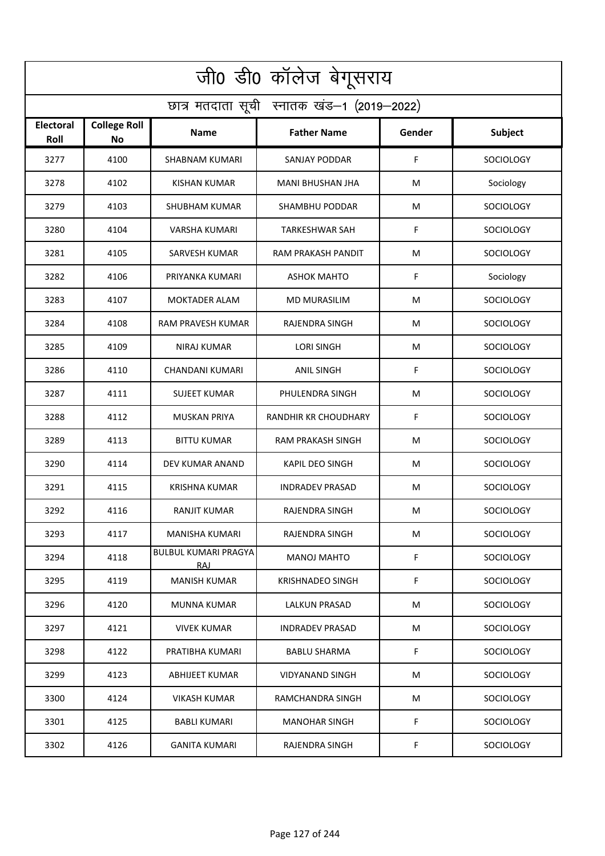| जी0 डी0 कॉलेज बेगूसराय                     |                           |                                     |                         |        |                  |  |  |  |
|--------------------------------------------|---------------------------|-------------------------------------|-------------------------|--------|------------------|--|--|--|
| छात्र मतदाता सूची स्नातक खंड-1 (2019-2022) |                           |                                     |                         |        |                  |  |  |  |
| <b>Electoral</b><br>Roll                   | <b>College Roll</b><br>No | Name                                | <b>Father Name</b>      | Gender | <b>Subject</b>   |  |  |  |
| 3277                                       | 4100                      | <b>SHABNAM KUMARI</b>               | <b>SANJAY PODDAR</b>    | F      | <b>SOCIOLOGY</b> |  |  |  |
| 3278                                       | 4102                      | <b>KISHAN KUMAR</b>                 | <b>MANI BHUSHAN JHA</b> | M      | Sociology        |  |  |  |
| 3279                                       | 4103                      | SHUBHAM KUMAR                       | <b>SHAMBHU PODDAR</b>   | M      | <b>SOCIOLOGY</b> |  |  |  |
| 3280                                       | 4104                      | <b>VARSHA KUMARI</b>                | <b>TARKESHWAR SAH</b>   | F      | <b>SOCIOLOGY</b> |  |  |  |
| 3281                                       | 4105                      | <b>SARVESH KUMAR</b>                | RAM PRAKASH PANDIT      | M      | <b>SOCIOLOGY</b> |  |  |  |
| 3282                                       | 4106                      | PRIYANKA KUMARI                     | <b>ASHOK MAHTO</b>      | F      | Sociology        |  |  |  |
| 3283                                       | 4107                      | <b>MOKTADER ALAM</b>                | <b>MD MURASILIM</b>     | M      | <b>SOCIOLOGY</b> |  |  |  |
| 3284                                       | 4108                      | RAM PRAVESH KUMAR                   | <b>RAJENDRA SINGH</b>   | M      | <b>SOCIOLOGY</b> |  |  |  |
| 3285                                       | 4109                      | <b>NIRAJ KUMAR</b>                  | <b>LORI SINGH</b>       | M      | SOCIOLOGY        |  |  |  |
| 3286                                       | 4110                      | CHANDANI KUMARI                     | <b>ANIL SINGH</b>       | F      | SOCIOLOGY        |  |  |  |
| 3287                                       | 4111                      | <b>SUJEET KUMAR</b>                 | PHULENDRA SINGH         | M      | <b>SOCIOLOGY</b> |  |  |  |
| 3288                                       | 4112                      | MUSKAN PRIYA                        | RANDHIR KR CHOUDHARY    | F      | SOCIOLOGY        |  |  |  |
| 3289                                       | 4113                      | <b>BITTU KUMAR</b>                  | RAM PRAKASH SINGH       | M      | <b>SOCIOLOGY</b> |  |  |  |
| 3290                                       | 4114                      | DEV KUMAR ANAND                     | <b>KAPIL DEO SINGH</b>  | M      | <b>SOCIOLOGY</b> |  |  |  |
| 3291                                       | 4115                      | KRISHNA KUMAR                       | <b>INDRADEV PRASAD</b>  | M      | SOCIOLOGY        |  |  |  |
| 3292                                       | 4116                      | RANJIT KUMAR                        | RAJENDRA SINGH          | M      | SOCIOLOGY        |  |  |  |
| 3293                                       | 4117                      | MANISHA KUMARI                      | RAJENDRA SINGH          | M      | SOCIOLOGY        |  |  |  |
| 3294                                       | 4118                      | <b>BULBUL KUMARI PRAGYA</b><br>RAJ. | <b>MANOJ MAHTO</b>      | F.     | <b>SOCIOLOGY</b> |  |  |  |
| 3295                                       | 4119                      | <b>MANISH KUMAR</b>                 | KRISHNADEO SINGH        | F.     | <b>SOCIOLOGY</b> |  |  |  |
| 3296                                       | 4120                      | <b>MUNNA KUMAR</b>                  | <b>LALKUN PRASAD</b>    | M      | <b>SOCIOLOGY</b> |  |  |  |
| 3297                                       | 4121                      | VIVEK KUMAR                         | <b>INDRADEV PRASAD</b>  | M      | <b>SOCIOLOGY</b> |  |  |  |
| 3298                                       | 4122                      | PRATIBHA KUMARI                     | <b>BABLU SHARMA</b>     | F      | <b>SOCIOLOGY</b> |  |  |  |
| 3299                                       | 4123                      | ABHIJEET KUMAR                      | VIDYANAND SINGH         | M      | SOCIOLOGY        |  |  |  |
| 3300                                       | 4124                      | VIKASH KUMAR                        | RAMCHANDRA SINGH        | M      | SOCIOLOGY        |  |  |  |
| 3301                                       | 4125                      | BABLI KUMARI                        | <b>MANOHAR SINGH</b>    | F      | <b>SOCIOLOGY</b> |  |  |  |
| 3302                                       | 4126                      | <b>GANITA KUMARI</b>                | RAJENDRA SINGH          | F.     | <b>SOCIOLOGY</b> |  |  |  |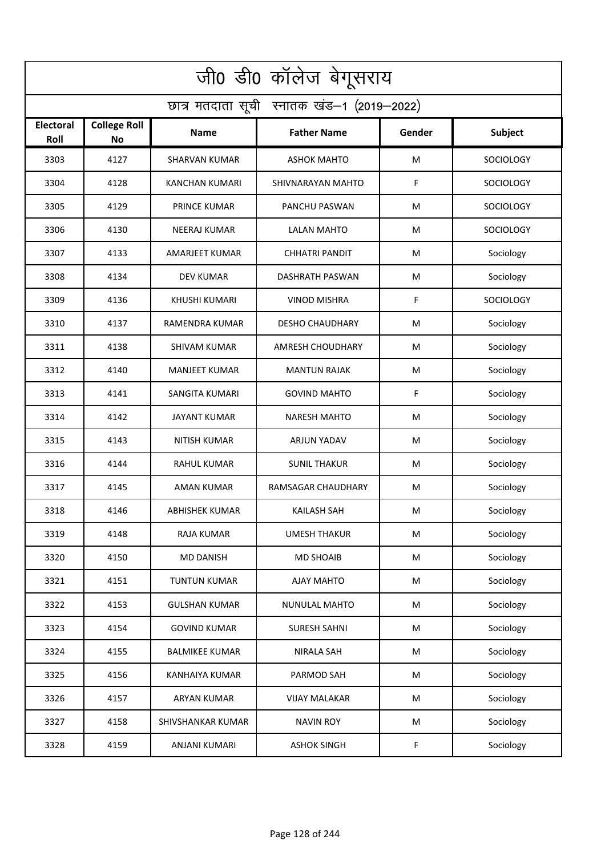| जी0 डी0 कॉलेज बेगूसराय                     |                                  |                       |                         |        |                  |  |  |  |
|--------------------------------------------|----------------------------------|-----------------------|-------------------------|--------|------------------|--|--|--|
| छात्र मतदाता सूची स्नातक खंड-1 (2019-2022) |                                  |                       |                         |        |                  |  |  |  |
| <b>Electoral</b><br>Roll                   | <b>College Roll</b><br><b>No</b> | Name                  | <b>Father Name</b>      | Gender | Subject          |  |  |  |
| 3303                                       | 4127                             | <b>SHARVAN KUMAR</b>  | <b>ASHOK MAHTO</b>      | M      | SOCIOLOGY        |  |  |  |
| 3304                                       | 4128                             | <b>KANCHAN KUMARI</b> | SHIVNARAYAN MAHTO       | F      | <b>SOCIOLOGY</b> |  |  |  |
| 3305                                       | 4129                             | <b>PRINCE KUMAR</b>   | PANCHU PASWAN           | M      | SOCIOLOGY        |  |  |  |
| 3306                                       | 4130                             | <b>NEERAJ KUMAR</b>   | <b>LALAN MAHTO</b>      | M      | <b>SOCIOLOGY</b> |  |  |  |
| 3307                                       | 4133                             | <b>AMARJEET KUMAR</b> | <b>CHHATRI PANDIT</b>   | M      | Sociology        |  |  |  |
| 3308                                       | 4134                             | <b>DEV KUMAR</b>      | DASHRATH PASWAN         | M      | Sociology        |  |  |  |
| 3309                                       | 4136                             | <b>KHUSHI KUMARI</b>  | <b>VINOD MISHRA</b>     | F      | <b>SOCIOLOGY</b> |  |  |  |
| 3310                                       | 4137                             | RAMENDRA KUMAR        | <b>DESHO CHAUDHARY</b>  | M      | Sociology        |  |  |  |
| 3311                                       | 4138                             | <b>SHIVAM KUMAR</b>   | <b>AMRESH CHOUDHARY</b> | M      | Sociology        |  |  |  |
| 3312                                       | 4140                             | <b>MANJEET KUMAR</b>  | <b>MANTUN RAJAK</b>     | M      | Sociology        |  |  |  |
| 3313                                       | 4141                             | <b>SANGITA KUMARI</b> | <b>GOVIND MAHTO</b>     | F      | Sociology        |  |  |  |
| 3314                                       | 4142                             | <b>JAYANT KUMAR</b>   | <b>NARESH MAHTO</b>     | M      | Sociology        |  |  |  |
| 3315                                       | 4143                             | NITISH KUMAR          | ARJUN YADAV             | M      | Sociology        |  |  |  |
| 3316                                       | 4144                             | RAHUL KUMAR           | <b>SUNIL THAKUR</b>     | M      | Sociology        |  |  |  |
| 3317                                       | 4145                             | AMAN KUMAR            | RAMSAGAR CHAUDHARY      | M      | Sociology        |  |  |  |
| 3318                                       | 4146                             | <b>ABHISHEK KUMAR</b> | <b>KAILASH SAH</b>      | M      | Sociology        |  |  |  |
| 3319                                       | 4148                             | RAJA KUMAR            | <b>UMESH THAKUR</b>     | М      | Sociology        |  |  |  |
| 3320                                       | 4150                             | <b>MD DANISH</b>      | <b>MD SHOAIB</b>        | M      | Sociology        |  |  |  |
| 3321                                       | 4151                             | <b>TUNTUN KUMAR</b>   | AJAY MAHTO              | M      | Sociology        |  |  |  |
| 3322                                       | 4153                             | <b>GULSHAN KUMAR</b>  | NUNULAL MAHTO           | M      | Sociology        |  |  |  |
| 3323                                       | 4154                             | <b>GOVIND KUMAR</b>   | <b>SURESH SAHNI</b>     | M      | Sociology        |  |  |  |
| 3324                                       | 4155                             | <b>BALMIKEE KUMAR</b> | <b>NIRALA SAH</b>       | M      | Sociology        |  |  |  |
| 3325                                       | 4156                             | <b>KANHAIYA KUMAR</b> | PARMOD SAH              | M      | Sociology        |  |  |  |
| 3326                                       | 4157                             | <b>ARYAN KUMAR</b>    | <b>VIJAY MALAKAR</b>    | M      | Sociology        |  |  |  |
| 3327                                       | 4158                             | SHIVSHANKAR KUMAR     | <b>NAVIN ROY</b>        | M      | Sociology        |  |  |  |
| 3328                                       | 4159                             | <b>ANJANI KUMARI</b>  | <b>ASHOK SINGH</b>      | F      | Sociology        |  |  |  |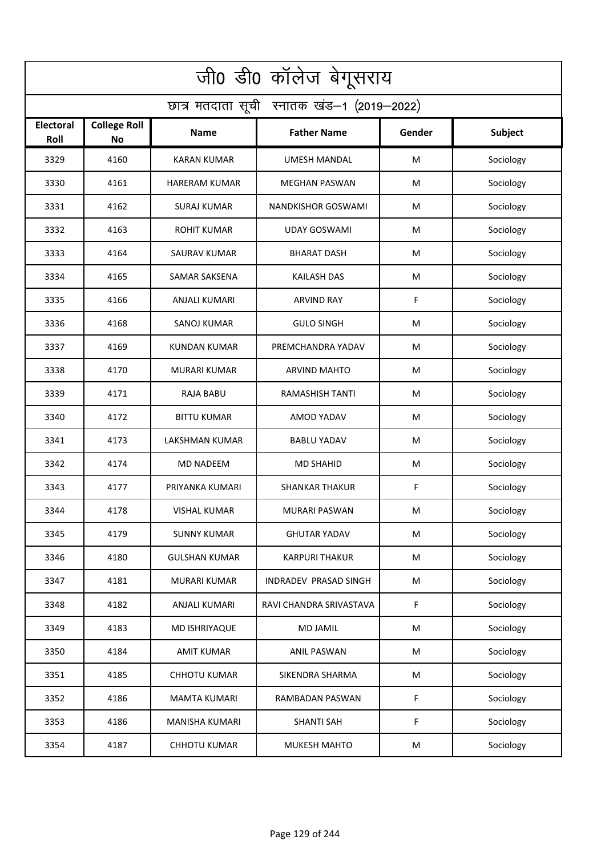| जी0 डी0 कॉलेज बेगूसराय                     |                                  |                      |                         |        |           |  |  |  |
|--------------------------------------------|----------------------------------|----------------------|-------------------------|--------|-----------|--|--|--|
| छात्र मतदाता सूची स्नातक खंड-1 (2019-2022) |                                  |                      |                         |        |           |  |  |  |
| <b>Electoral</b><br>Roll                   | <b>College Roll</b><br><b>No</b> | Name                 | <b>Father Name</b>      | Gender | Subject   |  |  |  |
| 3329                                       | 4160                             | <b>KARAN KUMAR</b>   | <b>UMESH MANDAL</b>     | M      | Sociology |  |  |  |
| 3330                                       | 4161                             | <b>HARERAM KUMAR</b> | <b>MEGHAN PASWAN</b>    | M      | Sociology |  |  |  |
| 3331                                       | 4162                             | <b>SURAJ KUMAR</b>   | NANDKISHOR GOSWAMI      | M      | Sociology |  |  |  |
| 3332                                       | 4163                             | <b>ROHIT KUMAR</b>   | <b>UDAY GOSWAMI</b>     | M      | Sociology |  |  |  |
| 3333                                       | 4164                             | <b>SAURAV KUMAR</b>  | <b>BHARAT DASH</b>      | M      | Sociology |  |  |  |
| 3334                                       | 4165                             | <b>SAMAR SAKSENA</b> | <b>KAILASH DAS</b>      | M      | Sociology |  |  |  |
| 3335                                       | 4166                             | ANJALI KUMARI        | <b>ARVIND RAY</b>       | F      | Sociology |  |  |  |
| 3336                                       | 4168                             | SANOJ KUMAR          | <b>GULO SINGH</b>       | M      | Sociology |  |  |  |
| 3337                                       | 4169                             | <b>KUNDAN KUMAR</b>  | PREMCHANDRA YADAV       | M      | Sociology |  |  |  |
| 3338                                       | 4170                             | <b>MURARI KUMAR</b>  | <b>ARVIND MAHTO</b>     | M      | Sociology |  |  |  |
| 3339                                       | 4171                             | <b>RAJA BABU</b>     | <b>RAMASHISH TANTI</b>  | M      | Sociology |  |  |  |
| 3340                                       | 4172                             | <b>BITTU KUMAR</b>   | AMOD YADAV              | M      | Sociology |  |  |  |
| 3341                                       | 4173                             | LAKSHMAN KUMAR       | <b>BABLU YADAV</b>      | M      | Sociology |  |  |  |
| 3342                                       | 4174                             | <b>MD NADEEM</b>     | <b>MD SHAHID</b>        | M      | Sociology |  |  |  |
| 3343                                       | 4177                             | PRIYANKA KUMARI      | <b>SHANKAR THAKUR</b>   | F      | Sociology |  |  |  |
| 3344                                       | 4178                             | <b>VISHAL KUMAR</b>  | <b>MURARI PASWAN</b>    | M      | Sociology |  |  |  |
| 3345                                       | 4179                             | <b>SUNNY KUMAR</b>   | <b>GHUTAR YADAV</b>     | М      | Sociology |  |  |  |
| 3346                                       | 4180                             | <b>GULSHAN KUMAR</b> | <b>KARPURI THAKUR</b>   | M      | Sociology |  |  |  |
| 3347                                       | 4181                             | MURARI KUMAR         | INDRADEV PRASAD SINGH   | M      | Sociology |  |  |  |
| 3348                                       | 4182                             | ANJALI KUMARI        | RAVI CHANDRA SRIVASTAVA | F      | Sociology |  |  |  |
| 3349                                       | 4183                             | <b>MD ISHRIYAQUE</b> | <b>MD JAMIL</b>         | M      | Sociology |  |  |  |
| 3350                                       | 4184                             | <b>AMIT KUMAR</b>    | ANIL PASWAN             | M      | Sociology |  |  |  |
| 3351                                       | 4185                             | <b>CHHOTU KUMAR</b>  | SIKENDRA SHARMA         | M      | Sociology |  |  |  |
| 3352                                       | 4186                             | <b>MAMTA KUMARI</b>  | RAMBADAN PASWAN         | F      | Sociology |  |  |  |
| 3353                                       | 4186                             | MANISHA KUMARI       | <b>SHANTI SAH</b>       | F      | Sociology |  |  |  |
| 3354                                       | 4187                             | <b>CHHOTU KUMAR</b>  | MUKESH MAHTO            | M      | Sociology |  |  |  |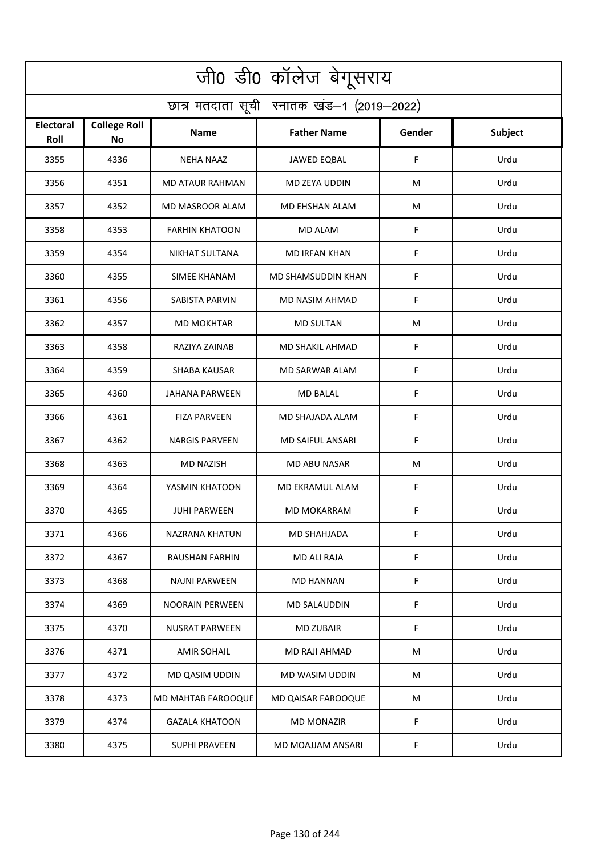| जी0 डी0 कॉलेज बेगूसराय                     |                           |                        |                      |        |                |  |  |  |
|--------------------------------------------|---------------------------|------------------------|----------------------|--------|----------------|--|--|--|
| छात्र मतदाता सूची स्नातक खंड-1 (2019-2022) |                           |                        |                      |        |                |  |  |  |
| <b>Electoral</b><br>Roll                   | <b>College Roll</b><br>No | Name                   | <b>Father Name</b>   | Gender | <b>Subject</b> |  |  |  |
| 3355                                       | 4336                      | <b>NEHA NAAZ</b>       | <b>JAWED EQBAL</b>   | F      | Urdu           |  |  |  |
| 3356                                       | 4351                      | <b>MD ATAUR RAHMAN</b> | MD ZEYA UDDIN        | M      | Urdu           |  |  |  |
| 3357                                       | 4352                      | MD MASROOR ALAM        | MD EHSHAN ALAM       | M      | Urdu           |  |  |  |
| 3358                                       | 4353                      | <b>FARHIN KHATOON</b>  | <b>MD ALAM</b>       | F      | Urdu           |  |  |  |
| 3359                                       | 4354                      | <b>NIKHAT SULTANA</b>  | <b>MD IRFAN KHAN</b> | F      | Urdu           |  |  |  |
| 3360                                       | 4355                      | <b>SIMEE KHANAM</b>    | MD SHAMSUDDIN KHAN   | F      | Urdu           |  |  |  |
| 3361                                       | 4356                      | SABISTA PARVIN         | MD NASIM AHMAD       | F      | Urdu           |  |  |  |
| 3362                                       | 4357                      | <b>MD MOKHTAR</b>      | <b>MD SULTAN</b>     | M      | Urdu           |  |  |  |
| 3363                                       | 4358                      | RAZIYA ZAINAB          | MD SHAKIL AHMAD      | F      | Urdu           |  |  |  |
| 3364                                       | 4359                      | <b>SHABA KAUSAR</b>    | MD SARWAR ALAM       | F      | Urdu           |  |  |  |
| 3365                                       | 4360                      | JAHANA PARWEEN         | MD BALAL             | F      | Urdu           |  |  |  |
| 3366                                       | 4361                      | <b>FIZA PARVEEN</b>    | MD SHAJADA ALAM      | F      | Urdu           |  |  |  |
| 3367                                       | 4362                      | <b>NARGIS PARVEEN</b>  | MD SAIFUL ANSARI     | F      | Urdu           |  |  |  |
| 3368                                       | 4363                      | MD NAZISH              | MD ABU NASAR         | M      | Urdu           |  |  |  |
| 3369                                       | 4364                      | YASMIN KHATOON         | MD EKRAMUL ALAM      | F      | Urdu           |  |  |  |
| 3370                                       | 4365                      | <b>JUHI PARWEEN</b>    | MD MOKARRAM          | F      | Urdu           |  |  |  |
| 3371                                       | 4366                      | NAZRANA KHATUN         | MD SHAHJADA          | F      | Urdu           |  |  |  |
| 3372                                       | 4367                      | RAUSHAN FARHIN         | MD ALI RAJA          | F      | Urdu           |  |  |  |
| 3373                                       | 4368                      | <b>NAJNI PARWEEN</b>   | <b>MD HANNAN</b>     | F      | Urdu           |  |  |  |
| 3374                                       | 4369                      | <b>NOORAIN PERWEEN</b> | MD SALAUDDIN         | F      | Urdu           |  |  |  |
| 3375                                       | 4370                      | <b>NUSRAT PARWEEN</b>  | <b>MD ZUBAIR</b>     | F      | Urdu           |  |  |  |
| 3376                                       | 4371                      | <b>AMIR SOHAIL</b>     | MD RAJI AHMAD        | М      | Urdu           |  |  |  |
| 3377                                       | 4372                      | MD QASIM UDDIN         | MD WASIM UDDIN       | M      | Urdu           |  |  |  |
| 3378                                       | 4373                      | MD MAHTAB FAROOQUE     | MD QAISAR FAROOQUE   | M      | Urdu           |  |  |  |
| 3379                                       | 4374                      | <b>GAZALA KHATOON</b>  | MD MONAZIR           | F      | Urdu           |  |  |  |
| 3380                                       | 4375                      | <b>SUPHI PRAVEEN</b>   | MD MOAJJAM ANSARI    | F      | Urdu           |  |  |  |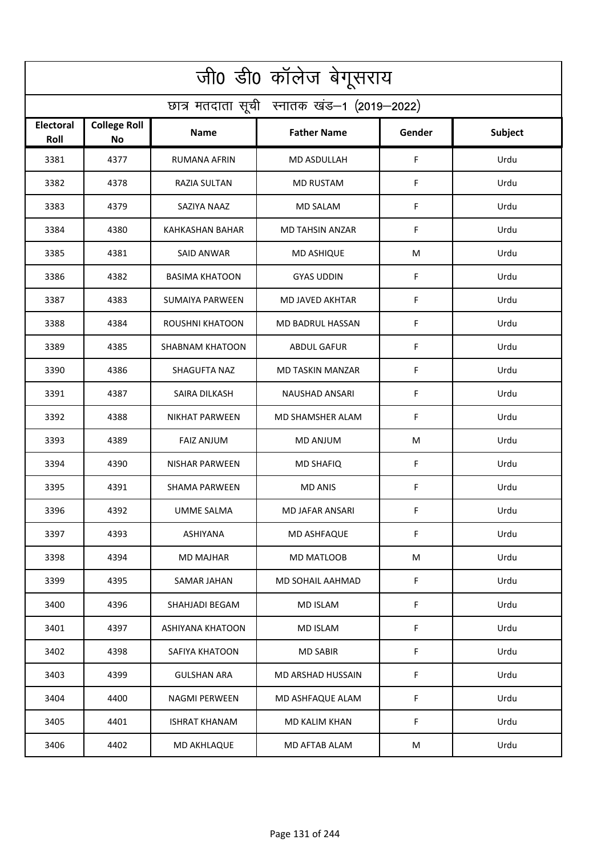| जी0 डी0 कॉलेज बेगूसराय                     |                                  |                        |                         |             |                |  |  |  |
|--------------------------------------------|----------------------------------|------------------------|-------------------------|-------------|----------------|--|--|--|
| छात्र मतदाता सूची स्नातक खंड-1 (2019-2022) |                                  |                        |                         |             |                |  |  |  |
| <b>Electoral</b><br>Roll                   | <b>College Roll</b><br><b>No</b> | Name                   | <b>Father Name</b>      | Gender      | <b>Subject</b> |  |  |  |
| 3381                                       | 4377                             | <b>RUMANA AFRIN</b>    | <b>MD ASDULLAH</b>      | $\mathsf F$ | Urdu           |  |  |  |
| 3382                                       | 4378                             | RAZIA SULTAN           | <b>MD RUSTAM</b>        | F           | Urdu           |  |  |  |
| 3383                                       | 4379                             | SAZIYA NAAZ            | <b>MD SALAM</b>         | F           | Urdu           |  |  |  |
| 3384                                       | 4380                             | <b>KAHKASHAN BAHAR</b> | <b>MD TAHSIN ANZAR</b>  | F           | Urdu           |  |  |  |
| 3385                                       | 4381                             | <b>SAID ANWAR</b>      | <b>MD ASHIQUE</b>       | M           | Urdu           |  |  |  |
| 3386                                       | 4382                             | <b>BASIMA KHATOON</b>  | <b>GYAS UDDIN</b>       | F           | Urdu           |  |  |  |
| 3387                                       | 4383                             | <b>SUMAIYA PARWEEN</b> | <b>MD JAVED AKHTAR</b>  | F           | Urdu           |  |  |  |
| 3388                                       | 4384                             | <b>ROUSHNI KHATOON</b> | MD BADRUL HASSAN        | F           | Urdu           |  |  |  |
| 3389                                       | 4385                             | <b>SHABNAM KHATOON</b> | <b>ABDUL GAFUR</b>      | F           | Urdu           |  |  |  |
| 3390                                       | 4386                             | SHAGUFTA NAZ           | <b>MD TASKIN MANZAR</b> | F           | Urdu           |  |  |  |
| 3391                                       | 4387                             | SAIRA DILKASH          | <b>NAUSHAD ANSARI</b>   | F           | Urdu           |  |  |  |
| 3392                                       | 4388                             | <b>NIKHAT PARWEEN</b>  | MD SHAMSHER ALAM        | F           | Urdu           |  |  |  |
| 3393                                       | 4389                             | <b>FAIZ ANJUM</b>      | MD ANJUM                | M           | Urdu           |  |  |  |
| 3394                                       | 4390                             | <b>NISHAR PARWEEN</b>  | <b>MD SHAFIQ</b>        | F           | Urdu           |  |  |  |
| 3395                                       | 4391                             | SHAMA PARWEEN          | <b>MD ANIS</b>          | F           | Urdu           |  |  |  |
| 3396                                       | 4392                             | UMME SALMA             | MD JAFAR ANSARI         | F.          | Urdu           |  |  |  |
| 3397                                       | 4393                             | ASHIYANA               | <b>MD ASHFAQUE</b>      | F           | Urdu           |  |  |  |
| 3398                                       | 4394                             | MD MAJHAR              | MD MATLOOB              | M           | Urdu           |  |  |  |
| 3399                                       | 4395                             | SAMAR JAHAN            | MD SOHAIL AAHMAD        | F           | Urdu           |  |  |  |
| 3400                                       | 4396                             | SHAHJADI BEGAM         | <b>MD ISLAM</b>         | F           | Urdu           |  |  |  |
| 3401                                       | 4397                             | ASHIYANA KHATOON       | <b>MD ISLAM</b>         | F           | Urdu           |  |  |  |
| 3402                                       | 4398                             | SAFIYA KHATOON         | <b>MD SABIR</b>         | F           | Urdu           |  |  |  |
| 3403                                       | 4399                             | <b>GULSHAN ARA</b>     | MD ARSHAD HUSSAIN       | F           | Urdu           |  |  |  |
| 3404                                       | 4400                             | <b>NAGMI PERWEEN</b>   | MD ASHFAQUE ALAM        | F           | Urdu           |  |  |  |
| 3405                                       | 4401                             | <b>ISHRAT KHANAM</b>   | MD KALIM KHAN           | F           | Urdu           |  |  |  |
| 3406                                       | 4402                             | MD AKHLAQUE            | MD AFTAB ALAM           | M           | Urdu           |  |  |  |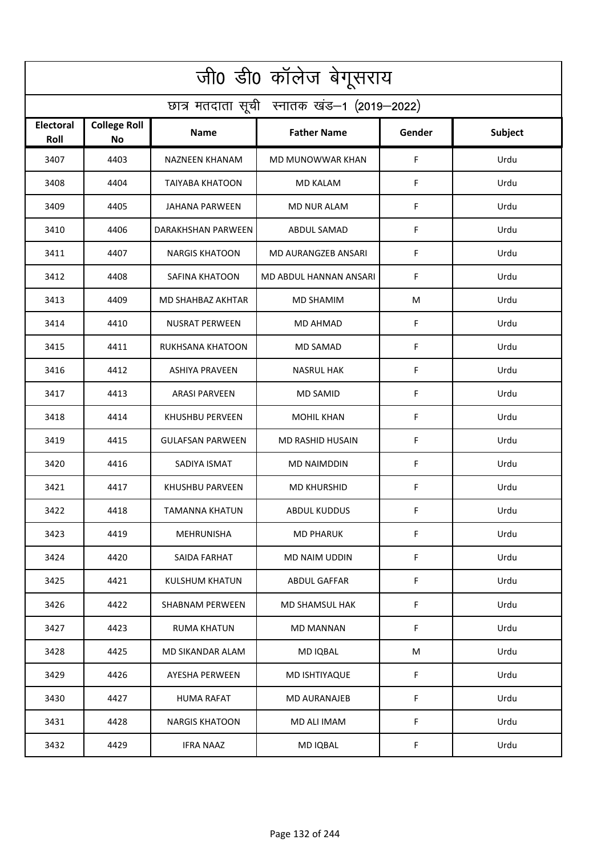| जी0 डी0 कॉलेज बेगूसराय                     |                                  |                         |                        |             |                |  |  |  |
|--------------------------------------------|----------------------------------|-------------------------|------------------------|-------------|----------------|--|--|--|
| छात्र मतदाता सूची स्नातक खंड-1 (2019-2022) |                                  |                         |                        |             |                |  |  |  |
| <b>Electoral</b><br>Roll                   | <b>College Roll</b><br><b>No</b> | Name                    | <b>Father Name</b>     | Gender      | <b>Subject</b> |  |  |  |
| 3407                                       | 4403                             | NAZNEEN KHANAM          | MD MUNOWWAR KHAN       | F           | Urdu           |  |  |  |
| 3408                                       | 4404                             | <b>TAIYABA KHATOON</b>  | <b>MD KALAM</b>        | F           | Urdu           |  |  |  |
| 3409                                       | 4405                             | JAHANA PARWEEN          | <b>MD NUR ALAM</b>     | F           | Urdu           |  |  |  |
| 3410                                       | 4406                             | DARAKHSHAN PARWEEN      | ABDUL SAMAD            | F           | Urdu           |  |  |  |
| 3411                                       | 4407                             | <b>NARGIS KHATOON</b>   | MD AURANGZEB ANSARI    | F           | Urdu           |  |  |  |
| 3412                                       | 4408                             | SAFINA KHATOON          | MD ABDUL HANNAN ANSARI | F           | Urdu           |  |  |  |
| 3413                                       | 4409                             | MD SHAHBAZ AKHTAR       | <b>MD SHAMIM</b>       | M           | Urdu           |  |  |  |
| 3414                                       | 4410                             | <b>NUSRAT PERWEEN</b>   | MD AHMAD               | F           | Urdu           |  |  |  |
| 3415                                       | 4411                             | RUKHSANA KHATOON        | <b>MD SAMAD</b>        | F           | Urdu           |  |  |  |
| 3416                                       | 4412                             | <b>ASHIYA PRAVEEN</b>   | <b>NASRUL HAK</b>      | F           | Urdu           |  |  |  |
| 3417                                       | 4413                             | <b>ARASI PARVEEN</b>    | <b>MD SAMID</b>        | F           | Urdu           |  |  |  |
| 3418                                       | 4414                             | <b>KHUSHBU PERVEEN</b>  | <b>MOHIL KHAN</b>      | F           | Urdu           |  |  |  |
| 3419                                       | 4415                             | <b>GULAFSAN PARWEEN</b> | MD RASHID HUSAIN       | F           | Urdu           |  |  |  |
| 3420                                       | 4416                             | SADIYA ISMAT            | MD NAIMDDIN            | F           | Urdu           |  |  |  |
| 3421                                       | 4417                             | KHUSHBU PARVEEN         | <b>MD KHURSHID</b>     | F           | Urdu           |  |  |  |
| 3422                                       | 4418                             | TAMANNA KHATUN          | ABDUL KUDDUS           | F           | Urdu           |  |  |  |
| 3423                                       | 4419                             | MEHRUNISHA              | <b>MD PHARUK</b>       | F           | Urdu           |  |  |  |
| 3424                                       | 4420                             | SAIDA FARHAT            | MD NAIM UDDIN          | $\mathsf F$ | Urdu           |  |  |  |
| 3425                                       | 4421                             | KULSHUM KHATUN          | ABDUL GAFFAR           | F           | Urdu           |  |  |  |
| 3426                                       | 4422                             | <b>SHABNAM PERWEEN</b>  | MD SHAMSUL HAK         | F           | Urdu           |  |  |  |
| 3427                                       | 4423                             | <b>RUMA KHATUN</b>      | MD MANNAN              | F           | Urdu           |  |  |  |
| 3428                                       | 4425                             | MD SIKANDAR ALAM        | MD IQBAL               | М           | Urdu           |  |  |  |
| 3429                                       | 4426                             | <b>AYESHA PERWEEN</b>   | MD ISHTIYAQUE          | F           | Urdu           |  |  |  |
| 3430                                       | 4427                             | <b>HUMA RAFAT</b>       | MD AURANAJEB           | F           | Urdu           |  |  |  |
| 3431                                       | 4428                             | <b>NARGIS KHATOON</b>   | MD ALI IMAM            | F           | Urdu           |  |  |  |
| 3432                                       | 4429                             | <b>IFRA NAAZ</b>        | MD IQBAL               | F           | Urdu           |  |  |  |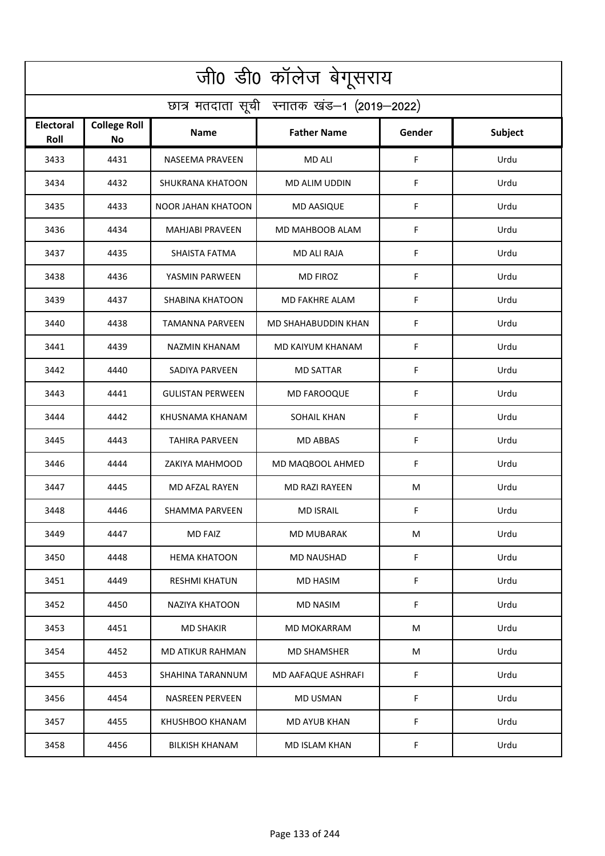| जी0 डी0 कॉलेज बेगूसराय                     |                           |                         |                            |             |                |  |  |  |
|--------------------------------------------|---------------------------|-------------------------|----------------------------|-------------|----------------|--|--|--|
| छात्र मतदाता सूची स्नातक खंड-1 (2019-2022) |                           |                         |                            |             |                |  |  |  |
| <b>Electoral</b><br>Roll                   | <b>College Roll</b><br>No | Name                    | <b>Father Name</b>         | Gender      | <b>Subject</b> |  |  |  |
| 3433                                       | 4431                      | <b>NASEEMA PRAVEEN</b>  | <b>MD ALI</b>              | F           | Urdu           |  |  |  |
| 3434                                       | 4432                      | <b>SHUKRANA KHATOON</b> | MD ALIM UDDIN              | F           | Urdu           |  |  |  |
| 3435                                       | 4433                      | NOOR JAHAN KHATOON      | <b>MD AASIQUE</b>          | F           | Urdu           |  |  |  |
| 3436                                       | 4434                      | <b>MAHJABI PRAVEEN</b>  | MD MAHBOOB ALAM            | F           | Urdu           |  |  |  |
| 3437                                       | 4435                      | SHAISTA FATMA           | MD ALI RAJA                | $\mathsf F$ | Urdu           |  |  |  |
| 3438                                       | 4436                      | YASMIN PARWEEN          | <b>MD FIROZ</b>            | F           | Urdu           |  |  |  |
| 3439                                       | 4437                      | <b>SHABINA KHATOON</b>  | MD FAKHRE ALAM             | F           | Urdu           |  |  |  |
| 3440                                       | 4438                      | <b>TAMANNA PARVEEN</b>  | <b>MD SHAHABUDDIN KHAN</b> | F           | Urdu           |  |  |  |
| 3441                                       | 4439                      | <b>NAZMIN KHANAM</b>    | MD KAIYUM KHANAM           | F           | Urdu           |  |  |  |
| 3442                                       | 4440                      | SADIYA PARVEEN          | <b>MD SATTAR</b>           | F           | Urdu           |  |  |  |
| 3443                                       | 4441                      | <b>GULISTAN PERWEEN</b> | <b>MD FAROOQUE</b>         | F           | Urdu           |  |  |  |
| 3444                                       | 4442                      | KHUSNAMA KHANAM         | <b>SOHAIL KHAN</b>         | F           | Urdu           |  |  |  |
| 3445                                       | 4443                      | TAHIRA PARVEEN          | MD ABBAS                   | F           | Urdu           |  |  |  |
| 3446                                       | 4444                      | ZAKIYA MAHMOOD          | MD MAQBOOL AHMED           | F           | Urdu           |  |  |  |
| 3447                                       | 4445                      | MD AFZAL RAYEN          | <b>MD RAZI RAYEEN</b>      | M           | Urdu           |  |  |  |
| 3448                                       | 4446                      | SHAMMA PARVEEN          | <b>MD ISRAIL</b>           | F.          | Urdu           |  |  |  |
| 3449                                       | 4447                      | <b>MD FAIZ</b>          | <b>MD MUBARAK</b>          | M           | Urdu           |  |  |  |
| 3450                                       | 4448                      | <b>HEMA KHATOON</b>     | <b>MD NAUSHAD</b>          | $\mathsf F$ | Urdu           |  |  |  |
| 3451                                       | 4449                      | <b>RESHMI KHATUN</b>    | MD HASIM                   | F           | Urdu           |  |  |  |
| 3452                                       | 4450                      | NAZIYA KHATOON          | <b>MD NASIM</b>            | F           | Urdu           |  |  |  |
| 3453                                       | 4451                      | <b>MD SHAKIR</b>        | <b>MD MOKARRAM</b>         | M           | Urdu           |  |  |  |
| 3454                                       | 4452                      | MD ATIKUR RAHMAN        | <b>MD SHAMSHER</b>         | M           | Urdu           |  |  |  |
| 3455                                       | 4453                      | SHAHINA TARANNUM        | MD AAFAQUE ASHRAFI         | F           | Urdu           |  |  |  |
| 3456                                       | 4454                      | <b>NASREEN PERVEEN</b>  | MD USMAN                   | F           | Urdu           |  |  |  |
| 3457                                       | 4455                      | KHUSHBOO KHANAM         | MD AYUB KHAN               | F           | Urdu           |  |  |  |
| 3458                                       | 4456                      | <b>BILKISH KHANAM</b>   | <b>MD ISLAM KHAN</b>       | F           | Urdu           |  |  |  |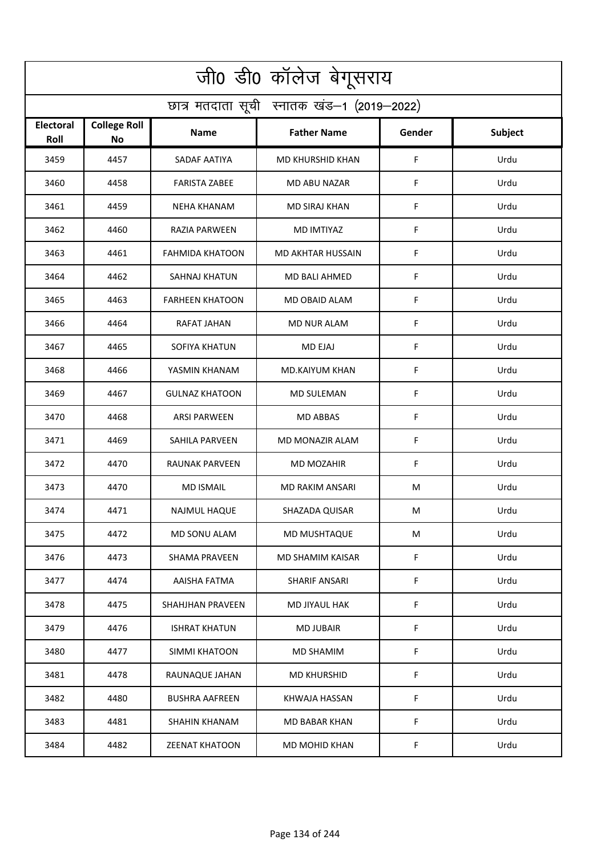| जी0 डी0 कॉलेज बेगूसराय                     |                                  |                         |                          |             |                |  |  |  |
|--------------------------------------------|----------------------------------|-------------------------|--------------------------|-------------|----------------|--|--|--|
| छात्र मतदाता सूची स्नातक खंड-1 (2019-2022) |                                  |                         |                          |             |                |  |  |  |
| Electoral<br>Roll                          | <b>College Roll</b><br><b>No</b> | <b>Name</b>             | <b>Father Name</b>       | Gender      | <b>Subject</b> |  |  |  |
| 3459                                       | 4457                             | SADAF AATIYA            | <b>MD KHURSHID KHAN</b>  | F           | Urdu           |  |  |  |
| 3460                                       | 4458                             | <b>FARISTA ZABEE</b>    | MD ABU NAZAR             | F           | Urdu           |  |  |  |
| 3461                                       | 4459                             | <b>NEHA KHANAM</b>      | <b>MD SIRAJ KHAN</b>     | F           | Urdu           |  |  |  |
| 3462                                       | 4460                             | RAZIA PARWEEN           | <b>MD IMTIYAZ</b>        | F           | Urdu           |  |  |  |
| 3463                                       | 4461                             | <b>FAHMIDA KHATOON</b>  | <b>MD AKHTAR HUSSAIN</b> | F           | Urdu           |  |  |  |
| 3464                                       | 4462                             | <b>SAHNAJ KHATUN</b>    | <b>MD BALI AHMED</b>     | F           | Urdu           |  |  |  |
| 3465                                       | 4463                             | <b>FARHEEN KHATOON</b>  | MD OBAID ALAM            | F           | Urdu           |  |  |  |
| 3466                                       | 4464                             | RAFAT JAHAN             | <b>MD NUR ALAM</b>       | F           | Urdu           |  |  |  |
| 3467                                       | 4465                             | SOFIYA KHATUN           | <b>MD EJAJ</b>           | F           | Urdu           |  |  |  |
| 3468                                       | 4466                             | YASMIN KHANAM           | MD.KAIYUM KHAN           | F           | Urdu           |  |  |  |
| 3469                                       | 4467                             | <b>GULNAZ KHATOON</b>   | <b>MD SULEMAN</b>        | F           | Urdu           |  |  |  |
| 3470                                       | 4468                             | <b>ARSI PARWEEN</b>     | <b>MD ABBAS</b>          | F           | Urdu           |  |  |  |
| 3471                                       | 4469                             | SAHILA PARVEEN          | MD MONAZIR ALAM          | F           | Urdu           |  |  |  |
| 3472                                       | 4470                             | <b>RAUNAK PARVEEN</b>   | <b>MD MOZAHIR</b>        | F           | Urdu           |  |  |  |
| 3473                                       | 4470                             | <b>MD ISMAIL</b>        | <b>MD RAKIM ANSARI</b>   | M           | Urdu           |  |  |  |
| 3474                                       | 4471                             | NAJMUL HAQUE            | SHAZADA QUISAR           | M           | Urdu           |  |  |  |
| 3475                                       | 4472                             | MD SONU ALAM            | MD MUSHTAQUE             | M           | Urdu           |  |  |  |
| 3476                                       | 4473                             | <b>SHAMA PRAVEEN</b>    | MD SHAMIM KAISAR         | $\mathsf F$ | Urdu           |  |  |  |
| 3477                                       | 4474                             | AAISHA FATMA            | <b>SHARIF ANSARI</b>     | F           | Urdu           |  |  |  |
| 3478                                       | 4475                             | <b>SHAHJHAN PRAVEEN</b> | MD JIYAUL HAK            | $\mathsf F$ | Urdu           |  |  |  |
| 3479                                       | 4476                             | <b>ISHRAT KHATUN</b>    | <b>MD JUBAIR</b>         | $\mathsf F$ | Urdu           |  |  |  |
| 3480                                       | 4477                             | SIMMI KHATOON           | <b>MD SHAMIM</b>         | $\mathsf F$ | Urdu           |  |  |  |
| 3481                                       | 4478                             | RAUNAQUE JAHAN          | <b>MD KHURSHID</b>       | F           | Urdu           |  |  |  |
| 3482                                       | 4480                             | <b>BUSHRA AAFREEN</b>   | KHWAJA HASSAN            | $\mathsf F$ | Urdu           |  |  |  |
| 3483                                       | 4481                             | SHAHIN KHANAM           | MD BABAR KHAN            | F           | Urdu           |  |  |  |
| 3484                                       | 4482                             | <b>ZEENAT KHATOON</b>   | MD MOHID KHAN            | F.          | Urdu           |  |  |  |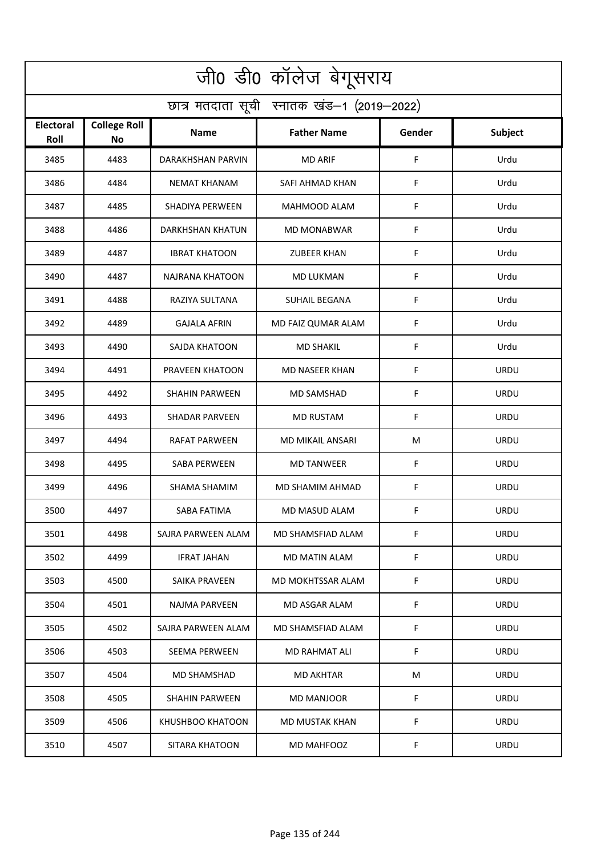| जी0 डी0 कॉलेज बेगूसराय                     |                                  |                          |                       |             |                |  |  |  |
|--------------------------------------------|----------------------------------|--------------------------|-----------------------|-------------|----------------|--|--|--|
| छात्र मतदाता सूची स्नातक खंड-1 (2019-2022) |                                  |                          |                       |             |                |  |  |  |
| Electoral<br>Roll                          | <b>College Roll</b><br><b>No</b> | Name                     | <b>Father Name</b>    | Gender      | <b>Subject</b> |  |  |  |
| 3485                                       | 4483                             | <b>DARAKHSHAN PARVIN</b> | <b>MD ARIF</b>        | F           | Urdu           |  |  |  |
| 3486                                       | 4484                             | <b>NEMAT KHANAM</b>      | SAFI AHMAD KHAN       | F           | Urdu           |  |  |  |
| 3487                                       | 4485                             | <b>SHADIYA PERWEEN</b>   | MAHMOOD ALAM          | F           | Urdu           |  |  |  |
| 3488                                       | 4486                             | DARKHSHAN KHATUN         | <b>MD MONABWAR</b>    | F           | Urdu           |  |  |  |
| 3489                                       | 4487                             | <b>IBRAT KHATOON</b>     | <b>ZUBEER KHAN</b>    | F           | Urdu           |  |  |  |
| 3490                                       | 4487                             | <b>NAJRANA KHATOON</b>   | <b>MD LUKMAN</b>      | F           | Urdu           |  |  |  |
| 3491                                       | 4488                             | RAZIYA SULTANA           | <b>SUHAIL BEGANA</b>  | F           | Urdu           |  |  |  |
| 3492                                       | 4489                             | <b>GAJALA AFRIN</b>      | MD FAIZ QUMAR ALAM    | F           | Urdu           |  |  |  |
| 3493                                       | 4490                             | SAJDA KHATOON            | <b>MD SHAKIL</b>      | F           | Urdu           |  |  |  |
| 3494                                       | 4491                             | PRAVEEN KHATOON          | <b>MD NASEER KHAN</b> | F           | <b>URDU</b>    |  |  |  |
| 3495                                       | 4492                             | <b>SHAHIN PARWEEN</b>    | <b>MD SAMSHAD</b>     | F           | <b>URDU</b>    |  |  |  |
| 3496                                       | 4493                             | <b>SHADAR PARVEEN</b>    | <b>MD RUSTAM</b>      | F           | <b>URDU</b>    |  |  |  |
| 3497                                       | 4494                             | RAFAT PARWEEN            | MD MIKAIL ANSARI      | M           | <b>URDU</b>    |  |  |  |
| 3498                                       | 4495                             | <b>SABA PERWEEN</b>      | <b>MD TANWEER</b>     | F           | <b>URDU</b>    |  |  |  |
| 3499                                       | 4496                             | SHAMA SHAMIM             | MD SHAMIM AHMAD       | F           | <b>URDU</b>    |  |  |  |
| 3500                                       | 4497                             | SABA FATIMA              | MD MASUD ALAM         | F           | URDU           |  |  |  |
| 3501                                       | 4498                             | SAJRA PARWEEN ALAM       | MD SHAMSFIAD ALAM     | F           | <b>URDU</b>    |  |  |  |
| 3502                                       | 4499                             | <b>IFRAT JAHAN</b>       | MD MATIN ALAM         | $\mathsf F$ | <b>URDU</b>    |  |  |  |
| 3503                                       | 4500                             | SAIKA PRAVEEN            | MD MOKHTSSAR ALAM     | F           | <b>URDU</b>    |  |  |  |
| 3504                                       | 4501                             | <b>NAJMA PARVEEN</b>     | MD ASGAR ALAM         | F           | <b>URDU</b>    |  |  |  |
| 3505                                       | 4502                             | SAJRA PARWEEN ALAM       | MD SHAMSFIAD ALAM     | F           | <b>URDU</b>    |  |  |  |
| 3506                                       | 4503                             | <b>SEEMA PERWEEN</b>     | MD RAHMAT ALI         | F           | <b>URDU</b>    |  |  |  |
| 3507                                       | 4504                             | MD SHAMSHAD              | MD AKHTAR             | М           | <b>URDU</b>    |  |  |  |
| 3508                                       | 4505                             | <b>SHAHIN PARWEEN</b>    | MD MANJOOR            | F           | <b>URDU</b>    |  |  |  |
| 3509                                       | 4506                             | KHUSHBOO KHATOON         | MD MUSTAK KHAN        | F           | <b>URDU</b>    |  |  |  |
| 3510                                       | 4507                             | SITARA KHATOON           | MD MAHFOOZ            | F           | <b>URDU</b>    |  |  |  |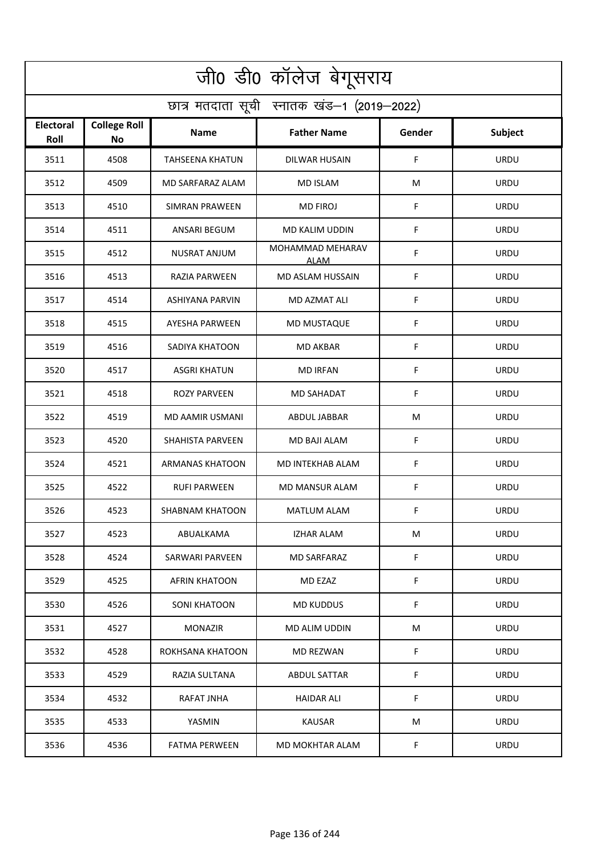| जी0 डी0 कॉलेज बेगूसराय                     |                                  |                         |                                 |        |                |  |  |  |
|--------------------------------------------|----------------------------------|-------------------------|---------------------------------|--------|----------------|--|--|--|
| छात्र मतदाता सूची स्नातक खंड-1 (2019-2022) |                                  |                         |                                 |        |                |  |  |  |
| <b>Electoral</b><br>Roll                   | <b>College Roll</b><br><b>No</b> | Name                    | <b>Father Name</b>              | Gender | <b>Subject</b> |  |  |  |
| 3511                                       | 4508                             | <b>TAHSEENA KHATUN</b>  | <b>DILWAR HUSAIN</b>            | F      | <b>URDU</b>    |  |  |  |
| 3512                                       | 4509                             | <b>MD SARFARAZ ALAM</b> | <b>MD ISLAM</b>                 | M      | <b>URDU</b>    |  |  |  |
| 3513                                       | 4510                             | <b>SIMRAN PRAWEEN</b>   | <b>MD FIROJ</b>                 | F      | <b>URDU</b>    |  |  |  |
| 3514                                       | 4511                             | <b>ANSARI BEGUM</b>     | MD KALIM UDDIN                  | F      | <b>URDU</b>    |  |  |  |
| 3515                                       | 4512                             | <b>NUSRAT ANJUM</b>     | MOHAMMAD MEHARAV<br><b>ALAM</b> | F      | <b>URDU</b>    |  |  |  |
| 3516                                       | 4513                             | <b>RAZIA PARWEEN</b>    | MD ASLAM HUSSAIN                | F      | <b>URDU</b>    |  |  |  |
| 3517                                       | 4514                             | <b>ASHIYANA PARVIN</b>  | MD AZMAT ALI                    | F      | <b>URDU</b>    |  |  |  |
| 3518                                       | 4515                             | <b>AYESHA PARWEEN</b>   | MD MUSTAQUE                     | F      | <b>URDU</b>    |  |  |  |
| 3519                                       | 4516                             | SADIYA KHATOON          | <b>MD AKBAR</b>                 | F      | <b>URDU</b>    |  |  |  |
| 3520                                       | 4517                             | <b>ASGRI KHATUN</b>     | <b>MD IRFAN</b>                 | F      | <b>URDU</b>    |  |  |  |
| 3521                                       | 4518                             | <b>ROZY PARVEEN</b>     | <b>MD SAHADAT</b>               | F      | <b>URDU</b>    |  |  |  |
| 3522                                       | 4519                             | MD AAMIR USMANI         | <b>ABDUL JABBAR</b>             | M      | <b>URDU</b>    |  |  |  |
| 3523                                       | 4520                             | <b>SHAHISTA PARVEEN</b> | MD BAJI ALAM                    | F      | <b>URDU</b>    |  |  |  |
| 3524                                       | 4521                             | <b>ARMANAS KHATOON</b>  | MD INTEKHAB ALAM                | F      | <b>URDU</b>    |  |  |  |
| 3525                                       | 4522                             | RUFI PARWEEN            | MD MANSUR ALAM                  | F      | <b>URDU</b>    |  |  |  |
| 3526                                       | 4523                             | SHABNAM KHATOON         | MATLUM ALAM                     | F      | URDU           |  |  |  |
| 3527                                       | 4523                             | ABUALKAMA               | <b>IZHAR ALAM</b>               | M      | <b>URDU</b>    |  |  |  |
| 3528                                       | 4524                             | <b>SARWARI PARVEEN</b>  | <b>MD SARFARAZ</b>              | F      | <b>URDU</b>    |  |  |  |
| 3529                                       | 4525                             | AFRIN KHATOON           | MD EZAZ                         | F      | <b>URDU</b>    |  |  |  |
| 3530                                       | 4526                             | <b>SONI KHATOON</b>     | MD KUDDUS                       | F      | <b>URDU</b>    |  |  |  |
| 3531                                       | 4527                             | <b>MONAZIR</b>          | <b>MD ALIM UDDIN</b>            | M      | <b>URDU</b>    |  |  |  |
| 3532                                       | 4528                             | ROKHSANA KHATOON        | MD REZWAN                       | F      | <b>URDU</b>    |  |  |  |
| 3533                                       | 4529                             | RAZIA SULTANA           | <b>ABDUL SATTAR</b>             | F      | <b>URDU</b>    |  |  |  |
| 3534                                       | 4532                             | RAFAT JNHA              | HAIDAR ALI                      | F      | <b>URDU</b>    |  |  |  |
| 3535                                       | 4533                             | YASMIN                  | KAUSAR                          | M      | <b>URDU</b>    |  |  |  |
| 3536                                       | 4536                             | <b>FATMA PERWEEN</b>    | MD MOKHTAR ALAM                 | F      | <b>URDU</b>    |  |  |  |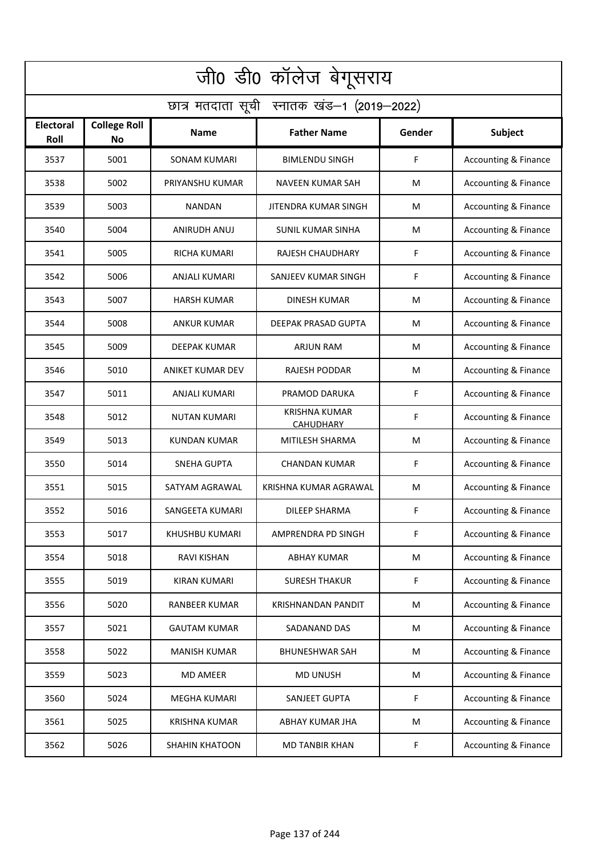| जी0 डी0 कॉलेज बेगूसराय                     |                           |                       |                                          |        |                                 |  |  |  |
|--------------------------------------------|---------------------------|-----------------------|------------------------------------------|--------|---------------------------------|--|--|--|
| छात्र मतदाता सूची स्नातक खंड-1 (2019-2022) |                           |                       |                                          |        |                                 |  |  |  |
| <b>Electoral</b><br>Roll                   | <b>College Roll</b><br>No | Name                  | <b>Father Name</b>                       | Gender | Subject                         |  |  |  |
| 3537                                       | 5001                      | <b>SONAM KUMARI</b>   | <b>BIMLENDU SINGH</b>                    | F      | <b>Accounting &amp; Finance</b> |  |  |  |
| 3538                                       | 5002                      | PRIYANSHU KUMAR       | <b>NAVEEN KUMAR SAH</b>                  | M      | <b>Accounting &amp; Finance</b> |  |  |  |
| 3539                                       | 5003                      | NANDAN                | JITENDRA KUMAR SINGH                     | M      | <b>Accounting &amp; Finance</b> |  |  |  |
| 3540                                       | 5004                      | <b>ANIRUDH ANUJ</b>   | <b>SUNIL KUMAR SINHA</b>                 | M      | <b>Accounting &amp; Finance</b> |  |  |  |
| 3541                                       | 5005                      | <b>RICHA KUMARI</b>   | <b>RAJESH CHAUDHARY</b>                  | F      | <b>Accounting &amp; Finance</b> |  |  |  |
| 3542                                       | 5006                      | <b>ANJALI KUMARI</b>  | SANJEEV KUMAR SINGH                      | F      | Accounting & Finance            |  |  |  |
| 3543                                       | 5007                      | <b>HARSH KUMAR</b>    | <b>DINESH KUMAR</b>                      | M      | Accounting & Finance            |  |  |  |
| 3544                                       | 5008                      | <b>ANKUR KUMAR</b>    | DEEPAK PRASAD GUPTA                      | M      | Accounting & Finance            |  |  |  |
| 3545                                       | 5009                      | DEEPAK KUMAR          | <b>ARJUN RAM</b>                         | M      | Accounting & Finance            |  |  |  |
| 3546                                       | 5010                      | ANIKET KUMAR DEV      | RAJESH PODDAR                            | M      | <b>Accounting &amp; Finance</b> |  |  |  |
| 3547                                       | 5011                      | ANJALI KUMARI         | PRAMOD DARUKA                            | F      | Accounting & Finance            |  |  |  |
| 3548                                       | 5012                      | NUTAN KUMARI          | <b>KRISHNA KUMAR</b><br><b>CAHUDHARY</b> | F      | Accounting & Finance            |  |  |  |
| 3549                                       | 5013                      | <b>KUNDAN KUMAR</b>   | MITILESH SHARMA                          | M      | Accounting & Finance            |  |  |  |
| 3550                                       | 5014                      | <b>SNEHA GUPTA</b>    | <b>CHANDAN KUMAR</b>                     | F      | Accounting & Finance            |  |  |  |
| 3551                                       | 5015                      | SATYAM AGRAWAL        | KRISHNA KUMAR AGRAWAL                    | M      | <b>Accounting &amp; Finance</b> |  |  |  |
| 3552                                       | 5016                      | SANGEETA KUMARI       | DILEEP SHARMA                            | F      | Accounting & Finance            |  |  |  |
| 3553                                       | 5017                      | KHUSHBU KUMARI        | AMPRENDRA PD SINGH                       | F      | <b>Accounting &amp; Finance</b> |  |  |  |
| 3554                                       | 5018                      | RAVI KISHAN           | <b>ABHAY KUMAR</b>                       | M      | <b>Accounting &amp; Finance</b> |  |  |  |
| 3555                                       | 5019                      | KIRAN KUMARI          | <b>SURESH THAKUR</b>                     | F      | <b>Accounting &amp; Finance</b> |  |  |  |
| 3556                                       | 5020                      | RANBEER KUMAR         | <b>KRISHNANDAN PANDIT</b>                | M      | <b>Accounting &amp; Finance</b> |  |  |  |
| 3557                                       | 5021                      | <b>GAUTAM KUMAR</b>   | SADANAND DAS                             | M      | <b>Accounting &amp; Finance</b> |  |  |  |
| 3558                                       | 5022                      | <b>MANISH KUMAR</b>   | BHUNESHWAR SAH                           | M      | <b>Accounting &amp; Finance</b> |  |  |  |
| 3559                                       | 5023                      | <b>MD AMEER</b>       | <b>MD UNUSH</b>                          | M      | <b>Accounting &amp; Finance</b> |  |  |  |
| 3560                                       | 5024                      | <b>MEGHA KUMARI</b>   | SANJEET GUPTA                            | F      | <b>Accounting &amp; Finance</b> |  |  |  |
| 3561                                       | 5025                      | <b>KRISHNA KUMAR</b>  | ABHAY KUMAR JHA                          | M      | <b>Accounting &amp; Finance</b> |  |  |  |
| 3562                                       | 5026                      | <b>SHAHIN KHATOON</b> | <b>MD TANBIR KHAN</b>                    | F      | <b>Accounting &amp; Finance</b> |  |  |  |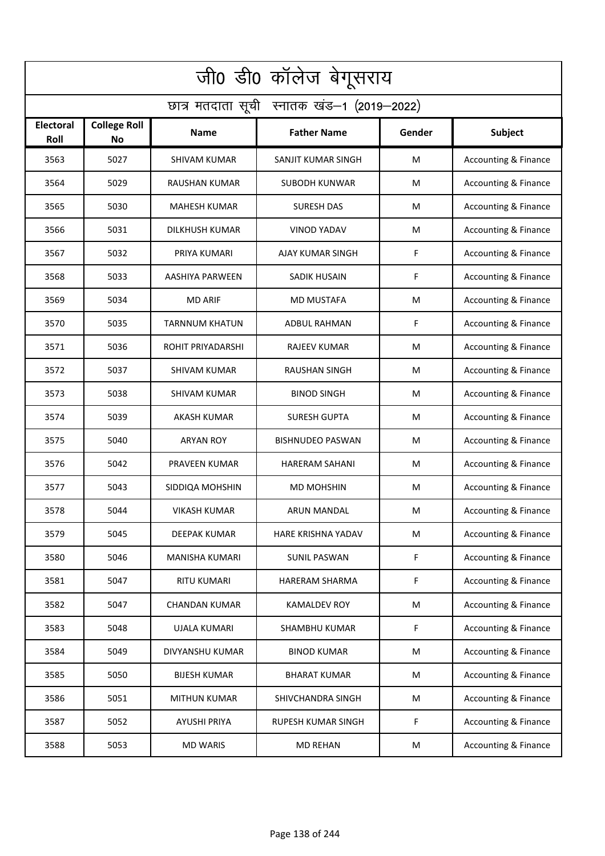| जी0 डी0 कॉलेज बेगूसराय                     |                           |                       |                         |        |                                 |  |  |  |
|--------------------------------------------|---------------------------|-----------------------|-------------------------|--------|---------------------------------|--|--|--|
| छात्र मतदाता सूची स्नातक खंड-1 (2019-2022) |                           |                       |                         |        |                                 |  |  |  |
| Electoral<br>Roll                          | <b>College Roll</b><br>No | <b>Name</b>           | <b>Father Name</b>      | Gender | Subject                         |  |  |  |
| 3563                                       | 5027                      | <b>SHIVAM KUMAR</b>   | SANJIT KUMAR SINGH      | M      | <b>Accounting &amp; Finance</b> |  |  |  |
| 3564                                       | 5029                      | RAUSHAN KUMAR         | SUBODH KUNWAR           | M      | <b>Accounting &amp; Finance</b> |  |  |  |
| 3565                                       | 5030                      | <b>MAHESH KUMAR</b>   | <b>SURESH DAS</b>       | M      | <b>Accounting &amp; Finance</b> |  |  |  |
| 3566                                       | 5031                      | <b>DILKHUSH KUMAR</b> | <b>VINOD YADAV</b>      | M      | <b>Accounting &amp; Finance</b> |  |  |  |
| 3567                                       | 5032                      | PRIYA KUMARI          | AJAY KUMAR SINGH        | F      | <b>Accounting &amp; Finance</b> |  |  |  |
| 3568                                       | 5033                      | AASHIYA PARWEEN       | SADIK HUSAIN            | F      | <b>Accounting &amp; Finance</b> |  |  |  |
| 3569                                       | 5034                      | <b>MD ARIF</b>        | <b>MD MUSTAFA</b>       | M      | Accounting & Finance            |  |  |  |
| 3570                                       | 5035                      | <b>TARNNUM KHATUN</b> | <b>ADBUL RAHMAN</b>     | F      | <b>Accounting &amp; Finance</b> |  |  |  |
| 3571                                       | 5036                      | ROHIT PRIYADARSHI     | <b>RAJEEV KUMAR</b>     | M      | Accounting & Finance            |  |  |  |
| 3572                                       | 5037                      | <b>SHIVAM KUMAR</b>   | <b>RAUSHAN SINGH</b>    | M      | Accounting & Finance            |  |  |  |
| 3573                                       | 5038                      | SHIVAM KUMAR          | <b>BINOD SINGH</b>      | M      | <b>Accounting &amp; Finance</b> |  |  |  |
| 3574                                       | 5039                      | <b>AKASH KUMAR</b>    | <b>SURESH GUPTA</b>     | M      | Accounting & Finance            |  |  |  |
| 3575                                       | 5040                      | <b>ARYAN ROY</b>      | <b>BISHNUDEO PASWAN</b> | M      | Accounting & Finance            |  |  |  |
| 3576                                       | 5042                      | PRAVEEN KUMAR         | <b>HARERAM SAHANI</b>   | M      | <b>Accounting &amp; Finance</b> |  |  |  |
| 3577                                       | 5043                      | SIDDIQA MOHSHIN       | MD MOHSHIN              | M      | <b>Accounting &amp; Finance</b> |  |  |  |
| 3578                                       | 5044                      | <b>VIKASH KUMAR</b>   | ARUN MANDAL             | M      | Accounting & Finance            |  |  |  |
| 3579                                       | 5045                      | DEEPAK KUMAR          | HARE KRISHNA YADAV      | M      | <b>Accounting &amp; Finance</b> |  |  |  |
| 3580                                       | 5046                      | <b>MANISHA KUMARI</b> | <b>SUNIL PASWAN</b>     | F      | <b>Accounting &amp; Finance</b> |  |  |  |
| 3581                                       | 5047                      | <b>RITU KUMARI</b>    | HARERAM SHARMA          | F      | <b>Accounting &amp; Finance</b> |  |  |  |
| 3582                                       | 5047                      | <b>CHANDAN KUMAR</b>  | <b>KAMALDEV ROY</b>     | M      | <b>Accounting &amp; Finance</b> |  |  |  |
| 3583                                       | 5048                      | UJALA KUMARI          | <b>SHAMBHU KUMAR</b>    | F      | <b>Accounting &amp; Finance</b> |  |  |  |
| 3584                                       | 5049                      | DIVYANSHU KUMAR       | <b>BINOD KUMAR</b>      | M      | <b>Accounting &amp; Finance</b> |  |  |  |
| 3585                                       | 5050                      | <b>BIJESH KUMAR</b>   | <b>BHARAT KUMAR</b>     | M      | <b>Accounting &amp; Finance</b> |  |  |  |
| 3586                                       | 5051                      | <b>MITHUN KUMAR</b>   | SHIVCHANDRA SINGH       | M      | <b>Accounting &amp; Finance</b> |  |  |  |
| 3587                                       | 5052                      | <b>AYUSHI PRIYA</b>   | RUPESH KUMAR SINGH      | F      | <b>Accounting &amp; Finance</b> |  |  |  |
| 3588                                       | 5053                      | <b>MD WARIS</b>       | <b>MD REHAN</b>         | M      | <b>Accounting &amp; Finance</b> |  |  |  |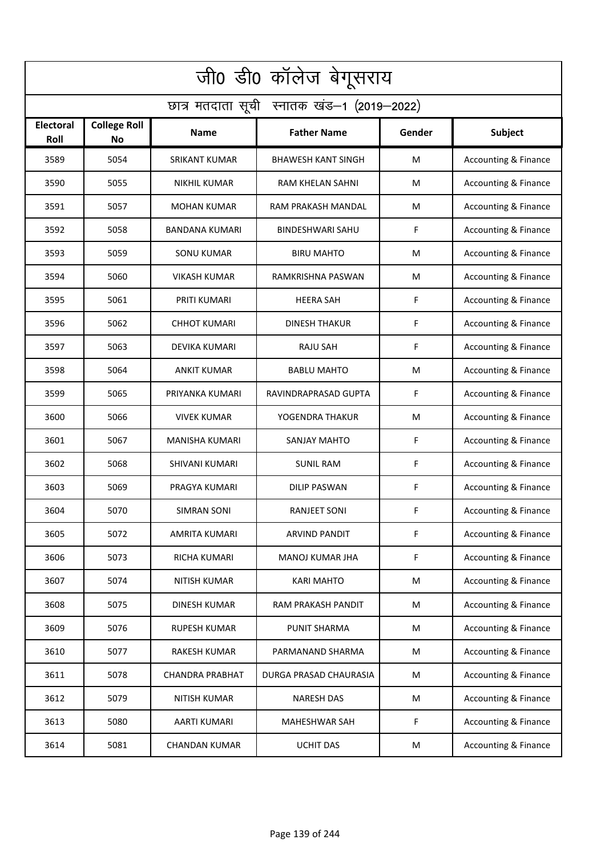| जी0 डी0 कॉलेज बेगूसराय                     |                                  |                        |                           |        |                                 |  |  |  |
|--------------------------------------------|----------------------------------|------------------------|---------------------------|--------|---------------------------------|--|--|--|
| छात्र मतदाता सूची स्नातक खंड-1 (2019-2022) |                                  |                        |                           |        |                                 |  |  |  |
| Electoral<br>Roll                          | <b>College Roll</b><br><b>No</b> | <b>Name</b>            | <b>Father Name</b>        | Gender | Subject                         |  |  |  |
| 3589                                       | 5054                             | <b>SRIKANT KUMAR</b>   | <b>BHAWESH KANT SINGH</b> | M      | <b>Accounting &amp; Finance</b> |  |  |  |
| 3590                                       | 5055                             | NIKHIL KUMAR           | RAM KHELAN SAHNI          | M      | <b>Accounting &amp; Finance</b> |  |  |  |
| 3591                                       | 5057                             | <b>MOHAN KUMAR</b>     | RAM PRAKASH MANDAL        | M      | <b>Accounting &amp; Finance</b> |  |  |  |
| 3592                                       | 5058                             | BANDANA KUMARI         | <b>BINDESHWARI SAHU</b>   | F      | <b>Accounting &amp; Finance</b> |  |  |  |
| 3593                                       | 5059                             | <b>SONU KUMAR</b>      | <b>BIRU MAHTO</b>         | M      | <b>Accounting &amp; Finance</b> |  |  |  |
| 3594                                       | 5060                             | <b>VIKASH KUMAR</b>    | RAMKRISHNA PASWAN         | M      | <b>Accounting &amp; Finance</b> |  |  |  |
| 3595                                       | 5061                             | PRITI KUMARI           | <b>HEERA SAH</b>          | F      | <b>Accounting &amp; Finance</b> |  |  |  |
| 3596                                       | 5062                             | <b>CHHOT KUMARI</b>    | <b>DINESH THAKUR</b>      | F      | <b>Accounting &amp; Finance</b> |  |  |  |
| 3597                                       | 5063                             | DEVIKA KUMARI          | <b>RAJU SAH</b>           | F      | Accounting & Finance            |  |  |  |
| 3598                                       | 5064                             | <b>ANKIT KUMAR</b>     | <b>BABLU MAHTO</b>        | M      | Accounting & Finance            |  |  |  |
| 3599                                       | 5065                             | PRIYANKA KUMARI        | RAVINDRAPRASAD GUPTA      | F      | <b>Accounting &amp; Finance</b> |  |  |  |
| 3600                                       | 5066                             | <b>VIVEK KUMAR</b>     | YOGENDRA THAKUR           | M      | Accounting & Finance            |  |  |  |
| 3601                                       | 5067                             | MANISHA KUMARI         | <b>SANJAY MAHTO</b>       | F      | Accounting & Finance            |  |  |  |
| 3602                                       | 5068                             | SHIVANI KUMARI         | <b>SUNIL RAM</b>          | F      | <b>Accounting &amp; Finance</b> |  |  |  |
| 3603                                       | 5069                             | PRAGYA KUMARI          | DILIP PASWAN              | F      | <b>Accounting &amp; Finance</b> |  |  |  |
| 3604                                       | 5070                             | SIMRAN SONI            | RANJEET SONI              | F      | Accounting & Finance            |  |  |  |
| 3605                                       | 5072                             | AMRITA KUMARI          | <b>ARVIND PANDIT</b>      | F      | <b>Accounting &amp; Finance</b> |  |  |  |
| 3606                                       | 5073                             | RICHA KUMARI           | <b>MANOJ KUMAR JHA</b>    | F      | <b>Accounting &amp; Finance</b> |  |  |  |
| 3607                                       | 5074                             | NITISH KUMAR           | <b>KARI MAHTO</b>         | M      | <b>Accounting &amp; Finance</b> |  |  |  |
| 3608                                       | 5075                             | <b>DINESH KUMAR</b>    | RAM PRAKASH PANDIT        | M      | <b>Accounting &amp; Finance</b> |  |  |  |
| 3609                                       | 5076                             | <b>RUPESH KUMAR</b>    | <b>PUNIT SHARMA</b>       | M      | <b>Accounting &amp; Finance</b> |  |  |  |
| 3610                                       | 5077                             | RAKESH KUMAR           | PARMANAND SHARMA          | M      | <b>Accounting &amp; Finance</b> |  |  |  |
| 3611                                       | 5078                             | <b>CHANDRA PRABHAT</b> | DURGA PRASAD CHAURASIA    | M      | <b>Accounting &amp; Finance</b> |  |  |  |
| 3612                                       | 5079                             | <b>NITISH KUMAR</b>    | <b>NARESH DAS</b>         | M      | <b>Accounting &amp; Finance</b> |  |  |  |
| 3613                                       | 5080                             | AARTI KUMARI           | <b>MAHESHWAR SAH</b>      | F      | <b>Accounting &amp; Finance</b> |  |  |  |
| 3614                                       | 5081                             | <b>CHANDAN KUMAR</b>   | <b>UCHIT DAS</b>          | M      | <b>Accounting &amp; Finance</b> |  |  |  |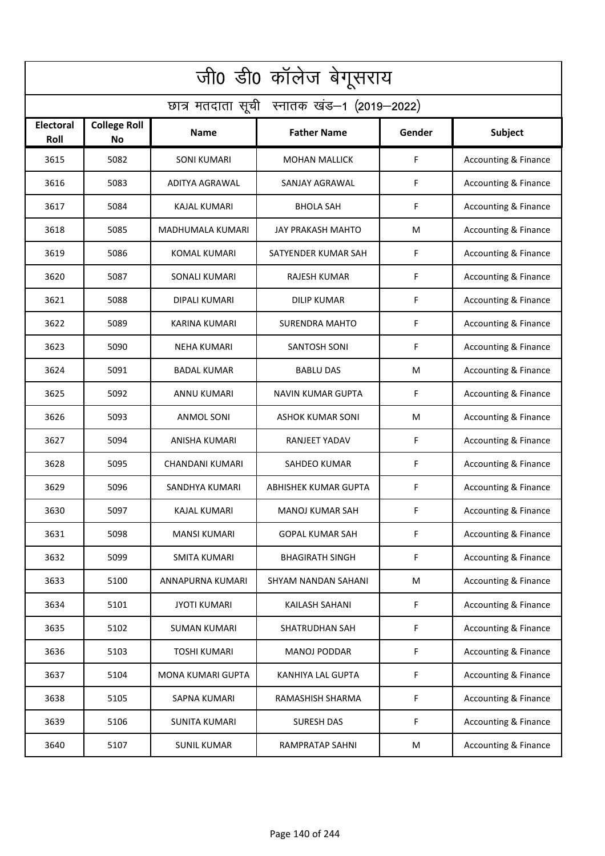| जी0 डी0 कॉलेज बेगूसराय                     |                                  |                      |                          |             |                                 |  |  |  |
|--------------------------------------------|----------------------------------|----------------------|--------------------------|-------------|---------------------------------|--|--|--|
| छात्र मतदाता सूची स्नातक खंड-1 (2019-2022) |                                  |                      |                          |             |                                 |  |  |  |
| Electoral<br>Roll                          | <b>College Roll</b><br><b>No</b> | <b>Name</b>          | <b>Father Name</b>       | Gender      | Subject                         |  |  |  |
| 3615                                       | 5082                             | <b>SONI KUMARI</b>   | <b>MOHAN MALLICK</b>     | F           | <b>Accounting &amp; Finance</b> |  |  |  |
| 3616                                       | 5083                             | ADITYA AGRAWAL       | SANJAY AGRAWAL           | F           | Accounting & Finance            |  |  |  |
| 3617                                       | 5084                             | <b>KAJAL KUMARI</b>  | <b>BHOLA SAH</b>         | F           | <b>Accounting &amp; Finance</b> |  |  |  |
| 3618                                       | 5085                             | MADHUMALA KUMARI     | <b>JAY PRAKASH MAHTO</b> | M           | <b>Accounting &amp; Finance</b> |  |  |  |
| 3619                                       | 5086                             | <b>KOMAL KUMARI</b>  | SATYENDER KUMAR SAH      | F           | <b>Accounting &amp; Finance</b> |  |  |  |
| 3620                                       | 5087                             | <b>SONALI KUMARI</b> | <b>RAJESH KUMAR</b>      | F           | <b>Accounting &amp; Finance</b> |  |  |  |
| 3621                                       | 5088                             | DIPALI KUMARI        | <b>DILIP KUMAR</b>       | F           | <b>Accounting &amp; Finance</b> |  |  |  |
| 3622                                       | 5089                             | <b>KARINA KUMARI</b> | <b>SURENDRA MAHTO</b>    | F           | Accounting & Finance            |  |  |  |
| 3623                                       | 5090                             | NEHA KUMARI          | <b>SANTOSH SONI</b>      | F           | Accounting & Finance            |  |  |  |
| 3624                                       | 5091                             | <b>BADAL KUMAR</b>   | <b>BABLU DAS</b>         | M           | Accounting & Finance            |  |  |  |
| 3625                                       | 5092                             | ANNU KUMARI          | <b>NAVIN KUMAR GUPTA</b> | F           | <b>Accounting &amp; Finance</b> |  |  |  |
| 3626                                       | 5093                             | ANMOL SONI           | <b>ASHOK KUMAR SONI</b>  | M           | Accounting & Finance            |  |  |  |
| 3627                                       | 5094                             | ANISHA KUMARI        | RANJEET YADAV            | F           | Accounting & Finance            |  |  |  |
| 3628                                       | 5095                             | CHANDANI KUMARI      | SAHDEO KUMAR             | F           | <b>Accounting &amp; Finance</b> |  |  |  |
| 3629                                       | 5096                             | SANDHYA KUMARI       | ABHISHEK KUMAR GUPTA     | F           | Accounting & Finance            |  |  |  |
| 3630                                       | 5097                             | <b>KAJAL KUMARI</b>  | <b>MANOJ KUMAR SAH</b>   | F           | <b>Accounting &amp; Finance</b> |  |  |  |
| 3631                                       | 5098                             | <b>MANSI KUMARI</b>  | <b>GOPAL KUMAR SAH</b>   | F           | <b>Accounting &amp; Finance</b> |  |  |  |
| 3632                                       | 5099                             | <b>SMITA KUMARI</b>  | <b>BHAGIRATH SINGH</b>   | F           | <b>Accounting &amp; Finance</b> |  |  |  |
| 3633                                       | 5100                             | ANNAPURNA KUMARI     | SHYAM NANDAN SAHANI      | M           | <b>Accounting &amp; Finance</b> |  |  |  |
| 3634                                       | 5101                             | <b>JYOTI KUMARI</b>  | KAILASH SAHANI           | $\mathsf F$ | <b>Accounting &amp; Finance</b> |  |  |  |
| 3635                                       | 5102                             | <b>SUMAN KUMARI</b>  | SHATRUDHAN SAH           | F           | <b>Accounting &amp; Finance</b> |  |  |  |
| 3636                                       | 5103                             | <b>TOSHI KUMARI</b>  | MANOJ PODDAR             | F           | <b>Accounting &amp; Finance</b> |  |  |  |
| 3637                                       | 5104                             | MONA KUMARI GUPTA    | KANHIYA LAL GUPTA        | F           | <b>Accounting &amp; Finance</b> |  |  |  |
| 3638                                       | 5105                             | SAPNA KUMARI         | RAMASHISH SHARMA         | F           | <b>Accounting &amp; Finance</b> |  |  |  |
| 3639                                       | 5106                             | <b>SUNITA KUMARI</b> | <b>SURESH DAS</b>        | F           | <b>Accounting &amp; Finance</b> |  |  |  |
| 3640                                       | 5107                             | <b>SUNIL KUMAR</b>   | <b>RAMPRATAP SAHNI</b>   | M           | <b>Accounting &amp; Finance</b> |  |  |  |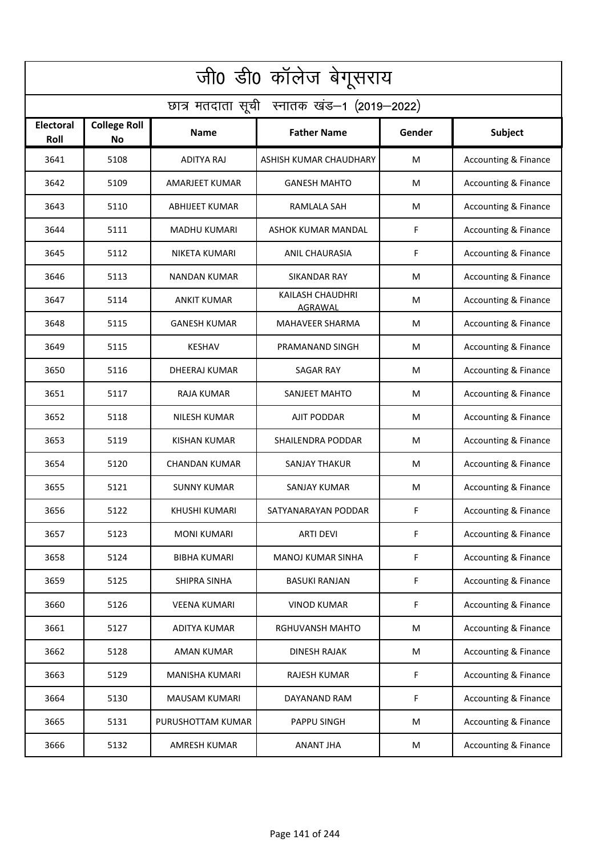| जी0 डी0 कॉलेज बेगूसराय                     |                                  |                       |                             |        |                                 |  |  |  |
|--------------------------------------------|----------------------------------|-----------------------|-----------------------------|--------|---------------------------------|--|--|--|
| छात्र मतदाता सूची स्नातक खंड-1 (2019-2022) |                                  |                       |                             |        |                                 |  |  |  |
| Electoral<br>Roll                          | <b>College Roll</b><br><b>No</b> | <b>Name</b>           | <b>Father Name</b>          | Gender | Subject                         |  |  |  |
| 3641                                       | 5108                             | <b>ADITYA RAJ</b>     | ASHISH KUMAR CHAUDHARY      | M      | <b>Accounting &amp; Finance</b> |  |  |  |
| 3642                                       | 5109                             | <b>AMARJEET KUMAR</b> | <b>GANESH MAHTO</b>         | M      | <b>Accounting &amp; Finance</b> |  |  |  |
| 3643                                       | 5110                             | <b>ABHIJEET KUMAR</b> | RAMLALA SAH                 | M      | <b>Accounting &amp; Finance</b> |  |  |  |
| 3644                                       | 5111                             | MADHU KUMARI          | ASHOK KUMAR MANDAL          | F      | <b>Accounting &amp; Finance</b> |  |  |  |
| 3645                                       | 5112                             | NIKETA KUMARI         | <b>ANIL CHAURASIA</b>       | F      | <b>Accounting &amp; Finance</b> |  |  |  |
| 3646                                       | 5113                             | <b>NANDAN KUMAR</b>   | SIKANDAR RAY                | M      | <b>Accounting &amp; Finance</b> |  |  |  |
| 3647                                       | 5114                             | <b>ANKIT KUMAR</b>    | KAILASH CHAUDHRI<br>AGRAWAL | M      | <b>Accounting &amp; Finance</b> |  |  |  |
| 3648                                       | 5115                             | <b>GANESH KUMAR</b>   | <b>MAHAVEER SHARMA</b>      | M      | <b>Accounting &amp; Finance</b> |  |  |  |
| 3649                                       | 5115                             | <b>KESHAV</b>         | PRAMANAND SINGH             | M      | Accounting & Finance            |  |  |  |
| 3650                                       | 5116                             | <b>DHEERAJ KUMAR</b>  | <b>SAGAR RAY</b>            | M      | Accounting & Finance            |  |  |  |
| 3651                                       | 5117                             | RAJA KUMAR            | SANJEET MAHTO               | M      | Accounting & Finance            |  |  |  |
| 3652                                       | 5118                             | <b>NILESH KUMAR</b>   | AJIT PODDAR                 | M      | <b>Accounting &amp; Finance</b> |  |  |  |
| 3653                                       | 5119                             | <b>KISHAN KUMAR</b>   | SHAILENDRA PODDAR           | M      | Accounting & Finance            |  |  |  |
| 3654                                       | 5120                             | <b>CHANDAN KUMAR</b>  | <b>SANJAY THAKUR</b>        | M      | <b>Accounting &amp; Finance</b> |  |  |  |
| 3655                                       | 5121                             | <b>SUNNY KUMAR</b>    | SANJAY KUMAR                | M      | Accounting & Finance            |  |  |  |
| 3656                                       | 5122                             | KHUSHI KUMARI         | SATYANARAYAN PODDAR         | F      | Accounting & Finance            |  |  |  |
| 3657                                       | 5123                             | <b>MONI KUMARI</b>    | <b>ARTI DEVI</b>            | F      | <b>Accounting &amp; Finance</b> |  |  |  |
| 3658                                       | 5124                             | <b>BIBHA KUMARI</b>   | <b>MANOJ KUMAR SINHA</b>    | F      | <b>Accounting &amp; Finance</b> |  |  |  |
| 3659                                       | 5125                             | SHIPRA SINHA          | <b>BASUKI RANJAN</b>        | F      | <b>Accounting &amp; Finance</b> |  |  |  |
| 3660                                       | 5126                             | <b>VEENA KUMARI</b>   | <b>VINOD KUMAR</b>          | F      | <b>Accounting &amp; Finance</b> |  |  |  |
| 3661                                       | 5127                             | ADITYA KUMAR          | RGHUVANSH MAHTO             | M      | <b>Accounting &amp; Finance</b> |  |  |  |
| 3662                                       | 5128                             | AMAN KUMAR            | DINESH RAJAK                | M      | <b>Accounting &amp; Finance</b> |  |  |  |
| 3663                                       | 5129                             | MANISHA KUMARI        | RAJESH KUMAR                | F      | <b>Accounting &amp; Finance</b> |  |  |  |
| 3664                                       | 5130                             | <b>MAUSAM KUMARI</b>  | DAYANAND RAM                | F      | <b>Accounting &amp; Finance</b> |  |  |  |
| 3665                                       | 5131                             | PURUSHOTTAM KUMAR     | PAPPU SINGH                 | M      | <b>Accounting &amp; Finance</b> |  |  |  |
| 3666                                       | 5132                             | AMRESH KUMAR          | <b>ANANT JHA</b>            | M      | <b>Accounting &amp; Finance</b> |  |  |  |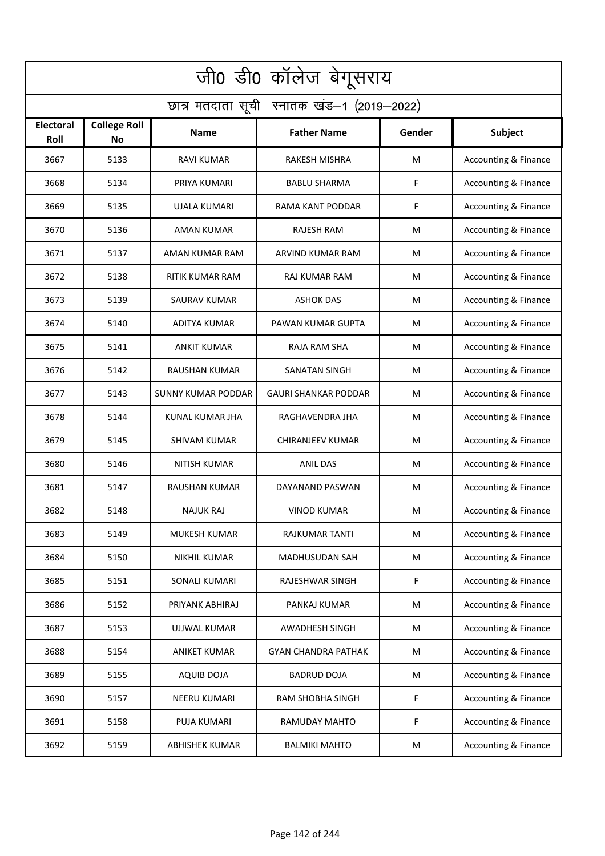| जी0 डी0 कॉलेज बेगूसराय                     |                           |                           |                             |        |                                 |  |  |  |
|--------------------------------------------|---------------------------|---------------------------|-----------------------------|--------|---------------------------------|--|--|--|
| छात्र मतदाता सूची स्नातक खंड-1 (2019-2022) |                           |                           |                             |        |                                 |  |  |  |
| <b>Electoral</b><br>Roll                   | <b>College Roll</b><br>No | Name                      | <b>Father Name</b>          | Gender | Subject                         |  |  |  |
| 3667                                       | 5133                      | <b>RAVI KUMAR</b>         | RAKESH MISHRA               | M      | Accounting & Finance            |  |  |  |
| 3668                                       | 5134                      | PRIYA KUMARI              | <b>BABLU SHARMA</b>         | F      | <b>Accounting &amp; Finance</b> |  |  |  |
| 3669                                       | 5135                      | UJALA KUMARI              | RAMA KANT PODDAR            | F      | <b>Accounting &amp; Finance</b> |  |  |  |
| 3670                                       | 5136                      | <b>AMAN KUMAR</b>         | <b>RAJESH RAM</b>           | M      | <b>Accounting &amp; Finance</b> |  |  |  |
| 3671                                       | 5137                      | AMAN KUMAR RAM            | ARVIND KUMAR RAM            | M      | <b>Accounting &amp; Finance</b> |  |  |  |
| 3672                                       | 5138                      | <b>RITIK KUMAR RAM</b>    | <b>RAJ KUMAR RAM</b>        | M      | <b>Accounting &amp; Finance</b> |  |  |  |
| 3673                                       | 5139                      | <b>SAURAV KUMAR</b>       | <b>ASHOK DAS</b>            | M      | Accounting & Finance            |  |  |  |
| 3674                                       | 5140                      | <b>ADITYA KUMAR</b>       | <b>PAWAN KUMAR GUPTA</b>    | M      | Accounting & Finance            |  |  |  |
| 3675                                       | 5141                      | <b>ANKIT KUMAR</b>        | <b>RAJA RAM SHA</b>         | M      | Accounting & Finance            |  |  |  |
| 3676                                       | 5142                      | RAUSHAN KUMAR             | SANATAN SINGH               | M      | <b>Accounting &amp; Finance</b> |  |  |  |
| 3677                                       | 5143                      | <b>SUNNY KUMAR PODDAR</b> | <b>GAURI SHANKAR PODDAR</b> | M      | Accounting & Finance            |  |  |  |
| 3678                                       | 5144                      | <b>KUNAL KUMAR JHA</b>    | RAGHAVENDRA JHA             | M      | Accounting & Finance            |  |  |  |
| 3679                                       | 5145                      | <b>SHIVAM KUMAR</b>       | <b>CHIRANJEEV KUMAR</b>     | M      | Accounting & Finance            |  |  |  |
| 3680                                       | 5146                      | NITISH KUMAR              | <b>ANIL DAS</b>             | M      | Accounting & Finance            |  |  |  |
| 3681                                       | 5147                      | RAUSHAN KUMAR             | DAYANAND PASWAN             | M      | <b>Accounting &amp; Finance</b> |  |  |  |
| 3682                                       | 5148                      | <b>NAJUK RAJ</b>          | <b>VINOD KUMAR</b>          | M      | Accounting & Finance            |  |  |  |
| 3683                                       | 5149                      | <b>MUKESH KUMAR</b>       | <b>RAJKUMAR TANTI</b>       | M      | <b>Accounting &amp; Finance</b> |  |  |  |
| 3684                                       | 5150                      | <b>NIKHIL KUMAR</b>       | <b>MADHUSUDAN SAH</b>       | M      | <b>Accounting &amp; Finance</b> |  |  |  |
| 3685                                       | 5151                      | SONALI KUMARI             | RAJESHWAR SINGH             | F      | <b>Accounting &amp; Finance</b> |  |  |  |
| 3686                                       | 5152                      | PRIYANK ABHIRAJ           | PANKAJ KUMAR                | M      | <b>Accounting &amp; Finance</b> |  |  |  |
| 3687                                       | 5153                      | <b>UJJWAL KUMAR</b>       | AWADHESH SINGH              | M      | <b>Accounting &amp; Finance</b> |  |  |  |
| 3688                                       | 5154                      | <b>ANIKET KUMAR</b>       | <b>GYAN CHANDRA PATHAK</b>  | M      | <b>Accounting &amp; Finance</b> |  |  |  |
| 3689                                       | 5155                      | <b>AQUIB DOJA</b>         | <b>BADRUD DOJA</b>          | M      | <b>Accounting &amp; Finance</b> |  |  |  |
| 3690                                       | 5157                      | NEERU KUMARI              | <b>RAM SHOBHA SINGH</b>     | F      | <b>Accounting &amp; Finance</b> |  |  |  |
| 3691                                       | 5158                      | <b>PUJA KUMARI</b>        | RAMUDAY MAHTO               | F      | <b>Accounting &amp; Finance</b> |  |  |  |
| 3692                                       | 5159                      | <b>ABHISHEK KUMAR</b>     | <b>BALMIKI MAHTO</b>        | M      | <b>Accounting &amp; Finance</b> |  |  |  |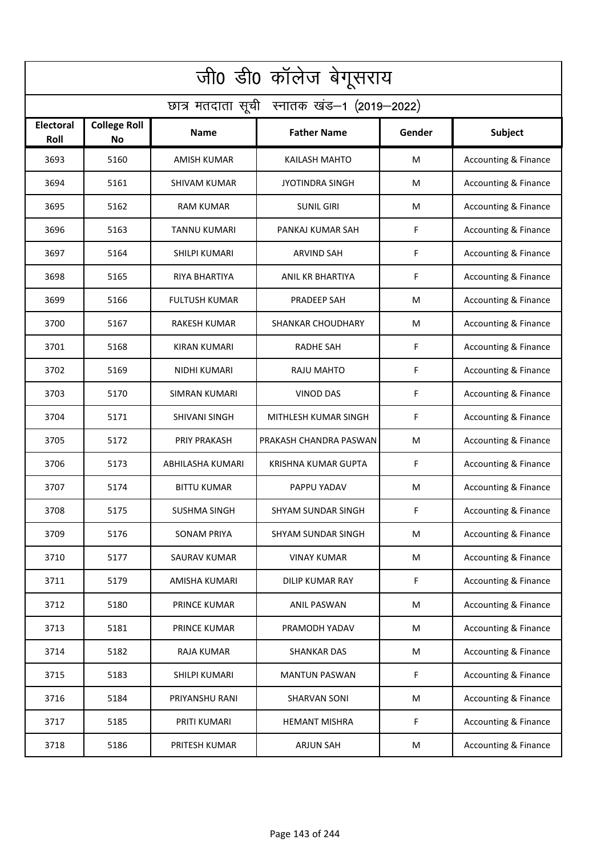| जी0 डी0 कॉलेज बेगूसराय                     |                                  |                      |                            |        |                                 |  |  |  |
|--------------------------------------------|----------------------------------|----------------------|----------------------------|--------|---------------------------------|--|--|--|
| छात्र मतदाता सूची स्नातक खंड-1 (2019-2022) |                                  |                      |                            |        |                                 |  |  |  |
| Electoral<br>Roll                          | <b>College Roll</b><br><b>No</b> | <b>Name</b>          | <b>Father Name</b>         | Gender | Subject                         |  |  |  |
| 3693                                       | 5160                             | <b>AMISH KUMAR</b>   | <b>KAILASH MAHTO</b>       | M      | Accounting & Finance            |  |  |  |
| 3694                                       | 5161                             | SHIVAM KUMAR         | <b>JYOTINDRA SINGH</b>     | M      | <b>Accounting &amp; Finance</b> |  |  |  |
| 3695                                       | 5162                             | <b>RAM KUMAR</b>     | <b>SUNIL GIRI</b>          | M      | <b>Accounting &amp; Finance</b> |  |  |  |
| 3696                                       | 5163                             | <b>TANNU KUMARI</b>  | PANKAJ KUMAR SAH           | F      | <b>Accounting &amp; Finance</b> |  |  |  |
| 3697                                       | 5164                             | SHILPI KUMARI        | <b>ARVIND SAH</b>          | F      | <b>Accounting &amp; Finance</b> |  |  |  |
| 3698                                       | 5165                             | <b>RIYA BHARTIYA</b> | ANIL KR BHARTIYA           | F      | Accounting & Finance            |  |  |  |
| 3699                                       | 5166                             | <b>FULTUSH KUMAR</b> | PRADEEP SAH                | M      | <b>Accounting &amp; Finance</b> |  |  |  |
| 3700                                       | 5167                             | <b>RAKESH KUMAR</b>  | <b>SHANKAR CHOUDHARY</b>   | M      | <b>Accounting &amp; Finance</b> |  |  |  |
| 3701                                       | 5168                             | <b>KIRAN KUMARI</b>  | <b>RADHE SAH</b>           | F      | Accounting & Finance            |  |  |  |
| 3702                                       | 5169                             | NIDHI KUMARI         | RAJU MAHTO                 | F      | Accounting & Finance            |  |  |  |
| 3703                                       | 5170                             | SIMRAN KUMARI        | <b>VINOD DAS</b>           | F      | Accounting & Finance            |  |  |  |
| 3704                                       | 5171                             | <b>SHIVANI SINGH</b> | MITHLESH KUMAR SINGH       | F      | Accounting & Finance            |  |  |  |
| 3705                                       | 5172                             | PRIY PRAKASH         | PRAKASH CHANDRA PASWAN     | M      | Accounting & Finance            |  |  |  |
| 3706                                       | 5173                             | ABHILASHA KUMARI     | <b>KRISHNA KUMAR GUPTA</b> | F      | <b>Accounting &amp; Finance</b> |  |  |  |
| 3707                                       | 5174                             | <b>BITTU KUMAR</b>   | PAPPU YADAV                | M      | Accounting & Finance            |  |  |  |
| 3708                                       | 5175                             | <b>SUSHMA SINGH</b>  | SHYAM SUNDAR SINGH         | F      | Accounting & Finance            |  |  |  |
| 3709                                       | 5176                             | <b>SONAM PRIYA</b>   | SHYAM SUNDAR SINGH         | M      | <b>Accounting &amp; Finance</b> |  |  |  |
| 3710                                       | 5177                             | <b>SAURAV KUMAR</b>  | <b>VINAY KUMAR</b>         | M      | <b>Accounting &amp; Finance</b> |  |  |  |
| 3711                                       | 5179                             | AMISHA KUMARI        | <b>DILIP KUMAR RAY</b>     | F      | <b>Accounting &amp; Finance</b> |  |  |  |
| 3712                                       | 5180                             | PRINCE KUMAR         | <b>ANIL PASWAN</b>         | M      | <b>Accounting &amp; Finance</b> |  |  |  |
| 3713                                       | 5181                             | PRINCE KUMAR         | PRAMODH YADAV              | M      | <b>Accounting &amp; Finance</b> |  |  |  |
| 3714                                       | 5182                             | RAJA KUMAR           | <b>SHANKAR DAS</b>         | M      | <b>Accounting &amp; Finance</b> |  |  |  |
| 3715                                       | 5183                             | SHILPI KUMARI        | <b>MANTUN PASWAN</b>       | F      | <b>Accounting &amp; Finance</b> |  |  |  |
| 3716                                       | 5184                             | PRIYANSHU RANI       | <b>SHARVAN SONI</b>        | M      | <b>Accounting &amp; Finance</b> |  |  |  |
| 3717                                       | 5185                             | PRITI KUMARI         | <b>HEMANT MISHRA</b>       | F      | <b>Accounting &amp; Finance</b> |  |  |  |
| 3718                                       | 5186                             | PRITESH KUMAR        | <b>ARJUN SAH</b>           | M      | <b>Accounting &amp; Finance</b> |  |  |  |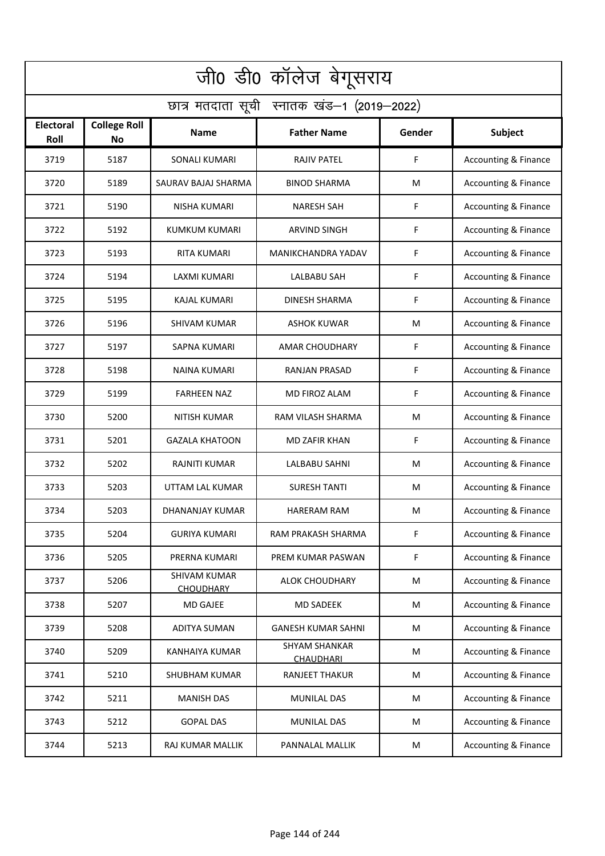| जी0 डी0 कॉलेज बेगूसराय                     |                           |                                         |                                          |        |                                 |  |  |  |
|--------------------------------------------|---------------------------|-----------------------------------------|------------------------------------------|--------|---------------------------------|--|--|--|
| छात्र मतदाता सूची स्नातक खंड-1 (2019-2022) |                           |                                         |                                          |        |                                 |  |  |  |
| <b>Electoral</b><br>Roll                   | <b>College Roll</b><br>No | Name                                    | <b>Father Name</b>                       | Gender | Subject                         |  |  |  |
| 3719                                       | 5187                      | <b>SONALI KUMARI</b>                    | <b>RAJIV PATEL</b>                       | F      | <b>Accounting &amp; Finance</b> |  |  |  |
| 3720                                       | 5189                      | SAURAV BAJAJ SHARMA                     | <b>BINOD SHARMA</b>                      | M      | <b>Accounting &amp; Finance</b> |  |  |  |
| 3721                                       | 5190                      | <b>NISHA KUMARI</b>                     | <b>NARESH SAH</b>                        | F      | Accounting & Finance            |  |  |  |
| 3722                                       | 5192                      | <b>KUMKUM KUMARI</b>                    | <b>ARVIND SINGH</b>                      | F      | <b>Accounting &amp; Finance</b> |  |  |  |
| 3723                                       | 5193                      | <b>RITA KUMARI</b>                      | MANIKCHANDRA YADAV                       | F      | <b>Accounting &amp; Finance</b> |  |  |  |
| 3724                                       | 5194                      | <b>LAXMI KUMARI</b>                     | LALBABU SAH                              | F      | Accounting & Finance            |  |  |  |
| 3725                                       | 5195                      | <b>KAJAL KUMARI</b>                     | <b>DINESH SHARMA</b>                     | F      | Accounting & Finance            |  |  |  |
| 3726                                       | 5196                      | <b>SHIVAM KUMAR</b>                     | ASHOK KUWAR                              | M      | Accounting & Finance            |  |  |  |
| 3727                                       | 5197                      | <b>SAPNA KUMARI</b>                     | <b>AMAR CHOUDHARY</b>                    | F      | Accounting & Finance            |  |  |  |
| 3728                                       | 5198                      | NAINA KUMARI                            | RANJAN PRASAD                            | F      | Accounting & Finance            |  |  |  |
| 3729                                       | 5199                      | <b>FARHEEN NAZ</b>                      | MD FIROZ ALAM                            | F      | Accounting & Finance            |  |  |  |
| 3730                                       | 5200                      | NITISH KUMAR                            | RAM VILASH SHARMA                        | M      | Accounting & Finance            |  |  |  |
| 3731                                       | 5201                      | <b>GAZALA KHATOON</b>                   | MD ZAFIR KHAN                            | F      | <b>Accounting &amp; Finance</b> |  |  |  |
| 3732                                       | 5202                      | <b>RAJNITI KUMAR</b>                    | <b>LALBABU SAHNI</b>                     | M      | Accounting & Finance            |  |  |  |
| 3733                                       | 5203                      | UTTAM LAL KUMAR                         | <b>SURESH TANTI</b>                      | M      | <b>Accounting &amp; Finance</b> |  |  |  |
| 3734                                       | 5203                      | DHANANJAY KUMAR                         | HARERAM RAM                              | M      | Accounting & Finance            |  |  |  |
| 3735                                       | 5204                      | <b>GURIYA KUMARI</b>                    | RAM PRAKASH SHARMA                       | F      | <b>Accounting &amp; Finance</b> |  |  |  |
| 3736                                       | 5205                      | PRERNA KUMARI                           | PREM KUMAR PASWAN                        | F      | <b>Accounting &amp; Finance</b> |  |  |  |
| 3737                                       | 5206                      | <b>SHIVAM KUMAR</b><br><b>CHOUDHARY</b> | <b>ALOK CHOUDHARY</b>                    | M      | <b>Accounting &amp; Finance</b> |  |  |  |
| 3738                                       | 5207                      | <b>MD GAJEE</b>                         | <b>MD SADEEK</b>                         | M      | <b>Accounting &amp; Finance</b> |  |  |  |
| 3739                                       | 5208                      | ADITYA SUMAN                            | <b>GANESH KUMAR SAHNI</b>                | M      | <b>Accounting &amp; Finance</b> |  |  |  |
| 3740                                       | 5209                      | KANHAIYA KUMAR                          | <b>SHYAM SHANKAR</b><br><b>CHAUDHARI</b> | M      | <b>Accounting &amp; Finance</b> |  |  |  |
| 3741                                       | 5210                      | <b>SHUBHAM KUMAR</b>                    | RANJEET THAKUR                           | M      | <b>Accounting &amp; Finance</b> |  |  |  |
| 3742                                       | 5211                      | <b>MANISH DAS</b>                       | MUNILAL DAS                              | M      | <b>Accounting &amp; Finance</b> |  |  |  |
| 3743                                       | 5212                      | <b>GOPAL DAS</b>                        | <b>MUNILAL DAS</b>                       | M      | <b>Accounting &amp; Finance</b> |  |  |  |
| 3744                                       | 5213                      | RAJ KUMAR MALLIK                        | PANNALAL MALLIK                          | M      | <b>Accounting &amp; Finance</b> |  |  |  |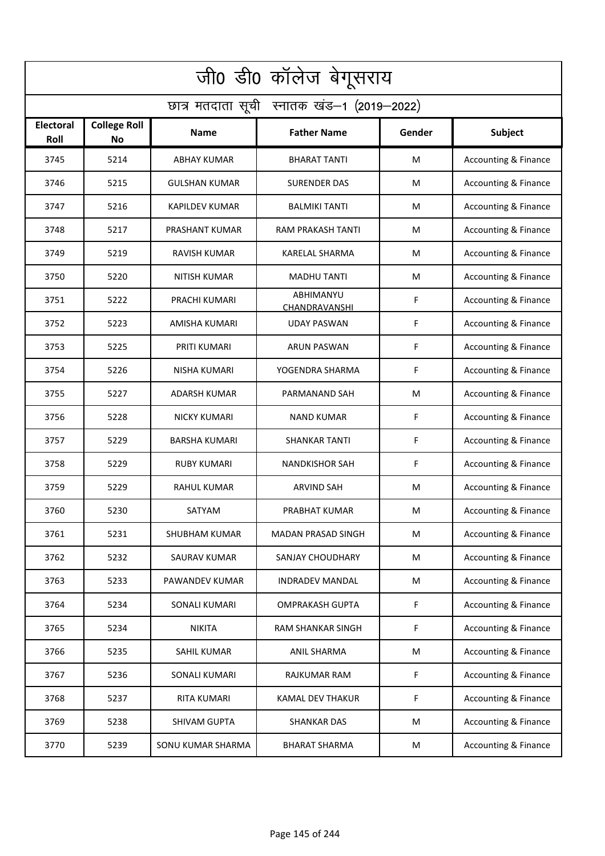| जी0 डी0 कॉलेज बेगूसराय                     |                           |                      |                            |        |                                 |  |  |  |
|--------------------------------------------|---------------------------|----------------------|----------------------------|--------|---------------------------------|--|--|--|
| छात्र मतदाता सूची स्नातक खंड-1 (2019-2022) |                           |                      |                            |        |                                 |  |  |  |
| <b>Electoral</b><br>Roll                   | <b>College Roll</b><br>No | Name                 | <b>Father Name</b>         | Gender | Subject                         |  |  |  |
| 3745                                       | 5214                      | <b>ABHAY KUMAR</b>   | <b>BHARAT TANTI</b>        | M      | Accounting & Finance            |  |  |  |
| 3746                                       | 5215                      | <b>GULSHAN KUMAR</b> | <b>SURENDER DAS</b>        | M      | <b>Accounting &amp; Finance</b> |  |  |  |
| 3747                                       | 5216                      | KAPILDEV KUMAR       | <b>BALMIKI TANTI</b>       | M      | Accounting & Finance            |  |  |  |
| 3748                                       | 5217                      | PRASHANT KUMAR       | RAM PRAKASH TANTI          | M      | <b>Accounting &amp; Finance</b> |  |  |  |
| 3749                                       | 5219                      | <b>RAVISH KUMAR</b>  | <b>KARELAL SHARMA</b>      | M      | <b>Accounting &amp; Finance</b> |  |  |  |
| 3750                                       | 5220                      | <b>NITISH KUMAR</b>  | <b>MADHU TANTI</b>         | M      | Accounting & Finance            |  |  |  |
| 3751                                       | 5222                      | PRACHI KUMARI        | ABHIMANYU<br>CHANDRAVANSHI | F      | Accounting & Finance            |  |  |  |
| 3752                                       | 5223                      | <b>AMISHA KUMARI</b> | <b>UDAY PASWAN</b>         | F      | Accounting & Finance            |  |  |  |
| 3753                                       | 5225                      | PRITI KUMARI         | <b>ARUN PASWAN</b>         | F      | Accounting & Finance            |  |  |  |
| 3754                                       | 5226                      | NISHA KUMARI         | YOGENDRA SHARMA            | F      | Accounting & Finance            |  |  |  |
| 3755                                       | 5227                      | ADARSH KUMAR         | PARMANAND SAH              | M      | Accounting & Finance            |  |  |  |
| 3756                                       | 5228                      | <b>NICKY KUMARI</b>  | NAND KUMAR                 | F      | Accounting & Finance            |  |  |  |
| 3757                                       | 5229                      | <b>BARSHA KUMARI</b> | <b>SHANKAR TANTI</b>       | F      | <b>Accounting &amp; Finance</b> |  |  |  |
| 3758                                       | 5229                      | RUBY KUMARI          | <b>NANDKISHOR SAH</b>      | F      | Accounting & Finance            |  |  |  |
| 3759                                       | 5229                      | <b>RAHUL KUMAR</b>   | ARVIND SAH                 | M      | <b>Accounting &amp; Finance</b> |  |  |  |
| 3760                                       | 5230                      | SATYAM               | PRABHAT KUMAR              | M      | Accounting & Finance            |  |  |  |
| 3761                                       | 5231                      | <b>SHUBHAM KUMAR</b> | MADAN PRASAD SINGH         | M      | <b>Accounting &amp; Finance</b> |  |  |  |
| 3762                                       | 5232                      | SAURAV KUMAR         | SANJAY CHOUDHARY           | M      | <b>Accounting &amp; Finance</b> |  |  |  |
| 3763                                       | 5233                      | PAWANDEV KUMAR       | INDRADEV MANDAL            | M      | <b>Accounting &amp; Finance</b> |  |  |  |
| 3764                                       | 5234                      | <b>SONALI KUMARI</b> | <b>OMPRAKASH GUPTA</b>     | F      | <b>Accounting &amp; Finance</b> |  |  |  |
| 3765                                       | 5234                      | <b>NIKITA</b>        | RAM SHANKAR SINGH          | F      | <b>Accounting &amp; Finance</b> |  |  |  |
| 3766                                       | 5235                      | SAHIL KUMAR          | <b>ANIL SHARMA</b>         | M      | <b>Accounting &amp; Finance</b> |  |  |  |
| 3767                                       | 5236                      | SONALI KUMARI        | RAJKUMAR RAM               | F      | <b>Accounting &amp; Finance</b> |  |  |  |
| 3768                                       | 5237                      | <b>RITA KUMARI</b>   | <b>KAMAL DEV THAKUR</b>    | F      | <b>Accounting &amp; Finance</b> |  |  |  |
| 3769                                       | 5238                      | <b>SHIVAM GUPTA</b>  | <b>SHANKAR DAS</b>         | M      | <b>Accounting &amp; Finance</b> |  |  |  |
| 3770                                       | 5239                      | SONU KUMAR SHARMA    | <b>BHARAT SHARMA</b>       | M      | <b>Accounting &amp; Finance</b> |  |  |  |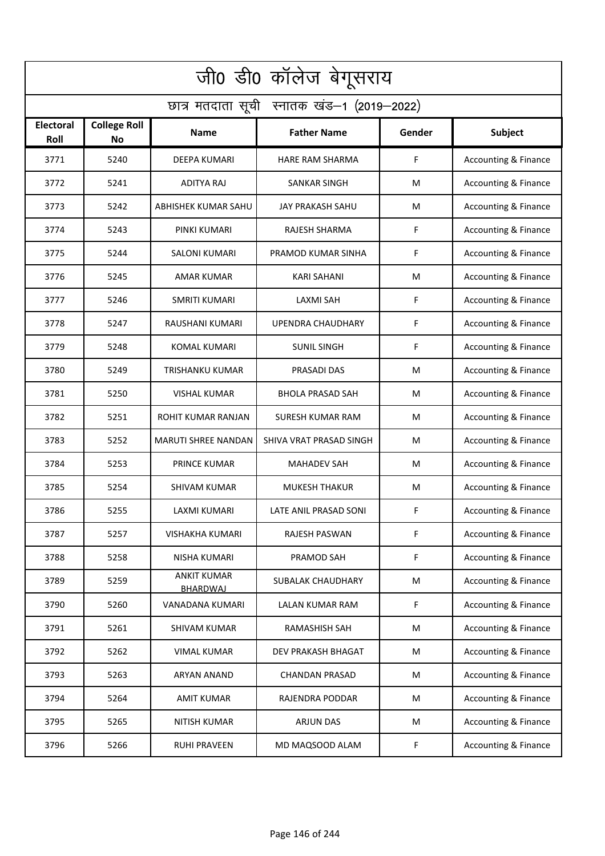| जी0 डी0 कॉलेज बेगूसराय                     |                           |                                |                          |        |                                 |  |  |  |
|--------------------------------------------|---------------------------|--------------------------------|--------------------------|--------|---------------------------------|--|--|--|
| छात्र मतदाता सूची स्नातक खंड-1 (2019-2022) |                           |                                |                          |        |                                 |  |  |  |
| <b>Electoral</b><br>Roll                   | <b>College Roll</b><br>No | Name                           | <b>Father Name</b>       | Gender | Subject                         |  |  |  |
| 3771                                       | 5240                      | <b>DEEPA KUMARI</b>            | HARE RAM SHARMA          | F      | Accounting & Finance            |  |  |  |
| 3772                                       | 5241                      | <b>ADITYA RAJ</b>              | <b>SANKAR SINGH</b>      | M      | <b>Accounting &amp; Finance</b> |  |  |  |
| 3773                                       | 5242                      | ABHISHEK KUMAR SAHU            | JAY PRAKASH SAHU         | M      | Accounting & Finance            |  |  |  |
| 3774                                       | 5243                      | PINKI KUMARI                   | <b>RAJESH SHARMA</b>     | F      | <b>Accounting &amp; Finance</b> |  |  |  |
| 3775                                       | 5244                      | <b>SALONI KUMARI</b>           | PRAMOD KUMAR SINHA       | F      | <b>Accounting &amp; Finance</b> |  |  |  |
| 3776                                       | 5245                      | <b>AMAR KUMAR</b>              | KARI SAHANI              | M      | Accounting & Finance            |  |  |  |
| 3777                                       | 5246                      | <b>SMRITI KUMARI</b>           | <b>LAXMI SAH</b>         | F      | Accounting & Finance            |  |  |  |
| 3778                                       | 5247                      | RAUSHANI KUMARI                | <b>UPENDRA CHAUDHARY</b> | F      | Accounting & Finance            |  |  |  |
| 3779                                       | 5248                      | <b>KOMAL KUMARI</b>            | <b>SUNIL SINGH</b>       | F      | Accounting & Finance            |  |  |  |
| 3780                                       | 5249                      | TRISHANKU KUMAR                | PRASADI DAS              | M      | <b>Accounting &amp; Finance</b> |  |  |  |
| 3781                                       | 5250                      | VISHAL KUMAR                   | <b>BHOLA PRASAD SAH</b>  | M      | Accounting & Finance            |  |  |  |
| 3782                                       | 5251                      | ROHIT KUMAR RANJAN             | <b>SURESH KUMAR RAM</b>  | M      | Accounting & Finance            |  |  |  |
| 3783                                       | 5252                      | MARUTI SHREE NANDAN            | SHIVA VRAT PRASAD SINGH  | M      | Accounting & Finance            |  |  |  |
| 3784                                       | 5253                      | <b>PRINCE KUMAR</b>            | <b>MAHADEV SAH</b>       | M      | Accounting & Finance            |  |  |  |
| 3785                                       | 5254                      | SHIVAM KUMAR                   | <b>MUKESH THAKUR</b>     | M      | <b>Accounting &amp; Finance</b> |  |  |  |
| 3786                                       | 5255                      | LAXMI KUMARI                   | LATE ANIL PRASAD SONI    | F      | Accounting & Finance            |  |  |  |
| 3787                                       | 5257                      | VISHAKHA KUMARI                | <b>RAJESH PASWAN</b>     | F      | <b>Accounting &amp; Finance</b> |  |  |  |
| 3788                                       | 5258                      | NISHA KUMARI                   | PRAMOD SAH               | F      | <b>Accounting &amp; Finance</b> |  |  |  |
| 3789                                       | 5259                      | <b>ANKIT KUMAR</b><br>BHARDWAJ | SUBALAK CHAUDHARY        | M      | <b>Accounting &amp; Finance</b> |  |  |  |
| 3790                                       | 5260                      | VANADANA KUMARI                | LALAN KUMAR RAM          | F      | <b>Accounting &amp; Finance</b> |  |  |  |
| 3791                                       | 5261                      | SHIVAM KUMAR                   | RAMASHISH SAH            | M      | <b>Accounting &amp; Finance</b> |  |  |  |
| 3792                                       | 5262                      | <b>VIMAL KUMAR</b>             | DEV PRAKASH BHAGAT       | M      | <b>Accounting &amp; Finance</b> |  |  |  |
| 3793                                       | 5263                      | ARYAN ANAND                    | <b>CHANDAN PRASAD</b>    | M      | <b>Accounting &amp; Finance</b> |  |  |  |
| 3794                                       | 5264                      | <b>AMIT KUMAR</b>              | RAJENDRA PODDAR          | M      | <b>Accounting &amp; Finance</b> |  |  |  |
| 3795                                       | 5265                      | <b>NITISH KUMAR</b>            | ARJUN DAS                | M      | <b>Accounting &amp; Finance</b> |  |  |  |
| 3796                                       | 5266                      | <b>RUHI PRAVEEN</b>            | MD MAQSOOD ALAM          | F      | <b>Accounting &amp; Finance</b> |  |  |  |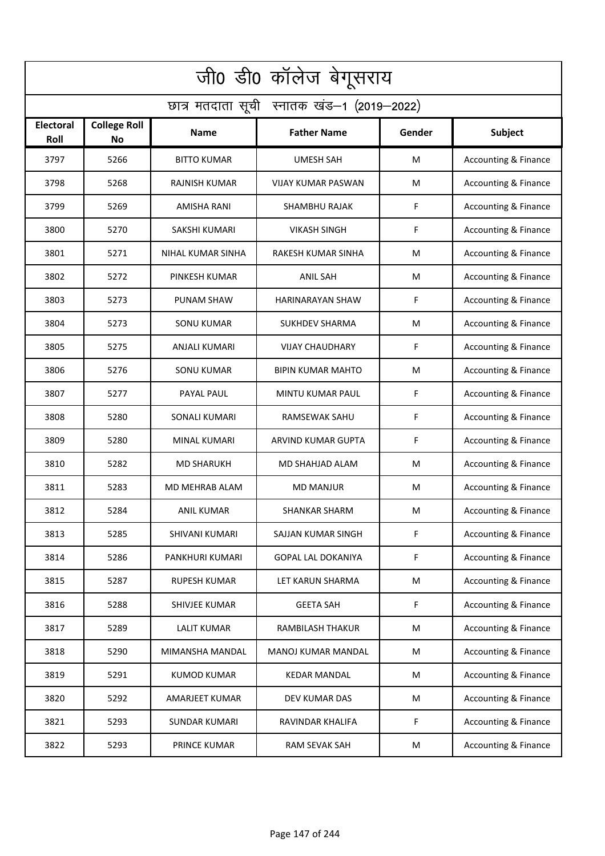| जी0 डी0 कॉलेज बेगूसराय                     |                           |                      |                           |        |                                 |  |  |  |
|--------------------------------------------|---------------------------|----------------------|---------------------------|--------|---------------------------------|--|--|--|
| छात्र मतदाता सूची स्नातक खंड-1 (2019-2022) |                           |                      |                           |        |                                 |  |  |  |
| <b>Electoral</b><br>Roll                   | <b>College Roll</b><br>No | <b>Name</b>          | <b>Father Name</b>        | Gender | Subject                         |  |  |  |
| 3797                                       | 5266                      | <b>BITTO KUMAR</b>   | <b>UMESH SAH</b>          | M      | <b>Accounting &amp; Finance</b> |  |  |  |
| 3798                                       | 5268                      | <b>RAJNISH KUMAR</b> | <b>VIJAY KUMAR PASWAN</b> | M      | <b>Accounting &amp; Finance</b> |  |  |  |
| 3799                                       | 5269                      | AMISHA RANI          | SHAMBHU RAJAK             | F      | <b>Accounting &amp; Finance</b> |  |  |  |
| 3800                                       | 5270                      | <b>SAKSHI KUMARI</b> | <b>VIKASH SINGH</b>       | F      | <b>Accounting &amp; Finance</b> |  |  |  |
| 3801                                       | 5271                      | NIHAL KUMAR SINHA    | RAKESH KUMAR SINHA        | M      | <b>Accounting &amp; Finance</b> |  |  |  |
| 3802                                       | 5272                      | PINKESH KUMAR        | <b>ANIL SAH</b>           | M      | Accounting & Finance            |  |  |  |
| 3803                                       | 5273                      | <b>PUNAM SHAW</b>    | <b>HARINARAYAN SHAW</b>   | F      | Accounting & Finance            |  |  |  |
| 3804                                       | 5273                      | <b>SONU KUMAR</b>    | <b>SUKHDEV SHARMA</b>     | M      | Accounting & Finance            |  |  |  |
| 3805                                       | 5275                      | <b>ANJALI KUMARI</b> | <b>VIJAY CHAUDHARY</b>    | F      | Accounting & Finance            |  |  |  |
| 3806                                       | 5276                      | <b>SONU KUMAR</b>    | <b>BIPIN KUMAR MAHTO</b>  | M      | <b>Accounting &amp; Finance</b> |  |  |  |
| 3807                                       | 5277                      | PAYAL PAUL           | MINTU KUMAR PAUL          | F      | Accounting & Finance            |  |  |  |
| 3808                                       | 5280                      | <b>SONALI KUMARI</b> | RAMSEWAK SAHU             | F      | Accounting & Finance            |  |  |  |
| 3809                                       | 5280                      | MINAL KUMARI         | ARVIND KUMAR GUPTA        | F      | Accounting & Finance            |  |  |  |
| 3810                                       | 5282                      | <b>MD SHARUKH</b>    | MD SHAHJAD ALAM           | M      | Accounting & Finance            |  |  |  |
| 3811                                       | 5283                      | MD MEHRAB ALAM       | <b>MD MANJUR</b>          | M      | <b>Accounting &amp; Finance</b> |  |  |  |
| 3812                                       | 5284                      | ANIL KUMAR           | SHANKAR SHARM             | M      | Accounting & Finance            |  |  |  |
| 3813                                       | 5285                      | SHIVANI KUMARI       | SAJJAN KUMAR SINGH        | F      | <b>Accounting &amp; Finance</b> |  |  |  |
| 3814                                       | 5286                      | PANKHURI KUMARI      | GOPAL LAL DOKANIYA        | F      | <b>Accounting &amp; Finance</b> |  |  |  |
| 3815                                       | 5287                      | <b>RUPESH KUMAR</b>  | LET KARUN SHARMA          | M      | <b>Accounting &amp; Finance</b> |  |  |  |
| 3816                                       | 5288                      | SHIVJEE KUMAR        | <b>GEETA SAH</b>          | F      | <b>Accounting &amp; Finance</b> |  |  |  |
| 3817                                       | 5289                      | <b>LALIT KUMAR</b>   | RAMBILASH THAKUR          | M      | <b>Accounting &amp; Finance</b> |  |  |  |
| 3818                                       | 5290                      | MIMANSHA MANDAL      | MANOJ KUMAR MANDAL        | M      | <b>Accounting &amp; Finance</b> |  |  |  |
| 3819                                       | 5291                      | <b>KUMOD KUMAR</b>   | <b>KEDAR MANDAL</b>       | M      | <b>Accounting &amp; Finance</b> |  |  |  |
| 3820                                       | 5292                      | AMARJEET KUMAR       | DEV KUMAR DAS             | M      | <b>Accounting &amp; Finance</b> |  |  |  |
| 3821                                       | 5293                      | <b>SUNDAR KUMARI</b> | RAVINDAR KHALIFA          | F      | <b>Accounting &amp; Finance</b> |  |  |  |
| 3822                                       | 5293                      | PRINCE KUMAR         | RAM SEVAK SAH             | M      | <b>Accounting &amp; Finance</b> |  |  |  |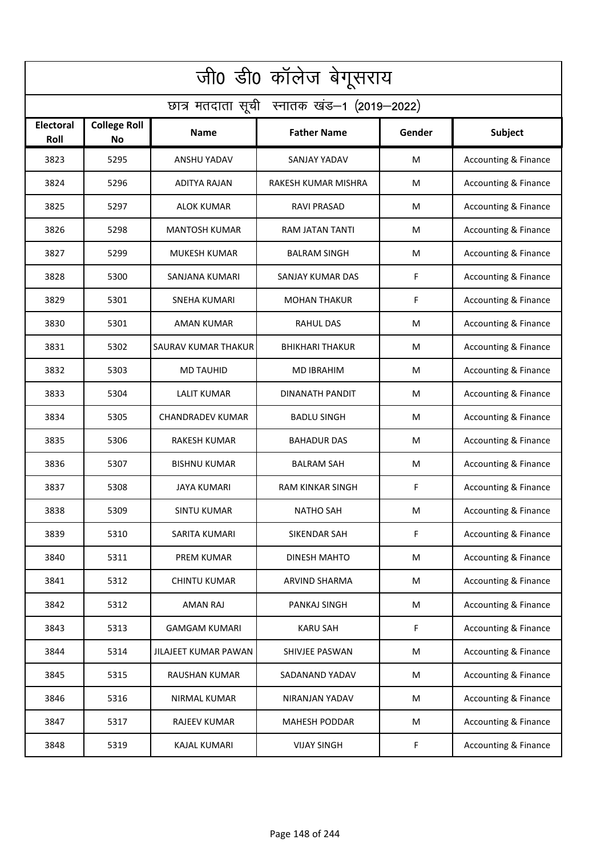| जी0 डी0 कॉलेज बेगूसराय                     |                                  |                         |                        |        |                                 |  |  |  |
|--------------------------------------------|----------------------------------|-------------------------|------------------------|--------|---------------------------------|--|--|--|
| छात्र मतदाता सूची स्नातक खंड-1 (2019-2022) |                                  |                         |                        |        |                                 |  |  |  |
| Electoral<br>Roll                          | <b>College Roll</b><br><b>No</b> | <b>Name</b>             | <b>Father Name</b>     | Gender | Subject                         |  |  |  |
| 3823                                       | 5295                             | <b>ANSHU YADAV</b>      | <b>SANJAY YADAV</b>    | M      | <b>Accounting &amp; Finance</b> |  |  |  |
| 3824                                       | 5296                             | <b>ADITYA RAJAN</b>     | RAKESH KUMAR MISHRA    | M      | <b>Accounting &amp; Finance</b> |  |  |  |
| 3825                                       | 5297                             | <b>ALOK KUMAR</b>       | <b>RAVI PRASAD</b>     | M      | <b>Accounting &amp; Finance</b> |  |  |  |
| 3826                                       | 5298                             | <b>MANTOSH KUMAR</b>    | RAM JATAN TANTI        | M      | <b>Accounting &amp; Finance</b> |  |  |  |
| 3827                                       | 5299                             | <b>MUKESH KUMAR</b>     | <b>BALRAM SINGH</b>    | М      | <b>Accounting &amp; Finance</b> |  |  |  |
| 3828                                       | 5300                             | SANJANA KUMARI          | SANJAY KUMAR DAS       | F      | Accounting & Finance            |  |  |  |
| 3829                                       | 5301                             | <b>SNEHA KUMARI</b>     | <b>MOHAN THAKUR</b>    | F      | <b>Accounting &amp; Finance</b> |  |  |  |
| 3830                                       | 5301                             | AMAN KUMAR              | <b>RAHUL DAS</b>       | M      | <b>Accounting &amp; Finance</b> |  |  |  |
| 3831                                       | 5302                             | SAURAV KUMAR THAKUR     | <b>BHIKHARI THAKUR</b> | M      | Accounting & Finance            |  |  |  |
| 3832                                       | 5303                             | <b>MD TAUHID</b>        | <b>MD IBRAHIM</b>      | M      | Accounting & Finance            |  |  |  |
| 3833                                       | 5304                             | <b>LALIT KUMAR</b>      | DINANATH PANDIT        | M      | Accounting & Finance            |  |  |  |
| 3834                                       | 5305                             | <b>CHANDRADEV KUMAR</b> | <b>BADLU SINGH</b>     | M      | <b>Accounting &amp; Finance</b> |  |  |  |
| 3835                                       | 5306                             | <b>RAKESH KUMAR</b>     | <b>BAHADUR DAS</b>     | M      | Accounting & Finance            |  |  |  |
| 3836                                       | 5307                             | <b>BISHNU KUMAR</b>     | <b>BALRAM SAH</b>      | M      | <b>Accounting &amp; Finance</b> |  |  |  |
| 3837                                       | 5308                             | JAYA KUMARI             | RAM KINKAR SINGH       | F      | Accounting & Finance            |  |  |  |
| 3838                                       | 5309                             | <b>SINTU KUMAR</b>      | <b>NATHO SAH</b>       | M      | Accounting & Finance            |  |  |  |
| 3839                                       | 5310                             | SARITA KUMARI           | SIKENDAR SAH           | F      | <b>Accounting &amp; Finance</b> |  |  |  |
| 3840                                       | 5311                             | <b>PREM KUMAR</b>       | DINESH MAHTO           | M      | <b>Accounting &amp; Finance</b> |  |  |  |
| 3841                                       | 5312                             | <b>CHINTU KUMAR</b>     | ARVIND SHARMA          | M      | <b>Accounting &amp; Finance</b> |  |  |  |
| 3842                                       | 5312                             | AMAN RAJ                | PANKAJ SINGH           | M      | <b>Accounting &amp; Finance</b> |  |  |  |
| 3843                                       | 5313                             | <b>GAMGAM KUMARI</b>    | <b>KARU SAH</b>        | F      | <b>Accounting &amp; Finance</b> |  |  |  |
| 3844                                       | 5314                             | JILAJEET KUMAR PAWAN    | SHIVJEE PASWAN         | M      | <b>Accounting &amp; Finance</b> |  |  |  |
| 3845                                       | 5315                             | RAUSHAN KUMAR           | SADANAND YADAV         | M      | <b>Accounting &amp; Finance</b> |  |  |  |
| 3846                                       | 5316                             | NIRMAL KUMAR            | NIRANJAN YADAV         | M      | <b>Accounting &amp; Finance</b> |  |  |  |
| 3847                                       | 5317                             | <b>RAJEEV KUMAR</b>     | <b>MAHESH PODDAR</b>   | M      | <b>Accounting &amp; Finance</b> |  |  |  |
| 3848                                       | 5319                             | <b>KAJAL KUMARI</b>     | <b>VIJAY SINGH</b>     | F      | <b>Accounting &amp; Finance</b> |  |  |  |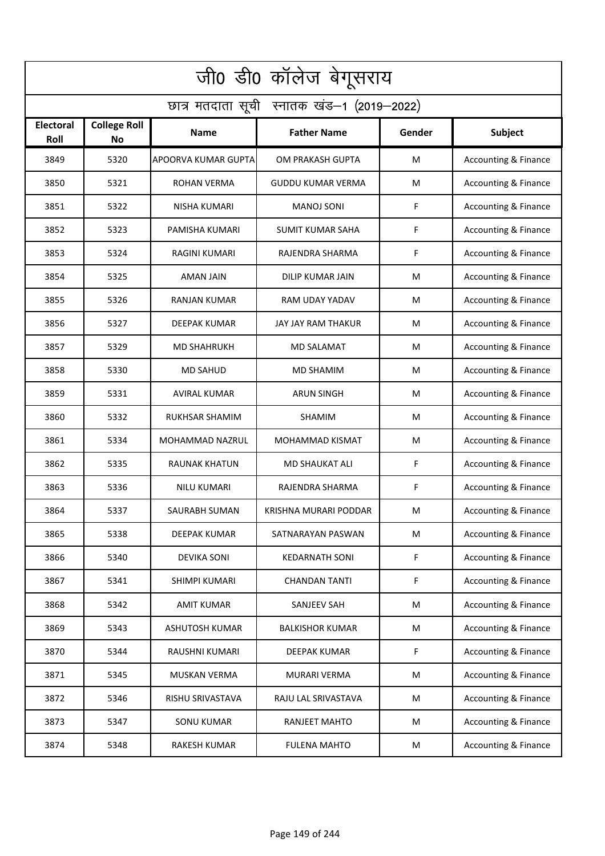| जी0 डी0 कॉलेज बेगूसराय                     |                                  |                       |                          |        |                                 |  |  |  |
|--------------------------------------------|----------------------------------|-----------------------|--------------------------|--------|---------------------------------|--|--|--|
| छात्र मतदाता सूची स्नातक खंड-1 (2019-2022) |                                  |                       |                          |        |                                 |  |  |  |
| Electoral<br>Roll                          | <b>College Roll</b><br><b>No</b> | <b>Name</b>           | <b>Father Name</b>       | Gender | Subject                         |  |  |  |
| 3849                                       | 5320                             | APOORVA KUMAR GUPTA   | OM PRAKASH GUPTA         | M      | <b>Accounting &amp; Finance</b> |  |  |  |
| 3850                                       | 5321                             | <b>ROHAN VERMA</b>    | <b>GUDDU KUMAR VERMA</b> | M      | <b>Accounting &amp; Finance</b> |  |  |  |
| 3851                                       | 5322                             | <b>NISHA KUMARI</b>   | <b>MANOJ SONI</b>        | F      | <b>Accounting &amp; Finance</b> |  |  |  |
| 3852                                       | 5323                             | PAMISHA KUMARI        | <b>SUMIT KUMAR SAHA</b>  | F      | <b>Accounting &amp; Finance</b> |  |  |  |
| 3853                                       | 5324                             | RAGINI KUMARI         | RAJENDRA SHARMA          | F      | <b>Accounting &amp; Finance</b> |  |  |  |
| 3854                                       | 5325                             | AMAN JAIN             | DILIP KUMAR JAIN         | M      | <b>Accounting &amp; Finance</b> |  |  |  |
| 3855                                       | 5326                             | RANJAN KUMAR          | RAM UDAY YADAV           | M      | <b>Accounting &amp; Finance</b> |  |  |  |
| 3856                                       | 5327                             | <b>DEEPAK KUMAR</b>   | JAY JAY RAM THAKUR       | M      | <b>Accounting &amp; Finance</b> |  |  |  |
| 3857                                       | 5329                             | <b>MD SHAHRUKH</b>    | MD SALAMAT               | M      | Accounting & Finance            |  |  |  |
| 3858                                       | 5330                             | <b>MD SAHUD</b>       | MD SHAMIM                | M      | Accounting & Finance            |  |  |  |
| 3859                                       | 5331                             | AVIRAL KUMAR          | <b>ARUN SINGH</b>        | M      | <b>Accounting &amp; Finance</b> |  |  |  |
| 3860                                       | 5332                             | <b>RUKHSAR SHAMIM</b> | SHAMIM                   | M      | <b>Accounting &amp; Finance</b> |  |  |  |
| 3861                                       | 5334                             | MOHAMMAD NAZRUL       | MOHAMMAD KISMAT          | M      | Accounting & Finance            |  |  |  |
| 3862                                       | 5335                             | <b>RAUNAK KHATUN</b>  | <b>MD SHAUKAT ALI</b>    | F      | <b>Accounting &amp; Finance</b> |  |  |  |
| 3863                                       | 5336                             | <b>NILU KUMARI</b>    | RAJENDRA SHARMA          | F      | Accounting & Finance            |  |  |  |
| 3864                                       | 5337                             | SAURABH SUMAN         | KRISHNA MURARI PODDAR    | M      | Accounting & Finance            |  |  |  |
| 3865                                       | 5338                             | DEEPAK KUMAR          | SATNARAYAN PASWAN        | M      | <b>Accounting &amp; Finance</b> |  |  |  |
| 3866                                       | 5340                             | <b>DEVIKA SONI</b>    | <b>KEDARNATH SONI</b>    | F      | <b>Accounting &amp; Finance</b> |  |  |  |
| 3867                                       | 5341                             | SHIMPI KUMARI         | <b>CHANDAN TANTI</b>     | F      | <b>Accounting &amp; Finance</b> |  |  |  |
| 3868                                       | 5342                             | <b>AMIT KUMAR</b>     | SANJEEV SAH              | M      | <b>Accounting &amp; Finance</b> |  |  |  |
| 3869                                       | 5343                             | <b>ASHUTOSH KUMAR</b> | <b>BALKISHOR KUMAR</b>   | M      | <b>Accounting &amp; Finance</b> |  |  |  |
| 3870                                       | 5344                             | RAUSHNI KUMARI        | DEEPAK KUMAR             | F      | <b>Accounting &amp; Finance</b> |  |  |  |
| 3871                                       | 5345                             | MUSKAN VERMA          | MURARI VERMA             | M      | <b>Accounting &amp; Finance</b> |  |  |  |
| 3872                                       | 5346                             | RISHU SRIVASTAVA      | RAJU LAL SRIVASTAVA      | M      | <b>Accounting &amp; Finance</b> |  |  |  |
| 3873                                       | 5347                             | <b>SONU KUMAR</b>     | RANJEET MAHTO            | M      | <b>Accounting &amp; Finance</b> |  |  |  |
| 3874                                       | 5348                             | RAKESH KUMAR          | <b>FULENA MAHTO</b>      | M      | <b>Accounting &amp; Finance</b> |  |  |  |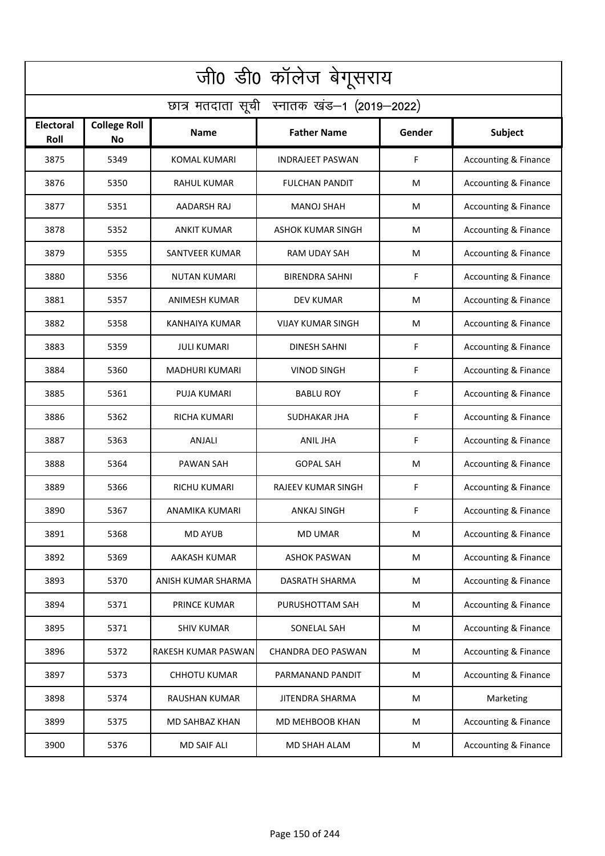| जी0 डी0 कॉलेज बेगूसराय                     |                           |                       |                          |        |                                 |  |  |  |
|--------------------------------------------|---------------------------|-----------------------|--------------------------|--------|---------------------------------|--|--|--|
| छात्र मतदाता सूची स्नातक खंड-1 (2019-2022) |                           |                       |                          |        |                                 |  |  |  |
| Electoral<br>Roll                          | <b>College Roll</b><br>No | Name                  | <b>Father Name</b>       | Gender | Subject                         |  |  |  |
| 3875                                       | 5349                      | <b>KOMAL KUMARI</b>   | <b>INDRAJEET PASWAN</b>  | F      | Accounting & Finance            |  |  |  |
| 3876                                       | 5350                      | <b>RAHUL KUMAR</b>    | <b>FULCHAN PANDIT</b>    | M      | <b>Accounting &amp; Finance</b> |  |  |  |
| 3877                                       | 5351                      | AADARSH RAJ           | MANOJ SHAH               | M      | Accounting & Finance            |  |  |  |
| 3878                                       | 5352                      | <b>ANKIT KUMAR</b>    | <b>ASHOK KUMAR SINGH</b> | M      | <b>Accounting &amp; Finance</b> |  |  |  |
| 3879                                       | 5355                      | <b>SANTVEER KUMAR</b> | <b>RAM UDAY SAH</b>      | M      | <b>Accounting &amp; Finance</b> |  |  |  |
| 3880                                       | 5356                      | <b>NUTAN KUMARI</b>   | <b>BIRENDRA SAHNI</b>    | F      | Accounting & Finance            |  |  |  |
| 3881                                       | 5357                      | <b>ANIMESH KUMAR</b>  | <b>DEV KUMAR</b>         | M      | Accounting & Finance            |  |  |  |
| 3882                                       | 5358                      | KANHAIYA KUMAR        | VIJAY KUMAR SINGH        | M      | Accounting & Finance            |  |  |  |
| 3883                                       | 5359                      | <b>JULI KUMARI</b>    | <b>DINESH SAHNI</b>      | F      | Accounting & Finance            |  |  |  |
| 3884                                       | 5360                      | MADHURI KUMARI        | <b>VINOD SINGH</b>       | F      | Accounting & Finance            |  |  |  |
| 3885                                       | 5361                      | PUJA KUMARI           | <b>BABLU ROY</b>         | F      | Accounting & Finance            |  |  |  |
| 3886                                       | 5362                      | <b>RICHA KUMARI</b>   | SUDHAKAR JHA             | F      | Accounting & Finance            |  |  |  |
| 3887                                       | 5363                      | ANJALI                | ANIL JHA                 | F      | Accounting & Finance            |  |  |  |
| 3888                                       | 5364                      | PAWAN SAH             | <b>GOPAL SAH</b>         | M      | Accounting & Finance            |  |  |  |
| 3889                                       | 5366                      | RICHU KUMARI          | RAJEEV KUMAR SINGH       | F      | <b>Accounting &amp; Finance</b> |  |  |  |
| 3890                                       | 5367                      | ANAMIKA KUMARI        | ANKAJ SINGH              | F      | Accounting & Finance            |  |  |  |
| 3891                                       | 5368                      | <b>MD AYUB</b>        | <b>MD UMAR</b>           | M      | <b>Accounting &amp; Finance</b> |  |  |  |
| 3892                                       | 5369                      | <b>AAKASH KUMAR</b>   | <b>ASHOK PASWAN</b>      | M      | <b>Accounting &amp; Finance</b> |  |  |  |
| 3893                                       | 5370                      | ANISH KUMAR SHARMA    | DASRATH SHARMA           | M      | <b>Accounting &amp; Finance</b> |  |  |  |
| 3894                                       | 5371                      | PRINCE KUMAR          | PURUSHOTTAM SAH          | M      | <b>Accounting &amp; Finance</b> |  |  |  |
| 3895                                       | 5371                      | <b>SHIV KUMAR</b>     | SONELAL SAH              | M      | <b>Accounting &amp; Finance</b> |  |  |  |
| 3896                                       | 5372                      | RAKESH KUMAR PASWAN   | CHANDRA DEO PASWAN       | M      | <b>Accounting &amp; Finance</b> |  |  |  |
| 3897                                       | 5373                      | <b>CHHOTU KUMAR</b>   | PARMANAND PANDIT         | M      | <b>Accounting &amp; Finance</b> |  |  |  |
| 3898                                       | 5374                      | RAUSHAN KUMAR         | <b>JITENDRA SHARMA</b>   | M      | Marketing                       |  |  |  |
| 3899                                       | 5375                      | MD SAHBAZ KHAN        | MD MEHBOOB KHAN          | M      | <b>Accounting &amp; Finance</b> |  |  |  |
| 3900                                       | 5376                      | <b>MD SAIF ALI</b>    | MD SHAH ALAM             | M      | <b>Accounting &amp; Finance</b> |  |  |  |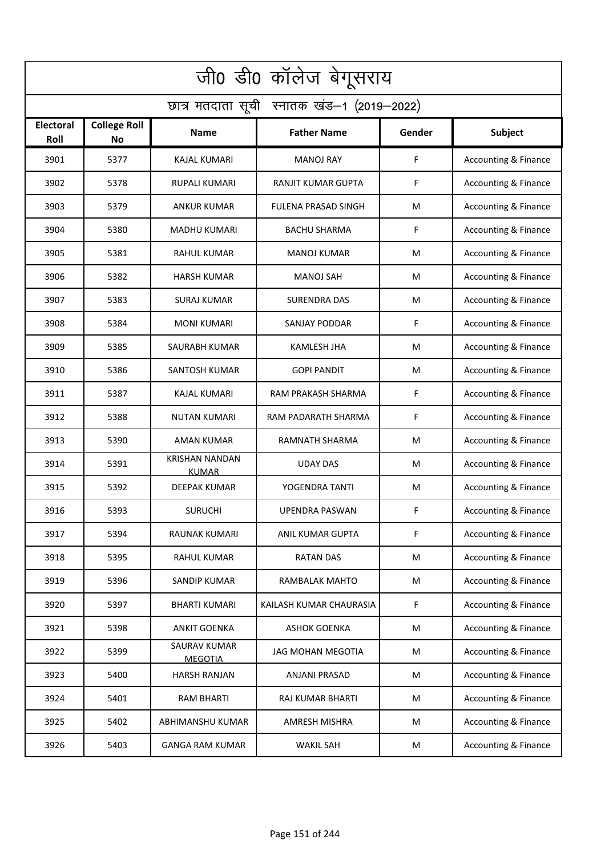| जी0 डी0 कॉलेज बेगूसराय                     |                           |                                       |                         |        |                                 |  |  |  |
|--------------------------------------------|---------------------------|---------------------------------------|-------------------------|--------|---------------------------------|--|--|--|
| छात्र मतदाता सूची स्नातक खंड-1 (2019-2022) |                           |                                       |                         |        |                                 |  |  |  |
| <b>Electoral</b><br>Roll                   | <b>College Roll</b><br>No | <b>Name</b>                           | <b>Father Name</b>      | Gender | Subject                         |  |  |  |
| 3901                                       | 5377                      | <b>KAJAL KUMARI</b>                   | <b>MANOJ RAY</b>        | F      | <b>Accounting &amp; Finance</b> |  |  |  |
| 3902                                       | 5378                      | <b>RUPALI KUMARI</b>                  | RANJIT KUMAR GUPTA      | F      | <b>Accounting &amp; Finance</b> |  |  |  |
| 3903                                       | 5379                      | ANKUR KUMAR                           | FULENA PRASAD SINGH     | M      | <b>Accounting &amp; Finance</b> |  |  |  |
| 3904                                       | 5380                      | <b>MADHU KUMARI</b>                   | <b>BACHU SHARMA</b>     | F      | <b>Accounting &amp; Finance</b> |  |  |  |
| 3905                                       | 5381                      | <b>RAHUL KUMAR</b>                    | <b>MANOJ KUMAR</b>      | M      | <b>Accounting &amp; Finance</b> |  |  |  |
| 3906                                       | 5382                      | HARSH KUMAR                           | <b>MANOJ SAH</b>        | M      | <b>Accounting &amp; Finance</b> |  |  |  |
| 3907                                       | 5383                      | <b>SURAJ KUMAR</b>                    | <b>SURENDRA DAS</b>     | M      | Accounting & Finance            |  |  |  |
| 3908                                       | 5384                      | <b>MONI KUMARI</b>                    | SANJAY PODDAR           | F      | Accounting & Finance            |  |  |  |
| 3909                                       | 5385                      | SAURABH KUMAR                         | <b>KAMLESH JHA</b>      | M      | Accounting & Finance            |  |  |  |
| 3910                                       | 5386                      | SANTOSH KUMAR                         | <b>GOPI PANDIT</b>      | M      | <b>Accounting &amp; Finance</b> |  |  |  |
| 3911                                       | 5387                      | KAJAL KUMARI                          | RAM PRAKASH SHARMA      | F      | Accounting & Finance            |  |  |  |
| 3912                                       | 5388                      | <b>NUTAN KUMARI</b>                   | RAM PADARATH SHARMA     | F      | Accounting & Finance            |  |  |  |
| 3913                                       | 5390                      | AMAN KUMAR                            | RAMNATH SHARMA          | M      | Accounting & Finance            |  |  |  |
| 3914                                       | 5391                      | <b>KRISHAN NANDAN</b><br><b>KUMAR</b> | UDAY DAS                | M      | Accounting & Finance            |  |  |  |
| 3915                                       | 5392                      | <b>DEEPAK KUMAR</b>                   | YOGENDRA TANTI          | M      | <b>Accounting &amp; Finance</b> |  |  |  |
| 3916                                       | 5393                      | <b>SURUCHI</b>                        | UPENDRA PASWAN          | F      | Accounting & Finance            |  |  |  |
| 3917                                       | 5394                      | RAUNAK KUMARI                         | ANIL KUMAR GUPTA        | F      | <b>Accounting &amp; Finance</b> |  |  |  |
| 3918                                       | 5395                      | RAHUL KUMAR                           | <b>RATAN DAS</b>        | M      | <b>Accounting &amp; Finance</b> |  |  |  |
| 3919                                       | 5396                      | SANDIP KUMAR                          | RAMBALAK MAHTO          | M      | <b>Accounting &amp; Finance</b> |  |  |  |
| 3920                                       | 5397                      | <b>BHARTI KUMARI</b>                  | KAILASH KUMAR CHAURASIA | F      | <b>Accounting &amp; Finance</b> |  |  |  |
| 3921                                       | 5398                      | <b>ANKIT GOENKA</b>                   | <b>ASHOK GOENKA</b>     | M      | <b>Accounting &amp; Finance</b> |  |  |  |
| 3922                                       | 5399                      | SAURAV KUMAR<br><b>MEGOTIA</b>        | JAG MOHAN MEGOTIA       | M      | <b>Accounting &amp; Finance</b> |  |  |  |
| 3923                                       | 5400                      | <b>HARSH RANJAN</b>                   | ANJANI PRASAD           | M      | <b>Accounting &amp; Finance</b> |  |  |  |
| 3924                                       | 5401                      | <b>RAM BHARTI</b>                     | <b>RAJ KUMAR BHARTI</b> | M      | <b>Accounting &amp; Finance</b> |  |  |  |
| 3925                                       | 5402                      | ABHIMANSHU KUMAR                      | <b>AMRESH MISHRA</b>    | M      | <b>Accounting &amp; Finance</b> |  |  |  |
| 3926                                       | 5403                      | <b>GANGA RAM KUMAR</b>                | <b>WAKIL SAH</b>        | M      | <b>Accounting &amp; Finance</b> |  |  |  |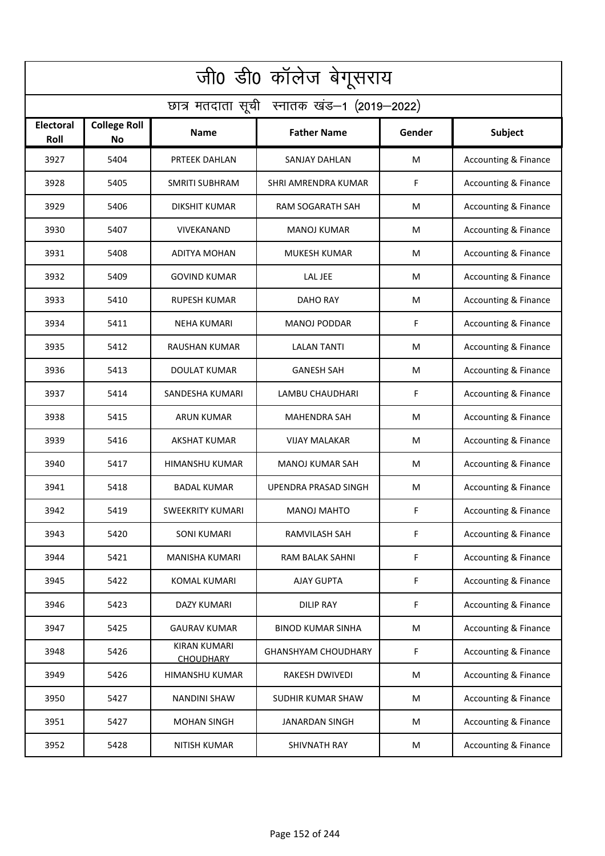| जी0 डी0 कॉलेज बेगूसराय                     |                                  |                                         |                            |        |                                 |  |  |  |
|--------------------------------------------|----------------------------------|-----------------------------------------|----------------------------|--------|---------------------------------|--|--|--|
| छात्र मतदाता सूची स्नातक खंड-1 (2019-2022) |                                  |                                         |                            |        |                                 |  |  |  |
| Electoral<br>Roll                          | <b>College Roll</b><br><b>No</b> | <b>Name</b>                             | <b>Father Name</b>         | Gender | Subject                         |  |  |  |
| 3927                                       | 5404                             | PRTEEK DAHLAN                           | <b>SANJAY DAHLAN</b>       | M      | <b>Accounting &amp; Finance</b> |  |  |  |
| 3928                                       | 5405                             | <b>SMRITI SUBHRAM</b>                   | SHRI AMRENDRA KUMAR        | F      | <b>Accounting &amp; Finance</b> |  |  |  |
| 3929                                       | 5406                             | <b>DIKSHIT KUMAR</b>                    | <b>RAM SOGARATH SAH</b>    | M      | <b>Accounting &amp; Finance</b> |  |  |  |
| 3930                                       | 5407                             | VIVEKANAND                              | <b>MANOJ KUMAR</b>         | M      | <b>Accounting &amp; Finance</b> |  |  |  |
| 3931                                       | 5408                             | <b>ADITYA MOHAN</b>                     | <b>MUKESH KUMAR</b>        | М      | <b>Accounting &amp; Finance</b> |  |  |  |
| 3932                                       | 5409                             | <b>GOVIND KUMAR</b>                     | <b>LAL JEE</b>             | M      | <b>Accounting &amp; Finance</b> |  |  |  |
| 3933                                       | 5410                             | <b>RUPESH KUMAR</b>                     | <b>DAHO RAY</b>            | M      | <b>Accounting &amp; Finance</b> |  |  |  |
| 3934                                       | 5411                             | NEHA KUMARI                             | <b>MANOJ PODDAR</b>        | F      | Accounting & Finance            |  |  |  |
| 3935                                       | 5412                             | <b>RAUSHAN KUMAR</b>                    | <b>LALAN TANTI</b>         | M      | Accounting & Finance            |  |  |  |
| 3936                                       | 5413                             | DOULAT KUMAR                            | <b>GANESH SAH</b>          | M      | Accounting & Finance            |  |  |  |
| 3937                                       | 5414                             | SANDESHA KUMARI                         | LAMBU CHAUDHARI            | F      | Accounting & Finance            |  |  |  |
| 3938                                       | 5415                             | <b>ARUN KUMAR</b>                       | <b>MAHENDRA SAH</b>        | M      | <b>Accounting &amp; Finance</b> |  |  |  |
| 3939                                       | 5416                             | <b>AKSHAT KUMAR</b>                     | <b>VIJAY MALAKAR</b>       | M      | Accounting & Finance            |  |  |  |
| 3940                                       | 5417                             | HIMANSHU KUMAR                          | <b>MANOJ KUMAR SAH</b>     | M      | <b>Accounting &amp; Finance</b> |  |  |  |
| 3941                                       | 5418                             | <b>BADAL KUMAR</b>                      | UPENDRA PRASAD SINGH       | M      | Accounting & Finance            |  |  |  |
| 3942                                       | 5419                             | <b>SWEEKRITY KUMARI</b>                 | MANOJ MAHTO                | F      | Accounting & Finance            |  |  |  |
| 3943                                       | 5420                             | <b>SONI KUMARI</b>                      | RAMVILASH SAH              | F      | <b>Accounting &amp; Finance</b> |  |  |  |
| 3944                                       | 5421                             | MANISHA KUMARI                          | RAM BALAK SAHNI            | F      | <b>Accounting &amp; Finance</b> |  |  |  |
| 3945                                       | 5422                             | <b>KOMAL KUMARI</b>                     | <b>AJAY GUPTA</b>          | F      | <b>Accounting &amp; Finance</b> |  |  |  |
| 3946                                       | 5423                             | DAZY KUMARI                             | <b>DILIP RAY</b>           | F      | <b>Accounting &amp; Finance</b> |  |  |  |
| 3947                                       | 5425                             | GAURAV KUMAR                            | <b>BINOD KUMAR SINHA</b>   | M      | <b>Accounting &amp; Finance</b> |  |  |  |
| 3948                                       | 5426                             | <b>KIRAN KUMARI</b><br><b>CHOUDHARY</b> | <b>GHANSHYAM CHOUDHARY</b> | F      | <b>Accounting &amp; Finance</b> |  |  |  |
| 3949                                       | 5426                             | HIMANSHU KUMAR                          | RAKESH DWIVEDI             | M      | <b>Accounting &amp; Finance</b> |  |  |  |
| 3950                                       | 5427                             | <b>NANDINI SHAW</b>                     | <b>SUDHIR KUMAR SHAW</b>   | M      | <b>Accounting &amp; Finance</b> |  |  |  |
| 3951                                       | 5427                             | <b>MOHAN SINGH</b>                      | <b>JANARDAN SINGH</b>      | M      | <b>Accounting &amp; Finance</b> |  |  |  |
| 3952                                       | 5428                             | <b>NITISH KUMAR</b>                     | SHIVNATH RAY               | M      | <b>Accounting &amp; Finance</b> |  |  |  |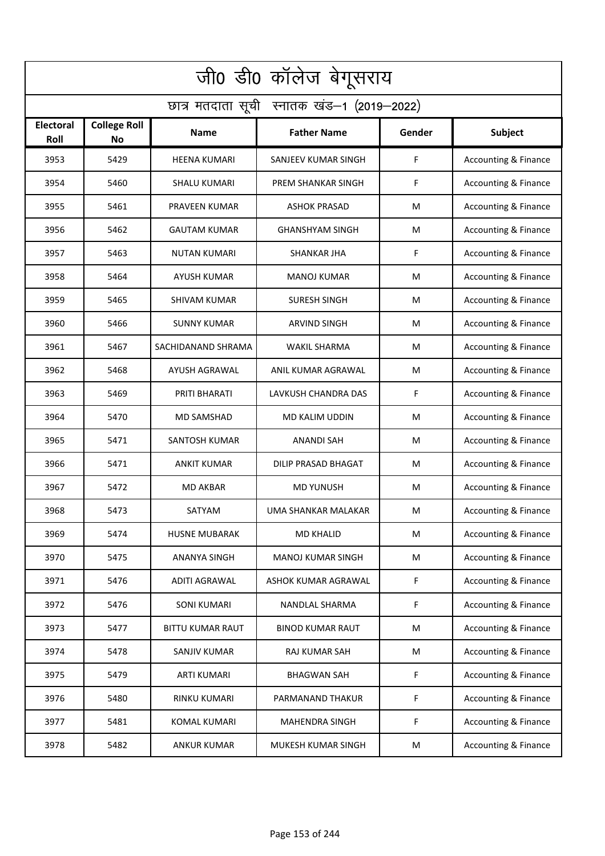| जी0 डी0 कॉलेज बेगूसराय                     |                                  |                         |                           |        |                                 |  |  |  |
|--------------------------------------------|----------------------------------|-------------------------|---------------------------|--------|---------------------------------|--|--|--|
| छात्र मतदाता सूची स्नातक खंड-1 (2019-2022) |                                  |                         |                           |        |                                 |  |  |  |
| Electoral<br>Roll                          | <b>College Roll</b><br><b>No</b> | <b>Name</b>             | <b>Father Name</b>        | Gender | Subject                         |  |  |  |
| 3953                                       | 5429                             | <b>HEENA KUMARI</b>     | SANJEEV KUMAR SINGH       | F      | <b>Accounting &amp; Finance</b> |  |  |  |
| 3954                                       | 5460                             | <b>SHALU KUMARI</b>     | <b>PREM SHANKAR SINGH</b> | F      | <b>Accounting &amp; Finance</b> |  |  |  |
| 3955                                       | 5461                             | PRAVEEN KUMAR           | <b>ASHOK PRASAD</b>       | M      | <b>Accounting &amp; Finance</b> |  |  |  |
| 3956                                       | 5462                             | <b>GAUTAM KUMAR</b>     | <b>GHANSHYAM SINGH</b>    | M      | <b>Accounting &amp; Finance</b> |  |  |  |
| 3957                                       | 5463                             | <b>NUTAN KUMARI</b>     | <b>SHANKAR JHA</b>        | F      | <b>Accounting &amp; Finance</b> |  |  |  |
| 3958                                       | 5464                             | AYUSH KUMAR             | <b>MANOJ KUMAR</b>        | M      | <b>Accounting &amp; Finance</b> |  |  |  |
| 3959                                       | 5465                             | <b>SHIVAM KUMAR</b>     | <b>SURESH SINGH</b>       | M      | <b>Accounting &amp; Finance</b> |  |  |  |
| 3960                                       | 5466                             | <b>SUNNY KUMAR</b>      | <b>ARVIND SINGH</b>       | M      | <b>Accounting &amp; Finance</b> |  |  |  |
| 3961                                       | 5467                             | SACHIDANAND SHRAMA      | <b>WAKIL SHARMA</b>       | M      | Accounting & Finance            |  |  |  |
| 3962                                       | 5468                             | AYUSH AGRAWAL           | ANIL KUMAR AGRAWAL        | M      | Accounting & Finance            |  |  |  |
| 3963                                       | 5469                             | PRITI BHARATI           | LAVKUSH CHANDRA DAS       | F      | <b>Accounting &amp; Finance</b> |  |  |  |
| 3964                                       | 5470                             | <b>MD SAMSHAD</b>       | MD KALIM UDDIN            | M      | <b>Accounting &amp; Finance</b> |  |  |  |
| 3965                                       | 5471                             | SANTOSH KUMAR           | ANANDI SAH                | M      | Accounting & Finance            |  |  |  |
| 3966                                       | 5471                             | <b>ANKIT KUMAR</b>      | DILIP PRASAD BHAGAT       | M      | <b>Accounting &amp; Finance</b> |  |  |  |
| 3967                                       | 5472                             | MD AKBAR                | <b>MD YUNUSH</b>          | M      | Accounting & Finance            |  |  |  |
| 3968                                       | 5473                             | SATYAM                  | UMA SHANKAR MALAKAR       | M      | Accounting & Finance            |  |  |  |
| 3969                                       | 5474                             | <b>HUSNE MUBARAK</b>    | <b>MD KHALID</b>          | M      | <b>Accounting &amp; Finance</b> |  |  |  |
| 3970                                       | 5475                             | ANANYA SINGH            | <b>MANOJ KUMAR SINGH</b>  | M      | <b>Accounting &amp; Finance</b> |  |  |  |
| 3971                                       | 5476                             | ADITI AGRAWAL           | ASHOK KUMAR AGRAWAL       | F      | <b>Accounting &amp; Finance</b> |  |  |  |
| 3972                                       | 5476                             | <b>SONI KUMARI</b>      | NANDLAL SHARMA            | F      | <b>Accounting &amp; Finance</b> |  |  |  |
| 3973                                       | 5477                             | <b>BITTU KUMAR RAUT</b> | <b>BINOD KUMAR RAUT</b>   | M      | <b>Accounting &amp; Finance</b> |  |  |  |
| 3974                                       | 5478                             | SANJIV KUMAR            | RAJ KUMAR SAH             | M      | <b>Accounting &amp; Finance</b> |  |  |  |
| 3975                                       | 5479                             | <b>ARTI KUMARI</b>      | <b>BHAGWAN SAH</b>        | F      | <b>Accounting &amp; Finance</b> |  |  |  |
| 3976                                       | 5480                             | RINKU KUMARI            | PARMANAND THAKUR          | F      | <b>Accounting &amp; Finance</b> |  |  |  |
| 3977                                       | 5481                             | KOMAL KUMARI            | <b>MAHENDRA SINGH</b>     | F      | <b>Accounting &amp; Finance</b> |  |  |  |
| 3978                                       | 5482                             | <b>ANKUR KUMAR</b>      | MUKESH KUMAR SINGH        | M      | <b>Accounting &amp; Finance</b> |  |  |  |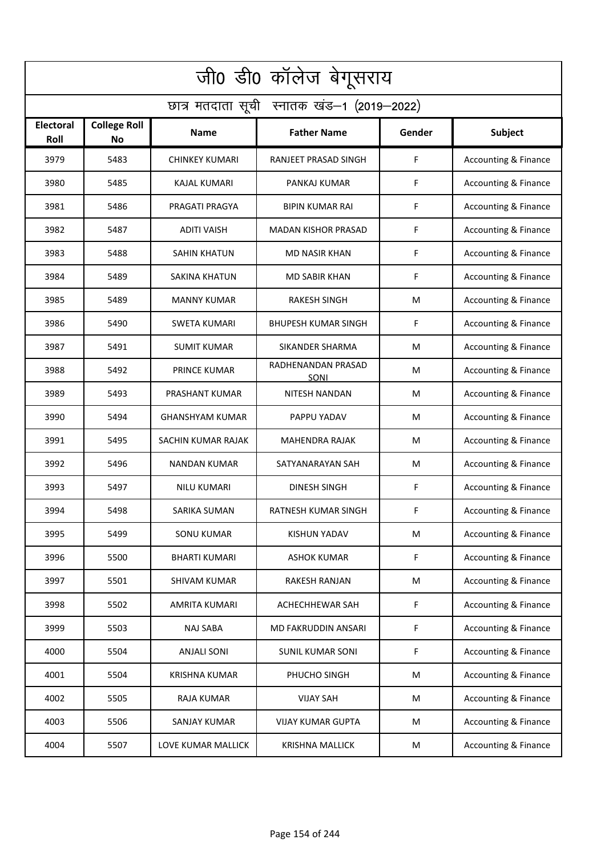| जी0 डी0 कॉलेज बेगूसराय                     |                           |                        |                            |        |                                 |  |  |  |
|--------------------------------------------|---------------------------|------------------------|----------------------------|--------|---------------------------------|--|--|--|
| छात्र मतदाता सूची स्नातक खंड-1 (2019-2022) |                           |                        |                            |        |                                 |  |  |  |
| <b>Electoral</b><br>Roll                   | <b>College Roll</b><br>No | <b>Name</b>            | <b>Father Name</b>         | Gender | Subject                         |  |  |  |
| 3979                                       | 5483                      | <b>CHINKEY KUMARI</b>  | RANJEET PRASAD SINGH       | F      | <b>Accounting &amp; Finance</b> |  |  |  |
| 3980                                       | 5485                      | <b>KAJAL KUMARI</b>    | PANKAJ KUMAR               | F      | <b>Accounting &amp; Finance</b> |  |  |  |
| 3981                                       | 5486                      | PRAGATI PRAGYA         | <b>BIPIN KUMAR RAI</b>     | F      | <b>Accounting &amp; Finance</b> |  |  |  |
| 3982                                       | 5487                      | <b>ADITI VAISH</b>     | <b>MADAN KISHOR PRASAD</b> | F      | <b>Accounting &amp; Finance</b> |  |  |  |
| 3983                                       | 5488                      | <b>SAHIN KHATUN</b>    | <b>MD NASIR KHAN</b>       | F      | <b>Accounting &amp; Finance</b> |  |  |  |
| 3984                                       | 5489                      | <b>SAKINA KHATUN</b>   | <b>MD SABIR KHAN</b>       | F      | Accounting & Finance            |  |  |  |
| 3985                                       | 5489                      | <b>MANNY KUMAR</b>     | <b>RAKESH SINGH</b>        | M      | <b>Accounting &amp; Finance</b> |  |  |  |
| 3986                                       | 5490                      | <b>SWETA KUMARI</b>    | <b>BHUPESH KUMAR SINGH</b> | F      | Accounting & Finance            |  |  |  |
| 3987                                       | 5491                      | <b>SUMIT KUMAR</b>     | SIKANDER SHARMA            | M      | Accounting & Finance            |  |  |  |
| 3988                                       | 5492                      | PRINCE KUMAR           | RADHENANDAN PRASAD<br>SONI | M      | <b>Accounting &amp; Finance</b> |  |  |  |
| 3989                                       | 5493                      | PRASHANT KUMAR         | <b>NITESH NANDAN</b>       | M      | Accounting & Finance            |  |  |  |
| 3990                                       | 5494                      | <b>GHANSHYAM KUMAR</b> | PAPPU YADAV                | M      | Accounting & Finance            |  |  |  |
| 3991                                       | 5495                      | SACHIN KUMAR RAJAK     | <b>MAHENDRA RAJAK</b>      | M      | Accounting & Finance            |  |  |  |
| 3992                                       | 5496                      | <b>NANDAN KUMAR</b>    | SATYANARAYAN SAH           | M      | Accounting & Finance            |  |  |  |
| 3993                                       | 5497                      | NILU KUMARI            | DINESH SINGH               | F      | Accounting & Finance            |  |  |  |
| 3994                                       | 5498                      | SARIKA SUMAN           | RATNESH KUMAR SINGH        | F      | Accounting & Finance            |  |  |  |
| 3995                                       | 5499                      | <b>SONU KUMAR</b>      | <b>KISHUN YADAV</b>        | M      | <b>Accounting &amp; Finance</b> |  |  |  |
| 3996                                       | 5500                      | <b>BHARTI KUMARI</b>   | <b>ASHOK KUMAR</b>         | F      | <b>Accounting &amp; Finance</b> |  |  |  |
| 3997                                       | 5501                      | <b>SHIVAM KUMAR</b>    | RAKESH RANJAN              | M      | <b>Accounting &amp; Finance</b> |  |  |  |
| 3998                                       | 5502                      | AMRITA KUMARI          | ACHECHHEWAR SAH            | F      | <b>Accounting &amp; Finance</b> |  |  |  |
| 3999                                       | 5503                      | <b>NAJ SABA</b>        | MD FAKRUDDIN ANSARI        | F      | <b>Accounting &amp; Finance</b> |  |  |  |
| 4000                                       | 5504                      | <b>ANJALI SONI</b>     | <b>SUNIL KUMAR SONI</b>    | F      | <b>Accounting &amp; Finance</b> |  |  |  |
| 4001                                       | 5504                      | <b>KRISHNA KUMAR</b>   | PHUCHO SINGH               | M      | <b>Accounting &amp; Finance</b> |  |  |  |
| 4002                                       | 5505                      | RAJA KUMAR             | <b>VIJAY SAH</b>           | M      | <b>Accounting &amp; Finance</b> |  |  |  |
| 4003                                       | 5506                      | SANJAY KUMAR           | <b>VIJAY KUMAR GUPTA</b>   | M      | <b>Accounting &amp; Finance</b> |  |  |  |
| 4004                                       | 5507                      | LOVE KUMAR MALLICK     | <b>KRISHNA MALLICK</b>     | M      | <b>Accounting &amp; Finance</b> |  |  |  |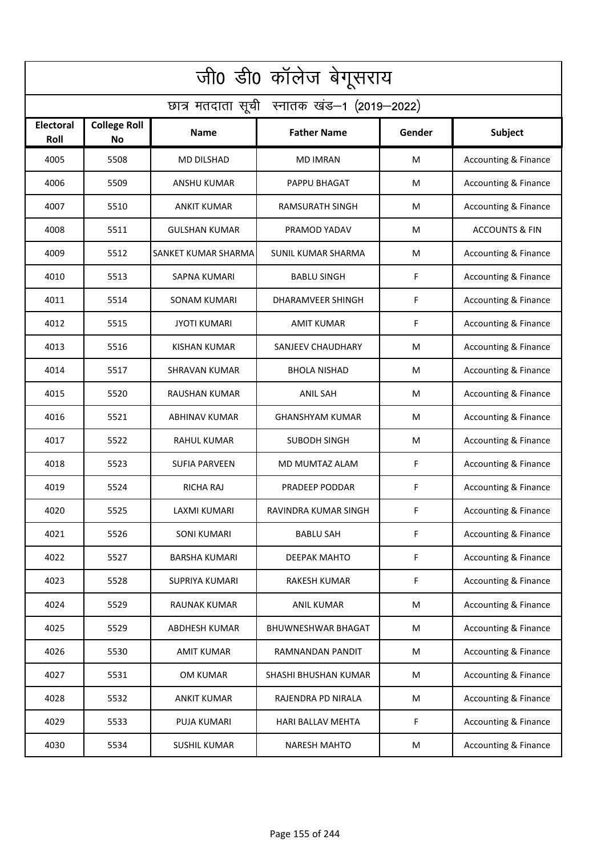| जी0 डी0 कॉलेज बेगूसराय                     |                                  |                      |                           |        |                                 |  |  |  |
|--------------------------------------------|----------------------------------|----------------------|---------------------------|--------|---------------------------------|--|--|--|
| छात्र मतदाता सूची स्नातक खंड-1 (2019-2022) |                                  |                      |                           |        |                                 |  |  |  |
| Electoral<br>Roll                          | <b>College Roll</b><br><b>No</b> | <b>Name</b>          | <b>Father Name</b>        | Gender | Subject                         |  |  |  |
| 4005                                       | 5508                             | <b>MD DILSHAD</b>    | <b>MD IMRAN</b>           | M      | <b>Accounting &amp; Finance</b> |  |  |  |
| 4006                                       | 5509                             | <b>ANSHU KUMAR</b>   | PAPPU BHAGAT              | M      | <b>Accounting &amp; Finance</b> |  |  |  |
| 4007                                       | 5510                             | <b>ANKIT KUMAR</b>   | <b>RAMSURATH SINGH</b>    | M      | Accounting & Finance            |  |  |  |
| 4008                                       | 5511                             | <b>GULSHAN KUMAR</b> | PRAMOD YADAV              | M      | <b>ACCOUNTS &amp; FIN</b>       |  |  |  |
| 4009                                       | 5512                             | SANKET KUMAR SHARMA  | SUNIL KUMAR SHARMA        | М      | <b>Accounting &amp; Finance</b> |  |  |  |
| 4010                                       | 5513                             | <b>SAPNA KUMARI</b>  | <b>BABLU SINGH</b>        | F      | <b>Accounting &amp; Finance</b> |  |  |  |
| 4011                                       | 5514                             | <b>SONAM KUMARI</b>  | <b>DHARAMVEER SHINGH</b>  | F      | <b>Accounting &amp; Finance</b> |  |  |  |
| 4012                                       | 5515                             | <b>JYOTI KUMARI</b>  | AMIT KUMAR                | F      | Accounting & Finance            |  |  |  |
| 4013                                       | 5516                             | <b>KISHAN KUMAR</b>  | <b>SANJEEV CHAUDHARY</b>  | M      | Accounting & Finance            |  |  |  |
| 4014                                       | 5517                             | SHRAVAN KUMAR        | <b>BHOLA NISHAD</b>       | M      | Accounting & Finance            |  |  |  |
| 4015                                       | 5520                             | RAUSHAN KUMAR        | <b>ANIL SAH</b>           | M      | <b>Accounting &amp; Finance</b> |  |  |  |
| 4016                                       | 5521                             | <b>ABHINAV KUMAR</b> | <b>GHANSHYAM KUMAR</b>    | M      | <b>Accounting &amp; Finance</b> |  |  |  |
| 4017                                       | 5522                             | <b>RAHUL KUMAR</b>   | <b>SUBODH SINGH</b>       | M      | Accounting & Finance            |  |  |  |
| 4018                                       | 5523                             | <b>SUFIA PARVEEN</b> | MD MUMTAZ ALAM            | F      | <b>Accounting &amp; Finance</b> |  |  |  |
| 4019                                       | 5524                             | <b>RICHA RAJ</b>     | PRADEEP PODDAR            | F      | Accounting & Finance            |  |  |  |
| 4020                                       | 5525                             | LAXMI KUMARI         | RAVINDRA KUMAR SINGH      | F      | Accounting & Finance            |  |  |  |
| 4021                                       | 5526                             | <b>SONI KUMARI</b>   | <b>BABLU SAH</b>          | F      | <b>Accounting &amp; Finance</b> |  |  |  |
| 4022                                       | 5527                             | <b>BARSHA KUMARI</b> | DEEPAK MAHTO              | F      | <b>Accounting &amp; Finance</b> |  |  |  |
| 4023                                       | 5528                             | SUPRIYA KUMARI       | RAKESH KUMAR              | F      | <b>Accounting &amp; Finance</b> |  |  |  |
| 4024                                       | 5529                             | <b>RAUNAK KUMAR</b>  | <b>ANIL KUMAR</b>         | M      | <b>Accounting &amp; Finance</b> |  |  |  |
| 4025                                       | 5529                             | <b>ABDHESH KUMAR</b> | <b>BHUWNESHWAR BHAGAT</b> | M      | <b>Accounting &amp; Finance</b> |  |  |  |
| 4026                                       | 5530                             | <b>AMIT KUMAR</b>    | RAMNANDAN PANDIT          | M      | <b>Accounting &amp; Finance</b> |  |  |  |
| 4027                                       | 5531                             | OM KUMAR             | SHASHI BHUSHAN KUMAR      | M      | <b>Accounting &amp; Finance</b> |  |  |  |
| 4028                                       | 5532                             | <b>ANKIT KUMAR</b>   | RAJENDRA PD NIRALA        | M      | <b>Accounting &amp; Finance</b> |  |  |  |
| 4029                                       | 5533                             | <b>PUJA KUMARI</b>   | HARI BALLAV MEHTA         | F      | <b>Accounting &amp; Finance</b> |  |  |  |
| 4030                                       | 5534                             | <b>SUSHIL KUMAR</b>  | <b>NARESH MAHTO</b>       | M      | <b>Accounting &amp; Finance</b> |  |  |  |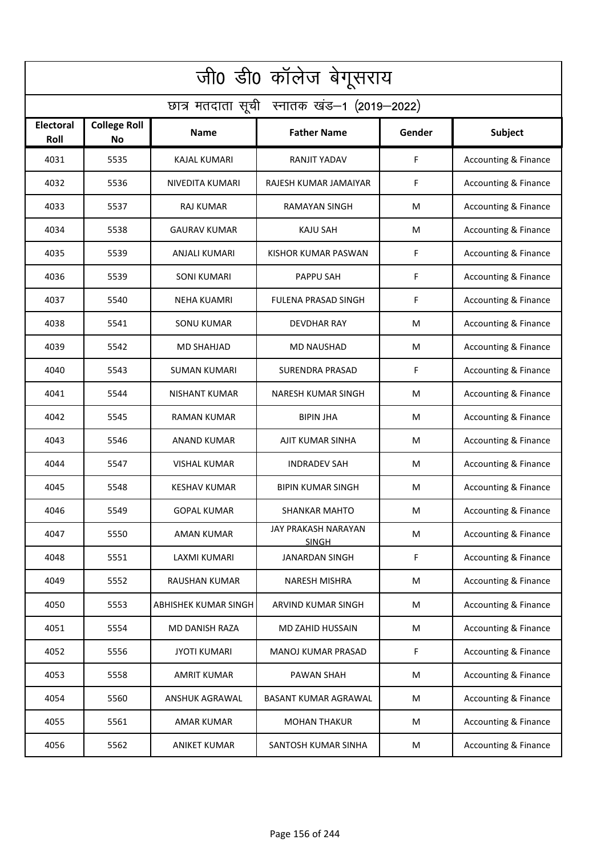| जी0 डी0 कॉलेज बेगूसराय                     |                                  |                             |                                     |        |                                 |  |  |  |
|--------------------------------------------|----------------------------------|-----------------------------|-------------------------------------|--------|---------------------------------|--|--|--|
| छात्र मतदाता सूची स्नातक खंड-1 (2019-2022) |                                  |                             |                                     |        |                                 |  |  |  |
| Electoral<br>Roll                          | <b>College Roll</b><br><b>No</b> | <b>Name</b>                 | <b>Father Name</b>                  | Gender | Subject                         |  |  |  |
| 4031                                       | 5535                             | <b>KAJAL KUMARI</b>         | RANJIT YADAV                        | F      | <b>Accounting &amp; Finance</b> |  |  |  |
| 4032                                       | 5536                             | NIVEDITA KUMARI             | RAJESH KUMAR JAMAIYAR               | F      | <b>Accounting &amp; Finance</b> |  |  |  |
| 4033                                       | 5537                             | <b>RAJ KUMAR</b>            | <b>RAMAYAN SINGH</b>                | M      | <b>Accounting &amp; Finance</b> |  |  |  |
| 4034                                       | 5538                             | <b>GAURAV KUMAR</b>         | <b>KAJU SAH</b>                     | M      | <b>Accounting &amp; Finance</b> |  |  |  |
| 4035                                       | 5539                             | ANJALI KUMARI               | KISHOR KUMAR PASWAN                 | F      | <b>Accounting &amp; Finance</b> |  |  |  |
| 4036                                       | 5539                             | <b>SONI KUMARI</b>          | <b>PAPPU SAH</b>                    | F      | <b>Accounting &amp; Finance</b> |  |  |  |
| 4037                                       | 5540                             | <b>NEHA KUAMRI</b>          | <b>FULENA PRASAD SINGH</b>          | F      | <b>Accounting &amp; Finance</b> |  |  |  |
| 4038                                       | 5541                             | <b>SONU KUMAR</b>           | DEVDHAR RAY                         | M      | <b>Accounting &amp; Finance</b> |  |  |  |
| 4039                                       | 5542                             | <b>MD SHAHJAD</b>           | <b>MD NAUSHAD</b>                   | M      | Accounting & Finance            |  |  |  |
| 4040                                       | 5543                             | SUMAN KUMARI                | SURENDRA PRASAD                     | F      | Accounting & Finance            |  |  |  |
| 4041                                       | 5544                             | <b>NISHANT KUMAR</b>        | NARESH KUMAR SINGH                  | M      | <b>Accounting &amp; Finance</b> |  |  |  |
| 4042                                       | 5545                             | RAMAN KUMAR                 | <b>BIPIN JHA</b>                    | M      | <b>Accounting &amp; Finance</b> |  |  |  |
| 4043                                       | 5546                             | <b>ANAND KUMAR</b>          | AJIT KUMAR SINHA                    | M      | Accounting & Finance            |  |  |  |
| 4044                                       | 5547                             | <b>VISHAL KUMAR</b>         | <b>INDRADEV SAH</b>                 | M      | <b>Accounting &amp; Finance</b> |  |  |  |
| 4045                                       | 5548                             | <b>KESHAV KUMAR</b>         | <b>BIPIN KUMAR SINGH</b>            | M      | Accounting & Finance            |  |  |  |
| 4046                                       | 5549                             | <b>GOPAL KUMAR</b>          | SHANKAR MAHTO                       | M      | Accounting & Finance            |  |  |  |
| 4047                                       | 5550                             | AMAN KUMAR                  | JAY PRAKASH NARAYAN<br><b>SINGH</b> | M      | <b>Accounting &amp; Finance</b> |  |  |  |
| 4048                                       | 5551                             | LAXMI KUMARI                | <b>JANARDAN SINGH</b>               | F      | <b>Accounting &amp; Finance</b> |  |  |  |
| 4049                                       | 5552                             | <b>RAUSHAN KUMAR</b>        | NARESH MISHRA                       | M      | <b>Accounting &amp; Finance</b> |  |  |  |
| 4050                                       | 5553                             | <b>ABHISHEK KUMAR SINGH</b> | ARVIND KUMAR SINGH                  | M      | <b>Accounting &amp; Finance</b> |  |  |  |
| 4051                                       | 5554                             | <b>MD DANISH RAZA</b>       | MD ZAHID HUSSAIN                    | M      | <b>Accounting &amp; Finance</b> |  |  |  |
| 4052                                       | 5556                             | <b>JYOTI KUMARI</b>         | MANOJ KUMAR PRASAD                  | F      | <b>Accounting &amp; Finance</b> |  |  |  |
| 4053                                       | 5558                             | <b>AMRIT KUMAR</b>          | PAWAN SHAH                          | M      | <b>Accounting &amp; Finance</b> |  |  |  |
| 4054                                       | 5560                             | ANSHUK AGRAWAL              | BASANT KUMAR AGRAWAL                | M      | <b>Accounting &amp; Finance</b> |  |  |  |
| 4055                                       | 5561                             | AMAR KUMAR                  | <b>MOHAN THAKUR</b>                 | M      | <b>Accounting &amp; Finance</b> |  |  |  |
| 4056                                       | 5562                             | <b>ANIKET KUMAR</b>         | SANTOSH KUMAR SINHA                 | M      | <b>Accounting &amp; Finance</b> |  |  |  |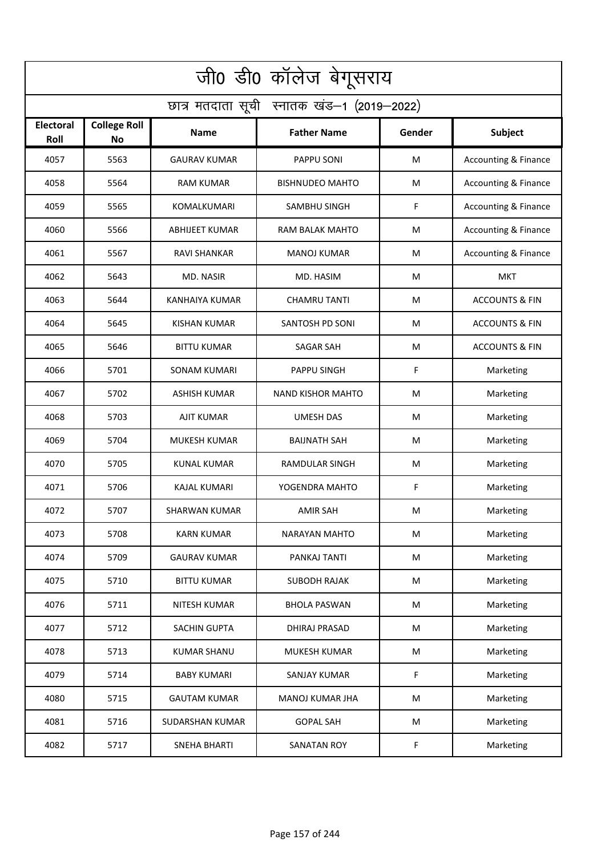| जी0 डी0 कॉलेज बेगूसराय                     |                                  |                        |                          |        |                                 |  |  |  |
|--------------------------------------------|----------------------------------|------------------------|--------------------------|--------|---------------------------------|--|--|--|
| छात्र मतदाता सूची स्नातक खंड-1 (2019-2022) |                                  |                        |                          |        |                                 |  |  |  |
| <b>Electoral</b><br>Roll                   | <b>College Roll</b><br><b>No</b> | Name                   | <b>Father Name</b>       | Gender | <b>Subject</b>                  |  |  |  |
| 4057                                       | 5563                             | <b>GAURAV KUMAR</b>    | PAPPU SONI               | M      | <b>Accounting &amp; Finance</b> |  |  |  |
| 4058                                       | 5564                             | <b>RAM KUMAR</b>       | <b>BISHNUDEO MAHTO</b>   | M      | <b>Accounting &amp; Finance</b> |  |  |  |
| 4059                                       | 5565                             | KOMALKUMARI            | SAMBHU SINGH             | F      | Accounting & Finance            |  |  |  |
| 4060                                       | 5566                             | <b>ABHIJEET KUMAR</b>  | RAM BALAK MAHTO          | M      | <b>Accounting &amp; Finance</b> |  |  |  |
| 4061                                       | 5567                             | <b>RAVI SHANKAR</b>    | <b>MANOJ KUMAR</b>       | M      | <b>Accounting &amp; Finance</b> |  |  |  |
| 4062                                       | 5643                             | MD. NASIR              | MD. HASIM                | M      | <b>MKT</b>                      |  |  |  |
| 4063                                       | 5644                             | <b>KANHAIYA KUMAR</b>  | <b>CHAMRU TANTI</b>      | M      | <b>ACCOUNTS &amp; FIN</b>       |  |  |  |
| 4064                                       | 5645                             | <b>KISHAN KUMAR</b>    | SANTOSH PD SONI          | M      | <b>ACCOUNTS &amp; FIN</b>       |  |  |  |
| 4065                                       | 5646                             | <b>BITTU KUMAR</b>     | <b>SAGAR SAH</b>         | M      | <b>ACCOUNTS &amp; FIN</b>       |  |  |  |
| 4066                                       | 5701                             | SONAM KUMARI           | PAPPU SINGH              | F      | Marketing                       |  |  |  |
| 4067                                       | 5702                             | <b>ASHISH KUMAR</b>    | <b>NAND KISHOR MAHTO</b> | M      | Marketing                       |  |  |  |
| 4068                                       | 5703                             | <b>AJIT KUMAR</b>      | <b>UMESH DAS</b>         | M      | Marketing                       |  |  |  |
| 4069                                       | 5704                             | MUKESH KUMAR           | <b>BAIJNATH SAH</b>      | M      | Marketing                       |  |  |  |
| 4070                                       | 5705                             | <b>KUNAL KUMAR</b>     | <b>RAMDULAR SINGH</b>    | M      | Marketing                       |  |  |  |
| 4071                                       | 5706                             | <b>KAJAL KUMARI</b>    | YOGENDRA MAHTO           | F      | Marketing                       |  |  |  |
| 4072                                       | 5707                             | SHARWAN KUMAR          | AMIR SAH                 | M      | Marketing                       |  |  |  |
| 4073                                       | 5708                             | KARN KUMAR             | <b>NARAYAN MAHTO</b>     | M      | Marketing                       |  |  |  |
| 4074                                       | 5709                             | <b>GAURAV KUMAR</b>    | PANKAJ TANTI             | M      | Marketing                       |  |  |  |
| 4075                                       | 5710                             | <b>BITTU KUMAR</b>     | <b>SUBODH RAJAK</b>      | M      | Marketing                       |  |  |  |
| 4076                                       | 5711                             | <b>NITESH KUMAR</b>    | <b>BHOLA PASWAN</b>      | M      | Marketing                       |  |  |  |
| 4077                                       | 5712                             | SACHIN GUPTA           | <b>DHIRAJ PRASAD</b>     | M      | Marketing                       |  |  |  |
| 4078                                       | 5713                             | KUMAR SHANU            | MUKESH KUMAR             | M      | Marketing                       |  |  |  |
| 4079                                       | 5714                             | <b>BABY KUMARI</b>     | <b>SANJAY KUMAR</b>      | F      | Marketing                       |  |  |  |
| 4080                                       | 5715                             | <b>GAUTAM KUMAR</b>    | <b>MANOJ KUMAR JHA</b>   | M      | Marketing                       |  |  |  |
| 4081                                       | 5716                             | <b>SUDARSHAN KUMAR</b> | <b>GOPAL SAH</b>         | M      | Marketing                       |  |  |  |
| 4082                                       | 5717                             | <b>SNEHA BHARTI</b>    | SANATAN ROY              | F.     | Marketing                       |  |  |  |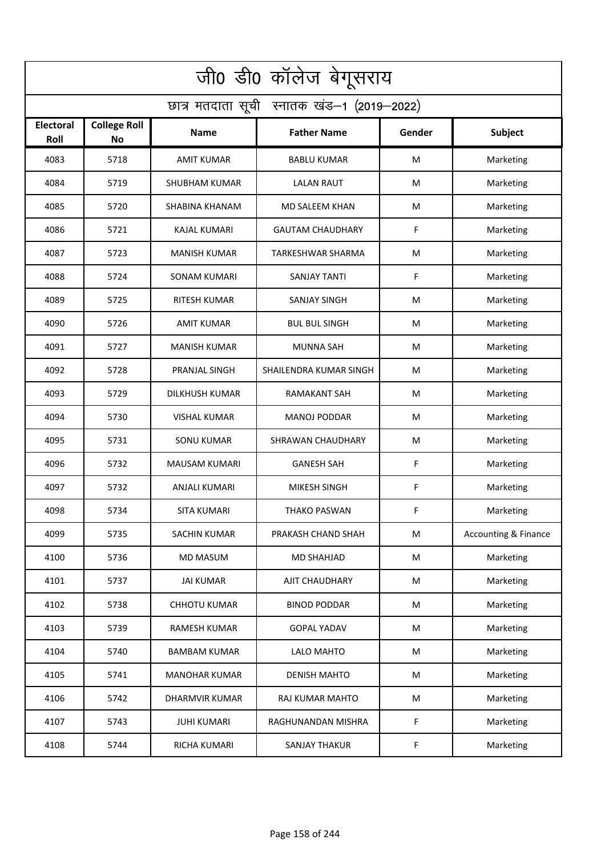| जी0 डी0 कॉलेज बेगूसराय                     |                                  |                       |                          |        |                                 |  |  |  |
|--------------------------------------------|----------------------------------|-----------------------|--------------------------|--------|---------------------------------|--|--|--|
| छात्र मतदाता सूची स्नातक खंड-1 (2019-2022) |                                  |                       |                          |        |                                 |  |  |  |
| <b>Electoral</b><br>Roll                   | <b>College Roll</b><br><b>No</b> | Name                  | <b>Father Name</b>       | Gender | <b>Subject</b>                  |  |  |  |
| 4083                                       | 5718                             | <b>AMIT KUMAR</b>     | <b>BABLU KUMAR</b>       | M      | Marketing                       |  |  |  |
| 4084                                       | 5719                             | <b>SHUBHAM KUMAR</b>  | <b>LALAN RAUT</b>        | M      | Marketing                       |  |  |  |
| 4085                                       | 5720                             | SHABINA KHANAM        | MD SALEEM KHAN           | M      | Marketing                       |  |  |  |
| 4086                                       | 5721                             | <b>KAJAL KUMARI</b>   | <b>GAUTAM CHAUDHARY</b>  | F      | Marketing                       |  |  |  |
| 4087                                       | 5723                             | <b>MANISH KUMAR</b>   | <b>TARKESHWAR SHARMA</b> | M      | Marketing                       |  |  |  |
| 4088                                       | 5724                             | <b>SONAM KUMARI</b>   | SANJAY TANTI             | F      | Marketing                       |  |  |  |
| 4089                                       | 5725                             | <b>RITESH KUMAR</b>   | <b>SANJAY SINGH</b>      | M      | Marketing                       |  |  |  |
| 4090                                       | 5726                             | AMIT KUMAR            | <b>BUL BUL SINGH</b>     | M      | Marketing                       |  |  |  |
| 4091                                       | 5727                             | <b>MANISH KUMAR</b>   | <b>MUNNA SAH</b>         | M      | Marketing                       |  |  |  |
| 4092                                       | 5728                             | PRANJAL SINGH         | SHAILENDRA KUMAR SINGH   | M      | Marketing                       |  |  |  |
| 4093                                       | 5729                             | <b>DILKHUSH KUMAR</b> | <b>RAMAKANT SAH</b>      | M      | Marketing                       |  |  |  |
| 4094                                       | 5730                             | <b>VISHAL KUMAR</b>   | <b>MANOJ PODDAR</b>      | M      | Marketing                       |  |  |  |
| 4095                                       | 5731                             | <b>SONU KUMAR</b>     | SHRAWAN CHAUDHARY        | M      | Marketing                       |  |  |  |
| 4096                                       | 5732                             | MAUSAM KUMARI         | <b>GANESH SAH</b>        | F      | Marketing                       |  |  |  |
| 4097                                       | 5732                             | ANJALI KUMARI         | <b>MIKESH SINGH</b>      | F      | Marketing                       |  |  |  |
| 4098                                       | 5734                             | SITA KUMARI           | <b>THAKO PASWAN</b>      | F.     | Marketing                       |  |  |  |
| 4099                                       | 5735                             | SACHIN KUMAR          | PRAKASH CHAND SHAH       | M      | <b>Accounting &amp; Finance</b> |  |  |  |
| 4100                                       | 5736                             | MD MASUM              | MD SHAHJAD               | M      | Marketing                       |  |  |  |
| 4101                                       | 5737                             | <b>JAI KUMAR</b>      | AJIT CHAUDHARY           | M      | Marketing                       |  |  |  |
| 4102                                       | 5738                             | <b>CHHOTU KUMAR</b>   | <b>BINOD PODDAR</b>      | M      | Marketing                       |  |  |  |
| 4103                                       | 5739                             | <b>RAMESH KUMAR</b>   | <b>GOPAL YADAV</b>       | M      | Marketing                       |  |  |  |
| 4104                                       | 5740                             | BAMBAM KUMAR          | LALO MAHTO               | М      | Marketing                       |  |  |  |
| 4105                                       | 5741                             | <b>MANOHAR KUMAR</b>  | <b>DENISH MAHTO</b>      | M      | Marketing                       |  |  |  |
| 4106                                       | 5742                             | <b>DHARMVIR KUMAR</b> | RAJ KUMAR MAHTO          | M      | Marketing                       |  |  |  |
| 4107                                       | 5743                             | <b>JUHI KUMARI</b>    | RAGHUNANDAN MISHRA       | F      | Marketing                       |  |  |  |
| 4108                                       | 5744                             | <b>RICHA KUMARI</b>   | <b>SANJAY THAKUR</b>     | F      | Marketing                       |  |  |  |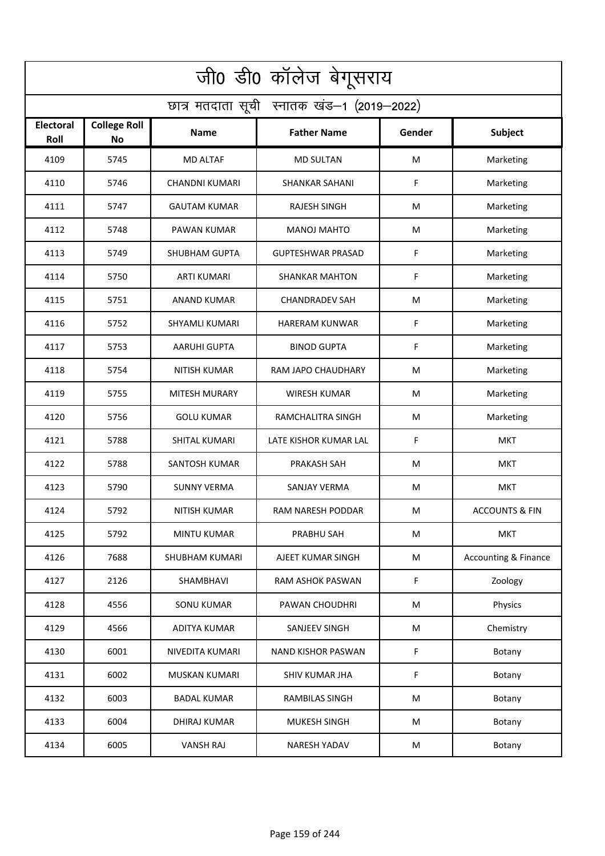| जी0 डी0 कॉलेज बेगूसराय                     |                                  |                       |                           |        |                                 |  |  |  |
|--------------------------------------------|----------------------------------|-----------------------|---------------------------|--------|---------------------------------|--|--|--|
| छात्र मतदाता सूची स्नातक खंड-1 (2019-2022) |                                  |                       |                           |        |                                 |  |  |  |
| <b>Electoral</b><br>Roll                   | <b>College Roll</b><br><b>No</b> | <b>Name</b>           | <b>Father Name</b>        | Gender | <b>Subject</b>                  |  |  |  |
| 4109                                       | 5745                             | <b>MD ALTAF</b>       | <b>MD SULTAN</b>          | M      | Marketing                       |  |  |  |
| 4110                                       | 5746                             | <b>CHANDNI KUMARI</b> | <b>SHANKAR SAHANI</b>     | F      | Marketing                       |  |  |  |
| 4111                                       | 5747                             | <b>GAUTAM KUMAR</b>   | <b>RAJESH SINGH</b>       | M      | Marketing                       |  |  |  |
| 4112                                       | 5748                             | PAWAN KUMAR           | <b>MANOJ MAHTO</b>        | M      | Marketing                       |  |  |  |
| 4113                                       | 5749                             | <b>SHUBHAM GUPTA</b>  | <b>GUPTESHWAR PRASAD</b>  | F      | Marketing                       |  |  |  |
| 4114                                       | 5750                             | <b>ARTI KUMARI</b>    | <b>SHANKAR MAHTON</b>     | F      | Marketing                       |  |  |  |
| 4115                                       | 5751                             | <b>ANAND KUMAR</b>    | <b>CHANDRADEV SAH</b>     | M      | Marketing                       |  |  |  |
| 4116                                       | 5752                             | <b>SHYAMLI KUMARI</b> | HARERAM KUNWAR            | F      | Marketing                       |  |  |  |
| 4117                                       | 5753                             | <b>AARUHI GUPTA</b>   | <b>BINOD GUPTA</b>        | F      | Marketing                       |  |  |  |
| 4118                                       | 5754                             | <b>NITISH KUMAR</b>   | RAM JAPO CHAUDHARY        | M      | Marketing                       |  |  |  |
| 4119                                       | 5755                             | <b>MITESH MURARY</b>  | <b>WIRESH KUMAR</b>       | M      | Marketing                       |  |  |  |
| 4120                                       | 5756                             | <b>GOLU KUMAR</b>     | RAMCHALITRA SINGH         | M      | Marketing                       |  |  |  |
| 4121                                       | 5788                             | SHITAL KUMARI         | LATE KISHOR KUMAR LAL     | F      | <b>MKT</b>                      |  |  |  |
| 4122                                       | 5788                             | <b>SANTOSH KUMAR</b>  | PRAKASH SAH               | M      | <b>MKT</b>                      |  |  |  |
| 4123                                       | 5790                             | <b>SUNNY VERMA</b>    | SANJAY VERMA              | M      | <b>MKT</b>                      |  |  |  |
| 4124                                       | 5792                             | <b>NITISH KUMAR</b>   | RAM NARESH PODDAR         | M      | <b>ACCOUNTS &amp; FIN</b>       |  |  |  |
| 4125                                       | 5792                             | MINTU KUMAR           | PRABHU SAH                | M      | <b>MKT</b>                      |  |  |  |
| 4126                                       | 7688                             | SHUBHAM KUMARI        | AJEET KUMAR SINGH         | M      | <b>Accounting &amp; Finance</b> |  |  |  |
| 4127                                       | 2126                             | SHAMBHAVI             | RAM ASHOK PASWAN          | F      | Zoology                         |  |  |  |
| 4128                                       | 4556                             | <b>SONU KUMAR</b>     | PAWAN CHOUDHRI            | M      | Physics                         |  |  |  |
| 4129                                       | 4566                             | <b>ADITYA KUMAR</b>   | SANJEEV SINGH             | M      | Chemistry                       |  |  |  |
| 4130                                       | 6001                             | NIVEDITA KUMARI       | <b>NAND KISHOR PASWAN</b> | F      | Botany                          |  |  |  |
| 4131                                       | 6002                             | <b>MUSKAN KUMARI</b>  | <b>SHIV KUMAR JHA</b>     | F      | Botany                          |  |  |  |
| 4132                                       | 6003                             | <b>BADAL KUMAR</b>    | <b>RAMBILAS SINGH</b>     | M      | Botany                          |  |  |  |
| 4133                                       | 6004                             | <b>DHIRAJ KUMAR</b>   | MUKESH SINGH              | M      | Botany                          |  |  |  |
| 4134                                       | 6005                             | <b>VANSH RAJ</b>      | NARESH YADAV              | M      | Botany                          |  |  |  |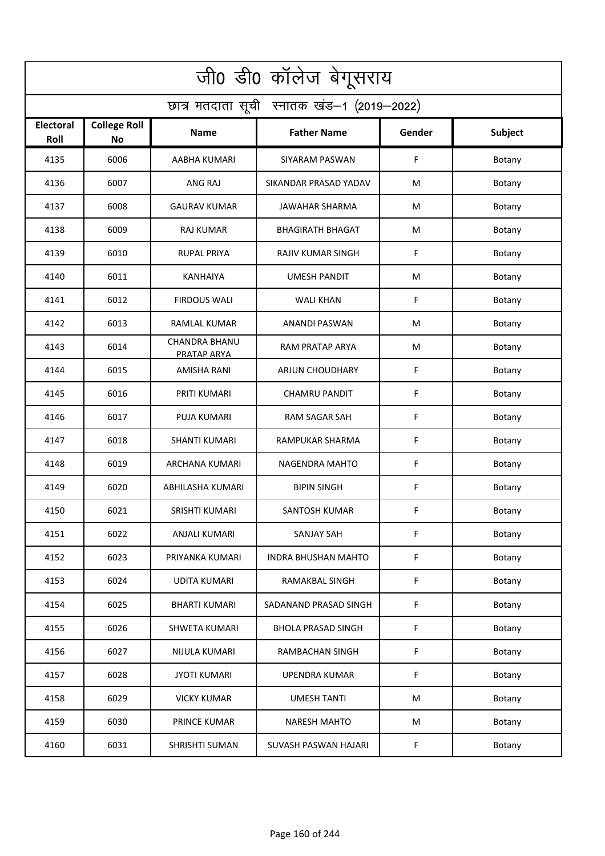| जी0 डी0 कॉलेज बेगूसराय                     |                                  |                                     |                            |             |                |  |  |  |
|--------------------------------------------|----------------------------------|-------------------------------------|----------------------------|-------------|----------------|--|--|--|
| छात्र मतदाता सूची स्नातक खंड-1 (2019-2022) |                                  |                                     |                            |             |                |  |  |  |
| Electoral<br>Roll                          | <b>College Roll</b><br><b>No</b> | Name                                | <b>Father Name</b>         | Gender      | <b>Subject</b> |  |  |  |
| 4135                                       | 6006                             | AABHA KUMARI                        | <b>SIYARAM PASWAN</b>      | F           | Botany         |  |  |  |
| 4136                                       | 6007                             | ANG RAJ                             | SIKANDAR PRASAD YADAV      | M           | Botany         |  |  |  |
| 4137                                       | 6008                             | <b>GAURAV KUMAR</b>                 | <b>JAWAHAR SHARMA</b>      | M           | Botany         |  |  |  |
| 4138                                       | 6009                             | <b>RAJ KUMAR</b>                    | <b>BHAGIRATH BHAGAT</b>    | M           | Botany         |  |  |  |
| 4139                                       | 6010                             | <b>RUPAL PRIYA</b>                  | <b>RAJIV KUMAR SINGH</b>   | F           | Botany         |  |  |  |
| 4140                                       | 6011                             | <b>KANHAIYA</b>                     | <b>UMESH PANDIT</b>        | M           | Botany         |  |  |  |
| 4141                                       | 6012                             | <b>FIRDOUS WALI</b>                 | <b>WALI KHAN</b>           | F           | Botany         |  |  |  |
| 4142                                       | 6013                             | RAMLAL KUMAR                        | ANANDI PASWAN              | M           | Botany         |  |  |  |
| 4143                                       | 6014                             | <b>CHANDRA BHANU</b><br>PRATAP ARYA | RAM PRATAP ARYA            | M           | Botany         |  |  |  |
| 4144                                       | 6015                             | <b>AMISHA RANI</b>                  | <b>ARJUN CHOUDHARY</b>     | F           | Botany         |  |  |  |
| 4145                                       | 6016                             | PRITI KUMARI                        | <b>CHAMRU PANDIT</b>       | F           | Botany         |  |  |  |
| 4146                                       | 6017                             | <b>PUJA KUMARI</b>                  | RAM SAGAR SAH              | F           | Botany         |  |  |  |
| 4147                                       | 6018                             | SHANTI KUMARI                       | RAMPUKAR SHARMA            | F           | Botany         |  |  |  |
| 4148                                       | 6019                             | ARCHANA KUMARI                      | NAGENDRA MAHTO             | F           | Botany         |  |  |  |
| 4149                                       | 6020                             | ABHILASHA KUMARI                    | <b>BIPIN SINGH</b>         | F           | Botany         |  |  |  |
| 4150                                       | 6021                             | SRISHTI KUMARI                      | SANTOSH KUMAR              | F           | Botany         |  |  |  |
| 4151                                       | 6022                             | ANJALI KUMARI                       | <b>SANJAY SAH</b>          | F           | Botany         |  |  |  |
| 4152                                       | 6023                             | PRIYANKA KUMARI                     | <b>INDRA BHUSHAN MAHTO</b> | F           | Botany         |  |  |  |
| 4153                                       | 6024                             | <b>UDITA KUMARI</b>                 | RAMAKBAL SINGH             | $\mathsf F$ | Botany         |  |  |  |
| 4154                                       | 6025                             | <b>BHARTI KUMARI</b>                | SADANAND PRASAD SINGH      | $\mathsf F$ | Botany         |  |  |  |
| 4155                                       | 6026                             | <b>SHWETA KUMARI</b>                | <b>BHOLA PRASAD SINGH</b>  | F           | Botany         |  |  |  |
| 4156                                       | 6027                             | NIJULA KUMARI                       | RAMBACHAN SINGH            | F           | Botany         |  |  |  |
| 4157                                       | 6028                             | <b>JYOTI KUMARI</b>                 | <b>UPENDRA KUMAR</b>       | F           | Botany         |  |  |  |
| 4158                                       | 6029                             | <b>VICKY KUMAR</b>                  | <b>UMESH TANTI</b>         | M           | Botany         |  |  |  |
| 4159                                       | 6030                             | PRINCE KUMAR                        | <b>NARESH MAHTO</b>        | M           | Botany         |  |  |  |
| 4160                                       | 6031                             | SHRISHTI SUMAN                      | SUVASH PASWAN HAJARI       | $\mathsf F$ | Botany         |  |  |  |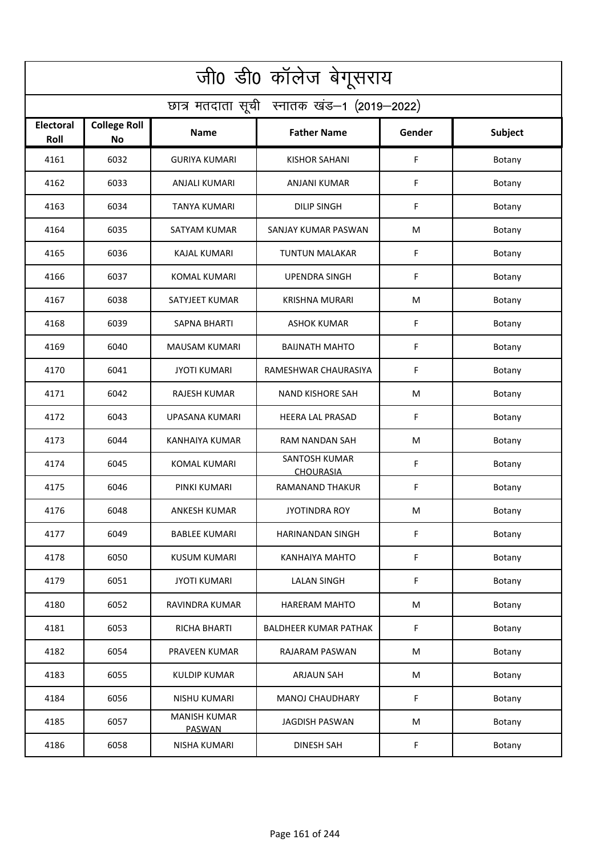| जी0 डी0 कॉलेज बेगूसराय                     |                                  |                                      |                                   |        |         |  |  |  |
|--------------------------------------------|----------------------------------|--------------------------------------|-----------------------------------|--------|---------|--|--|--|
| छात्र मतदाता सूची स्नातक खंड-1 (2019-2022) |                                  |                                      |                                   |        |         |  |  |  |
| <b>Electoral</b><br>Roll                   | <b>College Roll</b><br><b>No</b> | Name                                 | <b>Father Name</b>                | Gender | Subject |  |  |  |
| 4161                                       | 6032                             | <b>GURIYA KUMARI</b>                 | <b>KISHOR SAHANI</b>              | F      | Botany  |  |  |  |
| 4162                                       | 6033                             | <b>ANJALI KUMARI</b>                 | <b>ANJANI KUMAR</b>               | F      | Botany  |  |  |  |
| 4163                                       | 6034                             | <b>TANYA KUMARI</b>                  | <b>DILIP SINGH</b>                | F      | Botany  |  |  |  |
| 4164                                       | 6035                             | SATYAM KUMAR                         | SANJAY KUMAR PASWAN               | М      | Botany  |  |  |  |
| 4165                                       | 6036                             | <b>KAJAL KUMARI</b>                  | <b>TUNTUN MALAKAR</b>             | F      | Botany  |  |  |  |
| 4166                                       | 6037                             | <b>KOMAL KUMARI</b>                  | <b>UPENDRA SINGH</b>              | F      | Botany  |  |  |  |
| 4167                                       | 6038                             | SATYJEET KUMAR                       | <b>KRISHNA MURARI</b>             | M      | Botany  |  |  |  |
| 4168                                       | 6039                             | <b>SAPNA BHARTI</b>                  | <b>ASHOK KUMAR</b>                | F      | Botany  |  |  |  |
| 4169                                       | 6040                             | <b>MAUSAM KUMARI</b>                 | <b>BAIJNATH MAHTO</b>             | F      | Botany  |  |  |  |
| 4170                                       | 6041                             | <b>JYOTI KUMARI</b>                  | RAMESHWAR CHAURASIYA              | F      | Botany  |  |  |  |
| 4171                                       | 6042                             | <b>RAJESH KUMAR</b>                  | <b>NAND KISHORE SAH</b>           | M      | Botany  |  |  |  |
| 4172                                       | 6043                             | UPASANA KUMARI                       | <b>HEERA LAL PRASAD</b>           | F      | Botany  |  |  |  |
| 4173                                       | 6044                             | KANHAIYA KUMAR                       | RAM NANDAN SAH                    | M      | Botany  |  |  |  |
| 4174                                       | 6045                             | <b>KOMAL KUMARI</b>                  | SANTOSH KUMAR<br><b>CHOURASIA</b> | F      | Botany  |  |  |  |
| 4175                                       | 6046                             | PINKI KUMARI                         | RAMANAND THAKUR                   | F      | Botany  |  |  |  |
| 4176                                       | 6048                             | ANKESH KUMAR                         | <b>JYOTINDRA ROY</b>              | M      | Botany  |  |  |  |
| 4177                                       | 6049                             | BABLEE KUMARI                        | HARINANDAN SINGH                  | F      | Botany  |  |  |  |
| 4178                                       | 6050                             | <b>KUSUM KUMARI</b>                  | KANHAIYA MAHTO                    | F      | Botany  |  |  |  |
| 4179                                       | 6051                             | <b>JYOTI KUMARI</b>                  | <b>LALAN SINGH</b>                | F      | Botany  |  |  |  |
| 4180                                       | 6052                             | <b>RAVINDRA KUMAR</b>                | HARERAM MAHTO                     | M      | Botany  |  |  |  |
| 4181                                       | 6053                             | <b>RICHA BHARTI</b>                  | <b>BALDHEER KUMAR PATHAK</b>      | F      | Botany  |  |  |  |
| 4182                                       | 6054                             | PRAVEEN KUMAR                        | RAJARAM PASWAN                    | M      | Botany  |  |  |  |
| 4183                                       | 6055                             | <b>KULDIP KUMAR</b>                  | <b>ARJAUN SAH</b>                 | M      | Botany  |  |  |  |
| 4184                                       | 6056                             | <b>NISHU KUMARI</b>                  | <b>MANOJ CHAUDHARY</b>            | F      | Botany  |  |  |  |
| 4185                                       | 6057                             | <b>MANISH KUMAR</b><br><b>PASWAN</b> | <b>JAGDISH PASWAN</b>             | M      | Botany  |  |  |  |
| 4186                                       | 6058                             | NISHA KUMARI                         | <b>DINESH SAH</b>                 | F      | Botany  |  |  |  |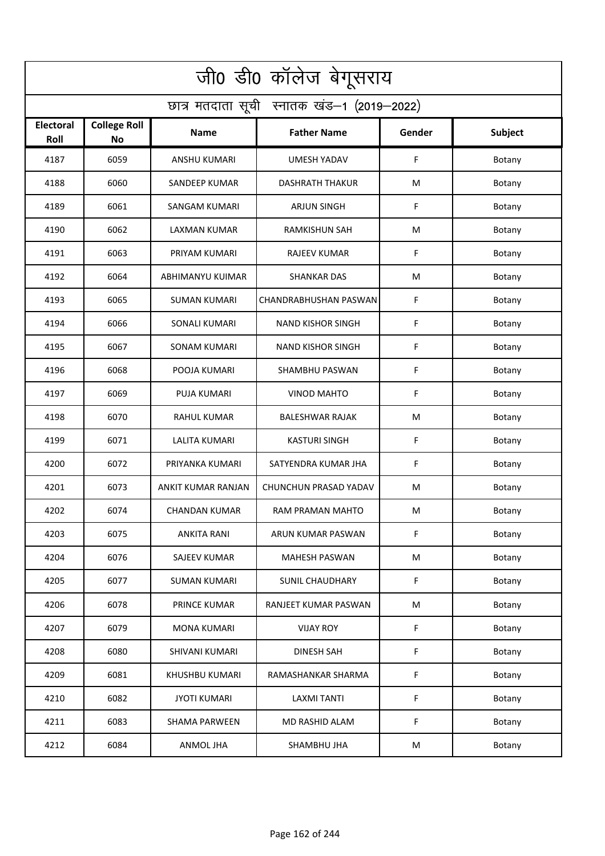| जी0 डी0 कॉलेज बेगूसराय                     |                                  |                       |                          |        |         |  |  |  |
|--------------------------------------------|----------------------------------|-----------------------|--------------------------|--------|---------|--|--|--|
| छात्र मतदाता सूची स्नातक खंड-1 (2019-2022) |                                  |                       |                          |        |         |  |  |  |
| <b>Electoral</b><br>Roll                   | <b>College Roll</b><br><b>No</b> | Name                  | <b>Father Name</b>       | Gender | Subject |  |  |  |
| 4187                                       | 6059                             | <b>ANSHU KUMARI</b>   | <b>UMESH YADAV</b>       | F      | Botany  |  |  |  |
| 4188                                       | 6060                             | <b>SANDEEP KUMAR</b>  | <b>DASHRATH THAKUR</b>   | М      | Botany  |  |  |  |
| 4189                                       | 6061                             | SANGAM KUMARI         | <b>ARJUN SINGH</b>       | F      | Botany  |  |  |  |
| 4190                                       | 6062                             | LAXMAN KUMAR          | <b>RAMKISHUN SAH</b>     | М      | Botany  |  |  |  |
| 4191                                       | 6063                             | PRIYAM KUMARI         | <b>RAJEEV KUMAR</b>      | F      | Botany  |  |  |  |
| 4192                                       | 6064                             | ABHIMANYU KUIMAR      | <b>SHANKAR DAS</b>       | M      | Botany  |  |  |  |
| 4193                                       | 6065                             | <b>SUMAN KUMARI</b>   | CHANDRABHUSHAN PASWAN    | F      | Botany  |  |  |  |
| 4194                                       | 6066                             | <b>SONALI KUMARI</b>  | <b>NAND KISHOR SINGH</b> | F      | Botany  |  |  |  |
| 4195                                       | 6067                             | <b>SONAM KUMARI</b>   | <b>NAND KISHOR SINGH</b> | F      | Botany  |  |  |  |
| 4196                                       | 6068                             | POOJA KUMARI          | SHAMBHU PASWAN           | F      | Botany  |  |  |  |
| 4197                                       | 6069                             | PUJA KUMARI           | <b>VINOD MAHTO</b>       | F      | Botany  |  |  |  |
| 4198                                       | 6070                             | <b>RAHUL KUMAR</b>    | <b>BALESHWAR RAJAK</b>   | M      | Botany  |  |  |  |
| 4199                                       | 6071                             | LALITA KUMARI         | KASTURI SINGH            | F      | Botany  |  |  |  |
| 4200                                       | 6072                             | PRIYANKA KUMARI       | SATYENDRA KUMAR JHA      | F      | Botany  |  |  |  |
| 4201                                       | 6073                             | ANKIT KUMAR RANJAN    | CHUNCHUN PRASAD YADAV    | M      | Botany  |  |  |  |
| 4202                                       | 6074                             | <b>CHANDAN KUMAR</b>  | RAM PRAMAN MAHTO         | M      | Botany  |  |  |  |
| 4203                                       | 6075                             | ANKITA RANI           | ARUN KUMAR PASWAN        | F      | Botany  |  |  |  |
| 4204                                       | 6076                             | SAJEEV KUMAR          | MAHESH PASWAN            | M      | Botany  |  |  |  |
| 4205                                       | 6077                             | <b>SUMAN KUMARI</b>   | <b>SUNIL CHAUDHARY</b>   | F      | Botany  |  |  |  |
| 4206                                       | 6078                             | PRINCE KUMAR          | RANJEET KUMAR PASWAN     | M      | Botany  |  |  |  |
| 4207                                       | 6079                             | <b>MONA KUMARI</b>    | <b>VIJAY ROY</b>         | F      | Botany  |  |  |  |
| 4208                                       | 6080                             | <b>SHIVANI KUMARI</b> | <b>DINESH SAH</b>        | F      | Botany  |  |  |  |
| 4209                                       | 6081                             | KHUSHBU KUMARI        | RAMASHANKAR SHARMA       | F      | Botany  |  |  |  |
| 4210                                       | 6082                             | <b>JYOTI KUMARI</b>   | <b>LAXMI TANTI</b>       | F      | Botany  |  |  |  |
| 4211                                       | 6083                             | <b>SHAMA PARWEEN</b>  | MD RASHID ALAM           | F      | Botany  |  |  |  |
| 4212                                       | 6084                             | ANMOL JHA             | SHAMBHU JHA              | M      | Botany  |  |  |  |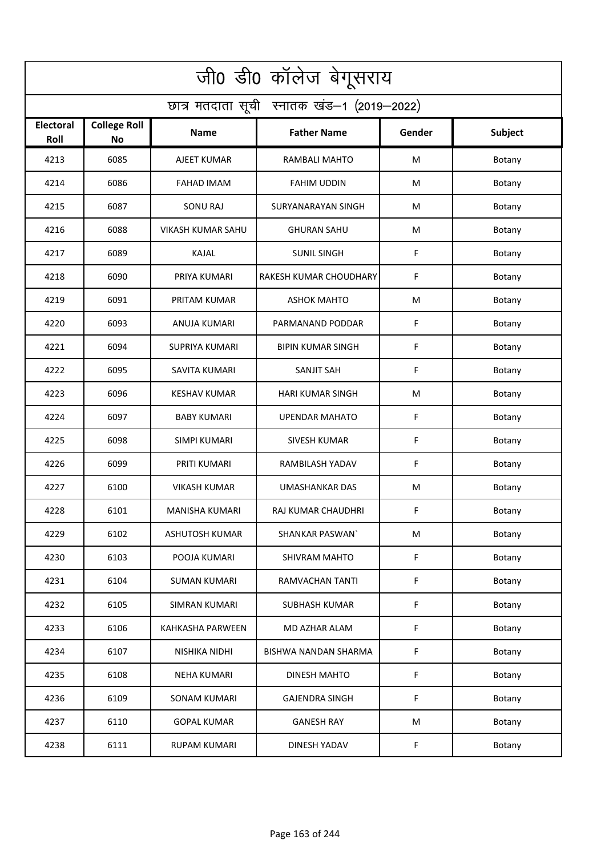| जी0 डी0 कॉलेज बेगूसराय                     |                           |                          |                          |        |         |  |  |  |
|--------------------------------------------|---------------------------|--------------------------|--------------------------|--------|---------|--|--|--|
| छात्र मतदाता सूची स्नातक खंड-1 (2019-2022) |                           |                          |                          |        |         |  |  |  |
| <b>Electoral</b><br>Roll                   | <b>College Roll</b><br>No | <b>Name</b>              | <b>Father Name</b>       | Gender | Subject |  |  |  |
| 4213                                       | 6085                      | AJEET KUMAR              | RAMBALI MAHTO            | M      | Botany  |  |  |  |
| 4214                                       | 6086                      | <b>FAHAD IMAM</b>        | <b>FAHIM UDDIN</b>       | M      | Botany  |  |  |  |
| 4215                                       | 6087                      | SONU RAJ                 | SURYANARAYAN SINGH       | М      | Botany  |  |  |  |
| 4216                                       | 6088                      | <b>VIKASH KUMAR SAHU</b> | <b>GHURAN SAHU</b>       | M      | Botany  |  |  |  |
| 4217                                       | 6089                      | <b>KAJAL</b>             | <b>SUNIL SINGH</b>       | F      | Botany  |  |  |  |
| 4218                                       | 6090                      | PRIYA KUMARI             | RAKESH KUMAR CHOUDHARY   | F      | Botany  |  |  |  |
| 4219                                       | 6091                      | PRITAM KUMAR             | <b>ASHOK MAHTO</b>       | M      | Botany  |  |  |  |
| 4220                                       | 6093                      | ANUJA KUMARI             | PARMANAND PODDAR         | F      | Botany  |  |  |  |
| 4221                                       | 6094                      | <b>SUPRIYA KUMARI</b>    | <b>BIPIN KUMAR SINGH</b> | F      | Botany  |  |  |  |
| 4222                                       | 6095                      | <b>SAVITA KUMARI</b>     | <b>SANJIT SAH</b>        | F      | Botany  |  |  |  |
| 4223                                       | 6096                      | <b>KESHAV KUMAR</b>      | HARI KUMAR SINGH         | M      | Botany  |  |  |  |
| 4224                                       | 6097                      | <b>BABY KUMARI</b>       | <b>UPENDAR MAHATO</b>    | F      | Botany  |  |  |  |
| 4225                                       | 6098                      | SIMPI KUMARI             | <b>SIVESH KUMAR</b>      | F      | Botany  |  |  |  |
| 4226                                       | 6099                      | PRITI KUMARI             | RAMBILASH YADAV          | F      | Botany  |  |  |  |
| 4227                                       | 6100                      | <b>VIKASH KUMAR</b>      | UMASHANKAR DAS           | M      | Botany  |  |  |  |
| 4228                                       | 6101                      | MANISHA KUMARI           | RAJ KUMAR CHAUDHRI       | F      | Botany  |  |  |  |
| 4229                                       | 6102                      | ASHUTOSH KUMAR           | SHANKAR PASWAN'          | M      | Botany  |  |  |  |
| 4230                                       | 6103                      | POOJA KUMARI             | <b>SHIVRAM MAHTO</b>     | F      | Botany  |  |  |  |
| 4231                                       | 6104                      | <b>SUMAN KUMARI</b>      | <b>RAMVACHAN TANTI</b>   | F      | Botany  |  |  |  |
| 4232                                       | 6105                      | SIMRAN KUMARI            | SUBHASH KUMAR            | F      | Botany  |  |  |  |
| 4233                                       | 6106                      | <b>KAHKASHA PARWEEN</b>  | MD AZHAR ALAM            | F      | Botany  |  |  |  |
| 4234                                       | 6107                      | NISHIKA NIDHI            | BISHWA NANDAN SHARMA     | F      | Botany  |  |  |  |
| 4235                                       | 6108                      | <b>NEHA KUMARI</b>       | DINESH MAHTO             | F      | Botany  |  |  |  |
| 4236                                       | 6109                      | <b>SONAM KUMARI</b>      | <b>GAJENDRA SINGH</b>    | F      | Botany  |  |  |  |
| 4237                                       | 6110                      | <b>GOPAL KUMAR</b>       | <b>GANESH RAY</b>        | M      | Botany  |  |  |  |
| 4238                                       | 6111                      | <b>RUPAM KUMARI</b>      | DINESH YADAV             | F      | Botany  |  |  |  |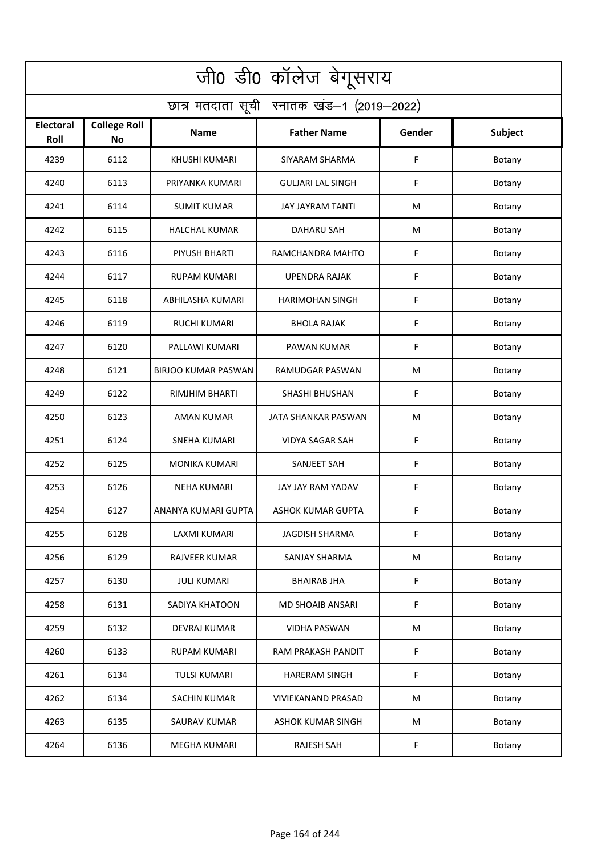| जी0 डी0 कॉलेज बेगूसराय                     |                                  |                            |                           |        |         |  |  |  |
|--------------------------------------------|----------------------------------|----------------------------|---------------------------|--------|---------|--|--|--|
| छात्र मतदाता सूची स्नातक खंड-1 (2019-2022) |                                  |                            |                           |        |         |  |  |  |
| <b>Electoral</b><br>Roll                   | <b>College Roll</b><br><b>No</b> | Name                       | <b>Father Name</b>        | Gender | Subject |  |  |  |
| 4239                                       | 6112                             | <b>KHUSHI KUMARI</b>       | SIYARAM SHARMA            | F      | Botany  |  |  |  |
| 4240                                       | 6113                             | PRIYANKA KUMARI            | <b>GULJARI LAL SINGH</b>  | F      | Botany  |  |  |  |
| 4241                                       | 6114                             | <b>SUMIT KUMAR</b>         | JAY JAYRAM TANTI          | M      | Botany  |  |  |  |
| 4242                                       | 6115                             | <b>HALCHAL KUMAR</b>       | <b>DAHARU SAH</b>         | М      | Botany  |  |  |  |
| 4243                                       | 6116                             | PIYUSH BHARTI              | RAMCHANDRA MAHTO          | F      | Botany  |  |  |  |
| 4244                                       | 6117                             | <b>RUPAM KUMARI</b>        | <b>UPENDRA RAJAK</b>      | F      | Botany  |  |  |  |
| 4245                                       | 6118                             | ABHILASHA KUMARI           | <b>HARIMOHAN SINGH</b>    | F      | Botany  |  |  |  |
| 4246                                       | 6119                             | <b>RUCHI KUMARI</b>        | <b>BHOLA RAJAK</b>        | F      | Botany  |  |  |  |
| 4247                                       | 6120                             | PALLAWI KUMARI             | <b>PAWAN KUMAR</b>        | F      | Botany  |  |  |  |
| 4248                                       | 6121                             | <b>BIRJOO KUMAR PASWAN</b> | RAMUDGAR PASWAN           | M      | Botany  |  |  |  |
| 4249                                       | 6122                             | RIMJHIM BHARTI             | <b>SHASHI BHUSHAN</b>     | F      | Botany  |  |  |  |
| 4250                                       | 6123                             | AMAN KUMAR                 | JATA SHANKAR PASWAN       | M      | Botany  |  |  |  |
| 4251                                       | 6124                             | SNEHA KUMARI               | VIDYA SAGAR SAH           | F      | Botany  |  |  |  |
| 4252                                       | 6125                             | <b>MONIKA KUMARI</b>       | <b>SANJEET SAH</b>        | F      | Botany  |  |  |  |
| 4253                                       | 6126                             | NEHA KUMARI                | JAY JAY RAM YADAV         | F      | Botany  |  |  |  |
| 4254                                       | 6127                             | ANANYA KUMARI GUPTA        | <b>ASHOK KUMAR GUPTA</b>  | F.     | Botany  |  |  |  |
| 4255                                       | 6128                             | <b>LAXMI KUMARI</b>        | <b>JAGDISH SHARMA</b>     | F      | Botany  |  |  |  |
| 4256                                       | 6129                             | RAJVEER KUMAR              | SANJAY SHARMA             | M      | Botany  |  |  |  |
| 4257                                       | 6130                             | <b>JULI KUMARI</b>         | <b>BHAIRAB JHA</b>        | F      | Botany  |  |  |  |
| 4258                                       | 6131                             | SADIYA KHATOON             | MD SHOAIB ANSARI          | F      | Botany  |  |  |  |
| 4259                                       | 6132                             | DEVRAJ KUMAR               | <b>VIDHA PASWAN</b>       | M      | Botany  |  |  |  |
| 4260                                       | 6133                             | RUPAM KUMARI               | RAM PRAKASH PANDIT        | F      | Botany  |  |  |  |
| 4261                                       | 6134                             | <b>TULSI KUMARI</b>        | <b>HARERAM SINGH</b>      | F      | Botany  |  |  |  |
| 4262                                       | 6134                             | <b>SACHIN KUMAR</b>        | <b>VIVIEKANAND PRASAD</b> | M      | Botany  |  |  |  |
| 4263                                       | 6135                             | SAURAV KUMAR               | <b>ASHOK KUMAR SINGH</b>  | M      | Botany  |  |  |  |
| 4264                                       | 6136                             | <b>MEGHA KUMARI</b>        | RAJESH SAH                | F      | Botany  |  |  |  |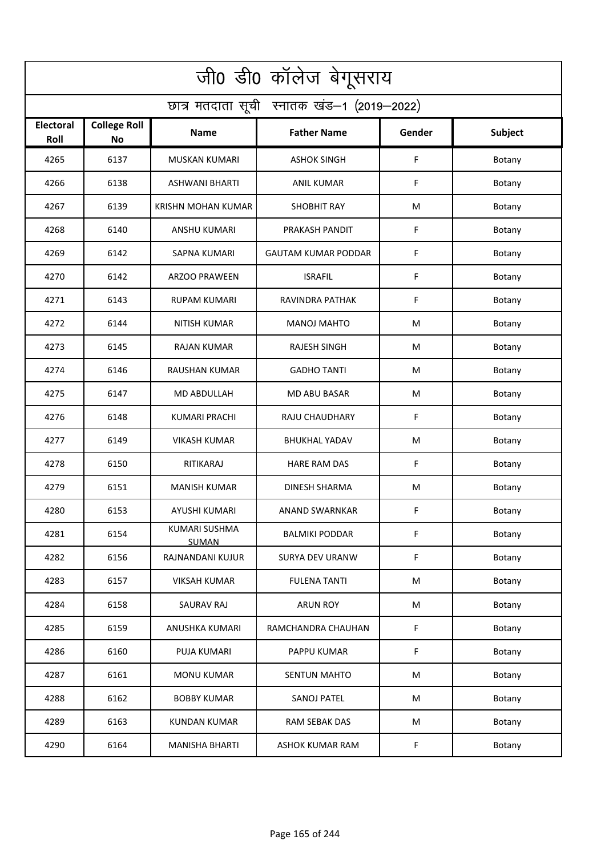| जी0 डी0 कॉलेज बेगूसराय                     |                                  |                                      |                            |        |         |  |  |  |
|--------------------------------------------|----------------------------------|--------------------------------------|----------------------------|--------|---------|--|--|--|
| छात्र मतदाता सूची स्नातक खंड-1 (2019-2022) |                                  |                                      |                            |        |         |  |  |  |
| <b>Electoral</b><br>Roll                   | <b>College Roll</b><br><b>No</b> | Name                                 | <b>Father Name</b>         | Gender | Subject |  |  |  |
| 4265                                       | 6137                             | <b>MUSKAN KUMARI</b>                 | <b>ASHOK SINGH</b>         | F      | Botany  |  |  |  |
| 4266                                       | 6138                             | <b>ASHWANI BHARTI</b>                | <b>ANIL KUMAR</b>          | F      | Botany  |  |  |  |
| 4267                                       | 6139                             | KRISHN MOHAN KUMAR                   | <b>SHOBHIT RAY</b>         | M      | Botany  |  |  |  |
| 4268                                       | 6140                             | ANSHU KUMARI                         | PRAKASH PANDIT             | F      | Botany  |  |  |  |
| 4269                                       | 6142                             | <b>SAPNA KUMARI</b>                  | <b>GAUTAM KUMAR PODDAR</b> | F      | Botany  |  |  |  |
| 4270                                       | 6142                             | <b>ARZOO PRAWEEN</b>                 | <b>ISRAFIL</b>             | F      | Botany  |  |  |  |
| 4271                                       | 6143                             | <b>RUPAM KUMARI</b>                  | RAVINDRA PATHAK            | F      | Botany  |  |  |  |
| 4272                                       | 6144                             | <b>NITISH KUMAR</b>                  | <b>MANOJ MAHTO</b>         | M      | Botany  |  |  |  |
| 4273                                       | 6145                             | <b>RAJAN KUMAR</b>                   | <b>RAJESH SINGH</b>        | M      | Botany  |  |  |  |
| 4274                                       | 6146                             | RAUSHAN KUMAR                        | <b>GADHO TANTI</b>         | M      | Botany  |  |  |  |
| 4275                                       | 6147                             | <b>MD ABDULLAH</b>                   | <b>MD ABU BASAR</b>        | M      | Botany  |  |  |  |
| 4276                                       | 6148                             | <b>KUMARI PRACHI</b>                 | RAJU CHAUDHARY             | F      | Botany  |  |  |  |
| 4277                                       | 6149                             | VIKASH KUMAR                         | <b>BHUKHAL YADAV</b>       | M      | Botany  |  |  |  |
| 4278                                       | 6150                             | RITIKARAJ                            | <b>HARE RAM DAS</b>        | F      | Botany  |  |  |  |
| 4279                                       | 6151                             | <b>MANISH KUMAR</b>                  | <b>DINESH SHARMA</b>       | M      | Botany  |  |  |  |
| 4280                                       | 6153                             | AYUSHI KUMARI                        | ANAND SWARNKAR             | F      | Botany  |  |  |  |
| 4281                                       | 6154                             | <b>KUMARI SUSHMA</b><br><b>SUMAN</b> | BALMIKI PODDAR             | F      | Botany  |  |  |  |
| 4282                                       | 6156                             | RAJNANDANI KUJUR                     | <b>SURYA DEV URANW</b>     | F      | Botany  |  |  |  |
| 4283                                       | 6157                             | <b>VIKSAH KUMAR</b>                  | <b>FULENA TANTI</b>        | M      | Botany  |  |  |  |
| 4284                                       | 6158                             | SAURAV RAJ                           | <b>ARUN ROY</b>            | M      | Botany  |  |  |  |
| 4285                                       | 6159                             | ANUSHKA KUMARI                       | RAMCHANDRA CHAUHAN         | F      | Botany  |  |  |  |
| 4286                                       | 6160                             | PUJA KUMARI                          | PAPPU KUMAR                | F      | Botany  |  |  |  |
| 4287                                       | 6161                             | <b>MONU KUMAR</b>                    | <b>SENTUN MAHTO</b>        | M      | Botany  |  |  |  |
| 4288                                       | 6162                             | <b>BOBBY KUMAR</b>                   | <b>SANOJ PATEL</b>         | M      | Botany  |  |  |  |
| 4289                                       | 6163                             | <b>KUNDAN KUMAR</b>                  | RAM SEBAK DAS              | M      | Botany  |  |  |  |
| 4290                                       | 6164                             | <b>MANISHA BHARTI</b>                | ASHOK KUMAR RAM            | F      | Botany  |  |  |  |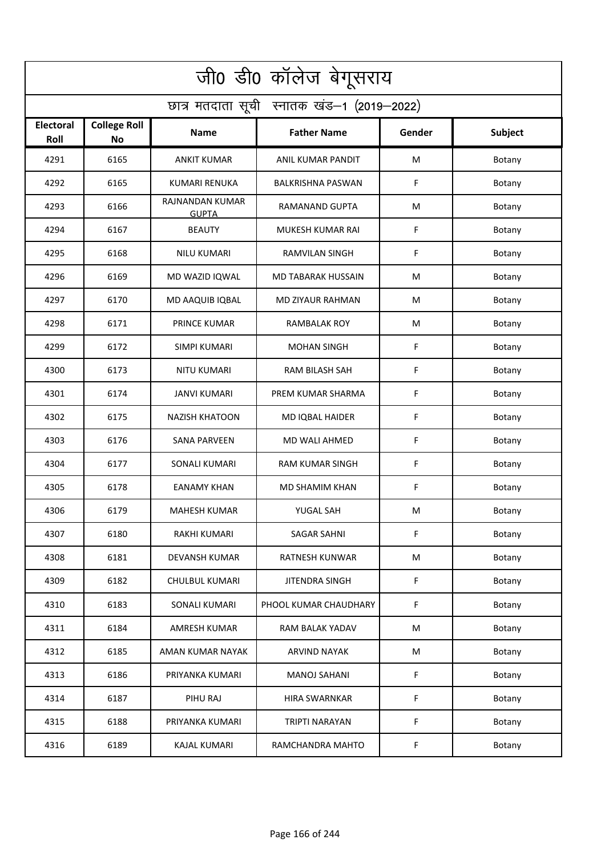| जी0 डी0 कॉलेज बेगूसराय                     |                                  |                                 |                           |        |         |  |  |  |
|--------------------------------------------|----------------------------------|---------------------------------|---------------------------|--------|---------|--|--|--|
| छात्र मतदाता सूची स्नातक खंड-1 (2019-2022) |                                  |                                 |                           |        |         |  |  |  |
| <b>Electoral</b><br>Roll                   | <b>College Roll</b><br><b>No</b> | Name                            | <b>Father Name</b>        | Gender | Subject |  |  |  |
| 4291                                       | 6165                             | <b>ANKIT KUMAR</b>              | ANIL KUMAR PANDIT         | M      | Botany  |  |  |  |
| 4292                                       | 6165                             | <b>KUMARI RENUKA</b>            | <b>BALKRISHNA PASWAN</b>  | F      | Botany  |  |  |  |
| 4293                                       | 6166                             | RAJNANDAN KUMAR<br><b>GUPTA</b> | RAMANAND GUPTA            | M      | Botany  |  |  |  |
| 4294                                       | 6167                             | <b>BEAUTY</b>                   | MUKESH KUMAR RAI          | F      | Botany  |  |  |  |
| 4295                                       | 6168                             | <b>NILU KUMARI</b>              | <b>RAMVILAN SINGH</b>     | F      | Botany  |  |  |  |
| 4296                                       | 6169                             | MD WAZID IQWAL                  | <b>MD TABARAK HUSSAIN</b> | M      | Botany  |  |  |  |
| 4297                                       | 6170                             | MD AAQUIB IQBAL                 | <b>MD ZIYAUR RAHMAN</b>   | М      | Botany  |  |  |  |
| 4298                                       | 6171                             | <b>PRINCE KUMAR</b>             | <b>RAMBALAK ROY</b>       | M      | Botany  |  |  |  |
| 4299                                       | 6172                             | SIMPI KUMARI                    | <b>MOHAN SINGH</b>        | F      | Botany  |  |  |  |
| 4300                                       | 6173                             | <b>NITU KUMARI</b>              | RAM BILASH SAH            | F      | Botany  |  |  |  |
| 4301                                       | 6174                             | <b>JANVI KUMARI</b>             | PREM KUMAR SHARMA         | F      | Botany  |  |  |  |
| 4302                                       | 6175                             | <b>NAZISH KHATOON</b>           | MD IQBAL HAIDER           | F      | Botany  |  |  |  |
| 4303                                       | 6176                             | SANA PARVEEN                    | MD WALI AHMED             | F      | Botany  |  |  |  |
| 4304                                       | 6177                             | <b>SONALI KUMARI</b>            | <b>RAM KUMAR SINGH</b>    | F      | Botany  |  |  |  |
| 4305                                       | 6178                             | <b>EANAMY KHAN</b>              | <b>MD SHAMIM KHAN</b>     | F      | Botany  |  |  |  |
| 4306                                       | 6179                             | <b>MAHESH KUMAR</b>             | YUGAL SAH                 | M      | Botany  |  |  |  |
| 4307                                       | 6180                             | RAKHI KUMARI                    | <b>SAGAR SAHNI</b>        | F      | Botany  |  |  |  |
| 4308                                       | 6181                             | DEVANSH KUMAR                   | RATNESH KUNWAR            | M      | Botany  |  |  |  |
| 4309                                       | 6182                             | CHULBUL KUMARI                  | JITENDRA SINGH            | F      | Botany  |  |  |  |
| 4310                                       | 6183                             | SONALI KUMARI                   | PHOOL KUMAR CHAUDHARY     | F      | Botany  |  |  |  |
| 4311                                       | 6184                             | <b>AMRESH KUMAR</b>             | RAM BALAK YADAV           | M      | Botany  |  |  |  |
| 4312                                       | 6185                             | AMAN KUMAR NAYAK                | ARVIND NAYAK              | M      | Botany  |  |  |  |
| 4313                                       | 6186                             | PRIYANKA KUMARI                 | <b>MANOJ SAHANI</b>       | F      | Botany  |  |  |  |
| 4314                                       | 6187                             | PIHU RAJ                        | <b>HIRA SWARNKAR</b>      | F      | Botany  |  |  |  |
| 4315                                       | 6188                             | PRIYANKA KUMARI                 | <b>TRIPTI NARAYAN</b>     | F      | Botany  |  |  |  |
| 4316                                       | 6189                             | <b>KAJAL KUMARI</b>             | RAMCHANDRA MAHTO          | F      | Botany  |  |  |  |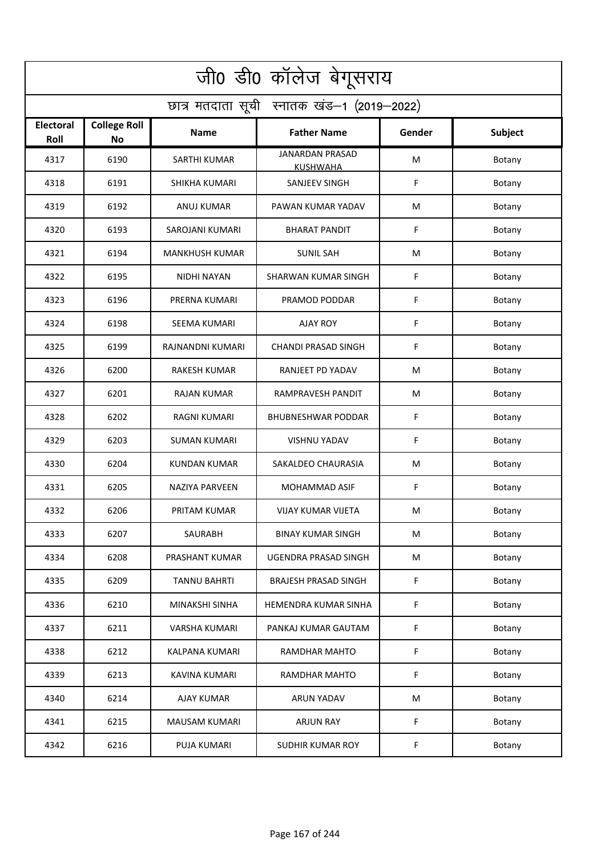| जी0 डी0 कॉलेज बेगूसराय                     |                                  |                       |                                           |        |         |  |  |  |
|--------------------------------------------|----------------------------------|-----------------------|-------------------------------------------|--------|---------|--|--|--|
| छात्र मतदाता सूची स्नातक खंड-1 (2019-2022) |                                  |                       |                                           |        |         |  |  |  |
| <b>Electoral</b><br>Roll                   | <b>College Roll</b><br><b>No</b> | Name                  | <b>Father Name</b>                        | Gender | Subject |  |  |  |
| 4317                                       | 6190                             | <b>SARTHI KUMAR</b>   | <b>JANARDAN PRASAD</b><br><b>KUSHWAHA</b> | M      | Botany  |  |  |  |
| 4318                                       | 6191                             | SHIKHA KUMARI         | SANJEEV SINGH                             | F      | Botany  |  |  |  |
| 4319                                       | 6192                             | ANUJ KUMAR            | PAWAN KUMAR YADAV                         | M      | Botany  |  |  |  |
| 4320                                       | 6193                             | SAROJANI KUMARI       | <b>BHARAT PANDIT</b>                      | F      | Botany  |  |  |  |
| 4321                                       | 6194                             | MANKHUSH KUMAR        | <b>SUNIL SAH</b>                          | M      | Botany  |  |  |  |
| 4322                                       | 6195                             | <b>NIDHI NAYAN</b>    | <b>SHARWAN KUMAR SINGH</b>                | F      | Botany  |  |  |  |
| 4323                                       | 6196                             | PRERNA KUMARI         | PRAMOD PODDAR                             | F      | Botany  |  |  |  |
| 4324                                       | 6198                             | <b>SEEMA KUMARI</b>   | <b>AJAY ROY</b>                           | F      | Botany  |  |  |  |
| 4325                                       | 6199                             | RAJNANDNI KUMARI      | <b>CHANDI PRASAD SINGH</b>                | F      | Botany  |  |  |  |
| 4326                                       | 6200                             | <b>RAKESH KUMAR</b>   | RANJEET PD YADAV                          | M      | Botany  |  |  |  |
| 4327                                       | 6201                             | <b>RAJAN KUMAR</b>    | RAMPRAVESH PANDIT                         | M      | Botany  |  |  |  |
| 4328                                       | 6202                             | <b>RAGNI KUMARI</b>   | <b>BHUBNESHWAR PODDAR</b>                 | F      | Botany  |  |  |  |
| 4329                                       | 6203                             | SUMAN KUMARI          | <b>VISHNU YADAV</b>                       | F      | Botany  |  |  |  |
| 4330                                       | 6204                             | KUNDAN KUMAR          | SAKALDEO CHAURASIA                        | М      | Botany  |  |  |  |
| 4331                                       | 6205                             | <b>NAZIYA PARVEEN</b> | MOHAMMAD ASIF                             | F      | Botany  |  |  |  |
| 4332                                       | 6206                             | PRITAM KUMAR          | VIJAY KUMAR VIJETA                        | M      | Botany  |  |  |  |
| 4333                                       | 6207                             | SAURABH               | <b>BINAY KUMAR SINGH</b>                  | M      | Botany  |  |  |  |
| 4334                                       | 6208                             | PRASHANT KUMAR        | UGENDRA PRASAD SINGH                      | M      | Botany  |  |  |  |
| 4335                                       | 6209                             | <b>TANNU BAHRTI</b>   | <b>BRAJESH PRASAD SINGH</b>               | F      | Botany  |  |  |  |
| 4336                                       | 6210                             | MINAKSHI SINHA        | HEMENDRA KUMAR SINHA                      | F      | Botany  |  |  |  |
| 4337                                       | 6211                             | <b>VARSHA KUMARI</b>  | PANKAJ KUMAR GAUTAM                       | F      | Botany  |  |  |  |
| 4338                                       | 6212                             | KALPANA KUMARI        | RAMDHAR MAHTO                             | F      | Botany  |  |  |  |
| 4339                                       | 6213                             | <b>KAVINA KUMARI</b>  | RAMDHAR MAHTO                             | F      | Botany  |  |  |  |
| 4340                                       | 6214                             | AJAY KUMAR            | <b>ARUN YADAV</b>                         | M      | Botany  |  |  |  |
| 4341                                       | 6215                             | MAUSAM KUMARI         | <b>ARJUN RAY</b>                          | F      | Botany  |  |  |  |
| 4342                                       | 6216                             | PUJA KUMARI           | SUDHIR KUMAR ROY                          | F      | Botany  |  |  |  |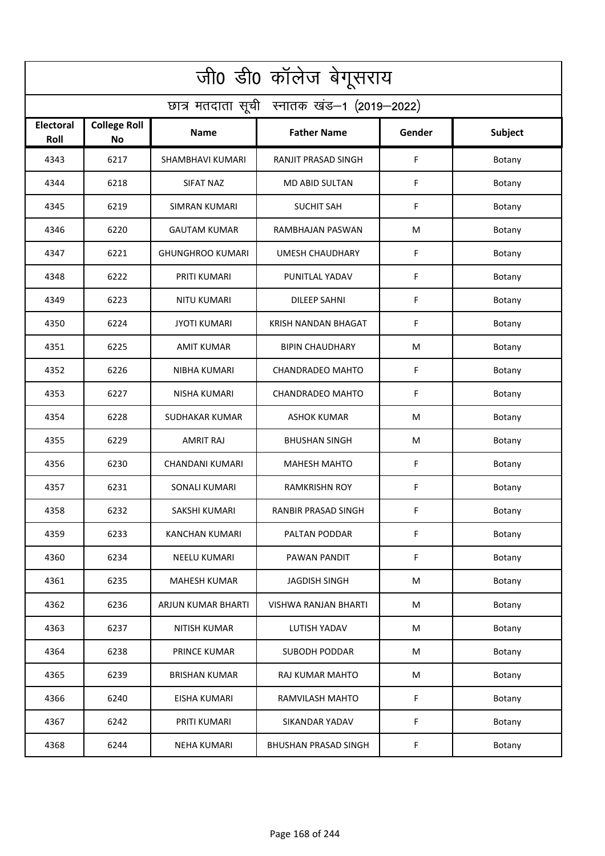| जी0 डी0 कॉलेज बेगूसराय                     |                                  |                         |                             |        |         |  |  |  |
|--------------------------------------------|----------------------------------|-------------------------|-----------------------------|--------|---------|--|--|--|
| छात्र मतदाता सूची स्नातक खंड-1 (2019-2022) |                                  |                         |                             |        |         |  |  |  |
| <b>Electoral</b><br>Roll                   | <b>College Roll</b><br><b>No</b> | Name                    | <b>Father Name</b>          | Gender | Subject |  |  |  |
| 4343                                       | 6217                             | SHAMBHAVI KUMARI        | RANJIT PRASAD SINGH         | F      | Botany  |  |  |  |
| 4344                                       | 6218                             | SIFAT NAZ               | <b>MD ABID SULTAN</b>       | F      | Botany  |  |  |  |
| 4345                                       | 6219                             | <b>SIMRAN KUMARI</b>    | <b>SUCHIT SAH</b>           | F      | Botany  |  |  |  |
| 4346                                       | 6220                             | <b>GAUTAM KUMAR</b>     | RAMBHAJAN PASWAN            | М      | Botany  |  |  |  |
| 4347                                       | 6221                             | <b>GHUNGHROO KUMARI</b> | <b>UMESH CHAUDHARY</b>      | F      | Botany  |  |  |  |
| 4348                                       | 6222                             | PRITI KUMARI            | PUNITLAL YADAV              | F      | Botany  |  |  |  |
| 4349                                       | 6223                             | <b>NITU KUMARI</b>      | <b>DILEEP SAHNI</b>         | F      | Botany  |  |  |  |
| 4350                                       | 6224                             | <b>JYOTI KUMARI</b>     | KRISH NANDAN BHAGAT         | F      | Botany  |  |  |  |
| 4351                                       | 6225                             | <b>AMIT KUMAR</b>       | <b>BIPIN CHAUDHARY</b>      | M      | Botany  |  |  |  |
| 4352                                       | 6226                             | NIBHA KUMARI            | <b>CHANDRADEO MAHTO</b>     | F      | Botany  |  |  |  |
| 4353                                       | 6227                             | <b>NISHA KUMARI</b>     | <b>CHANDRADEO MAHTO</b>     | F      | Botany  |  |  |  |
| 4354                                       | 6228                             | SUDHAKAR KUMAR          | <b>ASHOK KUMAR</b>          | M      | Botany  |  |  |  |
| 4355                                       | 6229                             | <b>AMRIT RAJ</b>        | <b>BHUSHAN SINGH</b>        | M      | Botany  |  |  |  |
| 4356                                       | 6230                             | CHANDANI KUMARI         | <b>MAHESH MAHTO</b>         | F      | Botany  |  |  |  |
| 4357                                       | 6231                             | SONALI KUMARI           | <b>RAMKRISHN ROY</b>        | F      | Botany  |  |  |  |
| 4358                                       | 6232                             | SAKSHI KUMARI           | RANBIR PRASAD SINGH         | F      | Botany  |  |  |  |
| 4359                                       | 6233                             | KANCHAN KUMARI          | PALTAN PODDAR               | F      | Botany  |  |  |  |
| 4360                                       | 6234                             | NEELU KUMARI            | PAWAN PANDIT                | F      | Botany  |  |  |  |
| 4361                                       | 6235                             | <b>MAHESH KUMAR</b>     | <b>JAGDISH SINGH</b>        | M      | Botany  |  |  |  |
| 4362                                       | 6236                             | ARJUN KUMAR BHARTI      | <b>VISHWA RANJAN BHARTI</b> | M      | Botany  |  |  |  |
| 4363                                       | 6237                             | <b>NITISH KUMAR</b>     | LUTISH YADAV                | M      | Botany  |  |  |  |
| 4364                                       | 6238                             | PRINCE KUMAR            | <b>SUBODH PODDAR</b>        | M      | Botany  |  |  |  |
| 4365                                       | 6239                             | <b>BRISHAN KUMAR</b>    | RAJ KUMAR MAHTO             | M      | Botany  |  |  |  |
| 4366                                       | 6240                             | EISHA KUMARI            | RAMVILASH MAHTO             | F      | Botany  |  |  |  |
| 4367                                       | 6242                             | PRITI KUMARI            | SIKANDAR YADAV              | F      | Botany  |  |  |  |
| 4368                                       | 6244                             | <b>NEHA KUMARI</b>      | <b>BHUSHAN PRASAD SINGH</b> | F      | Botany  |  |  |  |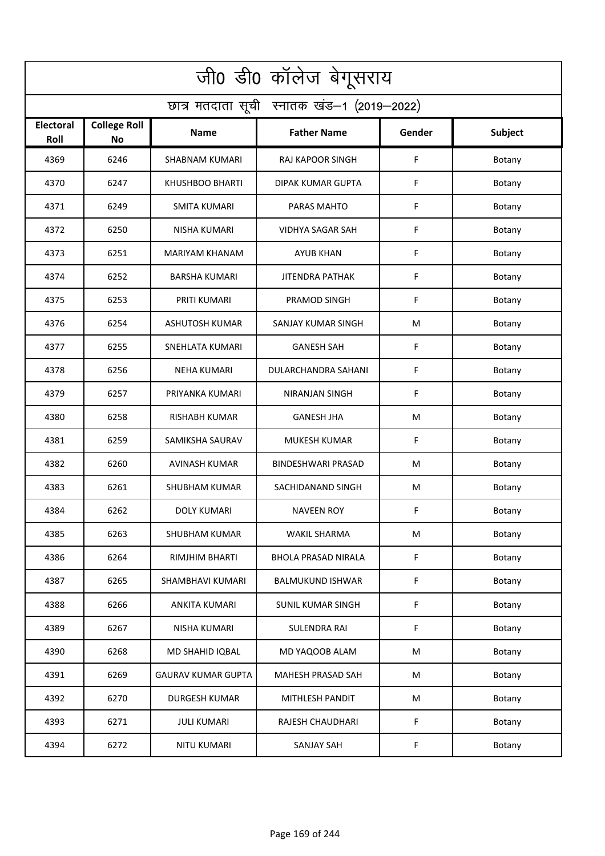| जी0 डी0 कॉलेज बेगूसराय                     |                                  |                           |                            |        |         |  |  |  |
|--------------------------------------------|----------------------------------|---------------------------|----------------------------|--------|---------|--|--|--|
| छात्र मतदाता सूची स्नातक खंड-1 (2019-2022) |                                  |                           |                            |        |         |  |  |  |
| <b>Electoral</b><br>Roll                   | <b>College Roll</b><br><b>No</b> | Name                      | <b>Father Name</b>         | Gender | Subject |  |  |  |
| 4369                                       | 6246                             | <b>SHABNAM KUMARI</b>     | <b>RAJ KAPOOR SINGH</b>    | F      | Botany  |  |  |  |
| 4370                                       | 6247                             | <b>KHUSHBOO BHARTI</b>    | <b>DIPAK KUMAR GUPTA</b>   | F      | Botany  |  |  |  |
| 4371                                       | 6249                             | <b>SMITA KUMARI</b>       | PARAS MAHTO                | F      | Botany  |  |  |  |
| 4372                                       | 6250                             | <b>NISHA KUMARI</b>       | VIDHYA SAGAR SAH           | F      | Botany  |  |  |  |
| 4373                                       | 6251                             | MARIYAM KHANAM            | <b>AYUB KHAN</b>           | F      | Botany  |  |  |  |
| 4374                                       | 6252                             | <b>BARSHA KUMARI</b>      | <b>JITENDRA PATHAK</b>     | F      | Botany  |  |  |  |
| 4375                                       | 6253                             | PRITI KUMARI              | PRAMOD SINGH               | F      | Botany  |  |  |  |
| 4376                                       | 6254                             | <b>ASHUTOSH KUMAR</b>     | SANJAY KUMAR SINGH         | M      | Botany  |  |  |  |
| 4377                                       | 6255                             | <b>SNEHLATA KUMARI</b>    | <b>GANESH SAH</b>          | F      | Botany  |  |  |  |
| 4378                                       | 6256                             | <b>NEHA KUMARI</b>        | DULARCHANDRA SAHANI        | F      | Botany  |  |  |  |
| 4379                                       | 6257                             | PRIYANKA KUMARI           | <b>NIRANJAN SINGH</b>      | F      | Botany  |  |  |  |
| 4380                                       | 6258                             | <b>RISHABH KUMAR</b>      | <b>GANESH JHA</b>          | M      | Botany  |  |  |  |
| 4381                                       | 6259                             | SAMIKSHA SAURAV           | MUKESH KUMAR               | F      | Botany  |  |  |  |
| 4382                                       | 6260                             | <b>AVINASH KUMAR</b>      | BINDESHWARI PRASAD         | М      | Botany  |  |  |  |
| 4383                                       | 6261                             | SHUBHAM KUMAR             | SACHIDANAND SINGH          | M      | Botany  |  |  |  |
| 4384                                       | 6262                             | DOLY KUMARI               | <b>NAVEEN ROY</b>          | F      | Botany  |  |  |  |
| 4385                                       | 6263                             | SHUBHAM KUMAR             | WAKIL SHARMA               | M      | Botany  |  |  |  |
| 4386                                       | 6264                             | RIMJHIM BHARTI            | <b>BHOLA PRASAD NIRALA</b> | F      | Botany  |  |  |  |
| 4387                                       | 6265                             | SHAMBHAVI KUMARI          | <b>BALMUKUND ISHWAR</b>    | F      | Botany  |  |  |  |
| 4388                                       | 6266                             | ANKITA KUMARI             | <b>SUNIL KUMAR SINGH</b>   | F      | Botany  |  |  |  |
| 4389                                       | 6267                             | <b>NISHA KUMARI</b>       | SULENDRA RAI               | F      | Botany  |  |  |  |
| 4390                                       | 6268                             | MD SHAHID IQBAL           | MD YAQOOB ALAM             | M      | Botany  |  |  |  |
| 4391                                       | 6269                             | <b>GAURAV KUMAR GUPTA</b> | MAHESH PRASAD SAH          | M      | Botany  |  |  |  |
| 4392                                       | 6270                             | <b>DURGESH KUMAR</b>      | MITHLESH PANDIT            | M      | Botany  |  |  |  |
| 4393                                       | 6271                             | <b>JULI KUMARI</b>        | RAJESH CHAUDHARI           | F      | Botany  |  |  |  |
| 4394                                       | 6272                             | NITU KUMARI               | SANJAY SAH                 | F      | Botany  |  |  |  |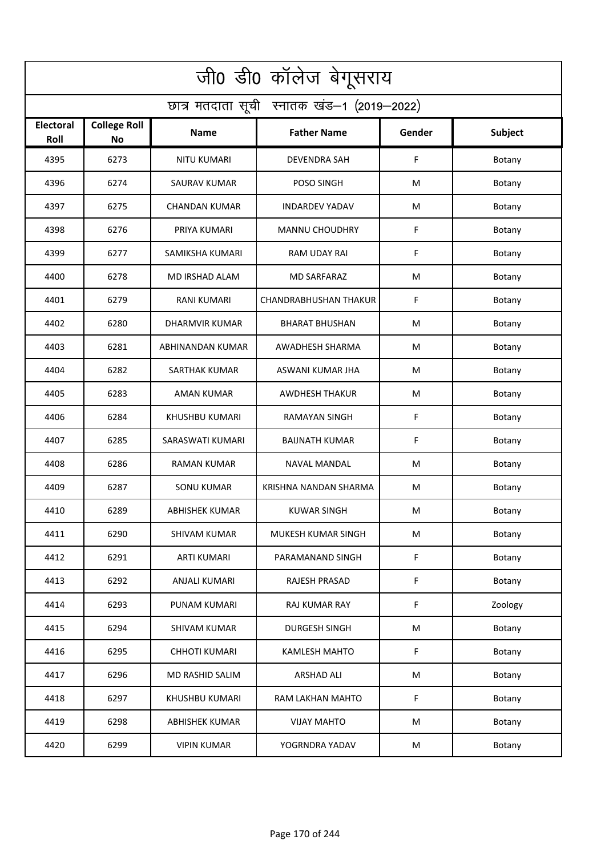| जी0 डी0 कॉलेज बेगूसराय                     |                                  |                       |                              |        |         |  |  |  |
|--------------------------------------------|----------------------------------|-----------------------|------------------------------|--------|---------|--|--|--|
| छात्र मतदाता सूची स्नातक खंड-1 (2019-2022) |                                  |                       |                              |        |         |  |  |  |
| <b>Electoral</b><br>Roll                   | <b>College Roll</b><br><b>No</b> | Name                  | <b>Father Name</b>           | Gender | Subject |  |  |  |
| 4395                                       | 6273                             | <b>NITU KUMARI</b>    | <b>DEVENDRA SAH</b>          | F      | Botany  |  |  |  |
| 4396                                       | 6274                             | <b>SAURAV KUMAR</b>   | POSO SINGH                   | М      | Botany  |  |  |  |
| 4397                                       | 6275                             | <b>CHANDAN KUMAR</b>  | <b>INDARDEV YADAV</b>        | M      | Botany  |  |  |  |
| 4398                                       | 6276                             | PRIYA KUMARI          | <b>MANNU CHOUDHRY</b>        | F      | Botany  |  |  |  |
| 4399                                       | 6277                             | SAMIKSHA KUMARI       | RAM UDAY RAI                 | F      | Botany  |  |  |  |
| 4400                                       | 6278                             | <b>MD IRSHAD ALAM</b> | <b>MD SARFARAZ</b>           | M      | Botany  |  |  |  |
| 4401                                       | 6279                             | <b>RANI KUMARI</b>    | <b>CHANDRABHUSHAN THAKUR</b> | F      | Botany  |  |  |  |
| 4402                                       | 6280                             | <b>DHARMVIR KUMAR</b> | <b>BHARAT BHUSHAN</b>        | M      | Botany  |  |  |  |
| 4403                                       | 6281                             | ABHINANDAN KUMAR      | <b>AWADHESH SHARMA</b>       | M      | Botany  |  |  |  |
| 4404                                       | 6282                             | SARTHAK KUMAR         | ASWANI KUMAR JHA             | M      | Botany  |  |  |  |
| 4405                                       | 6283                             | AMAN KUMAR            | <b>AWDHESH THAKUR</b>        | M      | Botany  |  |  |  |
| 4406                                       | 6284                             | KHUSHBU KUMARI        | RAMAYAN SINGH                | F      | Botany  |  |  |  |
| 4407                                       | 6285                             | SARASWATI KUMARI      | <b>BAIJNATH KUMAR</b>        | F      | Botany  |  |  |  |
| 4408                                       | 6286                             | RAMAN KUMAR           | NAVAL MANDAL                 | М      | Botany  |  |  |  |
| 4409                                       | 6287                             | SONU KUMAR            | KRISHNA NANDAN SHARMA        | M      | Botany  |  |  |  |
| 4410                                       | 6289                             | <b>ABHISHEK KUMAR</b> | <b>KUWAR SINGH</b>           | M      | Botany  |  |  |  |
| 4411                                       | 6290                             | SHIVAM KUMAR          | MUKESH KUMAR SINGH           | M      | Botany  |  |  |  |
| 4412                                       | 6291                             | <b>ARTI KUMARI</b>    | PARAMANAND SINGH             | F      | Botany  |  |  |  |
| 4413                                       | 6292                             | ANJALI KUMARI         | RAJESH PRASAD                | F      | Botany  |  |  |  |
| 4414                                       | 6293                             | PUNAM KUMARI          | <b>RAJ KUMAR RAY</b>         | F      | Zoology |  |  |  |
| 4415                                       | 6294                             | <b>SHIVAM KUMAR</b>   | <b>DURGESH SINGH</b>         | M      | Botany  |  |  |  |
| 4416                                       | 6295                             | <b>CHHOTI KUMARI</b>  | <b>KAMLESH MAHTO</b>         | F      | Botany  |  |  |  |
| 4417                                       | 6296                             | MD RASHID SALIM       | <b>ARSHAD ALI</b>            | M      | Botany  |  |  |  |
| 4418                                       | 6297                             | KHUSHBU KUMARI        | RAM LAKHAN MAHTO             | F      | Botany  |  |  |  |
| 4419                                       | 6298                             | ABHISHEK KUMAR        | <b>VIJAY MAHTO</b>           | M      | Botany  |  |  |  |
| 4420                                       | 6299                             | <b>VIPIN KUMAR</b>    | YOGRNDRA YADAV               | M      | Botany  |  |  |  |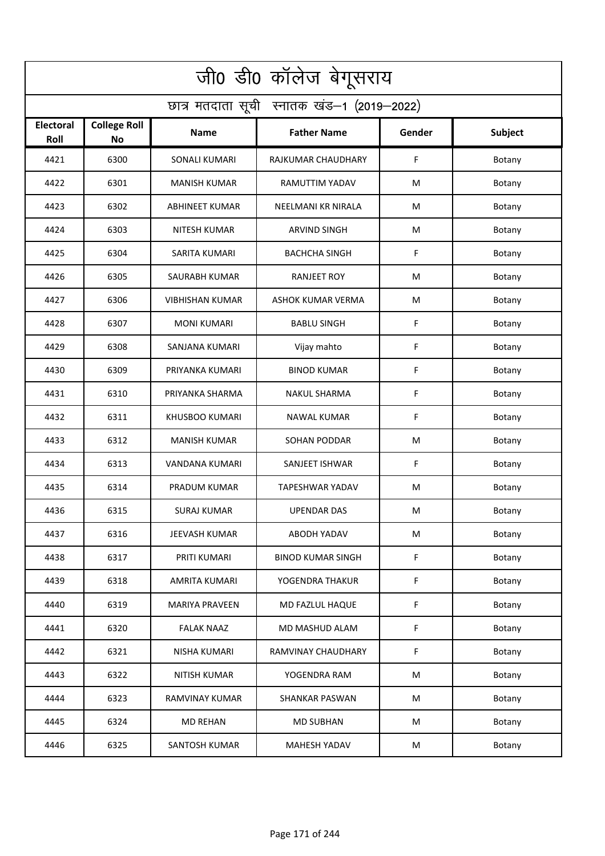| जी0 डी0 कॉलेज बेगूसराय                     |                                  |                        |                          |             |         |  |  |  |
|--------------------------------------------|----------------------------------|------------------------|--------------------------|-------------|---------|--|--|--|
| छात्र मतदाता सूची स्नातक खंड-1 (2019-2022) |                                  |                        |                          |             |         |  |  |  |
| <b>Electoral</b><br>Roll                   | <b>College Roll</b><br><b>No</b> | Name                   | <b>Father Name</b>       | Gender      | Subject |  |  |  |
| 4421                                       | 6300                             | <b>SONALI KUMARI</b>   | RAJKUMAR CHAUDHARY       | F           | Botany  |  |  |  |
| 4422                                       | 6301                             | <b>MANISH KUMAR</b>    | RAMUTTIM YADAV           | M           | Botany  |  |  |  |
| 4423                                       | 6302                             | <b>ABHINEET KUMAR</b>  | NEELMANI KR NIRALA       | M           | Botany  |  |  |  |
| 4424                                       | 6303                             | NITESH KUMAR           | <b>ARVIND SINGH</b>      | М           | Botany  |  |  |  |
| 4425                                       | 6304                             | SARITA KUMARI          | <b>BACHCHA SINGH</b>     | F           | Botany  |  |  |  |
| 4426                                       | 6305                             | SAURABH KUMAR          | <b>RANJEET ROY</b>       | M           | Botany  |  |  |  |
| 4427                                       | 6306                             | <b>VIBHISHAN KUMAR</b> | ASHOK KUMAR VERMA        | M           | Botany  |  |  |  |
| 4428                                       | 6307                             | <b>MONI KUMARI</b>     | <b>BABLU SINGH</b>       | F           | Botany  |  |  |  |
| 4429                                       | 6308                             | SANJANA KUMARI         | Vijay mahto              | F           | Botany  |  |  |  |
| 4430                                       | 6309                             | PRIYANKA KUMARI        | <b>BINOD KUMAR</b>       | F           | Botany  |  |  |  |
| 4431                                       | 6310                             | PRIYANKA SHARMA        | <b>NAKUL SHARMA</b>      | $\mathsf F$ | Botany  |  |  |  |
| 4432                                       | 6311                             | <b>KHUSBOO KUMARI</b>  | <b>NAWAL KUMAR</b>       | F           | Botany  |  |  |  |
| 4433                                       | 6312                             | <b>MANISH KUMAR</b>    | <b>SOHAN PODDAR</b>      | M           | Botany  |  |  |  |
| 4434                                       | 6313                             | VANDANA KUMARI         | SANJEET ISHWAR           | F           | Botany  |  |  |  |
| 4435                                       | 6314                             | PRADUM KUMAR           | TAPESHWAR YADAV          | M           | Botany  |  |  |  |
| 4436                                       | 6315                             | <b>SURAJ KUMAR</b>     | <b>UPENDAR DAS</b>       | M           | Botany  |  |  |  |
| 4437                                       | 6316                             | JEEVASH KUMAR          | <b>ABODH YADAV</b>       | M           | Botany  |  |  |  |
| 4438                                       | 6317                             | PRITI KUMARI           | <b>BINOD KUMAR SINGH</b> | F           | Botany  |  |  |  |
| 4439                                       | 6318                             | AMRITA KUMARI          | YOGENDRA THAKUR          | F           | Botany  |  |  |  |
| 4440                                       | 6319                             | <b>MARIYA PRAVEEN</b>  | MD FAZLUL HAQUE          | F           | Botany  |  |  |  |
| 4441                                       | 6320                             | <b>FALAK NAAZ</b>      | MD MASHUD ALAM           | F           | Botany  |  |  |  |
| 4442                                       | 6321                             | NISHA KUMARI           | RAMVINAY CHAUDHARY       | F           | Botany  |  |  |  |
| 4443                                       | 6322                             | NITISH KUMAR           | YOGENDRA RAM             | M           | Botany  |  |  |  |
| 4444                                       | 6323                             | RAMVINAY KUMAR         | <b>SHANKAR PASWAN</b>    | M           | Botany  |  |  |  |
| 4445                                       | 6324                             | <b>MD REHAN</b>        | <b>MD SUBHAN</b>         | M           | Botany  |  |  |  |
| 4446                                       | 6325                             | SANTOSH KUMAR          | <b>MAHESH YADAV</b>      | M           | Botany  |  |  |  |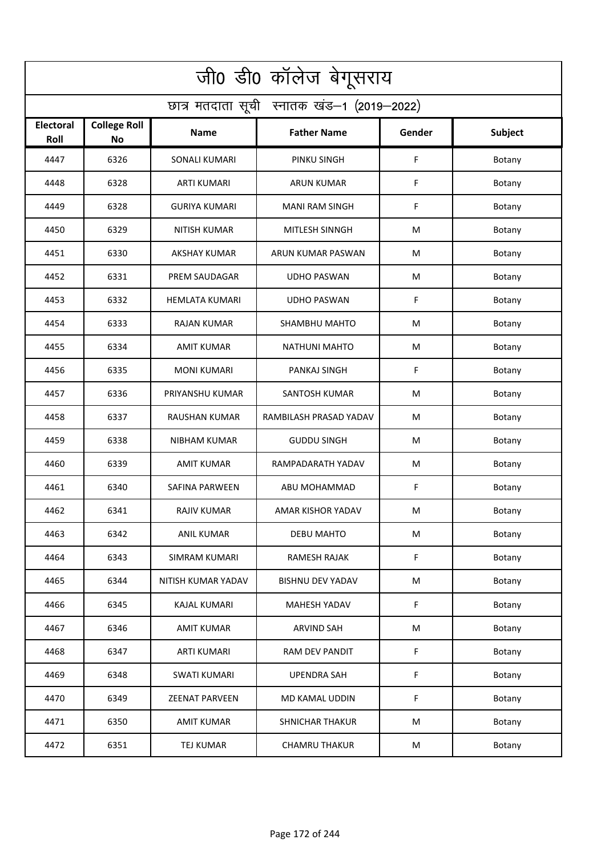| जी0 डी0 कॉलेज बेगूसराय                     |                                  |                       |                         |        |         |  |  |  |
|--------------------------------------------|----------------------------------|-----------------------|-------------------------|--------|---------|--|--|--|
| छात्र मतदाता सूची स्नातक खंड-1 (2019-2022) |                                  |                       |                         |        |         |  |  |  |
| <b>Electoral</b><br>Roll                   | <b>College Roll</b><br><b>No</b> | Name                  | <b>Father Name</b>      | Gender | Subject |  |  |  |
| 4447                                       | 6326                             | <b>SONALI KUMARI</b>  | PINKU SINGH             | F      | Botany  |  |  |  |
| 4448                                       | 6328                             | <b>ARTI KUMARI</b>    | <b>ARUN KUMAR</b>       | F      | Botany  |  |  |  |
| 4449                                       | 6328                             | <b>GURIYA KUMARI</b>  | <b>MANI RAM SINGH</b>   | F      | Botany  |  |  |  |
| 4450                                       | 6329                             | <b>NITISH KUMAR</b>   | MITLESH SINNGH          | M      | Botany  |  |  |  |
| 4451                                       | 6330                             | <b>AKSHAY KUMAR</b>   | ARUN KUMAR PASWAN       | M      | Botany  |  |  |  |
| 4452                                       | 6331                             | PREM SAUDAGAR         | <b>UDHO PASWAN</b>      | M      | Botany  |  |  |  |
| 4453                                       | 6332                             | <b>HEMLATA KUMARI</b> | <b>UDHO PASWAN</b>      | F      | Botany  |  |  |  |
| 4454                                       | 6333                             | <b>RAJAN KUMAR</b>    | SHAMBHU MAHTO           | M      | Botany  |  |  |  |
| 4455                                       | 6334                             | <b>AMIT KUMAR</b>     | <b>NATHUNI MAHTO</b>    | M      | Botany  |  |  |  |
| 4456                                       | 6335                             | <b>MONI KUMARI</b>    | <b>PANKAJ SINGH</b>     | F      | Botany  |  |  |  |
| 4457                                       | 6336                             | PRIYANSHU KUMAR       | <b>SANTOSH KUMAR</b>    | M      | Botany  |  |  |  |
| 4458                                       | 6337                             | <b>RAUSHAN KUMAR</b>  | RAMBILASH PRASAD YADAV  | M      | Botany  |  |  |  |
| 4459                                       | 6338                             | NIBHAM KUMAR          | <b>GUDDU SINGH</b>      | M      | Botany  |  |  |  |
| 4460                                       | 6339                             | <b>AMIT KUMAR</b>     | RAMPADARATH YADAV       | M      | Botany  |  |  |  |
| 4461                                       | 6340                             | SAFINA PARWEEN        | ABU MOHAMMAD            | F      | Botany  |  |  |  |
| 4462                                       | 6341                             | RAJIV KUMAR           | AMAR KISHOR YADAV       | M      | Botany  |  |  |  |
| 4463                                       | 6342                             | ANIL KUMAR            | DEBU MAHTO              | M      | Botany  |  |  |  |
| 4464                                       | 6343                             | SIMRAM KUMARI         | RAMESH RAJAK            | F      | Botany  |  |  |  |
| 4465                                       | 6344                             | NITISH KUMAR YADAV    | <b>BISHNU DEV YADAV</b> | M      | Botany  |  |  |  |
| 4466                                       | 6345                             | KAJAL KUMARI          | <b>MAHESH YADAV</b>     | F      | Botany  |  |  |  |
| 4467                                       | 6346                             | <b>AMIT KUMAR</b>     | <b>ARVIND SAH</b>       | M      | Botany  |  |  |  |
| 4468                                       | 6347                             | <b>ARTI KUMARI</b>    | RAM DEV PANDIT          | F      | Botany  |  |  |  |
| 4469                                       | 6348                             | <b>SWATI KUMARI</b>   | <b>UPENDRA SAH</b>      | F      | Botany  |  |  |  |
| 4470                                       | 6349                             | <b>ZEENAT PARVEEN</b> | MD KAMAL UDDIN          | F      | Botany  |  |  |  |
| 4471                                       | 6350                             | <b>AMIT KUMAR</b>     | <b>SHNICHAR THAKUR</b>  | M      | Botany  |  |  |  |
| 4472                                       | 6351                             | TEJ KUMAR             | <b>CHAMRU THAKUR</b>    | M      | Botany  |  |  |  |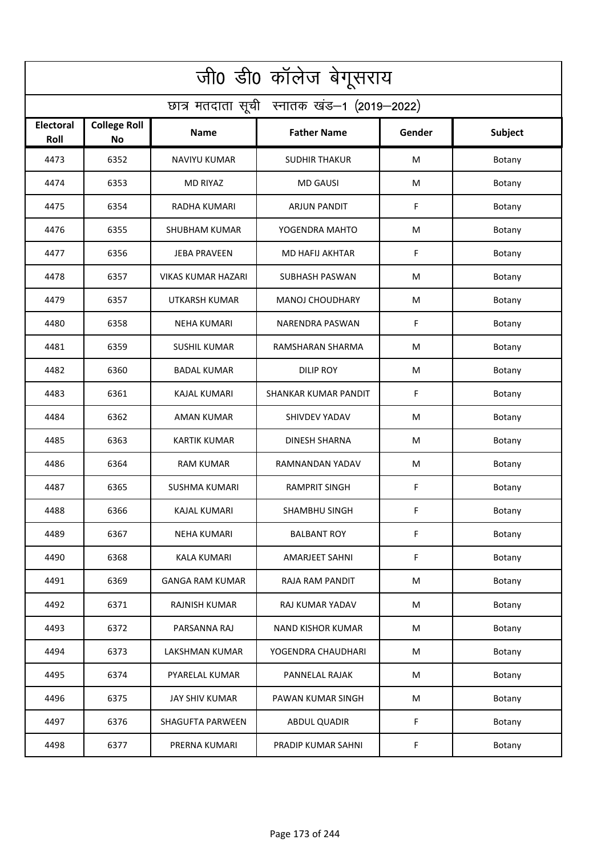| जी0 डी0 कॉलेज बेगूसराय                     |                                  |                           |                          |        |         |  |  |  |
|--------------------------------------------|----------------------------------|---------------------------|--------------------------|--------|---------|--|--|--|
| छात्र मतदाता सूची स्नातक खंड-1 (2019-2022) |                                  |                           |                          |        |         |  |  |  |
| <b>Electoral</b><br>Roll                   | <b>College Roll</b><br><b>No</b> | Name                      | <b>Father Name</b>       | Gender | Subject |  |  |  |
| 4473                                       | 6352                             | <b>NAVIYU KUMAR</b>       | <b>SUDHIR THAKUR</b>     | M      | Botany  |  |  |  |
| 4474                                       | 6353                             | <b>MD RIYAZ</b>           | <b>MD GAUSI</b>          | M      | Botany  |  |  |  |
| 4475                                       | 6354                             | <b>RADHA KUMARI</b>       | ARJUN PANDIT             | F      | Botany  |  |  |  |
| 4476                                       | 6355                             | <b>SHUBHAM KUMAR</b>      | YOGENDRA MAHTO           | M      | Botany  |  |  |  |
| 4477                                       | 6356                             | <b>JEBA PRAVEEN</b>       | <b>MD HAFIJ AKHTAR</b>   | F      | Botany  |  |  |  |
| 4478                                       | 6357                             | <b>VIKAS KUMAR HAZARI</b> | <b>SUBHASH PASWAN</b>    | M      | Botany  |  |  |  |
| 4479                                       | 6357                             | UTKARSH KUMAR             | <b>MANOJ CHOUDHARY</b>   | M      | Botany  |  |  |  |
| 4480                                       | 6358                             | <b>NEHA KUMARI</b>        | <b>NARENDRA PASWAN</b>   | F      | Botany  |  |  |  |
| 4481                                       | 6359                             | <b>SUSHIL KUMAR</b>       | RAMSHARAN SHARMA         | M      | Botany  |  |  |  |
| 4482                                       | 6360                             | <b>BADAL KUMAR</b>        | <b>DILIP ROY</b>         | M      | Botany  |  |  |  |
| 4483                                       | 6361                             | <b>KAJAL KUMARI</b>       | SHANKAR KUMAR PANDIT     | F      | Botany  |  |  |  |
| 4484                                       | 6362                             | <b>AMAN KUMAR</b>         | SHIVDEV YADAV            | M      | Botany  |  |  |  |
| 4485                                       | 6363                             | KARTIK KUMAR              | <b>DINESH SHARNA</b>     | M      | Botany  |  |  |  |
| 4486                                       | 6364                             | RAM KUMAR                 | RAMNANDAN YADAV          | M      | Botany  |  |  |  |
| 4487                                       | 6365                             | <b>SUSHMA KUMARI</b>      | RAMPRIT SINGH            | F      | Botany  |  |  |  |
| 4488                                       | 6366                             | KAJAL KUMARI              | <b>SHAMBHU SINGH</b>     | F.     | Botany  |  |  |  |
| 4489                                       | 6367                             | <b>NEHA KUMARI</b>        | <b>BALBANT ROY</b>       | F      | Botany  |  |  |  |
| 4490                                       | 6368                             | KALA KUMARI               | <b>AMARJEET SAHNI</b>    | F      | Botany  |  |  |  |
| 4491                                       | 6369                             | GANGA RAM KUMAR           | RAJA RAM PANDIT          | M      | Botany  |  |  |  |
| 4492                                       | 6371                             | RAJNISH KUMAR             | RAJ KUMAR YADAV          | M      | Botany  |  |  |  |
| 4493                                       | 6372                             | PARSANNA RAJ              | <b>NAND KISHOR KUMAR</b> | M      | Botany  |  |  |  |
| 4494                                       | 6373                             | LAKSHMAN KUMAR            | YOGENDRA CHAUDHARI       | M      | Botany  |  |  |  |
| 4495                                       | 6374                             | PYARELAL KUMAR            | PANNELAL RAJAK           | M      | Botany  |  |  |  |
| 4496                                       | 6375                             | <b>JAY SHIV KUMAR</b>     | PAWAN KUMAR SINGH        | M      | Botany  |  |  |  |
| 4497                                       | 6376                             | <b>SHAGUFTA PARWEEN</b>   | <b>ABDUL QUADIR</b>      | F      | Botany  |  |  |  |
| 4498                                       | 6377                             | PRERNA KUMARI             | PRADIP KUMAR SAHNI       | F      | Botany  |  |  |  |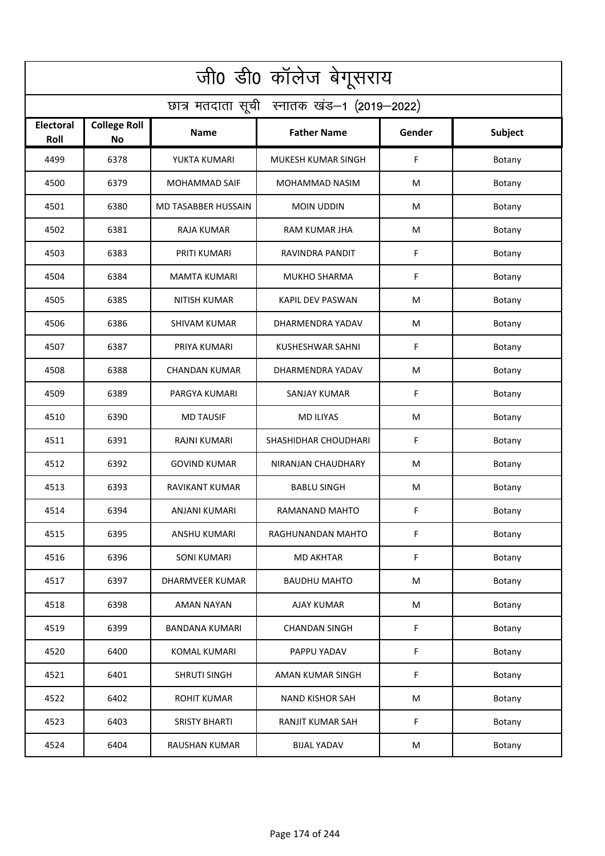| जी0 डी0 कॉलेज बेगूसराय                     |                           |                       |                           |        |         |  |  |  |
|--------------------------------------------|---------------------------|-----------------------|---------------------------|--------|---------|--|--|--|
| छात्र मतदाता सूची स्नातक खंड-1 (2019-2022) |                           |                       |                           |        |         |  |  |  |
| <b>Electoral</b><br>Roll                   | <b>College Roll</b><br>No | <b>Name</b>           | <b>Father Name</b>        | Gender | Subject |  |  |  |
| 4499                                       | 6378                      | YUKTA KUMARI          | <b>MUKESH KUMAR SINGH</b> | F      | Botany  |  |  |  |
| 4500                                       | 6379                      | <b>MOHAMMAD SAIF</b>  | MOHAMMAD NASIM            | M      | Botany  |  |  |  |
| 4501                                       | 6380                      | MD TASABBER HUSSAIN   | <b>MOIN UDDIN</b>         | М      | Botany  |  |  |  |
| 4502                                       | 6381                      | RAJA KUMAR            | <b>RAM KUMAR JHA</b>      | M      | Botany  |  |  |  |
| 4503                                       | 6383                      | PRITI KUMARI          | RAVINDRA PANDIT           | F      | Botany  |  |  |  |
| 4504                                       | 6384                      | <b>MAMTA KUMARI</b>   | <b>MUKHO SHARMA</b>       | F      | Botany  |  |  |  |
| 4505                                       | 6385                      | <b>NITISH KUMAR</b>   | <b>KAPIL DEV PASWAN</b>   | M      | Botany  |  |  |  |
| 4506                                       | 6386                      | <b>SHIVAM KUMAR</b>   | DHARMENDRA YADAV          | М      | Botany  |  |  |  |
| 4507                                       | 6387                      | PRIYA KUMARI          | <b>KUSHESHWAR SAHNI</b>   | F      | Botany  |  |  |  |
| 4508                                       | 6388                      | <b>CHANDAN KUMAR</b>  | DHARMENDRA YADAV          | M      | Botany  |  |  |  |
| 4509                                       | 6389                      | PARGYA KUMARI         | SANJAY KUMAR              | F      | Botany  |  |  |  |
| 4510                                       | 6390                      | <b>MD TAUSIF</b>      | <b>MD ILIYAS</b>          | M      | Botany  |  |  |  |
| 4511                                       | 6391                      | RAJNI KUMARI          | SHASHIDHAR CHOUDHARI      | F      | Botany  |  |  |  |
| 4512                                       | 6392                      | <b>GOVIND KUMAR</b>   | NIRANJAN CHAUDHARY        | M      | Botany  |  |  |  |
| 4513                                       | 6393                      | RAVIKANT KUMAR        | <b>BABLU SINGH</b>        | M      | Botany  |  |  |  |
| 4514                                       | 6394                      | ANJANI KUMARI         | RAMANAND MAHTO            | F      | Botany  |  |  |  |
| 4515                                       | 6395                      | ANSHU KUMARI          | RAGHUNANDAN MAHTO         | F      | Botany  |  |  |  |
| 4516                                       | 6396                      | SONI KUMARI           | <b>MD AKHTAR</b>          | F      | Botany  |  |  |  |
| 4517                                       | 6397                      | DHARMVEER KUMAR       | <b>BAUDHU MAHTO</b>       | M      | Botany  |  |  |  |
| 4518                                       | 6398                      | AMAN NAYAN            | <b>AJAY KUMAR</b>         | M      | Botany  |  |  |  |
| 4519                                       | 6399                      | <b>BANDANA KUMARI</b> | <b>CHANDAN SINGH</b>      | F      | Botany  |  |  |  |
| 4520                                       | 6400                      | <b>KOMAL KUMARI</b>   | PAPPU YADAV               | F      | Botany  |  |  |  |
| 4521                                       | 6401                      | <b>SHRUTI SINGH</b>   | AMAN KUMAR SINGH          | F      | Botany  |  |  |  |
| 4522                                       | 6402                      | <b>ROHIT KUMAR</b>    | <b>NAND KISHOR SAH</b>    | M      | Botany  |  |  |  |
| 4523                                       | 6403                      | <b>SRISTY BHARTI</b>  | RANJIT KUMAR SAH          | F      | Botany  |  |  |  |
| 4524                                       | 6404                      | <b>RAUSHAN KUMAR</b>  | <b>BIJAL YADAV</b>        | M      | Botany  |  |  |  |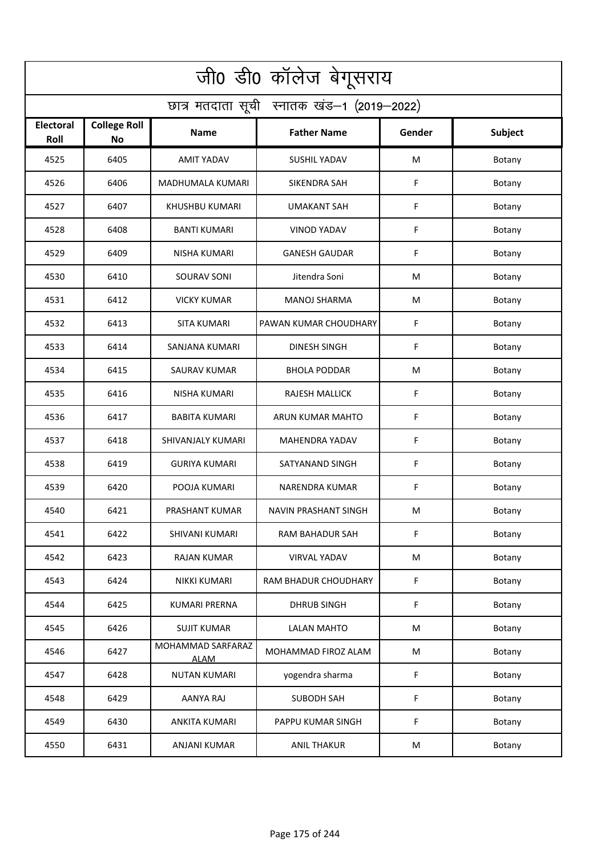| जी0 डी0 कॉलेज बेगूसराय                     |                                  |                                  |                       |        |         |  |  |  |
|--------------------------------------------|----------------------------------|----------------------------------|-----------------------|--------|---------|--|--|--|
| छात्र मतदाता सूची स्नातक खंड-1 (2019-2022) |                                  |                                  |                       |        |         |  |  |  |
| <b>Electoral</b><br>Roll                   | <b>College Roll</b><br><b>No</b> | Name                             | <b>Father Name</b>    | Gender | Subject |  |  |  |
| 4525                                       | 6405                             | <b>AMIT YADAV</b>                | <b>SUSHIL YADAV</b>   | M      | Botany  |  |  |  |
| 4526                                       | 6406                             | <b>MADHUMALA KUMARI</b>          | <b>SIKENDRA SAH</b>   | F      | Botany  |  |  |  |
| 4527                                       | 6407                             | KHUSHBU KUMARI                   | UMAKANT SAH           | F      | Botany  |  |  |  |
| 4528                                       | 6408                             | <b>BANTI KUMARI</b>              | <b>VINOD YADAV</b>    | F      | Botany  |  |  |  |
| 4529                                       | 6409                             | <b>NISHA KUMARI</b>              | <b>GANESH GAUDAR</b>  | F      | Botany  |  |  |  |
| 4530                                       | 6410                             | SOURAV SONI                      | Jitendra Soni         | M      | Botany  |  |  |  |
| 4531                                       | 6412                             | <b>VICKY KUMAR</b>               | <b>MANOJ SHARMA</b>   | M      | Botany  |  |  |  |
| 4532                                       | 6413                             | SITA KUMARI                      | PAWAN KUMAR CHOUDHARY | F      | Botany  |  |  |  |
| 4533                                       | 6414                             | <b>SANJANA KUMARI</b>            | <b>DINESH SINGH</b>   | F      | Botany  |  |  |  |
| 4534                                       | 6415                             | <b>SAURAV KUMAR</b>              | <b>BHOLA PODDAR</b>   | M      | Botany  |  |  |  |
| 4535                                       | 6416                             | <b>NISHA KUMARI</b>              | RAJESH MALLICK        | F      | Botany  |  |  |  |
| 4536                                       | 6417                             | <b>BABITA KUMARI</b>             | ARUN KUMAR MAHTO      | F      | Botany  |  |  |  |
| 4537                                       | 6418                             | SHIVANJALY KUMARI                | MAHENDRA YADAV        | F      | Botany  |  |  |  |
| 4538                                       | 6419                             | <b>GURIYA KUMARI</b>             | SATYANAND SINGH       | F      | Botany  |  |  |  |
| 4539                                       | 6420                             | POOJA KUMARI                     | NARENDRA KUMAR        | F      | Botany  |  |  |  |
| 4540                                       | 6421                             | PRASHANT KUMAR                   | NAVIN PRASHANT SINGH  | M      | Botany  |  |  |  |
| 4541                                       | 6422                             | <b>SHIVANI KUMARI</b>            | RAM BAHADUR SAH       | F      | Botany  |  |  |  |
| 4542                                       | 6423                             | <b>RAJAN KUMAR</b>               | VIRVAL YADAV          | M      | Botany  |  |  |  |
| 4543                                       | 6424                             | NIKKI KUMARI                     | RAM BHADUR CHOUDHARY  | F      | Botany  |  |  |  |
| 4544                                       | 6425                             | <b>KUMARI PRERNA</b>             | <b>DHRUB SINGH</b>    | F      | Botany  |  |  |  |
| 4545                                       | 6426                             | <b>SUJIT KUMAR</b>               | <b>LALAN MAHTO</b>    | M      | Botany  |  |  |  |
| 4546                                       | 6427                             | MOHAMMAD SARFARAZ<br><b>ALAM</b> | MOHAMMAD FIROZ ALAM   | M      | Botany  |  |  |  |
| 4547                                       | 6428                             | <b>NUTAN KUMARI</b>              | yogendra sharma       | F      | Botany  |  |  |  |
| 4548                                       | 6429                             | AANYA RAJ                        | SUBODH SAH            | F      | Botany  |  |  |  |
| 4549                                       | 6430                             | ANKITA KUMARI                    | PAPPU KUMAR SINGH     | F      | Botany  |  |  |  |
| 4550                                       | 6431                             | ANJANI KUMAR                     | <b>ANIL THAKUR</b>    | M      | Botany  |  |  |  |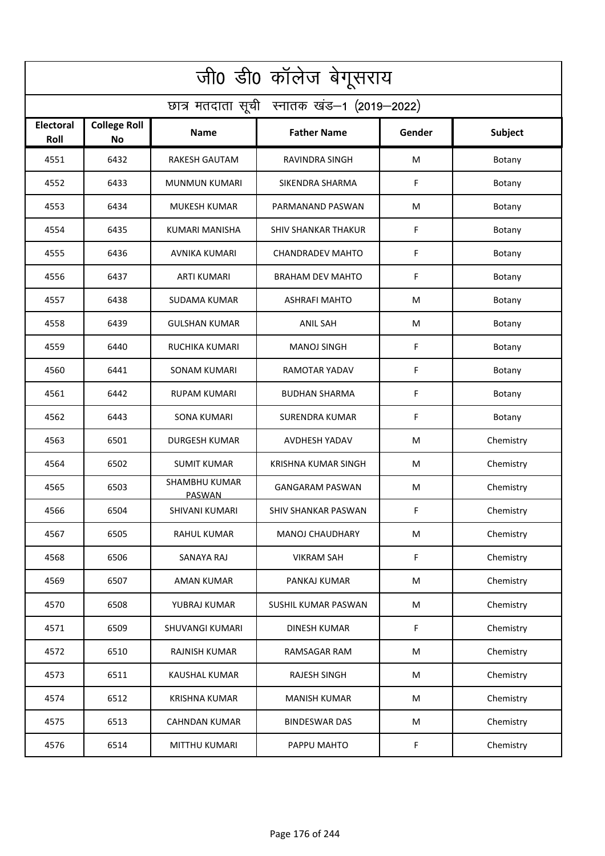| जी0 डी0 कॉलेज बेगूसराय                     |                                  |                                |                            |        |           |  |  |  |
|--------------------------------------------|----------------------------------|--------------------------------|----------------------------|--------|-----------|--|--|--|
| छात्र मतदाता सूची स्नातक खंड-1 (2019-2022) |                                  |                                |                            |        |           |  |  |  |
| <b>Electoral</b><br>Roll                   | <b>College Roll</b><br><b>No</b> | Name                           | <b>Father Name</b>         | Gender | Subject   |  |  |  |
| 4551                                       | 6432                             | <b>RAKESH GAUTAM</b>           | RAVINDRA SINGH             | M      | Botany    |  |  |  |
| 4552                                       | 6433                             | <b>MUNMUN KUMARI</b>           | SIKENDRA SHARMA            | F      | Botany    |  |  |  |
| 4553                                       | 6434                             | MUKESH KUMAR                   | PARMANAND PASWAN           | M      | Botany    |  |  |  |
| 4554                                       | 6435                             | KUMARI MANISHA                 | <b>SHIV SHANKAR THAKUR</b> | F      | Botany    |  |  |  |
| 4555                                       | 6436                             | AVNIKA KUMARI                  | <b>CHANDRADEV MAHTO</b>    | F      | Botany    |  |  |  |
| 4556                                       | 6437                             | <b>ARTI KUMARI</b>             | <b>BRAHAM DEV MAHTO</b>    | F      | Botany    |  |  |  |
| 4557                                       | 6438                             | <b>SUDAMA KUMAR</b>            | <b>ASHRAFI MAHTO</b>       | М      | Botany    |  |  |  |
| 4558                                       | 6439                             | <b>GULSHAN KUMAR</b>           | <b>ANIL SAH</b>            | M      | Botany    |  |  |  |
| 4559                                       | 6440                             | <b>RUCHIKA KUMARI</b>          | <b>MANOJ SINGH</b>         | F      | Botany    |  |  |  |
| 4560                                       | 6441                             | SONAM KUMARI                   | RAMOTAR YADAV              | F      | Botany    |  |  |  |
| 4561                                       | 6442                             | RUPAM KUMARI                   | <b>BUDHAN SHARMA</b>       | F      | Botany    |  |  |  |
| 4562                                       | 6443                             | <b>SONA KUMARI</b>             | <b>SURENDRA KUMAR</b>      | F      | Botany    |  |  |  |
| 4563                                       | 6501                             | <b>DURGESH KUMAR</b>           | AVDHESH YADAV              | M      | Chemistry |  |  |  |
| 4564                                       | 6502                             | <b>SUMIT KUMAR</b>             | <b>KRISHNA KUMAR SINGH</b> | М      | Chemistry |  |  |  |
| 4565                                       | 6503                             | <b>SHAMBHU KUMAR</b><br>PASWAN | <b>GANGARAM PASWAN</b>     | M      | Chemistry |  |  |  |
| 4566                                       | 6504                             | SHIVANI KUMARI                 | SHIV SHANKAR PASWAN        | F      | Chemistry |  |  |  |
| 4567                                       | 6505                             | RAHUL KUMAR                    | <b>MANOJ CHAUDHARY</b>     | M      | Chemistry |  |  |  |
| 4568                                       | 6506                             | SANAYA RAJ                     | <b>VIKRAM SAH</b>          | F      | Chemistry |  |  |  |
| 4569                                       | 6507                             | <b>AMAN KUMAR</b>              | PANKAJ KUMAR               | M      | Chemistry |  |  |  |
| 4570                                       | 6508                             | YUBRAJ KUMAR                   | SUSHIL KUMAR PASWAN        | M      | Chemistry |  |  |  |
| 4571                                       | 6509                             | <b>SHUVANGI KUMARI</b>         | <b>DINESH KUMAR</b>        | F      | Chemistry |  |  |  |
| 4572                                       | 6510                             | <b>RAJNISH KUMAR</b>           | RAMSAGAR RAM               | M      | Chemistry |  |  |  |
| 4573                                       | 6511                             | <b>KAUSHAL KUMAR</b>           | <b>RAJESH SINGH</b>        | M      | Chemistry |  |  |  |
| 4574                                       | 6512                             | <b>KRISHNA KUMAR</b>           | <b>MANISH KUMAR</b>        | M      | Chemistry |  |  |  |
| 4575                                       | 6513                             | <b>CAHNDAN KUMAR</b>           | <b>BINDESWAR DAS</b>       | M      | Chemistry |  |  |  |
| 4576                                       | 6514                             | <b>MITTHU KUMARI</b>           | PAPPU MAHTO                | F      | Chemistry |  |  |  |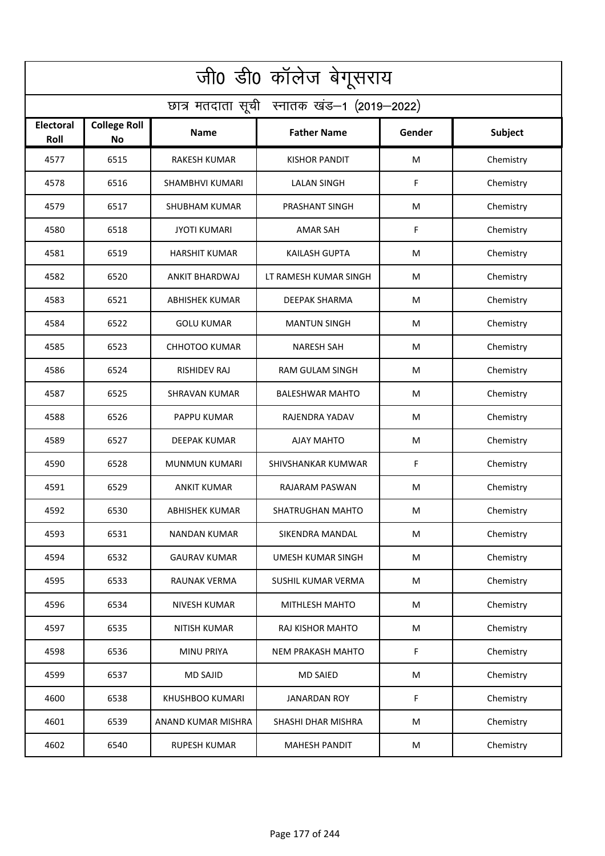| जी0 डी0 कॉलेज बेगूसराय                     |                                  |                        |                          |        |           |  |  |  |
|--------------------------------------------|----------------------------------|------------------------|--------------------------|--------|-----------|--|--|--|
| छात्र मतदाता सूची स्नातक खंड-1 (2019-2022) |                                  |                        |                          |        |           |  |  |  |
| <b>Electoral</b><br>Roll                   | <b>College Roll</b><br><b>No</b> | Name                   | <b>Father Name</b>       | Gender | Subject   |  |  |  |
| 4577                                       | 6515                             | <b>RAKESH KUMAR</b>    | <b>KISHOR PANDIT</b>     | M      | Chemistry |  |  |  |
| 4578                                       | 6516                             | <b>SHAMBHVI KUMARI</b> | <b>LALAN SINGH</b>       | F      | Chemistry |  |  |  |
| 4579                                       | 6517                             | SHUBHAM KUMAR          | PRASHANT SINGH           | M      | Chemistry |  |  |  |
| 4580                                       | 6518                             | <b>JYOTI KUMARI</b>    | <b>AMAR SAH</b>          | F      | Chemistry |  |  |  |
| 4581                                       | 6519                             | <b>HARSHIT KUMAR</b>   | <b>KAILASH GUPTA</b>     | M      | Chemistry |  |  |  |
| 4582                                       | 6520                             | <b>ANKIT BHARDWAJ</b>  | LT RAMESH KUMAR SINGH    | M      | Chemistry |  |  |  |
| 4583                                       | 6521                             | <b>ABHISHEK KUMAR</b>  | <b>DEEPAK SHARMA</b>     | M      | Chemistry |  |  |  |
| 4584                                       | 6522                             | <b>GOLU KUMAR</b>      | <b>MANTUN SINGH</b>      | M      | Chemistry |  |  |  |
| 4585                                       | 6523                             | <b>CHHOTOO KUMAR</b>   | <b>NARESH SAH</b>        | M      | Chemistry |  |  |  |
| 4586                                       | 6524                             | <b>RISHIDEV RAJ</b>    | <b>RAM GULAM SINGH</b>   | M      | Chemistry |  |  |  |
| 4587                                       | 6525                             | SHRAVAN KUMAR          | <b>BALESHWAR MAHTO</b>   | M      | Chemistry |  |  |  |
| 4588                                       | 6526                             | PAPPU KUMAR            | RAJENDRA YADAV           | M      | Chemistry |  |  |  |
| 4589                                       | 6527                             | DEEPAK KUMAR           | AJAY MAHTO               | M      | Chemistry |  |  |  |
| 4590                                       | 6528                             | <b>MUNMUN KUMARI</b>   | SHIVSHANKAR KUMWAR       | F      | Chemistry |  |  |  |
| 4591                                       | 6529                             | ANKIT KUMAR            | RAJARAM PASWAN           | M      | Chemistry |  |  |  |
| 4592                                       | 6530                             | <b>ABHISHEK KUMAR</b>  | SHATRUGHAN MAHTO         | M      | Chemistry |  |  |  |
| 4593                                       | 6531                             | NANDAN KUMAR           | SIKENDRA MANDAL          | M      | Chemistry |  |  |  |
| 4594                                       | 6532                             | <b>GAURAV KUMAR</b>    | UMESH KUMAR SINGH        | M      | Chemistry |  |  |  |
| 4595                                       | 6533                             | <b>RAUNAK VERMA</b>    | SUSHIL KUMAR VERMA       | M      | Chemistry |  |  |  |
| 4596                                       | 6534                             | <b>NIVESH KUMAR</b>    | MITHLESH MAHTO           | M      | Chemistry |  |  |  |
| 4597                                       | 6535                             | <b>NITISH KUMAR</b>    | RAJ KISHOR MAHTO         | M      | Chemistry |  |  |  |
| 4598                                       | 6536                             | <b>MINU PRIYA</b>      | <b>NEM PRAKASH MAHTO</b> | F      | Chemistry |  |  |  |
| 4599                                       | 6537                             | <b>MD SAJID</b>        | <b>MD SAIED</b>          | M      | Chemistry |  |  |  |
| 4600                                       | 6538                             | <b>KHUSHBOO KUMARI</b> | <b>JANARDAN ROY</b>      | F      | Chemistry |  |  |  |
| 4601                                       | 6539                             | ANAND KUMAR MISHRA     | SHASHI DHAR MISHRA       | M      | Chemistry |  |  |  |
| 4602                                       | 6540                             | <b>RUPESH KUMAR</b>    | <b>MAHESH PANDIT</b>     | M      | Chemistry |  |  |  |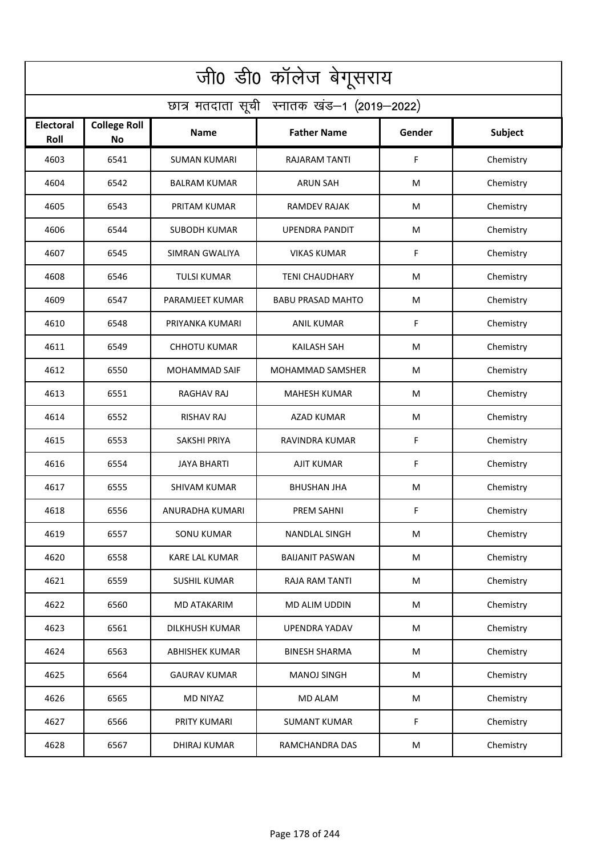| जी0 डी0 कॉलेज बेगूसराय                     |                                  |                       |                          |        |           |  |  |  |
|--------------------------------------------|----------------------------------|-----------------------|--------------------------|--------|-----------|--|--|--|
| छात्र मतदाता सूची स्नातक खंड-1 (2019-2022) |                                  |                       |                          |        |           |  |  |  |
| <b>Electoral</b><br>Roll                   | <b>College Roll</b><br><b>No</b> | <b>Name</b>           | <b>Father Name</b>       | Gender | Subject   |  |  |  |
| 4603                                       | 6541                             | <b>SUMAN KUMARI</b>   | <b>RAJARAM TANTI</b>     | F.     | Chemistry |  |  |  |
| 4604                                       | 6542                             | <b>BALRAM KUMAR</b>   | <b>ARUN SAH</b>          | M      | Chemistry |  |  |  |
| 4605                                       | 6543                             | PRITAM KUMAR          | RAMDEV RAJAK             | M      | Chemistry |  |  |  |
| 4606                                       | 6544                             | <b>SUBODH KUMAR</b>   | UPENDRA PANDIT           | M      | Chemistry |  |  |  |
| 4607                                       | 6545                             | SIMRAN GWALIYA        | <b>VIKAS KUMAR</b>       | F      | Chemistry |  |  |  |
| 4608                                       | 6546                             | <b>TULSI KUMAR</b>    | <b>TENI CHAUDHARY</b>    | M      | Chemistry |  |  |  |
| 4609                                       | 6547                             | PARAMJEET KUMAR       | <b>BABU PRASAD MAHTO</b> | M      | Chemistry |  |  |  |
| 4610                                       | 6548                             | PRIYANKA KUMARI       | ANIL KUMAR               | F      | Chemistry |  |  |  |
| 4611                                       | 6549                             | <b>CHHOTU KUMAR</b>   | <b>KAILASH SAH</b>       | M      | Chemistry |  |  |  |
| 4612                                       | 6550                             | <b>MOHAMMAD SAIF</b>  | MOHAMMAD SAMSHER         | M      | Chemistry |  |  |  |
| 4613                                       | 6551                             | RAGHAV RAJ            | <b>MAHESH KUMAR</b>      | M      | Chemistry |  |  |  |
| 4614                                       | 6552                             | <b>RISHAV RAJ</b>     | AZAD KUMAR               | M      | Chemistry |  |  |  |
| 4615                                       | 6553                             | SAKSHI PRIYA          | RAVINDRA KUMAR           | F      | Chemistry |  |  |  |
| 4616                                       | 6554                             | <b>JAYA BHARTI</b>    | <b>AJIT KUMAR</b>        | F      | Chemistry |  |  |  |
| 4617                                       | 6555                             | SHIVAM KUMAR          | <b>BHUSHAN JHA</b>       | M      | Chemistry |  |  |  |
| 4618                                       | 6556                             | ANURADHA KUMARI       | PREM SAHNI               | F      | Chemistry |  |  |  |
| 4619                                       | 6557                             | <b>SONU KUMAR</b>     | <b>NANDLAL SINGH</b>     | M      | Chemistry |  |  |  |
| 4620                                       | 6558                             | KARE LAL KUMAR        | <b>BAIJANIT PASWAN</b>   | M      | Chemistry |  |  |  |
| 4621                                       | 6559                             | <b>SUSHIL KUMAR</b>   | <b>RAJA RAM TANTI</b>    | M      | Chemistry |  |  |  |
| 4622                                       | 6560                             | <b>MD ATAKARIM</b>    | MD ALIM UDDIN            | M      | Chemistry |  |  |  |
| 4623                                       | 6561                             | <b>DILKHUSH KUMAR</b> | <b>UPENDRA YADAV</b>     | M      | Chemistry |  |  |  |
| 4624                                       | 6563                             | <b>ABHISHEK KUMAR</b> | <b>BINESH SHARMA</b>     | M      | Chemistry |  |  |  |
| 4625                                       | 6564                             | <b>GAURAV KUMAR</b>   | <b>MANOJ SINGH</b>       | M      | Chemistry |  |  |  |
| 4626                                       | 6565                             | <b>MD NIYAZ</b>       | <b>MD ALAM</b>           | M      | Chemistry |  |  |  |
| 4627                                       | 6566                             | PRITY KUMARI          | <b>SUMANT KUMAR</b>      | F      | Chemistry |  |  |  |
| 4628                                       | 6567                             | <b>DHIRAJ KUMAR</b>   | RAMCHANDRA DAS           | M      | Chemistry |  |  |  |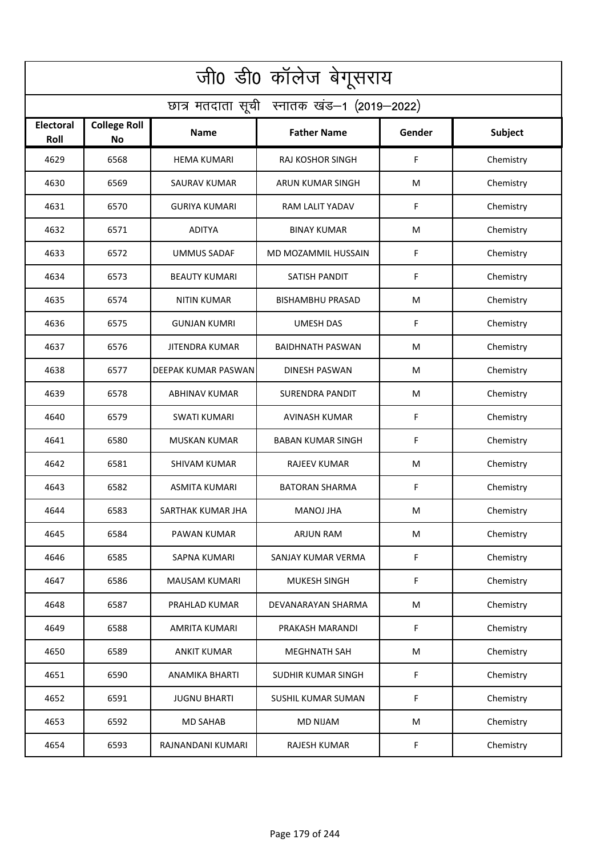| जी0 डी0 कॉलेज बेगूसराय                     |                                  |                       |                           |        |           |  |  |  |
|--------------------------------------------|----------------------------------|-----------------------|---------------------------|--------|-----------|--|--|--|
| छात्र मतदाता सूची स्नातक खंड-1 (2019-2022) |                                  |                       |                           |        |           |  |  |  |
| <b>Electoral</b><br>Roll                   | <b>College Roll</b><br><b>No</b> | Name                  | <b>Father Name</b>        | Gender | Subject   |  |  |  |
| 4629                                       | 6568                             | <b>HEMA KUMARI</b>    | <b>RAJ KOSHOR SINGH</b>   | F      | Chemistry |  |  |  |
| 4630                                       | 6569                             | <b>SAURAV KUMAR</b>   | ARUN KUMAR SINGH          | M      | Chemistry |  |  |  |
| 4631                                       | 6570                             | <b>GURIYA KUMARI</b>  | RAM LALIT YADAV           | F      | Chemistry |  |  |  |
| 4632                                       | 6571                             | <b>ADITYA</b>         | <b>BINAY KUMAR</b>        | M      | Chemistry |  |  |  |
| 4633                                       | 6572                             | <b>UMMUS SADAF</b>    | MD MOZAMMIL HUSSAIN       | F      | Chemistry |  |  |  |
| 4634                                       | 6573                             | <b>BEAUTY KUMARI</b>  | SATISH PANDIT             | F      | Chemistry |  |  |  |
| 4635                                       | 6574                             | <b>NITIN KUMAR</b>    | <b>BISHAMBHU PRASAD</b>   | M      | Chemistry |  |  |  |
| 4636                                       | 6575                             | <b>GUNJAN KUMRI</b>   | <b>UMESH DAS</b>          | F      | Chemistry |  |  |  |
| 4637                                       | 6576                             | <b>JITENDRA KUMAR</b> | <b>BAIDHNATH PASWAN</b>   | M      | Chemistry |  |  |  |
| 4638                                       | 6577                             | DEEPAK KUMAR PASWAN   | <b>DINESH PASWAN</b>      | M      | Chemistry |  |  |  |
| 4639                                       | 6578                             | <b>ABHINAV KUMAR</b>  | SURENDRA PANDIT           | M      | Chemistry |  |  |  |
| 4640                                       | 6579                             | <b>SWATI KUMARI</b>   | <b>AVINASH KUMAR</b>      | F      | Chemistry |  |  |  |
| 4641                                       | 6580                             | MUSKAN KUMAR          | <b>BABAN KUMAR SINGH</b>  | F      | Chemistry |  |  |  |
| 4642                                       | 6581                             | <b>SHIVAM KUMAR</b>   | <b>RAJEEV KUMAR</b>       | M      | Chemistry |  |  |  |
| 4643                                       | 6582                             | ASMITA KUMARI         | <b>BATORAN SHARMA</b>     | F      | Chemistry |  |  |  |
| 4644                                       | 6583                             | SARTHAK KUMAR JHA     | MANOJ JHA                 | M      | Chemistry |  |  |  |
| 4645                                       | 6584                             | PAWAN KUMAR           | ARJUN RAM                 | M      | Chemistry |  |  |  |
| 4646                                       | 6585                             | <b>SAPNA KUMARI</b>   | SANJAY KUMAR VERMA        | F      | Chemistry |  |  |  |
| 4647                                       | 6586                             | <b>MAUSAM KUMARI</b>  | MUKESH SINGH              | F      | Chemistry |  |  |  |
| 4648                                       | 6587                             | PRAHLAD KUMAR         | DEVANARAYAN SHARMA        | M      | Chemistry |  |  |  |
| 4649                                       | 6588                             | AMRITA KUMARI         | PRAKASH MARANDI           | F      | Chemistry |  |  |  |
| 4650                                       | 6589                             | <b>ANKIT KUMAR</b>    | <b>MEGHNATH SAH</b>       | M      | Chemistry |  |  |  |
| 4651                                       | 6590                             | <b>ANAMIKA BHARTI</b> | SUDHIR KUMAR SINGH        | F      | Chemistry |  |  |  |
| 4652                                       | 6591                             | <b>JUGNU BHARTI</b>   | <b>SUSHIL KUMAR SUMAN</b> | F      | Chemistry |  |  |  |
| 4653                                       | 6592                             | <b>MD SAHAB</b>       | <b>MD NIJAM</b>           | M      | Chemistry |  |  |  |
| 4654                                       | 6593                             | RAJNANDANI KUMARI     | RAJESH KUMAR              | F      | Chemistry |  |  |  |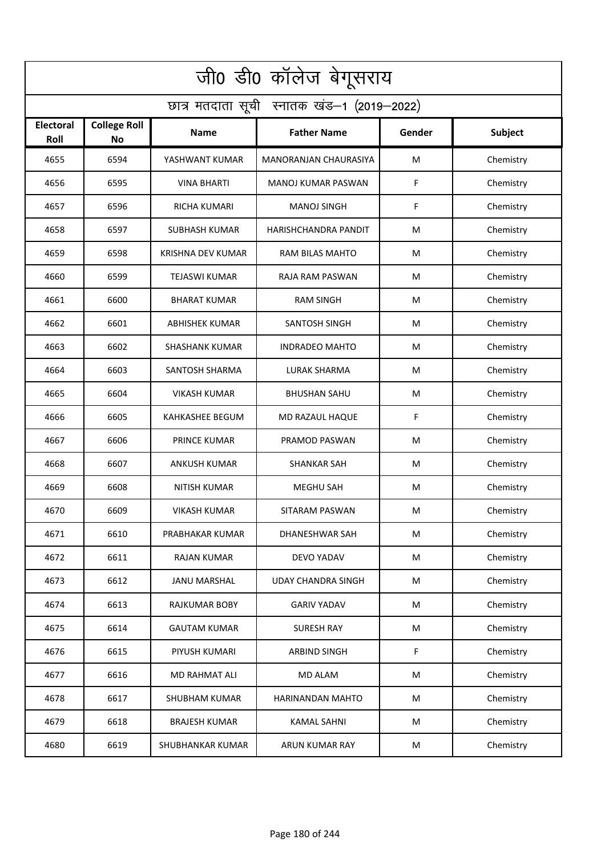| जी0 डी0 कॉलेज बेगूसराय                     |                                  |                       |                           |        |                |  |  |  |  |
|--------------------------------------------|----------------------------------|-----------------------|---------------------------|--------|----------------|--|--|--|--|
| छात्र मतदाता सूची स्नातक खंड-1 (2019-2022) |                                  |                       |                           |        |                |  |  |  |  |
| <b>Electoral</b><br>Roll                   | <b>College Roll</b><br><b>No</b> | <b>Name</b>           | <b>Father Name</b>        | Gender | <b>Subject</b> |  |  |  |  |
| 4655                                       | 6594                             | YASHWANT KUMAR        | MANORANJAN CHAURASIYA     | M      | Chemistry      |  |  |  |  |
| 4656                                       | 6595                             | <b>VINA BHARTI</b>    | <b>MANOJ KUMAR PASWAN</b> | F      | Chemistry      |  |  |  |  |
| 4657                                       | 6596                             | <b>RICHA KUMARI</b>   | <b>MANOJ SINGH</b>        | F      | Chemistry      |  |  |  |  |
| 4658                                       | 6597                             | <b>SUBHASH KUMAR</b>  | HARISHCHANDRA PANDIT      | M      | Chemistry      |  |  |  |  |
| 4659                                       | 6598                             | KRISHNA DEV KUMAR     | RAM BILAS MAHTO           | M      | Chemistry      |  |  |  |  |
| 4660                                       | 6599                             | <b>TEJASWI KUMAR</b>  | RAJA RAM PASWAN           | M      | Chemistry      |  |  |  |  |
| 4661                                       | 6600                             | <b>BHARAT KUMAR</b>   | <b>RAM SINGH</b>          | M      | Chemistry      |  |  |  |  |
| 4662                                       | 6601                             | <b>ABHISHEK KUMAR</b> | <b>SANTOSH SINGH</b>      | M      | Chemistry      |  |  |  |  |
| 4663                                       | 6602                             | <b>SHASHANK KUMAR</b> | <b>INDRADEO MAHTO</b>     | M      | Chemistry      |  |  |  |  |
| 4664                                       | 6603                             | SANTOSH SHARMA        | <b>LURAK SHARMA</b>       | M      | Chemistry      |  |  |  |  |
| 4665                                       | 6604                             | <b>VIKASH KUMAR</b>   | <b>BHUSHAN SAHU</b>       | M      | Chemistry      |  |  |  |  |
| 4666                                       | 6605                             | KAHKASHEE BEGUM       | MD RAZAUL HAQUE           | F      | Chemistry      |  |  |  |  |
| 4667                                       | 6606                             | PRINCE KUMAR          | PRAMOD PASWAN             | M      | Chemistry      |  |  |  |  |
| 4668                                       | 6607                             | <b>ANKUSH KUMAR</b>   | <b>SHANKAR SAH</b>        | M      | Chemistry      |  |  |  |  |
| 4669                                       | 6608                             | NITISH KUMAR          | <b>MEGHU SAH</b>          | M      | Chemistry      |  |  |  |  |
| 4670                                       | 6609                             | <b>VIKASH KUMAR</b>   | SITARAM PASWAN            | M      | Chemistry      |  |  |  |  |
| 4671                                       | 6610                             | PRABHAKAR KUMAR       | DHANESHWAR SAH            | M      | Chemistry      |  |  |  |  |
| 4672                                       | 6611                             | <b>RAJAN KUMAR</b>    | DEVO YADAV                | M      | Chemistry      |  |  |  |  |
| 4673                                       | 6612                             | <b>JANU MARSHAL</b>   | <b>UDAY CHANDRA SINGH</b> | M      | Chemistry      |  |  |  |  |
| 4674                                       | 6613                             | <b>RAJKUMAR BOBY</b>  | <b>GARIV YADAV</b>        | M      | Chemistry      |  |  |  |  |
| 4675                                       | 6614                             | <b>GAUTAM KUMAR</b>   | <b>SURESH RAY</b>         | M      | Chemistry      |  |  |  |  |
| 4676                                       | 6615                             | PIYUSH KUMARI         | <b>ARBIND SINGH</b>       | F.     | Chemistry      |  |  |  |  |
| 4677                                       | 6616                             | <b>MD RAHMAT ALI</b>  | <b>MD ALAM</b>            | M      | Chemistry      |  |  |  |  |
| 4678                                       | 6617                             | <b>SHUBHAM KUMAR</b>  | HARINANDAN MAHTO          | M      | Chemistry      |  |  |  |  |
| 4679                                       | 6618                             | <b>BRAJESH KUMAR</b>  | <b>KAMAL SAHNI</b>        | M      | Chemistry      |  |  |  |  |
| 4680                                       | 6619                             | SHUBHANKAR KUMAR      | ARUN KUMAR RAY            | M      | Chemistry      |  |  |  |  |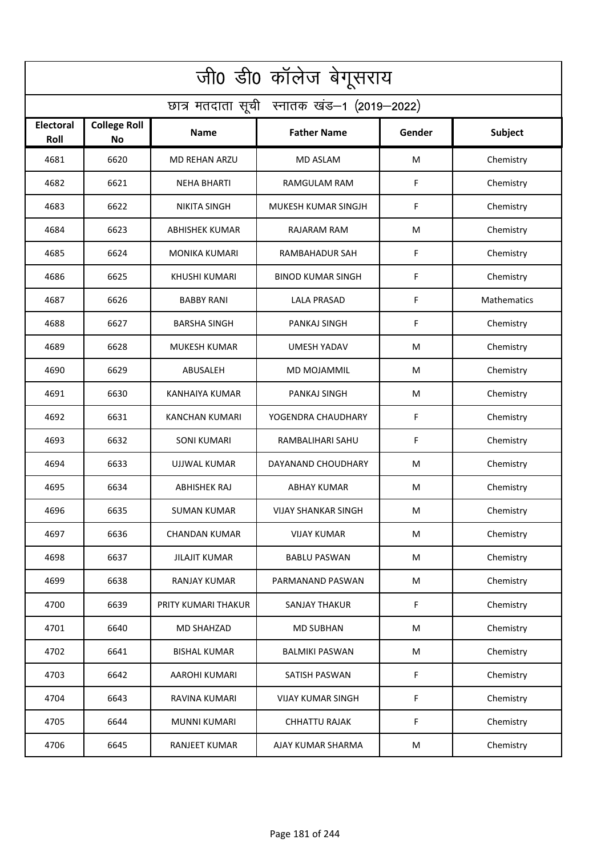| जी0 डी0 कॉलेज बेगूसराय                     |                                  |                       |                            |        |             |  |  |  |
|--------------------------------------------|----------------------------------|-----------------------|----------------------------|--------|-------------|--|--|--|
| छात्र मतदाता सूची स्नातक खंड-1 (2019-2022) |                                  |                       |                            |        |             |  |  |  |
| <b>Electoral</b><br>Roll                   | <b>College Roll</b><br><b>No</b> | Name                  | <b>Father Name</b>         | Gender | Subject     |  |  |  |
| 4681                                       | 6620                             | <b>MD REHAN ARZU</b>  | <b>MD ASLAM</b>            | M      | Chemistry   |  |  |  |
| 4682                                       | 6621                             | <b>NEHA BHARTI</b>    | RAMGULAM RAM               | F      | Chemistry   |  |  |  |
| 4683                                       | 6622                             | NIKITA SINGH          | MUKESH KUMAR SINGJH        | F      | Chemistry   |  |  |  |
| 4684                                       | 6623                             | <b>ABHISHEK KUMAR</b> | RAJARAM RAM                | M      | Chemistry   |  |  |  |
| 4685                                       | 6624                             | <b>MONIKA KUMARI</b>  | RAMBAHADUR SAH             | F      | Chemistry   |  |  |  |
| 4686                                       | 6625                             | <b>KHUSHI KUMARI</b>  | <b>BINOD KUMAR SINGH</b>   | F      | Chemistry   |  |  |  |
| 4687                                       | 6626                             | <b>BABBY RANI</b>     | <b>LALA PRASAD</b>         | F      | Mathematics |  |  |  |
| 4688                                       | 6627                             | <b>BARSHA SINGH</b>   | PANKAJ SINGH               | F      | Chemistry   |  |  |  |
| 4689                                       | 6628                             | <b>MUKESH KUMAR</b>   | <b>UMESH YADAV</b>         | M      | Chemistry   |  |  |  |
| 4690                                       | 6629                             | ABUSALEH              | MD MOJAMMIL                | M      | Chemistry   |  |  |  |
| 4691                                       | 6630                             | KANHAIYA KUMAR        | PANKAJ SINGH               | M      | Chemistry   |  |  |  |
| 4692                                       | 6631                             | KANCHAN KUMARI        | YOGENDRA CHAUDHARY         | F      | Chemistry   |  |  |  |
| 4693                                       | 6632                             | SONI KUMARI           | RAMBALIHARI SAHU           | F      | Chemistry   |  |  |  |
| 4694                                       | 6633                             | UJJWAL KUMAR          | DAYANAND CHOUDHARY         | M      | Chemistry   |  |  |  |
| 4695                                       | 6634                             | ABHISHEK RAJ          | ABHAY KUMAR                | M      | Chemistry   |  |  |  |
| 4696                                       | 6635                             | <b>SUMAN KUMAR</b>    | <b>VIJAY SHANKAR SINGH</b> | M      | Chemistry   |  |  |  |
| 4697                                       | 6636                             | CHANDAN KUMAR         | VIJAY KUMAR                | M      | Chemistry   |  |  |  |
| 4698                                       | 6637                             | <b>JILAJIT KUMAR</b>  | <b>BABLU PASWAN</b>        | M      | Chemistry   |  |  |  |
| 4699                                       | 6638                             | RANJAY KUMAR          | PARMANAND PASWAN           | M      | Chemistry   |  |  |  |
| 4700                                       | 6639                             | PRITY KUMARI THAKUR   | <b>SANJAY THAKUR</b>       | F      | Chemistry   |  |  |  |
| 4701                                       | 6640                             | <b>MD SHAHZAD</b>     | <b>MD SUBHAN</b>           | M      | Chemistry   |  |  |  |
| 4702                                       | 6641                             | <b>BISHAL KUMAR</b>   | <b>BALMIKI PASWAN</b>      | M      | Chemistry   |  |  |  |
| 4703                                       | 6642                             | <b>AAROHI KUMARI</b>  | SATISH PASWAN              | F      | Chemistry   |  |  |  |
| 4704                                       | 6643                             | RAVINA KUMARI         | <b>VIJAY KUMAR SINGH</b>   | F      | Chemistry   |  |  |  |
| 4705                                       | 6644                             | MUNNI KUMARI          | <b>CHHATTU RAJAK</b>       | F      | Chemistry   |  |  |  |
| 4706                                       | 6645                             | <b>RANJEET KUMAR</b>  | AJAY KUMAR SHARMA          | M      | Chemistry   |  |  |  |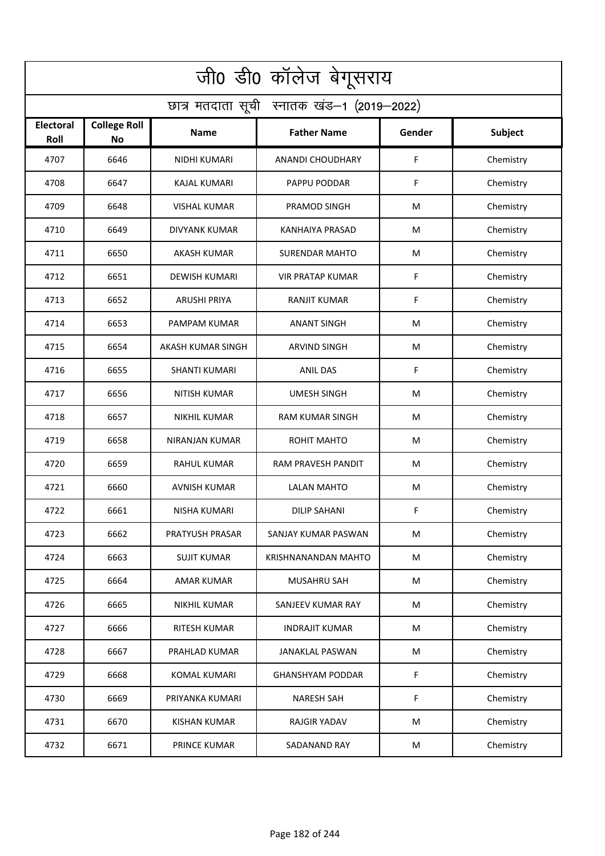| जी0 डी0 कॉलेज बेगूसराय                     |                                  |                      |                         |        |           |  |  |  |
|--------------------------------------------|----------------------------------|----------------------|-------------------------|--------|-----------|--|--|--|
| छात्र मतदाता सूची स्नातक खंड-1 (2019-2022) |                                  |                      |                         |        |           |  |  |  |
| <b>Electoral</b><br>Roll                   | <b>College Roll</b><br><b>No</b> | Name                 | <b>Father Name</b>      | Gender | Subject   |  |  |  |
| 4707                                       | 6646                             | NIDHI KUMARI         | <b>ANANDI CHOUDHARY</b> | F      | Chemistry |  |  |  |
| 4708                                       | 6647                             | <b>KAJAL KUMARI</b>  | PAPPU PODDAR            | F      | Chemistry |  |  |  |
| 4709                                       | 6648                             | VISHAL KUMAR         | PRAMOD SINGH            | M      | Chemistry |  |  |  |
| 4710                                       | 6649                             | <b>DIVYANK KUMAR</b> | KANHAIYA PRASAD         | M      | Chemistry |  |  |  |
| 4711                                       | 6650                             | <b>AKASH KUMAR</b>   | <b>SURENDAR MAHTO</b>   | M      | Chemistry |  |  |  |
| 4712                                       | 6651                             | <b>DEWISH KUMARI</b> | <b>VIR PRATAP KUMAR</b> | F      | Chemistry |  |  |  |
| 4713                                       | 6652                             | <b>ARUSHI PRIYA</b>  | <b>RANJIT KUMAR</b>     | F      | Chemistry |  |  |  |
| 4714                                       | 6653                             | PAMPAM KUMAR         | <b>ANANT SINGH</b>      | M      | Chemistry |  |  |  |
| 4715                                       | 6654                             | AKASH KUMAR SINGH    | <b>ARVIND SINGH</b>     | M      | Chemistry |  |  |  |
| 4716                                       | 6655                             | <b>SHANTI KUMARI</b> | <b>ANIL DAS</b>         | F      | Chemistry |  |  |  |
| 4717                                       | 6656                             | <b>NITISH KUMAR</b>  | <b>UMESH SINGH</b>      | M      | Chemistry |  |  |  |
| 4718                                       | 6657                             | <b>NIKHIL KUMAR</b>  | RAM KUMAR SINGH         | M      | Chemistry |  |  |  |
| 4719                                       | 6658                             | NIRANJAN KUMAR       | ROHIT MAHTO             | M      | Chemistry |  |  |  |
| 4720                                       | 6659                             | <b>RAHUL KUMAR</b>   | RAM PRAVESH PANDIT      | M      | Chemistry |  |  |  |
| 4721                                       | 6660                             | AVNISH KUMAR         | <b>LALAN MAHTO</b>      | M      | Chemistry |  |  |  |
| 4722                                       | 6661                             | NISHA KUMARI         | <b>DILIP SAHANI</b>     | F      | Chemistry |  |  |  |
| 4723                                       | 6662                             | PRATYUSH PRASAR      | SANJAY KUMAR PASWAN     | M      | Chemistry |  |  |  |
| 4724                                       | 6663                             | <b>SUJIT KUMAR</b>   | KRISHNANANDAN MAHTO     | M      | Chemistry |  |  |  |
| 4725                                       | 6664                             | AMAR KUMAR           | MUSAHRU SAH             | M      | Chemistry |  |  |  |
| 4726                                       | 6665                             | NIKHIL KUMAR         | SANJEEV KUMAR RAY       | M      | Chemistry |  |  |  |
| 4727                                       | 6666                             | <b>RITESH KUMAR</b>  | <b>INDRAJIT KUMAR</b>   | M      | Chemistry |  |  |  |
| 4728                                       | 6667                             | PRAHLAD KUMAR        | JANAKLAL PASWAN         | M      | Chemistry |  |  |  |
| 4729                                       | 6668                             | <b>KOMAL KUMARI</b>  | <b>GHANSHYAM PODDAR</b> | F      | Chemistry |  |  |  |
| 4730                                       | 6669                             | PRIYANKA KUMARI      | <b>NARESH SAH</b>       | F      | Chemistry |  |  |  |
| 4731                                       | 6670                             | <b>KISHAN KUMAR</b>  | <b>RAJGIR YADAV</b>     | M      | Chemistry |  |  |  |
| 4732                                       | 6671                             | <b>PRINCE KUMAR</b>  | SADANAND RAY            | M      | Chemistry |  |  |  |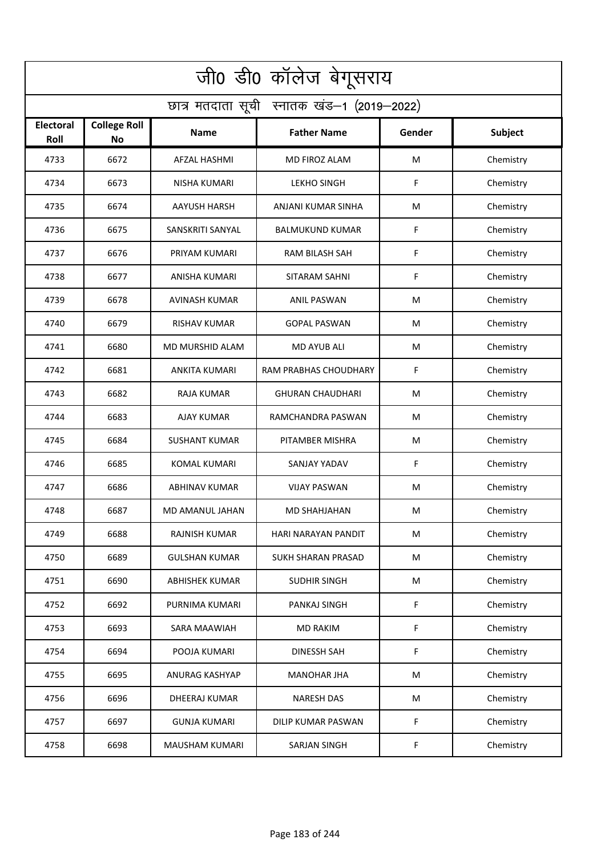| जी0 डी0 कॉलेज बेगूसराय                     |                                  |                       |                         |        |           |  |  |  |
|--------------------------------------------|----------------------------------|-----------------------|-------------------------|--------|-----------|--|--|--|
| छात्र मतदाता सूची स्नातक खंड-1 (2019-2022) |                                  |                       |                         |        |           |  |  |  |
| <b>Electoral</b><br>Roll                   | <b>College Roll</b><br><b>No</b> | Name                  | <b>Father Name</b>      | Gender | Subject   |  |  |  |
| 4733                                       | 6672                             | <b>AFZAL HASHMI</b>   | MD FIROZ ALAM           | M      | Chemistry |  |  |  |
| 4734                                       | 6673                             | <b>NISHA KUMARI</b>   | <b>LEKHO SINGH</b>      | F      | Chemistry |  |  |  |
| 4735                                       | 6674                             | AAYUSH HARSH          | ANJANI KUMAR SINHA      | M      | Chemistry |  |  |  |
| 4736                                       | 6675                             | SANSKRITI SANYAL      | <b>BALMUKUND KUMAR</b>  | F      | Chemistry |  |  |  |
| 4737                                       | 6676                             | PRIYAM KUMARI         | RAM BILASH SAH          | F      | Chemistry |  |  |  |
| 4738                                       | 6677                             | ANISHA KUMARI         | SITARAM SAHNI           | F      | Chemistry |  |  |  |
| 4739                                       | 6678                             | <b>AVINASH KUMAR</b>  | <b>ANIL PASWAN</b>      | M      | Chemistry |  |  |  |
| 4740                                       | 6679                             | <b>RISHAV KUMAR</b>   | <b>GOPAL PASWAN</b>     | M      | Chemistry |  |  |  |
| 4741                                       | 6680                             | MD MURSHID ALAM       | <b>MD AYUB ALI</b>      | M      | Chemistry |  |  |  |
| 4742                                       | 6681                             | <b>ANKITA KUMARI</b>  | RAM PRABHAS CHOUDHARY   | F      | Chemistry |  |  |  |
| 4743                                       | 6682                             | RAJA KUMAR            | <b>GHURAN CHAUDHARI</b> | M      | Chemistry |  |  |  |
| 4744                                       | 6683                             | <b>AJAY KUMAR</b>     | RAMCHANDRA PASWAN       | M      | Chemistry |  |  |  |
| 4745                                       | 6684                             | <b>SUSHANT KUMAR</b>  | PITAMBER MISHRA         | M      | Chemistry |  |  |  |
| 4746                                       | 6685                             | KOMAL KUMARI          | SANJAY YADAV            | F      | Chemistry |  |  |  |
| 4747                                       | 6686                             | <b>ABHINAV KUMAR</b>  | <b>VIJAY PASWAN</b>     | M      | Chemistry |  |  |  |
| 4748                                       | 6687                             | MD AMANUL JAHAN       | MD SHAHJAHAN            | M      | Chemistry |  |  |  |
| 4749                                       | 6688                             | <b>RAJNISH KUMAR</b>  | HARI NARAYAN PANDIT     | M      | Chemistry |  |  |  |
| 4750                                       | 6689                             | <b>GULSHAN KUMAR</b>  | SUKH SHARAN PRASAD      | M      | Chemistry |  |  |  |
| 4751                                       | 6690                             | ABHISHEK KUMAR        | <b>SUDHIR SINGH</b>     | M      | Chemistry |  |  |  |
| 4752                                       | 6692                             | PURNIMA KUMARI        | PANKAJ SINGH            | F      | Chemistry |  |  |  |
| 4753                                       | 6693                             | SARA MAAWIAH          | <b>MD RAKIM</b>         | F      | Chemistry |  |  |  |
| 4754                                       | 6694                             | POOJA KUMARI          | <b>DINESSH SAH</b>      | F      | Chemistry |  |  |  |
| 4755                                       | 6695                             | ANURAG KASHYAP        | <b>MANOHAR JHA</b>      | M      | Chemistry |  |  |  |
| 4756                                       | 6696                             | <b>DHEERAJ KUMAR</b>  | <b>NARESH DAS</b>       | M      | Chemistry |  |  |  |
| 4757                                       | 6697                             | <b>GUNJA KUMARI</b>   | DILIP KUMAR PASWAN      | F      | Chemistry |  |  |  |
| 4758                                       | 6698                             | <b>MAUSHAM KUMARI</b> | SARJAN SINGH            | F      | Chemistry |  |  |  |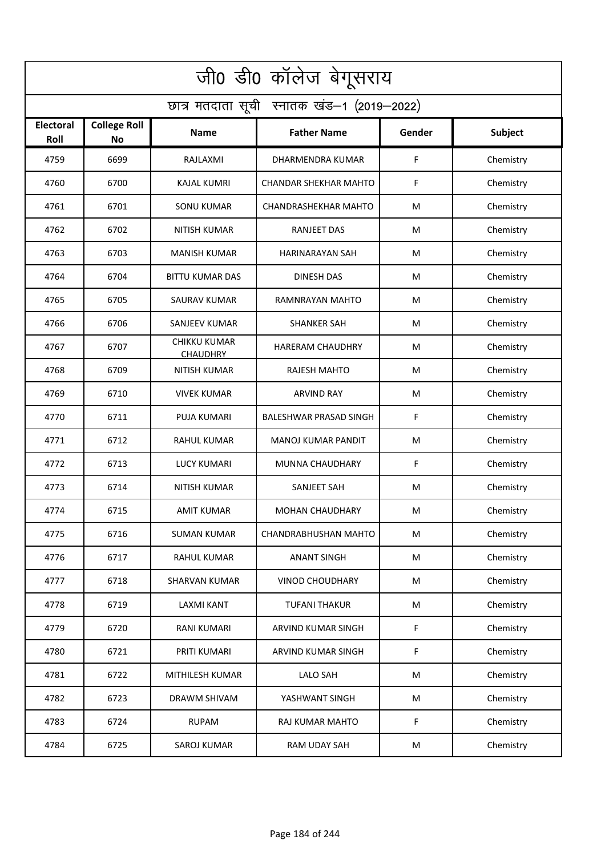| जी0 डी0 कॉलेज बेगूसराय                     |                                  |                                        |                               |        |           |  |  |  |
|--------------------------------------------|----------------------------------|----------------------------------------|-------------------------------|--------|-----------|--|--|--|
| छात्र मतदाता सूची स्नातक खंड-1 (2019-2022) |                                  |                                        |                               |        |           |  |  |  |
| <b>Electoral</b><br>Roll                   | <b>College Roll</b><br><b>No</b> | Name                                   | <b>Father Name</b>            | Gender | Subject   |  |  |  |
| 4759                                       | 6699                             | RAJLAXMI                               | <b>DHARMENDRA KUMAR</b>       | F      | Chemistry |  |  |  |
| 4760                                       | 6700                             | <b>KAJAL KUMRI</b>                     | <b>CHANDAR SHEKHAR MAHTO</b>  | F      | Chemistry |  |  |  |
| 4761                                       | 6701                             | <b>SONU KUMAR</b>                      | CHANDRASHEKHAR MAHTO          | M      | Chemistry |  |  |  |
| 4762                                       | 6702                             | <b>NITISH KUMAR</b>                    | <b>RANJEET DAS</b>            | M      | Chemistry |  |  |  |
| 4763                                       | 6703                             | <b>MANISH KUMAR</b>                    | <b>HARINARAYAN SAH</b>        | M      | Chemistry |  |  |  |
| 4764                                       | 6704                             | <b>BITTU KUMAR DAS</b>                 | <b>DINESH DAS</b>             | M      | Chemistry |  |  |  |
| 4765                                       | 6705                             | <b>SAURAV KUMAR</b>                    | RAMNRAYAN MAHTO               | M      | Chemistry |  |  |  |
| 4766                                       | 6706                             | <b>SANJEEV KUMAR</b>                   | <b>SHANKER SAH</b>            | M      | Chemistry |  |  |  |
| 4767                                       | 6707                             | <b>CHIKKU KUMAR</b><br><b>CHAUDHRY</b> | <b>HARERAM CHAUDHRY</b>       | M      | Chemistry |  |  |  |
| 4768                                       | 6709                             | <b>NITISH KUMAR</b>                    | RAJESH MAHTO                  | M      | Chemistry |  |  |  |
| 4769                                       | 6710                             | <b>VIVEK KUMAR</b>                     | <b>ARVIND RAY</b>             | M      | Chemistry |  |  |  |
| 4770                                       | 6711                             | <b>PUJA KUMARI</b>                     | <b>BALESHWAR PRASAD SINGH</b> | F      | Chemistry |  |  |  |
| 4771                                       | 6712                             | RAHUL KUMAR                            | MANOJ KUMAR PANDIT            | M      | Chemistry |  |  |  |
| 4772                                       | 6713                             | <b>LUCY KUMARI</b>                     | MUNNA CHAUDHARY               | F      | Chemistry |  |  |  |
| 4773                                       | 6714                             | NITISH KUMAR                           | SANJEET SAH                   | M      | Chemistry |  |  |  |
| 4774                                       | 6715                             | AMIT KUMAR                             | <b>MOHAN CHAUDHARY</b>        | M      | Chemistry |  |  |  |
| 4775                                       | 6716                             | <b>SUMAN KUMAR</b>                     | CHANDRABHUSHAN MAHTO          | M      | Chemistry |  |  |  |
| 4776                                       | 6717                             | RAHUL KUMAR                            | <b>ANANT SINGH</b>            | M      | Chemistry |  |  |  |
| 4777                                       | 6718                             | <b>SHARVAN KUMAR</b>                   | <b>VINOD CHOUDHARY</b>        | M      | Chemistry |  |  |  |
| 4778                                       | 6719                             | LAXMI KANT                             | <b>TUFANI THAKUR</b>          | M      | Chemistry |  |  |  |
| 4779                                       | 6720                             | <b>RANI KUMARI</b>                     | ARVIND KUMAR SINGH            | F      | Chemistry |  |  |  |
| 4780                                       | 6721                             | PRITI KUMARI                           | ARVIND KUMAR SINGH            | F      | Chemistry |  |  |  |
| 4781                                       | 6722                             | MITHILESH KUMAR                        | <b>LALO SAH</b>               | M      | Chemistry |  |  |  |
| 4782                                       | 6723                             | DRAWM SHIVAM                           | YASHWANT SINGH                | M      | Chemistry |  |  |  |
| 4783                                       | 6724                             | <b>RUPAM</b>                           | RAJ KUMAR MAHTO               | F      | Chemistry |  |  |  |
| 4784                                       | 6725                             | SAROJ KUMAR                            | RAM UDAY SAH                  | M      | Chemistry |  |  |  |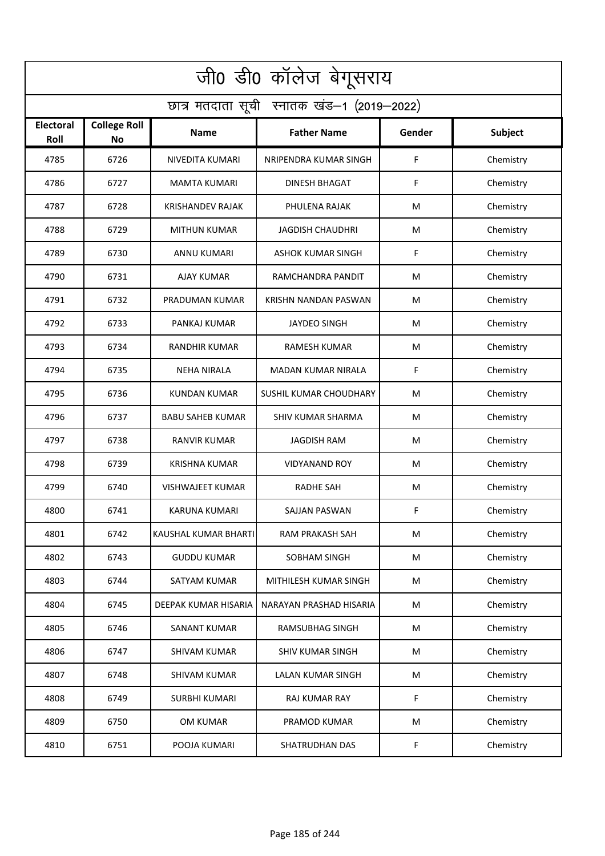| जी0 डी0 कॉलेज बेगूसराय                     |                                  |                         |                          |        |           |  |  |  |
|--------------------------------------------|----------------------------------|-------------------------|--------------------------|--------|-----------|--|--|--|
| छात्र मतदाता सूची स्नातक खंड-1 (2019-2022) |                                  |                         |                          |        |           |  |  |  |
| <b>Electoral</b><br>Roll                   | <b>College Roll</b><br><b>No</b> | Name                    | <b>Father Name</b>       | Gender | Subject   |  |  |  |
| 4785                                       | 6726                             | NIVEDITA KUMARI         | NRIPENDRA KUMAR SINGH    | F      | Chemistry |  |  |  |
| 4786                                       | 6727                             | <b>MAMTA KUMARI</b>     | <b>DINESH BHAGAT</b>     | F      | Chemistry |  |  |  |
| 4787                                       | 6728                             | KRISHANDEV RAJAK        | PHULENA RAJAK            | M      | Chemistry |  |  |  |
| 4788                                       | 6729                             | <b>MITHUN KUMAR</b>     | <b>JAGDISH CHAUDHRI</b>  | M      | Chemistry |  |  |  |
| 4789                                       | 6730                             | <b>ANNU KUMARI</b>      | <b>ASHOK KUMAR SINGH</b> | F      | Chemistry |  |  |  |
| 4790                                       | 6731                             | <b>AJAY KUMAR</b>       | RAMCHANDRA PANDIT        | M      | Chemistry |  |  |  |
| 4791                                       | 6732                             | PRADUMAN KUMAR          | KRISHN NANDAN PASWAN     | M      | Chemistry |  |  |  |
| 4792                                       | 6733                             | PANKAJ KUMAR            | <b>JAYDEO SINGH</b>      | M      | Chemistry |  |  |  |
| 4793                                       | 6734                             | <b>RANDHIR KUMAR</b>    | <b>RAMESH KUMAR</b>      | M      | Chemistry |  |  |  |
| 4794                                       | 6735                             | <b>NEHA NIRALA</b>      | MADAN KUMAR NIRALA       | F      | Chemistry |  |  |  |
| 4795                                       | 6736                             | KUNDAN KUMAR            | SUSHIL KUMAR CHOUDHARY   | M      | Chemistry |  |  |  |
| 4796                                       | 6737                             | <b>BABU SAHEB KUMAR</b> | <b>SHIV KUMAR SHARMA</b> | M      | Chemistry |  |  |  |
| 4797                                       | 6738                             | RANVIR KUMAR            | JAGDISH RAM              | M      | Chemistry |  |  |  |
| 4798                                       | 6739                             | <b>KRISHNA KUMAR</b>    | <b>VIDYANAND ROY</b>     | M      | Chemistry |  |  |  |
| 4799                                       | 6740                             | <b>VISHWAJEET KUMAR</b> | <b>RADHE SAH</b>         | M      | Chemistry |  |  |  |
| 4800                                       | 6741                             | KARUNA KUMARI           | SAJJAN PASWAN            | F      | Chemistry |  |  |  |
| 4801                                       | 6742                             | KAUSHAL KUMAR BHARTI    | RAM PRAKASH SAH          | M      | Chemistry |  |  |  |
| 4802                                       | 6743                             | <b>GUDDU KUMAR</b>      | SOBHAM SINGH             | M      | Chemistry |  |  |  |
| 4803                                       | 6744                             | SATYAM KUMAR            | MITHILESH KUMAR SINGH    | M      | Chemistry |  |  |  |
| 4804                                       | 6745                             | DEEPAK KUMAR HISARIA    | NARAYAN PRASHAD HISARIA  | M      | Chemistry |  |  |  |
| 4805                                       | 6746                             | <b>SANANT KUMAR</b>     | RAMSUBHAG SINGH          | M      | Chemistry |  |  |  |
| 4806                                       | 6747                             | SHIVAM KUMAR            | <b>SHIV KUMAR SINGH</b>  | M      | Chemistry |  |  |  |
| 4807                                       | 6748                             | <b>SHIVAM KUMAR</b>     | LALAN KUMAR SINGH        | M      | Chemistry |  |  |  |
| 4808                                       | 6749                             | <b>SURBHI KUMARI</b>    | <b>RAJ KUMAR RAY</b>     | F      | Chemistry |  |  |  |
| 4809                                       | 6750                             | OM KUMAR                | PRAMOD KUMAR             | M      | Chemistry |  |  |  |
| 4810                                       | 6751                             | POOJA KUMARI            | <b>SHATRUDHAN DAS</b>    | F      | Chemistry |  |  |  |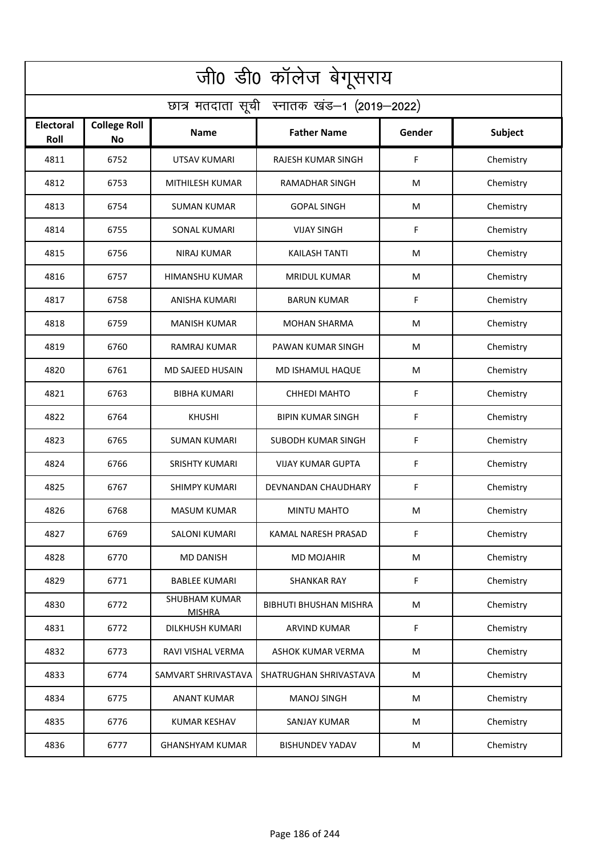| जी0 डी0 कॉलेज बेगूसराय                     |                                  |                                       |                               |        |           |  |  |  |
|--------------------------------------------|----------------------------------|---------------------------------------|-------------------------------|--------|-----------|--|--|--|
| छात्र मतदाता सूची स्नातक खंड-1 (2019-2022) |                                  |                                       |                               |        |           |  |  |  |
| <b>Electoral</b><br>Roll                   | <b>College Roll</b><br><b>No</b> | <b>Name</b>                           | <b>Father Name</b>            | Gender | Subject   |  |  |  |
| 4811                                       | 6752                             | <b>UTSAV KUMARI</b>                   | RAJESH KUMAR SINGH            | F      | Chemistry |  |  |  |
| 4812                                       | 6753                             | MITHILESH KUMAR                       | <b>RAMADHAR SINGH</b>         | M      | Chemistry |  |  |  |
| 4813                                       | 6754                             | <b>SUMAN KUMAR</b>                    | <b>GOPAL SINGH</b>            | M      | Chemistry |  |  |  |
| 4814                                       | 6755                             | <b>SONAL KUMARI</b>                   | <b>VIJAY SINGH</b>            | F      | Chemistry |  |  |  |
| 4815                                       | 6756                             | <b>NIRAJ KUMAR</b>                    | KAILASH TANTI                 | M      | Chemistry |  |  |  |
| 4816                                       | 6757                             | HIMANSHU KUMAR                        | <b>MRIDUL KUMAR</b>           | M      | Chemistry |  |  |  |
| 4817                                       | 6758                             | ANISHA KUMARI                         | <b>BARUN KUMAR</b>            | F      | Chemistry |  |  |  |
| 4818                                       | 6759                             | <b>MANISH KUMAR</b>                   | <b>MOHAN SHARMA</b>           | M      | Chemistry |  |  |  |
| 4819                                       | 6760                             | RAMRAJ KUMAR                          | PAWAN KUMAR SINGH             | M      | Chemistry |  |  |  |
| 4820                                       | 6761                             | MD SAJEED HUSAIN                      | MD ISHAMUL HAQUE              | M      | Chemistry |  |  |  |
| 4821                                       | 6763                             | <b>BIBHA KUMARI</b>                   | <b>CHHEDI MAHTO</b>           | F      | Chemistry |  |  |  |
| 4822                                       | 6764                             | <b>KHUSHI</b>                         | <b>BIPIN KUMAR SINGH</b>      | F      | Chemistry |  |  |  |
| 4823                                       | 6765                             | SUMAN KUMARI                          | SUBODH KUMAR SINGH            | F      | Chemistry |  |  |  |
| 4824                                       | 6766                             | <b>SRISHTY KUMARI</b>                 | <b>VIJAY KUMAR GUPTA</b>      | F      | Chemistry |  |  |  |
| 4825                                       | 6767                             | <b>SHIMPY KUMARI</b>                  | DEVNANDAN CHAUDHARY           | F      | Chemistry |  |  |  |
| 4826                                       | 6768                             | <b>MASUM KUMAR</b>                    | MINTU MAHTO                   | M      | Chemistry |  |  |  |
| 4827                                       | 6769                             | <b>SALONI KUMARI</b>                  | KAMAL NARESH PRASAD           | F      | Chemistry |  |  |  |
| 4828                                       | 6770                             | <b>MD DANISH</b>                      | <b>MD MOJAHIR</b>             | M      | Chemistry |  |  |  |
| 4829                                       | 6771                             | <b>BABLEE KUMARI</b>                  | <b>SHANKAR RAY</b>            | F      | Chemistry |  |  |  |
| 4830                                       | 6772                             | <b>SHUBHAM KUMAR</b><br><b>MISHRA</b> | <b>BIBHUTI BHUSHAN MISHRA</b> | M      | Chemistry |  |  |  |
| 4831                                       | 6772                             | DILKHUSH KUMARI                       | <b>ARVIND KUMAR</b>           | F      | Chemistry |  |  |  |
| 4832                                       | 6773                             | RAVI VISHAL VERMA                     | ASHOK KUMAR VERMA             | M      | Chemistry |  |  |  |
| 4833                                       | 6774                             | SAMVART SHRIVASTAVA                   | SHATRUGHAN SHRIVASTAVA        | M      | Chemistry |  |  |  |
| 4834                                       | 6775                             | <b>ANANT KUMAR</b>                    | <b>MANOJ SINGH</b>            | M      | Chemistry |  |  |  |
| 4835                                       | 6776                             | <b>KUMAR KESHAV</b>                   | SANJAY KUMAR                  | M      | Chemistry |  |  |  |
| 4836                                       | 6777                             | <b>GHANSHYAM KUMAR</b>                | <b>BISHUNDEV YADAV</b>        | M      | Chemistry |  |  |  |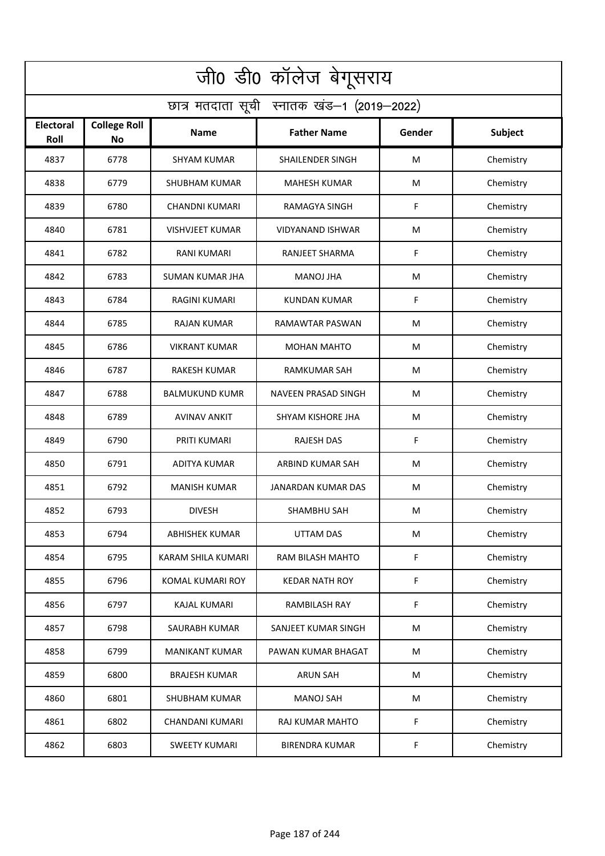| जी0 डी0 कॉलेज बेगूसराय                     |                                  |                        |                         |        |                |  |  |  |
|--------------------------------------------|----------------------------------|------------------------|-------------------------|--------|----------------|--|--|--|
| छात्र मतदाता सूची स्नातक खंड-1 (2019-2022) |                                  |                        |                         |        |                |  |  |  |
| <b>Electoral</b><br>Roll                   | <b>College Roll</b><br><b>No</b> | <b>Name</b>            | <b>Father Name</b>      | Gender | <b>Subject</b> |  |  |  |
| 4837                                       | 6778                             | <b>SHYAM KUMAR</b>     | SHAILENDER SINGH        | M      | Chemistry      |  |  |  |
| 4838                                       | 6779                             | <b>SHUBHAM KUMAR</b>   | <b>MAHESH KUMAR</b>     | M      | Chemistry      |  |  |  |
| 4839                                       | 6780                             | <b>CHANDNI KUMARI</b>  | RAMAGYA SINGH           | F      | Chemistry      |  |  |  |
| 4840                                       | 6781                             | <b>VISHVJEET KUMAR</b> | <b>VIDYANAND ISHWAR</b> | M      | Chemistry      |  |  |  |
| 4841                                       | 6782                             | <b>RANI KUMARI</b>     | RANJEET SHARMA          | F      | Chemistry      |  |  |  |
| 4842                                       | 6783                             | <b>SUMAN KUMAR JHA</b> | <b>MANOJ JHA</b>        | M      | Chemistry      |  |  |  |
| 4843                                       | 6784                             | <b>RAGINI KUMARI</b>   | <b>KUNDAN KUMAR</b>     | F      | Chemistry      |  |  |  |
| 4844                                       | 6785                             | <b>RAJAN KUMAR</b>     | RAMAWTAR PASWAN         | M      | Chemistry      |  |  |  |
| 4845                                       | 6786                             | <b>VIKRANT KUMAR</b>   | <b>MOHAN MAHTO</b>      | M      | Chemistry      |  |  |  |
| 4846                                       | 6787                             | RAKESH KUMAR           | RAMKUMAR SAH            | M      | Chemistry      |  |  |  |
| 4847                                       | 6788                             | <b>BALMUKUND KUMR</b>  | NAVEEN PRASAD SINGH     | M      | Chemistry      |  |  |  |
| 4848                                       | 6789                             | <b>AVINAV ANKIT</b>    | SHYAM KISHORE JHA       | M      | Chemistry      |  |  |  |
| 4849                                       | 6790                             | PRITI KUMARI           | <b>RAJESH DAS</b>       | F      | Chemistry      |  |  |  |
| 4850                                       | 6791                             | ADITYA KUMAR           | ARBIND KUMAR SAH        | M      | Chemistry      |  |  |  |
| 4851                                       | 6792                             | <b>MANISH KUMAR</b>    | JANARDAN KUMAR DAS      | M      | Chemistry      |  |  |  |
| 4852                                       | 6793                             | <b>DIVESH</b>          | SHAMBHU SAH             | M      | Chemistry      |  |  |  |
| 4853                                       | 6794                             | ABHISHEK KUMAR         | <b>UTTAM DAS</b>        | M      | Chemistry      |  |  |  |
| 4854                                       | 6795                             | KARAM SHILA KUMARI     | RAM BILASH MAHTO        | F      | Chemistry      |  |  |  |
| 4855                                       | 6796                             | KOMAL KUMARI ROY       | <b>KEDAR NATH ROY</b>   | F      | Chemistry      |  |  |  |
| 4856                                       | 6797                             | <b>KAJAL KUMARI</b>    | RAMBILASH RAY           | F      | Chemistry      |  |  |  |
| 4857                                       | 6798                             | SAURABH KUMAR          | SANJEET KUMAR SINGH     | M      | Chemistry      |  |  |  |
| 4858                                       | 6799                             | <b>MANIKANT KUMAR</b>  | PAWAN KUMAR BHAGAT      | M      | Chemistry      |  |  |  |
| 4859                                       | 6800                             | <b>BRAJESH KUMAR</b>   | <b>ARUN SAH</b>         | M      | Chemistry      |  |  |  |
| 4860                                       | 6801                             | <b>SHUBHAM KUMAR</b>   | <b>MANOJ SAH</b>        | M      | Chemistry      |  |  |  |
| 4861                                       | 6802                             | CHANDANI KUMARI        | RAJ KUMAR MAHTO         | F      | Chemistry      |  |  |  |
| 4862                                       | 6803                             | <b>SWEETY KUMARI</b>   | <b>BIRENDRA KUMAR</b>   | F      | Chemistry      |  |  |  |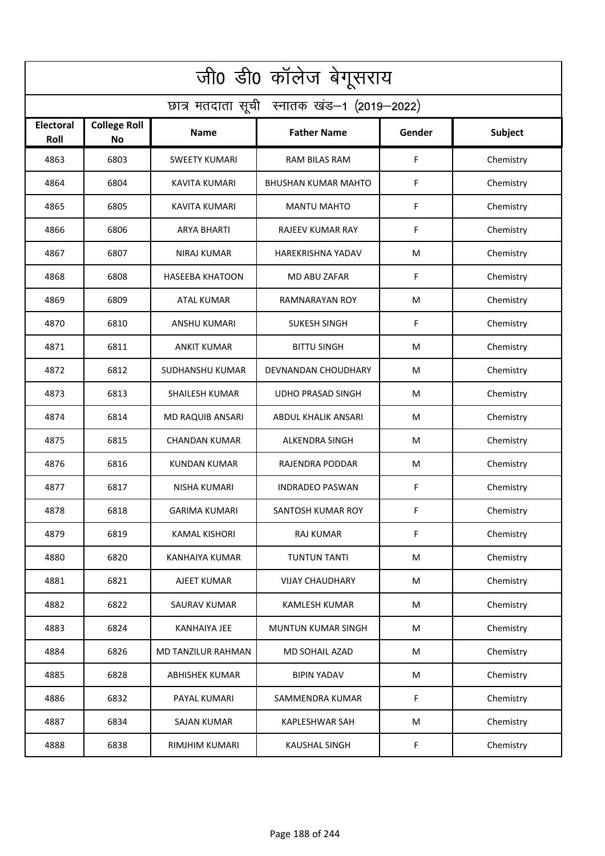| जी0 डी0 कॉलेज बेगूसराय                     |                                  |                        |                            |        |           |  |  |  |
|--------------------------------------------|----------------------------------|------------------------|----------------------------|--------|-----------|--|--|--|
| छात्र मतदाता सूची स्नातक खंड-1 (2019-2022) |                                  |                        |                            |        |           |  |  |  |
| <b>Electoral</b><br>Roll                   | <b>College Roll</b><br><b>No</b> | <b>Name</b>            | <b>Father Name</b>         | Gender | Subject   |  |  |  |
| 4863                                       | 6803                             | <b>SWEETY KUMARI</b>   | <b>RAM BILAS RAM</b>       | F      | Chemistry |  |  |  |
| 4864                                       | 6804                             | KAVITA KUMARI          | BHUSHAN KUMAR MAHTO        | F      | Chemistry |  |  |  |
| 4865                                       | 6805                             | KAVITA KUMARI          | <b>MANTU MAHTO</b>         | F      | Chemistry |  |  |  |
| 4866                                       | 6806                             | <b>ARYA BHARTI</b>     | RAJEEV KUMAR RAY           | F      | Chemistry |  |  |  |
| 4867                                       | 6807                             | <b>NIRAJ KUMAR</b>     | <b>HAREKRISHNA YADAV</b>   | M      | Chemistry |  |  |  |
| 4868                                       | 6808                             | <b>HASEEBA KHATOON</b> | MD ABU ZAFAR               | F      | Chemistry |  |  |  |
| 4869                                       | 6809                             | <b>ATAL KUMAR</b>      | RAMNARAYAN ROY             | M      | Chemistry |  |  |  |
| 4870                                       | 6810                             | <b>ANSHU KUMARI</b>    | <b>SUKESH SINGH</b>        | F      | Chemistry |  |  |  |
| 4871                                       | 6811                             | <b>ANKIT KUMAR</b>     | <b>BITTU SINGH</b>         | M      | Chemistry |  |  |  |
| 4872                                       | 6812                             | SUDHANSHU KUMAR        | DEVNANDAN CHOUDHARY        | M      | Chemistry |  |  |  |
| 4873                                       | 6813                             | <b>SHAILESH KUMAR</b>  | <b>UDHO PRASAD SINGH</b>   | M      | Chemistry |  |  |  |
| 4874                                       | 6814                             | MD RAQUIB ANSARI       | <b>ABDUL KHALIK ANSARI</b> | M      | Chemistry |  |  |  |
| 4875                                       | 6815                             | CHANDAN KUMAR          | ALKENDRA SINGH             | M      | Chemistry |  |  |  |
| 4876                                       | 6816                             | <b>KUNDAN KUMAR</b>    | RAJENDRA PODDAR            | M      | Chemistry |  |  |  |
| 4877                                       | 6817                             | NISHA KUMARI           | <b>INDRADEO PASWAN</b>     | F      | Chemistry |  |  |  |
| 4878                                       | 6818                             | <b>GARIMA KUMARI</b>   | SANTOSH KUMAR ROY          | F      | Chemistry |  |  |  |
| 4879                                       | 6819                             | <b>KAMAL KISHORI</b>   | <b>RAJ KUMAR</b>           | F      | Chemistry |  |  |  |
| 4880                                       | 6820                             | KANHAIYA KUMAR         | <b>TUNTUN TANTI</b>        | M      | Chemistry |  |  |  |
| 4881                                       | 6821                             | AJEET KUMAR            | <b>VIJAY CHAUDHARY</b>     | M      | Chemistry |  |  |  |
| 4882                                       | 6822                             | SAURAV KUMAR           | KAMLESH KUMAR              | M      | Chemistry |  |  |  |
| 4883                                       | 6824                             | <b>KANHAIYA JEE</b>    | <b>MUNTUN KUMAR SINGH</b>  | M      | Chemistry |  |  |  |
| 4884                                       | 6826                             | MD TANZILUR RAHMAN     | MD SOHAIL AZAD             | M      | Chemistry |  |  |  |
| 4885                                       | 6828                             | <b>ABHISHEK KUMAR</b>  | <b>BIPIN YADAV</b>         | M      | Chemistry |  |  |  |
| 4886                                       | 6832                             | PAYAL KUMARI           | SAMMENDRA KUMAR            | F      | Chemistry |  |  |  |
| 4887                                       | 6834                             | SAJAN KUMAR            | <b>KAPLESHWAR SAH</b>      | M      | Chemistry |  |  |  |
| 4888                                       | 6838                             | RIMJHIM KUMARI         | <b>KAUSHAL SINGH</b>       | F      | Chemistry |  |  |  |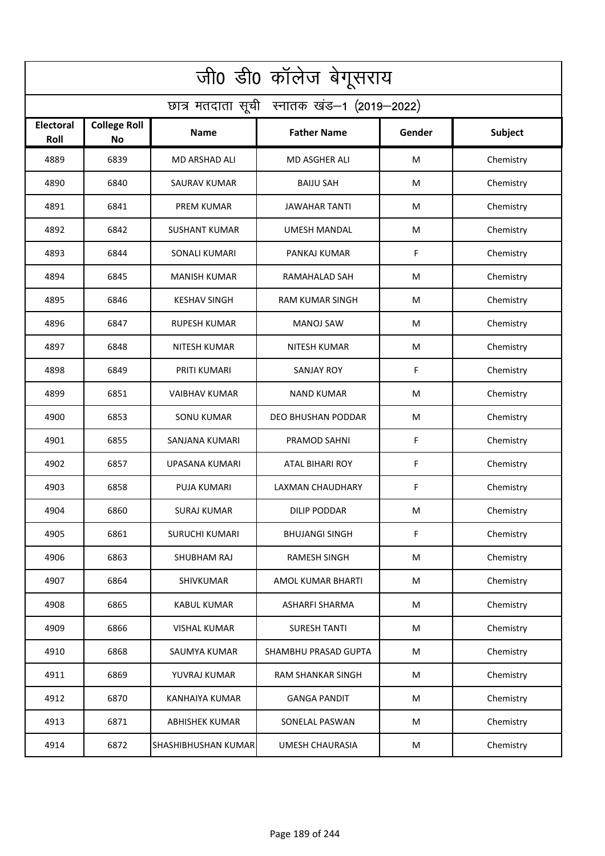| जी0 डी0 कॉलेज बेगूसराय                     |                                  |                       |                          |        |           |  |  |  |
|--------------------------------------------|----------------------------------|-----------------------|--------------------------|--------|-----------|--|--|--|
| छात्र मतदाता सूची स्नातक खंड-1 (2019-2022) |                                  |                       |                          |        |           |  |  |  |
| <b>Electoral</b><br>Roll                   | <b>College Roll</b><br><b>No</b> | <b>Name</b>           | <b>Father Name</b>       | Gender | Subject   |  |  |  |
| 4889                                       | 6839                             | MD ARSHAD ALI         | <b>MD ASGHER ALI</b>     | M      | Chemistry |  |  |  |
| 4890                                       | 6840                             | <b>SAURAV KUMAR</b>   | <b>BAIJU SAH</b>         | M      | Chemistry |  |  |  |
| 4891                                       | 6841                             | PREM KUMAR            | <b>JAWAHAR TANTI</b>     | M      | Chemistry |  |  |  |
| 4892                                       | 6842                             | <b>SUSHANT KUMAR</b>  | <b>UMESH MANDAL</b>      | M      | Chemistry |  |  |  |
| 4893                                       | 6844                             | <b>SONALI KUMARI</b>  | PANKAJ KUMAR             | F      | Chemistry |  |  |  |
| 4894                                       | 6845                             | <b>MANISH KUMAR</b>   | RAMAHALAD SAH            | M      | Chemistry |  |  |  |
| 4895                                       | 6846                             | <b>KESHAV SINGH</b>   | <b>RAM KUMAR SINGH</b>   | M      | Chemistry |  |  |  |
| 4896                                       | 6847                             | <b>RUPESH KUMAR</b>   | <b>MANOJ SAW</b>         | M      | Chemistry |  |  |  |
| 4897                                       | 6848                             | <b>NITESH KUMAR</b>   | <b>NITESH KUMAR</b>      | M      | Chemistry |  |  |  |
| 4898                                       | 6849                             | PRITI KUMARI          | SANJAY ROY               | F      | Chemistry |  |  |  |
| 4899                                       | 6851                             | <b>VAIBHAV KUMAR</b>  | NAND KUMAR               | M      | Chemistry |  |  |  |
| 4900                                       | 6853                             | <b>SONU KUMAR</b>     | DEO BHUSHAN PODDAR       | M      | Chemistry |  |  |  |
| 4901                                       | 6855                             | SANJANA KUMARI        | PRAMOD SAHNI             | F      | Chemistry |  |  |  |
| 4902                                       | 6857                             | UPASANA KUMARI        | <b>ATAL BIHARI ROY</b>   | F      | Chemistry |  |  |  |
| 4903                                       | 6858                             | PUJA KUMARI           | LAXMAN CHAUDHARY         | F      | Chemistry |  |  |  |
| 4904                                       | 6860                             | SURAJ KUMAR           | DILIP PODDAR             | M      | Chemistry |  |  |  |
| 4905                                       | 6861                             | <b>SURUCHI KUMARI</b> | <b>BHUJANGI SINGH</b>    | F      | Chemistry |  |  |  |
| 4906                                       | 6863                             | SHUBHAM RAJ           | RAMESH SINGH             | M      | Chemistry |  |  |  |
| 4907                                       | 6864                             | SHIVKUMAR             | AMOL KUMAR BHARTI        | M      | Chemistry |  |  |  |
| 4908                                       | 6865                             | <b>KABUL KUMAR</b>    | ASHARFI SHARMA           | M      | Chemistry |  |  |  |
| 4909                                       | 6866                             | <b>VISHAL KUMAR</b>   | <b>SURESH TANTI</b>      | M      | Chemistry |  |  |  |
| 4910                                       | 6868                             | SAUMYA KUMAR          | SHAMBHU PRASAD GUPTA     | M      | Chemistry |  |  |  |
| 4911                                       | 6869                             | YUVRAJ KUMAR          | <b>RAM SHANKAR SINGH</b> | M      | Chemistry |  |  |  |
| 4912                                       | 6870                             | <b>KANHAIYA KUMAR</b> | <b>GANGA PANDIT</b>      | M      | Chemistry |  |  |  |
| 4913                                       | 6871                             | ABHISHEK KUMAR        | SONELAL PASWAN           | M      | Chemistry |  |  |  |
| 4914                                       | 6872                             | SHASHIBHUSHAN KUMAR   | <b>UMESH CHAURASIA</b>   | M      | Chemistry |  |  |  |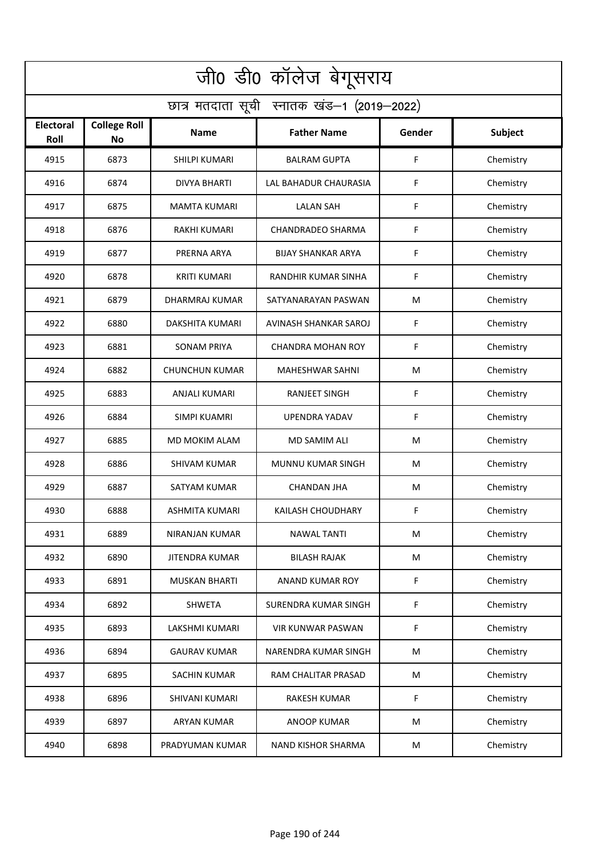| जी0 डी0 कॉलेज बेगूसराय                     |                                  |                        |                           |        |           |  |  |  |
|--------------------------------------------|----------------------------------|------------------------|---------------------------|--------|-----------|--|--|--|
| छात्र मतदाता सूची स्नातक खंड-1 (2019-2022) |                                  |                        |                           |        |           |  |  |  |
| <b>Electoral</b><br>Roll                   | <b>College Roll</b><br><b>No</b> | <b>Name</b>            | <b>Father Name</b>        | Gender | Subject   |  |  |  |
| 4915                                       | 6873                             | <b>SHILPI KUMARI</b>   | <b>BALRAM GUPTA</b>       | F      | Chemistry |  |  |  |
| 4916                                       | 6874                             | <b>DIVYA BHARTI</b>    | LAL BAHADUR CHAURASIA     | F      | Chemistry |  |  |  |
| 4917                                       | 6875                             | <b>MAMTA KUMARI</b>    | <b>LALAN SAH</b>          | F      | Chemistry |  |  |  |
| 4918                                       | 6876                             | <b>RAKHI KUMARI</b>    | <b>CHANDRADEO SHARMA</b>  | F      | Chemistry |  |  |  |
| 4919                                       | 6877                             | PRERNA ARYA            | <b>BIJAY SHANKAR ARYA</b> | F      | Chemistry |  |  |  |
| 4920                                       | 6878                             | <b>KRITI KUMARI</b>    | RANDHIR KUMAR SINHA       | F      | Chemistry |  |  |  |
| 4921                                       | 6879                             | DHARMRAJ KUMAR         | SATYANARAYAN PASWAN       | M      | Chemistry |  |  |  |
| 4922                                       | 6880                             | <b>DAKSHITA KUMARI</b> | AVINASH SHANKAR SAROJ     | F      | Chemistry |  |  |  |
| 4923                                       | 6881                             | <b>SONAM PRIYA</b>     | <b>CHANDRA MOHAN ROY</b>  | F      | Chemistry |  |  |  |
| 4924                                       | 6882                             | <b>CHUNCHUN KUMAR</b>  | <b>MAHESHWAR SAHNI</b>    | M      | Chemistry |  |  |  |
| 4925                                       | 6883                             | ANJALI KUMARI          | <b>RANJEET SINGH</b>      | F      | Chemistry |  |  |  |
| 4926                                       | 6884                             | <b>SIMPI KUAMRI</b>    | <b>UPENDRA YADAV</b>      | F      | Chemistry |  |  |  |
| 4927                                       | 6885                             | MD MOKIM ALAM          | MD SAMIM ALI              | M      | Chemistry |  |  |  |
| 4928                                       | 6886                             | <b>SHIVAM KUMAR</b>    | MUNNU KUMAR SINGH         | M      | Chemistry |  |  |  |
| 4929                                       | 6887                             | SATYAM KUMAR           | CHANDAN JHA               | M      | Chemistry |  |  |  |
| 4930                                       | 6888                             | ASHMITA KUMARI         | KAILASH CHOUDHARY         | F      | Chemistry |  |  |  |
| 4931                                       | 6889                             | NIRANJAN KUMAR         | <b>NAWAL TANTI</b>        | M      | Chemistry |  |  |  |
| 4932                                       | 6890                             | <b>JITENDRA KUMAR</b>  | <b>BILASH RAJAK</b>       | M      | Chemistry |  |  |  |
| 4933                                       | 6891                             | <b>MUSKAN BHARTI</b>   | ANAND KUMAR ROY           | F      | Chemistry |  |  |  |
| 4934                                       | 6892                             | <b>SHWETA</b>          | SURENDRA KUMAR SINGH      | F      | Chemistry |  |  |  |
| 4935                                       | 6893                             | <b>LAKSHMI KUMARI</b>  | <b>VIR KUNWAR PASWAN</b>  | F      | Chemistry |  |  |  |
| 4936                                       | 6894                             | <b>GAURAV KUMAR</b>    | NARENDRA KUMAR SINGH      | M      | Chemistry |  |  |  |
| 4937                                       | 6895                             | SACHIN KUMAR           | RAM CHALITAR PRASAD       | M      | Chemistry |  |  |  |
| 4938                                       | 6896                             | <b>SHIVANI KUMARI</b>  | <b>RAKESH KUMAR</b>       | F      | Chemistry |  |  |  |
| 4939                                       | 6897                             | ARYAN KUMAR            | ANOOP KUMAR               | M      | Chemistry |  |  |  |
| 4940                                       | 6898                             | PRADYUMAN KUMAR        | NAND KISHOR SHARMA        | M      | Chemistry |  |  |  |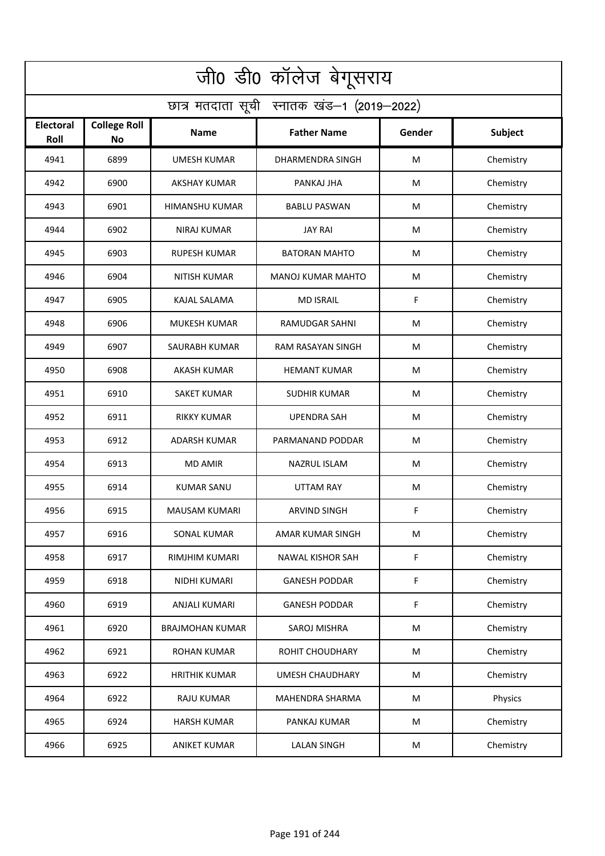| जी0 डी0 कॉलेज बेगूसराय                     |                                  |                        |                          |        |           |  |  |  |
|--------------------------------------------|----------------------------------|------------------------|--------------------------|--------|-----------|--|--|--|
| छात्र मतदाता सूची स्नातक खंड-1 (2019-2022) |                                  |                        |                          |        |           |  |  |  |
| <b>Electoral</b><br>Roll                   | <b>College Roll</b><br><b>No</b> | Name                   | <b>Father Name</b>       | Gender | Subject   |  |  |  |
| 4941                                       | 6899                             | <b>UMESH KUMAR</b>     | DHARMENDRA SINGH         | M      | Chemistry |  |  |  |
| 4942                                       | 6900                             | <b>AKSHAY KUMAR</b>    | PANKAJ JHA               | M      | Chemistry |  |  |  |
| 4943                                       | 6901                             | HIMANSHU KUMAR         | <b>BABLU PASWAN</b>      | M      | Chemistry |  |  |  |
| 4944                                       | 6902                             | <b>NIRAJ KUMAR</b>     | <b>JAY RAI</b>           | M      | Chemistry |  |  |  |
| 4945                                       | 6903                             | <b>RUPESH KUMAR</b>    | <b>BATORAN MAHTO</b>     | M      | Chemistry |  |  |  |
| 4946                                       | 6904                             | <b>NITISH KUMAR</b>    | <b>MANOJ KUMAR MAHTO</b> | M      | Chemistry |  |  |  |
| 4947                                       | 6905                             | <b>KAJAL SALAMA</b>    | <b>MD ISRAIL</b>         | F      | Chemistry |  |  |  |
| 4948                                       | 6906                             | <b>MUKESH KUMAR</b>    | RAMUDGAR SAHNI           | M      | Chemistry |  |  |  |
| 4949                                       | 6907                             | SAURABH KUMAR          | RAM RASAYAN SINGH        | M      | Chemistry |  |  |  |
| 4950                                       | 6908                             | AKASH KUMAR            | <b>HEMANT KUMAR</b>      | M      | Chemistry |  |  |  |
| 4951                                       | 6910                             | SAKET KUMAR            | <b>SUDHIR KUMAR</b>      | M      | Chemistry |  |  |  |
| 4952                                       | 6911                             | <b>RIKKY KUMAR</b>     | <b>UPENDRA SAH</b>       | M      | Chemistry |  |  |  |
| 4953                                       | 6912                             | ADARSH KUMAR           | PARMANAND PODDAR         | M      | Chemistry |  |  |  |
| 4954                                       | 6913                             | <b>MD AMIR</b>         | <b>NAZRUL ISLAM</b>      | M      | Chemistry |  |  |  |
| 4955                                       | 6914                             | KUMAR SANU             | UTTAM RAY                | M      | Chemistry |  |  |  |
| 4956                                       | 6915                             | <b>MAUSAM KUMARI</b>   | <b>ARVIND SINGH</b>      | F      | Chemistry |  |  |  |
| 4957                                       | 6916                             | SONAL KUMAR            | AMAR KUMAR SINGH         | M      | Chemistry |  |  |  |
| 4958                                       | 6917                             | RIMJHIM KUMARI         | NAWAL KISHOR SAH         | F      | Chemistry |  |  |  |
| 4959                                       | 6918                             | NIDHI KUMARI           | <b>GANESH PODDAR</b>     | F      | Chemistry |  |  |  |
| 4960                                       | 6919                             | ANJALI KUMARI          | <b>GANESH PODDAR</b>     | F      | Chemistry |  |  |  |
| 4961                                       | 6920                             | <b>BRAJMOHAN KUMAR</b> | <b>SAROJ MISHRA</b>      | M      | Chemistry |  |  |  |
| 4962                                       | 6921                             | ROHAN KUMAR            | <b>ROHIT CHOUDHARY</b>   | M      | Chemistry |  |  |  |
| 4963                                       | 6922                             | <b>HRITHIK KUMAR</b>   | <b>UMESH CHAUDHARY</b>   | M      | Chemistry |  |  |  |
| 4964                                       | 6922                             | RAJU KUMAR             | <b>MAHENDRA SHARMA</b>   | M      | Physics   |  |  |  |
| 4965                                       | 6924                             | <b>HARSH KUMAR</b>     | PANKAJ KUMAR             | M      | Chemistry |  |  |  |
| 4966                                       | 6925                             | <b>ANIKET KUMAR</b>    | <b>LALAN SINGH</b>       | M      | Chemistry |  |  |  |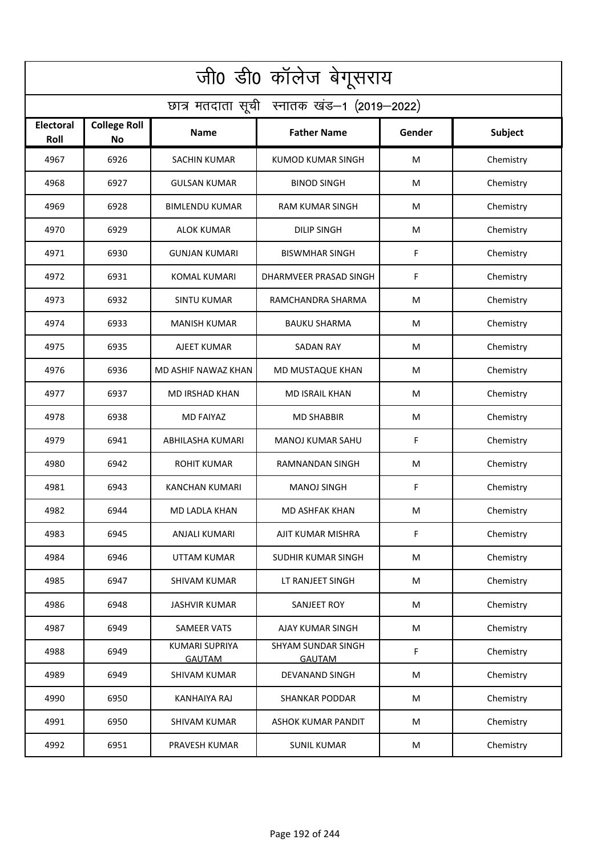| जी0 डी0 कॉलेज बेगूसराय                     |                                  |                                        |                                     |        |           |  |  |  |
|--------------------------------------------|----------------------------------|----------------------------------------|-------------------------------------|--------|-----------|--|--|--|
| छात्र मतदाता सूची स्नातक खंड-1 (2019-2022) |                                  |                                        |                                     |        |           |  |  |  |
| <b>Electoral</b><br>Roll                   | <b>College Roll</b><br><b>No</b> | <b>Name</b>                            | <b>Father Name</b>                  | Gender | Subject   |  |  |  |
| 4967                                       | 6926                             | <b>SACHIN KUMAR</b>                    | <b>KUMOD KUMAR SINGH</b>            | M      | Chemistry |  |  |  |
| 4968                                       | 6927                             | <b>GULSAN KUMAR</b>                    | <b>BINOD SINGH</b>                  | M      | Chemistry |  |  |  |
| 4969                                       | 6928                             | <b>BIMLENDU KUMAR</b>                  | <b>RAM KUMAR SINGH</b>              | M      | Chemistry |  |  |  |
| 4970                                       | 6929                             | <b>ALOK KUMAR</b>                      | <b>DILIP SINGH</b>                  | M      | Chemistry |  |  |  |
| 4971                                       | 6930                             | <b>GUNJAN KUMARI</b>                   | <b>BISWMHAR SINGH</b>               | F      | Chemistry |  |  |  |
| 4972                                       | 6931                             | <b>KOMAL KUMARI</b>                    | DHARMVEER PRASAD SINGH              | F      | Chemistry |  |  |  |
| 4973                                       | 6932                             | <b>SINTU KUMAR</b>                     | RAMCHANDRA SHARMA                   | M      | Chemistry |  |  |  |
| 4974                                       | 6933                             | <b>MANISH KUMAR</b>                    | <b>BAUKU SHARMA</b>                 | M      | Chemistry |  |  |  |
| 4975                                       | 6935                             | AJEET KUMAR                            | <b>SADAN RAY</b>                    | M      | Chemistry |  |  |  |
| 4976                                       | 6936                             | MD ASHIF NAWAZ KHAN                    | MD MUSTAQUE KHAN                    | M      | Chemistry |  |  |  |
| 4977                                       | 6937                             | <b>MD IRSHAD KHAN</b>                  | <b>MD ISRAIL KHAN</b>               | M      | Chemistry |  |  |  |
| 4978                                       | 6938                             | <b>MD FAIYAZ</b>                       | <b>MD SHABBIR</b>                   | M      | Chemistry |  |  |  |
| 4979                                       | 6941                             | ABHILASHA KUMARI                       | MANOJ KUMAR SAHU                    | F      | Chemistry |  |  |  |
| 4980                                       | 6942                             | <b>ROHIT KUMAR</b>                     | RAMNANDAN SINGH                     | M      | Chemistry |  |  |  |
| 4981                                       | 6943                             | KANCHAN KUMARI                         | <b>MANOJ SINGH</b>                  | F      | Chemistry |  |  |  |
| 4982                                       | 6944                             | MD LADLA KHAN                          | MD ASHFAK KHAN                      | M      | Chemistry |  |  |  |
| 4983                                       | 6945                             | ANJALI KUMARI                          | AJIT KUMAR MISHRA                   | F      | Chemistry |  |  |  |
| 4984                                       | 6946                             | UTTAM KUMAR                            | <b>SUDHIR KUMAR SINGH</b>           | M      | Chemistry |  |  |  |
| 4985                                       | 6947                             | <b>SHIVAM KUMAR</b>                    | LT RANJEET SINGH                    | M      | Chemistry |  |  |  |
| 4986                                       | 6948                             | <b>JASHVIR KUMAR</b>                   | SANJEET ROY                         | M      | Chemistry |  |  |  |
| 4987                                       | 6949                             | <b>SAMEER VATS</b>                     | AJAY KUMAR SINGH                    | M      | Chemistry |  |  |  |
| 4988                                       | 6949                             | <b>KUMARI SUPRIYA</b><br><b>GAUTAM</b> | SHYAM SUNDAR SINGH<br><b>GAUTAM</b> | F      | Chemistry |  |  |  |
| 4989                                       | 6949                             | <b>SHIVAM KUMAR</b>                    | DEVANAND SINGH                      | M      | Chemistry |  |  |  |
| 4990                                       | 6950                             | <b>KANHAIYA RAJ</b>                    | <b>SHANKAR PODDAR</b>               | M      | Chemistry |  |  |  |
| 4991                                       | 6950                             | <b>SHIVAM KUMAR</b>                    | <b>ASHOK KUMAR PANDIT</b>           | M      | Chemistry |  |  |  |
| 4992                                       | 6951                             | PRAVESH KUMAR                          | <b>SUNIL KUMAR</b>                  | M      | Chemistry |  |  |  |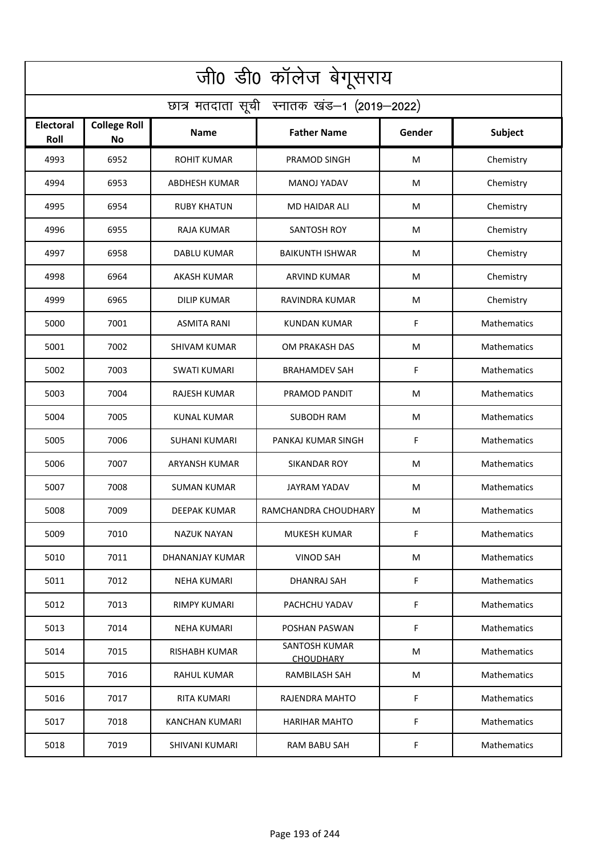| जी0 डी0 कॉलेज बेगूसराय                     |                                  |                      |                                          |        |                    |  |  |  |
|--------------------------------------------|----------------------------------|----------------------|------------------------------------------|--------|--------------------|--|--|--|
| छात्र मतदाता सूची स्नातक खंड-1 (2019-2022) |                                  |                      |                                          |        |                    |  |  |  |
| <b>Electoral</b><br>Roll                   | <b>College Roll</b><br><b>No</b> | <b>Name</b>          | <b>Father Name</b>                       | Gender | <b>Subject</b>     |  |  |  |
| 4993                                       | 6952                             | <b>ROHIT KUMAR</b>   | PRAMOD SINGH                             | M      | Chemistry          |  |  |  |
| 4994                                       | 6953                             | <b>ABDHESH KUMAR</b> | MANOJ YADAV                              | M      | Chemistry          |  |  |  |
| 4995                                       | 6954                             | <b>RUBY KHATUN</b>   | <b>MD HAIDAR ALI</b>                     | M      | Chemistry          |  |  |  |
| 4996                                       | 6955                             | RAJA KUMAR           | SANTOSH ROY                              | M      | Chemistry          |  |  |  |
| 4997                                       | 6958                             | <b>DABLU KUMAR</b>   | <b>BAIKUNTH ISHWAR</b>                   | M      | Chemistry          |  |  |  |
| 4998                                       | 6964                             | <b>AKASH KUMAR</b>   | <b>ARVIND KUMAR</b>                      | M      | Chemistry          |  |  |  |
| 4999                                       | 6965                             | <b>DILIP KUMAR</b>   | RAVINDRA KUMAR                           | M      | Chemistry          |  |  |  |
| 5000                                       | 7001                             | <b>ASMITA RANI</b>   | <b>KUNDAN KUMAR</b>                      | F      | Mathematics        |  |  |  |
| 5001                                       | 7002                             | <b>SHIVAM KUMAR</b>  | OM PRAKASH DAS                           | M      | Mathematics        |  |  |  |
| 5002                                       | 7003                             | <b>SWATI KUMARI</b>  | <b>BRAHAMDEV SAH</b>                     | F      | Mathematics        |  |  |  |
| 5003                                       | 7004                             | <b>RAJESH KUMAR</b>  | PRAMOD PANDIT                            | M      | Mathematics        |  |  |  |
| 5004                                       | 7005                             | <b>KUNAL KUMAR</b>   | <b>SUBODH RAM</b>                        | M      | Mathematics        |  |  |  |
| 5005                                       | 7006                             | SUHANI KUMARI        | PANKAJ KUMAR SINGH                       | F      | Mathematics        |  |  |  |
| 5006                                       | 7007                             | <b>ARYANSH KUMAR</b> | <b>SIKANDAR ROY</b>                      | M      | Mathematics        |  |  |  |
| 5007                                       | 7008                             | SUMAN KUMAR          | JAYRAM YADAV                             | M      | Mathematics        |  |  |  |
| 5008                                       | 7009                             | DEEPAK KUMAR         | RAMCHANDRA CHOUDHARY                     | M      | Mathematics        |  |  |  |
| 5009                                       | 7010                             | NAZUK NAYAN          | MUKESH KUMAR                             | F      | Mathematics        |  |  |  |
| 5010                                       | 7011                             | DHANANJAY KUMAR      | <b>VINOD SAH</b>                         | M      | <b>Mathematics</b> |  |  |  |
| 5011                                       | 7012                             | <b>NEHA KUMARI</b>   | DHANRAJ SAH                              | F      | <b>Mathematics</b> |  |  |  |
| 5012                                       | 7013                             | RIMPY KUMARI         | PACHCHU YADAV                            | F.     | <b>Mathematics</b> |  |  |  |
| 5013                                       | 7014                             | <b>NEHA KUMARI</b>   | POSHAN PASWAN                            | F      | <b>Mathematics</b> |  |  |  |
| 5014                                       | 7015                             | RISHABH KUMAR        | <b>SANTOSH KUMAR</b><br><b>CHOUDHARY</b> | M      | <b>Mathematics</b> |  |  |  |
| 5015                                       | 7016                             | RAHUL KUMAR          | RAMBILASH SAH                            | M      | <b>Mathematics</b> |  |  |  |
| 5016                                       | 7017                             | <b>RITA KUMARI</b>   | RAJENDRA MAHTO                           | F      | Mathematics        |  |  |  |
| 5017                                       | 7018                             | KANCHAN KUMARI       | <b>HARIHAR MAHTO</b>                     | F      | Mathematics        |  |  |  |
| 5018                                       | 7019                             | SHIVANI KUMARI       | RAM BABU SAH                             | F.     | Mathematics        |  |  |  |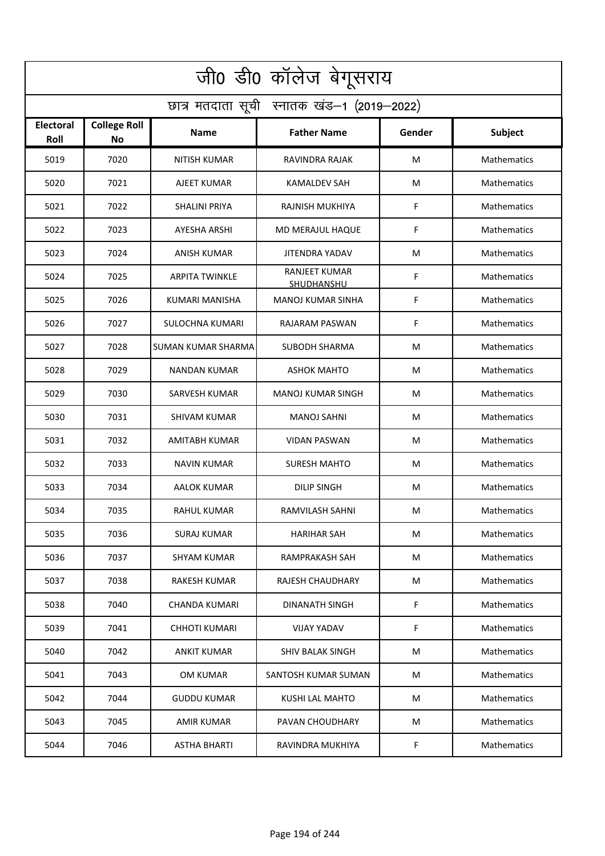| जी0 डी0 कॉलेज बेगूसराय                     |                                  |                           |                                           |        |                    |  |  |  |
|--------------------------------------------|----------------------------------|---------------------------|-------------------------------------------|--------|--------------------|--|--|--|
| छात्र मतदाता सूची स्नातक खंड-1 (2019-2022) |                                  |                           |                                           |        |                    |  |  |  |
| <b>Electoral</b><br>Roll                   | <b>College Roll</b><br><b>No</b> | <b>Name</b>               | <b>Father Name</b>                        | Gender | <b>Subject</b>     |  |  |  |
| 5019                                       | 7020                             | <b>NITISH KUMAR</b>       | RAVINDRA RAJAK                            | M      | Mathematics        |  |  |  |
| 5020                                       | 7021                             | AJEET KUMAR               | <b>KAMALDEV SAH</b>                       | M      | Mathematics        |  |  |  |
| 5021                                       | 7022                             | SHALINI PRIYA             | RAJNISH MUKHIYA                           | F      | Mathematics        |  |  |  |
| 5022                                       | 7023                             | <b>AYESHA ARSHI</b>       | MD MERAJUL HAQUE                          | F      | Mathematics        |  |  |  |
| 5023                                       | 7024                             | <b>ANISH KUMAR</b>        | <b>JITENDRA YADAV</b>                     | M      | Mathematics        |  |  |  |
| 5024                                       | 7025                             | <b>ARPITA TWINKLE</b>     | <b>RANJEET KUMAR</b><br><b>SHUDHANSHU</b> | F      | Mathematics        |  |  |  |
| 5025                                       | 7026                             | <b>KUMARI MANISHA</b>     | <b>MANOJ KUMAR SINHA</b>                  | F      | Mathematics        |  |  |  |
| 5026                                       | 7027                             | <b>SULOCHNA KUMARI</b>    | RAJARAM PASWAN                            | F      | Mathematics        |  |  |  |
| 5027                                       | 7028                             | <b>SUMAN KUMAR SHARMA</b> | <b>SUBODH SHARMA</b>                      | M      | Mathematics        |  |  |  |
| 5028                                       | 7029                             | NANDAN KUMAR              | <b>ASHOK MAHTO</b>                        | M      | Mathematics        |  |  |  |
| 5029                                       | 7030                             | SARVESH KUMAR             | MANOJ KUMAR SINGH                         | M      | Mathematics        |  |  |  |
| 5030                                       | 7031                             | SHIVAM KUMAR              | <b>MANOJ SAHNI</b>                        | M      | Mathematics        |  |  |  |
| 5031                                       | 7032                             | AMITABH KUMAR             | <b>VIDAN PASWAN</b>                       | M      | Mathematics        |  |  |  |
| 5032                                       | 7033                             | NAVIN KUMAR               | <b>SURESH MAHTO</b>                       | M      | Mathematics        |  |  |  |
| 5033                                       | 7034                             | AALOK KUMAR               | <b>DILIP SINGH</b>                        | M      | Mathematics        |  |  |  |
| 5034                                       | 7035                             | <b>RAHUL KUMAR</b>        | RAMVILASH SAHNI                           | M      | Mathematics        |  |  |  |
| 5035                                       | 7036                             | SURAJ KUMAR               | <b>HARIHAR SAH</b>                        | M      | Mathematics        |  |  |  |
| 5036                                       | 7037                             | SHYAM KUMAR               | RAMPRAKASH SAH                            | M      | Mathematics        |  |  |  |
| 5037                                       | 7038                             | RAKESH KUMAR              | <b>RAJESH CHAUDHARY</b>                   | M      | Mathematics        |  |  |  |
| 5038                                       | 7040                             | CHANDA KUMARI             | DINANATH SINGH                            | F.     | <b>Mathematics</b> |  |  |  |
| 5039                                       | 7041                             | CHHOTI KUMARI             | <b>VIJAY YADAV</b>                        | F      | Mathematics        |  |  |  |
| 5040                                       | 7042                             | <b>ANKIT KUMAR</b>        | SHIV BALAK SINGH                          | M      | <b>Mathematics</b> |  |  |  |
| 5041                                       | 7043                             | <b>OM KUMAR</b>           | SANTOSH KUMAR SUMAN                       | M      | Mathematics        |  |  |  |
| 5042                                       | 7044                             | <b>GUDDU KUMAR</b>        | <b>KUSHI LAL MAHTO</b>                    | М      | Mathematics        |  |  |  |
| 5043                                       | 7045                             | AMIR KUMAR                | PAVAN CHOUDHARY                           | M      | Mathematics        |  |  |  |
| 5044                                       | 7046                             | <b>ASTHA BHARTI</b>       | RAVINDRA MUKHIYA                          | F.     | Mathematics        |  |  |  |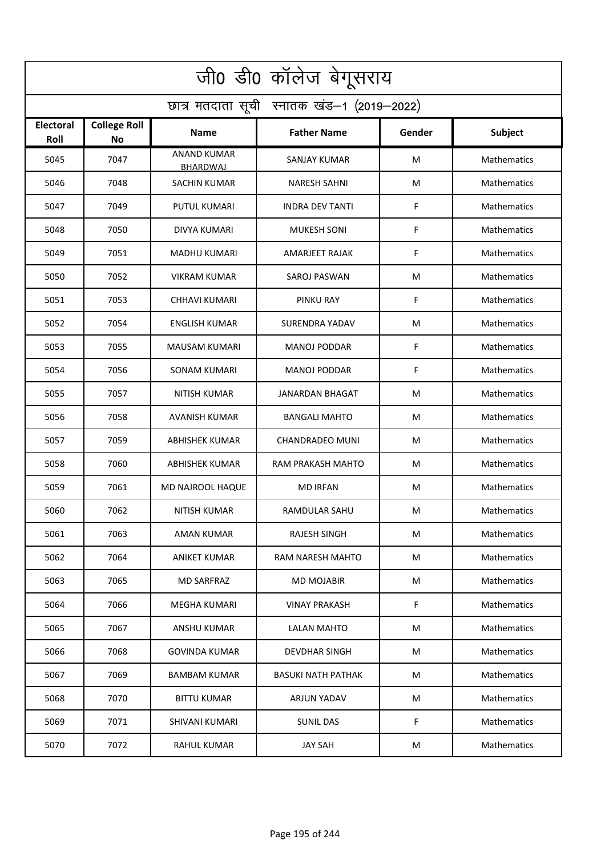| जी0 डी0 कॉलेज बेगूसराय                     |                           |                                       |                           |        |                    |  |  |  |
|--------------------------------------------|---------------------------|---------------------------------------|---------------------------|--------|--------------------|--|--|--|
| छात्र मतदाता सूची स्नातक खंड-1 (2019-2022) |                           |                                       |                           |        |                    |  |  |  |
| Electoral<br>Roll                          | <b>College Roll</b><br>No | Name                                  | <b>Father Name</b>        | Gender | Subject            |  |  |  |
| 5045                                       | 7047                      | <b>ANAND KUMAR</b><br><b>BHARDWAJ</b> | SANJAY KUMAR              | M      | Mathematics        |  |  |  |
| 5046                                       | 7048                      | <b>SACHIN KUMAR</b>                   | <b>NARESH SAHNI</b>       | M      | Mathematics        |  |  |  |
| 5047                                       | 7049                      | <b>PUTUL KUMARI</b>                   | <b>INDRA DEV TANTI</b>    | F      | Mathematics        |  |  |  |
| 5048                                       | 7050                      | DIVYA KUMARI                          | <b>MUKESH SONI</b>        | F      | Mathematics        |  |  |  |
| 5049                                       | 7051                      | <b>MADHU KUMARI</b>                   | AMARJEET RAJAK            | F      | Mathematics        |  |  |  |
| 5050                                       | 7052                      | <b>VIKRAM KUMAR</b>                   | <b>SAROJ PASWAN</b>       | M      | Mathematics        |  |  |  |
| 5051                                       | 7053                      | <b>CHHAVI KUMARI</b>                  | PINKU RAY                 | F      | Mathematics        |  |  |  |
| 5052                                       | 7054                      | <b>ENGLISH KUMAR</b>                  | SURENDRA YADAV            | M      | Mathematics        |  |  |  |
| 5053                                       | 7055                      | <b>MAUSAM KUMARI</b>                  | <b>MANOJ PODDAR</b>       | F      | Mathematics        |  |  |  |
| 5054                                       | 7056                      | SONAM KUMARI                          | <b>MANOJ PODDAR</b>       | F      | Mathematics        |  |  |  |
| 5055                                       | 7057                      | NITISH KUMAR                          | JANARDAN BHAGAT           | M      | Mathematics        |  |  |  |
| 5056                                       | 7058                      | AVANISH KUMAR                         | <b>BANGALI MAHTO</b>      | M      | Mathematics        |  |  |  |
| 5057                                       | 7059                      | ABHISHEK KUMAR                        | CHANDRADEO MUNI           | M      | Mathematics        |  |  |  |
| 5058                                       | 7060                      | <b>ABHISHEK KUMAR</b>                 | RAM PRAKASH MAHTO         | M      | Mathematics        |  |  |  |
| 5059                                       | 7061                      | MD NAJROOL HAQUE                      | <b>MD IRFAN</b>           | M      | <b>Mathematics</b> |  |  |  |
| 5060                                       | 7062                      | <b>NITISH KUMAR</b>                   | RAMDULAR SAHU             | M      | <b>Mathematics</b> |  |  |  |
| 5061                                       | 7063                      | <b>AMAN KUMAR</b>                     | <b>RAJESH SINGH</b>       | M      | Mathematics        |  |  |  |
| 5062                                       | 7064                      | <b>ANIKET KUMAR</b>                   | RAM NARESH MAHTO          | M      | Mathematics        |  |  |  |
| 5063                                       | 7065                      | <b>MD SARFRAZ</b>                     | <b>MD MOJABIR</b>         | M      | <b>Mathematics</b> |  |  |  |
| 5064                                       | 7066                      | <b>MEGHA KUMARI</b>                   | <b>VINAY PRAKASH</b>      | F.     | <b>Mathematics</b> |  |  |  |
| 5065                                       | 7067                      | ANSHU KUMAR                           | LALAN MAHTO               | M      | <b>Mathematics</b> |  |  |  |
| 5066                                       | 7068                      | <b>GOVINDA KUMAR</b>                  | <b>DEVDHAR SINGH</b>      | M      | <b>Mathematics</b> |  |  |  |
| 5067                                       | 7069                      | <b>BAMBAM KUMAR</b>                   | <b>BASUKI NATH PATHAK</b> | M      | <b>Mathematics</b> |  |  |  |
| 5068                                       | 7070                      | <b>BITTU KUMAR</b>                    | ARJUN YADAV               | M      | <b>Mathematics</b> |  |  |  |
| 5069                                       | 7071                      | <b>SHIVANI KUMARI</b>                 | <b>SUNIL DAS</b>          | F.     | Mathematics        |  |  |  |
| 5070                                       | 7072                      | RAHUL KUMAR                           | <b>JAY SAH</b>            | M      | Mathematics        |  |  |  |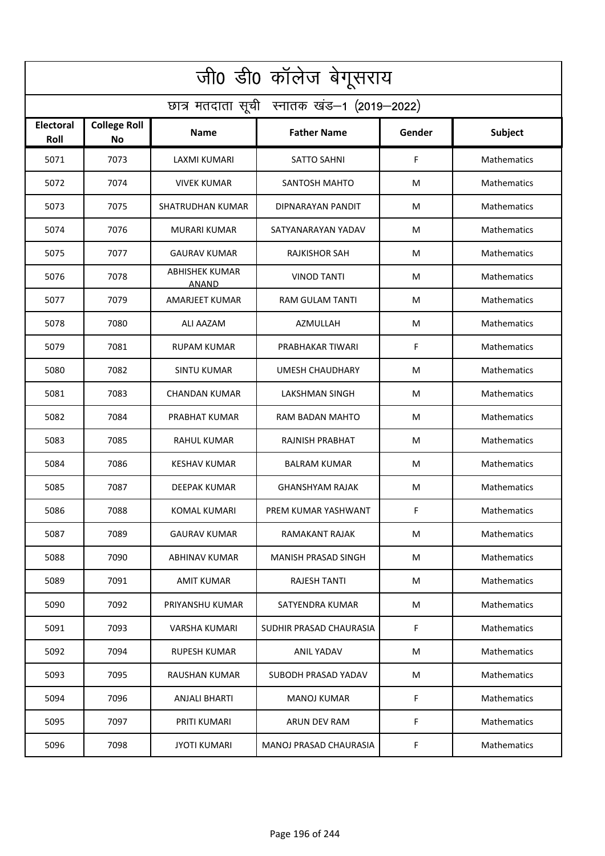| जी0 डी0 कॉलेज बेगूसराय                     |                                  |                                       |                         |        |                    |  |  |  |
|--------------------------------------------|----------------------------------|---------------------------------------|-------------------------|--------|--------------------|--|--|--|
| छात्र मतदाता सूची स्नातक खंड-1 (2019-2022) |                                  |                                       |                         |        |                    |  |  |  |
| <b>Electoral</b><br>Roll                   | <b>College Roll</b><br><b>No</b> | <b>Name</b>                           | <b>Father Name</b>      | Gender | <b>Subject</b>     |  |  |  |
| 5071                                       | 7073                             | <b>LAXMI KUMARI</b>                   | <b>SATTO SAHNI</b>      | F      | Mathematics        |  |  |  |
| 5072                                       | 7074                             | <b>VIVEK KUMAR</b>                    | SANTOSH MAHTO           | M      | Mathematics        |  |  |  |
| 5073                                       | 7075                             | <b>SHATRUDHAN KUMAR</b>               | DIPNARAYAN PANDIT       | M      | Mathematics        |  |  |  |
| 5074                                       | 7076                             | MURARI KUMAR                          | SATYANARAYAN YADAV      | M      | Mathematics        |  |  |  |
| 5075                                       | 7077                             | <b>GAURAV KUMAR</b>                   | RAJKISHOR SAH           | М      | Mathematics        |  |  |  |
| 5076                                       | 7078                             | <b>ABHISHEK KUMAR</b><br><b>ANAND</b> | <b>VINOD TANTI</b>      | M      | Mathematics        |  |  |  |
| 5077                                       | 7079                             | <b>AMARJEET KUMAR</b>                 | <b>RAM GULAM TANTI</b>  | M      | Mathematics        |  |  |  |
| 5078                                       | 7080                             | ALI AAZAM                             | AZMULLAH                | M      | Mathematics        |  |  |  |
| 5079                                       | 7081                             | <b>RUPAM KUMAR</b>                    | PRABHAKAR TIWARI        | F      | Mathematics        |  |  |  |
| 5080                                       | 7082                             | <b>SINTU KUMAR</b>                    | <b>UMESH CHAUDHARY</b>  | M      | Mathematics        |  |  |  |
| 5081                                       | 7083                             | CHANDAN KUMAR                         | <b>LAKSHMAN SINGH</b>   | M      | Mathematics        |  |  |  |
| 5082                                       | 7084                             | PRABHAT KUMAR                         | RAM BADAN MAHTO         | M      | Mathematics        |  |  |  |
| 5083                                       | 7085                             | RAHUL KUMAR                           | RAJNISH PRABHAT         | M      | Mathematics        |  |  |  |
| 5084                                       | 7086                             | <b>KESHAV KUMAR</b>                   | <b>BALRAM KUMAR</b>     | M      | Mathematics        |  |  |  |
| 5085                                       | 7087                             | <b>DEEPAK KUMAR</b>                   | GHANSHYAM RAJAK         | M      | Mathematics        |  |  |  |
| 5086                                       | 7088                             | KOMAL KUMARI                          | PREM KUMAR YASHWANT     | F      | <b>Mathematics</b> |  |  |  |
| 5087                                       | 7089                             | <b>GAURAV KUMAR</b>                   | RAMAKANT RAJAK          | M      | Mathematics        |  |  |  |
| 5088                                       | 7090                             | ABHINAV KUMAR                         | MANISH PRASAD SINGH     | M      | Mathematics        |  |  |  |
| 5089                                       | 7091                             | AMIT KUMAR                            | <b>RAJESH TANTI</b>     | M      | Mathematics        |  |  |  |
| 5090                                       | 7092                             | PRIYANSHU KUMAR                       | SATYENDRA KUMAR         | M      | <b>Mathematics</b> |  |  |  |
| 5091                                       | 7093                             | <b>VARSHA KUMARI</b>                  | SUDHIR PRASAD CHAURASIA | F      | Mathematics        |  |  |  |
| 5092                                       | 7094                             | <b>RUPESH KUMAR</b>                   | <b>ANIL YADAV</b>       | M      | <b>Mathematics</b> |  |  |  |
| 5093                                       | 7095                             | RAUSHAN KUMAR                         | SUBODH PRASAD YADAV     | M      | Mathematics        |  |  |  |
| 5094                                       | 7096                             | <b>ANJALI BHARTI</b>                  | <b>MANOJ KUMAR</b>      | F      | Mathematics        |  |  |  |
| 5095                                       | 7097                             | PRITI KUMARI                          | ARUN DEV RAM            | F      | Mathematics        |  |  |  |
| 5096                                       | 7098                             | <b>JYOTI KUMARI</b>                   | MANOJ PRASAD CHAURASIA  | F      | Mathematics        |  |  |  |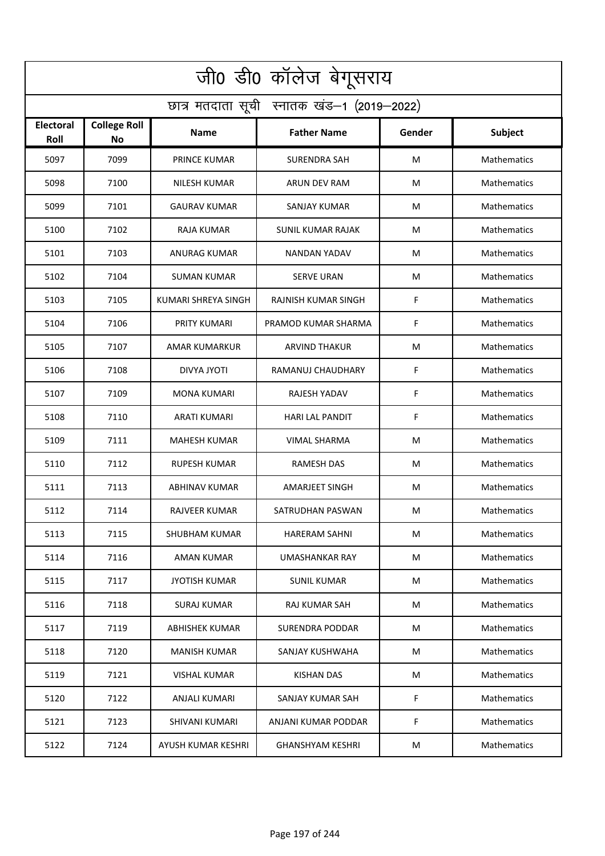| जी0 डी0 कॉलेज बेगूसराय                     |                                  |                      |                            |        |                    |  |  |  |
|--------------------------------------------|----------------------------------|----------------------|----------------------------|--------|--------------------|--|--|--|
| छात्र मतदाता सूची स्नातक खंड-1 (2019-2022) |                                  |                      |                            |        |                    |  |  |  |
| <b>Electoral</b><br>Roll                   | <b>College Roll</b><br><b>No</b> | <b>Name</b>          | <b>Father Name</b>         | Gender | <b>Subject</b>     |  |  |  |
| 5097                                       | 7099                             | <b>PRINCE KUMAR</b>  | <b>SURENDRA SAH</b>        | M      | Mathematics        |  |  |  |
| 5098                                       | 7100                             | NILESH KUMAR         | ARUN DEV RAM               | M      | Mathematics        |  |  |  |
| 5099                                       | 7101                             | <b>GAURAV KUMAR</b>  | SANJAY KUMAR               | M      | Mathematics        |  |  |  |
| 5100                                       | 7102                             | RAJA KUMAR           | SUNIL KUMAR RAJAK          | M      | Mathematics        |  |  |  |
| 5101                                       | 7103                             | ANURAG KUMAR         | <b>NANDAN YADAV</b>        | М      | Mathematics        |  |  |  |
| 5102                                       | 7104                             | SUMAN KUMAR          | <b>SERVE URAN</b>          | M      | Mathematics        |  |  |  |
| 5103                                       | 7105                             | KUMARI SHREYA SINGH  | <b>RAJNISH KUMAR SINGH</b> | F      | Mathematics        |  |  |  |
| 5104                                       | 7106                             | PRITY KUMARI         | PRAMOD KUMAR SHARMA        | F      | Mathematics        |  |  |  |
| 5105                                       | 7107                             | AMAR KUMARKUR        | <b>ARVIND THAKUR</b>       | M      | Mathematics        |  |  |  |
| 5106                                       | 7108                             | DIVYA JYOTI          | RAMANUJ CHAUDHARY          | F      | Mathematics        |  |  |  |
| 5107                                       | 7109                             | <b>MONA KUMARI</b>   | RAJESH YADAV               | F      | Mathematics        |  |  |  |
| 5108                                       | 7110                             | <b>ARATI KUMARI</b>  | <b>HARI LAL PANDIT</b>     | F      | Mathematics        |  |  |  |
| 5109                                       | 7111                             | MAHESH KUMAR         | VIMAL SHARMA               | M      | Mathematics        |  |  |  |
| 5110                                       | 7112                             | <b>RUPESH KUMAR</b>  | <b>RAMESH DAS</b>          | M      | Mathematics        |  |  |  |
| 5111                                       | 7113                             | <b>ABHINAV KUMAR</b> | <b>AMARJEET SINGH</b>      | M      | Mathematics        |  |  |  |
| 5112                                       | 7114                             | RAJVEER KUMAR        | SATRUDHAN PASWAN           | M      | Mathematics        |  |  |  |
| 5113                                       | 7115                             | SHUBHAM KUMAR        | <b>HARERAM SAHNI</b>       | M      | Mathematics        |  |  |  |
| 5114                                       | 7116                             | AMAN KUMAR           | UMASHANKAR RAY             | M      | <b>Mathematics</b> |  |  |  |
| 5115                                       | 7117                             | <b>JYOTISH KUMAR</b> | SUNIL KUMAR                | M      | <b>Mathematics</b> |  |  |  |
| 5116                                       | 7118                             | <b>SURAJ KUMAR</b>   | RAJ KUMAR SAH              | M      | <b>Mathematics</b> |  |  |  |
| 5117                                       | 7119                             | ABHISHEK KUMAR       | <b>SURENDRA PODDAR</b>     | M      | <b>Mathematics</b> |  |  |  |
| 5118                                       | 7120                             | <b>MANISH KUMAR</b>  | SANJAY KUSHWAHA            | M      | <b>Mathematics</b> |  |  |  |
| 5119                                       | 7121                             | VISHAL KUMAR         | <b>KISHAN DAS</b>          | M      | <b>Mathematics</b> |  |  |  |
| 5120                                       | 7122                             | ANJALI KUMARI        | SANJAY KUMAR SAH           | F      | Mathematics        |  |  |  |
| 5121                                       | 7123                             | SHIVANI KUMARI       | ANJANI KUMAR PODDAR        | F      | Mathematics        |  |  |  |
| 5122                                       | 7124                             | AYUSH KUMAR KESHRI   | <b>GHANSHYAM KESHRI</b>    | M      | Mathematics        |  |  |  |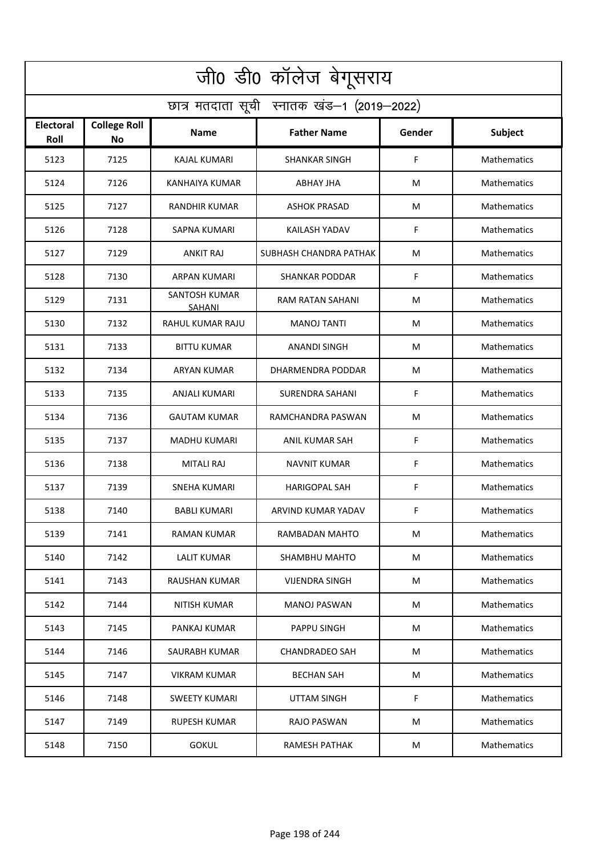| जी0 डी0 कॉलेज बेगूसराय                     |                                  |                         |                        |        |                    |  |  |  |
|--------------------------------------------|----------------------------------|-------------------------|------------------------|--------|--------------------|--|--|--|
| छात्र मतदाता सूची स्नातक खंड-1 (2019-2022) |                                  |                         |                        |        |                    |  |  |  |
| <b>Electoral</b><br>Roll                   | <b>College Roll</b><br><b>No</b> | <b>Name</b>             | <b>Father Name</b>     | Gender | Subject            |  |  |  |
| 5123                                       | 7125                             | <b>KAJAL KUMARI</b>     | <b>SHANKAR SINGH</b>   | F      | Mathematics        |  |  |  |
| 5124                                       | 7126                             | <b>KANHAIYA KUMAR</b>   | <b>ABHAY JHA</b>       | M      | Mathematics        |  |  |  |
| 5125                                       | 7127                             | <b>RANDHIR KUMAR</b>    | <b>ASHOK PRASAD</b>    | M      | Mathematics        |  |  |  |
| 5126                                       | 7128                             | <b>SAPNA KUMARI</b>     | KAILASH YADAV          | F      | Mathematics        |  |  |  |
| 5127                                       | 7129                             | <b>ANKIT RAJ</b>        | SUBHASH CHANDRA PATHAK | M      | Mathematics        |  |  |  |
| 5128                                       | 7130                             | <b>ARPAN KUMARI</b>     | <b>SHANKAR PODDAR</b>  | F      | Mathematics        |  |  |  |
| 5129                                       | 7131                             | SANTOSH KUMAR<br>SAHANI | RAM RATAN SAHANI       | M      | Mathematics        |  |  |  |
| 5130                                       | 7132                             | RAHUL KUMAR RAJU        | <b>MANOJ TANTI</b>     | M      | Mathematics        |  |  |  |
| 5131                                       | 7133                             | <b>BITTU KUMAR</b>      | <b>ANANDI SINGH</b>    | M      | Mathematics        |  |  |  |
| 5132                                       | 7134                             | ARYAN KUMAR             | DHARMENDRA PODDAR      | M      | Mathematics        |  |  |  |
| 5133                                       | 7135                             | ANJALI KUMARI           | <b>SURENDRA SAHANI</b> | F      | Mathematics        |  |  |  |
| 5134                                       | 7136                             | <b>GAUTAM KUMAR</b>     | RAMCHANDRA PASWAN      | M      | Mathematics        |  |  |  |
| 5135                                       | 7137                             | MADHU KUMARI            | ANIL KUMAR SAH         | F      | Mathematics        |  |  |  |
| 5136                                       | 7138                             | <b>MITALI RAJ</b>       | <b>NAVNIT KUMAR</b>    | F      | Mathematics        |  |  |  |
| 5137                                       | 7139                             | SNEHA KUMARI            | <b>HARIGOPAL SAH</b>   | F      | Mathematics        |  |  |  |
| 5138                                       | 7140                             | <b>BABLI KUMARI</b>     | ARVIND KUMAR YADAV     | F      | Mathematics        |  |  |  |
| 5139                                       | 7141                             | <b>RAMAN KUMAR</b>      | RAMBADAN MAHTO         | M      | Mathematics        |  |  |  |
| 5140                                       | 7142                             | <b>LALIT KUMAR</b>      | SHAMBHU MAHTO          | M      | <b>Mathematics</b> |  |  |  |
| 5141                                       | 7143                             | RAUSHAN KUMAR           | <b>VIJENDRA SINGH</b>  | M      | <b>Mathematics</b> |  |  |  |
| 5142                                       | 7144                             | NITISH KUMAR            | <b>MANOJ PASWAN</b>    | M      | <b>Mathematics</b> |  |  |  |
| 5143                                       | 7145                             | PANKAJ KUMAR            | PAPPU SINGH            | M      | <b>Mathematics</b> |  |  |  |
| 5144                                       | 7146                             | SAURABH KUMAR           | <b>CHANDRADEO SAH</b>  | M      | <b>Mathematics</b> |  |  |  |
| 5145                                       | 7147                             | <b>VIKRAM KUMAR</b>     | <b>BECHAN SAH</b>      | M      | Mathematics        |  |  |  |
| 5146                                       | 7148                             | <b>SWEETY KUMARI</b>    | <b>UTTAM SINGH</b>     | F      | Mathematics        |  |  |  |
| 5147                                       | 7149                             | RUPESH KUMAR            | RAJO PASWAN            | M      | Mathematics        |  |  |  |
| 5148                                       | 7150                             | <b>GOKUL</b>            | <b>RAMESH PATHAK</b>   | M      | Mathematics        |  |  |  |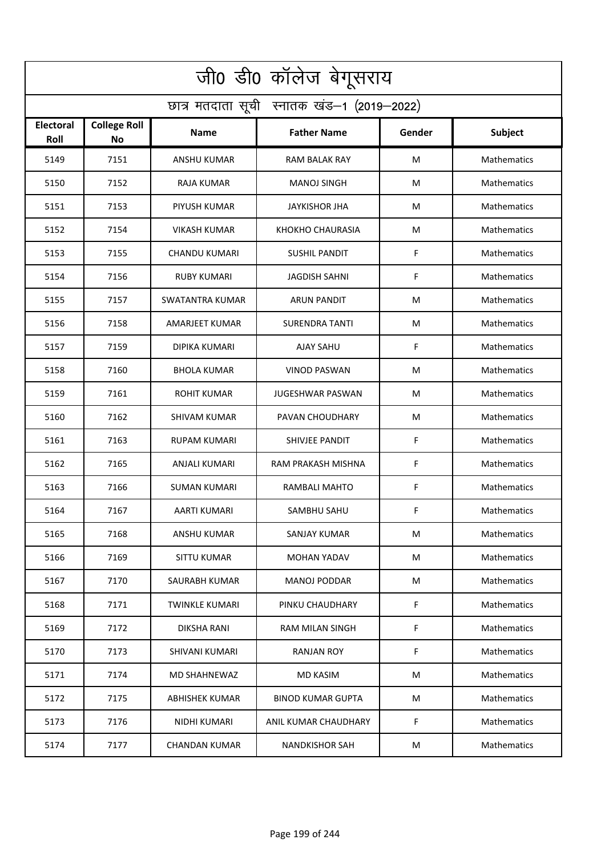| जी0 डी0 कॉलेज बेगूसराय                     |                                  |                       |                          |        |                    |  |  |  |
|--------------------------------------------|----------------------------------|-----------------------|--------------------------|--------|--------------------|--|--|--|
| छात्र मतदाता सूची स्नातक खंड-1 (2019-2022) |                                  |                       |                          |        |                    |  |  |  |
| Electoral<br>Roll                          | <b>College Roll</b><br><b>No</b> | Name                  | <b>Father Name</b>       | Gender | Subject            |  |  |  |
| 5149                                       | 7151                             | ANSHU KUMAR           | <b>RAM BALAK RAY</b>     | M      | Mathematics        |  |  |  |
| 5150                                       | 7152                             | RAJA KUMAR            | <b>MANOJ SINGH</b>       | M      | Mathematics        |  |  |  |
| 5151                                       | 7153                             | PIYUSH KUMAR          | <b>JAYKISHOR JHA</b>     | M      | Mathematics        |  |  |  |
| 5152                                       | 7154                             | VIKASH KUMAR          | KHOKHO CHAURASIA         | M      | Mathematics        |  |  |  |
| 5153                                       | 7155                             | <b>CHANDU KUMARI</b>  | <b>SUSHIL PANDIT</b>     | F      | Mathematics        |  |  |  |
| 5154                                       | 7156                             | RUBY KUMARI           | <b>JAGDISH SAHNI</b>     | F      | Mathematics        |  |  |  |
| 5155                                       | 7157                             | SWATANTRA KUMAR       | ARUN PANDIT              | M      | Mathematics        |  |  |  |
| 5156                                       | 7158                             | <b>AMARJEET KUMAR</b> | <b>SURENDRA TANTI</b>    | M      | Mathematics        |  |  |  |
| 5157                                       | 7159                             | DIPIKA KUMARI         | AJAY SAHU                | F      | Mathematics        |  |  |  |
| 5158                                       | 7160                             | <b>BHOLA KUMAR</b>    | VINOD PASWAN             | M      | Mathematics        |  |  |  |
| 5159                                       | 7161                             | <b>ROHIT KUMAR</b>    | JUGESHWAR PASWAN         | M      | Mathematics        |  |  |  |
| 5160                                       | 7162                             | SHIVAM KUMAR          | PAVAN CHOUDHARY          | M      | Mathematics        |  |  |  |
| 5161                                       | 7163                             | RUPAM KUMARI          | SHIVJEE PANDIT           | F      | Mathematics        |  |  |  |
| 5162                                       | 7165                             | ANJALI KUMARI         | RAM PRAKASH MISHNA       | F      | Mathematics        |  |  |  |
| 5163                                       | 7166                             | SUMAN KUMARI          | RAMBALI MAHTO            | F      | <b>Mathematics</b> |  |  |  |
| 5164                                       | 7167                             | AARTI KUMARI          | SAMBHU SAHU              | F      | Mathematics        |  |  |  |
| 5165                                       | 7168                             | <b>ANSHU KUMAR</b>    | SANJAY KUMAR             | M      | Mathematics        |  |  |  |
| 5166                                       | 7169                             | <b>SITTU KUMAR</b>    | MOHAN YADAV              | M      | Mathematics        |  |  |  |
| 5167                                       | 7170                             | SAURABH KUMAR         | <b>MANOJ PODDAR</b>      | M      | <b>Mathematics</b> |  |  |  |
| 5168                                       | 7171                             | <b>TWINKLE KUMARI</b> | PINKU CHAUDHARY          | F      | Mathematics        |  |  |  |
| 5169                                       | 7172                             | <b>DIKSHA RANI</b>    | RAM MILAN SINGH          | F      | Mathematics        |  |  |  |
| 5170                                       | 7173                             | SHIVANI KUMARI        | <b>RANJAN ROY</b>        | F      | Mathematics        |  |  |  |
| 5171                                       | 7174                             | MD SHAHNEWAZ          | <b>MD KASIM</b>          | M      | <b>Mathematics</b> |  |  |  |
| 5172                                       | 7175                             | <b>ABHISHEK KUMAR</b> | <b>BINOD KUMAR GUPTA</b> | M      | <b>Mathematics</b> |  |  |  |
| 5173                                       | 7176                             | NIDHI KUMARI          | ANIL KUMAR CHAUDHARY     | F.     | Mathematics        |  |  |  |
| 5174                                       | 7177                             | CHANDAN KUMAR         | <b>NANDKISHOR SAH</b>    | M      | <b>Mathematics</b> |  |  |  |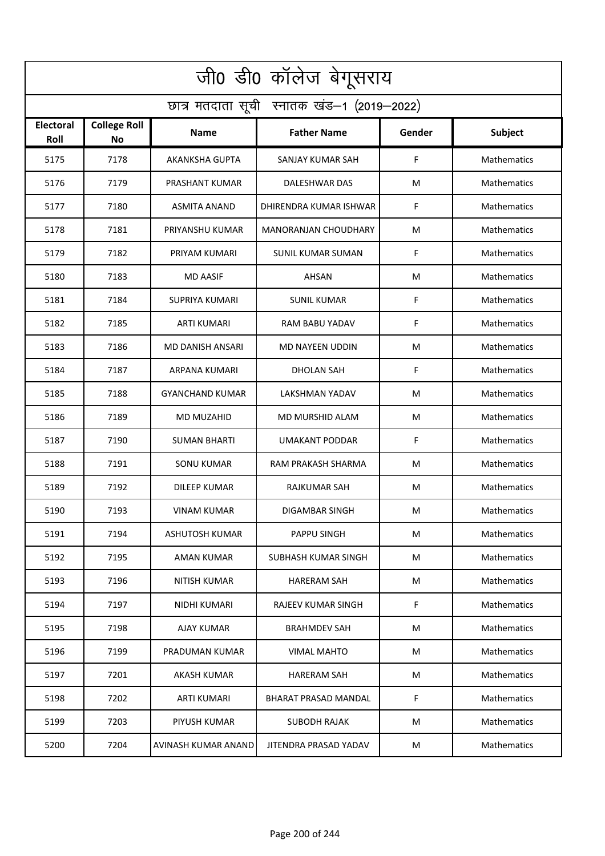| जी0 डी0 कॉलेज बेगूसराय                     |                                  |                         |                             |        |                    |  |  |  |
|--------------------------------------------|----------------------------------|-------------------------|-----------------------------|--------|--------------------|--|--|--|
| छात्र मतदाता सूची स्नातक खंड-1 (2019-2022) |                                  |                         |                             |        |                    |  |  |  |
| <b>Electoral</b><br>Roll                   | <b>College Roll</b><br><b>No</b> | <b>Name</b>             | <b>Father Name</b>          | Gender | <b>Subject</b>     |  |  |  |
| 5175                                       | 7178                             | <b>AKANKSHA GUPTA</b>   | SANJAY KUMAR SAH            | F      | <b>Mathematics</b> |  |  |  |
| 5176                                       | 7179                             | PRASHANT KUMAR          | DALESHWAR DAS               | М      | <b>Mathematics</b> |  |  |  |
| 5177                                       | 7180                             | <b>ASMITA ANAND</b>     | DHIRENDRA KUMAR ISHWAR      | F      | Mathematics        |  |  |  |
| 5178                                       | 7181                             | PRIYANSHU KUMAR         | <b>MANORANJAN CHOUDHARY</b> | М      | Mathematics        |  |  |  |
| 5179                                       | 7182                             | PRIYAM KUMARI           | <b>SUNIL KUMAR SUMAN</b>    | F      | Mathematics        |  |  |  |
| 5180                                       | 7183                             | <b>MD AASIF</b>         | <b>AHSAN</b>                | м      | Mathematics        |  |  |  |
| 5181                                       | 7184                             | SUPRIYA KUMARI          | <b>SUNIL KUMAR</b>          | F      | <b>Mathematics</b> |  |  |  |
| 5182                                       | 7185                             | <b>ARTI KUMARI</b>      | <b>RAM BABU YADAV</b>       | F      | Mathematics        |  |  |  |
| 5183                                       | 7186                             | <b>MD DANISH ANSARI</b> | MD NAYEEN UDDIN             | м      | Mathematics        |  |  |  |
| 5184                                       | 7187                             | ARPANA KUMARI           | DHOLAN SAH                  | F      | Mathematics        |  |  |  |
| 5185                                       | 7188                             | <b>GYANCHAND KUMAR</b>  | <b>LAKSHMAN YADAV</b>       | М      | Mathematics        |  |  |  |
| 5186                                       | 7189                             | MD MUZAHID              | MD MURSHID ALAM             | M      | Mathematics        |  |  |  |
| 5187                                       | 7190                             | <b>SUMAN BHARTI</b>     | <b>UMAKANT PODDAR</b>       | F      | <b>Mathematics</b> |  |  |  |
| 5188                                       | 7191                             | SONU KUMAR              | RAM PRAKASH SHARMA          | м      | Mathematics        |  |  |  |
| 5189                                       | 7192                             | DILEEP KUMAR            | RAJKUMAR SAH                | М      | Mathematics        |  |  |  |
| 5190                                       | 7193                             | <b>VINAM KUMAR</b>      | DIGAMBAR SINGH              | M      | <b>Mathematics</b> |  |  |  |
| 5191                                       | 7194                             | <b>ASHUTOSH KUMAR</b>   | PAPPU SINGH                 | М      | Mathematics        |  |  |  |
| 5192                                       | 7195                             | AMAN KUMAR              | SUBHASH KUMAR SINGH         | М      | Mathematics        |  |  |  |
| 5193                                       | 7196                             | <b>NITISH KUMAR</b>     | <b>HARERAM SAH</b>          | М      | Mathematics        |  |  |  |
| 5194                                       | 7197                             | NIDHI KUMARI            | <b>RAJEEV KUMAR SINGH</b>   | F      | Mathematics        |  |  |  |
| 5195                                       | 7198                             | AJAY KUMAR              | <b>BRAHMDEV SAH</b>         | М      | <b>Mathematics</b> |  |  |  |
| 5196                                       | 7199                             | PRADUMAN KUMAR          | <b>VIMAL MAHTO</b>          | M      | Mathematics        |  |  |  |
| 5197                                       | 7201                             | <b>AKASH KUMAR</b>      | <b>HARERAM SAH</b>          | М      | Mathematics        |  |  |  |
| 5198                                       | 7202                             | <b>ARTI KUMARI</b>      | BHARAT PRASAD MANDAL        | F      | Mathematics        |  |  |  |
| 5199                                       | 7203                             | PIYUSH KUMAR            | <b>SUBODH RAJAK</b>         | M      | Mathematics        |  |  |  |
| 5200                                       | 7204                             | AVINASH KUMAR ANAND     | JITENDRA PRASAD YADAV       | м      | Mathematics        |  |  |  |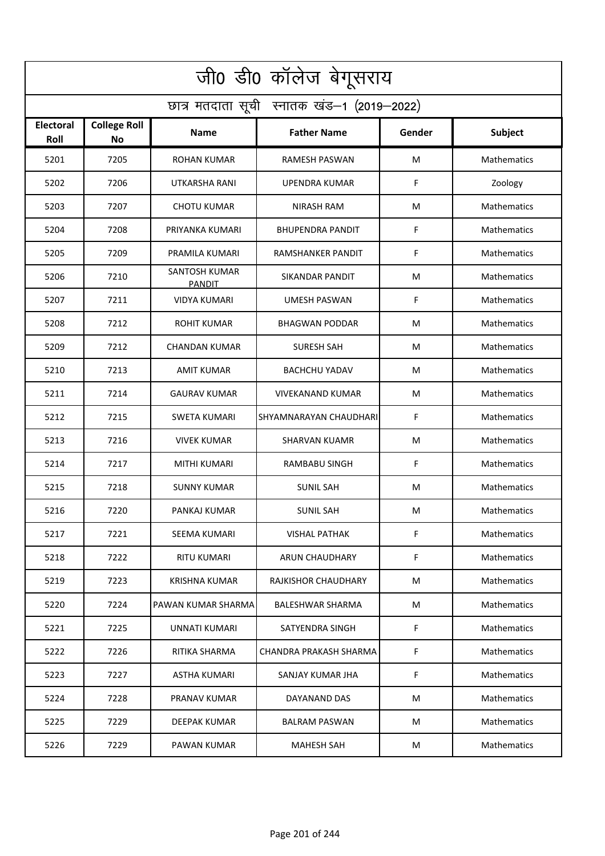| जी0 डी0 कॉलेज बेगूसराय                     |                                  |                                       |                            |        |                    |  |  |  |
|--------------------------------------------|----------------------------------|---------------------------------------|----------------------------|--------|--------------------|--|--|--|
| छात्र मतदाता सूची स्नातक खंड-1 (2019-2022) |                                  |                                       |                            |        |                    |  |  |  |
| Electoral<br>Roll                          | <b>College Roll</b><br><b>No</b> | Name                                  | <b>Father Name</b>         | Gender | Subject            |  |  |  |
| 5201                                       | 7205                             | <b>ROHAN KUMAR</b>                    | <b>RAMESH PASWAN</b>       | M      | Mathematics        |  |  |  |
| 5202                                       | 7206                             | UTKARSHA RANI                         | UPENDRA KUMAR              | F      | Zoology            |  |  |  |
| 5203                                       | 7207                             | <b>CHOTU KUMAR</b>                    | <b>NIRASH RAM</b>          | M      | Mathematics        |  |  |  |
| 5204                                       | 7208                             | PRIYANKA KUMARI                       | <b>BHUPENDRA PANDIT</b>    | F      | Mathematics        |  |  |  |
| 5205                                       | 7209                             | PRAMILA KUMARI                        | RAMSHANKER PANDIT          | F      | Mathematics        |  |  |  |
| 5206                                       | 7210                             | <b>SANTOSH KUMAR</b><br><b>PANDIT</b> | <b>SIKANDAR PANDIT</b>     | M      | Mathematics        |  |  |  |
| 5207                                       | 7211                             | <b>VIDYA KUMARI</b>                   | <b>UMESH PASWAN</b>        | F      | Mathematics        |  |  |  |
| 5208                                       | 7212                             | <b>ROHIT KUMAR</b>                    | <b>BHAGWAN PODDAR</b>      | M      | Mathematics        |  |  |  |
| 5209                                       | 7212                             | <b>CHANDAN KUMAR</b>                  | <b>SURESH SAH</b>          | M      | Mathematics        |  |  |  |
| 5210                                       | 7213                             | <b>AMIT KUMAR</b>                     | BACHCHU YADAV              | M      | Mathematics        |  |  |  |
| 5211                                       | 7214                             | <b>GAURAV KUMAR</b>                   | VIVEKANAND KUMAR           | M      | Mathematics        |  |  |  |
| 5212                                       | 7215                             | SWETA KUMARI                          | SHYAMNARAYAN CHAUDHARI     | F      | Mathematics        |  |  |  |
| 5213                                       | 7216                             | <b>VIVEK KUMAR</b>                    | <b>SHARVAN KUAMR</b>       | M      | Mathematics        |  |  |  |
| 5214                                       | 7217                             | MITHI KUMARI                          | RAMBABU SINGH              | F      | Mathematics        |  |  |  |
| 5215                                       | 7218                             | <b>SUNNY KUMAR</b>                    | SUNIL SAH                  | M      | Mathematics        |  |  |  |
| 5216                                       | 7220                             | PANKAJ KUMAR                          | <b>SUNIL SAH</b>           | M      | <b>Mathematics</b> |  |  |  |
| 5217                                       | 7221                             | SEEMA KUMARI                          | <b>VISHAL PATHAK</b>       | F      | Mathematics        |  |  |  |
| 5218                                       | 7222                             | RITU KUMARI                           | ARUN CHAUDHARY             | F.     | Mathematics        |  |  |  |
| 5219                                       | 7223                             | KRISHNA KUMAR                         | <b>RAJKISHOR CHAUDHARY</b> | M      | <b>Mathematics</b> |  |  |  |
| 5220                                       | 7224                             | PAWAN KUMAR SHARMA                    | <b>BALESHWAR SHARMA</b>    | M      | <b>Mathematics</b> |  |  |  |
| 5221                                       | 7225                             | UNNATI KUMARI                         | SATYENDRA SINGH            | F.     | Mathematics        |  |  |  |
| 5222                                       | 7226                             | RITIKA SHARMA                         | CHANDRA PRAKASH SHARMA     | F      | Mathematics        |  |  |  |
| 5223                                       | 7227                             | ASTHA KUMARI                          | SANJAY KUMAR JHA           | F.     | <b>Mathematics</b> |  |  |  |
| 5224                                       | 7228                             | PRANAV KUMAR                          | DAYANAND DAS               | M      | <b>Mathematics</b> |  |  |  |
| 5225                                       | 7229                             | DEEPAK KUMAR                          | <b>BALRAM PASWAN</b>       | M      | <b>Mathematics</b> |  |  |  |
| 5226                                       | 7229                             | PAWAN KUMAR                           | <b>MAHESH SAH</b>          | M      | <b>Mathematics</b> |  |  |  |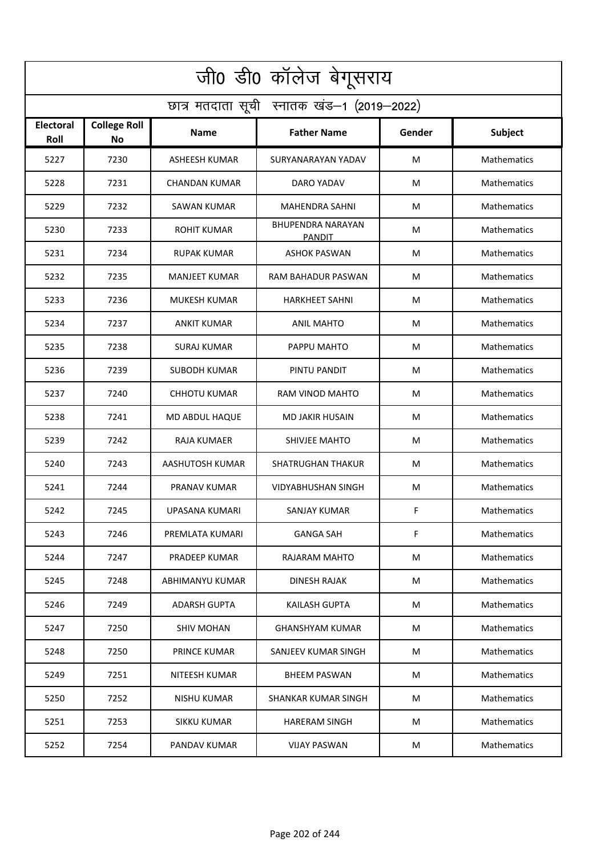| जी0 डी0 कॉलेज बेगूसराय                     |                                  |                      |                                    |        |                    |  |  |  |
|--------------------------------------------|----------------------------------|----------------------|------------------------------------|--------|--------------------|--|--|--|
| छात्र मतदाता सूची स्नातक खंड-1 (2019-2022) |                                  |                      |                                    |        |                    |  |  |  |
| <b>Electoral</b><br>Roll                   | <b>College Roll</b><br><b>No</b> | <b>Name</b>          | <b>Father Name</b>                 | Gender | <b>Subject</b>     |  |  |  |
| 5227                                       | 7230                             | <b>ASHEESH KUMAR</b> | SURYANARAYAN YADAV                 | M      | Mathematics        |  |  |  |
| 5228                                       | 7231                             | CHANDAN KUMAR        | DARO YADAV                         | M      | Mathematics        |  |  |  |
| 5229                                       | 7232                             | SAWAN KUMAR          | <b>MAHENDRA SAHNI</b>              | M      | Mathematics        |  |  |  |
| 5230                                       | 7233                             | <b>ROHIT KUMAR</b>   | <b>BHUPENDRA NARAYAN</b><br>PANDIT | M      | Mathematics        |  |  |  |
| 5231                                       | 7234                             | <b>RUPAK KUMAR</b>   | <b>ASHOK PASWAN</b>                | М      | Mathematics        |  |  |  |
| 5232                                       | 7235                             | <b>MANJEET KUMAR</b> | RAM BAHADUR PASWAN                 | M      | Mathematics        |  |  |  |
| 5233                                       | 7236                             | <b>MUKESH KUMAR</b>  | <b>HARKHEET SAHNI</b>              | M      | Mathematics        |  |  |  |
| 5234                                       | 7237                             | <b>ANKIT KUMAR</b>   | <b>ANIL MAHTO</b>                  | М      | Mathematics        |  |  |  |
| 5235                                       | 7238                             | SURAJ KUMAR          | PAPPU MAHTO                        | M      | Mathematics        |  |  |  |
| 5236                                       | 7239                             | SUBODH KUMAR         | PINTU PANDIT                       | M      | Mathematics        |  |  |  |
| 5237                                       | 7240                             | <b>CHHOTU KUMAR</b>  | RAM VINOD MAHTO                    | M      | Mathematics        |  |  |  |
| 5238                                       | 7241                             | MD ABDUL HAQUE       | <b>MD JAKIR HUSAIN</b>             | M      | Mathematics        |  |  |  |
| 5239                                       | 7242                             | RAJA KUMAER          | SHIVJEE MAHTO                      | M      | Mathematics        |  |  |  |
| 5240                                       | 7243                             | AASHUTOSH KUMAR      | <b>SHATRUGHAN THAKUR</b>           | M      | Mathematics        |  |  |  |
| 5241                                       | 7244                             | PRANAV KUMAR         | <b>VIDYABHUSHAN SINGH</b>          | M      | Mathematics        |  |  |  |
| 5242                                       | 7245                             | UPASANA KUMARI       | SANJAY KUMAR                       | F      | Mathematics        |  |  |  |
| 5243                                       | 7246                             | PREMLATA KUMARI      | <b>GANGA SAH</b>                   | F      | Mathematics        |  |  |  |
| 5244                                       | 7247                             | PRADEEP KUMAR        | RAJARAM MAHTO                      | M      | <b>Mathematics</b> |  |  |  |
| 5245                                       | 7248                             | ABHIMANYU KUMAR      | DINESH RAJAK                       | M      | <b>Mathematics</b> |  |  |  |
| 5246                                       | 7249                             | <b>ADARSH GUPTA</b>  | <b>KAILASH GUPTA</b>               | M      | <b>Mathematics</b> |  |  |  |
| 5247                                       | 7250                             | <b>SHIV MOHAN</b>    | <b>GHANSHYAM KUMAR</b>             | M      | <b>Mathematics</b> |  |  |  |
| 5248                                       | 7250                             | PRINCE KUMAR         | SANJEEV KUMAR SINGH                | M      | <b>Mathematics</b> |  |  |  |
| 5249                                       | 7251                             | NITEESH KUMAR        | <b>BHEEM PASWAN</b>                | M      | <b>Mathematics</b> |  |  |  |
| 5250                                       | 7252                             | NISHU KUMAR          | SHANKAR KUMAR SINGH                | М      | Mathematics        |  |  |  |
| 5251                                       | 7253                             | <b>SIKKU KUMAR</b>   | <b>HARERAM SINGH</b>               | M      | Mathematics        |  |  |  |
| 5252                                       | 7254                             | PANDAV KUMAR         | <b>VIJAY PASWAN</b>                | M      | <b>Mathematics</b> |  |  |  |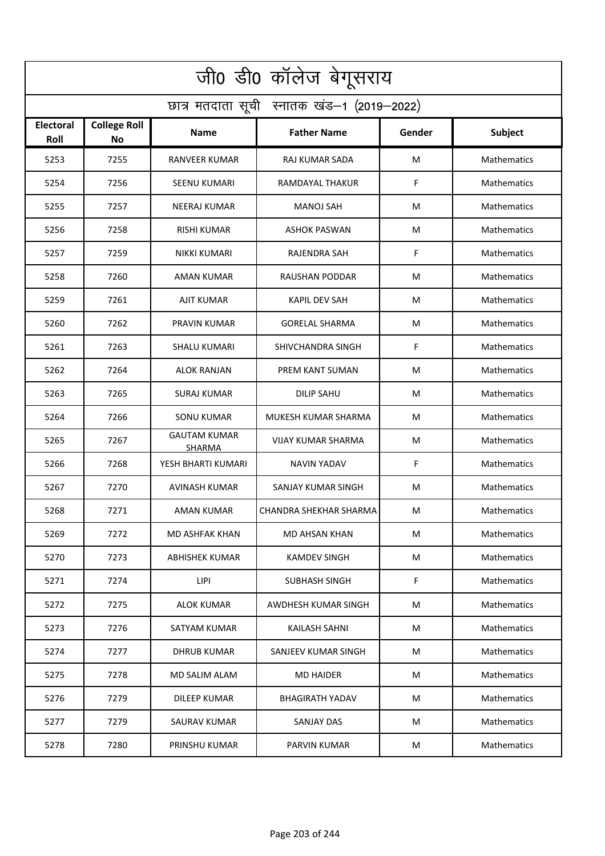| जी0 डी0 कॉलेज बेगूसराय                     |                                  |                                      |                        |        |                    |  |  |  |
|--------------------------------------------|----------------------------------|--------------------------------------|------------------------|--------|--------------------|--|--|--|
| छात्र मतदाता सूची स्नातक खंड-1 (2019-2022) |                                  |                                      |                        |        |                    |  |  |  |
| Electoral<br>Roll                          | <b>College Roll</b><br><b>No</b> | Name                                 | <b>Father Name</b>     | Gender | Subject            |  |  |  |
| 5253                                       | 7255                             | <b>RANVEER KUMAR</b>                 | <b>RAJ KUMAR SADA</b>  | M      | <b>Mathematics</b> |  |  |  |
| 5254                                       | 7256                             | SEENU KUMARI                         | RAMDAYAL THAKUR        | F      | <b>Mathematics</b> |  |  |  |
| 5255                                       | 7257                             | <b>NEERAJ KUMAR</b>                  | MANOJ SAH              | M      | Mathematics        |  |  |  |
| 5256                                       | 7258                             | RISHI KUMAR                          | ASHOK PASWAN           | M      | Mathematics        |  |  |  |
| 5257                                       | 7259                             | <b>NIKKI KUMARI</b>                  | RAJENDRA SAH           | F      | Mathematics        |  |  |  |
| 5258                                       | 7260                             | AMAN KUMAR                           | <b>RAUSHAN PODDAR</b>  | M      | Mathematics        |  |  |  |
| 5259                                       | 7261                             | AJIT KUMAR                           | <b>KAPIL DEV SAH</b>   | M      | Mathematics        |  |  |  |
| 5260                                       | 7262                             | PRAVIN KUMAR                         | <b>GORELAL SHARMA</b>  | M      | Mathematics        |  |  |  |
| 5261                                       | 7263                             | <b>SHALU KUMARI</b>                  | SHIVCHANDRA SINGH      | F      | Mathematics        |  |  |  |
| 5262                                       | 7264                             | ALOK RANJAN                          | PREM KANT SUMAN        | M      | Mathematics        |  |  |  |
| 5263                                       | 7265                             | SURAJ KUMAR                          | <b>DILIP SAHU</b>      | M      | Mathematics        |  |  |  |
| 5264                                       | 7266                             | <b>SONU KUMAR</b>                    | MUKESH KUMAR SHARMA    | M      | Mathematics        |  |  |  |
| 5265                                       | 7267                             | <b>GAUTAM KUMAR</b><br><b>SHARMA</b> | VIJAY KUMAR SHARMA     | M      | Mathematics        |  |  |  |
| 5266                                       | 7268                             | YESH BHARTI KUMARI                   | <b>NAVIN YADAV</b>     | F      | Mathematics        |  |  |  |
| 5267                                       | 7270                             | <b>AVINASH KUMAR</b>                 | SANJAY KUMAR SINGH     | M      | <b>Mathematics</b> |  |  |  |
| 5268                                       | 7271                             | AMAN KUMAR                           | CHANDRA SHEKHAR SHARMA | M      | <b>Mathematics</b> |  |  |  |
| 5269                                       | 7272                             | <b>MD ASHFAK KHAN</b>                | <b>MD AHSAN KHAN</b>   | M      | Mathematics        |  |  |  |
| 5270                                       | 7273                             | <b>ABHISHEK KUMAR</b>                | <b>KAMDEV SINGH</b>    | M      | Mathematics        |  |  |  |
| 5271                                       | 7274                             | LIPI                                 | <b>SUBHASH SINGH</b>   | F      | <b>Mathematics</b> |  |  |  |
| 5272                                       | 7275                             | ALOK KUMAR                           | AWDHESH KUMAR SINGH    | M      | <b>Mathematics</b> |  |  |  |
| 5273                                       | 7276                             | SATYAM KUMAR                         | KAILASH SAHNI          | M      | <b>Mathematics</b> |  |  |  |
| 5274                                       | 7277                             | <b>DHRUB KUMAR</b>                   | SANJEEV KUMAR SINGH    | M      | <b>Mathematics</b> |  |  |  |
| 5275                                       | 7278                             | MD SALIM ALAM                        | MD HAIDER              | M      | <b>Mathematics</b> |  |  |  |
| 5276                                       | 7279                             | <b>DILEEP KUMAR</b>                  | <b>BHAGIRATH YADAV</b> | M      | <b>Mathematics</b> |  |  |  |
| 5277                                       | 7279                             | <b>SAURAV KUMAR</b>                  | <b>SANJAY DAS</b>      | M      | <b>Mathematics</b> |  |  |  |
| 5278                                       | 7280                             | PRINSHU KUMAR                        | PARVIN KUMAR           | M      | Mathematics        |  |  |  |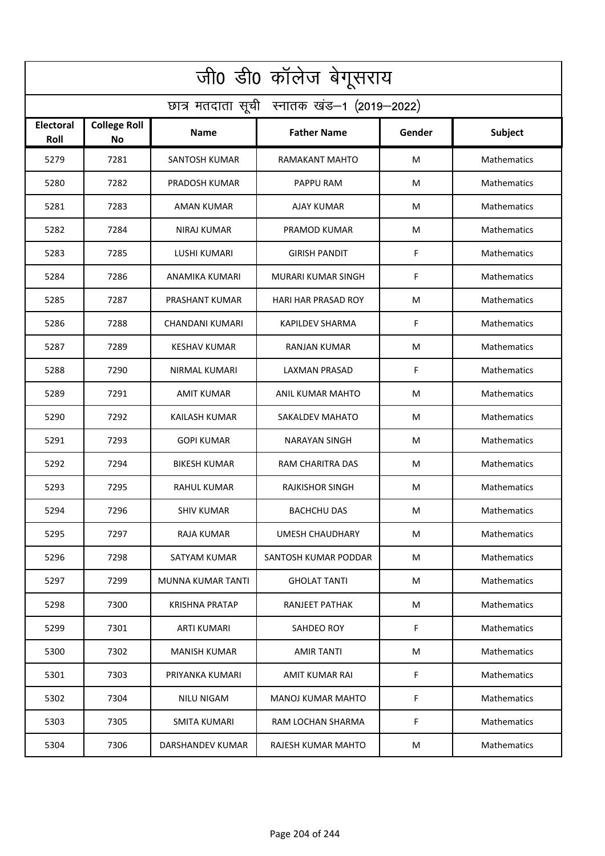| जी0 डी0 कॉलेज बेगूसराय                     |                                  |                       |                            |        |                    |  |  |  |
|--------------------------------------------|----------------------------------|-----------------------|----------------------------|--------|--------------------|--|--|--|
| छात्र मतदाता सूची स्नातक खंड-1 (2019-2022) |                                  |                       |                            |        |                    |  |  |  |
| <b>Electoral</b><br>Roll                   | <b>College Roll</b><br><b>No</b> | <b>Name</b>           | <b>Father Name</b>         | Gender | <b>Subject</b>     |  |  |  |
| 5279                                       | 7281                             | <b>SANTOSH KUMAR</b>  | RAMAKANT MAHTO             | M      | Mathematics        |  |  |  |
| 5280                                       | 7282                             | PRADOSH KUMAR         | PAPPU RAM                  | M      | Mathematics        |  |  |  |
| 5281                                       | 7283                             | <b>AMAN KUMAR</b>     | AJAY KUMAR                 | M      | Mathematics        |  |  |  |
| 5282                                       | 7284                             | NIRAJ KUMAR           | PRAMOD KUMAR               | M      | Mathematics        |  |  |  |
| 5283                                       | 7285                             | <b>LUSHI KUMARI</b>   | <b>GIRISH PANDIT</b>       | F      | Mathematics        |  |  |  |
| 5284                                       | 7286                             | ANAMIKA KUMARI        | MURARI KUMAR SINGH         | F      | Mathematics        |  |  |  |
| 5285                                       | 7287                             | PRASHANT KUMAR        | <b>HARI HAR PRASAD ROY</b> | M      | Mathematics        |  |  |  |
| 5286                                       | 7288                             | CHANDANI KUMARI       | <b>KAPILDEV SHARMA</b>     | F      | Mathematics        |  |  |  |
| 5287                                       | 7289                             | KESHAV KUMAR          | <b>RANJAN KUMAR</b>        | M      | Mathematics        |  |  |  |
| 5288                                       | 7290                             | NIRMAL KUMARI         | LAXMAN PRASAD              | F      | Mathematics        |  |  |  |
| 5289                                       | 7291                             | AMIT KUMAR            | ANIL KUMAR MAHTO           | M      | Mathematics        |  |  |  |
| 5290                                       | 7292                             | <b>KAILASH KUMAR</b>  | <b>SAKALDEV MAHATO</b>     | M      | Mathematics        |  |  |  |
| 5291                                       | 7293                             | <b>GOPI KUMAR</b>     | NARAYAN SINGH              | M      | Mathematics        |  |  |  |
| 5292                                       | 7294                             | <b>BIKESH KUMAR</b>   | RAM CHARITRA DAS           | M      | Mathematics        |  |  |  |
| 5293                                       | 7295                             | RAHUL KUMAR           | RAJKISHOR SINGH            | M      | Mathematics        |  |  |  |
| 5294                                       | 7296                             | <b>SHIV KUMAR</b>     | <b>BACHCHU DAS</b>         | M      | Mathematics        |  |  |  |
| 5295                                       | 7297                             | RAJA KUMAR            | UMESH CHAUDHARY            | M      | Mathematics        |  |  |  |
| 5296                                       | 7298                             | SATYAM KUMAR          | SANTOSH KUMAR PODDAR       | M      | Mathematics        |  |  |  |
| 5297                                       | 7299                             | MUNNA KUMAR TANTI     | <b>GHOLAT TANTI</b>        | M      | <b>Mathematics</b> |  |  |  |
| 5298                                       | 7300                             | <b>KRISHNA PRATAP</b> | RANJEET PATHAK             | M      | <b>Mathematics</b> |  |  |  |
| 5299                                       | 7301                             | <b>ARTI KUMARI</b>    | SAHDEO ROY                 | F      | Mathematics        |  |  |  |
| 5300                                       | 7302                             | <b>MANISH KUMAR</b>   | <b>AMIR TANTI</b>          | M      | <b>Mathematics</b> |  |  |  |
| 5301                                       | 7303                             | PRIYANKA KUMARI       | AMIT KUMAR RAI             | F      | Mathematics        |  |  |  |
| 5302                                       | 7304                             | NILU NIGAM            | <b>MANOJ KUMAR MAHTO</b>   | F      | Mathematics        |  |  |  |
| 5303                                       | 7305                             | <b>SMITA KUMARI</b>   | RAM LOCHAN SHARMA          | F      | Mathematics        |  |  |  |
| 5304                                       | 7306                             | DARSHANDEV KUMAR      | RAJESH KUMAR MAHTO         | M      | Mathematics        |  |  |  |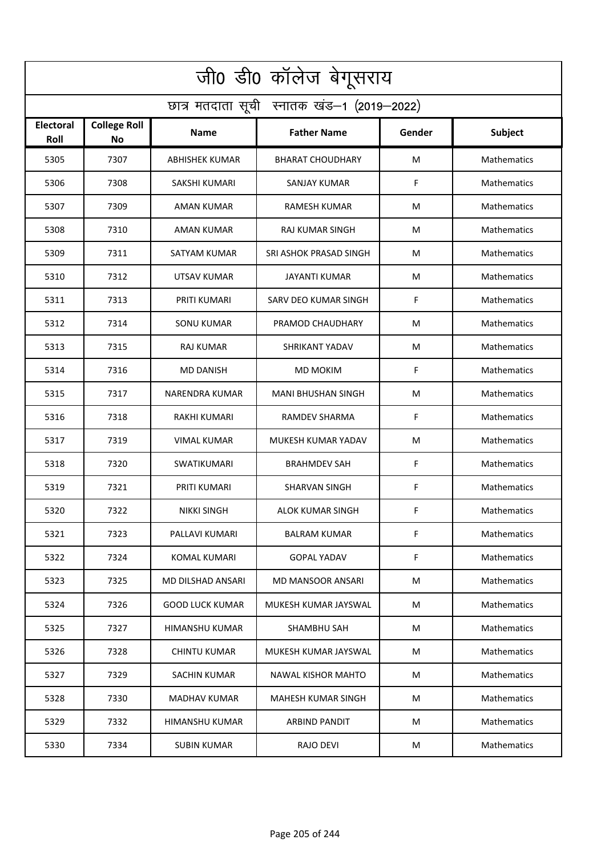| जी0 डी0 कॉलेज बेगूसराय                     |                                  |                        |                           |        |                    |  |  |  |
|--------------------------------------------|----------------------------------|------------------------|---------------------------|--------|--------------------|--|--|--|
| छात्र मतदाता सूची स्नातक खंड-1 (2019-2022) |                                  |                        |                           |        |                    |  |  |  |
| <b>Electoral</b><br>Roll                   | <b>College Roll</b><br><b>No</b> | <b>Name</b>            | <b>Father Name</b>        | Gender | Subject            |  |  |  |
| 5305                                       | 7307                             | <b>ABHISHEK KUMAR</b>  | <b>BHARAT CHOUDHARY</b>   | M      | Mathematics        |  |  |  |
| 5306                                       | 7308                             | SAKSHI KUMARI          | SANJAY KUMAR              | F      | <b>Mathematics</b> |  |  |  |
| 5307                                       | 7309                             | <b>AMAN KUMAR</b>      | <b>RAMESH KUMAR</b>       | M      | Mathematics        |  |  |  |
| 5308                                       | 7310                             | AMAN KUMAR             | RAJ KUMAR SINGH           | M      | Mathematics        |  |  |  |
| 5309                                       | 7311                             | SATYAM KUMAR           | SRI ASHOK PRASAD SINGH    | М      | Mathematics        |  |  |  |
| 5310                                       | 7312                             | UTSAV KUMAR            | JAYANTI KUMAR             | M      | Mathematics        |  |  |  |
| 5311                                       | 7313                             | PRITI KUMARI           | SARV DEO KUMAR SINGH      | F      | Mathematics        |  |  |  |
| 5312                                       | 7314                             | <b>SONU KUMAR</b>      | PRAMOD CHAUDHARY          | M      | Mathematics        |  |  |  |
| 5313                                       | 7315                             | <b>RAJ KUMAR</b>       | <b>SHRIKANT YADAV</b>     | M      | Mathematics        |  |  |  |
| 5314                                       | 7316                             | <b>MD DANISH</b>       | <b>MD MOKIM</b>           | F      | Mathematics        |  |  |  |
| 5315                                       | 7317                             | NARENDRA KUMAR         | <b>MANI BHUSHAN SINGH</b> | M      | Mathematics        |  |  |  |
| 5316                                       | 7318                             | <b>RAKHI KUMARI</b>    | <b>RAMDEV SHARMA</b>      | F      | Mathematics        |  |  |  |
| 5317                                       | 7319                             | VIMAL KUMAR            | MUKESH KUMAR YADAV        | M      | Mathematics        |  |  |  |
| 5318                                       | 7320                             | SWATIKUMARI            | <b>BRAHMDEV SAH</b>       | F      | <b>Mathematics</b> |  |  |  |
| 5319                                       | 7321                             | <b>PRITI KUMARI</b>    | SHARVAN SINGH             | F      | Mathematics        |  |  |  |
| 5320                                       | 7322                             | <b>NIKKI SINGH</b>     | ALOK KUMAR SINGH          | F      | Mathematics        |  |  |  |
| 5321                                       | 7323                             | PALLAVI KUMARI         | <b>BALRAM KUMAR</b>       | F      | Mathematics        |  |  |  |
| 5322                                       | 7324                             | KOMAL KUMARI           | <b>GOPAL YADAV</b>        | F      | <b>Mathematics</b> |  |  |  |
| 5323                                       | 7325                             | MD DILSHAD ANSARI      | MD MANSOOR ANSARI         | M      | <b>Mathematics</b> |  |  |  |
| 5324                                       | 7326                             | <b>GOOD LUCK KUMAR</b> | MUKESH KUMAR JAYSWAL      | M      | <b>Mathematics</b> |  |  |  |
| 5325                                       | 7327                             | HIMANSHU KUMAR         | <b>SHAMBHU SAH</b>        | M      | <b>Mathematics</b> |  |  |  |
| 5326                                       | 7328                             | <b>CHINTU KUMAR</b>    | MUKESH KUMAR JAYSWAL      | M      | <b>Mathematics</b> |  |  |  |
| 5327                                       | 7329                             | <b>SACHIN KUMAR</b>    | <b>NAWAL KISHOR MAHTO</b> | M      | <b>Mathematics</b> |  |  |  |
| 5328                                       | 7330                             | <b>MADHAV KUMAR</b>    | <b>MAHESH KUMAR SINGH</b> | М      | Mathematics        |  |  |  |
| 5329                                       | 7332                             | HIMANSHU KUMAR         | ARBIND PANDIT             | M      | Mathematics        |  |  |  |
| 5330                                       | 7334                             | <b>SUBIN KUMAR</b>     | <b>RAJO DEVI</b>          | M      | <b>Mathematics</b> |  |  |  |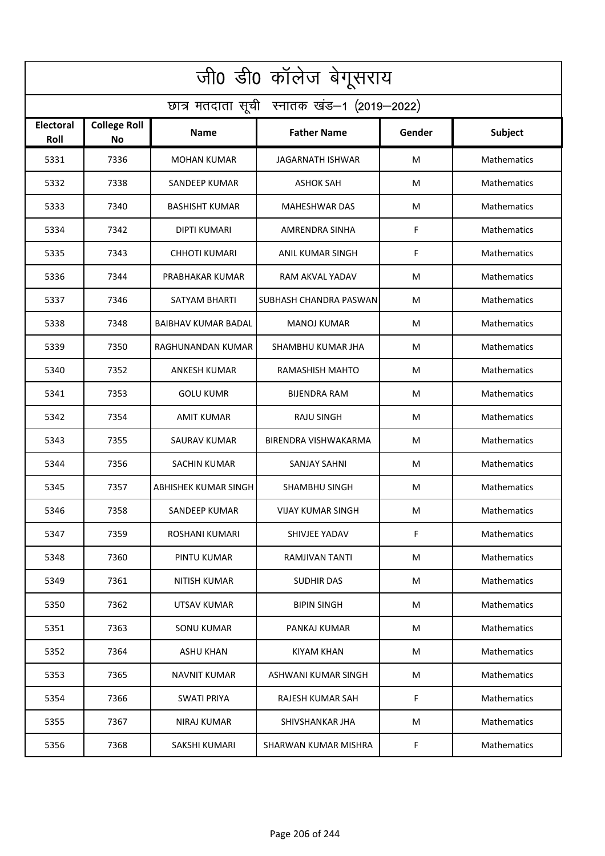| जी0 डी0 कॉलेज बेगूसराय                     |                                  |                            |                          |        |                    |  |  |  |
|--------------------------------------------|----------------------------------|----------------------------|--------------------------|--------|--------------------|--|--|--|
| छात्र मतदाता सूची स्नातक खंड-1 (2019-2022) |                                  |                            |                          |        |                    |  |  |  |
| <b>Electoral</b><br>Roll                   | <b>College Roll</b><br><b>No</b> | <b>Name</b>                | <b>Father Name</b>       | Gender | <b>Subject</b>     |  |  |  |
| 5331                                       | 7336                             | <b>MOHAN KUMAR</b>         | <b>JAGARNATH ISHWAR</b>  | M      | Mathematics        |  |  |  |
| 5332                                       | 7338                             | <b>SANDEEP KUMAR</b>       | <b>ASHOK SAH</b>         | M      | Mathematics        |  |  |  |
| 5333                                       | 7340                             | <b>BASHISHT KUMAR</b>      | <b>MAHESHWAR DAS</b>     | M      | Mathematics        |  |  |  |
| 5334                                       | 7342                             | <b>DIPTI KUMARI</b>        | AMRENDRA SINHA           | F      | Mathematics        |  |  |  |
| 5335                                       | 7343                             | <b>CHHOTI KUMARI</b>       | ANIL KUMAR SINGH         | F      | Mathematics        |  |  |  |
| 5336                                       | 7344                             | PRABHAKAR KUMAR            | RAM AKVAL YADAV          | M      | Mathematics        |  |  |  |
| 5337                                       | 7346                             | SATYAM BHARTI              | SUBHASH CHANDRA PASWAN   | M      | Mathematics        |  |  |  |
| 5338                                       | 7348                             | <b>BAIBHAV KUMAR BADAL</b> | <b>MANOJ KUMAR</b>       | М      | Mathematics        |  |  |  |
| 5339                                       | 7350                             | RAGHUNANDAN KUMAR          | SHAMBHU KUMAR JHA        | M      | Mathematics        |  |  |  |
| 5340                                       | 7352                             | <b>ANKESH KUMAR</b>        | RAMASHISH MAHTO          | M      | Mathematics        |  |  |  |
| 5341                                       | 7353                             | GOLU KUMR                  | <b>BIJENDRA RAM</b>      | M      | Mathematics        |  |  |  |
| 5342                                       | 7354                             | <b>AMIT KUMAR</b>          | RAJU SINGH               | M      | Mathematics        |  |  |  |
| 5343                                       | 7355                             | SAURAV KUMAR               | BIRENDRA VISHWAKARMA     | M      | Mathematics        |  |  |  |
| 5344                                       | 7356                             | <b>SACHIN KUMAR</b>        | <b>SANJAY SAHNI</b>      | M      | Mathematics        |  |  |  |
| 5345                                       | 7357                             | ABHISHEK KUMAR SINGH       | SHAMBHU SINGH            | M      | Mathematics        |  |  |  |
| 5346                                       | 7358                             | <b>SANDEEP KUMAR</b>       | <b>VIJAY KUMAR SINGH</b> | M      | Mathematics        |  |  |  |
| 5347                                       | 7359                             | ROSHANI KUMARI             | SHIVJEE YADAV            | F      | Mathematics        |  |  |  |
| 5348                                       | 7360                             | PINTU KUMAR                | RAMJIVAN TANTI           | M      | Mathematics        |  |  |  |
| 5349                                       | 7361                             | NITISH KUMAR               | <b>SUDHIR DAS</b>        | M      | Mathematics        |  |  |  |
| 5350                                       | 7362                             | UTSAV KUMAR                | <b>BIPIN SINGH</b>       | M      | <b>Mathematics</b> |  |  |  |
| 5351                                       | 7363                             | SONU KUMAR                 | PANKAJ KUMAR             | M      | <b>Mathematics</b> |  |  |  |
| 5352                                       | 7364                             | <b>ASHU KHAN</b>           | <b>KIYAM KHAN</b>        | M      | <b>Mathematics</b> |  |  |  |
| 5353                                       | 7365                             | <b>NAVNIT KUMAR</b>        | ASHWANI KUMAR SINGH      | M      | Mathematics        |  |  |  |
| 5354                                       | 7366                             | <b>SWATI PRIYA</b>         | RAJESH KUMAR SAH         | F      | Mathematics        |  |  |  |
| 5355                                       | 7367                             | NIRAJ KUMAR                | SHIVSHANKAR JHA          | M      | Mathematics        |  |  |  |
| 5356                                       | 7368                             | SAKSHI KUMARI              | SHARWAN KUMAR MISHRA     | F.     | Mathematics        |  |  |  |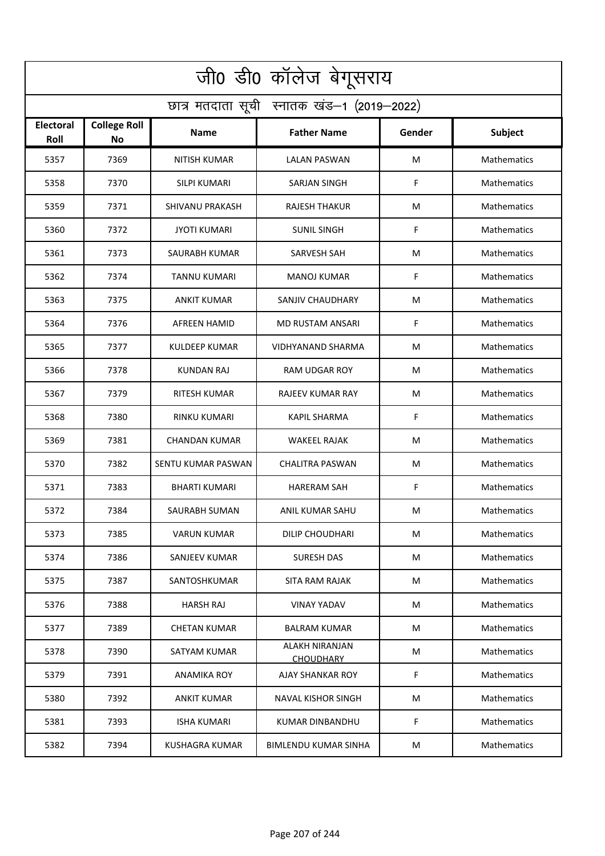| जी0 डी0 कॉलेज बेगूसराय                     |                                  |                        |                                           |        |                    |  |  |  |
|--------------------------------------------|----------------------------------|------------------------|-------------------------------------------|--------|--------------------|--|--|--|
| छात्र मतदाता सूची स्नातक खंड-1 (2019-2022) |                                  |                        |                                           |        |                    |  |  |  |
| <b>Electoral</b><br>Roll                   | <b>College Roll</b><br><b>No</b> | <b>Name</b>            | <b>Father Name</b>                        | Gender | Subject            |  |  |  |
| 5357                                       | 7369                             | <b>NITISH KUMAR</b>    | <b>LALAN PASWAN</b>                       | M      | Mathematics        |  |  |  |
| 5358                                       | 7370                             | SILPI KUMARI           | <b>SARJAN SINGH</b>                       | F      | Mathematics        |  |  |  |
| 5359                                       | 7371                             | <b>SHIVANU PRAKASH</b> | <b>RAJESH THAKUR</b>                      | M      | Mathematics        |  |  |  |
| 5360                                       | 7372                             | <b>JYOTI KUMARI</b>    | <b>SUNIL SINGH</b>                        | F      | Mathematics        |  |  |  |
| 5361                                       | 7373                             | SAURABH KUMAR          | SARVESH SAH                               | M      | Mathematics        |  |  |  |
| 5362                                       | 7374                             | <b>TANNU KUMARI</b>    | <b>MANOJ KUMAR</b>                        | F      | Mathematics        |  |  |  |
| 5363                                       | 7375                             | <b>ANKIT KUMAR</b>     | SANJIV CHAUDHARY                          | M      | Mathematics        |  |  |  |
| 5364                                       | 7376                             | AFREEN HAMID           | MD RUSTAM ANSARI                          | F      | Mathematics        |  |  |  |
| 5365                                       | 7377                             | <b>KULDEEP KUMAR</b>   | VIDHYANAND SHARMA                         | M      | Mathematics        |  |  |  |
| 5366                                       | 7378                             | KUNDAN RAJ             | RAM UDGAR ROY                             | M      | Mathematics        |  |  |  |
| 5367                                       | 7379                             | <b>RITESH KUMAR</b>    | RAJEEV KUMAR RAY                          | M      | Mathematics        |  |  |  |
| 5368                                       | 7380                             | <b>RINKU KUMARI</b>    | <b>KAPIL SHARMA</b>                       | F      | Mathematics        |  |  |  |
| 5369                                       | 7381                             | CHANDAN KUMAR          | WAKEEL RAJAK                              | M      | Mathematics        |  |  |  |
| 5370                                       | 7382                             | SENTU KUMAR PASWAN     | <b>CHALITRA PASWAN</b>                    | M      | Mathematics        |  |  |  |
| 5371                                       | 7383                             | BHARTI KUMARI          | <b>HARERAM SAH</b>                        | F      | Mathematics        |  |  |  |
| 5372                                       | 7384                             | SAURABH SUMAN          | ANIL KUMAR SAHU                           | M      | Mathematics        |  |  |  |
| 5373                                       | 7385                             | <b>VARUN KUMAR</b>     | DILIP CHOUDHARI                           | M      | Mathematics        |  |  |  |
| 5374                                       | 7386                             | SANJEEV KUMAR          | <b>SURESH DAS</b>                         | M      | Mathematics        |  |  |  |
| 5375                                       | 7387                             | SANTOSHKUMAR           | SITA RAM RAJAK                            | M      | <b>Mathematics</b> |  |  |  |
| 5376                                       | 7388                             | <b>HARSH RAJ</b>       | <b>VINAY YADAV</b>                        | M      | <b>Mathematics</b> |  |  |  |
| 5377                                       | 7389                             | <b>CHETAN KUMAR</b>    | <b>BALRAM KUMAR</b>                       | M      | <b>Mathematics</b> |  |  |  |
| 5378                                       | 7390                             | SATYAM KUMAR           | <b>ALAKH NIRANJAN</b><br><b>CHOUDHARY</b> | M      | <b>Mathematics</b> |  |  |  |
| 5379                                       | 7391                             | ANAMIKA ROY            | AJAY SHANKAR ROY                          | F      | Mathematics        |  |  |  |
| 5380                                       | 7392                             | <b>ANKIT KUMAR</b>     | <b>NAVAL KISHOR SINGH</b>                 | M      | Mathematics        |  |  |  |
| 5381                                       | 7393                             | ISHA KUMARI            | KUMAR DINBANDHU                           | F      | Mathematics        |  |  |  |
| 5382                                       | 7394                             | <b>KUSHAGRA KUMAR</b>  | <b>BIMLENDU KUMAR SINHA</b>               | M      | Mathematics        |  |  |  |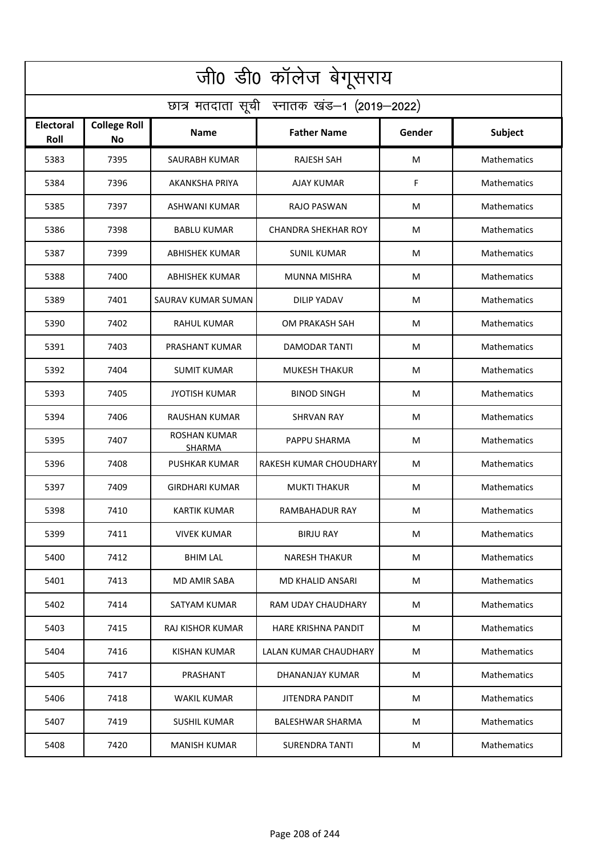| जी0 डी0 कॉलेज बेगूसराय                     |                                  |                                      |                            |        |                    |  |  |  |
|--------------------------------------------|----------------------------------|--------------------------------------|----------------------------|--------|--------------------|--|--|--|
| छात्र मतदाता सूची स्नातक खंड-1 (2019-2022) |                                  |                                      |                            |        |                    |  |  |  |
| <b>Electoral</b><br>Roll                   | <b>College Roll</b><br><b>No</b> | <b>Name</b>                          | <b>Father Name</b>         | Gender | Subject            |  |  |  |
| 5383                                       | 7395                             | <b>SAURABH KUMAR</b>                 | <b>RAJESH SAH</b>          | M      | Mathematics        |  |  |  |
| 5384                                       | 7396                             | AKANKSHA PRIYA                       | AJAY KUMAR                 | F      | Mathematics        |  |  |  |
| 5385                                       | 7397                             | ASHWANI KUMAR                        | RAJO PASWAN                | M      | Mathematics        |  |  |  |
| 5386                                       | 7398                             | <b>BABLU KUMAR</b>                   | <b>CHANDRA SHEKHAR ROY</b> | M      | Mathematics        |  |  |  |
| 5387                                       | 7399                             | <b>ABHISHEK KUMAR</b>                | <b>SUNIL KUMAR</b>         | M      | Mathematics        |  |  |  |
| 5388                                       | 7400                             | <b>ABHISHEK KUMAR</b>                | <b>MUNNA MISHRA</b>        | M      | Mathematics        |  |  |  |
| 5389                                       | 7401                             | SAURAV KUMAR SUMAN                   | <b>DILIP YADAV</b>         | M      | Mathematics        |  |  |  |
| 5390                                       | 7402                             | <b>RAHUL KUMAR</b>                   | OM PRAKASH SAH             | M      | Mathematics        |  |  |  |
| 5391                                       | 7403                             | PRASHANT KUMAR                       | <b>DAMODAR TANTI</b>       | M      | Mathematics        |  |  |  |
| 5392                                       | 7404                             | <b>SUMIT KUMAR</b>                   | <b>MUKESH THAKUR</b>       | M      | Mathematics        |  |  |  |
| 5393                                       | 7405                             | <b>JYOTISH KUMAR</b>                 | <b>BINOD SINGH</b>         | M      | Mathematics        |  |  |  |
| 5394                                       | 7406                             | RAUSHAN KUMAR                        | <b>SHRVAN RAY</b>          | M      | Mathematics        |  |  |  |
| 5395                                       | 7407                             | <b>ROSHAN KUMAR</b><br><b>SHARMA</b> | PAPPU SHARMA               | M      | Mathematics        |  |  |  |
| 5396                                       | 7408                             | <b>PUSHKAR KUMAR</b>                 | RAKESH KUMAR CHOUDHARY     | M      | Mathematics        |  |  |  |
| 5397                                       | 7409                             | <b>GIRDHARI KUMAR</b>                | <b>MUKTI THAKUR</b>        | M      | Mathematics        |  |  |  |
| 5398                                       | 7410                             | <b>KARTIK KUMAR</b>                  | RAMBAHADUR RAY             | M      | Mathematics        |  |  |  |
| 5399                                       | 7411                             | <b>VIVEK KUMAR</b>                   | <b>BIRJU RAY</b>           | M      | Mathematics        |  |  |  |
| 5400                                       | 7412                             | <b>BHIM LAL</b>                      | <b>NARESH THAKUR</b>       | M      | Mathematics        |  |  |  |
| 5401                                       | 7413                             | MD AMIR SABA                         | MD KHALID ANSARI           | M      | <b>Mathematics</b> |  |  |  |
| 5402                                       | 7414                             | SATYAM KUMAR                         | RAM UDAY CHAUDHARY         | M      | <b>Mathematics</b> |  |  |  |
| 5403                                       | 7415                             | RAJ KISHOR KUMAR                     | HARE KRISHNA PANDIT        | M      | <b>Mathematics</b> |  |  |  |
| 5404                                       | 7416                             | <b>KISHAN KUMAR</b>                  | LALAN KUMAR CHAUDHARY      | M      | <b>Mathematics</b> |  |  |  |
| 5405                                       | 7417                             | PRASHANT                             | DHANANJAY KUMAR            | M      | Mathematics        |  |  |  |
| 5406                                       | 7418                             | WAKIL KUMAR                          | <b>JITENDRA PANDIT</b>     | М      | Mathematics        |  |  |  |
| 5407                                       | 7419                             | <b>SUSHIL KUMAR</b>                  | BALESHWAR SHARMA           | M      | Mathematics        |  |  |  |
| 5408                                       | 7420                             | <b>MANISH KUMAR</b>                  | <b>SURENDRA TANTI</b>      | M      | Mathematics        |  |  |  |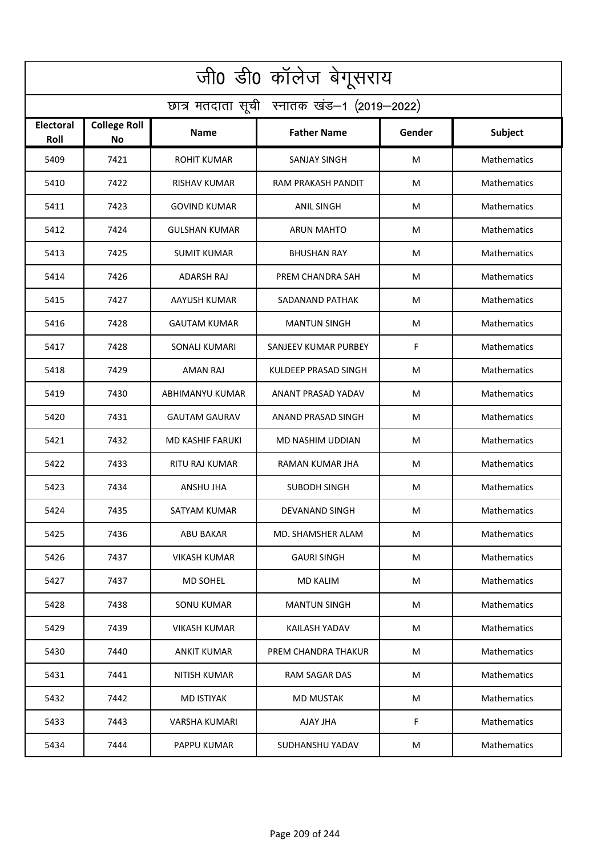| जी0 डी0 कॉलेज बेगूसराय                     |                                  |                      |                      |        |                    |  |  |  |
|--------------------------------------------|----------------------------------|----------------------|----------------------|--------|--------------------|--|--|--|
| छात्र मतदाता सूची स्नातक खंड-1 (2019-2022) |                                  |                      |                      |        |                    |  |  |  |
| <b>Electoral</b><br>Roll                   | <b>College Roll</b><br><b>No</b> | <b>Name</b>          | <b>Father Name</b>   | Gender | <b>Subject</b>     |  |  |  |
| 5409                                       | 7421                             | <b>ROHIT KUMAR</b>   | <b>SANJAY SINGH</b>  | м      | Mathematics        |  |  |  |
| 5410                                       | 7422                             | RISHAV KUMAR         | RAM PRAKASH PANDIT   | M      | Mathematics        |  |  |  |
| 5411                                       | 7423                             | <b>GOVIND KUMAR</b>  | <b>ANIL SINGH</b>    | м      | Mathematics        |  |  |  |
| 5412                                       | 7424                             | <b>GULSHAN KUMAR</b> | <b>ARUN MAHTO</b>    | M      | Mathematics        |  |  |  |
| 5413                                       | 7425                             | <b>SUMIT KUMAR</b>   | <b>BHUSHAN RAY</b>   | М      | Mathematics        |  |  |  |
| 5414                                       | 7426                             | ADARSH RAJ           | PREM CHANDRA SAH     | м      | Mathematics        |  |  |  |
| 5415                                       | 7427                             | AAYUSH KUMAR         | SADANAND PATHAK      | M      | Mathematics        |  |  |  |
| 5416                                       | 7428                             | <b>GAUTAM KUMAR</b>  | <b>MANTUN SINGH</b>  | м      | Mathematics        |  |  |  |
| 5417                                       | 7428                             | <b>SONALI KUMARI</b> | SANJEEV KUMAR PURBEY | F      | Mathematics        |  |  |  |
| 5418                                       | 7429                             | AMAN RAJ             | KULDEEP PRASAD SINGH | М      | Mathematics        |  |  |  |
| 5419                                       | 7430                             | ABHIMANYU KUMAR      | ANANT PRASAD YADAV   | М      | Mathematics        |  |  |  |
| 5420                                       | 7431                             | <b>GAUTAM GAURAV</b> | ANAND PRASAD SINGH   | M      | Mathematics        |  |  |  |
| 5421                                       | 7432                             | MD KASHIF FARUKI     | MD NASHIM UDDIAN     | М      | <b>Mathematics</b> |  |  |  |
| 5422                                       | 7433                             | RITU RAJ KUMAR       | RAMAN KUMAR JHA      | м      | Mathematics        |  |  |  |
| 5423                                       | 7434                             | ANSHU JHA            | <b>SUBODH SINGH</b>  | М      | Mathematics        |  |  |  |
| 5424                                       | 7435                             | SATYAM KUMAR         | DEVANAND SINGH       | M      | Mathematics        |  |  |  |
| 5425                                       | 7436                             | ABU BAKAR            | MD. SHAMSHER ALAM    | М      | Mathematics        |  |  |  |
| 5426                                       | 7437                             | VIKASH KUMAR         | <b>GAURI SINGH</b>   | М      | Mathematics        |  |  |  |
| 5427                                       | 7437                             | <b>MD SOHEL</b>      | <b>MD KALIM</b>      | М      | Mathematics        |  |  |  |
| 5428                                       | 7438                             | <b>SONU KUMAR</b>    | <b>MANTUN SINGH</b>  | M      | Mathematics        |  |  |  |
| 5429                                       | 7439                             | VIKASH KUMAR         | <b>KAILASH YADAV</b> | М      | <b>Mathematics</b> |  |  |  |
| 5430                                       | 7440                             | <b>ANKIT KUMAR</b>   | PREM CHANDRA THAKUR  | M      | Mathematics        |  |  |  |
| 5431                                       | 7441                             | <b>NITISH KUMAR</b>  | RAM SAGAR DAS        | М      | Mathematics        |  |  |  |
| 5432                                       | 7442                             | <b>MD ISTIYAK</b>    | <b>MD MUSTAK</b>     | М      | Mathematics        |  |  |  |
| 5433                                       | 7443                             | <b>VARSHA KUMARI</b> | AJAY JHA             | F      | Mathematics        |  |  |  |
| 5434                                       | 7444                             | PAPPU KUMAR          | SUDHANSHU YADAV      | м      | Mathematics        |  |  |  |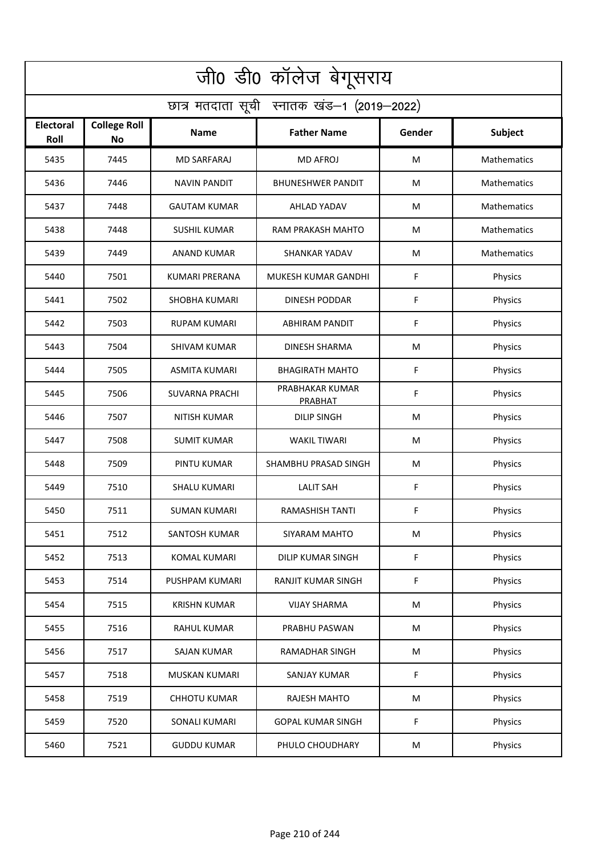| जी0 डी0 कॉलेज बेगूसराय                     |                                  |                       |                            |        |             |  |  |  |
|--------------------------------------------|----------------------------------|-----------------------|----------------------------|--------|-------------|--|--|--|
| छात्र मतदाता सूची स्नातक खंड-1 (2019-2022) |                                  |                       |                            |        |             |  |  |  |
| <b>Electoral</b><br>Roll                   | <b>College Roll</b><br><b>No</b> | Name                  | <b>Father Name</b>         | Gender | Subject     |  |  |  |
| 5435                                       | 7445                             | <b>MD SARFARAJ</b>    | <b>MD AFROJ</b>            | M      | Mathematics |  |  |  |
| 5436                                       | 7446                             | <b>NAVIN PANDIT</b>   | <b>BHUNESHWER PANDIT</b>   | M      | Mathematics |  |  |  |
| 5437                                       | 7448                             | <b>GAUTAM KUMAR</b>   | AHLAD YADAV                | M      | Mathematics |  |  |  |
| 5438                                       | 7448                             | <b>SUSHIL KUMAR</b>   | RAM PRAKASH MAHTO          | M      | Mathematics |  |  |  |
| 5439                                       | 7449                             | <b>ANAND KUMAR</b>    | <b>SHANKAR YADAV</b>       | M      | Mathematics |  |  |  |
| 5440                                       | 7501                             | <b>KUMARI PRERANA</b> | MUKESH KUMAR GANDHI        | F      | Physics     |  |  |  |
| 5441                                       | 7502                             | <b>SHOBHA KUMARI</b>  | <b>DINESH PODDAR</b>       | F      | Physics     |  |  |  |
| 5442                                       | 7503                             | <b>RUPAM KUMARI</b>   | <b>ABHIRAM PANDIT</b>      | F      | Physics     |  |  |  |
| 5443                                       | 7504                             | <b>SHIVAM KUMAR</b>   | <b>DINESH SHARMA</b>       | M      | Physics     |  |  |  |
| 5444                                       | 7505                             | <b>ASMITA KUMARI</b>  | <b>BHAGIRATH MAHTO</b>     | F      | Physics     |  |  |  |
| 5445                                       | 7506                             | <b>SUVARNA PRACHI</b> | PRABHAKAR KUMAR<br>PRABHAT | F      | Physics     |  |  |  |
| 5446                                       | 7507                             | <b>NITISH KUMAR</b>   | <b>DILIP SINGH</b>         | M      | Physics     |  |  |  |
| 5447                                       | 7508                             | <b>SUMIT KUMAR</b>    | WAKIL TIWARI               | M      | Physics     |  |  |  |
| 5448                                       | 7509                             | PINTU KUMAR           | SHAMBHU PRASAD SINGH       | M      | Physics     |  |  |  |
| 5449                                       | 7510                             | <b>SHALU KUMARI</b>   | <b>LALIT SAH</b>           | F      | Physics     |  |  |  |
| 5450                                       | 7511                             | <b>SUMAN KUMARI</b>   | RAMASHISH TANTI            | F      | Physics     |  |  |  |
| 5451                                       | 7512                             | SANTOSH KUMAR         | SIYARAM MAHTO              | M      | Physics     |  |  |  |
| 5452                                       | 7513                             | KOMAL KUMARI          | DILIP KUMAR SINGH          | F      | Physics     |  |  |  |
| 5453                                       | 7514                             | PUSHPAM KUMARI        | RANJIT KUMAR SINGH         | F      | Physics     |  |  |  |
| 5454                                       | 7515                             | <b>KRISHN KUMAR</b>   | <b>VIJAY SHARMA</b>        | M      | Physics     |  |  |  |
| 5455                                       | 7516                             | RAHUL KUMAR           | PRABHU PASWAN              | M      | Physics     |  |  |  |
| 5456                                       | 7517                             | SAJAN KUMAR           | RAMADHAR SINGH             | M      | Physics     |  |  |  |
| 5457                                       | 7518                             | MUSKAN KUMARI         | SANJAY KUMAR               | F      | Physics     |  |  |  |
| 5458                                       | 7519                             | <b>CHHOTU KUMAR</b>   | RAJESH MAHTO               | M      | Physics     |  |  |  |
| 5459                                       | 7520                             | SONALI KUMARI         | <b>GOPAL KUMAR SINGH</b>   | F      | Physics     |  |  |  |
| 5460                                       | 7521                             | <b>GUDDU KUMAR</b>    | PHULO CHOUDHARY            | M      | Physics     |  |  |  |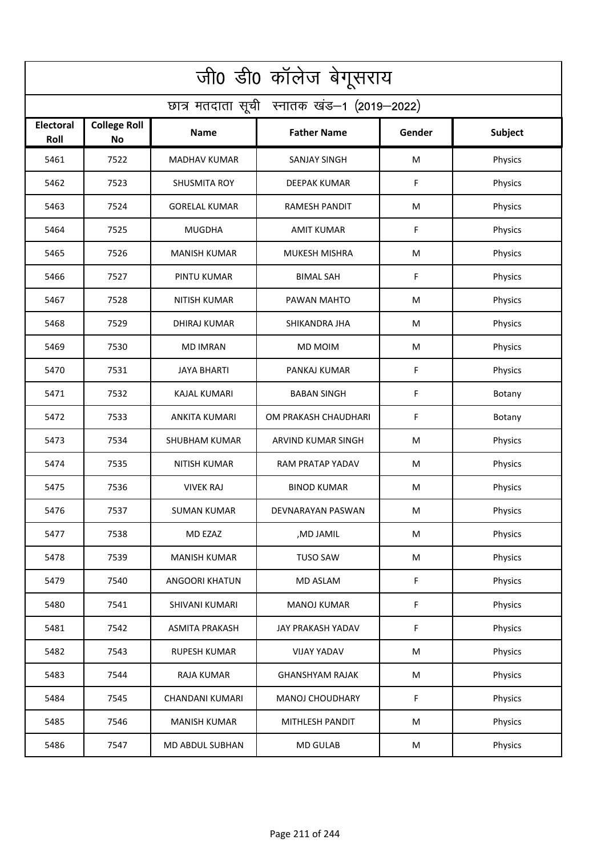| जी0 डी0 कॉलेज बेगूसराय                     |                                  |                       |                        |             |                |  |  |  |
|--------------------------------------------|----------------------------------|-----------------------|------------------------|-------------|----------------|--|--|--|
| छात्र मतदाता सूची स्नातक खंड-1 (2019-2022) |                                  |                       |                        |             |                |  |  |  |
| <b>Electoral</b><br>Roll                   | <b>College Roll</b><br><b>No</b> | Name                  | <b>Father Name</b>     | Gender      | <b>Subject</b> |  |  |  |
| 5461                                       | 7522                             | <b>MADHAV KUMAR</b>   | <b>SANJAY SINGH</b>    | M           | Physics        |  |  |  |
| 5462                                       | 7523                             | <b>SHUSMITA ROY</b>   | <b>DEEPAK KUMAR</b>    | F           | Physics        |  |  |  |
| 5463                                       | 7524                             | <b>GORELAL KUMAR</b>  | <b>RAMESH PANDIT</b>   | M           | Physics        |  |  |  |
| 5464                                       | 7525                             | <b>MUGDHA</b>         | <b>AMIT KUMAR</b>      | F           | Physics        |  |  |  |
| 5465                                       | 7526                             | <b>MANISH KUMAR</b>   | <b>MUKESH MISHRA</b>   | M           | Physics        |  |  |  |
| 5466                                       | 7527                             | PINTU KUMAR           | <b>BIMAL SAH</b>       | F           | Physics        |  |  |  |
| 5467                                       | 7528                             | <b>NITISH KUMAR</b>   | PAWAN MAHTO            | M           | Physics        |  |  |  |
| 5468                                       | 7529                             | <b>DHIRAJ KUMAR</b>   | SHIKANDRA JHA          | M           | Physics        |  |  |  |
| 5469                                       | 7530                             | <b>MD IMRAN</b>       | <b>MD MOIM</b>         | M           | Physics        |  |  |  |
| 5470                                       | 7531                             | <b>JAYA BHARTI</b>    | PANKAJ KUMAR           | F           | Physics        |  |  |  |
| 5471                                       | 7532                             | <b>KAJAL KUMARI</b>   | <b>BABAN SINGH</b>     | $\mathsf F$ | Botany         |  |  |  |
| 5472                                       | 7533                             | <b>ANKITA KUMARI</b>  | OM PRAKASH CHAUDHARI   | F           | Botany         |  |  |  |
| 5473                                       | 7534                             | <b>SHUBHAM KUMAR</b>  | ARVIND KUMAR SINGH     | M           | Physics        |  |  |  |
| 5474                                       | 7535                             | <b>NITISH KUMAR</b>   | RAM PRATAP YADAV       | M           | Physics        |  |  |  |
| 5475                                       | 7536                             | <b>VIVEK RAJ</b>      | <b>BINOD KUMAR</b>     | M           | Physics        |  |  |  |
| 5476                                       | 7537                             | <b>SUMAN KUMAR</b>    | DEVNARAYAN PASWAN      | M           | Physics        |  |  |  |
| 5477                                       | 7538                             | MD EZAZ               | ,MD JAMIL              | M           | Physics        |  |  |  |
| 5478                                       | 7539                             | <b>MANISH KUMAR</b>   | <b>TUSO SAW</b>        | M           | Physics        |  |  |  |
| 5479                                       | 7540                             | ANGOORI KHATUN        | MD ASLAM               | F           | Physics        |  |  |  |
| 5480                                       | 7541                             | SHIVANI KUMARI        | <b>MANOJ KUMAR</b>     | F           | Physics        |  |  |  |
| 5481                                       | 7542                             | <b>ASMITA PRAKASH</b> | JAY PRAKASH YADAV      | F           | Physics        |  |  |  |
| 5482                                       | 7543                             | <b>RUPESH KUMAR</b>   | <b>VIJAY YADAV</b>     | M           | Physics        |  |  |  |
| 5483                                       | 7544                             | RAJA KUMAR            | <b>GHANSHYAM RAJAK</b> | M           | Physics        |  |  |  |
| 5484                                       | 7545                             | CHANDANI KUMARI       | <b>MANOJ CHOUDHARY</b> | F           | Physics        |  |  |  |
| 5485                                       | 7546                             | <b>MANISH KUMAR</b>   | MITHLESH PANDIT        | M           | Physics        |  |  |  |
| 5486                                       | 7547                             | MD ABDUL SUBHAN       | <b>MD GULAB</b>        | M           | Physics        |  |  |  |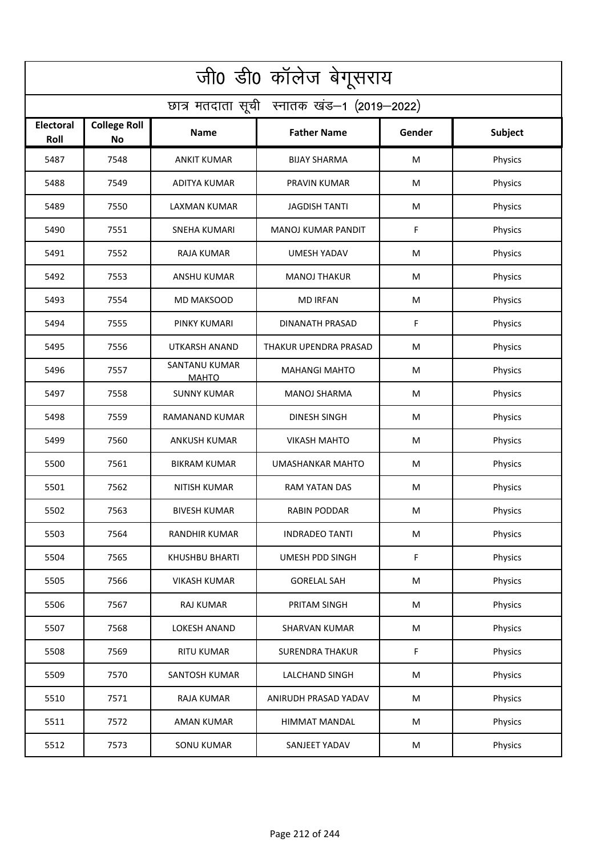| जी0 डी0 कॉलेज बेगूसराय                     |                                  |                               |                           |           |                |  |  |  |
|--------------------------------------------|----------------------------------|-------------------------------|---------------------------|-----------|----------------|--|--|--|
| छात्र मतदाता सूची स्नातक खंड-1 (2019-2022) |                                  |                               |                           |           |                |  |  |  |
| <b>Electoral</b><br>Roll                   | <b>College Roll</b><br><b>No</b> | Name                          | <b>Father Name</b>        | Gender    | <b>Subject</b> |  |  |  |
| 5487                                       | 7548                             | <b>ANKIT KUMAR</b>            | <b>BIJAY SHARMA</b>       | M         | Physics        |  |  |  |
| 5488                                       | 7549                             | <b>ADITYA KUMAR</b>           | PRAVIN KUMAR              | M         | Physics        |  |  |  |
| 5489                                       | 7550                             | <b>LAXMAN KUMAR</b>           | <b>JAGDISH TANTI</b>      | M         | Physics        |  |  |  |
| 5490                                       | 7551                             | <b>SNEHA KUMARI</b>           | <b>MANOJ KUMAR PANDIT</b> | F         | Physics        |  |  |  |
| 5491                                       | 7552                             | <b>RAJA KUMAR</b>             | <b>UMESH YADAV</b>        | M         | Physics        |  |  |  |
| 5492                                       | 7553                             | <b>ANSHU KUMAR</b>            | <b>MANOJ THAKUR</b>       | M         | Physics        |  |  |  |
| 5493                                       | 7554                             | <b>MD MAKSOOD</b>             | <b>MD IRFAN</b>           | M         | Physics        |  |  |  |
| 5494                                       | 7555                             | PINKY KUMARI                  | <b>DINANATH PRASAD</b>    | F         | Physics        |  |  |  |
| 5495                                       | 7556                             | <b>UTKARSH ANAND</b>          | THAKUR UPENDRA PRASAD     | M         | Physics        |  |  |  |
| 5496                                       | 7557                             | SANTANU KUMAR<br><b>MAHTO</b> | <b>MAHANGI MAHTO</b>      | M         | Physics        |  |  |  |
| 5497                                       | 7558                             | <b>SUNNY KUMAR</b>            | <b>MANOJ SHARMA</b>       | M         | Physics        |  |  |  |
| 5498                                       | 7559                             | RAMANAND KUMAR                | <b>DINESH SINGH</b>       | M         | Physics        |  |  |  |
| 5499                                       | 7560                             | ANKUSH KUMAR                  | <b>VIKASH MAHTO</b>       | M         | Physics        |  |  |  |
| 5500                                       | 7561                             | <b>BIKRAM KUMAR</b>           | <b>UMASHANKAR MAHTO</b>   | M         | Physics        |  |  |  |
| 5501                                       | 7562                             | NITISH KUMAR                  | RAM YATAN DAS             | M         | Physics        |  |  |  |
| 5502                                       | 7563                             | <b>BIVESH KUMAR</b>           | RABIN PODDAR              | M         | Physics        |  |  |  |
| 5503                                       | 7564                             | RANDHIR KUMAR                 | <b>INDRADEO TANTI</b>     | M         | Physics        |  |  |  |
| 5504                                       | 7565                             | KHUSHBU BHARTI                | UMESH PDD SINGH           | F         | Physics        |  |  |  |
| 5505                                       | 7566                             | <b>VIKASH KUMAR</b>           | <b>GORELAL SAH</b>        | M         | Physics        |  |  |  |
| 5506                                       | 7567                             | <b>RAJ KUMAR</b>              | PRITAM SINGH              | M         | Physics        |  |  |  |
| 5507                                       | 7568                             | <b>LOKESH ANAND</b>           | <b>SHARVAN KUMAR</b>      | ${\sf M}$ | Physics        |  |  |  |
| 5508                                       | 7569                             | <b>RITU KUMAR</b>             | <b>SURENDRA THAKUR</b>    | F         | Physics        |  |  |  |
| 5509                                       | 7570                             | SANTOSH KUMAR                 | <b>LALCHAND SINGH</b>     | M         | Physics        |  |  |  |
| 5510                                       | 7571                             | RAJA KUMAR                    | ANIRUDH PRASAD YADAV      | M         | Physics        |  |  |  |
| 5511                                       | 7572                             | AMAN KUMAR                    | HIMMAT MANDAL             | M         | Physics        |  |  |  |
| 5512                                       | 7573                             | <b>SONU KUMAR</b>             | SANJEET YADAV             | M         | Physics        |  |  |  |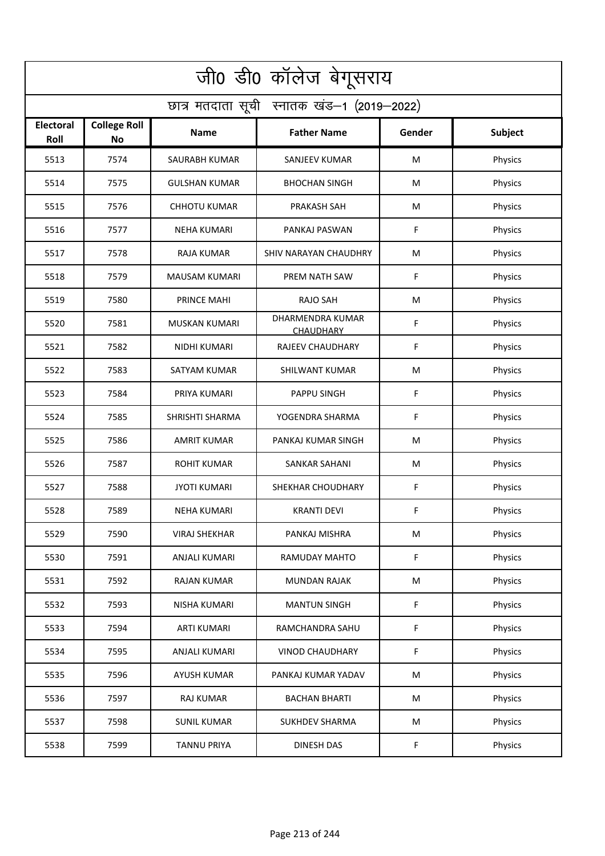| जी0 डी0 कॉलेज बेगूसराय                     |                                  |                      |                                      |        |         |  |  |  |
|--------------------------------------------|----------------------------------|----------------------|--------------------------------------|--------|---------|--|--|--|
| छात्र मतदाता सूची स्नातक खंड-1 (2019-2022) |                                  |                      |                                      |        |         |  |  |  |
| <b>Electoral</b><br>Roll                   | <b>College Roll</b><br><b>No</b> | Name                 | <b>Father Name</b>                   | Gender | Subject |  |  |  |
| 5513                                       | 7574                             | SAURABH KUMAR        | <b>SANJEEV KUMAR</b>                 | M      | Physics |  |  |  |
| 5514                                       | 7575                             | <b>GULSHAN KUMAR</b> | <b>BHOCHAN SINGH</b>                 | M      | Physics |  |  |  |
| 5515                                       | 7576                             | <b>CHHOTU KUMAR</b>  | PRAKASH SAH                          | M      | Physics |  |  |  |
| 5516                                       | 7577                             | <b>NEHA KUMARI</b>   | PANKAJ PASWAN                        | F      | Physics |  |  |  |
| 5517                                       | 7578                             | <b>RAJA KUMAR</b>    | SHIV NARAYAN CHAUDHRY                | M      | Physics |  |  |  |
| 5518                                       | 7579                             | <b>MAUSAM KUMARI</b> | PREM NATH SAW                        | F      | Physics |  |  |  |
| 5519                                       | 7580                             | PRINCE MAHI          | <b>RAJO SAH</b>                      | M      | Physics |  |  |  |
| 5520                                       | 7581                             | <b>MUSKAN KUMARI</b> | DHARMENDRA KUMAR<br><b>CHAUDHARY</b> | F      | Physics |  |  |  |
| 5521                                       | 7582                             | NIDHI KUMARI         | <b>RAJEEV CHAUDHARY</b>              | F      | Physics |  |  |  |
| 5522                                       | 7583                             | <b>SATYAM KUMAR</b>  | SHILWANT KUMAR                       | M      | Physics |  |  |  |
| 5523                                       | 7584                             | PRIYA KUMARI         | <b>PAPPU SINGH</b>                   | F      | Physics |  |  |  |
| 5524                                       | 7585                             | SHRISHTI SHARMA      | YOGENDRA SHARMA                      | F      | Physics |  |  |  |
| 5525                                       | 7586                             | <b>AMRIT KUMAR</b>   | PANKAJ KUMAR SINGH                   | M      | Physics |  |  |  |
| 5526                                       | 7587                             | <b>ROHIT KUMAR</b>   | <b>SANKAR SAHANI</b>                 | M      | Physics |  |  |  |
| 5527                                       | 7588                             | <b>JYOTI KUMARI</b>  | SHEKHAR CHOUDHARY                    | F      | Physics |  |  |  |
| 5528                                       | 7589                             | NEHA KUMARI          | <b>KRANTI DEVI</b>                   | F      | Physics |  |  |  |
| 5529                                       | 7590                             | <b>VIRAJ SHEKHAR</b> | PANKAJ MISHRA                        | M      | Physics |  |  |  |
| 5530                                       | 7591                             | <b>ANJALI KUMARI</b> | RAMUDAY MAHTO                        | F      | Physics |  |  |  |
| 5531                                       | 7592                             | <b>RAJAN KUMAR</b>   | MUNDAN RAJAK                         | M      | Physics |  |  |  |
| 5532                                       | 7593                             | NISHA KUMARI         | <b>MANTUN SINGH</b>                  | F      | Physics |  |  |  |
| 5533                                       | 7594                             | <b>ARTI KUMARI</b>   | RAMCHANDRA SAHU                      | F      | Physics |  |  |  |
| 5534                                       | 7595                             | ANJALI KUMARI        | <b>VINOD CHAUDHARY</b>               | F      | Physics |  |  |  |
| 5535                                       | 7596                             | <b>AYUSH KUMAR</b>   | PANKAJ KUMAR YADAV                   | M      | Physics |  |  |  |
| 5536                                       | 7597                             | RAJ KUMAR            | <b>BACHAN BHARTI</b>                 | M      | Physics |  |  |  |
| 5537                                       | 7598                             | <b>SUNIL KUMAR</b>   | <b>SUKHDEV SHARMA</b>                | M      | Physics |  |  |  |
| 5538                                       | 7599                             | <b>TANNU PRIYA</b>   | DINESH DAS                           | F      | Physics |  |  |  |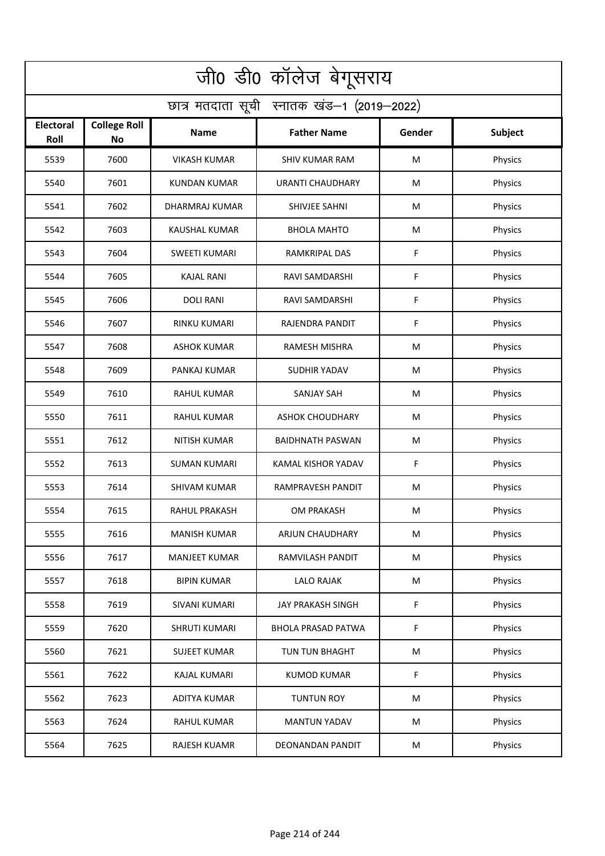| जी0 डी0 कॉलेज बेगूसराय                     |                                  |                      |                           |             |                |  |  |  |
|--------------------------------------------|----------------------------------|----------------------|---------------------------|-------------|----------------|--|--|--|
| छात्र मतदाता सूची स्नातक खंड-1 (2019-2022) |                                  |                      |                           |             |                |  |  |  |
| <b>Electoral</b><br>Roll                   | <b>College Roll</b><br><b>No</b> | Name                 | <b>Father Name</b>        | Gender      | <b>Subject</b> |  |  |  |
| 5539                                       | 7600                             | <b>VIKASH KUMAR</b>  | <b>SHIV KUMAR RAM</b>     | M           | Physics        |  |  |  |
| 5540                                       | 7601                             | <b>KUNDAN KUMAR</b>  | <b>URANTI CHAUDHARY</b>   | M           | Physics        |  |  |  |
| 5541                                       | 7602                             | DHARMRAJ KUMAR       | SHIVJEE SAHNI             | M           | Physics        |  |  |  |
| 5542                                       | 7603                             | <b>KAUSHAL KUMAR</b> | <b>BHOLA MAHTO</b>        | M           | Physics        |  |  |  |
| 5543                                       | 7604                             | <b>SWEETI KUMARI</b> | RAMKRIPAL DAS             | F           | Physics        |  |  |  |
| 5544                                       | 7605                             | KAJAL RANI           | RAVI SAMDARSHI            | F           | Physics        |  |  |  |
| 5545                                       | 7606                             | <b>DOLI RANI</b>     | <b>RAVI SAMDARSHI</b>     | F           | Physics        |  |  |  |
| 5546                                       | 7607                             | <b>RINKU KUMARI</b>  | RAJENDRA PANDIT           | F           | Physics        |  |  |  |
| 5547                                       | 7608                             | <b>ASHOK KUMAR</b>   | <b>RAMESH MISHRA</b>      | M           | Physics        |  |  |  |
| 5548                                       | 7609                             | PANKAJ KUMAR         | <b>SUDHIR YADAV</b>       | M           | Physics        |  |  |  |
| 5549                                       | 7610                             | RAHUL KUMAR          | <b>SANJAY SAH</b>         | M           | Physics        |  |  |  |
| 5550                                       | 7611                             | <b>RAHUL KUMAR</b>   | <b>ASHOK CHOUDHARY</b>    | M           | Physics        |  |  |  |
| 5551                                       | 7612                             | <b>NITISH KUMAR</b>  | <b>BAIDHNATH PASWAN</b>   | M           | Physics        |  |  |  |
| 5552                                       | 7613                             | <b>SUMAN KUMARI</b>  | KAMAL KISHOR YADAV        | F           | Physics        |  |  |  |
| 5553                                       | 7614                             | SHIVAM KUMAR         | RAMPRAVESH PANDIT         | M           | Physics        |  |  |  |
| 5554                                       | 7615                             | RAHUL PRAKASH        | OM PRAKASH                | M           | Physics        |  |  |  |
| 5555                                       | 7616                             | <b>MANISH KUMAR</b>  | ARJUN CHAUDHARY           | M           | Physics        |  |  |  |
| 5556                                       | 7617                             | <b>MANJEET KUMAR</b> | RAMVILASH PANDIT          | M           | Physics        |  |  |  |
| 5557                                       | 7618                             | <b>BIPIN KUMAR</b>   | <b>LALO RAJAK</b>         | ${\sf M}$   | Physics        |  |  |  |
| 5558                                       | 7619                             | SIVANI KUMARI        | JAY PRAKASH SINGH         | F           | Physics        |  |  |  |
| 5559                                       | 7620                             | SHRUTI KUMARI        | <b>BHOLA PRASAD PATWA</b> | $\mathsf F$ | Physics        |  |  |  |
| 5560                                       | 7621                             | <b>SUJEET KUMAR</b>  | TUN TUN BHAGHT            | M           | Physics        |  |  |  |
| 5561                                       | 7622                             | <b>KAJAL KUMARI</b>  | <b>KUMOD KUMAR</b>        | F           | Physics        |  |  |  |
| 5562                                       | 7623                             | ADITYA KUMAR         | <b>TUNTUN ROY</b>         | M           | Physics        |  |  |  |
| 5563                                       | 7624                             | RAHUL KUMAR          | <b>MANTUN YADAV</b>       | M           | Physics        |  |  |  |
| 5564                                       | 7625                             | RAJESH KUAMR         | DEONANDAN PANDIT          | M           | Physics        |  |  |  |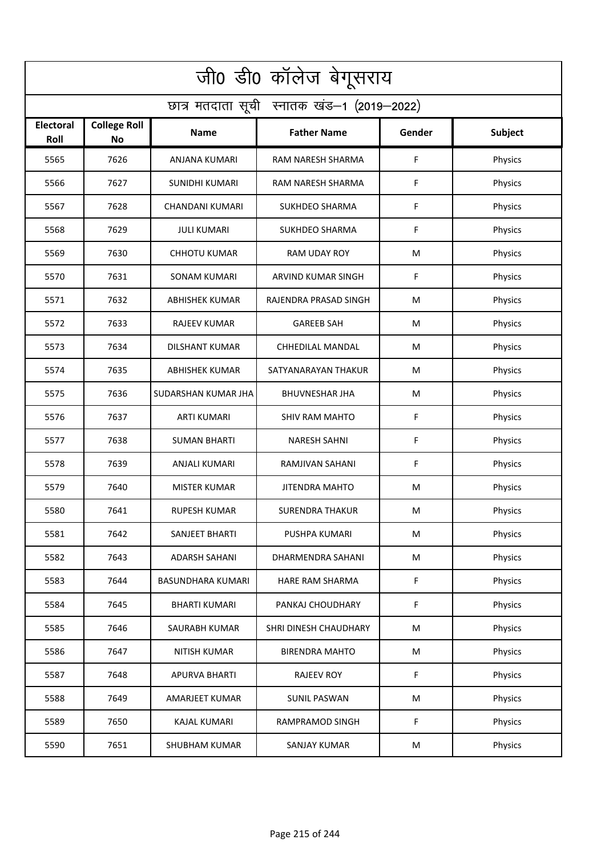| जी0 डी0 कॉलेज बेगूसराय                     |                           |                          |                           |             |                |  |  |  |
|--------------------------------------------|---------------------------|--------------------------|---------------------------|-------------|----------------|--|--|--|
| छात्र मतदाता सूची स्नातक खंड-1 (2019-2022) |                           |                          |                           |             |                |  |  |  |
| <b>Electoral</b><br>Roll                   | <b>College Roll</b><br>No | <b>Name</b>              | <b>Father Name</b>        | Gender      | <b>Subject</b> |  |  |  |
| 5565                                       | 7626                      | ANJANA KUMARI            | RAM NARESH SHARMA         | F           | Physics        |  |  |  |
| 5566                                       | 7627                      | <b>SUNIDHI KUMARI</b>    | RAM NARESH SHARMA         | F           | Physics        |  |  |  |
| 5567                                       | 7628                      | CHANDANI KUMARI          | <b>SUKHDEO SHARMA</b>     | F           | Physics        |  |  |  |
| 5568                                       | 7629                      | <b>JULI KUMARI</b>       | <b>SUKHDEO SHARMA</b>     | F           | Physics        |  |  |  |
| 5569                                       | 7630                      | <b>CHHOTU KUMAR</b>      | <b>RAM UDAY ROY</b>       | M           | Physics        |  |  |  |
| 5570                                       | 7631                      | <b>SONAM KUMARI</b>      | <b>ARVIND KUMAR SINGH</b> | F           | Physics        |  |  |  |
| 5571                                       | 7632                      | ABHISHEK KUMAR           | RAJENDRA PRASAD SINGH     | M           | Physics        |  |  |  |
| 5572                                       | 7633                      | <b>RAJEEV KUMAR</b>      | <b>GAREEB SAH</b>         | M           | Physics        |  |  |  |
| 5573                                       | 7634                      | <b>DILSHANT KUMAR</b>    | <b>CHHEDILAL MANDAL</b>   | M           | Physics        |  |  |  |
| 5574                                       | 7635                      | <b>ABHISHEK KUMAR</b>    | SATYANARAYAN THAKUR       | M           | Physics        |  |  |  |
| 5575                                       | 7636                      | SUDARSHAN KUMAR JHA      | <b>BHUVNESHAR JHA</b>     | M           | Physics        |  |  |  |
| 5576                                       | 7637                      | <b>ARTI KUMARI</b>       | <b>SHIV RAM MAHTO</b>     | $\mathsf F$ | Physics        |  |  |  |
| 5577                                       | 7638                      | <b>SUMAN BHARTI</b>      | <b>NARESH SAHNI</b>       | F           | Physics        |  |  |  |
| 5578                                       | 7639                      | ANJALI KUMARI            | RAMJIVAN SAHANI           | F           | Physics        |  |  |  |
| 5579                                       | 7640                      | <b>MISTER KUMAR</b>      | <b>JITENDRA MAHTO</b>     | M           | Physics        |  |  |  |
| 5580                                       | 7641                      | <b>RUPESH KUMAR</b>      | <b>SURENDRA THAKUR</b>    | M           | Physics        |  |  |  |
| 5581                                       | 7642                      | SANJEET BHARTI           | PUSHPA KUMARI             | M           | Physics        |  |  |  |
| 5582                                       | 7643                      | <b>ADARSH SAHANI</b>     | DHARMENDRA SAHANI         | M           | Physics        |  |  |  |
| 5583                                       | 7644                      | <b>BASUNDHARA KUMARI</b> | HARE RAM SHARMA           | $\mathsf F$ | Physics        |  |  |  |
| 5584                                       | 7645                      | <b>BHARTI KUMARI</b>     | PANKAJ CHOUDHARY          | F           | Physics        |  |  |  |
| 5585                                       | 7646                      | SAURABH KUMAR            | SHRI DINESH CHAUDHARY     | M           | Physics        |  |  |  |
| 5586                                       | 7647                      | NITISH KUMAR             | <b>BIRENDRA MAHTO</b>     | M           | Physics        |  |  |  |
| 5587                                       | 7648                      | <b>APURVA BHARTI</b>     | <b>RAJEEV ROY</b>         | F           | Physics        |  |  |  |
| 5588                                       | 7649                      | <b>AMARJEET KUMAR</b>    | <b>SUNIL PASWAN</b>       | M           | Physics        |  |  |  |
| 5589                                       | 7650                      | KAJAL KUMARI             | RAMPRAMOD SINGH           | F           | Physics        |  |  |  |
| 5590                                       | 7651                      | SHUBHAM KUMAR            | SANJAY KUMAR              | M           | Physics        |  |  |  |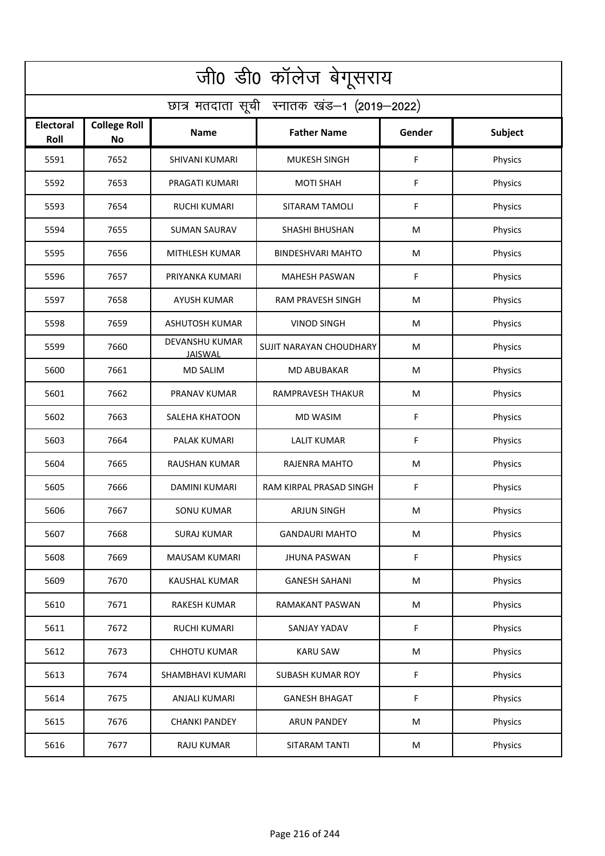| जी0 डी0 कॉलेज बेगूसराय                     |                                  |                                  |                          |             |                |  |  |  |
|--------------------------------------------|----------------------------------|----------------------------------|--------------------------|-------------|----------------|--|--|--|
| छात्र मतदाता सूची स्नातक खंड-1 (2019-2022) |                                  |                                  |                          |             |                |  |  |  |
| <b>Electoral</b><br>Roll                   | <b>College Roll</b><br><b>No</b> | Name                             | <b>Father Name</b>       | Gender      | <b>Subject</b> |  |  |  |
| 5591                                       | 7652                             | <b>SHIVANI KUMARI</b>            | <b>MUKESH SINGH</b>      | F           | Physics        |  |  |  |
| 5592                                       | 7653                             | PRAGATI KUMARI                   | <b>MOTI SHAH</b>         | F           | Physics        |  |  |  |
| 5593                                       | 7654                             | <b>RUCHI KUMARI</b>              | SITARAM TAMOLI           | F           | Physics        |  |  |  |
| 5594                                       | 7655                             | <b>SUMAN SAURAV</b>              | <b>SHASHI BHUSHAN</b>    | M           | Physics        |  |  |  |
| 5595                                       | 7656                             | MITHLESH KUMAR                   | <b>BINDESHVARI MAHTO</b> | M           | Physics        |  |  |  |
| 5596                                       | 7657                             | PRIYANKA KUMARI                  | <b>MAHESH PASWAN</b>     | F           | Physics        |  |  |  |
| 5597                                       | 7658                             | <b>AYUSH KUMAR</b>               | <b>RAM PRAVESH SINGH</b> | M           | Physics        |  |  |  |
| 5598                                       | 7659                             | ASHUTOSH KUMAR                   | <b>VINOD SINGH</b>       | M           | Physics        |  |  |  |
| 5599                                       | 7660                             | DEVANSHU KUMAR<br><b>JAISWAL</b> | SUJIT NARAYAN CHOUDHARY  | M           | Physics        |  |  |  |
| 5600                                       | 7661                             | <b>MD SALIM</b>                  | <b>MD ABUBAKAR</b>       | M           | Physics        |  |  |  |
| 5601                                       | 7662                             | PRANAV KUMAR                     | RAMPRAVESH THAKUR        | M           | Physics        |  |  |  |
| 5602                                       | 7663                             | SALEHA KHATOON                   | <b>MD WASIM</b>          | $\mathsf F$ | Physics        |  |  |  |
| 5603                                       | 7664                             | PALAK KUMARI                     | <b>LALIT KUMAR</b>       | F           | Physics        |  |  |  |
| 5604                                       | 7665                             | RAUSHAN KUMAR                    | RAJENRA MAHTO            | M           | Physics        |  |  |  |
| 5605                                       | 7666                             | DAMINI KUMARI                    | RAM KIRPAL PRASAD SINGH  | F           | Physics        |  |  |  |
| 5606                                       | 7667                             | <b>SONU KUMAR</b>                | <b>ARJUN SINGH</b>       | M           | Physics        |  |  |  |
| 5607                                       | 7668                             | <b>SURAJ KUMAR</b>               | <b>GANDAURI MAHTO</b>    | M           | Physics        |  |  |  |
| 5608                                       | 7669                             | MAUSAM KUMARI                    | <b>JHUNA PASWAN</b>      | F           | Physics        |  |  |  |
| 5609                                       | 7670                             | KAUSHAL KUMAR                    | <b>GANESH SAHANI</b>     | M           | Physics        |  |  |  |
| 5610                                       | 7671                             | RAKESH KUMAR                     | RAMAKANT PASWAN          | M           | Physics        |  |  |  |
| 5611                                       | 7672                             | RUCHI KUMARI                     | SANJAY YADAV             | F           | Physics        |  |  |  |
| 5612                                       | 7673                             | <b>CHHOTU KUMAR</b>              | <b>KARU SAW</b>          | M           | Physics        |  |  |  |
| 5613                                       | 7674                             | SHAMBHAVI KUMARI                 | <b>SUBASH KUMAR ROY</b>  | F           | Physics        |  |  |  |
| 5614                                       | 7675                             | ANJALI KUMARI                    | <b>GANESH BHAGAT</b>     | F           | Physics        |  |  |  |
| 5615                                       | 7676                             | <b>CHANKI PANDEY</b>             | <b>ARUN PANDEY</b>       | M           | Physics        |  |  |  |
| 5616                                       | 7677                             | RAJU KUMAR                       | SITARAM TANTI            | M           | Physics        |  |  |  |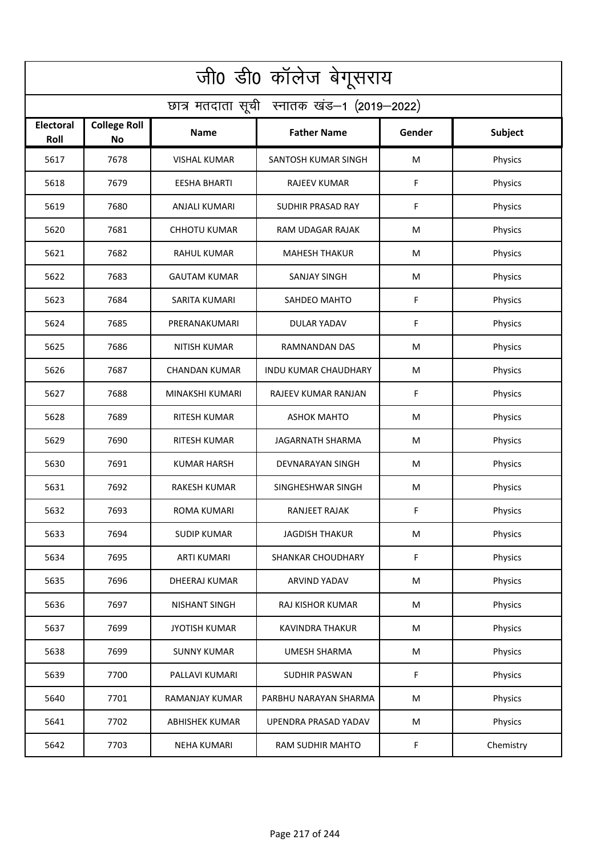| जी0 डी0 कॉलेज बेगूसराय                     |                           |                       |                             |        |                |  |  |  |
|--------------------------------------------|---------------------------|-----------------------|-----------------------------|--------|----------------|--|--|--|
| छात्र मतदाता सूची स्नातक खंड-1 (2019-2022) |                           |                       |                             |        |                |  |  |  |
| <b>Electoral</b><br>Roll                   | <b>College Roll</b><br>No | <b>Name</b>           | <b>Father Name</b>          | Gender | <b>Subject</b> |  |  |  |
| 5617                                       | 7678                      | <b>VISHAL KUMAR</b>   | SANTOSH KUMAR SINGH         | M      | Physics        |  |  |  |
| 5618                                       | 7679                      | <b>EESHA BHARTI</b>   | <b>RAJEEV KUMAR</b>         | F      | Physics        |  |  |  |
| 5619                                       | 7680                      | <b>ANJALI KUMARI</b>  | <b>SUDHIR PRASAD RAY</b>    | F      | Physics        |  |  |  |
| 5620                                       | 7681                      | <b>CHHOTU KUMAR</b>   | RAM UDAGAR RAJAK            | M      | Physics        |  |  |  |
| 5621                                       | 7682                      | <b>RAHUL KUMAR</b>    | <b>MAHESH THAKUR</b>        | M      | Physics        |  |  |  |
| 5622                                       | 7683                      | <b>GAUTAM KUMAR</b>   | <b>SANJAY SINGH</b>         | M      | Physics        |  |  |  |
| 5623                                       | 7684                      | SARITA KUMARI         | SAHDEO MAHTO                | F      | Physics        |  |  |  |
| 5624                                       | 7685                      | PRERANAKUMARI         | DULAR YADAV                 | F      | Physics        |  |  |  |
| 5625                                       | 7686                      | <b>NITISH KUMAR</b>   | <b>RAMNANDAN DAS</b>        | M      | Physics        |  |  |  |
| 5626                                       | 7687                      | CHANDAN KUMAR         | <b>INDU KUMAR CHAUDHARY</b> | M      | Physics        |  |  |  |
| 5627                                       | 7688                      | MINAKSHI KUMARI       | RAJEEV KUMAR RANJAN         | F      | Physics        |  |  |  |
| 5628                                       | 7689                      | <b>RITESH KUMAR</b>   | <b>ASHOK MAHTO</b>          | M      | Physics        |  |  |  |
| 5629                                       | 7690                      | RITESH KUMAR          | JAGARNATH SHARMA            | M      | Physics        |  |  |  |
| 5630                                       | 7691                      | <b>KUMAR HARSH</b>    | DEVNARAYAN SINGH            | M      | Physics        |  |  |  |
| 5631                                       | 7692                      | <b>RAKESH KUMAR</b>   | SINGHESHWAR SINGH           | M      | Physics        |  |  |  |
| 5632                                       | 7693                      | ROMA KUMARI           | RANJEET RAJAK               | F      | Physics        |  |  |  |
| 5633                                       | 7694                      | <b>SUDIP KUMAR</b>    | <b>JAGDISH THAKUR</b>       | M      | Physics        |  |  |  |
| 5634                                       | 7695                      | <b>ARTI KUMARI</b>    | SHANKAR CHOUDHARY           | F      | Physics        |  |  |  |
| 5635                                       | 7696                      | DHEERAJ KUMAR         | ARVIND YADAV                | M      | Physics        |  |  |  |
| 5636                                       | 7697                      | NISHANT SINGH         | RAJ KISHOR KUMAR            | M      | Physics        |  |  |  |
| 5637                                       | 7699                      | <b>JYOTISH KUMAR</b>  | <b>KAVINDRA THAKUR</b>      | M      | Physics        |  |  |  |
| 5638                                       | 7699                      | <b>SUNNY KUMAR</b>    | <b>UMESH SHARMA</b>         | M      | Physics        |  |  |  |
| 5639                                       | 7700                      | PALLAVI KUMARI        | <b>SUDHIR PASWAN</b>        | F      | Physics        |  |  |  |
| 5640                                       | 7701                      | RAMANJAY KUMAR        | PARBHU NARAYAN SHARMA       | M      | Physics        |  |  |  |
| 5641                                       | 7702                      | <b>ABHISHEK KUMAR</b> | UPENDRA PRASAD YADAV        | M      | Physics        |  |  |  |
| 5642                                       | 7703                      | <b>NEHA KUMARI</b>    | RAM SUDHIR MAHTO            | F.     | Chemistry      |  |  |  |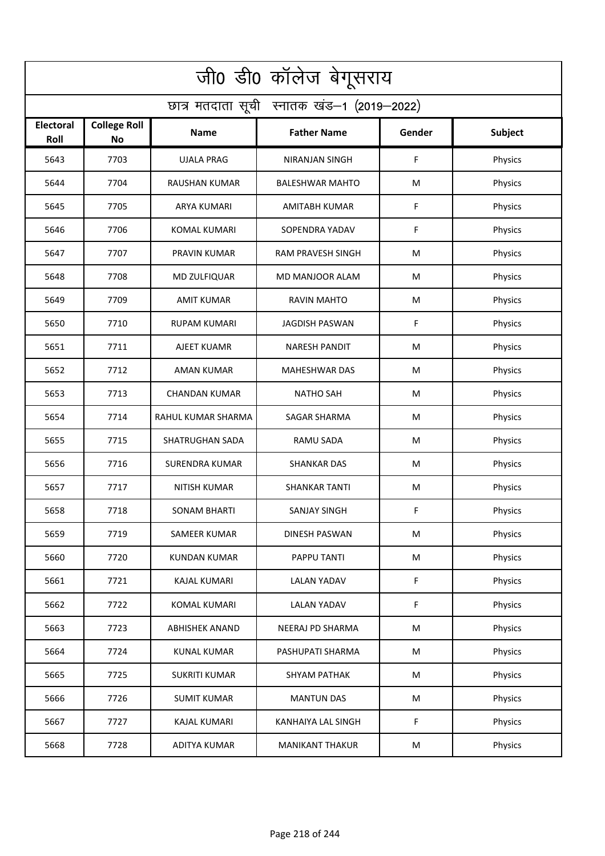| जी0 डी0 कॉलेज बेगूसराय                     |                                  |                        |                        |           |                |  |  |  |
|--------------------------------------------|----------------------------------|------------------------|------------------------|-----------|----------------|--|--|--|
| छात्र मतदाता सूची स्नातक खंड-1 (2019-2022) |                                  |                        |                        |           |                |  |  |  |
| <b>Electoral</b><br>Roll                   | <b>College Roll</b><br><b>No</b> | Name                   | <b>Father Name</b>     | Gender    | <b>Subject</b> |  |  |  |
| 5643                                       | 7703                             | <b>UJALA PRAG</b>      | <b>NIRANJAN SINGH</b>  | F         | Physics        |  |  |  |
| 5644                                       | 7704                             | <b>RAUSHAN KUMAR</b>   | <b>BALESHWAR MAHTO</b> | M         | Physics        |  |  |  |
| 5645                                       | 7705                             | <b>ARYA KUMARI</b>     | <b>AMITABH KUMAR</b>   | F         | Physics        |  |  |  |
| 5646                                       | 7706                             | <b>KOMAL KUMARI</b>    | SOPENDRA YADAV         | F         | Physics        |  |  |  |
| 5647                                       | 7707                             | PRAVIN KUMAR           | RAM PRAVESH SINGH      | M         | Physics        |  |  |  |
| 5648                                       | 7708                             | MD ZULFIQUAR           | MD MANJOOR ALAM        | M         | Physics        |  |  |  |
| 5649                                       | 7709                             | <b>AMIT KUMAR</b>      | <b>RAVIN MAHTO</b>     | M         | Physics        |  |  |  |
| 5650                                       | 7710                             | <b>RUPAM KUMARI</b>    | <b>JAGDISH PASWAN</b>  | F         | Physics        |  |  |  |
| 5651                                       | 7711                             | AJEET KUAMR            | <b>NARESH PANDIT</b>   | M         | Physics        |  |  |  |
| 5652                                       | 7712                             | AMAN KUMAR             | <b>MAHESHWAR DAS</b>   | M         | Physics        |  |  |  |
| 5653                                       | 7713                             | <b>CHANDAN KUMAR</b>   | <b>NATHO SAH</b>       | M         | Physics        |  |  |  |
| 5654                                       | 7714                             | RAHUL KUMAR SHARMA     | SAGAR SHARMA           | M         | Physics        |  |  |  |
| 5655                                       | 7715                             | <b>SHATRUGHAN SADA</b> | RAMU SADA              | M         | Physics        |  |  |  |
| 5656                                       | 7716                             | <b>SURENDRA KUMAR</b>  | <b>SHANKAR DAS</b>     | M         | Physics        |  |  |  |
| 5657                                       | 7717                             | NITISH KUMAR           | SHANKAR TANTI          | M         | Physics        |  |  |  |
| 5658                                       | 7718                             | SONAM BHARTI           | SANJAY SINGH           | F         | Physics        |  |  |  |
| 5659                                       | 7719                             | <b>SAMEER KUMAR</b>    | <b>DINESH PASWAN</b>   | M         | Physics        |  |  |  |
| 5660                                       | 7720                             | <b>KUNDAN KUMAR</b>    | PAPPU TANTI            | M         | Physics        |  |  |  |
| 5661                                       | 7721                             | KAJAL KUMARI           | <b>LALAN YADAV</b>     | F         | Physics        |  |  |  |
| 5662                                       | 7722                             | KOMAL KUMARI           | <b>LALAN YADAV</b>     | F         | Physics        |  |  |  |
| 5663                                       | 7723                             | <b>ABHISHEK ANAND</b>  | NEERAJ PD SHARMA       | ${\sf M}$ | Physics        |  |  |  |
| 5664                                       | 7724                             | <b>KUNAL KUMAR</b>     | PASHUPATI SHARMA       | M         | Physics        |  |  |  |
| 5665                                       | 7725                             | <b>SUKRITI KUMAR</b>   | <b>SHYAM PATHAK</b>    | M         | Physics        |  |  |  |
| 5666                                       | 7726                             | <b>SUMIT KUMAR</b>     | <b>MANTUN DAS</b>      | M         | Physics        |  |  |  |
| 5667                                       | 7727                             | <b>KAJAL KUMARI</b>    | KANHAIYA LAL SINGH     | F         | Physics        |  |  |  |
| 5668                                       | 7728                             | ADITYA KUMAR           | <b>MANIKANT THAKUR</b> | M         | Physics        |  |  |  |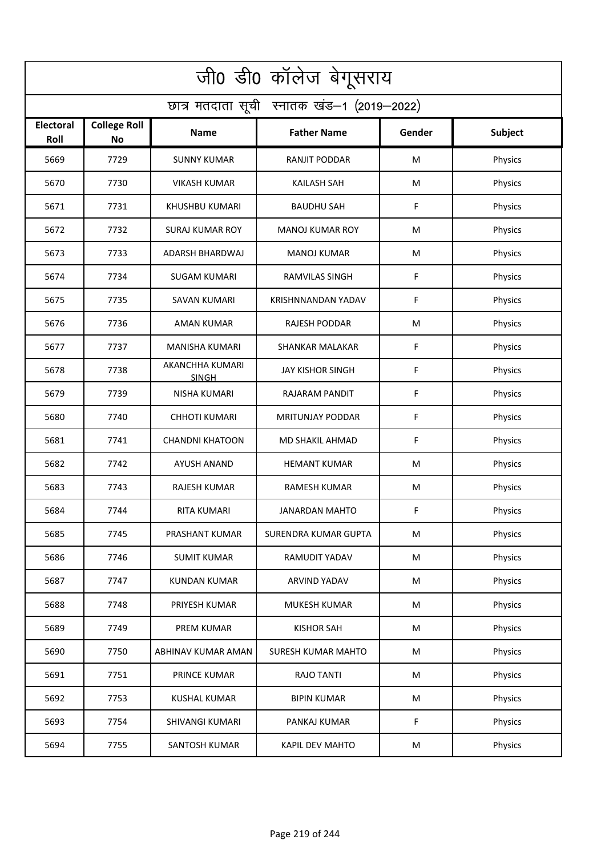| जी0 डी0 कॉलेज बेगूसराय                     |                                  |                                 |                             |             |                |  |  |  |
|--------------------------------------------|----------------------------------|---------------------------------|-----------------------------|-------------|----------------|--|--|--|
| छात्र मतदाता सूची स्नातक खंड-1 (2019-2022) |                                  |                                 |                             |             |                |  |  |  |
| <b>Electoral</b><br>Roll                   | <b>College Roll</b><br><b>No</b> | Name                            | <b>Father Name</b>          | Gender      | <b>Subject</b> |  |  |  |
| 5669                                       | 7729                             | <b>SUNNY KUMAR</b>              | RANJIT PODDAR               | M           | Physics        |  |  |  |
| 5670                                       | 7730                             | <b>VIKASH KUMAR</b>             | <b>KAILASH SAH</b>          | M           | Physics        |  |  |  |
| 5671                                       | 7731                             | KHUSHBU KUMARI                  | BAUDHU SAH                  | F           | Physics        |  |  |  |
| 5672                                       | 7732                             | <b>SURAJ KUMAR ROY</b>          | <b>MANOJ KUMAR ROY</b>      | M           | Physics        |  |  |  |
| 5673                                       | 7733                             | ADARSH BHARDWAJ                 | <b>MANOJ KUMAR</b>          | M           | Physics        |  |  |  |
| 5674                                       | 7734                             | <b>SUGAM KUMARI</b>             | <b>RAMVILAS SINGH</b>       | F           | Physics        |  |  |  |
| 5675                                       | 7735                             | <b>SAVAN KUMARI</b>             | KRISHNNANDAN YADAV          | F           | Physics        |  |  |  |
| 5676                                       | 7736                             | <b>AMAN KUMAR</b>               | <b>RAJESH PODDAR</b>        | M           | Physics        |  |  |  |
| 5677                                       | 7737                             | <b>MANISHA KUMARI</b>           | <b>SHANKAR MALAKAR</b>      | F           | Physics        |  |  |  |
| 5678                                       | 7738                             | AKANCHHA KUMARI<br><b>SINGH</b> | <b>JAY KISHOR SINGH</b>     | F           | Physics        |  |  |  |
| 5679                                       | 7739                             | <b>NISHA KUMARI</b>             | RAJARAM PANDIT              | $\mathsf F$ | Physics        |  |  |  |
| 5680                                       | 7740                             | <b>CHHOTI KUMARI</b>            | <b>MRITUNJAY PODDAR</b>     | F           | Physics        |  |  |  |
| 5681                                       | 7741                             | <b>CHANDNI KHATOON</b>          | MD SHAKIL AHMAD             | F           | Physics        |  |  |  |
| 5682                                       | 7742                             | AYUSH ANAND                     | <b>HEMANT KUMAR</b>         | M           | Physics        |  |  |  |
| 5683                                       | 7743                             | RAJESH KUMAR                    | <b>RAMESH KUMAR</b>         | M           | Physics        |  |  |  |
| 5684                                       | 7744                             | RITA KUMARI                     | JANARDAN MAHTO              | F           | Physics        |  |  |  |
| 5685                                       | 7745                             | PRASHANT KUMAR                  | <b>SURENDRA KUMAR GUPTA</b> | M           | Physics        |  |  |  |
| 5686                                       | 7746                             | <b>SUMIT KUMAR</b>              | RAMUDIT YADAV               | M           | Physics        |  |  |  |
| 5687                                       | 7747                             | <b>KUNDAN KUMAR</b>             | ARVIND YADAV                | ${\sf M}$   | Physics        |  |  |  |
| 5688                                       | 7748                             | PRIYESH KUMAR                   | MUKESH KUMAR                | ${\sf M}$   | Physics        |  |  |  |
| 5689                                       | 7749                             | PREM KUMAR                      | <b>KISHOR SAH</b>           | ${\sf M}$   | Physics        |  |  |  |
| 5690                                       | 7750                             | ABHINAV KUMAR AMAN              | <b>SURESH KUMAR MAHTO</b>   | M           | Physics        |  |  |  |
| 5691                                       | 7751                             | PRINCE KUMAR                    | RAJO TANTI                  | M           | Physics        |  |  |  |
| 5692                                       | 7753                             | <b>KUSHAL KUMAR</b>             | <b>BIPIN KUMAR</b>          | M           | Physics        |  |  |  |
| 5693                                       | 7754                             | SHIVANGI KUMARI                 | PANKAJ KUMAR                | F           | Physics        |  |  |  |
| 5694                                       | 7755                             | SANTOSH KUMAR                   | KAPIL DEV MAHTO             | M           | Physics        |  |  |  |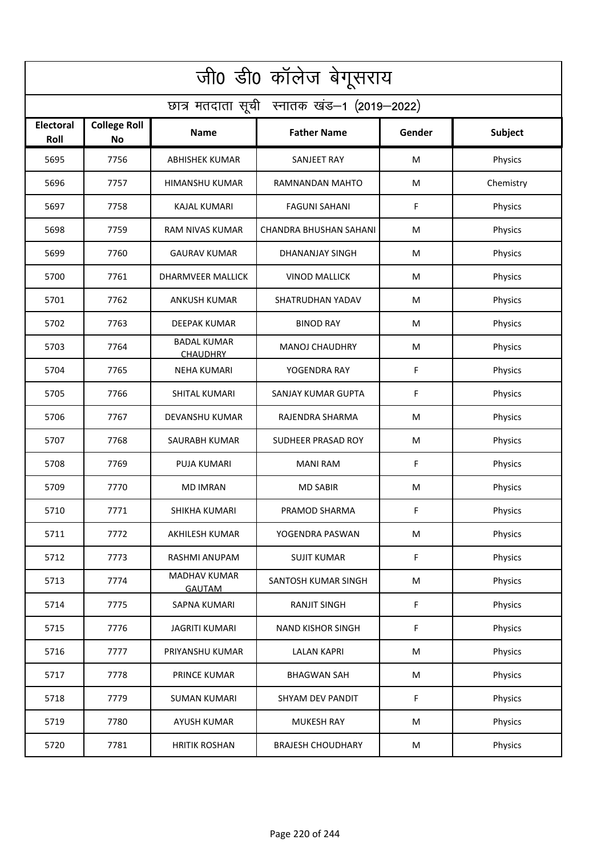| जी0 डी0 कॉलेज बेगूसराय                     |                                  |                                       |                          |        |           |  |  |  |
|--------------------------------------------|----------------------------------|---------------------------------------|--------------------------|--------|-----------|--|--|--|
| छात्र मतदाता सूची स्नातक खंड-1 (2019-2022) |                                  |                                       |                          |        |           |  |  |  |
| <b>Electoral</b><br>Roll                   | <b>College Roll</b><br><b>No</b> | Name                                  | <b>Father Name</b>       | Gender | Subject   |  |  |  |
| 5695                                       | 7756                             | <b>ABHISHEK KUMAR</b>                 | SANJEET RAY              | M      | Physics   |  |  |  |
| 5696                                       | 7757                             | HIMANSHU KUMAR                        | RAMNANDAN MAHTO          | M      | Chemistry |  |  |  |
| 5697                                       | 7758                             | <b>KAJAL KUMARI</b>                   | <b>FAGUNI SAHANI</b>     | F      | Physics   |  |  |  |
| 5698                                       | 7759                             | RAM NIVAS KUMAR                       | CHANDRA BHUSHAN SAHANI   | М      | Physics   |  |  |  |
| 5699                                       | 7760                             | <b>GAURAV KUMAR</b>                   | <b>DHANANJAY SINGH</b>   | M      | Physics   |  |  |  |
| 5700                                       | 7761                             | <b>DHARMVEER MALLICK</b>              | <b>VINOD MALLICK</b>     | M      | Physics   |  |  |  |
| 5701                                       | 7762                             | <b>ANKUSH KUMAR</b>                   | SHATRUDHAN YADAV         | M      | Physics   |  |  |  |
| 5702                                       | 7763                             | <b>DEEPAK KUMAR</b>                   | <b>BINOD RAY</b>         | M      | Physics   |  |  |  |
| 5703                                       | 7764                             | <b>BADAL KUMAR</b><br><b>CHAUDHRY</b> | <b>MANOJ CHAUDHRY</b>    | M      | Physics   |  |  |  |
| 5704                                       | 7765                             | <b>NEHA KUMARI</b>                    | YOGENDRA RAY             | F      | Physics   |  |  |  |
| 5705                                       | 7766                             | <b>SHITAL KUMARI</b>                  | SANJAY KUMAR GUPTA       | F      | Physics   |  |  |  |
| 5706                                       | 7767                             | DEVANSHU KUMAR                        | RAJENDRA SHARMA          | M      | Physics   |  |  |  |
| 5707                                       | 7768                             | SAURABH KUMAR                         | SUDHEER PRASAD ROY       | M      | Physics   |  |  |  |
| 5708                                       | 7769                             | <b>PUJA KUMARI</b>                    | <b>MANI RAM</b>          | F      | Physics   |  |  |  |
| 5709                                       | 7770                             | <b>MD IMRAN</b>                       | <b>MD SABIR</b>          | M      | Physics   |  |  |  |
| 5710                                       | 7771                             | SHIKHA KUMARI                         | PRAMOD SHARMA            | F      | Physics   |  |  |  |
| 5711                                       | 7772                             | <b>AKHILESH KUMAR</b>                 | YOGENDRA PASWAN          | M      | Physics   |  |  |  |
| 5712                                       | 7773                             | RASHMI ANUPAM                         | <b>SUJIT KUMAR</b>       | F      | Physics   |  |  |  |
| 5713                                       | 7774                             | MADHAV KUMAR<br><b>GAUTAM</b>         | SANTOSH KUMAR SINGH      | M      | Physics   |  |  |  |
| 5714                                       | 7775                             | SAPNA KUMARI                          | RANJIT SINGH             | F      | Physics   |  |  |  |
| 5715                                       | 7776                             | <b>JAGRITI KUMARI</b>                 | <b>NAND KISHOR SINGH</b> | F      | Physics   |  |  |  |
| 5716                                       | 7777                             | PRIYANSHU KUMAR                       | <b>LALAN KAPRI</b>       | M      | Physics   |  |  |  |
| 5717                                       | 7778                             | PRINCE KUMAR                          | <b>BHAGWAN SAH</b>       | M      | Physics   |  |  |  |
| 5718                                       | 7779                             | <b>SUMAN KUMARI</b>                   | SHYAM DEV PANDIT         | F      | Physics   |  |  |  |
| 5719                                       | 7780                             | AYUSH KUMAR                           | <b>MUKESH RAY</b>        | M      | Physics   |  |  |  |
| 5720                                       | 7781                             | <b>HRITIK ROSHAN</b>                  | <b>BRAJESH CHOUDHARY</b> | M      | Physics   |  |  |  |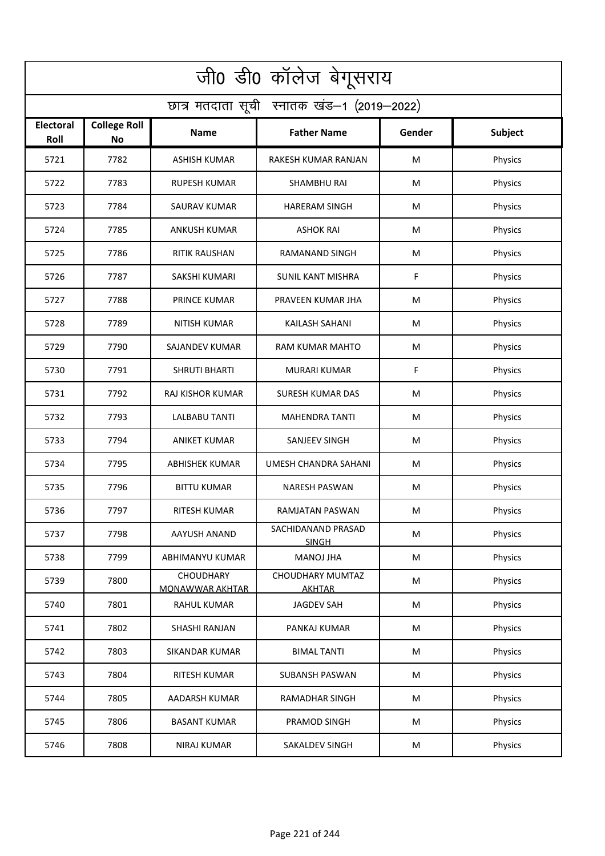| जी0 डी0 कॉलेज बेगूसराय                     |                                  |                                     |                                          |           |                |  |  |  |
|--------------------------------------------|----------------------------------|-------------------------------------|------------------------------------------|-----------|----------------|--|--|--|
| छात्र मतदाता सूची स्नातक खंड-1 (2019-2022) |                                  |                                     |                                          |           |                |  |  |  |
| <b>Electoral</b><br>Roll                   | <b>College Roll</b><br><b>No</b> | Name                                | <b>Father Name</b>                       | Gender    | <b>Subject</b> |  |  |  |
| 5721                                       | 7782                             | <b>ASHISH KUMAR</b>                 | RAKESH KUMAR RANJAN                      | M         | Physics        |  |  |  |
| 5722                                       | 7783                             | <b>RUPESH KUMAR</b>                 | <b>SHAMBHU RAI</b>                       | M         | Physics        |  |  |  |
| 5723                                       | 7784                             | SAURAV KUMAR                        | <b>HARERAM SINGH</b>                     | M         | Physics        |  |  |  |
| 5724                                       | 7785                             | <b>ANKUSH KUMAR</b>                 | <b>ASHOK RAI</b>                         | M         | Physics        |  |  |  |
| 5725                                       | 7786                             | <b>RITIK RAUSHAN</b>                | RAMANAND SINGH                           | M         | Physics        |  |  |  |
| 5726                                       | 7787                             | <b>SAKSHI KUMARI</b>                | <b>SUNIL KANT MISHRA</b>                 | F         | Physics        |  |  |  |
| 5727                                       | 7788                             | PRINCE KUMAR                        | PRAVEEN KUMAR JHA                        | M         | Physics        |  |  |  |
| 5728                                       | 7789                             | <b>NITISH KUMAR</b>                 | KAILASH SAHANI                           | M         | Physics        |  |  |  |
| 5729                                       | 7790                             | SAJANDEV KUMAR                      | <b>RAM KUMAR MAHTO</b>                   | M         | Physics        |  |  |  |
| 5730                                       | 7791                             | <b>SHRUTI BHARTI</b>                | <b>MURARI KUMAR</b>                      | F         | Physics        |  |  |  |
| 5731                                       | 7792                             | RAJ KISHOR KUMAR                    | <b>SURESH KUMAR DAS</b>                  | M         | Physics        |  |  |  |
| 5732                                       | 7793                             | <b>LALBABU TANTI</b>                | <b>MAHENDRA TANTI</b>                    | M         | Physics        |  |  |  |
| 5733                                       | 7794                             | <b>ANIKET KUMAR</b>                 | SANJEEV SINGH                            | M         | Physics        |  |  |  |
| 5734                                       | 7795                             | <b>ABHISHEK KUMAR</b>               | UMESH CHANDRA SAHANI                     | M         | Physics        |  |  |  |
| 5735                                       | 7796                             | <b>BITTU KUMAR</b>                  | NARESH PASWAN                            | M         | Physics        |  |  |  |
| 5736                                       | 7797                             | RITESH KUMAR                        | RAMJATAN PASWAN                          | M         | Physics        |  |  |  |
| 5737                                       | 7798                             | AAYUSH ANAND                        | SACHIDANAND PRASAD<br><b>SINGH</b>       | M         | Physics        |  |  |  |
| 5738                                       | 7799                             | ABHIMANYU KUMAR                     | MANOJ JHA                                | M         | Physics        |  |  |  |
| 5739                                       | 7800                             | CHOUDHARY<br><b>MONAWWAR AKHTAR</b> | <b>CHOUDHARY MUMTAZ</b><br><b>AKHTAR</b> | ${\sf M}$ | Physics        |  |  |  |
| 5740                                       | 7801                             | RAHUL KUMAR                         | JAGDEV SAH                               | M         | Physics        |  |  |  |
| 5741                                       | 7802                             | SHASHI RANJAN                       | PANKAJ KUMAR                             | M         | Physics        |  |  |  |
| 5742                                       | 7803                             | <b>SIKANDAR KUMAR</b>               | <b>BIMAL TANTI</b>                       | M         | Physics        |  |  |  |
| 5743                                       | 7804                             | RITESH KUMAR                        | <b>SUBANSH PASWAN</b>                    | M         | Physics        |  |  |  |
| 5744                                       | 7805                             | AADARSH KUMAR                       | <b>RAMADHAR SINGH</b>                    | M         | Physics        |  |  |  |
| 5745                                       | 7806                             | <b>BASANT KUMAR</b>                 | PRAMOD SINGH                             | M         | Physics        |  |  |  |
| 5746                                       | 7808                             | <b>NIRAJ KUMAR</b>                  | SAKALDEV SINGH                           | M         | Physics        |  |  |  |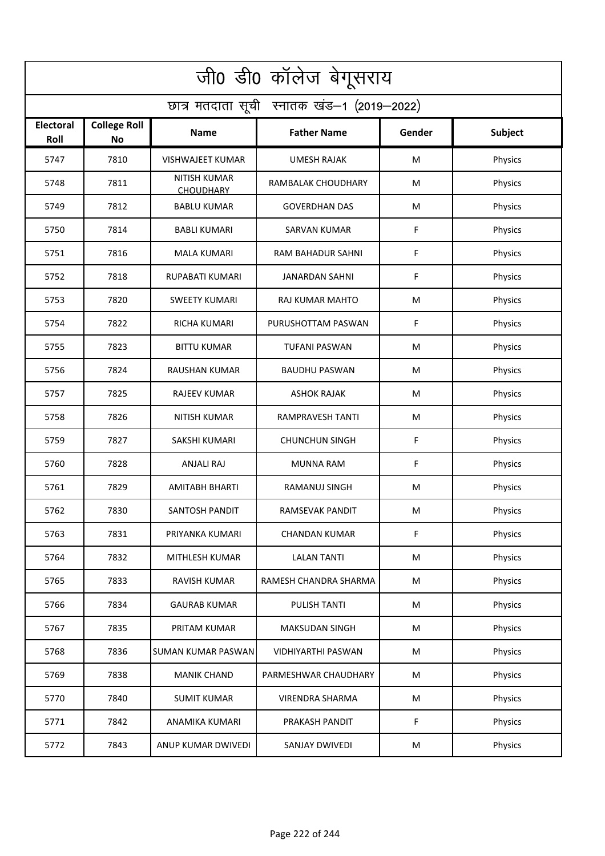| जी0 डी0 कॉलेज बेगूसराय                     |                           |                                         |                          |        |         |  |  |  |
|--------------------------------------------|---------------------------|-----------------------------------------|--------------------------|--------|---------|--|--|--|
| छात्र मतदाता सूची स्नातक खंड-1 (2019-2022) |                           |                                         |                          |        |         |  |  |  |
| Electoral<br>Roll                          | <b>College Roll</b><br>No | <b>Name</b>                             | <b>Father Name</b>       | Gender | Subject |  |  |  |
| 5747                                       | 7810                      | <b>VISHWAJEET KUMAR</b>                 | <b>UMESH RAJAK</b>       | M      | Physics |  |  |  |
| 5748                                       | 7811                      | <b>NITISH KUMAR</b><br><b>CHOUDHARY</b> | RAMBALAK CHOUDHARY       | M      | Physics |  |  |  |
| 5749                                       | 7812                      | <b>BABLU KUMAR</b>                      | <b>GOVERDHAN DAS</b>     | M      | Physics |  |  |  |
| 5750                                       | 7814                      | <b>BABLI KUMARI</b>                     | <b>SARVAN KUMAR</b>      | F      | Physics |  |  |  |
| 5751                                       | 7816                      | <b>MALA KUMARI</b>                      | <b>RAM BAHADUR SAHNI</b> | F      | Physics |  |  |  |
| 5752                                       | 7818                      | RUPABATI KUMARI                         | <b>JANARDAN SAHNI</b>    | F      | Physics |  |  |  |
| 5753                                       | 7820                      | <b>SWEETY KUMARI</b>                    | RAJ KUMAR MAHTO          | M      | Physics |  |  |  |
| 5754                                       | 7822                      | <b>RICHA KUMARI</b>                     | PURUSHOTTAM PASWAN       | F      | Physics |  |  |  |
| 5755                                       | 7823                      | <b>BITTU KUMAR</b>                      | <b>TUFANI PASWAN</b>     | M      | Physics |  |  |  |
| 5756                                       | 7824                      | RAUSHAN KUMAR                           | <b>BAUDHU PASWAN</b>     | M      | Physics |  |  |  |
| 5757                                       | 7825                      | <b>RAJEEV KUMAR</b>                     | <b>ASHOK RAJAK</b>       | M      | Physics |  |  |  |
| 5758                                       | 7826                      | <b>NITISH KUMAR</b>                     | <b>RAMPRAVESH TANTI</b>  | M      | Physics |  |  |  |
| 5759                                       | 7827                      | SAKSHI KUMARI                           | <b>CHUNCHUN SINGH</b>    | F      | Physics |  |  |  |
| 5760                                       | 7828                      | <b>ANJALI RAJ</b>                       | <b>MUNNA RAM</b>         | F      | Physics |  |  |  |
| 5761                                       | 7829                      | <b>AMITABH BHARTI</b>                   | RAMANUJ SINGH            | M      | Physics |  |  |  |
| 5762                                       | 7830                      | SANTOSH PANDIT                          | RAMSEVAK PANDIT          | M      | Physics |  |  |  |
| 5763                                       | 7831                      | PRIYANKA KUMARI                         | <b>CHANDAN KUMAR</b>     | F      | Physics |  |  |  |
| 5764                                       | 7832                      | MITHLESH KUMAR                          | <b>LALAN TANTI</b>       | M      | Physics |  |  |  |
| 5765                                       | 7833                      | RAVISH KUMAR                            | RAMESH CHANDRA SHARMA    | M      | Physics |  |  |  |
| 5766                                       | 7834                      | <b>GAURAB KUMAR</b>                     | PULISH TANTI             | M      | Physics |  |  |  |
| 5767                                       | 7835                      | PRITAM KUMAR                            | <b>MAKSUDAN SINGH</b>    | M      | Physics |  |  |  |
| 5768                                       | 7836                      | <b>SUMAN KUMAR PASWAN</b>               | VIDHIYARTHI PASWAN       | M      | Physics |  |  |  |
| 5769                                       | 7838                      | <b>MANIK CHAND</b>                      | PARMESHWAR CHAUDHARY     | M      | Physics |  |  |  |
| 5770                                       | 7840                      | <b>SUMIT KUMAR</b>                      | <b>VIRENDRA SHARMA</b>   | M      | Physics |  |  |  |
| 5771                                       | 7842                      | ANAMIKA KUMARI                          | PRAKASH PANDIT           | F      | Physics |  |  |  |
| 5772                                       | 7843                      | ANUP KUMAR DWIVEDI                      | SANJAY DWIVEDI           | M      | Physics |  |  |  |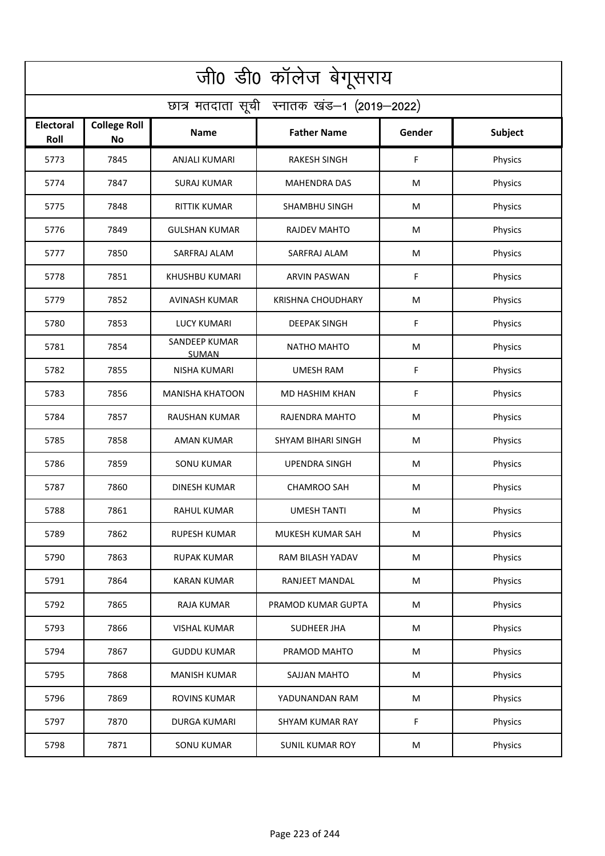| जी0 डी0 कॉलेज बेगूसराय                     |                                  |                        |                          |        |                |  |  |  |
|--------------------------------------------|----------------------------------|------------------------|--------------------------|--------|----------------|--|--|--|
| छात्र मतदाता सूची स्नातक खंड-1 (2019-2022) |                                  |                        |                          |        |                |  |  |  |
| <b>Electoral</b><br>Roll                   | <b>College Roll</b><br><b>No</b> | Name                   | <b>Father Name</b>       | Gender | <b>Subject</b> |  |  |  |
| 5773                                       | 7845                             | ANJALI KUMARI          | <b>RAKESH SINGH</b>      | F      | Physics        |  |  |  |
| 5774                                       | 7847                             | <b>SURAJ KUMAR</b>     | <b>MAHENDRA DAS</b>      | M      | Physics        |  |  |  |
| 5775                                       | 7848                             | <b>RITTIK KUMAR</b>    | SHAMBHU SINGH            | M      | Physics        |  |  |  |
| 5776                                       | 7849                             | <b>GULSHAN KUMAR</b>   | <b>RAJDEV MAHTO</b>      | M      | Physics        |  |  |  |
| 5777                                       | 7850                             | SARFRAJ ALAM           | SARFRAJ ALAM             | M      | Physics        |  |  |  |
| 5778                                       | 7851                             | KHUSHBU KUMARI         | <b>ARVIN PASWAN</b>      | F      | Physics        |  |  |  |
| 5779                                       | 7852                             | <b>AVINASH KUMAR</b>   | <b>KRISHNA CHOUDHARY</b> | M      | Physics        |  |  |  |
| 5780                                       | 7853                             | <b>LUCY KUMARI</b>     | <b>DEEPAK SINGH</b>      | F      | Physics        |  |  |  |
| 5781                                       | 7854                             | SANDEEP KUMAR<br>SUMAN | <b>NATHO MAHTO</b>       | M      | Physics        |  |  |  |
| 5782                                       | 7855                             | <b>NISHA KUMARI</b>    | <b>UMESH RAM</b>         | F      | Physics        |  |  |  |
| 5783                                       | 7856                             | <b>MANISHA KHATOON</b> | MD HASHIM KHAN           | F      | Physics        |  |  |  |
| 5784                                       | 7857                             | <b>RAUSHAN KUMAR</b>   | RAJENDRA MAHTO           | M      | Physics        |  |  |  |
| 5785                                       | 7858                             | AMAN KUMAR             | SHYAM BIHARI SINGH       | M      | Physics        |  |  |  |
| 5786                                       | 7859                             | <b>SONU KUMAR</b>      | <b>UPENDRA SINGH</b>     | M      | Physics        |  |  |  |
| 5787                                       | 7860                             | DINESH KUMAR           | <b>CHAMROO SAH</b>       | M      | Physics        |  |  |  |
| 5788                                       | 7861                             | RAHUL KUMAR            | <b>UMESH TANTI</b>       | M      | Physics        |  |  |  |
| 5789                                       | 7862                             | <b>RUPESH KUMAR</b>    | <b>MUKESH KUMAR SAH</b>  | M      | Physics        |  |  |  |
| 5790                                       | 7863                             | <b>RUPAK KUMAR</b>     | RAM BILASH YADAV         | M      | Physics        |  |  |  |
| 5791                                       | 7864                             | <b>KARAN KUMAR</b>     | RANJEET MANDAL           | M      | Physics        |  |  |  |
| 5792                                       | 7865                             | RAJA KUMAR             | PRAMOD KUMAR GUPTA       | M      | Physics        |  |  |  |
| 5793                                       | 7866                             | <b>VISHAL KUMAR</b>    | SUDHEER JHA              | M      | Physics        |  |  |  |
| 5794                                       | 7867                             | <b>GUDDU KUMAR</b>     | PRAMOD MAHTO             | M      | Physics        |  |  |  |
| 5795                                       | 7868                             | <b>MANISH KUMAR</b>    | SAJJAN MAHTO             | M      | Physics        |  |  |  |
| 5796                                       | 7869                             | <b>ROVINS KUMAR</b>    | YADUNANDAN RAM           | M      | Physics        |  |  |  |
| 5797                                       | 7870                             | DURGA KUMARI           | <b>SHYAM KUMAR RAY</b>   | F      | Physics        |  |  |  |
| 5798                                       | 7871                             | <b>SONU KUMAR</b>      | <b>SUNIL KUMAR ROY</b>   | M      | Physics        |  |  |  |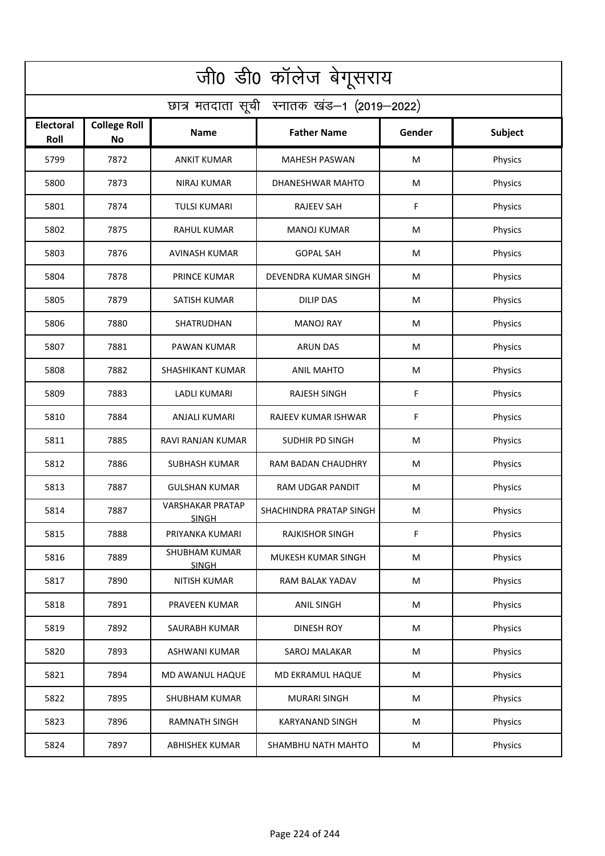| जी0 डी0 कॉलेज बेगूसराय                     |                                  |                                         |                         |        |         |  |  |  |
|--------------------------------------------|----------------------------------|-----------------------------------------|-------------------------|--------|---------|--|--|--|
| छात्र मतदाता सूची स्नातक खंड-1 (2019-2022) |                                  |                                         |                         |        |         |  |  |  |
| <b>Electoral</b><br>Roll                   | <b>College Roll</b><br><b>No</b> | Name                                    | <b>Father Name</b>      | Gender | Subject |  |  |  |
| 5799                                       | 7872                             | <b>ANKIT KUMAR</b>                      | <b>MAHESH PASWAN</b>    | M      | Physics |  |  |  |
| 5800                                       | 7873                             | <b>NIRAJ KUMAR</b>                      | DHANESHWAR MAHTO        | M      | Physics |  |  |  |
| 5801                                       | 7874                             | <b>TULSI KUMARI</b>                     | <b>RAJEEV SAH</b>       | F      | Physics |  |  |  |
| 5802                                       | 7875                             | <b>RAHUL KUMAR</b>                      | <b>MANOJ KUMAR</b>      | M      | Physics |  |  |  |
| 5803                                       | 7876                             | <b>AVINASH KUMAR</b>                    | <b>GOPAL SAH</b>        | M      | Physics |  |  |  |
| 5804                                       | 7878                             | <b>PRINCE KUMAR</b>                     | DEVENDRA KUMAR SINGH    | M      | Physics |  |  |  |
| 5805                                       | 7879                             | SATISH KUMAR                            | <b>DILIP DAS</b>        | M      | Physics |  |  |  |
| 5806                                       | 7880                             | SHATRUDHAN                              | <b>MANOJ RAY</b>        | M      | Physics |  |  |  |
| 5807                                       | 7881                             | PAWAN KUMAR                             | <b>ARUN DAS</b>         | M      | Physics |  |  |  |
| 5808                                       | 7882                             | SHASHIKANT KUMAR                        | <b>ANIL MAHTO</b>       | M      | Physics |  |  |  |
| 5809                                       | 7883                             | <b>LADLI KUMARI</b>                     | <b>RAJESH SINGH</b>     | F      | Physics |  |  |  |
| 5810                                       | 7884                             | <b>ANJALI KUMARI</b>                    | RAJEEV KUMAR ISHWAR     | F      | Physics |  |  |  |
| 5811                                       | 7885                             | RAVI RANJAN KUMAR                       | SUDHIR PD SINGH         | M      | Physics |  |  |  |
| 5812                                       | 7886                             | <b>SUBHASH KUMAR</b>                    | RAM BADAN CHAUDHRY      | M      | Physics |  |  |  |
| 5813                                       | 7887                             | <b>GULSHAN KUMAR</b>                    | <b>RAM UDGAR PANDIT</b> | M      | Physics |  |  |  |
| 5814                                       | 7887                             | <b>VARSHAKAR PRATAP</b><br><b>SINGH</b> | SHACHINDRA PRATAP SINGH | M      | Physics |  |  |  |
| 5815                                       | 7888                             | PRIYANKA KUMARI                         | <b>RAJKISHOR SINGH</b>  | F      | Physics |  |  |  |
| 5816                                       | 7889                             | <b>SHUBHAM KUMAR</b><br><b>SINGH</b>    | MUKESH KUMAR SINGH      | M      | Physics |  |  |  |
| 5817                                       | 7890                             | NITISH KUMAR                            | RAM BALAK YADAV         | M      | Physics |  |  |  |
| 5818                                       | 7891                             | PRAVEEN KUMAR                           | <b>ANIL SINGH</b>       | M      | Physics |  |  |  |
| 5819                                       | 7892                             | <b>SAURABH KUMAR</b>                    | <b>DINESH ROY</b>       | M      | Physics |  |  |  |
| 5820                                       | 7893                             | ASHWANI KUMAR                           | SAROJ MALAKAR           | M      | Physics |  |  |  |
| 5821                                       | 7894                             | MD AWANUL HAQUE                         | MD EKRAMUL HAQUE        | M      | Physics |  |  |  |
| 5822                                       | 7895                             | <b>SHUBHAM KUMAR</b>                    | <b>MURARI SINGH</b>     | M      | Physics |  |  |  |
| 5823                                       | 7896                             | <b>RAMNATH SINGH</b>                    | <b>KARYANAND SINGH</b>  | M      | Physics |  |  |  |
| 5824                                       | 7897                             | <b>ABHISHEK KUMAR</b>                   | SHAMBHU NATH MAHTO      | M      | Physics |  |  |  |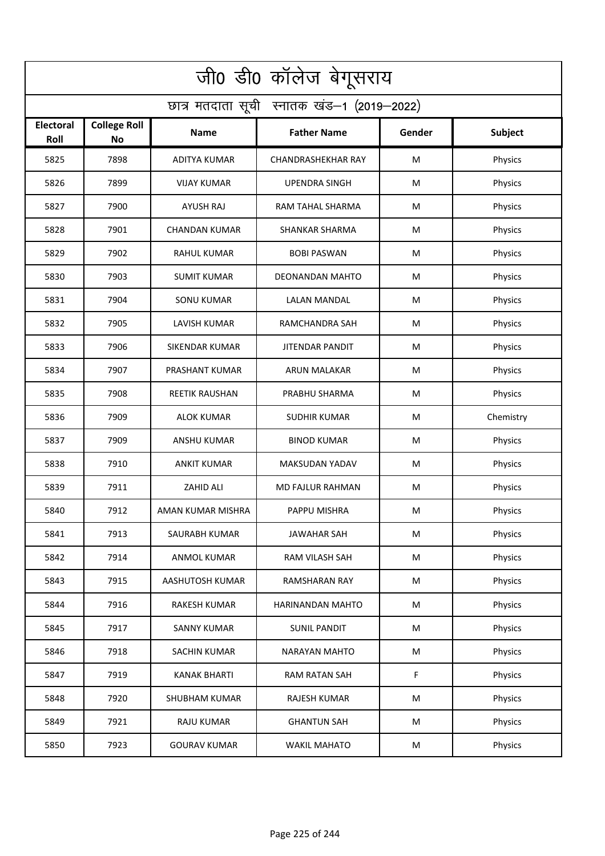| जी0 डी0 कॉलेज बेगूसराय                     |                                  |                       |                           |        |           |  |  |  |
|--------------------------------------------|----------------------------------|-----------------------|---------------------------|--------|-----------|--|--|--|
| छात्र मतदाता सूची स्नातक खंड-1 (2019-2022) |                                  |                       |                           |        |           |  |  |  |
| <b>Electoral</b><br>Roll                   | <b>College Roll</b><br><b>No</b> | Name                  | <b>Father Name</b>        | Gender | Subject   |  |  |  |
| 5825                                       | 7898                             | <b>ADITYA KUMAR</b>   | <b>CHANDRASHEKHAR RAY</b> | M      | Physics   |  |  |  |
| 5826                                       | 7899                             | <b>VIJAY KUMAR</b>    | <b>UPENDRA SINGH</b>      | M      | Physics   |  |  |  |
| 5827                                       | 7900                             | <b>AYUSH RAJ</b>      | RAM TAHAL SHARMA          | M      | Physics   |  |  |  |
| 5828                                       | 7901                             | <b>CHANDAN KUMAR</b>  | SHANKAR SHARMA            | M      | Physics   |  |  |  |
| 5829                                       | 7902                             | <b>RAHUL KUMAR</b>    | <b>BOBI PASWAN</b>        | M      | Physics   |  |  |  |
| 5830                                       | 7903                             | <b>SUMIT KUMAR</b>    | DEONANDAN MAHTO           | M      | Physics   |  |  |  |
| 5831                                       | 7904                             | <b>SONU KUMAR</b>     | <b>LALAN MANDAL</b>       | M      | Physics   |  |  |  |
| 5832                                       | 7905                             | <b>LAVISH KUMAR</b>   | RAMCHANDRA SAH            | M      | Physics   |  |  |  |
| 5833                                       | 7906                             | <b>SIKENDAR KUMAR</b> | <b>JITENDAR PANDIT</b>    | M      | Physics   |  |  |  |
| 5834                                       | 7907                             | PRASHANT KUMAR        | ARUN MALAKAR              | M      | Physics   |  |  |  |
| 5835                                       | 7908                             | <b>REETIK RAUSHAN</b> | PRABHU SHARMA             | M      | Physics   |  |  |  |
| 5836                                       | 7909                             | <b>ALOK KUMAR</b>     | <b>SUDHIR KUMAR</b>       | M      | Chemistry |  |  |  |
| 5837                                       | 7909                             | ANSHU KUMAR           | <b>BINOD KUMAR</b>        | M      | Physics   |  |  |  |
| 5838                                       | 7910                             | <b>ANKIT KUMAR</b>    | MAKSUDAN YADAV            | M      | Physics   |  |  |  |
| 5839                                       | 7911                             | ZAHID ALI             | MD FAJLUR RAHMAN          | M      | Physics   |  |  |  |
| 5840                                       | 7912                             | AMAN KUMAR MISHRA     | PAPPU MISHRA              | M      | Physics   |  |  |  |
| 5841                                       | 7913                             | SAURABH KUMAR         | JAWAHAR SAH               | M      | Physics   |  |  |  |
| 5842                                       | 7914                             | ANMOL KUMAR           | RAM VILASH SAH            | M      | Physics   |  |  |  |
| 5843                                       | 7915                             | AASHUTOSH KUMAR       | RAMSHARAN RAY             | M      | Physics   |  |  |  |
| 5844                                       | 7916                             | RAKESH KUMAR          | HARINANDAN MAHTO          | M      | Physics   |  |  |  |
| 5845                                       | 7917                             | <b>SANNY KUMAR</b>    | <b>SUNIL PANDIT</b>       | M      | Physics   |  |  |  |
| 5846                                       | 7918                             | SACHIN KUMAR          | NARAYAN MAHTO             | M      | Physics   |  |  |  |
| 5847                                       | 7919                             | <b>KANAK BHARTI</b>   | <b>RAM RATAN SAH</b>      | F      | Physics   |  |  |  |
| 5848                                       | 7920                             | <b>SHUBHAM KUMAR</b>  | <b>RAJESH KUMAR</b>       | M      | Physics   |  |  |  |
| 5849                                       | 7921                             | RAJU KUMAR            | <b>GHANTUN SAH</b>        | M      | Physics   |  |  |  |
| 5850                                       | 7923                             | <b>GOURAV KUMAR</b>   | <b>WAKIL MAHATO</b>       | M      | Physics   |  |  |  |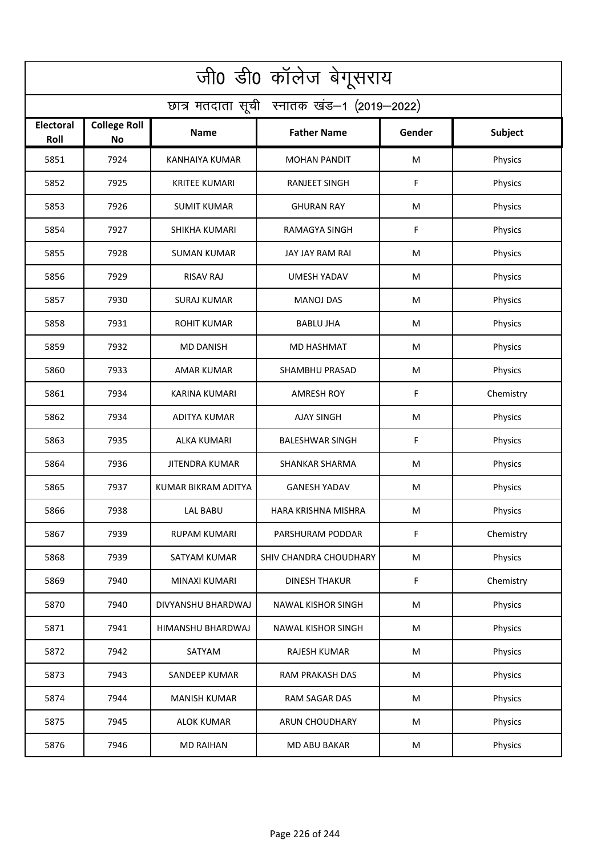| जी0 डी0 कॉलेज बेगूसराय                     |                                  |                       |                           |        |           |  |  |  |
|--------------------------------------------|----------------------------------|-----------------------|---------------------------|--------|-----------|--|--|--|
| छात्र मतदाता सूची स्नातक खंड-1 (2019-2022) |                                  |                       |                           |        |           |  |  |  |
| <b>Electoral</b><br>Roll                   | <b>College Roll</b><br><b>No</b> | Name                  | <b>Father Name</b>        | Gender | Subject   |  |  |  |
| 5851                                       | 7924                             | <b>KANHAIYA KUMAR</b> | <b>MOHAN PANDIT</b>       | M      | Physics   |  |  |  |
| 5852                                       | 7925                             | <b>KRITEE KUMARI</b>  | <b>RANJEET SINGH</b>      | F      | Physics   |  |  |  |
| 5853                                       | 7926                             | <b>SUMIT KUMAR</b>    | <b>GHURAN RAY</b>         | M      | Physics   |  |  |  |
| 5854                                       | 7927                             | <b>SHIKHA KUMARI</b>  | RAMAGYA SINGH             | F      | Physics   |  |  |  |
| 5855                                       | 7928                             | <b>SUMAN KUMAR</b>    | JAY JAY RAM RAI           | M      | Physics   |  |  |  |
| 5856                                       | 7929                             | <b>RISAV RAJ</b>      | <b>UMESH YADAV</b>        | M      | Physics   |  |  |  |
| 5857                                       | 7930                             | <b>SURAJ KUMAR</b>    | <b>MANOJ DAS</b>          | M      | Physics   |  |  |  |
| 5858                                       | 7931                             | <b>ROHIT KUMAR</b>    | <b>BABLU JHA</b>          | M      | Physics   |  |  |  |
| 5859                                       | 7932                             | <b>MD DANISH</b>      | <b>MD HASHMAT</b>         | M      | Physics   |  |  |  |
| 5860                                       | 7933                             | <b>AMAR KUMAR</b>     | <b>SHAMBHU PRASAD</b>     | M      | Physics   |  |  |  |
| 5861                                       | 7934                             | <b>KARINA KUMARI</b>  | <b>AMRESH ROY</b>         | F      | Chemistry |  |  |  |
| 5862                                       | 7934                             | <b>ADITYA KUMAR</b>   | <b>AJAY SINGH</b>         | M      | Physics   |  |  |  |
| 5863                                       | 7935                             | ALKA KUMARI           | <b>BALESHWAR SINGH</b>    | F      | Physics   |  |  |  |
| 5864                                       | 7936                             | <b>JITENDRA KUMAR</b> | <b>SHANKAR SHARMA</b>     | M      | Physics   |  |  |  |
| 5865                                       | 7937                             | KUMAR BIKRAM ADITYA   | <b>GANESH YADAV</b>       | M      | Physics   |  |  |  |
| 5866                                       | 7938                             | LAL BABU              | HARA KRISHNA MISHRA       | M      | Physics   |  |  |  |
| 5867                                       | 7939                             | <b>RUPAM KUMARI</b>   | PARSHURAM PODDAR          | F      | Chemistry |  |  |  |
| 5868                                       | 7939                             | SATYAM KUMAR          | SHIV CHANDRA CHOUDHARY    | M      | Physics   |  |  |  |
| 5869                                       | 7940                             | MINAXI KUMARI         | <b>DINESH THAKUR</b>      | F      | Chemistry |  |  |  |
| 5870                                       | 7940                             | DIVYANSHU BHARDWAJ    | <b>NAWAL KISHOR SINGH</b> | M      | Physics   |  |  |  |
| 5871                                       | 7941                             | HIMANSHU BHARDWAJ     | <b>NAWAL KISHOR SINGH</b> | M      | Physics   |  |  |  |
| 5872                                       | 7942                             | SATYAM                | <b>RAJESH KUMAR</b>       | M      | Physics   |  |  |  |
| 5873                                       | 7943                             | SANDEEP KUMAR         | <b>RAM PRAKASH DAS</b>    | M      | Physics   |  |  |  |
| 5874                                       | 7944                             | <b>MANISH KUMAR</b>   | RAM SAGAR DAS             | M      | Physics   |  |  |  |
| 5875                                       | 7945                             | <b>ALOK KUMAR</b>     | ARUN CHOUDHARY            | M      | Physics   |  |  |  |
| 5876                                       | 7946                             | <b>MD RAIHAN</b>      | <b>MD ABU BAKAR</b>       | M      | Physics   |  |  |  |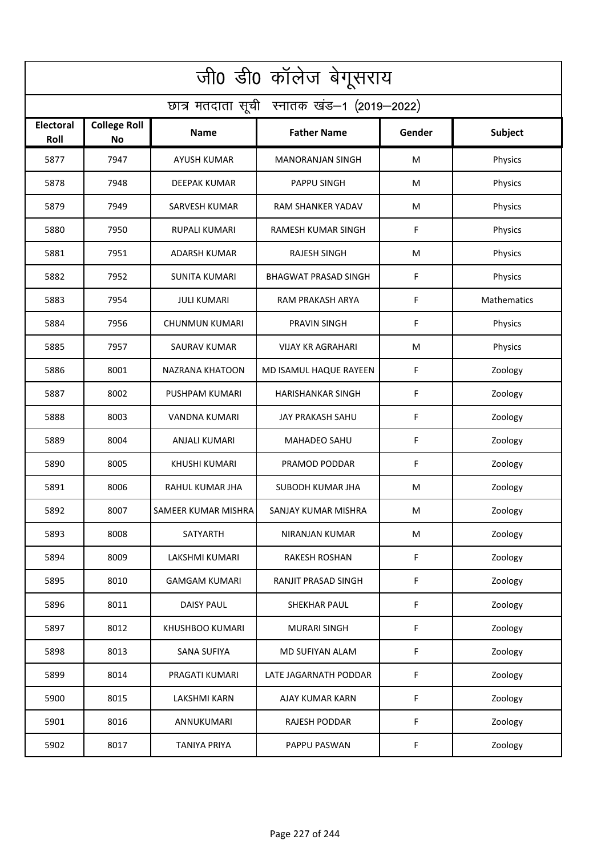| जी0 डी0 कॉलेज बेगूसराय                     |                                  |                       |                             |        |             |  |  |  |
|--------------------------------------------|----------------------------------|-----------------------|-----------------------------|--------|-------------|--|--|--|
| छात्र मतदाता सूची स्नातक खंड-1 (2019-2022) |                                  |                       |                             |        |             |  |  |  |
| <b>Electoral</b><br>Roll                   | <b>College Roll</b><br><b>No</b> | Name                  | <b>Father Name</b>          | Gender | Subject     |  |  |  |
| 5877                                       | 7947                             | <b>AYUSH KUMAR</b>    | <b>MANORANJAN SINGH</b>     | M      | Physics     |  |  |  |
| 5878                                       | 7948                             | <b>DEEPAK KUMAR</b>   | PAPPU SINGH                 | M      | Physics     |  |  |  |
| 5879                                       | 7949                             | <b>SARVESH KUMAR</b>  | RAM SHANKER YADAV           | M      | Physics     |  |  |  |
| 5880                                       | 7950                             | <b>RUPALI KUMARI</b>  | RAMESH KUMAR SINGH          | F      | Physics     |  |  |  |
| 5881                                       | 7951                             | <b>ADARSH KUMAR</b>   | <b>RAJESH SINGH</b>         | M      | Physics     |  |  |  |
| 5882                                       | 7952                             | <b>SUNITA KUMARI</b>  | <b>BHAGWAT PRASAD SINGH</b> | F      | Physics     |  |  |  |
| 5883                                       | 7954                             | <b>JULI KUMARI</b>    | RAM PRAKASH ARYA            | F      | Mathematics |  |  |  |
| 5884                                       | 7956                             | <b>CHUNMUN KUMARI</b> | <b>PRAVIN SINGH</b>         | F      | Physics     |  |  |  |
| 5885                                       | 7957                             | <b>SAURAV KUMAR</b>   | <b>VIJAY KR AGRAHARI</b>    | M      | Physics     |  |  |  |
| 5886                                       | 8001                             | NAZRANA KHATOON       | MD ISAMUL HAQUE RAYEEN      | F      | Zoology     |  |  |  |
| 5887                                       | 8002                             | PUSHPAM KUMARI        | <b>HARISHANKAR SINGH</b>    | F      | Zoology     |  |  |  |
| 5888                                       | 8003                             | <b>VANDNA KUMARI</b>  | <b>JAY PRAKASH SAHU</b>     | F      | Zoology     |  |  |  |
| 5889                                       | 8004                             | ANJALI KUMARI         | <b>MAHADEO SAHU</b>         | F      | Zoology     |  |  |  |
| 5890                                       | 8005                             | <b>KHUSHI KUMARI</b>  | PRAMOD PODDAR               | F      | Zoology     |  |  |  |
| 5891                                       | 8006                             | RAHUL KUMAR JHA       | SUBODH KUMAR JHA            | M      | Zoology     |  |  |  |
| 5892                                       | 8007                             | SAMEER KUMAR MISHRA   | SANJAY KUMAR MISHRA         | M      | Zoology     |  |  |  |
| 5893                                       | 8008                             | <b>SATYARTH</b>       | NIRANJAN KUMAR              | M      | Zoology     |  |  |  |
| 5894                                       | 8009                             | LAKSHMI KUMARI        | <b>RAKESH ROSHAN</b>        | F      | Zoology     |  |  |  |
| 5895                                       | 8010                             | <b>GAMGAM KUMARI</b>  | RANJIT PRASAD SINGH         | F      | Zoology     |  |  |  |
| 5896                                       | 8011                             | <b>DAISY PAUL</b>     | SHEKHAR PAUL                | F      | Zoology     |  |  |  |
| 5897                                       | 8012                             | KHUSHBOO KUMARI       | <b>MURARI SINGH</b>         | F      | Zoology     |  |  |  |
| 5898                                       | 8013                             | <b>SANA SUFIYA</b>    | MD SUFIYAN ALAM             | F      | Zoology     |  |  |  |
| 5899                                       | 8014                             | PRAGATI KUMARI        | LATE JAGARNATH PODDAR       | F      | Zoology     |  |  |  |
| 5900                                       | 8015                             | <b>LAKSHMI KARN</b>   | AJAY KUMAR KARN             | F      | Zoology     |  |  |  |
| 5901                                       | 8016                             | ANNUKUMARI            | RAJESH PODDAR               | F      | Zoology     |  |  |  |
| 5902                                       | 8017                             | <b>TANIYA PRIYA</b>   | PAPPU PASWAN                | F      | Zoology     |  |  |  |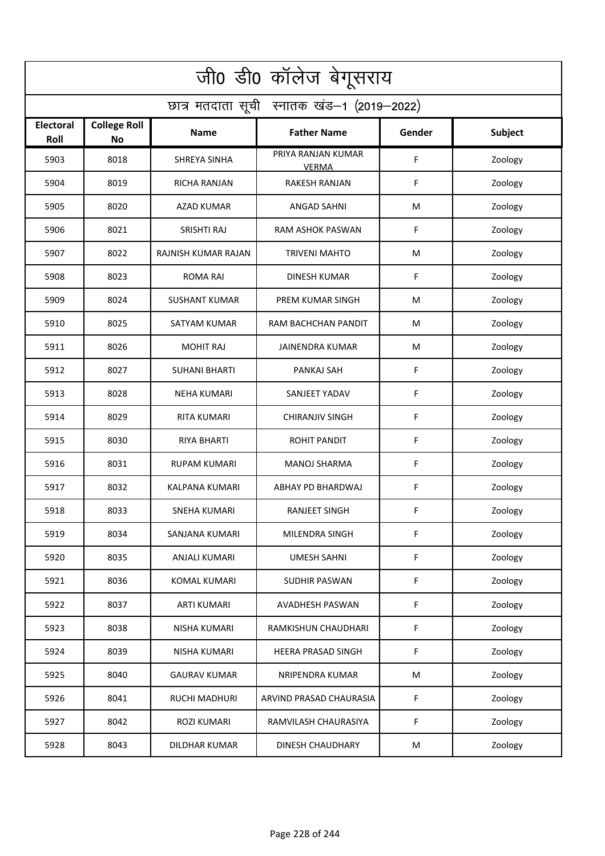| जी0 डी0 कॉलेज बेगूसराय                     |                                  |                      |                                    |        |         |  |  |  |
|--------------------------------------------|----------------------------------|----------------------|------------------------------------|--------|---------|--|--|--|
| छात्र मतदाता सूची स्नातक खंड-1 (2019-2022) |                                  |                      |                                    |        |         |  |  |  |
| <b>Electoral</b><br>Roll                   | <b>College Roll</b><br><b>No</b> | Name                 | <b>Father Name</b>                 | Gender | Subject |  |  |  |
| 5903                                       | 8018                             | <b>SHREYA SINHA</b>  | PRIYA RANJAN KUMAR<br><b>VERMA</b> | F      | Zoology |  |  |  |
| 5904                                       | 8019                             | RICHA RANJAN         | RAKESH RANJAN                      | F      | Zoology |  |  |  |
| 5905                                       | 8020                             | <b>AZAD KUMAR</b>    | <b>ANGAD SAHNI</b>                 | M      | Zoology |  |  |  |
| 5906                                       | 8021                             | SRISHTI RAJ          | <b>RAM ASHOK PASWAN</b>            | F      | Zoology |  |  |  |
| 5907                                       | 8022                             | RAJNISH KUMAR RAJAN  | <b>TRIVENI MAHTO</b>               | M      | Zoology |  |  |  |
| 5908                                       | 8023                             | <b>ROMA RAI</b>      | <b>DINESH KUMAR</b>                | F      | Zoology |  |  |  |
| 5909                                       | 8024                             | <b>SUSHANT KUMAR</b> | <b>PREM KUMAR SINGH</b>            | M      | Zoology |  |  |  |
| 5910                                       | 8025                             | <b>SATYAM KUMAR</b>  | RAM BACHCHAN PANDIT                | M      | Zoology |  |  |  |
| 5911                                       | 8026                             | <b>MOHIT RAJ</b>     | <b>JAINENDRA KUMAR</b>             | M      | Zoology |  |  |  |
| 5912                                       | 8027                             | <b>SUHANI BHARTI</b> | PANKAJ SAH                         | F      | Zoology |  |  |  |
| 5913                                       | 8028                             | <b>NEHA KUMARI</b>   | SANJEET YADAV                      | F      | Zoology |  |  |  |
| 5914                                       | 8029                             | <b>RITA KUMARI</b>   | <b>CHIRANJIV SINGH</b>             | F      | Zoology |  |  |  |
| 5915                                       | 8030                             | RIYA BHARTI          | <b>ROHIT PANDIT</b>                | F      | Zoology |  |  |  |
| 5916                                       | 8031                             | <b>RUPAM KUMARI</b>  | <b>MANOJ SHARMA</b>                | F      | Zoology |  |  |  |
| 5917                                       | 8032                             | KALPANA KUMARI       | ABHAY PD BHARDWAJ                  | F      | Zoology |  |  |  |
| 5918                                       | 8033                             | SNEHA KUMARI         | RANJEET SINGH                      | F      | Zoology |  |  |  |
| 5919                                       | 8034                             | SANJANA KUMARI       | MILENDRA SINGH                     | F      | Zoology |  |  |  |
| 5920                                       | 8035                             | ANJALI KUMARI        | <b>UMESH SAHNI</b>                 | F      | Zoology |  |  |  |
| 5921                                       | 8036                             | KOMAL KUMARI         | SUDHIR PASWAN                      | F      | Zoology |  |  |  |
| 5922                                       | 8037                             | <b>ARTI KUMARI</b>   | AVADHESH PASWAN                    | F      | Zoology |  |  |  |
| 5923                                       | 8038                             | NISHA KUMARI         | RAMKISHUN CHAUDHARI                | F      | Zoology |  |  |  |
| 5924                                       | 8039                             | NISHA KUMARI         | <b>HEERA PRASAD SINGH</b>          | F      | Zoology |  |  |  |
| 5925                                       | 8040                             | <b>GAURAV KUMAR</b>  | NRIPENDRA KUMAR                    | M      | Zoology |  |  |  |
| 5926                                       | 8041                             | <b>RUCHI MADHURI</b> | ARVIND PRASAD CHAURASIA            | F      | Zoology |  |  |  |
| 5927                                       | 8042                             | ROZI KUMARI          | RAMVILASH CHAURASIYA               | F      | Zoology |  |  |  |
| 5928                                       | 8043                             | <b>DILDHAR KUMAR</b> | DINESH CHAUDHARY                   | M      | Zoology |  |  |  |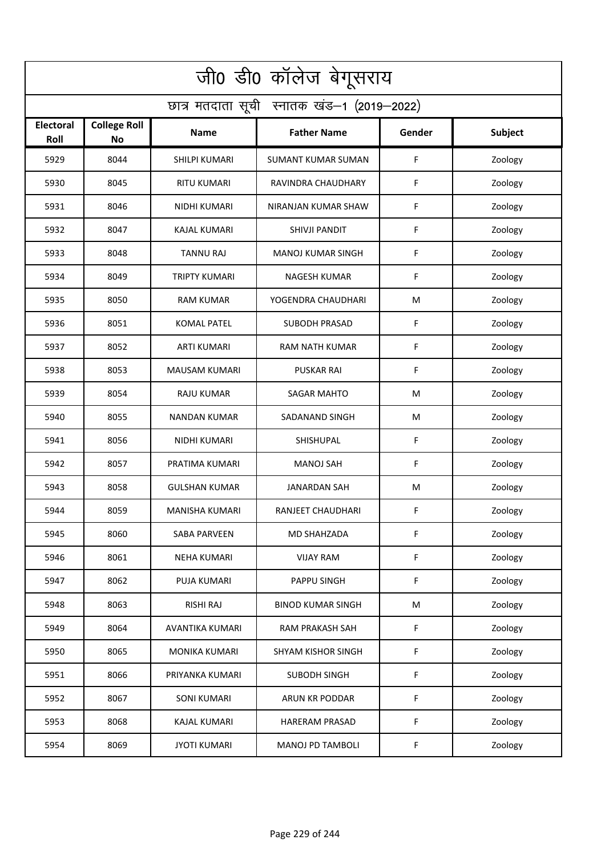| जी0 डी0 कॉलेज बेगूसराय                     |                                  |                      |                           |             |         |  |  |  |
|--------------------------------------------|----------------------------------|----------------------|---------------------------|-------------|---------|--|--|--|
| छात्र मतदाता सूची स्नातक खंड-1 (2019-2022) |                                  |                      |                           |             |         |  |  |  |
| <b>Electoral</b><br>Roll                   | <b>College Roll</b><br><b>No</b> | Name                 | <b>Father Name</b>        | Gender      | Subject |  |  |  |
| 5929                                       | 8044                             | SHILPI KUMARI        | <b>SUMANT KUMAR SUMAN</b> | F           | Zoology |  |  |  |
| 5930                                       | 8045                             | <b>RITU KUMARI</b>   | RAVINDRA CHAUDHARY        | F           | Zoology |  |  |  |
| 5931                                       | 8046                             | NIDHI KUMARI         | NIRANJAN KUMAR SHAW       | F           | Zoology |  |  |  |
| 5932                                       | 8047                             | <b>KAJAL KUMARI</b>  | <b>SHIVJI PANDIT</b>      | $\mathsf F$ | Zoology |  |  |  |
| 5933                                       | 8048                             | <b>TANNU RAJ</b>     | <b>MANOJ KUMAR SINGH</b>  | F           | Zoology |  |  |  |
| 5934                                       | 8049                             | <b>TRIPTY KUMARI</b> | <b>NAGESH KUMAR</b>       | F           | Zoology |  |  |  |
| 5935                                       | 8050                             | <b>RAM KUMAR</b>     | YOGENDRA CHAUDHARI        | M           | Zoology |  |  |  |
| 5936                                       | 8051                             | <b>KOMAL PATEL</b>   | <b>SUBODH PRASAD</b>      | F           | Zoology |  |  |  |
| 5937                                       | 8052                             | <b>ARTI KUMARI</b>   | <b>RAM NATH KUMAR</b>     | F           | Zoology |  |  |  |
| 5938                                       | 8053                             | <b>MAUSAM KUMARI</b> | <b>PUSKAR RAI</b>         | F           | Zoology |  |  |  |
| 5939                                       | 8054                             | <b>RAJU KUMAR</b>    | <b>SAGAR MAHTO</b>        | M           | Zoology |  |  |  |
| 5940                                       | 8055                             | <b>NANDAN KUMAR</b>  | SADANAND SINGH            | M           | Zoology |  |  |  |
| 5941                                       | 8056                             | NIDHI KUMARI         | SHISHUPAL                 | F           | Zoology |  |  |  |
| 5942                                       | 8057                             | PRATIMA KUMARI       | <b>MANOJ SAH</b>          | F           | Zoology |  |  |  |
| 5943                                       | 8058                             | <b>GULSHAN KUMAR</b> | JANARDAN SAH              | M           | Zoology |  |  |  |
| 5944                                       | 8059                             | MANISHA KUMARI       | RANJEET CHAUDHARI         | F           | Zoology |  |  |  |
| 5945                                       | 8060                             | SABA PARVEEN         | MD SHAHZADA               | F           | Zoology |  |  |  |
| 5946                                       | 8061                             | <b>NEHA KUMARI</b>   | <b>VIJAY RAM</b>          | F           | Zoology |  |  |  |
| 5947                                       | 8062                             | PUJA KUMARI          | PAPPU SINGH               | F           | Zoology |  |  |  |
| 5948                                       | 8063                             | <b>RISHI RAJ</b>     | <b>BINOD KUMAR SINGH</b>  | M           | Zoology |  |  |  |
| 5949                                       | 8064                             | AVANTIKA KUMARI      | <b>RAM PRAKASH SAH</b>    | F           | Zoology |  |  |  |
| 5950                                       | 8065                             | <b>MONIKA KUMARI</b> | <b>SHYAM KISHOR SINGH</b> | F           | Zoology |  |  |  |
| 5951                                       | 8066                             | PRIYANKA KUMARI      | <b>SUBODH SINGH</b>       | F           | Zoology |  |  |  |
| 5952                                       | 8067                             | <b>SONI KUMARI</b>   | ARUN KR PODDAR            | F           | Zoology |  |  |  |
| 5953                                       | 8068                             | <b>KAJAL KUMARI</b>  | <b>HARERAM PRASAD</b>     | F           | Zoology |  |  |  |
| 5954                                       | 8069                             | <b>JYOTI KUMARI</b>  | <b>MANOJ PD TAMBOLI</b>   | F           | Zoology |  |  |  |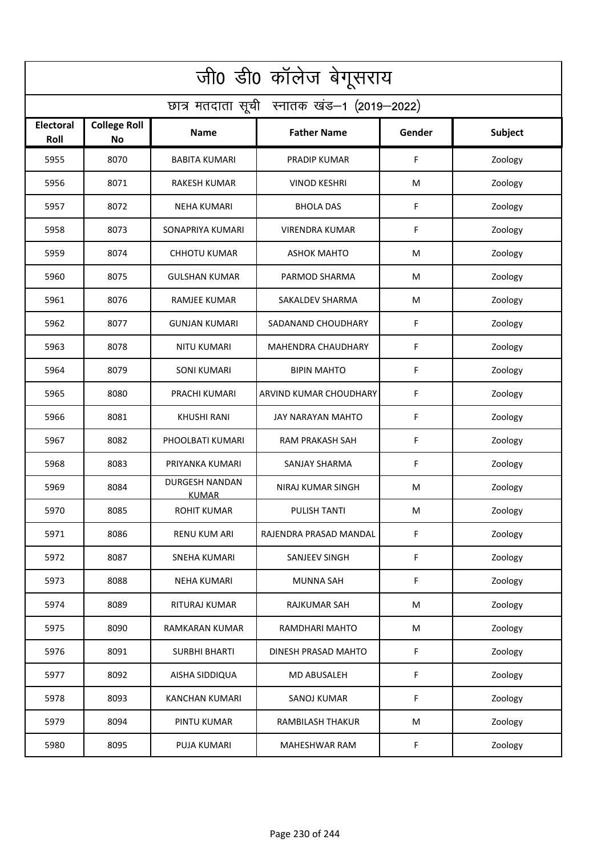| जी0 डी0 कॉलेज बेगूसराय                     |                                  |                                       |                           |        |         |  |  |  |
|--------------------------------------------|----------------------------------|---------------------------------------|---------------------------|--------|---------|--|--|--|
| छात्र मतदाता सूची स्नातक खंड-1 (2019-2022) |                                  |                                       |                           |        |         |  |  |  |
| <b>Electoral</b><br>Roll                   | <b>College Roll</b><br><b>No</b> | Name                                  | <b>Father Name</b>        | Gender | Subject |  |  |  |
| 5955                                       | 8070                             | <b>BABITA KUMARI</b>                  | PRADIP KUMAR              | F      | Zoology |  |  |  |
| 5956                                       | 8071                             | <b>RAKESH KUMAR</b>                   | <b>VINOD KESHRI</b>       | M      | Zoology |  |  |  |
| 5957                                       | 8072                             | <b>NEHA KUMARI</b>                    | <b>BHOLA DAS</b>          | F      | Zoology |  |  |  |
| 5958                                       | 8073                             | SONAPRIYA KUMARI                      | <b>VIRENDRA KUMAR</b>     | F      | Zoology |  |  |  |
| 5959                                       | 8074                             | <b>CHHOTU KUMAR</b>                   | <b>ASHOK MAHTO</b>        | M      | Zoology |  |  |  |
| 5960                                       | 8075                             | <b>GULSHAN KUMAR</b>                  | PARMOD SHARMA             | M      | Zoology |  |  |  |
| 5961                                       | 8076                             | <b>RAMJEE KUMAR</b>                   | <b>SAKALDEV SHARMA</b>    | M      | Zoology |  |  |  |
| 5962                                       | 8077                             | <b>GUNJAN KUMARI</b>                  | SADANAND CHOUDHARY        | F      | Zoology |  |  |  |
| 5963                                       | 8078                             | <b>NITU KUMARI</b>                    | <b>MAHENDRA CHAUDHARY</b> | F      | Zoology |  |  |  |
| 5964                                       | 8079                             | <b>SONI KUMARI</b>                    | <b>BIPIN MAHTO</b>        | F      | Zoology |  |  |  |
| 5965                                       | 8080                             | PRACHI KUMARI                         | ARVIND KUMAR CHOUDHARY    | F      | Zoology |  |  |  |
| 5966                                       | 8081                             | <b>KHUSHI RANI</b>                    | <b>JAY NARAYAN MAHTO</b>  | F      | Zoology |  |  |  |
| 5967                                       | 8082                             | PHOOLBATI KUMARI                      | RAM PRAKASH SAH           | F      | Zoology |  |  |  |
| 5968                                       | 8083                             | PRIYANKA KUMARI                       | <b>SANJAY SHARMA</b>      | F      | Zoology |  |  |  |
| 5969                                       | 8084                             | <b>DURGESH NANDAN</b><br><b>KUMAR</b> | NIRAJ KUMAR SINGH         | M      | Zoology |  |  |  |
| 5970                                       | 8085                             | ROHIT KUMAR                           | PULISH TANTI              | M      | Zoology |  |  |  |
| 5971                                       | 8086                             | <b>RENU KUM ARI</b>                   | RAJENDRA PRASAD MANDAL    | F      | Zoology |  |  |  |
| 5972                                       | 8087                             | <b>SNEHA KUMARI</b>                   | SANJEEV SINGH             | F      | Zoology |  |  |  |
| 5973                                       | 8088                             | <b>NEHA KUMARI</b>                    | <b>MUNNA SAH</b>          | F      | Zoology |  |  |  |
| 5974                                       | 8089                             | RITURAJ KUMAR                         | RAJKUMAR SAH              | M      | Zoology |  |  |  |
| 5975                                       | 8090                             | <b>RAMKARAN KUMAR</b>                 | RAMDHARI MAHTO            | M      | Zoology |  |  |  |
| 5976                                       | 8091                             | <b>SURBHI BHARTI</b>                  | DINESH PRASAD MAHTO       | F      | Zoology |  |  |  |
| 5977                                       | 8092                             | AISHA SIDDIQUA                        | <b>MD ABUSALEH</b>        | F      | Zoology |  |  |  |
| 5978                                       | 8093                             | <b>KANCHAN KUMARI</b>                 | SANOJ KUMAR               | F      | Zoology |  |  |  |
| 5979                                       | 8094                             | PINTU KUMAR                           | <b>RAMBILASH THAKUR</b>   | M      | Zoology |  |  |  |
| 5980                                       | 8095                             | PUJA KUMARI                           | <b>MAHESHWAR RAM</b>      | F      | Zoology |  |  |  |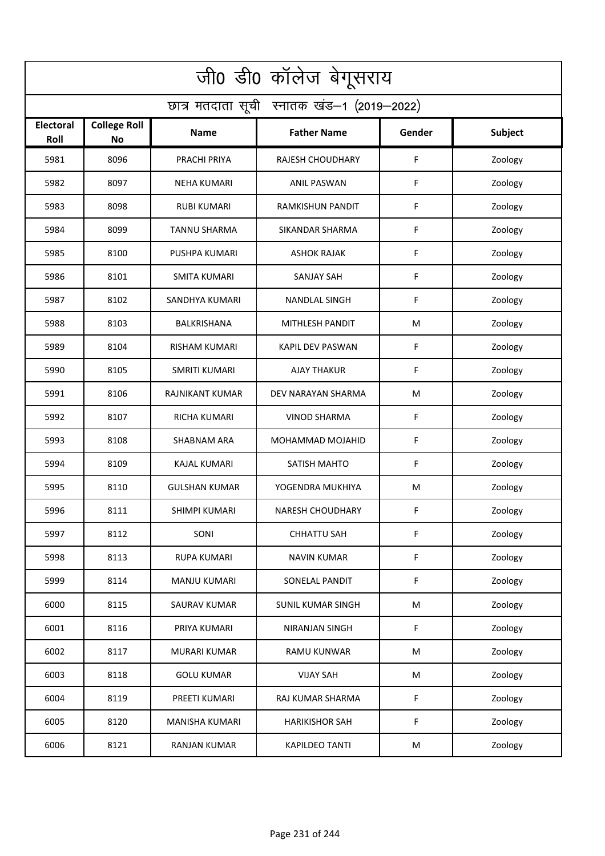| जी0 डी0 कॉलेज बेगूसराय                     |                                  |                       |                          |             |         |  |  |  |
|--------------------------------------------|----------------------------------|-----------------------|--------------------------|-------------|---------|--|--|--|
| छात्र मतदाता सूची स्नातक खंड-1 (2019-2022) |                                  |                       |                          |             |         |  |  |  |
| <b>Electoral</b><br>Roll                   | <b>College Roll</b><br><b>No</b> | Name                  | <b>Father Name</b>       | Gender      | Subject |  |  |  |
| 5981                                       | 8096                             | PRACHI PRIYA          | <b>RAJESH CHOUDHARY</b>  | F           | Zoology |  |  |  |
| 5982                                       | 8097                             | <b>NEHA KUMARI</b>    | <b>ANIL PASWAN</b>       | F           | Zoology |  |  |  |
| 5983                                       | 8098                             | <b>RUBI KUMARI</b>    | RAMKISHUN PANDIT         | F           | Zoology |  |  |  |
| 5984                                       | 8099                             | <b>TANNU SHARMA</b>   | SIKANDAR SHARMA          | $\mathsf F$ | Zoology |  |  |  |
| 5985                                       | 8100                             | PUSHPA KUMARI         | <b>ASHOK RAJAK</b>       | F           | Zoology |  |  |  |
| 5986                                       | 8101                             | <b>SMITA KUMARI</b>   | <b>SANJAY SAH</b>        | F           | Zoology |  |  |  |
| 5987                                       | 8102                             | SANDHYA KUMARI        | <b>NANDLAL SINGH</b>     | F           | Zoology |  |  |  |
| 5988                                       | 8103                             | BALKRISHANA           | MITHLESH PANDIT          | M           | Zoology |  |  |  |
| 5989                                       | 8104                             | <b>RISHAM KUMARI</b>  | <b>KAPIL DEV PASWAN</b>  | F           | Zoology |  |  |  |
| 5990                                       | 8105                             | <b>SMRITI KUMARI</b>  | <b>AJAY THAKUR</b>       | F           | Zoology |  |  |  |
| 5991                                       | 8106                             | RAJNIKANT KUMAR       | DEV NARAYAN SHARMA       | M           | Zoology |  |  |  |
| 5992                                       | 8107                             | <b>RICHA KUMARI</b>   | <b>VINOD SHARMA</b>      | $\mathsf F$ | Zoology |  |  |  |
| 5993                                       | 8108                             | SHABNAM ARA           | MOHAMMAD MOJAHID         | F           | Zoology |  |  |  |
| 5994                                       | 8109                             | <b>KAJAL KUMARI</b>   | <b>SATISH MAHTO</b>      | F           | Zoology |  |  |  |
| 5995                                       | 8110                             | GULSHAN KUMAR         | YOGENDRA MUKHIYA         | M           | Zoology |  |  |  |
| 5996                                       | 8111                             | SHIMPI KUMARI         | NARESH CHOUDHARY         | F           | Zoology |  |  |  |
| 5997                                       | 8112                             | SONI                  | <b>CHHATTU SAH</b>       | F           | Zoology |  |  |  |
| 5998                                       | 8113                             | <b>RUPA KUMARI</b>    | <b>NAVIN KUMAR</b>       | F           | Zoology |  |  |  |
| 5999                                       | 8114                             | <b>MANJU KUMARI</b>   | SONELAL PANDIT           | F           | Zoology |  |  |  |
| 6000                                       | 8115                             | SAURAV KUMAR          | <b>SUNIL KUMAR SINGH</b> | M           | Zoology |  |  |  |
| 6001                                       | 8116                             | PRIYA KUMARI          | <b>NIRANJAN SINGH</b>    | F           | Zoology |  |  |  |
| 6002                                       | 8117                             | <b>MURARI KUMAR</b>   | <b>RAMU KUNWAR</b>       | M           | Zoology |  |  |  |
| 6003                                       | 8118                             | <b>GOLU KUMAR</b>     | <b>VIJAY SAH</b>         | M           | Zoology |  |  |  |
| 6004                                       | 8119                             | PREETI KUMARI         | RAJ KUMAR SHARMA         | F           | Zoology |  |  |  |
| 6005                                       | 8120                             | <b>MANISHA KUMARI</b> | <b>HARIKISHOR SAH</b>    | F           | Zoology |  |  |  |
| 6006                                       | 8121                             | <b>RANJAN KUMAR</b>   | <b>KAPILDEO TANTI</b>    | M           | Zoology |  |  |  |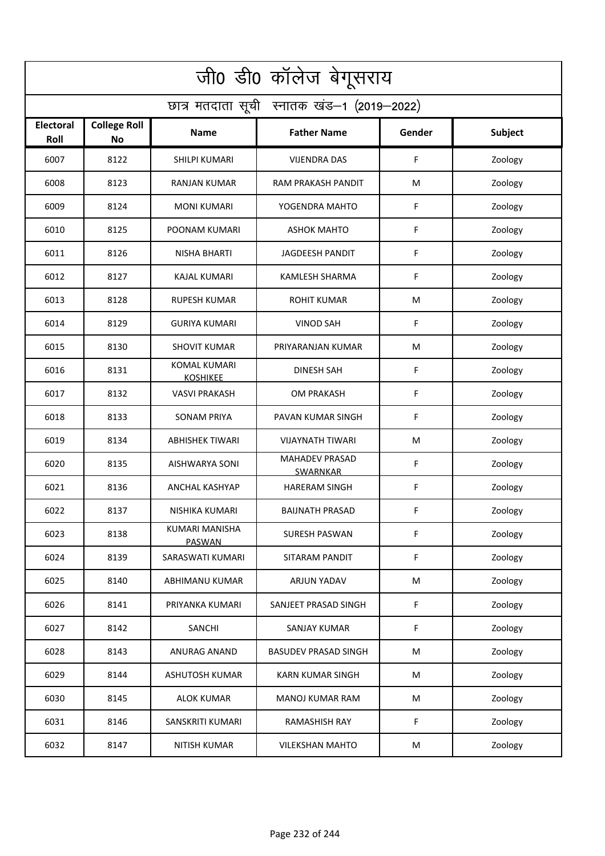| जी0 डी0 कॉलेज बेगूसराय                     |                                  |                                        |                                          |        |         |  |  |  |
|--------------------------------------------|----------------------------------|----------------------------------------|------------------------------------------|--------|---------|--|--|--|
| छात्र मतदाता सूची स्नातक खंड-1 (2019-2022) |                                  |                                        |                                          |        |         |  |  |  |
| <b>Electoral</b><br>Roll                   | <b>College Roll</b><br><b>No</b> | Name                                   | <b>Father Name</b>                       | Gender | Subject |  |  |  |
| 6007                                       | 8122                             | SHILPI KUMARI                          | <b>VIJENDRA DAS</b>                      | F      | Zoology |  |  |  |
| 6008                                       | 8123                             | <b>RANJAN KUMAR</b>                    | RAM PRAKASH PANDIT                       | М      | Zoology |  |  |  |
| 6009                                       | 8124                             | <b>MONI KUMARI</b>                     | YOGENDRA MAHTO                           | F      | Zoology |  |  |  |
| 6010                                       | 8125                             | POONAM KUMARI                          | <b>ASHOK MAHTO</b>                       | F      | Zoology |  |  |  |
| 6011                                       | 8126                             | NISHA BHARTI                           | <b>JAGDEESH PANDIT</b>                   | F      | Zoology |  |  |  |
| 6012                                       | 8127                             | <b>KAJAL KUMARI</b>                    | <b>KAMLESH SHARMA</b>                    | F      | Zoology |  |  |  |
| 6013                                       | 8128                             | <b>RUPESH KUMAR</b>                    | <b>ROHIT KUMAR</b>                       | M      | Zoology |  |  |  |
| 6014                                       | 8129                             | <b>GURIYA KUMARI</b>                   | <b>VINOD SAH</b>                         | F      | Zoology |  |  |  |
| 6015                                       | 8130                             | <b>SHOVIT KUMAR</b>                    | PRIYARANJAN KUMAR                        | M      | Zoology |  |  |  |
| 6016                                       | 8131                             | <b>KOMAL KUMARI</b><br><b>KOSHIKEE</b> | <b>DINESH SAH</b>                        | F      | Zoology |  |  |  |
| 6017                                       | 8132                             | <b>VASVI PRAKASH</b>                   | <b>OM PRAKASH</b>                        | F      | Zoology |  |  |  |
| 6018                                       | 8133                             | <b>SONAM PRIYA</b>                     | PAVAN KUMAR SINGH                        | F      | Zoology |  |  |  |
| 6019                                       | 8134                             | ABHISHEK TIWARI                        | VIJAYNATH TIWARI                         | M      | Zoology |  |  |  |
| 6020                                       | 8135                             | AISHWARYA SONI                         | <b>MAHADEV PRASAD</b><br><b>SWARNKAR</b> | F      | Zoology |  |  |  |
| 6021                                       | 8136                             | ANCHAL KASHYAP                         | <b>HARERAM SINGH</b>                     | F      | Zoology |  |  |  |
| 6022                                       | 8137                             | NISHIKA KUMARI                         | <b>BAIJNATH PRASAD</b>                   | F.     | Zoology |  |  |  |
| 6023                                       | 8138                             | <b>KUMARI MANISHA</b><br><b>PASWAN</b> | SURESH PASWAN                            | F      | Zoology |  |  |  |
| 6024                                       | 8139                             | SARASWATI KUMARI                       | SITARAM PANDIT                           | F      | Zoology |  |  |  |
| 6025                                       | 8140                             | <b>ABHIMANU KUMAR</b>                  | ARJUN YADAV                              | M      | Zoology |  |  |  |
| 6026                                       | 8141                             | PRIYANKA KUMARI                        | SANJEET PRASAD SINGH                     | F      | Zoology |  |  |  |
| 6027                                       | 8142                             | SANCHI                                 | <b>SANJAY KUMAR</b>                      | F      | Zoology |  |  |  |
| 6028                                       | 8143                             | <b>ANURAG ANAND</b>                    | <b>BASUDEV PRASAD SINGH</b>              | M      | Zoology |  |  |  |
| 6029                                       | 8144                             | <b>ASHUTOSH KUMAR</b>                  | <b>KARN KUMAR SINGH</b>                  | M      | Zoology |  |  |  |
| 6030                                       | 8145                             | <b>ALOK KUMAR</b>                      | <b>MANOJ KUMAR RAM</b>                   | M      | Zoology |  |  |  |
| 6031                                       | 8146                             | SANSKRITI KUMARI                       | <b>RAMASHISH RAY</b>                     | F      | Zoology |  |  |  |
| 6032                                       | 8147                             | <b>NITISH KUMAR</b>                    | <b>VILEKSHAN MAHTO</b>                   | M      | Zoology |  |  |  |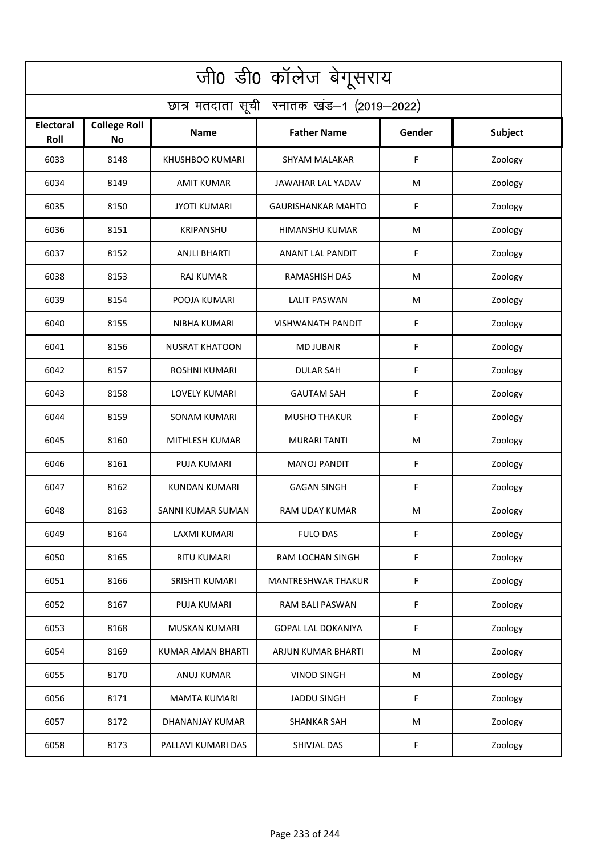| जी0 डी0 कॉलेज बेगूसराय                     |                           |                        |                           |        |         |  |  |  |
|--------------------------------------------|---------------------------|------------------------|---------------------------|--------|---------|--|--|--|
| छात्र मतदाता सूची स्नातक खंड-1 (2019-2022) |                           |                        |                           |        |         |  |  |  |
| <b>Electoral</b><br>Roll                   | <b>College Roll</b><br>No | <b>Name</b>            | <b>Father Name</b>        | Gender | Subject |  |  |  |
| 6033                                       | 8148                      | <b>KHUSHBOO KUMARI</b> | <b>SHYAM MALAKAR</b>      | F      | Zoology |  |  |  |
| 6034                                       | 8149                      | <b>AMIT KUMAR</b>      | JAWAHAR LAL YADAV         | M      | Zoology |  |  |  |
| 6035                                       | 8150                      | <b>JYOTI KUMARI</b>    | <b>GAURISHANKAR MAHTO</b> | F      | Zoology |  |  |  |
| 6036                                       | 8151                      | <b>KRIPANSHU</b>       | HIMANSHU KUMAR            | M      | Zoology |  |  |  |
| 6037                                       | 8152                      | <b>ANJLI BHARTI</b>    | ANANT LAL PANDIT          | F      | Zoology |  |  |  |
| 6038                                       | 8153                      | <b>RAJ KUMAR</b>       | RAMASHISH DAS             | M      | Zoology |  |  |  |
| 6039                                       | 8154                      | POOJA KUMARI           | <b>LALIT PASWAN</b>       | M      | Zoology |  |  |  |
| 6040                                       | 8155                      | NIBHA KUMARI           | <b>VISHWANATH PANDIT</b>  | F      | Zoology |  |  |  |
| 6041                                       | 8156                      | <b>NUSRAT KHATOON</b>  | <b>MD JUBAIR</b>          | F      | Zoology |  |  |  |
| 6042                                       | 8157                      | <b>ROSHNI KUMARI</b>   | <b>DULAR SAH</b>          | F      | Zoology |  |  |  |
| 6043                                       | 8158                      | <b>LOVELY KUMARI</b>   | <b>GAUTAM SAH</b>         | F      | Zoology |  |  |  |
| 6044                                       | 8159                      | <b>SONAM KUMARI</b>    | <b>MUSHO THAKUR</b>       | F      | Zoology |  |  |  |
| 6045                                       | 8160                      | MITHLESH KUMAR         | <b>MURARI TANTI</b>       | M      | Zoology |  |  |  |
| 6046                                       | 8161                      | <b>PUJA KUMARI</b>     | <b>MANOJ PANDIT</b>       | F      | Zoology |  |  |  |
| 6047                                       | 8162                      | <b>KUNDAN KUMARI</b>   | <b>GAGAN SINGH</b>        | F      | Zoology |  |  |  |
| 6048                                       | 8163                      | SANNI KUMAR SUMAN      | RAM UDAY KUMAR            | M      | Zoology |  |  |  |
| 6049                                       | 8164                      | LAXMI KUMARI           | <b>FULO DAS</b>           | F      | Zoology |  |  |  |
| 6050                                       | 8165                      | <b>RITU KUMARI</b>     | RAM LOCHAN SINGH          | F      | Zoology |  |  |  |
| 6051                                       | 8166                      | SRISHTI KUMARI         | <b>MANTRESHWAR THAKUR</b> | F      | Zoology |  |  |  |
| 6052                                       | 8167                      | PUJA KUMARI            | RAM BALI PASWAN           | F      | Zoology |  |  |  |
| 6053                                       | 8168                      | <b>MUSKAN KUMARI</b>   | <b>GOPAL LAL DOKANIYA</b> | F      | Zoology |  |  |  |
| 6054                                       | 8169                      | KUMAR AMAN BHARTI      | ARJUN KUMAR BHARTI        | M      | Zoology |  |  |  |
| 6055                                       | 8170                      | <b>ANUJ KUMAR</b>      | <b>VINOD SINGH</b>        | M      | Zoology |  |  |  |
| 6056                                       | 8171                      | <b>MAMTA KUMARI</b>    | <b>JADDU SINGH</b>        | F      | Zoology |  |  |  |
| 6057                                       | 8172                      | DHANANJAY KUMAR        | <b>SHANKAR SAH</b>        | M      | Zoology |  |  |  |
| 6058                                       | 8173                      | PALLAVI KUMARI DAS     | SHIVJAL DAS               | F      | Zoology |  |  |  |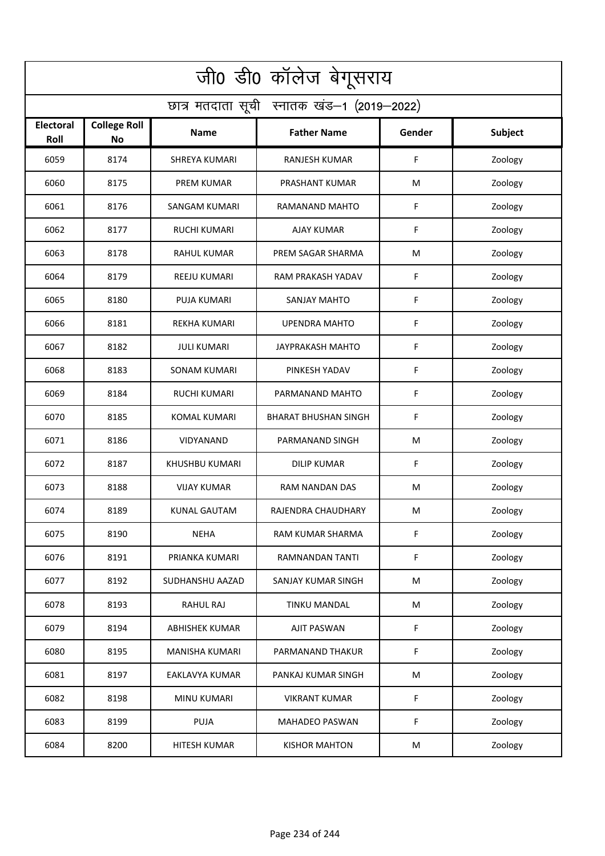| जी0 डी0 कॉलेज बेगूसराय                     |                                  |                       |                             |        |         |  |  |  |
|--------------------------------------------|----------------------------------|-----------------------|-----------------------------|--------|---------|--|--|--|
| छात्र मतदाता सूची स्नातक खंड-1 (2019-2022) |                                  |                       |                             |        |         |  |  |  |
| <b>Electoral</b><br>Roll                   | <b>College Roll</b><br><b>No</b> | Name                  | <b>Father Name</b>          | Gender | Subject |  |  |  |
| 6059                                       | 8174                             | <b>SHREYA KUMARI</b>  | <b>RANJESH KUMAR</b>        | F      | Zoology |  |  |  |
| 6060                                       | 8175                             | <b>PREM KUMAR</b>     | PRASHANT KUMAR              | М      | Zoology |  |  |  |
| 6061                                       | 8176                             | SANGAM KUMARI         | RAMANAND MAHTO              | F      | Zoology |  |  |  |
| 6062                                       | 8177                             | <b>RUCHI KUMARI</b>   | AJAY KUMAR                  | F      | Zoology |  |  |  |
| 6063                                       | 8178                             | <b>RAHUL KUMAR</b>    | PREM SAGAR SHARMA           | M      | Zoology |  |  |  |
| 6064                                       | 8179                             | <b>REEJU KUMARI</b>   | RAM PRAKASH YADAV           | F      | Zoology |  |  |  |
| 6065                                       | 8180                             | <b>PUJA KUMARI</b>    | SANJAY MAHTO                | F      | Zoology |  |  |  |
| 6066                                       | 8181                             | <b>REKHA KUMARI</b>   | <b>UPENDRA MAHTO</b>        | F      | Zoology |  |  |  |
| 6067                                       | 8182                             | <b>JULI KUMARI</b>    | <b>JAYPRAKASH MAHTO</b>     | F      | Zoology |  |  |  |
| 6068                                       | 8183                             | <b>SONAM KUMARI</b>   | PINKESH YADAV               | F      | Zoology |  |  |  |
| 6069                                       | 8184                             | <b>RUCHI KUMARI</b>   | PARMANAND MAHTO             | F      | Zoology |  |  |  |
| 6070                                       | 8185                             | <b>KOMAL KUMARI</b>   | <b>BHARAT BHUSHAN SINGH</b> | F      | Zoology |  |  |  |
| 6071                                       | 8186                             | VIDYANAND             | PARMANAND SINGH             | M      | Zoology |  |  |  |
| 6072                                       | 8187                             | KHUSHBU KUMARI        | <b>DILIP KUMAR</b>          | F      | Zoology |  |  |  |
| 6073                                       | 8188                             | <b>VIJAY KUMAR</b>    | RAM NANDAN DAS              | M      | Zoology |  |  |  |
| 6074                                       | 8189                             | KUNAL GAUTAM          | RAJENDRA CHAUDHARY          | M      | Zoology |  |  |  |
| 6075                                       | 8190                             | <b>NEHA</b>           | RAM KUMAR SHARMA            | F      | Zoology |  |  |  |
| 6076                                       | 8191                             | PRIANKA KUMARI        | RAMNANDAN TANTI             | F      | Zoology |  |  |  |
| 6077                                       | 8192                             | SUDHANSHU AAZAD       | SANJAY KUMAR SINGH          | M      | Zoology |  |  |  |
| 6078                                       | 8193                             | <b>RAHUL RAJ</b>      | TINKU MANDAL                | M      | Zoology |  |  |  |
| 6079                                       | 8194                             | <b>ABHISHEK KUMAR</b> | <b>AJIT PASWAN</b>          | F      | Zoology |  |  |  |
| 6080                                       | 8195                             | MANISHA KUMARI        | PARMANAND THAKUR            | F      | Zoology |  |  |  |
| 6081                                       | 8197                             | EAKLAVYA KUMAR        | PANKAJ KUMAR SINGH          | M      | Zoology |  |  |  |
| 6082                                       | 8198                             | <b>MINU KUMARI</b>    | <b>VIKRANT KUMAR</b>        | F      | Zoology |  |  |  |
| 6083                                       | 8199                             | PUJA                  | <b>MAHADEO PASWAN</b>       | F      | Zoology |  |  |  |
| 6084                                       | 8200                             | <b>HITESH KUMAR</b>   | <b>KISHOR MAHTON</b>        | M      | Zoology |  |  |  |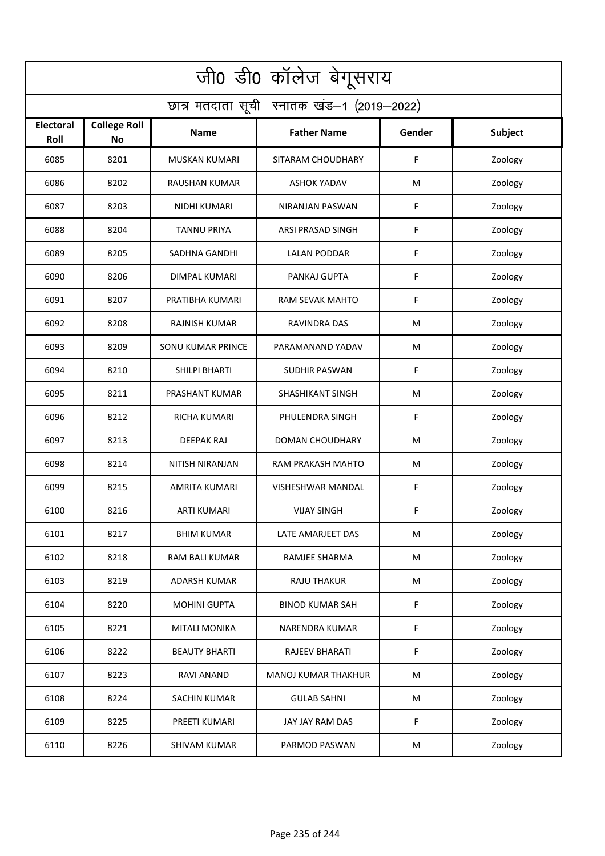| जी0 डी0 कॉलेज बेगूसराय                     |                                  |                          |                            |        |                |  |  |  |
|--------------------------------------------|----------------------------------|--------------------------|----------------------------|--------|----------------|--|--|--|
| छात्र मतदाता सूची स्नातक खंड-1 (2019-2022) |                                  |                          |                            |        |                |  |  |  |
| Electoral<br>Roll                          | <b>College Roll</b><br><b>No</b> | Name                     | <b>Father Name</b>         | Gender | <b>Subject</b> |  |  |  |
| 6085                                       | 8201                             | <b>MUSKAN KUMARI</b>     | SITARAM CHOUDHARY          | F      | Zoology        |  |  |  |
| 6086                                       | 8202                             | RAUSHAN KUMAR            | <b>ASHOK YADAV</b>         | M      | Zoology        |  |  |  |
| 6087                                       | 8203                             | <b>NIDHI KUMARI</b>      | NIRANJAN PASWAN            | F      | Zoology        |  |  |  |
| 6088                                       | 8204                             | <b>TANNU PRIYA</b>       | ARSI PRASAD SINGH          | F      | Zoology        |  |  |  |
| 6089                                       | 8205                             | SADHNA GANDHI            | <b>LALAN PODDAR</b>        | F      | Zoology        |  |  |  |
| 6090                                       | 8206                             | <b>DIMPAL KUMARI</b>     | PANKAJ GUPTA               | F      | Zoology        |  |  |  |
| 6091                                       | 8207                             | PRATIBHA KUMARI          | RAM SEVAK MAHTO            | F      | Zoology        |  |  |  |
| 6092                                       | 8208                             | <b>RAJNISH KUMAR</b>     | RAVINDRA DAS               | M      | Zoology        |  |  |  |
| 6093                                       | 8209                             | <b>SONU KUMAR PRINCE</b> | PARAMANAND YADAV           | M      | Zoology        |  |  |  |
| 6094                                       | 8210                             | SHILPI BHARTI            | <b>SUDHIR PASWAN</b>       | F      | Zoology        |  |  |  |
| 6095                                       | 8211                             | PRASHANT KUMAR           | SHASHIKANT SINGH           | M      | Zoology        |  |  |  |
| 6096                                       | 8212                             | <b>RICHA KUMARI</b>      | PHULENDRA SINGH            | F      | Zoology        |  |  |  |
| 6097                                       | 8213                             | DEEPAK RAJ               | <b>DOMAN CHOUDHARY</b>     | M      | Zoology        |  |  |  |
| 6098                                       | 8214                             | NITISH NIRANJAN          | RAM PRAKASH MAHTO          | M      | Zoology        |  |  |  |
| 6099                                       | 8215                             | AMRITA KUMARI            | VISHESHWAR MANDAL          | F      | Zoology        |  |  |  |
| 6100                                       | 8216                             | ARTI KUMARI              | <b>VIJAY SINGH</b>         | F      | Zoology        |  |  |  |
| 6101                                       | 8217                             | <b>BHIM KUMAR</b>        | LATE AMARJEET DAS          | M      | Zoology        |  |  |  |
| 6102                                       | 8218                             | RAM BALI KUMAR           | RAMJEE SHARMA              | M      | Zoology        |  |  |  |
| 6103                                       | 8219                             | ADARSH KUMAR             | RAJU THAKUR                | M      | Zoology        |  |  |  |
| 6104                                       | 8220                             | <b>MOHINI GUPTA</b>      | <b>BINOD KUMAR SAH</b>     | F      | Zoology        |  |  |  |
| 6105                                       | 8221                             | <b>MITALI MONIKA</b>     | NARENDRA KUMAR             | F      | Zoology        |  |  |  |
| 6106                                       | 8222                             | <b>BEAUTY BHARTI</b>     | RAJEEV BHARATI             | F      | Zoology        |  |  |  |
| 6107                                       | 8223                             | RAVI ANAND               | <b>MANOJ KUMAR THAKHUR</b> | M      | Zoology        |  |  |  |
| 6108                                       | 8224                             | <b>SACHIN KUMAR</b>      | <b>GULAB SAHNI</b>         | M      | Zoology        |  |  |  |
| 6109                                       | 8225                             | PREETI KUMARI            | JAY JAY RAM DAS            | F      | Zoology        |  |  |  |
| 6110                                       | 8226                             | <b>SHIVAM KUMAR</b>      | PARMOD PASWAN              | M      | Zoology        |  |  |  |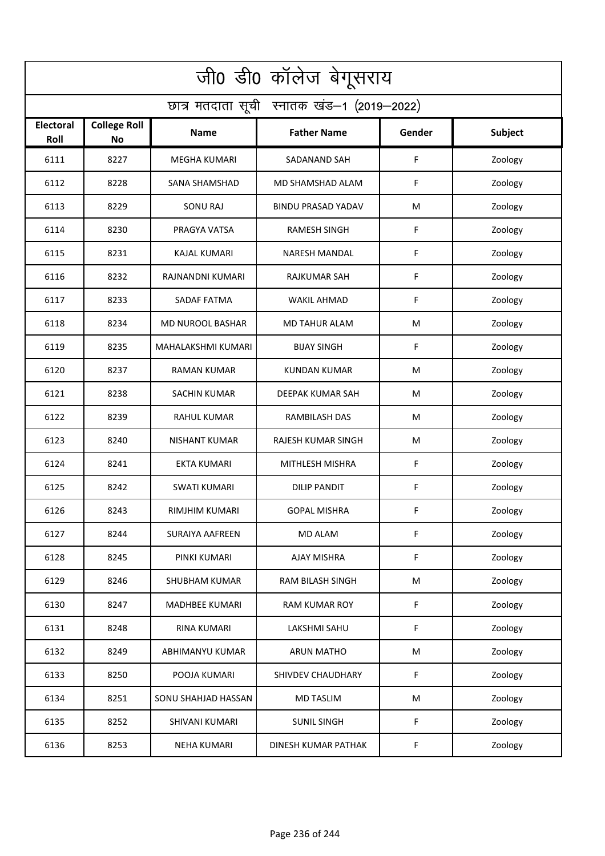| जी0 डी0 कॉलेज बेगूसराय                     |                                  |                         |                           |        |         |  |  |  |
|--------------------------------------------|----------------------------------|-------------------------|---------------------------|--------|---------|--|--|--|
| छात्र मतदाता सूची स्नातक खंड-1 (2019-2022) |                                  |                         |                           |        |         |  |  |  |
| <b>Electoral</b><br>Roll                   | <b>College Roll</b><br><b>No</b> | Name                    | <b>Father Name</b>        | Gender | Subject |  |  |  |
| 6111                                       | 8227                             | <b>MEGHA KUMARI</b>     | SADANAND SAH              | F      | Zoology |  |  |  |
| 6112                                       | 8228                             | SANA SHAMSHAD           | MD SHAMSHAD ALAM          | F      | Zoology |  |  |  |
| 6113                                       | 8229                             | <b>SONU RAJ</b>         | <b>BINDU PRASAD YADAV</b> | M      | Zoology |  |  |  |
| 6114                                       | 8230                             | PRAGYA VATSA            | RAMESH SINGH              | F      | Zoology |  |  |  |
| 6115                                       | 8231                             | <b>KAJAL KUMARI</b>     | <b>NARESH MANDAL</b>      | F      | Zoology |  |  |  |
| 6116                                       | 8232                             | RAJNANDNI KUMARI        | <b>RAJKUMAR SAH</b>       | F      | Zoology |  |  |  |
| 6117                                       | 8233                             | SADAF FATMA             | <b>WAKIL AHMAD</b>        | F      | Zoology |  |  |  |
| 6118                                       | 8234                             | <b>MD NUROOL BASHAR</b> | <b>MD TAHUR ALAM</b>      | M      | Zoology |  |  |  |
| 6119                                       | 8235                             | MAHALAKSHMI KUMARI      | <b>BIJAY SINGH</b>        | F      | Zoology |  |  |  |
| 6120                                       | 8237                             | <b>RAMAN KUMAR</b>      | KUNDAN KUMAR              | M      | Zoology |  |  |  |
| 6121                                       | 8238                             | <b>SACHIN KUMAR</b>     | DEEPAK KUMAR SAH          | M      | Zoology |  |  |  |
| 6122                                       | 8239                             | <b>RAHUL KUMAR</b>      | RAMBILASH DAS             | M      | Zoology |  |  |  |
| 6123                                       | 8240                             | NISHANT KUMAR           | RAJESH KUMAR SINGH        | M      | Zoology |  |  |  |
| 6124                                       | 8241                             | <b>EKTA KUMARI</b>      | MITHLESH MISHRA           | F      | Zoology |  |  |  |
| 6125                                       | 8242                             | SWATI KUMARI            | DILIP PANDIT              | F      | Zoology |  |  |  |
| 6126                                       | 8243                             | RIMJHIM KUMARI          | <b>GOPAL MISHRA</b>       | F.     | Zoology |  |  |  |
| 6127                                       | 8244                             | <b>SURAIYA AAFREEN</b>  | <b>MD ALAM</b>            | F      | Zoology |  |  |  |
| 6128                                       | 8245                             | PINKI KUMARI            | AJAY MISHRA               | F      | Zoology |  |  |  |
| 6129                                       | 8246                             | SHUBHAM KUMAR           | RAM BILASH SINGH          | M      | Zoology |  |  |  |
| 6130                                       | 8247                             | <b>MADHBEE KUMARI</b>   | RAM KUMAR ROY             | F      | Zoology |  |  |  |
| 6131                                       | 8248                             | <b>RINA KUMARI</b>      | LAKSHMI SAHU              | F      | Zoology |  |  |  |
| 6132                                       | 8249                             | ABHIMANYU KUMAR         | <b>ARUN MATHO</b>         | M      | Zoology |  |  |  |
| 6133                                       | 8250                             | POOJA KUMARI            | SHIVDEV CHAUDHARY         | F      | Zoology |  |  |  |
| 6134                                       | 8251                             | SONU SHAHJAD HASSAN     | <b>MD TASLIM</b>          | M      | Zoology |  |  |  |
| 6135                                       | 8252                             | <b>SHIVANI KUMARI</b>   | <b>SUNIL SINGH</b>        | F      | Zoology |  |  |  |
| 6136                                       | 8253                             | <b>NEHA KUMARI</b>      | DINESH KUMAR PATHAK       | F      | Zoology |  |  |  |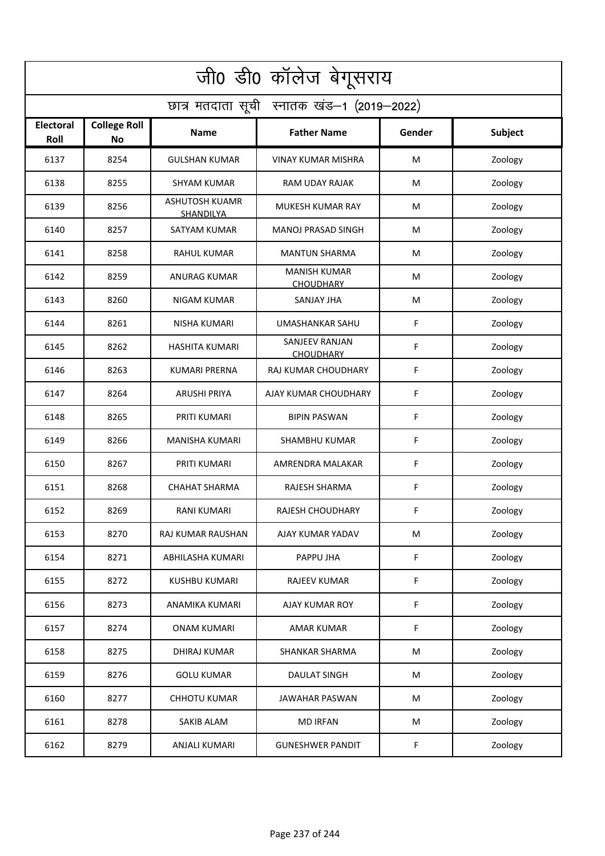| जी0 डी0 कॉलेज बेगूसराय                     |                                  |                             |                                         |        |         |  |  |  |
|--------------------------------------------|----------------------------------|-----------------------------|-----------------------------------------|--------|---------|--|--|--|
| छात्र मतदाता सूची स्नातक खंड-1 (2019-2022) |                                  |                             |                                         |        |         |  |  |  |
| <b>Electoral</b><br>Roll                   | <b>College Roll</b><br><b>No</b> | <b>Name</b>                 | <b>Father Name</b>                      | Gender | Subject |  |  |  |
| 6137                                       | 8254                             | <b>GULSHAN KUMAR</b>        | <b>VINAY KUMAR MISHRA</b>               | M      | Zoology |  |  |  |
| 6138                                       | 8255                             | SHYAM KUMAR                 | <b>RAM UDAY RAJAK</b>                   | M      | Zoology |  |  |  |
| 6139                                       | 8256                             | ASHUTOSH KUAMR<br>SHANDILYA | MUKESH KUMAR RAY                        | М      | Zoology |  |  |  |
| 6140                                       | 8257                             | SATYAM KUMAR                | MANOJ PRASAD SINGH                      | M      | Zoology |  |  |  |
| 6141                                       | 8258                             | <b>RAHUL KUMAR</b>          | <b>MANTUN SHARMA</b>                    | М      | Zoology |  |  |  |
| 6142                                       | 8259                             | <b>ANURAG KUMAR</b>         | <b>MANISH KUMAR</b><br><b>CHOUDHARY</b> | М      | Zoology |  |  |  |
| 6143                                       | 8260                             | <b>NIGAM KUMAR</b>          | <b>SANJAY JHA</b>                       | M      | Zoology |  |  |  |
| 6144                                       | 8261                             | <b>NISHA KUMARI</b>         | UMASHANKAR SAHU                         | F      | Zoology |  |  |  |
| 6145                                       | 8262                             | <b>HASHITA KUMARI</b>       | SANJEEV RANJAN<br><b>CHOUDHARY</b>      | F      | Zoology |  |  |  |
| 6146                                       | 8263                             | <b>KUMARI PRERNA</b>        | RAJ KUMAR CHOUDHARY                     | F      | Zoology |  |  |  |
| 6147                                       | 8264                             | <b>ARUSHI PRIYA</b>         | AJAY KUMAR CHOUDHARY                    | F      | Zoology |  |  |  |
| 6148                                       | 8265                             | PRITI KUMARI                | <b>BIPIN PASWAN</b>                     | F      | Zoology |  |  |  |
| 6149                                       | 8266                             | MANISHA KUMARI              | <b>SHAMBHU KUMAR</b>                    | F      | Zoology |  |  |  |
| 6150                                       | 8267                             | PRITI KUMARI                | AMRENDRA MALAKAR                        | F      | Zoology |  |  |  |
| 6151                                       | 8268                             | <b>CHAHAT SHARMA</b>        | <b>RAJESH SHARMA</b>                    | F      | Zoology |  |  |  |
| 6152                                       | 8269                             | RANI KUMARI                 | RAJESH CHOUDHARY                        | F      | Zoology |  |  |  |
| 6153                                       | 8270                             | RAJ KUMAR RAUSHAN           | AJAY KUMAR YADAV                        | M      | Zoology |  |  |  |
| 6154                                       | 8271                             | ABHILASHA KUMARI            | PAPPU JHA                               | F      | Zoology |  |  |  |
| 6155                                       | 8272                             | <b>KUSHBU KUMARI</b>        | RAJEEV KUMAR                            | F      | Zoology |  |  |  |
| 6156                                       | 8273                             | ANAMIKA KUMARI              | AJAY KUMAR ROY                          | F      | Zoology |  |  |  |
| 6157                                       | 8274                             | <b>ONAM KUMARI</b>          | <b>AMAR KUMAR</b>                       | F      | Zoology |  |  |  |
| 6158                                       | 8275                             | <b>DHIRAJ KUMAR</b>         | SHANKAR SHARMA                          | M      | Zoology |  |  |  |
| 6159                                       | 8276                             | <b>GOLU KUMAR</b>           | DAULAT SINGH                            | M      | Zoology |  |  |  |
| 6160                                       | 8277                             | <b>CHHOTU KUMAR</b>         | <b>JAWAHAR PASWAN</b>                   | M      | Zoology |  |  |  |
| 6161                                       | 8278                             | SAKIB ALAM                  | <b>MD IRFAN</b>                         | M      | Zoology |  |  |  |
| 6162                                       | 8279                             | ANJALI KUMARI               | <b>GUNESHWER PANDIT</b>                 | F      | Zoology |  |  |  |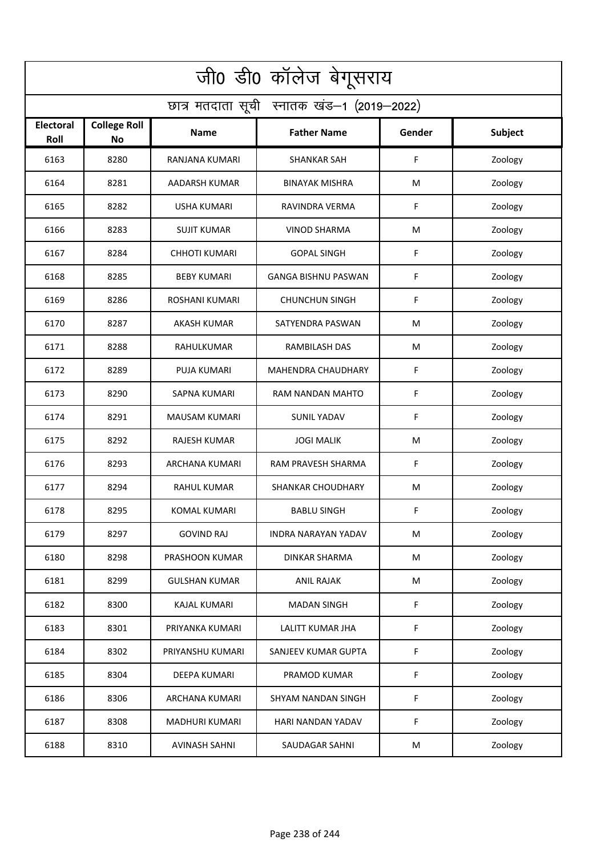| जी0 डी0 कॉलेज बेगूसराय                     |                                  |                       |                            |        |         |  |  |  |
|--------------------------------------------|----------------------------------|-----------------------|----------------------------|--------|---------|--|--|--|
| छात्र मतदाता सूची स्नातक खंड-1 (2019-2022) |                                  |                       |                            |        |         |  |  |  |
| <b>Electoral</b><br>Roll                   | <b>College Roll</b><br><b>No</b> | Name                  | <b>Father Name</b>         | Gender | Subject |  |  |  |
| 6163                                       | 8280                             | RANJANA KUMARI        | <b>SHANKAR SAH</b>         | F      | Zoology |  |  |  |
| 6164                                       | 8281                             | AADARSH KUMAR         | <b>BINAYAK MISHRA</b>      | M      | Zoology |  |  |  |
| 6165                                       | 8282                             | <b>USHA KUMARI</b>    | RAVINDRA VERMA             | F      | Zoology |  |  |  |
| 6166                                       | 8283                             | <b>SUJIT KUMAR</b>    | <b>VINOD SHARMA</b>        | M      | Zoology |  |  |  |
| 6167                                       | 8284                             | <b>CHHOTI KUMARI</b>  | <b>GOPAL SINGH</b>         | F      | Zoology |  |  |  |
| 6168                                       | 8285                             | <b>BEBY KUMARI</b>    | <b>GANGA BISHNU PASWAN</b> | F      | Zoology |  |  |  |
| 6169                                       | 8286                             | ROSHANI KUMARI        | <b>CHUNCHUN SINGH</b>      | F      | Zoology |  |  |  |
| 6170                                       | 8287                             | <b>AKASH KUMAR</b>    | SATYENDRA PASWAN           | M      | Zoology |  |  |  |
| 6171                                       | 8288                             | RAHULKUMAR            | RAMBILASH DAS              | M      | Zoology |  |  |  |
| 6172                                       | 8289                             | PUJA KUMARI           | <b>MAHENDRA CHAUDHARY</b>  | F      | Zoology |  |  |  |
| 6173                                       | 8290                             | <b>SAPNA KUMARI</b>   | RAM NANDAN MAHTO           | F      | Zoology |  |  |  |
| 6174                                       | 8291                             | <b>MAUSAM KUMARI</b>  | <b>SUNIL YADAV</b>         | F      | Zoology |  |  |  |
| 6175                                       | 8292                             | RAJESH KUMAR          | <b>JOGI MALIK</b>          | M      | Zoology |  |  |  |
| 6176                                       | 8293                             | ARCHANA KUMARI        | RAM PRAVESH SHARMA         | F      | Zoology |  |  |  |
| 6177                                       | 8294                             | RAHUL KUMAR           | SHANKAR CHOUDHARY          | M      | Zoology |  |  |  |
| 6178                                       | 8295                             | <b>KOMAL KUMARI</b>   | <b>BABLU SINGH</b>         | F      | Zoology |  |  |  |
| 6179                                       | 8297                             | <b>GOVIND RAJ</b>     | INDRA NARAYAN YADAV        | M      | Zoology |  |  |  |
| 6180                                       | 8298                             | PRASHOON KUMAR        | DINKAR SHARMA              | M      | Zoology |  |  |  |
| 6181                                       | 8299                             | <b>GULSHAN KUMAR</b>  | <b>ANIL RAJAK</b>          | M      | Zoology |  |  |  |
| 6182                                       | 8300                             | <b>KAJAL KUMARI</b>   | <b>MADAN SINGH</b>         | F      | Zoology |  |  |  |
| 6183                                       | 8301                             | PRIYANKA KUMARI       | LALITT KUMAR JHA           | F      | Zoology |  |  |  |
| 6184                                       | 8302                             | PRIYANSHU KUMARI      | SANJEEV KUMAR GUPTA        | F      | Zoology |  |  |  |
| 6185                                       | 8304                             | <b>DEEPA KUMARI</b>   | PRAMOD KUMAR               | F      | Zoology |  |  |  |
| 6186                                       | 8306                             | ARCHANA KUMARI        | SHYAM NANDAN SINGH         | F      | Zoology |  |  |  |
| 6187                                       | 8308                             | <b>MADHURI KUMARI</b> | HARI NANDAN YADAV          | F      | Zoology |  |  |  |
| 6188                                       | 8310                             | <b>AVINASH SAHNI</b>  | SAUDAGAR SAHNI             | M      | Zoology |  |  |  |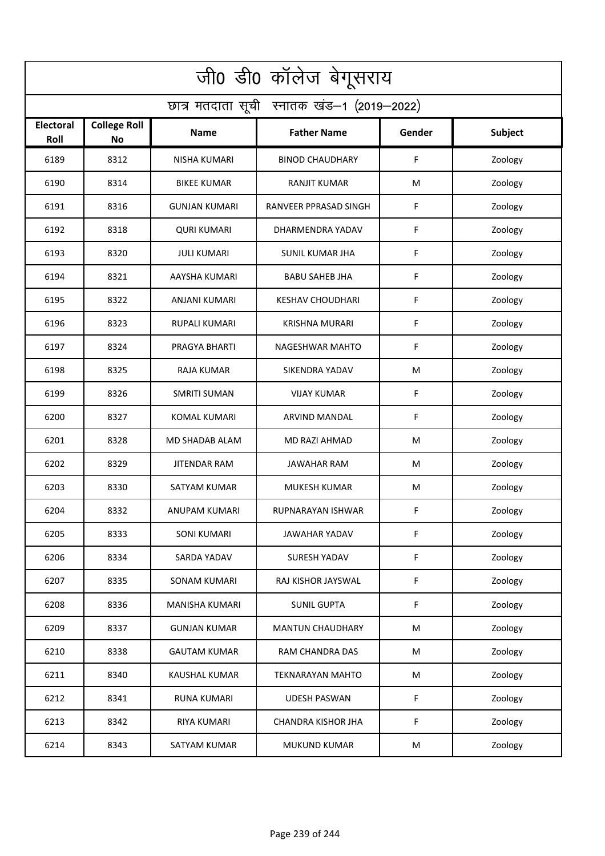| जी0 डी0 कॉलेज बेगूसराय                     |                                  |                       |                           |        |         |  |  |  |
|--------------------------------------------|----------------------------------|-----------------------|---------------------------|--------|---------|--|--|--|
| छात्र मतदाता सूची स्नातक खंड-1 (2019-2022) |                                  |                       |                           |        |         |  |  |  |
| <b>Electoral</b><br>Roll                   | <b>College Roll</b><br><b>No</b> | Name                  | <b>Father Name</b>        | Gender | Subject |  |  |  |
| 6189                                       | 8312                             | <b>NISHA KUMARI</b>   | <b>BINOD CHAUDHARY</b>    | F      | Zoology |  |  |  |
| 6190                                       | 8314                             | <b>BIKEE KUMAR</b>    | <b>RANJIT KUMAR</b>       | M      | Zoology |  |  |  |
| 6191                                       | 8316                             | <b>GUNJAN KUMARI</b>  | RANVEER PPRASAD SINGH     | F      | Zoology |  |  |  |
| 6192                                       | 8318                             | <b>QURI KUMARI</b>    | DHARMENDRA YADAV          | F      | Zoology |  |  |  |
| 6193                                       | 8320                             | <b>JULI KUMARI</b>    | <b>SUNIL KUMAR JHA</b>    | F      | Zoology |  |  |  |
| 6194                                       | 8321                             | AAYSHA KUMARI         | <b>BABU SAHEB JHA</b>     | F      | Zoology |  |  |  |
| 6195                                       | 8322                             | <b>ANJANI KUMARI</b>  | <b>KESHAV CHOUDHARI</b>   | F      | Zoology |  |  |  |
| 6196                                       | 8323                             | <b>RUPALI KUMARI</b>  | KRISHNA MURARI            | F      | Zoology |  |  |  |
| 6197                                       | 8324                             | PRAGYA BHARTI         | <b>NAGESHWAR MAHTO</b>    | F      | Zoology |  |  |  |
| 6198                                       | 8325                             | RAJA KUMAR            | SIKENDRA YADAV            | M      | Zoology |  |  |  |
| 6199                                       | 8326                             | <b>SMRITI SUMAN</b>   | VIJAY KUMAR               | F      | Zoology |  |  |  |
| 6200                                       | 8327                             | <b>KOMAL KUMARI</b>   | ARVIND MANDAL             | F      | Zoology |  |  |  |
| 6201                                       | 8328                             | MD SHADAB ALAM        | MD RAZI AHMAD             | M      | Zoology |  |  |  |
| 6202                                       | 8329                             | <b>JITENDAR RAM</b>   | <b>JAWAHAR RAM</b>        | M      | Zoology |  |  |  |
| 6203                                       | 8330                             | SATYAM KUMAR          | <b>MUKESH KUMAR</b>       | M      | Zoology |  |  |  |
| 6204                                       | 8332                             | ANUPAM KUMARI         | RUPNARAYAN ISHWAR         | F      | Zoology |  |  |  |
| 6205                                       | 8333                             | <b>SONI KUMARI</b>    | JAWAHAR YADAV             | F      | Zoology |  |  |  |
| 6206                                       | 8334                             | SARDA YADAV           | SURESH YADAV              | F      | Zoology |  |  |  |
| 6207                                       | 8335                             | SONAM KUMARI          | RAJ KISHOR JAYSWAL        | F      | Zoology |  |  |  |
| 6208                                       | 8336                             | <b>MANISHA KUMARI</b> | <b>SUNIL GUPTA</b>        | F      | Zoology |  |  |  |
| 6209                                       | 8337                             | <b>GUNJAN KUMAR</b>   | <b>MANTUN CHAUDHARY</b>   | M      | Zoology |  |  |  |
| 6210                                       | 8338                             | <b>GAUTAM KUMAR</b>   | RAM CHANDRA DAS           | M      | Zoology |  |  |  |
| 6211                                       | 8340                             | <b>KAUSHAL KUMAR</b>  | <b>TEKNARAYAN MAHTO</b>   | M      | Zoology |  |  |  |
| 6212                                       | 8341                             | <b>RUNA KUMARI</b>    | <b>UDESH PASWAN</b>       | F      | Zoology |  |  |  |
| 6213                                       | 8342                             | RIYA KUMARI           | <b>CHANDRA KISHOR JHA</b> | F      | Zoology |  |  |  |
| 6214                                       | 8343                             | SATYAM KUMAR          | <b>MUKUND KUMAR</b>       | M      | Zoology |  |  |  |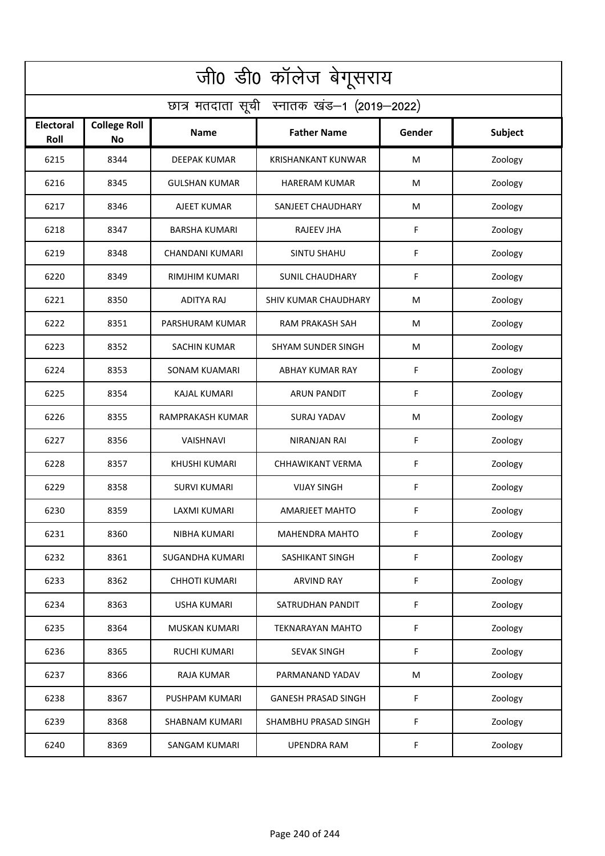| जी0 डी0 कॉलेज बेगूसराय                     |                                  |                       |                             |        |         |  |  |  |
|--------------------------------------------|----------------------------------|-----------------------|-----------------------------|--------|---------|--|--|--|
| छात्र मतदाता सूची स्नातक खंड-1 (2019-2022) |                                  |                       |                             |        |         |  |  |  |
| <b>Electoral</b><br>Roll                   | <b>College Roll</b><br><b>No</b> | <b>Name</b>           | <b>Father Name</b>          | Gender | Subject |  |  |  |
| 6215                                       | 8344                             | <b>DEEPAK KUMAR</b>   | <b>KRISHANKANT KUNWAR</b>   | M      | Zoology |  |  |  |
| 6216                                       | 8345                             | <b>GULSHAN KUMAR</b>  | <b>HARERAM KUMAR</b>        | M      | Zoology |  |  |  |
| 6217                                       | 8346                             | AJEET KUMAR           | SANJEET CHAUDHARY           | М      | Zoology |  |  |  |
| 6218                                       | 8347                             | <b>BARSHA KUMARI</b>  | <b>RAJEEV JHA</b>           | F      | Zoology |  |  |  |
| 6219                                       | 8348                             | CHANDANI KUMARI       | <b>SINTU SHAHU</b>          | F      | Zoology |  |  |  |
| 6220                                       | 8349                             | <b>RIMJHIM KUMARI</b> | <b>SUNIL CHAUDHARY</b>      | F      | Zoology |  |  |  |
| 6221                                       | 8350                             | <b>ADITYA RAJ</b>     | <b>SHIV KUMAR CHAUDHARY</b> | M      | Zoology |  |  |  |
| 6222                                       | 8351                             | PARSHURAM KUMAR       | RAM PRAKASH SAH             | М      | Zoology |  |  |  |
| 6223                                       | 8352                             | <b>SACHIN KUMAR</b>   | <b>SHYAM SUNDER SINGH</b>   | M      | Zoology |  |  |  |
| 6224                                       | 8353                             | <b>SONAM KUAMARI</b>  | ABHAY KUMAR RAY             | F      | Zoology |  |  |  |
| 6225                                       | 8354                             | <b>KAJAL KUMARI</b>   | <b>ARUN PANDIT</b>          | F      | Zoology |  |  |  |
| 6226                                       | 8355                             | RAMPRAKASH KUMAR      | <b>SURAJ YADAV</b>          | M      | Zoology |  |  |  |
| 6227                                       | 8356                             | VAISHNAVI             | NIRANJAN RAI                | F      | Zoology |  |  |  |
| 6228                                       | 8357                             | <b>KHUSHI KUMARI</b>  | CHHAWIKANT VERMA            | F      | Zoology |  |  |  |
| 6229                                       | 8358                             | <b>SURVI KUMARI</b>   | <b>VIJAY SINGH</b>          | F      | Zoology |  |  |  |
| 6230                                       | 8359                             | <b>LAXMI KUMARI</b>   | AMARJEET MAHTO              | F      | Zoology |  |  |  |
| 6231                                       | 8360                             | NIBHA KUMARI          | <b>MAHENDRA MAHTO</b>       | F      | Zoology |  |  |  |
| 6232                                       | 8361                             | SUGANDHA KUMARI       | SASHIKANT SINGH             | F      | Zoology |  |  |  |
| 6233                                       | 8362                             | <b>CHHOTI KUMARI</b>  | <b>ARVIND RAY</b>           | F      | Zoology |  |  |  |
| 6234                                       | 8363                             | <b>USHA KUMARI</b>    | SATRUDHAN PANDIT            | F      | Zoology |  |  |  |
| 6235                                       | 8364                             | MUSKAN KUMARI         | <b>TEKNARAYAN MAHTO</b>     | F      | Zoology |  |  |  |
| 6236                                       | 8365                             | <b>RUCHI KUMARI</b>   | <b>SEVAK SINGH</b>          | F      | Zoology |  |  |  |
| 6237                                       | 8366                             | <b>RAJA KUMAR</b>     | PARMANAND YADAV             | M      | Zoology |  |  |  |
| 6238                                       | 8367                             | PUSHPAM KUMARI        | <b>GANESH PRASAD SINGH</b>  | F      | Zoology |  |  |  |
| 6239                                       | 8368                             | <b>SHABNAM KUMARI</b> | SHAMBHU PRASAD SINGH        | F      | Zoology |  |  |  |
| 6240                                       | 8369                             | <b>SANGAM KUMARI</b>  | <b>UPENDRA RAM</b>          | F      | Zoology |  |  |  |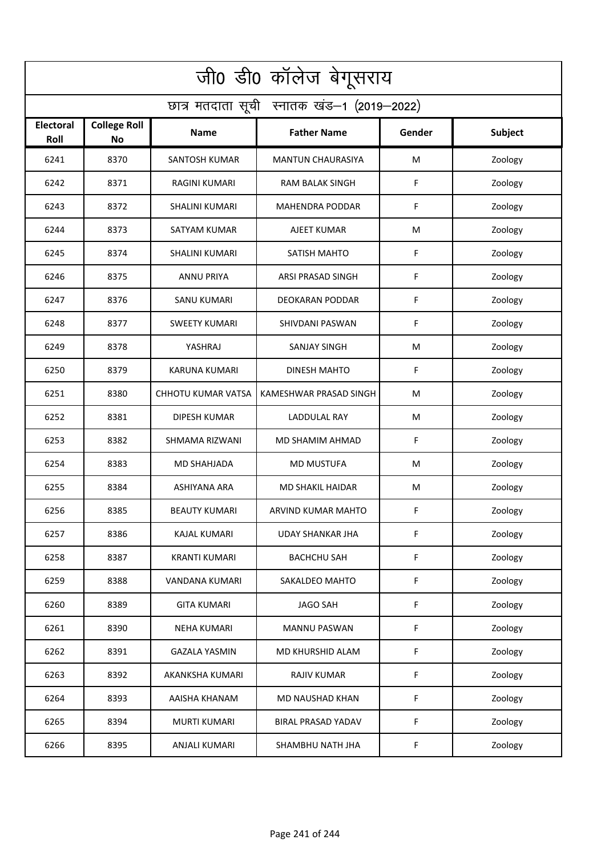| जी0 डी0 कॉलेज बेगूसराय                     |                           |                       |                           |             |                |  |
|--------------------------------------------|---------------------------|-----------------------|---------------------------|-------------|----------------|--|
| छात्र मतदाता सूची स्नातक खंड-1 (2019-2022) |                           |                       |                           |             |                |  |
| <b>Electoral</b><br>Roll                   | <b>College Roll</b><br>No | <b>Name</b>           | <b>Father Name</b>        | Gender      | <b>Subject</b> |  |
| 6241                                       | 8370                      | <b>SANTOSH KUMAR</b>  | <b>MANTUN CHAURASIYA</b>  | M           | Zoology        |  |
| 6242                                       | 8371                      | <b>RAGINI KUMARI</b>  | RAM BALAK SINGH           | F           | Zoology        |  |
| 6243                                       | 8372                      | <b>SHALINI KUMARI</b> | MAHENDRA PODDAR           | F           | Zoology        |  |
| 6244                                       | 8373                      | SATYAM KUMAR          | AJEET KUMAR               | M           | Zoology        |  |
| 6245                                       | 8374                      | <b>SHALINI KUMARI</b> | SATISH MAHTO              | F           | Zoology        |  |
| 6246                                       | 8375                      | <b>ANNU PRIYA</b>     | ARSI PRASAD SINGH         | F           | Zoology        |  |
| 6247                                       | 8376                      | SANU KUMARI           | DEOKARAN PODDAR           | F           | Zoology        |  |
| 6248                                       | 8377                      | <b>SWEETY KUMARI</b>  | SHIVDANI PASWAN           | F           | Zoology        |  |
| 6249                                       | 8378                      | YASHRAJ               | <b>SANJAY SINGH</b>       | M           | Zoology        |  |
| 6250                                       | 8379                      | <b>KARUNA KUMARI</b>  | <b>DINESH MAHTO</b>       | F           | Zoology        |  |
| 6251                                       | 8380                      | CHHOTU KUMAR VATSA    | KAMESHWAR PRASAD SINGH    | M           | Zoology        |  |
| 6252                                       | 8381                      | <b>DIPESH KUMAR</b>   | LADDULAL RAY              | M           | Zoology        |  |
| 6253                                       | 8382                      | SHMAMA RIZWANI        | MD SHAMIM AHMAD           | F           | Zoology        |  |
| 6254                                       | 8383                      | <b>MD SHAHJADA</b>    | MD MUSTUFA                | M           | Zoology        |  |
| 6255                                       | 8384                      | <b>ASHIYANA ARA</b>   | <b>MD SHAKIL HAIDAR</b>   | M           | Zoology        |  |
| 6256                                       | 8385                      | <b>BEAUTY KUMARI</b>  | ARVIND KUMAR MAHTO        | F           | Zoology        |  |
| 6257                                       | 8386                      | KAJAL KUMARI          | UDAY SHANKAR JHA          | F           | Zoology        |  |
| 6258                                       | 8387                      | <b>KRANTI KUMARI</b>  | <b>BACHCHU SAH</b>        | $\mathsf F$ | Zoology        |  |
| 6259                                       | 8388                      | VANDANA KUMARI        | SAKALDEO MAHTO            | F           | Zoology        |  |
| 6260                                       | 8389                      | <b>GITA KUMARI</b>    | <b>JAGO SAH</b>           | F           | Zoology        |  |
| 6261                                       | 8390                      | <b>NEHA KUMARI</b>    | <b>MANNU PASWAN</b>       | F           | Zoology        |  |
| 6262                                       | 8391                      | <b>GAZALA YASMIN</b>  | MD KHURSHID ALAM          | F           | Zoology        |  |
| 6263                                       | 8392                      | AKANKSHA KUMARI       | <b>RAJIV KUMAR</b>        | F           | Zoology        |  |
| 6264                                       | 8393                      | AAISHA KHANAM         | MD NAUSHAD KHAN           | F           | Zoology        |  |
| 6265                                       | 8394                      | MURTI KUMARI          | <b>BIRAL PRASAD YADAV</b> | F           | Zoology        |  |
| 6266                                       | 8395                      | ANJALI KUMARI         | SHAMBHU NATH JHA          | F           | Zoology        |  |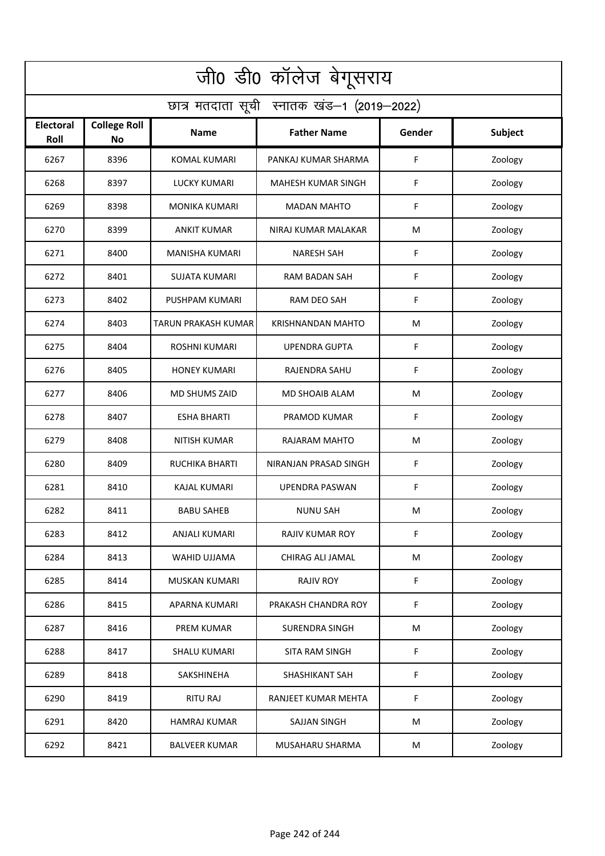|                                            | जी0 डी0 कॉलेज बेगूसराय    |                       |                          |        |                |  |
|--------------------------------------------|---------------------------|-----------------------|--------------------------|--------|----------------|--|
| छात्र मतदाता सूची स्नातक खंड-1 (2019-2022) |                           |                       |                          |        |                |  |
| <b>Electoral</b><br>Roll                   | <b>College Roll</b><br>No | <b>Name</b>           | <b>Father Name</b>       | Gender | <b>Subject</b> |  |
| 6267                                       | 8396                      | <b>KOMAL KUMARI</b>   | PANKAJ KUMAR SHARMA      | F      | Zoology        |  |
| 6268                                       | 8397                      | <b>LUCKY KUMARI</b>   | MAHESH KUMAR SINGH       | F      | Zoology        |  |
| 6269                                       | 8398                      | <b>MONIKA KUMARI</b>  | <b>MADAN MAHTO</b>       | F      | Zoology        |  |
| 6270                                       | 8399                      | <b>ANKIT KUMAR</b>    | NIRAJ KUMAR MALAKAR      | M      | Zoology        |  |
| 6271                                       | 8400                      | <b>MANISHA KUMARI</b> | <b>NARESH SAH</b>        | F      | Zoology        |  |
| 6272                                       | 8401                      | <b>SUJATA KUMARI</b>  | RAM BADAN SAH            | F      | Zoology        |  |
| 6273                                       | 8402                      | PUSHPAM KUMARI        | <b>RAM DEO SAH</b>       | F      | Zoology        |  |
| 6274                                       | 8403                      | TARUN PRAKASH KUMAR   | <b>KRISHNANDAN MAHTO</b> | M      | Zoology        |  |
| 6275                                       | 8404                      | <b>ROSHNI KUMARI</b>  | <b>UPENDRA GUPTA</b>     | F      | Zoology        |  |
| 6276                                       | 8405                      | <b>HONEY KUMARI</b>   | RAJENDRA SAHU            | F      | Zoology        |  |
| 6277                                       | 8406                      | <b>MD SHUMS ZAID</b>  | MD SHOAIB ALAM           | M      | Zoology        |  |
| 6278                                       | 8407                      | <b>ESHA BHARTI</b>    | PRAMOD KUMAR             | F      | Zoology        |  |
| 6279                                       | 8408                      | NITISH KUMAR          | RAJARAM MAHTO            | M      | Zoology        |  |
| 6280                                       | 8409                      | <b>RUCHIKA BHARTI</b> | NIRANJAN PRASAD SINGH    | F      | Zoology        |  |
| 6281                                       | 8410                      | KAJAL KUMARI          | <b>UPENDRA PASWAN</b>    | F      | Zoology        |  |
| 6282                                       | 8411                      | <b>BABU SAHEB</b>     | <b>NUNU SAH</b>          | M      | Zoology        |  |
| 6283                                       | 8412                      | ANJALI KUMARI         | <b>RAJIV KUMAR ROY</b>   | F      | Zoology        |  |
| 6284                                       | 8413                      | WAHID UJJAMA          | CHIRAG ALI JAMAL         | M      | Zoology        |  |
| 6285                                       | 8414                      | <b>MUSKAN KUMARI</b>  | <b>RAJIV ROY</b>         | F      | Zoology        |  |
| 6286                                       | 8415                      | APARNA KUMARI         | PRAKASH CHANDRA ROY      | F      | Zoology        |  |
| 6287                                       | 8416                      | <b>PREM KUMAR</b>     | <b>SURENDRA SINGH</b>    | M      | Zoology        |  |
| 6288                                       | 8417                      | <b>SHALU KUMARI</b>   | SITA RAM SINGH           | F      | Zoology        |  |
| 6289                                       | 8418                      | SAKSHINEHA            | <b>SHASHIKANT SAH</b>    | F      | Zoology        |  |
| 6290                                       | 8419                      | <b>RITU RAJ</b>       | RANJEET KUMAR MEHTA      | F      | Zoology        |  |
| 6291                                       | 8420                      | <b>HAMRAJ KUMAR</b>   | SAJJAN SINGH             | M      | Zoology        |  |
| 6292                                       | 8421                      | <b>BALVEER KUMAR</b>  | MUSAHARU SHARMA          | M      | Zoology        |  |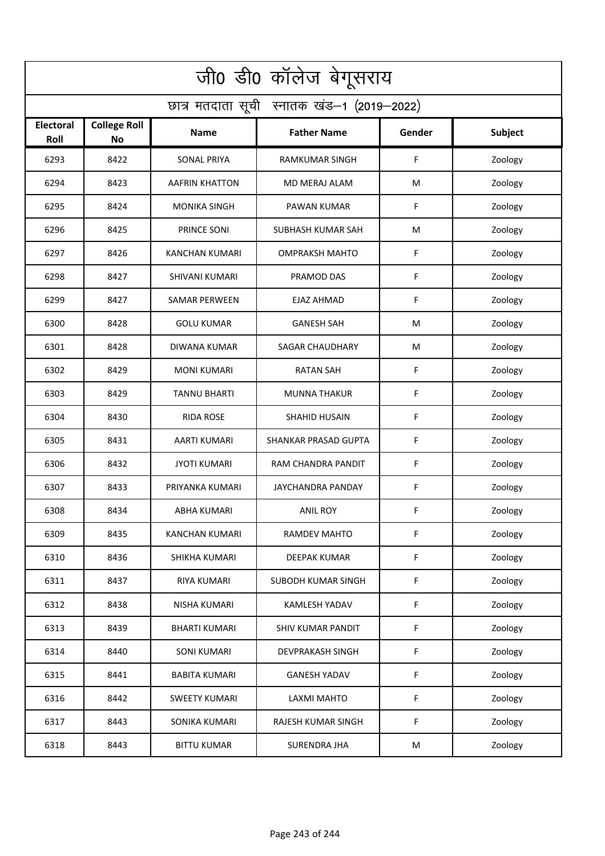| जी0 डी0 कॉलेज बेगूसराय                     |                                  |                       |                          |        |         |  |
|--------------------------------------------|----------------------------------|-----------------------|--------------------------|--------|---------|--|
| छात्र मतदाता सूची स्नातक खंड-1 (2019-2022) |                                  |                       |                          |        |         |  |
| <b>Electoral</b><br>Roll                   | <b>College Roll</b><br><b>No</b> | Name                  | <b>Father Name</b>       | Gender | Subject |  |
| 6293                                       | 8422                             | <b>SONAL PRIYA</b>    | <b>RAMKUMAR SINGH</b>    | F      | Zoology |  |
| 6294                                       | 8423                             | <b>AAFRIN KHATTON</b> | MD MERAJ ALAM            | M      | Zoology |  |
| 6295                                       | 8424                             | <b>MONIKA SINGH</b>   | PAWAN KUMAR              | F      | Zoology |  |
| 6296                                       | 8425                             | PRINCE SONI           | SUBHASH KUMAR SAH        | M      | Zoology |  |
| 6297                                       | 8426                             | <b>KANCHAN KUMARI</b> | <b>OMPRAKSH MAHTO</b>    | F      | Zoology |  |
| 6298                                       | 8427                             | <b>SHIVANI KUMARI</b> | PRAMOD DAS               | F      | Zoology |  |
| 6299                                       | 8427                             | <b>SAMAR PERWEEN</b>  | <b>EJAZ AHMAD</b>        | F      | Zoology |  |
| 6300                                       | 8428                             | <b>GOLU KUMAR</b>     | <b>GANESH SAH</b>        | M      | Zoology |  |
| 6301                                       | 8428                             | <b>DIWANA KUMAR</b>   | <b>SAGAR CHAUDHARY</b>   | M      | Zoology |  |
| 6302                                       | 8429                             | <b>MONI KUMARI</b>    | <b>RATAN SAH</b>         | F      | Zoology |  |
| 6303                                       | 8429                             | <b>TANNU BHARTI</b>   | <b>MUNNA THAKUR</b>      | F      | Zoology |  |
| 6304                                       | 8430                             | <b>RIDA ROSE</b>      | <b>SHAHID HUSAIN</b>     | F      | Zoology |  |
| 6305                                       | 8431                             | AARTI KUMARI          | SHANKAR PRASAD GUPTA     | F      | Zoology |  |
| 6306                                       | 8432                             | <b>JYOTI KUMARI</b>   | RAM CHANDRA PANDIT       | F      | Zoology |  |
| 6307                                       | 8433                             | PRIYANKA KUMARI       | JAYCHANDRA PANDAY        | F      | Zoology |  |
| 6308                                       | 8434                             | ABHA KUMARI           | ANIL ROY                 | F      | Zoology |  |
| 6309                                       | 8435                             | KANCHAN KUMARI        | RAMDEV MAHTO             | F      | Zoology |  |
| 6310                                       | 8436                             | SHIKHA KUMARI         | DEEPAK KUMAR             | F      | Zoology |  |
| 6311                                       | 8437                             | RIYA KUMARI           | SUBODH KUMAR SINGH       | F      | Zoology |  |
| 6312                                       | 8438                             | NISHA KUMARI          | KAMLESH YADAV            | F      | Zoology |  |
| 6313                                       | 8439                             | <b>BHARTI KUMARI</b>  | <b>SHIV KUMAR PANDIT</b> | F      | Zoology |  |
| 6314                                       | 8440                             | <b>SONI KUMARI</b>    | <b>DEVPRAKASH SINGH</b>  | F      | Zoology |  |
| 6315                                       | 8441                             | <b>BABITA KUMARI</b>  | <b>GANESH YADAV</b>      | F      | Zoology |  |
| 6316                                       | 8442                             | <b>SWEETY KUMARI</b>  | LAXMI MAHTO              | F      | Zoology |  |
| 6317                                       | 8443                             | SONIKA KUMARI         | RAJESH KUMAR SINGH       | F      | Zoology |  |
| 6318                                       | 8443                             | <b>BITTU KUMAR</b>    | SURENDRA JHA             | M      | Zoology |  |